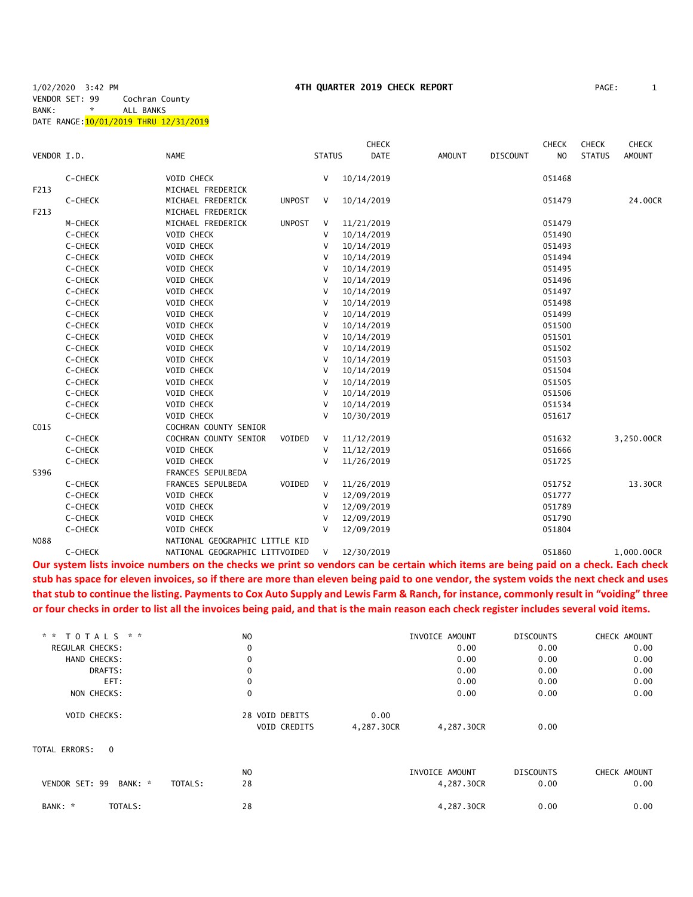1/02/2020 3:42 PM **4TH QUARTER 2019 CHECK REPORT** PAGE: 1 VENDOR SET: 99 Cochran County BANK: \* ALL BANKS DATE RANGE:10/01/2019 THRU 12/31/2019

|             |         |                                |               |               | <b>CHECK</b> |               |                 | <b>CHECK</b>   | <b>CHECK</b>  | <b>CHECK</b>  |
|-------------|---------|--------------------------------|---------------|---------------|--------------|---------------|-----------------|----------------|---------------|---------------|
| VENDOR I.D. |         | <b>NAME</b>                    |               | <b>STATUS</b> | DATE         | <b>AMOUNT</b> | <b>DISCOUNT</b> | N <sub>O</sub> | <b>STATUS</b> | <b>AMOUNT</b> |
|             | C-CHECK | VOID CHECK                     |               | V             | 10/14/2019   |               |                 | 051468         |               |               |
| F213        |         | MICHAEL FREDERICK              |               |               |              |               |                 |                |               |               |
|             | C-CHECK | MICHAEL FREDERICK              | <b>UNPOST</b> | V             | 10/14/2019   |               |                 | 051479         |               | 24.00CR       |
| F213        |         | MICHAEL FREDERICK              |               |               |              |               |                 |                |               |               |
|             | M-CHECK | MICHAEL FREDERICK              | <b>UNPOST</b> | V             | 11/21/2019   |               |                 | 051479         |               |               |
|             | C-CHECK | VOID CHECK                     |               | $\vee$        | 10/14/2019   |               |                 | 051490         |               |               |
|             | C-CHECK | VOID CHECK                     |               | $\vee$        | 10/14/2019   |               |                 | 051493         |               |               |
|             | C-CHECK | VOID CHECK                     |               | v             | 10/14/2019   |               |                 | 051494         |               |               |
|             | C-CHECK | VOID CHECK                     |               | V             | 10/14/2019   |               |                 | 051495         |               |               |
|             | C-CHECK | VOID CHECK                     |               | $\vee$        | 10/14/2019   |               |                 | 051496         |               |               |
|             | C-CHECK | VOID CHECK                     |               | V             | 10/14/2019   |               |                 | 051497         |               |               |
|             | C-CHECK | VOID CHECK                     |               | V             | 10/14/2019   |               |                 | 051498         |               |               |
|             | C-CHECK | VOID CHECK                     |               | $\vee$        | 10/14/2019   |               |                 | 051499         |               |               |
|             | C-CHECK | VOID CHECK                     |               | V             | 10/14/2019   |               |                 | 051500         |               |               |
|             | C-CHECK | VOID CHECK                     |               | V             | 10/14/2019   |               |                 | 051501         |               |               |
|             | C-CHECK | VOID CHECK                     |               | V             | 10/14/2019   |               |                 | 051502         |               |               |
|             | C-CHECK | VOID CHECK                     |               | V             | 10/14/2019   |               |                 | 051503         |               |               |
|             | C-CHECK | VOID CHECK                     |               | V             | 10/14/2019   |               |                 | 051504         |               |               |
|             | C-CHECK | VOID CHECK                     |               | V             | 10/14/2019   |               |                 | 051505         |               |               |
|             | C-CHECK | VOID CHECK                     |               | V             | 10/14/2019   |               |                 | 051506         |               |               |
|             | C-CHECK | VOID CHECK                     |               | V             | 10/14/2019   |               |                 | 051534         |               |               |
|             | C-CHECK | VOID CHECK                     |               | $\vee$        | 10/30/2019   |               |                 | 051617         |               |               |
| C015        |         | COCHRAN COUNTY SENIOR          |               |               |              |               |                 |                |               |               |
|             | C-CHECK | COCHRAN COUNTY SENIOR          | VOIDED        | V             | 11/12/2019   |               |                 | 051632         |               | 3,250.00CR    |
|             | C-CHECK | VOID CHECK                     |               | V             | 11/12/2019   |               |                 | 051666         |               |               |
|             | C-CHECK | VOID CHECK                     |               | $\vee$        | 11/26/2019   |               |                 | 051725         |               |               |
| S396        |         | FRANCES SEPULBEDA              |               |               |              |               |                 |                |               |               |
|             | C-CHECK | FRANCES SEPULBEDA              | VOIDED        | V             | 11/26/2019   |               |                 | 051752         |               | 13.30CR       |
|             | C-CHECK | VOID CHECK                     |               | $\vee$        | 12/09/2019   |               |                 | 051777         |               |               |
|             | C-CHECK | VOID CHECK                     |               | V             | 12/09/2019   |               |                 | 051789         |               |               |
|             | C-CHECK | VOID CHECK                     |               | v             | 12/09/2019   |               |                 | 051790         |               |               |
|             | C-CHECK | VOID CHECK                     |               | V             | 12/09/2019   |               |                 | 051804         |               |               |
| <b>N088</b> |         | NATIONAL GEOGRAPHIC LITTLE KID |               |               |              |               |                 |                |               |               |
|             | C-CHECK | NATIONAL GEOGRAPHIC LITTVOIDED |               | V             | 12/30/2019   |               |                 | 051860         |               | 1.000.00CR    |

**Our system lists invoice numbers on the checks we print so vendors can be certain which items are being paid on a check. Each check stub has space for eleven invoices, so if there are more than eleven being paid to one vendor, the system voids the next check and uses that stub to continue the listing. Payments to Cox Auto Supply and Lewis Farm & Ranch, for instance, commonly result in "voiding" three or four checks in order to list all the invoices being paid, and that is the main reason each check register includes several void items.**

| * * TOTALS * *            |         | N <sub>O</sub> |            | INVOICE AMOUNT | <b>DISCOUNTS</b> | CHECK AMOUNT |
|---------------------------|---------|----------------|------------|----------------|------------------|--------------|
| REGULAR CHECKS:           |         | 0              |            | 0.00           | 0.00             | 0.00         |
| HAND CHECKS:              |         | 0              |            | 0.00           | 0.00             | 0.00         |
| DRAFTS:                   |         | 0              |            | 0.00           | 0.00             | 0.00         |
| EFT:                      |         | $\Omega$       |            | 0.00           | 0.00             | 0.00         |
| NON CHECKS:               |         | 0              |            | 0.00           | 0.00             | 0.00         |
| VOID CHECKS:              |         | 28 VOID DEBITS | 0.00       |                |                  |              |
|                           |         | VOID CREDITS   | 4,287.30CR | 4,287.30CR     | 0.00             |              |
| TOTAL ERRORS:<br>$\Omega$ |         |                |            |                |                  |              |
|                           |         | N <sub>O</sub> |            | INVOICE AMOUNT | <b>DISCOUNTS</b> | CHECK AMOUNT |
| VENDOR SET: 99<br>BANK: * | TOTALS: | 28             |            | 4,287.30CR     | 0.00             | 0.00         |
| TOTALS:<br>BANK: *        |         | 28             |            | 4,287.30CR     | 0.00             | 0.00         |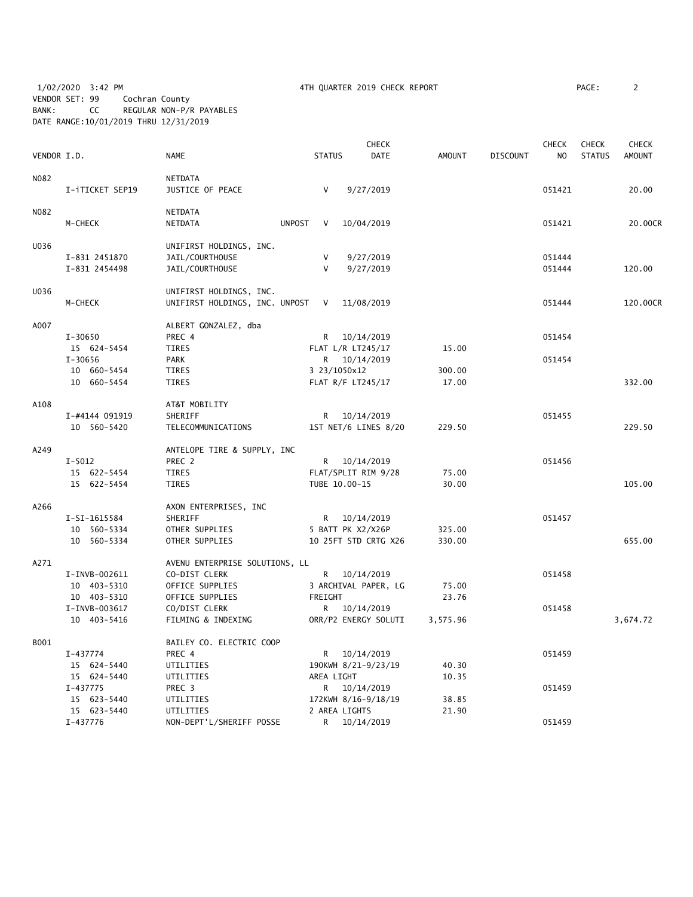1/02/2020 3:42 PM 4TH QUARTER 2019 CHECK REPORT PAGE: 2 VENDOR SET: 99 Cochran County BANK: CC REGULAR NON-P/R PAYABLES DATE RANGE:10/01/2019 THRU 12/31/2019

| 'AGE : |  |  |
|--------|--|--|
|        |  |  |

|             |                 |                                  |               |                | <b>CHECK</b>         |          |                 | <b>CHECK</b> | <b>CHECK</b>  | <b>CHECK</b> |
|-------------|-----------------|----------------------------------|---------------|----------------|----------------------|----------|-----------------|--------------|---------------|--------------|
| VENDOR I.D. |                 | <b>NAME</b>                      |               | <b>STATUS</b>  | DATE                 | AMOUNT   | <b>DISCOUNT</b> | NO.          | <b>STATUS</b> | AMOUNT       |
| N082        |                 | NETDATA                          |               |                |                      |          |                 |              |               |              |
|             | I-iTICKET SEP19 | JUSTICE OF PEACE                 |               | $\vee$         | 9/27/2019            |          |                 | 051421       |               | 20.00        |
| N082        |                 | NETDATA                          |               |                |                      |          |                 |              |               |              |
|             | M-CHECK         | NETDATA                          | <b>UNPOST</b> | $\vee$         | 10/04/2019           |          |                 | 051421       |               | 20.00CR      |
| U036        |                 | UNIFIRST HOLDINGS, INC.          |               |                |                      |          |                 |              |               |              |
|             | I-831 2451870   | JAIL/COURTHOUSE                  |               | V              | 9/27/2019            |          |                 | 051444       |               |              |
|             | I-831 2454498   | JAIL/COURTHOUSE                  |               | V              | 9/27/2019            |          |                 | 051444       |               | 120.00       |
| U036        |                 | UNIFIRST HOLDINGS, INC.          |               |                |                      |          |                 |              |               |              |
|             | M-CHECK         | UNIFIRST HOLDINGS, INC. UNPOST V |               |                | 11/08/2019           |          |                 | 051444       |               | 120.00CR     |
| A007        |                 | ALBERT GONZALEZ, dba             |               |                |                      |          |                 |              |               |              |
|             | $I - 30650$     | PREC 4                           |               | R <sub>a</sub> | 10/14/2019           |          |                 | 051454       |               |              |
|             | 15 624-5454     | <b>TIRES</b>                     |               |                | FLAT L/R LT245/17    | 15.00    |                 |              |               |              |
|             | $I - 30656$     | PARK                             |               |                | R 10/14/2019         |          |                 | 051454       |               |              |
|             | 10 660-5454     | TIRES                            |               |                | 3 23/1050x12         | 300.00   |                 |              |               |              |
|             | 10 660-5454     | <b>TIRES</b>                     |               |                | FLAT R/F LT245/17    | 17.00    |                 |              |               | 332.00       |
| A108        |                 | AT&T MOBILITY                    |               |                |                      |          |                 |              |               |              |
|             | I-#4144 091919  | SHERIFF                          |               |                | R 10/14/2019         |          |                 | 051455       |               |              |
|             | 10 560-5420     | TELECOMMUNICATIONS               |               |                | 1ST NET/6 LINES 8/20 | 229.50   |                 |              |               | 229.50       |
| A249        |                 | ANTELOPE TIRE & SUPPLY, INC      |               |                |                      |          |                 |              |               |              |
|             | $I - 5012$      | PREC 2                           |               |                | R 10/14/2019         |          |                 | 051456       |               |              |
|             | 15 622-5454     | <b>TIRES</b>                     |               |                | FLAT/SPLIT RIM 9/28  | 75.00    |                 |              |               |              |
|             | 15 622-5454     | <b>TIRES</b>                     |               |                | TUBE 10.00-15        | 30.00    |                 |              |               | 105.00       |
| A266        |                 | AXON ENTERPRISES, INC            |               |                |                      |          |                 |              |               |              |
|             | I-SI-1615584    | SHERIFF                          |               | R              | 10/14/2019           |          |                 | 051457       |               |              |
|             | 10 560-5334     | OTHER SUPPLIES                   |               |                | 5 BATT PK X2/X26P    | 325.00   |                 |              |               |              |
|             | 10 560-5334     | OTHER SUPPLIES                   |               |                | 10 25FT STD CRTG X26 | 330.00   |                 |              |               | 655.00       |
| A271        |                 | AVENU ENTERPRISE SOLUTIONS, LL   |               |                |                      |          |                 |              |               |              |
|             | I-INVB-002611   | CO-DIST CLERK                    |               | R.             | 10/14/2019           |          |                 | 051458       |               |              |
|             | 10 403-5310     | OFFICE SUPPLIES                  |               |                | 3 ARCHIVAL PAPER, LG | 75.00    |                 |              |               |              |
|             | 10 403-5310     | OFFICE SUPPLIES                  |               | FREIGHT        |                      | 23.76    |                 |              |               |              |
|             | I-INVB-003617   | CO/DIST CLERK                    |               |                | R 10/14/2019         |          |                 | 051458       |               |              |
|             | 10 403-5416     | FILMING & INDEXING               |               |                | ORR/P2 ENERGY SOLUTI | 3,575.96 |                 |              |               | 3,674.72     |
| B001        |                 | BAILEY CO. ELECTRIC COOP         |               |                |                      |          |                 |              |               |              |
|             | I-437774        | PREC 4                           |               | R              | 10/14/2019           |          |                 | 051459       |               |              |
|             | 15 624-5440     | UTILITIES                        |               |                | 190KWH 8/21-9/23/19  | 40.30    |                 |              |               |              |
|             | 15 624-5440     | UTILITIES                        |               | AREA LIGHT     |                      | 10.35    |                 |              |               |              |
|             | I-437775        | PREC 3                           |               | R              | 10/14/2019           |          |                 | 051459       |               |              |
|             | 15 623-5440     | UTILITIES                        |               |                | 172KWH 8/16-9/18/19  | 38.85    |                 |              |               |              |
|             | 15 623-5440     | UTILITIES                        |               |                | 2 AREA LIGHTS        | 21.90    |                 |              |               |              |
|             | $I-437776$      | NON-DEPT'L/SHERIFF POSSE         |               | R              | 10/14/2019           |          |                 | 051459       |               |              |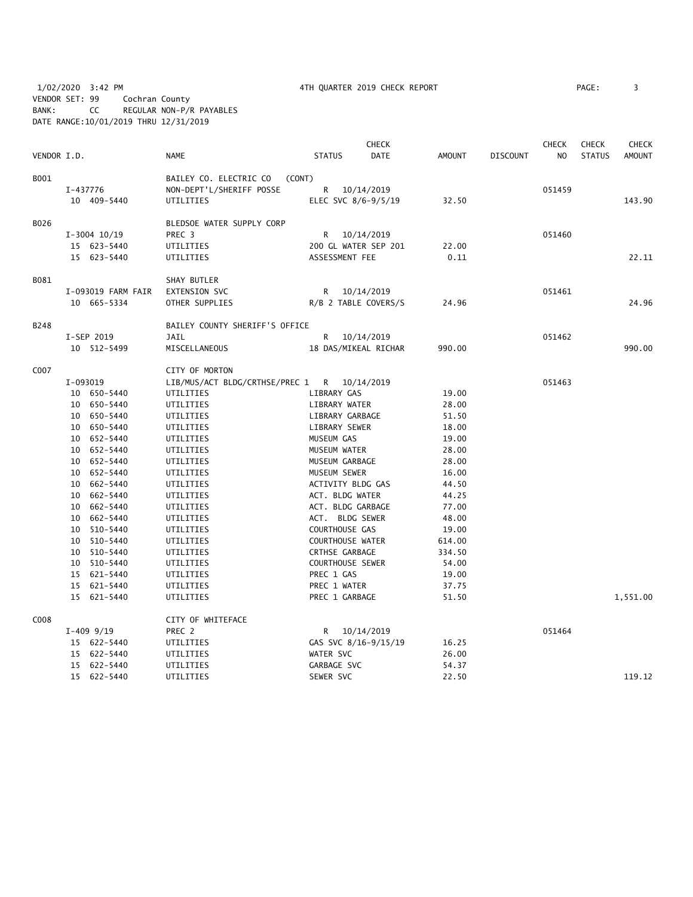1/02/2020 3:42 PM 4TH QUARTER 2019 CHECK REPORT PAGE: 3 VENDOR SET: 99 Cochran County BANK: CC REGULAR NON-P/R PAYABLES DATE RANGE:10/01/2019 THRU 12/31/2019

|             |          |                    |                                  |                         | <b>CHECK</b>         |               |                 | <b>CHECK</b>   | <b>CHECK</b>  | <b>CHECK</b>  |
|-------------|----------|--------------------|----------------------------------|-------------------------|----------------------|---------------|-----------------|----------------|---------------|---------------|
| VENDOR I.D. |          |                    | <b>NAME</b>                      | <b>STATUS</b>           | <b>DATE</b>          | <b>AMOUNT</b> | <b>DISCOUNT</b> | N <sub>O</sub> | <b>STATUS</b> | <b>AMOUNT</b> |
| B001        |          |                    | BAILEY CO. ELECTRIC CO<br>(CONT) |                         |                      |               |                 |                |               |               |
|             | I-437776 |                    | NON-DEPT'L/SHERIFF POSSE         | R.                      | 10/14/2019           |               |                 | 051459         |               |               |
|             |          | 10 409-5440        | UTILITIES                        |                         | ELEC SVC 8/6-9/5/19  | 32.50         |                 |                |               | 143.90        |
|             |          |                    |                                  |                         |                      |               |                 |                |               |               |
| B026        |          |                    | BLEDSOE WATER SUPPLY CORP        |                         |                      |               |                 |                |               |               |
|             |          | $I-3004$ 10/19     | PREC <sub>3</sub>                |                         | R 10/14/2019         |               |                 | 051460         |               |               |
|             |          | 15 623-5440        | UTILITIES                        |                         | 200 GL WATER SEP 201 | 22.00         |                 |                |               |               |
|             |          | 15 623-5440        | UTILITIES                        | ASSESSMENT FEE          |                      | 0.11          |                 |                |               | 22.11         |
| B081        |          |                    | SHAY BUTLER                      |                         |                      |               |                 |                |               |               |
|             |          | I-093019 FARM FAIR | EXTENSION SVC                    |                         | R 10/14/2019         |               |                 | 051461         |               |               |
|             |          | 10 665-5334        | OTHER SUPPLIES                   |                         | R/B 2 TABLE COVERS/S | 24.96         |                 |                |               | 24.96         |
| B248        |          |                    | BAILEY COUNTY SHERIFF'S OFFICE   |                         |                      |               |                 |                |               |               |
|             |          | I-SEP 2019         | <b>JAIL</b>                      | R.                      | 10/14/2019           |               |                 | 051462         |               |               |
|             |          | 10 512-5499        | MISCELLANEOUS                    |                         | 18 DAS/MIKEAL RICHAR | 990.00        |                 |                |               | 990.00        |
|             |          |                    |                                  |                         |                      |               |                 |                |               |               |
| C007        |          |                    | CITY OF MORTON                   |                         |                      |               |                 |                |               |               |
|             | I-093019 |                    | LIB/MUS/ACT BLDG/CRTHSE/PREC 1   |                         | R 10/14/2019         |               |                 | 051463         |               |               |
|             |          | 10 650-5440        | UTILITIES                        | LIBRARY GAS             |                      | 19.00         |                 |                |               |               |
|             |          | 10 650-5440        | UTILITIES                        | LIBRARY WATER           |                      | 28.00         |                 |                |               |               |
|             |          | 10 650-5440        | UTILITIES                        | LIBRARY GARBAGE         |                      | 51.50         |                 |                |               |               |
|             |          | 10 650-5440        | UTILITIES                        | LIBRARY SEWER           |                      | 18.00         |                 |                |               |               |
|             |          | 10 652-5440        | UTILITIES                        | MUSEUM GAS              |                      | 19.00         |                 |                |               |               |
|             |          | 10 652-5440        | UTILITIES                        | MUSEUM WATER            |                      | 28.00         |                 |                |               |               |
|             |          | 10 652-5440        | UTILITIES                        | MUSEUM GARBAGE          |                      | 28.00         |                 |                |               |               |
|             |          | 10 652-5440        | UTILITIES                        | MUSEUM SEWER            |                      | 16.00         |                 |                |               |               |
|             |          | 10 662-5440        | UTILITIES                        | ACTIVITY BLDG GAS       |                      | 44.50         |                 |                |               |               |
|             |          | 10 662-5440        | UTILITIES                        | ACT. BLDG WATER         |                      | 44.25         |                 |                |               |               |
|             |          | 10 662-5440        | UTILITIES                        | ACT. BLDG GARBAGE       |                      | 77.00         |                 |                |               |               |
|             |          | 10 662-5440        | UTILITIES                        | ACT. BLDG SEWER         |                      | 48.00         |                 |                |               |               |
|             |          | 10 510-5440        | UTILITIES                        | COURTHOUSE GAS          |                      | 19.00         |                 |                |               |               |
|             |          | 10 510-5440        | UTILITIES                        | <b>COURTHOUSE WATER</b> |                      | 614.00        |                 |                |               |               |
|             |          | 10 510-5440        | UTILITIES                        | <b>CRTHSE GARBAGE</b>   |                      | 334.50        |                 |                |               |               |
|             |          | 10 510-5440        | UTILITIES                        | <b>COURTHOUSE SEWER</b> |                      | 54.00         |                 |                |               |               |
|             |          | 15 621-5440        | UTILITIES                        | PREC 1 GAS              |                      | 19.00         |                 |                |               |               |
|             |          | 15 621-5440        | UTILITIES                        | PREC 1 WATER            |                      | 37.75         |                 |                |               |               |
|             |          | 15 621-5440        | UTILITIES                        | PREC 1 GARBAGE          |                      | 51.50         |                 |                |               | 1,551.00      |
| C008        |          |                    | CITY OF WHITEFACE                |                         |                      |               |                 |                |               |               |
|             |          | $I-409$ 9/19       | PREC 2                           | R                       | 10/14/2019           |               |                 | 051464         |               |               |
|             |          | 15 622-5440        | UTILITIES                        |                         | GAS SVC 8/16-9/15/19 | 16.25         |                 |                |               |               |
|             |          | 15 622-5440        | UTILITIES                        | WATER SVC               |                      | 26.00         |                 |                |               |               |
|             |          | 15 622-5440        | UTILITIES                        | GARBAGE SVC             |                      | 54.37         |                 |                |               |               |
|             |          | 15 622-5440        | UTILITIES                        | SEWER SVC               |                      | 22.50         |                 |                |               | 119.12        |
|             |          |                    |                                  |                         |                      |               |                 |                |               |               |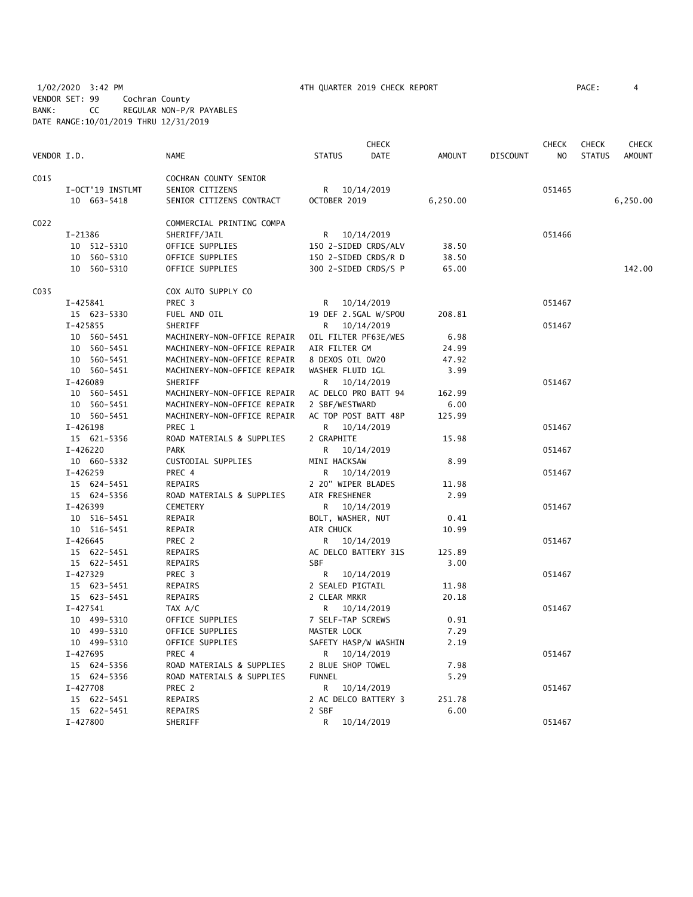1/02/2020 3:42 PM **4TH QUARTER 2019 CHECK REPORT** PAGE: 4 VENDOR SET: 99 Cochran County BANK: CC REGULAR NON-P/R PAYABLES DATE RANGE:10/01/2019 THRU 12/31/2019

|             |                  |                             | <b>CHECK</b>                 |          |                 | <b>CHECK</b> | <b>CHECK</b>  | <b>CHECK</b>  |
|-------------|------------------|-----------------------------|------------------------------|----------|-----------------|--------------|---------------|---------------|
| VENDOR I.D. |                  | <b>NAME</b>                 | <b>STATUS</b><br><b>DATE</b> | AMOUNT   | <b>DISCOUNT</b> | NO           | <b>STATUS</b> | <b>AMOUNT</b> |
| C015        |                  | COCHRAN COUNTY SENIOR       |                              |          |                 |              |               |               |
|             | I-OCT'19 INSTLMT | SENIOR CITIZENS             | R 10/14/2019                 |          |                 | 051465       |               |               |
|             | 10 663-5418      | SENIOR CITIZENS CONTRACT    | OCTOBER 2019                 | 6,250.00 |                 |              |               | 6,250.00      |
|             |                  |                             |                              |          |                 |              |               |               |
| C022        |                  | COMMERCIAL PRINTING COMPA   |                              |          |                 |              |               |               |
|             | I-21386          | SHERIFF/JAIL                | R 10/14/2019                 |          |                 | 051466       |               |               |
|             | 10 512-5310      | OFFICE SUPPLIES             | 150 2-SIDED CRDS/ALV         | 38.50    |                 |              |               |               |
|             | 10 560-5310      | OFFICE SUPPLIES             | 150 2-SIDED CRDS/R D         | 38.50    |                 |              |               |               |
|             | 10 560-5310      | OFFICE SUPPLIES             | 300 2-SIDED CRDS/S P         | 65.00    |                 |              |               | 142.00        |
| C035        |                  | COX AUTO SUPPLY CO          |                              |          |                 |              |               |               |
|             | I-425841         | PREC <sub>3</sub>           | R 10/14/2019                 |          |                 | 051467       |               |               |
|             | 15 623-5330      | FUEL AND OIL                | 19 DEF 2.5GAL W/SPOU         | 208.81   |                 |              |               |               |
|             | I-425855         | SHERIFF                     | R 10/14/2019                 |          |                 | 051467       |               |               |
|             | 10 560-5451      | MACHINERY-NON-OFFICE REPAIR | OIL FILTER PF63E/WES         | 6.98     |                 |              |               |               |
|             | 10 560-5451      | MACHINERY-NON-OFFICE REPAIR | AIR FILTER GM                | 24.99    |                 |              |               |               |
|             | 10 560-5451      | MACHINERY-NON-OFFICE REPAIR | 8 DEXOS OIL 0W20             | 47.92    |                 |              |               |               |
|             | 10 560-5451      | MACHINERY-NON-OFFICE REPAIR | WASHER FLUID 1GL             | 3.99     |                 |              |               |               |
|             | I-426089         | SHERIFF                     | R 10/14/2019                 |          |                 | 051467       |               |               |
|             | 10 560-5451      | MACHINERY-NON-OFFICE REPAIR | AC DELCO PRO BATT 94         | 162.99   |                 |              |               |               |
|             | 10 560-5451      | MACHINERY-NON-OFFICE REPAIR | 2 SBF/WESTWARD               | 6.00     |                 |              |               |               |
|             | 10 560-5451      | MACHINERY-NON-OFFICE REPAIR | AC TOP POST BATT 48P         | 125.99   |                 |              |               |               |
|             | I-426198         | PREC 1                      | R 10/14/2019                 |          |                 | 051467       |               |               |
|             | 15 621-5356      | ROAD MATERIALS & SUPPLIES   | 2 GRAPHITE                   | 15.98    |                 |              |               |               |
|             | I-426220         | <b>PARK</b>                 | R 10/14/2019                 |          |                 | 051467       |               |               |
|             | 10 660-5332      | CUSTODIAL SUPPLIES          | MINI HACKSAW                 | 8.99     |                 |              |               |               |
|             | $I-426259$       | PREC 4                      | 10/14/2019<br>R              |          |                 | 051467       |               |               |
|             | 15 624-5451      | REPAIRS                     | 2 20" WIPER BLADES           | 11.98    |                 |              |               |               |
|             | 15 624-5356      | ROAD MATERIALS & SUPPLIES   | AIR FRESHENER                | 2.99     |                 |              |               |               |
|             | I-426399         | CEMETERY                    | R 10/14/2019                 |          |                 | 051467       |               |               |
|             | 10 516-5451      | REPAIR                      | BOLT, WASHER, NUT            | 0.41     |                 |              |               |               |
|             | 10 516-5451      | REPAIR                      | AIR CHUCK                    | 10.99    |                 |              |               |               |
|             | I-426645         | PREC 2                      | R 10/14/2019                 |          |                 | 051467       |               |               |
|             | 15 622-5451      | REPAIRS                     | AC DELCO BATTERY 31S         | 125.89   |                 |              |               |               |
|             | 15 622-5451      | REPAIRS                     | <b>SBF</b>                   | 3.00     |                 |              |               |               |
|             | I-427329         | PREC 3                      | R 10/14/2019                 |          |                 | 051467       |               |               |
|             | 15 623-5451      | REPAIRS                     | 2 SEALED PIGTAIL             | 11.98    |                 |              |               |               |
|             | 15 623-5451      | REPAIRS                     | 2 CLEAR MRKR                 | 20.18    |                 |              |               |               |
|             | $I - 427541$     | TAX A/C                     | R 10/14/2019                 |          |                 | 051467       |               |               |
|             | 10 499-5310      | OFFICE SUPPLIES             | 7 SELF-TAP SCREWS            | 0.91     |                 |              |               |               |
|             | 10 499-5310      | OFFICE SUPPLIES             | MASTER LOCK                  | 7.29     |                 |              |               |               |
|             | 10 499-5310      | OFFICE SUPPLIES             | SAFETY HASP/W WASHIN         | 2.19     |                 |              |               |               |
|             | I-427695         | PREC 4                      | R 10/14/2019                 |          |                 | 051467       |               |               |
|             | 15 624-5356      | ROAD MATERIALS & SUPPLIES   | 2 BLUE SHOP TOWEL            | 7.98     |                 |              |               |               |
|             | 15 624-5356      | ROAD MATERIALS & SUPPLIES   | <b>FUNNEL</b>                | 5.29     |                 |              |               |               |
|             | $I-427708$       | PREC 2                      | R.<br>10/14/2019             |          |                 | 051467       |               |               |
|             | 15 622-5451      | REPAIRS                     | 2 AC DELCO BATTERY 3         | 251.78   |                 |              |               |               |
|             | 15 622-5451      | <b>REPAIRS</b>              | 2 SBF                        | 6.00     |                 |              |               |               |
|             | I-427800         | SHERIFF                     | R.<br>10/14/2019             |          |                 | 051467       |               |               |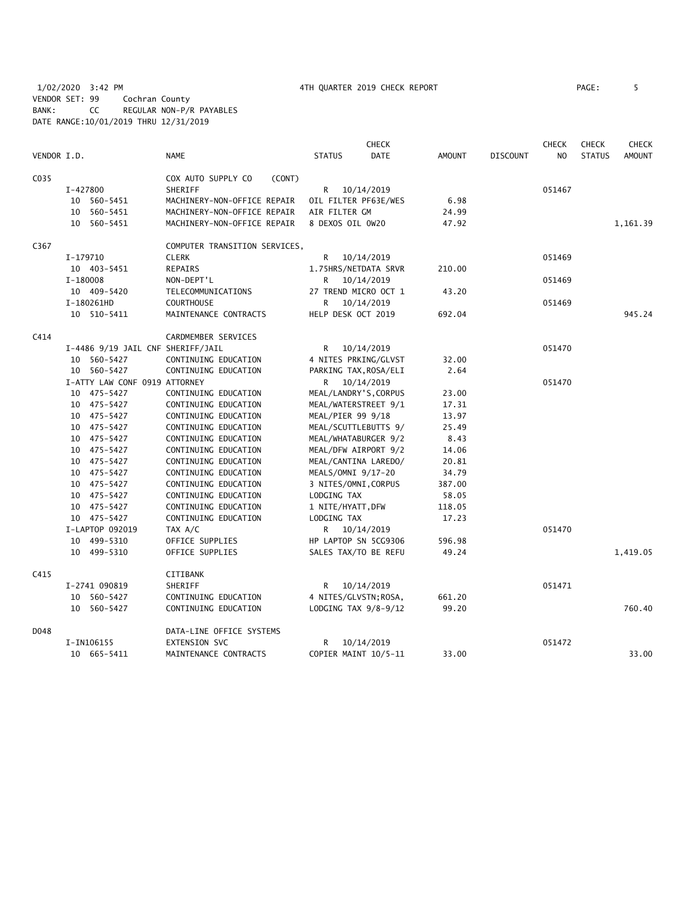| VENDOR I.D. |          |                                   | <b>NAME</b>                                  | <b>STATUS</b>        | <b>CHECK</b><br><b>DATE</b> | <b>AMOUNT</b>   | <b>DISCOUNT</b> | <b>CHECK</b><br>NO. | <b>CHECK</b><br><b>STATUS</b> | <b>CHECK</b><br><b>AMOUNT</b> |
|-------------|----------|-----------------------------------|----------------------------------------------|----------------------|-----------------------------|-----------------|-----------------|---------------------|-------------------------------|-------------------------------|
| C035        |          |                                   | COX AUTO SUPPLY CO<br>(CONT)                 |                      |                             |                 |                 |                     |                               |                               |
|             | I-427800 |                                   | SHERIFF                                      | R                    | 10/14/2019                  |                 |                 | 051467              |                               |                               |
|             |          | 10 560-5451                       | MACHINERY-NON-OFFICE REPAIR                  | OIL FILTER PF63E/WES |                             | 6.98            |                 |                     |                               |                               |
|             |          | 10 560-5451                       | MACHINERY-NON-OFFICE REPAIR                  | AIR FILTER GM        |                             | 24.99           |                 |                     |                               |                               |
|             |          | 10 560-5451                       | MACHINERY-NON-OFFICE REPAIR                  | 8 DEXOS OIL 0W20     |                             | 47.92           |                 |                     |                               | 1,161.39                      |
| C367        |          |                                   | COMPUTER TRANSITION SERVICES,                |                      |                             |                 |                 |                     |                               |                               |
|             | I-179710 |                                   | <b>CLERK</b>                                 | R                    | 10/14/2019                  |                 |                 | 051469              |                               |                               |
|             |          | 10 403-5451                       | <b>REPAIRS</b>                               |                      | 1.75HRS/NETDATA SRVR        | 210.00          |                 |                     |                               |                               |
|             | I-180008 |                                   | NON-DEPT'L                                   | R.                   | 10/14/2019                  |                 |                 | 051469              |                               |                               |
|             |          | 10 409-5420                       | TELECOMMUNICATIONS                           |                      | 27 TREND MICRO OCT 1        | 43.20           |                 |                     |                               |                               |
|             |          | I-180261HD                        | <b>COURTHOUSE</b>                            | R.                   | 10/14/2019                  |                 |                 | 051469              |                               |                               |
|             |          | 10 510-5411                       | MAINTENANCE CONTRACTS                        | HELP DESK OCT 2019   |                             | 692.04          |                 |                     |                               | 945.24                        |
| C414        |          |                                   | CARDMEMBER SERVICES                          |                      |                             |                 |                 |                     |                               |                               |
|             |          | I-4486 9/19 JAIL CNF SHERIFF/JAIL |                                              | R                    | 10/14/2019                  |                 |                 | 051470              |                               |                               |
|             |          | 10 560-5427                       | CONTINUING EDUCATION                         |                      | 4 NITES PRKING/GLVST        | 32.00           |                 |                     |                               |                               |
|             |          | 10 560-5427                       | CONTINUING EDUCATION                         |                      | PARKING TAX, ROSA/ELI       | 2.64            |                 |                     |                               |                               |
|             |          | I-ATTY LAW CONF 0919 ATTORNEY     |                                              | R                    | 10/14/2019                  |                 |                 | 051470              |                               |                               |
|             |          | 10 475-5427                       | CONTINUING EDUCATION                         |                      | MEAL/LANDRY'S, CORPUS       | 23.00           |                 |                     |                               |                               |
|             |          | 10 475-5427                       | CONTINUING EDUCATION                         |                      | MEAL/WATERSTREET 9/1        | 17.31           |                 |                     |                               |                               |
|             |          | 10 475-5427                       | CONTINUING EDUCATION                         | MEAL/PIER 99 9/18    |                             | 13.97           |                 |                     |                               |                               |
|             |          | 10 475-5427                       | CONTINUING EDUCATION                         |                      | MEAL/SCUTTLEBUTTS 9/        | 25.49           |                 |                     |                               |                               |
|             |          | 10 475-5427                       | CONTINUING EDUCATION                         | MEAL/WHATABURGER 9/2 |                             | 8.43            |                 |                     |                               |                               |
|             |          | 10 475-5427                       | CONTINUING EDUCATION                         | MEAL/DFW AIRPORT 9/2 |                             | 14.06           |                 |                     |                               |                               |
|             |          | 10 475-5427                       | CONTINUING EDUCATION                         | MEAL/CANTINA LAREDO/ |                             | 20.81           |                 |                     |                               |                               |
|             |          | 10 475-5427                       | CONTINUING EDUCATION                         | MEALS/OMNI 9/17-20   |                             | 34.79           |                 |                     |                               |                               |
|             |          | 10 475-5427                       | CONTINUING EDUCATION                         | 3 NITES/OMNI, CORPUS |                             | 387.00          |                 |                     |                               |                               |
|             |          | 10 475-5427                       |                                              | LODGING TAX          |                             | 58.05           |                 |                     |                               |                               |
|             |          |                                   | CONTINUING EDUCATION                         |                      |                             |                 |                 |                     |                               |                               |
|             |          | 10 475-5427                       | CONTINUING EDUCATION                         | 1 NITE/HYATT, DFW    |                             | 118.05          |                 |                     |                               |                               |
|             |          | 10 475-5427                       | CONTINUING EDUCATION                         | LODGING TAX          |                             | 17.23           |                 |                     |                               |                               |
|             |          | I-LAPTOP 092019                   | TAX A/C                                      |                      | R 10/14/2019                |                 |                 | 051470              |                               |                               |
|             |          | 10 499-5310                       | OFFICE SUPPLIES                              |                      | HP LAPTOP SN 5CG9306        | 596.98          |                 |                     |                               |                               |
|             |          | 10 499-5310                       | OFFICE SUPPLIES                              |                      | SALES TAX/TO BE REFU        | 49.24           |                 |                     |                               | 1,419.05                      |
| C415        |          |                                   | CITIBANK                                     |                      |                             |                 |                 |                     |                               |                               |
|             |          | I-2741 090819                     | <b>SHERIFF</b>                               | R                    | 10/14/2019                  |                 |                 | 051471              |                               |                               |
|             |          | 10 560-5427<br>10 560-5427        | CONTINUING EDUCATION<br>CONTINUING EDUCATION | LODGING TAX 9/8-9/12 | 4 NITES/GLVSTN; ROSA,       | 661.20<br>99.20 |                 |                     |                               | 760.40                        |
|             |          |                                   |                                              |                      |                             |                 |                 |                     |                               |                               |
| D048        |          |                                   | DATA-LINE OFFICE SYSTEMS                     |                      |                             |                 |                 |                     |                               |                               |
|             |          | I-IN106155                        | EXTENSION SVC                                | R                    | 10/14/2019                  |                 |                 | 051472              |                               |                               |
|             |          | 10 665-5411                       | MAINTENANCE CONTRACTS                        |                      | COPIER MAINT 10/5-11        | 33.00           |                 |                     |                               | 33.00                         |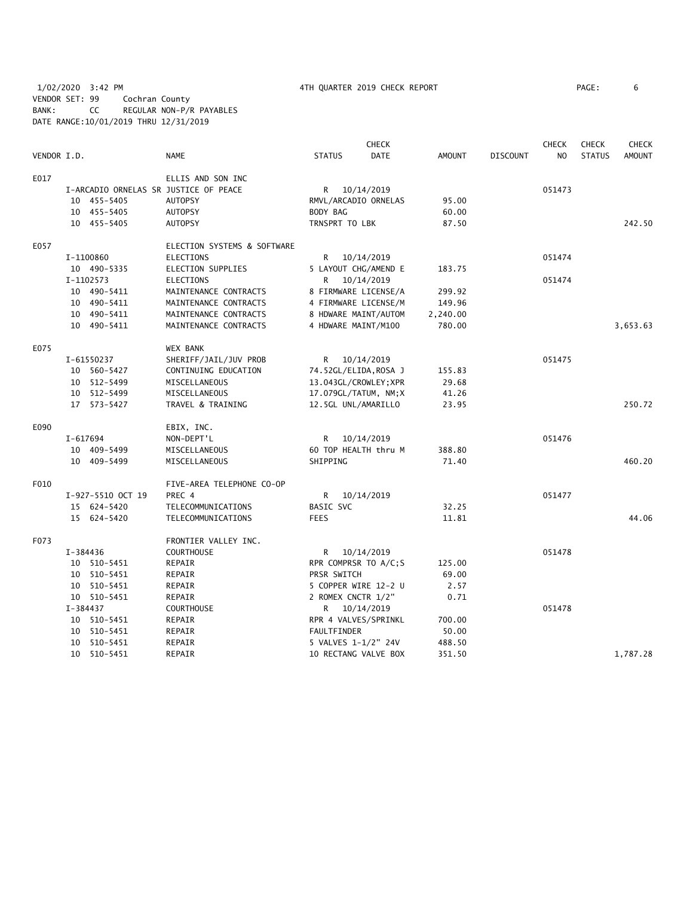1/02/2020 3:42 PM **1/02/2020 3:42 PM 1/02/2020 3:42 PM 1/02/2020** 3:42 PM VENDOR SET: 99 Cochran County BANK: CC REGULAR NON-P/R PAYABLES DATE RANGE:10/01/2019 THRU 12/31/2019

|             |          |                   |                                       |                       | <b>CHECK</b> |               |                 | <b>CHECK</b>   | <b>CHECK</b>  | <b>CHECK</b>  |
|-------------|----------|-------------------|---------------------------------------|-----------------------|--------------|---------------|-----------------|----------------|---------------|---------------|
| VENDOR I.D. |          |                   | <b>NAME</b>                           | <b>STATUS</b>         | DATE         | <b>AMOUNT</b> | <b>DISCOUNT</b> | N <sub>O</sub> | <b>STATUS</b> | <b>AMOUNT</b> |
| E017        |          |                   | ELLIS AND SON INC                     |                       |              |               |                 |                |               |               |
|             |          |                   | I-ARCADIO ORNELAS SR JUSTICE OF PEACE | R 10/14/2019          |              |               |                 | 051473         |               |               |
|             |          | 10 455-5405       | <b>AUTOPSY</b>                        | RMVL/ARCADIO ORNELAS  |              | 95.00         |                 |                |               |               |
|             |          | 10 455-5405       | <b>AUTOPSY</b>                        | BODY BAG              |              | 60.00         |                 |                |               |               |
|             |          | 10 455-5405       | <b>AUTOPSY</b>                        | TRNSPRT TO LBK        |              | 87.50         |                 |                |               | 242.50        |
| E057        |          |                   | ELECTION SYSTEMS & SOFTWARE           |                       |              |               |                 |                |               |               |
|             |          | I-1100860         | <b>ELECTIONS</b>                      | R                     | 10/14/2019   |               |                 | 051474         |               |               |
|             |          | 10 490-5335       | ELECTION SUPPLIES                     | 5 LAYOUT CHG/AMEND E  |              | 183.75        |                 |                |               |               |
|             |          | I-1102573         | <b>ELECTIONS</b>                      | R                     | 10/14/2019   |               |                 | 051474         |               |               |
|             |          | 10 490-5411       | MAINTENANCE CONTRACTS                 | 8 FIRMWARE LICENSE/A  |              | 299.92        |                 |                |               |               |
|             |          | 10 490-5411       | MAINTENANCE CONTRACTS                 | 4 FIRMWARE LICENSE/M  |              | 149.96        |                 |                |               |               |
|             |          | 10 490-5411       | MAINTENANCE CONTRACTS                 | 8 HDWARE MAINT/AUTOM  |              | 2,240.00      |                 |                |               |               |
|             |          | 10 490-5411       | MAINTENANCE CONTRACTS                 | 4 HDWARE MAINT/M100   |              | 780.00        |                 |                |               | 3,653.63      |
| E075        |          |                   | <b>WEX BANK</b>                       |                       |              |               |                 |                |               |               |
|             |          | I-61550237        | SHERIFF/JAIL/JUV PROB                 | R                     | 10/14/2019   |               |                 | 051475         |               |               |
|             |          | 10 560-5427       | CONTINUING EDUCATION                  | 74.52GL/ELIDA,ROSA J  |              | 155.83        |                 |                |               |               |
|             |          | 10 512-5499       | MISCELLANEOUS                         | 13.043GL/CROWLEY; XPR |              | 29.68         |                 |                |               |               |
|             |          | 10 512-5499       | MISCELLANEOUS                         | 17.079GL/TATUM, NM;X  |              | 41.26         |                 |                |               |               |
|             |          | 17 573-5427       | TRAVEL & TRAINING                     | 12.5GL UNL/AMARILLO   |              | 23.95         |                 |                |               | 250.72        |
| E090        |          |                   | EBIX, INC.                            |                       |              |               |                 |                |               |               |
|             | I-617694 |                   | NON-DEPT'L                            | R.                    | 10/14/2019   |               |                 | 051476         |               |               |
|             |          | 10 409-5499       | MISCELLANEOUS                         | 60 TOP HEALTH thru M  |              | 388.80        |                 |                |               |               |
|             |          | 10 409-5499       | MISCELLANEOUS                         | SHIPPING              |              | 71.40         |                 |                |               | 460.20        |
| F010        |          |                   | FIVE-AREA TELEPHONE CO-OP             |                       |              |               |                 |                |               |               |
|             |          | I-927-5510 OCT 19 | PREC 4                                | R                     | 10/14/2019   |               |                 | 051477         |               |               |
|             |          | 15 624-5420       | TELECOMMUNICATIONS                    | <b>BASIC SVC</b>      |              | 32.25         |                 |                |               |               |
|             |          | 15 624-5420       | TELECOMMUNICATIONS                    | <b>FEES</b>           |              | 11.81         |                 |                |               | 44.06         |
| F073        |          |                   | FRONTIER VALLEY INC.                  |                       |              |               |                 |                |               |               |
|             | I-384436 |                   | <b>COURTHOUSE</b>                     | R 10/14/2019          |              |               |                 | 051478         |               |               |
|             |          | 10 510-5451       | REPAIR                                | RPR COMPRSR TO A/C;S  |              | 125.00        |                 |                |               |               |
|             |          | 10 510-5451       | REPAIR                                | PRSR SWITCH           |              | 69.00         |                 |                |               |               |
|             |          | 10 510-5451       | REPAIR                                | 5 COPPER WIRE 12-2 U  |              | 2.57          |                 |                |               |               |
|             |          | 10 510-5451       | REPAIR                                | 2 ROMEX CNCTR 1/2"    |              | 0.71          |                 |                |               |               |
|             | I-384437 |                   | <b>COURTHOUSE</b>                     | R 10/14/2019          |              |               |                 | 051478         |               |               |
|             |          | 10 510-5451       | REPAIR                                | RPR 4 VALVES/SPRINKL  |              | 700.00        |                 |                |               |               |
|             |          | 10 510-5451       | REPAIR                                | FAULTFINDER           |              | 50.00         |                 |                |               |               |
|             |          | 10 510-5451       | REPAIR                                | 5 VALVES 1-1/2" 24V   |              | 488.50        |                 |                |               |               |
|             |          | 10 510-5451       | REPAIR                                | 10 RECTANG VALVE BOX  |              | 351.50        |                 |                |               | 1,787.28      |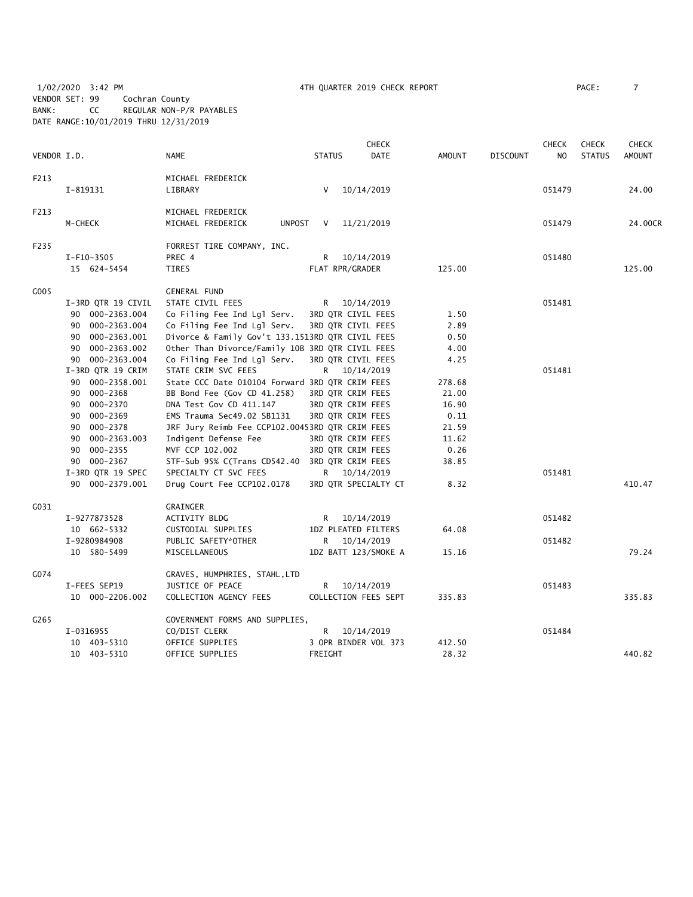1/02/2020 3:42 PM 4TH QUARTER 2019 CHECK REPORT PAGE: 7 VENDOR SET: 99 Cochran County BANK: CC REGULAR NON-P/R PAYABLES DATE RANGE:10/01/2019 THRU 12/31/2019

|             |                    |                                                  |                   | <b>CHECK</b>         |               |                 | <b>CHECK</b>   | <b>CHECK</b>  | <b>CHECK</b>  |
|-------------|--------------------|--------------------------------------------------|-------------------|----------------------|---------------|-----------------|----------------|---------------|---------------|
| VENDOR I.D. |                    | <b>NAME</b>                                      | <b>STATUS</b>     | DATE                 | <b>AMOUNT</b> | <b>DISCOUNT</b> | N <sub>O</sub> | <b>STATUS</b> | <b>AMOUNT</b> |
| F213        |                    | MICHAEL FREDERICK                                |                   |                      |               |                 |                |               |               |
|             | I-819131           | LIBRARY                                          | V                 | 10/14/2019           |               |                 | 051479         |               | 24.00         |
| F213        |                    | MICHAEL FREDERICK                                |                   |                      |               |                 |                |               |               |
|             | M-CHECK            | MICHAEL FREDERICK<br>UNPOST                      | V                 | 11/21/2019           |               |                 | 051479         |               | 24.00CR       |
| F235        |                    | FORREST TIRE COMPANY, INC.                       |                   |                      |               |                 |                |               |               |
|             | I-F10-3505         | PREC 4                                           | R                 | 10/14/2019           |               |                 | 051480         |               |               |
|             | 15 624-5454        | TIRES                                            | FLAT RPR/GRADER   |                      | 125.00        |                 |                |               | 125.00        |
| G005        |                    | <b>GENERAL FUND</b>                              |                   |                      |               |                 |                |               |               |
|             | I-3RD QTR 19 CIVIL | STATE CIVIL FEES                                 | R.                | 10/14/2019           |               |                 | 051481         |               |               |
|             | 90 000-2363.004    | Co Filing Fee Ind Lgl Serv.                      |                   | 3RD QTR CIVIL FEES   | 1.50          |                 |                |               |               |
|             | 90 000-2363.004    | Co Filing Fee Ind Lgl Serv.                      |                   | 3RD QTR CIVIL FEES   | 2.89          |                 |                |               |               |
|             | 90 000-2363.001    | Divorce & Family Gov't 133.1513RD QTR CIVIL FEES |                   |                      | 0.50          |                 |                |               |               |
|             | 000-2363.002<br>90 | Other Than Divorce/Family 10B 3RD QTR CIVIL FEES |                   |                      | 4.00          |                 |                |               |               |
|             | 90 000-2363.004    | Co Filing Fee Ind Lgl Serv.                      |                   | 3RD QTR CIVIL FEES   | 4.25          |                 |                |               |               |
|             | I-3RD QTR 19 CRIM  | STATE CRIM SVC FEES                              | R —               | 10/14/2019           |               |                 | 051481         |               |               |
|             | 90 000-2358.001    | State CCC Date 010104 Forward 3RD QTR CRIM FEES  |                   |                      | 278.68        |                 |                |               |               |
|             | 90 000-2368        | BB Bond Fee (Gov CD 41.258)                      | 3RD QTR CRIM FEES |                      | 21.00         |                 |                |               |               |
|             | 000-2370<br>90     | DNA Test Gov CD 411.147                          | 3RD QTR CRIM FEES |                      | 16.90         |                 |                |               |               |
|             | 90 000-2369        | EMS Trauma Sec49.02 SB1131                       | 3RD QTR CRIM FEES |                      | 0.11          |                 |                |               |               |
|             | 90 000-2378        | JRF Jury Reimb Fee CCP102.00453RD QTR CRIM FEES  |                   |                      | 21.59         |                 |                |               |               |
|             | 000-2363.003<br>90 | Indigent Defense Fee                             | 3RD QTR CRIM FEES |                      | 11.62         |                 |                |               |               |
|             | 90 000-2355        | MVF CCP 102.002                                  | 3RD QTR CRIM FEES |                      | 0.26          |                 |                |               |               |
|             | 90 000-2367        | STF-Sub 95% C(Trans CD542.40 3RD QTR CRIM FEES   |                   |                      | 38.85         |                 |                |               |               |
|             | I-3RD QTR 19 SPEC  | SPECIALTY CT SVC FEES                            |                   | R 10/14/2019         |               |                 | 051481         |               |               |
|             | 90 000-2379.001    | Drug Court Fee CCP102.0178                       |                   | 3RD QTR SPECIALTY CT | 8.32          |                 |                |               | 410.47        |
| G031        |                    | GRAINGER                                         |                   |                      |               |                 |                |               |               |
|             | I-9277873528       | ACTIVITY BLDG                                    | R.                | 10/14/2019           |               |                 | 051482         |               |               |
|             | 10 662-5332        | CUSTODIAL SUPPLIES                               |                   | 1DZ PLEATED FILTERS  | 64.08         |                 |                |               |               |
|             | I-9280984908       | PUBLIC SAFETY*OTHER                              | R                 | 10/14/2019           |               |                 | 051482         |               |               |
|             | 10 580-5499        | MISCELLANEOUS                                    |                   | 1DZ BATT 123/SMOKE A | 15.16         |                 |                |               | 79.24         |
| G074        |                    | GRAVES, HUMPHRIES, STAHL, LTD                    |                   |                      |               |                 |                |               |               |
|             | I-FEES SEP19       | JUSTICE OF PEACE                                 | R.                | 10/14/2019           |               |                 | 051483         |               |               |
|             | 10 000-2206.002    | COLLECTION AGENCY FEES                           |                   | COLLECTION FEES SEPT | 335.83        |                 |                |               | 335.83        |
| G265        |                    | GOVERNMENT FORMS AND SUPPLIES,                   |                   |                      |               |                 |                |               |               |
|             | I-0316955          | CO/DIST CLERK                                    | R                 | 10/14/2019           |               |                 | 051484         |               |               |
|             | 10 403-5310        | OFFICE SUPPLIES                                  |                   | 3 OPR BINDER VOL 373 | 412.50        |                 |                |               |               |
|             | 10 403-5310        | OFFICE SUPPLIES                                  | FREIGHT           |                      | 28.32         |                 |                |               | 440.82        |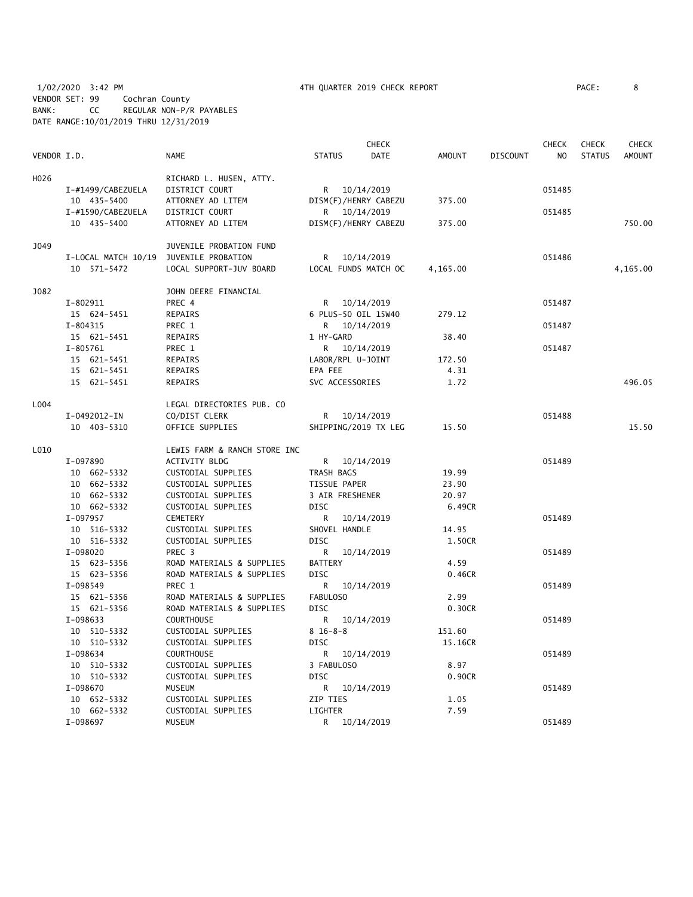1/02/2020 3:42 PM 4TH QUARTER 2019 CHECK REPORT PAGE: 8 VENDOR SET: 99 Cochran County BANK: CC REGULAR NON-P/R PAYABLES DATE RANGE:10/01/2019 THRU 12/31/2019

|             |                     |                                               |                      | <b>CHECK</b>         |               |                 | <b>CHECK</b> | <b>CHECK</b>  | <b>CHECK</b>  |
|-------------|---------------------|-----------------------------------------------|----------------------|----------------------|---------------|-----------------|--------------|---------------|---------------|
| VENDOR I.D. |                     | <b>NAME</b>                                   | <b>STATUS</b>        | <b>DATE</b>          | <b>AMOUNT</b> | <b>DISCOUNT</b> | NO           | <b>STATUS</b> | <b>AMOUNT</b> |
| H026        |                     | RICHARD L. HUSEN, ATTY.                       |                      |                      |               |                 |              |               |               |
|             | I-#1499/CABEZUELA   | DISTRICT COURT                                | R 10/14/2019         |                      |               |                 | 051485       |               |               |
|             | 10 435-5400         | ATTORNEY AD LITEM                             | DISM(F)/HENRY CABEZU |                      | 375.00        |                 |              |               |               |
|             | I-#1590/CABEZUELA   | DISTRICT COURT                                | R 10/14/2019         |                      |               |                 | 051485       |               |               |
|             | 10 435-5400         | ATTORNEY AD LITEM                             | DISM(F)/HENRY CABEZU |                      | 375.00        |                 |              |               | 750.00        |
|             |                     |                                               |                      |                      |               |                 |              |               |               |
| J049        |                     | JUVENILE PROBATION FUND                       |                      |                      |               |                 |              |               |               |
|             | I-LOCAL MATCH 10/19 | JUVENILE PROBATION                            | R                    | 10/14/2019           |               |                 | 051486       |               |               |
|             | 10 571-5472         | LOCAL SUPPORT-JUV BOARD                       |                      | LOCAL FUNDS MATCH OC | 4,165.00      |                 |              |               | 4,165.00      |
| J082        |                     | JOHN DEERE FINANCIAL                          |                      |                      |               |                 |              |               |               |
|             | $I-802911$          | PREC 4                                        | R 10/14/2019         |                      |               |                 | 051487       |               |               |
|             | 15 624-5451         | REPAIRS                                       | 6 PLUS-50 OIL 15W40  |                      | 279.12        |                 |              |               |               |
|             | $I - 804315$        | PREC 1                                        | R 10/14/2019         |                      |               |                 | 051487       |               |               |
|             | 15 621-5451         | REPAIRS                                       | 1 HY-GARD            |                      | 38.40         |                 |              |               |               |
|             | $I - 805761$        | PREC 1                                        | R                    | 10/14/2019           |               |                 | 051487       |               |               |
|             | 15 621-5451         | REPAIRS                                       | LABOR/RPL U-JOINT    |                      | 172.50        |                 |              |               |               |
|             | 15 621-5451         | REPAIRS                                       | EPA FEE              |                      | 4.31          |                 |              |               |               |
|             | 15 621-5451         | REPAIRS                                       | SVC ACCESSORIES      |                      | 1.72          |                 |              |               | 496.05        |
| L004        |                     | LEGAL DIRECTORIES PUB. CO                     |                      |                      |               |                 |              |               |               |
|             | I-0492012-IN        | CO/DIST CLERK                                 | R 10/14/2019         |                      |               |                 | 051488       |               |               |
|             | 10 403-5310         | OFFICE SUPPLIES                               |                      | SHIPPING/2019 TX LEG | 15.50         |                 |              |               | 15.50         |
|             |                     |                                               |                      |                      |               |                 |              |               |               |
| L010        | I-097890            | LEWIS FARM & RANCH STORE INC<br>ACTIVITY BLDG | R 10/14/2019         |                      |               |                 | 051489       |               |               |
|             | 10 662-5332         | CUSTODIAL SUPPLIES                            | TRASH BAGS           |                      | 19.99         |                 |              |               |               |
|             | 10 662-5332         | CUSTODIAL SUPPLIES                            | TISSUE PAPER         |                      | 23.90         |                 |              |               |               |
|             | 10 662-5332         | CUSTODIAL SUPPLIES                            | 3 AIR FRESHENER      |                      | 20.97         |                 |              |               |               |
|             | 10 662-5332         | CUSTODIAL SUPPLIES                            | DISC                 |                      | 6.49CR        |                 |              |               |               |
|             | I-097957            | <b>CEMETERY</b>                               | R                    | 10/14/2019           |               |                 | 051489       |               |               |
|             | 10 516-5332         | CUSTODIAL SUPPLIES                            | SHOVEL HANDLE        |                      | 14.95         |                 |              |               |               |
|             | 10 516-5332         | CUSTODIAL SUPPLIES                            | <b>DISC</b>          |                      | 1.50CR        |                 |              |               |               |
|             | I-098020            | PREC 3                                        | R                    | 10/14/2019           |               |                 | 051489       |               |               |
|             | 15 623-5356         | ROAD MATERIALS & SUPPLIES                     | <b>BATTERY</b>       |                      | 4.59          |                 |              |               |               |
|             | 15 623-5356         | ROAD MATERIALS & SUPPLIES                     | <b>DISC</b>          |                      | 0.46CR        |                 |              |               |               |
|             | I-098549            | PREC 1                                        | R                    | 10/14/2019           |               |                 | 051489       |               |               |
|             | 15 621-5356         | ROAD MATERIALS & SUPPLIES                     | FABULOSO             |                      | 2.99          |                 |              |               |               |
|             | 15 621-5356         | ROAD MATERIALS & SUPPLIES                     | <b>DISC</b>          |                      | 0.30CR        |                 |              |               |               |
|             | I-098633            | <b>COURTHOUSE</b>                             | R.                   | 10/14/2019           |               |                 | 051489       |               |               |
|             | 10 510-5332         | CUSTODIAL SUPPLIES                            | $8 16 - 8 - 8$       |                      | 151.60        |                 |              |               |               |
|             | 10 510-5332         | CUSTODIAL SUPPLIES                            | <b>DISC</b>          |                      | 15.16CR       |                 |              |               |               |
|             | I-098634            | <b>COURTHOUSE</b>                             | R                    | 10/14/2019           |               |                 | 051489       |               |               |
|             | 10 510-5332         | CUSTODIAL SUPPLIES                            | 3 FABULOSO           |                      | 8.97          |                 |              |               |               |
|             | 10 510-5332         | CUSTODIAL SUPPLIES                            | <b>DISC</b>          |                      | 0.90CR        |                 |              |               |               |
|             | I-098670            | <b>MUSEUM</b>                                 | R.                   | 10/14/2019           |               |                 | 051489       |               |               |
|             | 10 652-5332         | CUSTODIAL SUPPLIES                            | ZIP TIES             |                      | 1.05          |                 |              |               |               |
|             | 10 662-5332         | CUSTODIAL SUPPLIES                            | LIGHTER              |                      | 7.59          |                 |              |               |               |
|             | I-098697            | <b>MUSEUM</b>                                 | R                    | 10/14/2019           |               |                 | 051489       |               |               |
|             |                     |                                               |                      |                      |               |                 |              |               |               |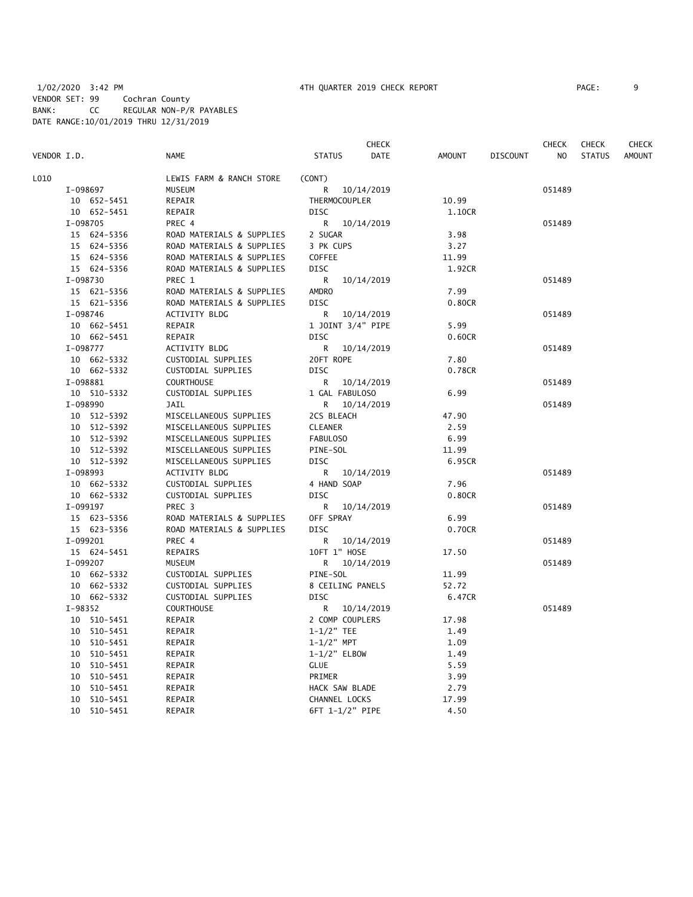|                         |                                                  | <b>CHECK</b>                  |                                  | CHECK  | <b>CHECK</b>  | CHECK         |
|-------------------------|--------------------------------------------------|-------------------------------|----------------------------------|--------|---------------|---------------|
| VENDOR I.D.             | <b>NAME</b>                                      | <b>STATUS</b><br><b>DATE</b>  | <b>AMOUNT</b><br><b>DISCOUNT</b> | NO     | <b>STATUS</b> | <b>AMOUNT</b> |
| L010                    | LEWIS FARM & RANCH STORE                         | (CONT)                        |                                  |        |               |               |
| I-098697                | MUSEUM                                           | 10/14/2019<br>R.              |                                  | 051489 |               |               |
| 10 652-5451             | REPAIR                                           | THERMOCOUPLER                 | 10.99                            |        |               |               |
| 10 652-5451             | REPAIR                                           | <b>DISC</b>                   | 1.10CR                           |        |               |               |
| I-098705                | PREC 4                                           | R<br>10/14/2019               |                                  | 051489 |               |               |
| 15 624-5356             | ROAD MATERIALS & SUPPLIES                        | 2 SUGAR                       | 3.98                             |        |               |               |
| 15 624-5356             | ROAD MATERIALS & SUPPLIES                        | 3 PK CUPS                     | 3.27                             |        |               |               |
| 15 624-5356             | ROAD MATERIALS & SUPPLIES                        | COFFEE                        | 11.99                            |        |               |               |
| 15 624-5356             | ROAD MATERIALS & SUPPLIES                        | <b>DISC</b>                   | 1.92CR                           |        |               |               |
| I-098730                | PREC 1                                           | R<br>10/14/2019               |                                  | 051489 |               |               |
| 15 621-5356             | ROAD MATERIALS & SUPPLIES                        | <b>AMDRO</b>                  | 7.99                             |        |               |               |
| 15 621-5356             | ROAD MATERIALS & SUPPLIES                        | <b>DISC</b>                   | 0.80CR                           |        |               |               |
| I-098746                | <b>ACTIVITY BLDG</b>                             | R<br>10/14/2019               |                                  | 051489 |               |               |
| 10 662-5451             | REPAIR                                           | 1 JOINT 3/4" PIPE             | 5.99                             |        |               |               |
| 10 662-5451             | REPAIR                                           | <b>DISC</b>                   | 0.60CR                           |        |               |               |
| I-098777                | ACTIVITY BLDG                                    | R.<br>10/14/2019              |                                  | 051489 |               |               |
| 10 662-5332             | CUSTODIAL SUPPLIES                               | 20FT ROPE                     | 7.80                             |        |               |               |
| 10 662-5332             | CUSTODIAL SUPPLIES                               | <b>DISC</b>                   | 0.78CR                           |        |               |               |
|                         |                                                  |                               |                                  |        |               |               |
| I-098881                | <b>COURTHOUSE</b><br>CUSTODIAL SUPPLIES          | R 10/14/2019                  | 6.99                             | 051489 |               |               |
| 10 510-5332<br>I-098990 | <b>JAIL</b>                                      | 1 GAL FABULOSO                |                                  | 051489 |               |               |
| 10 512-5392             |                                                  | R<br>10/14/2019<br>2CS BLEACH | 47.90                            |        |               |               |
| 10 512-5392             | MISCELLANEOUS SUPPLIES<br>MISCELLANEOUS SUPPLIES | <b>CLEANER</b>                | 2.59                             |        |               |               |
| 10 512-5392             | MISCELLANEOUS SUPPLIES                           | FABULOSO                      | 6.99                             |        |               |               |
| 10 512-5392             |                                                  |                               |                                  |        |               |               |
| 10 512-5392             | MISCELLANEOUS SUPPLIES                           | PINE-SOL<br><b>DISC</b>       | 11.99<br>6.95CR                  |        |               |               |
|                         | MISCELLANEOUS SUPPLIES                           |                               |                                  |        |               |               |
| I-098993                | <b>ACTIVITY BLDG</b>                             | R 10/14/2019                  |                                  | 051489 |               |               |
| 10 662-5332             | CUSTODIAL SUPPLIES<br>CUSTODIAL SUPPLIES         | 4 HAND SOAP                   | 7.96                             |        |               |               |
| 10 662-5332             |                                                  | DISC                          | 0.80CR                           |        |               |               |
| I-099197                | PREC <sub>3</sub>                                | R.<br>10/14/2019              |                                  | 051489 |               |               |
| 15 623-5356             | ROAD MATERIALS & SUPPLIES                        | OFF SPRAY                     | 6.99                             |        |               |               |
| 15 623-5356             | ROAD MATERIALS & SUPPLIES                        | <b>DISC</b>                   | 0.70CR                           |        |               |               |
| I-099201                | PREC 4                                           | R 10/14/2019                  |                                  | 051489 |               |               |
| 15 624-5451             | REPAIRS                                          | 10FT 1" HOSE                  | 17.50                            |        |               |               |
| I-099207                | MUSEUM                                           | R 10/14/2019                  |                                  | 051489 |               |               |
| 10 662-5332             | CUSTODIAL SUPPLIES                               | PINE-SOL                      | 11.99                            |        |               |               |
| 10 662-5332             | CUSTODIAL SUPPLIES                               | 8 CEILING PANELS              | 52.72                            |        |               |               |
| 10 662-5332             | CUSTODIAL SUPPLIES                               | <b>DISC</b>                   | 6.47CR                           |        |               |               |
| I-98352                 | <b>COURTHOUSE</b>                                | R<br>10/14/2019               |                                  | 051489 |               |               |
| 10 510-5451             | REPAIR                                           | 2 COMP COUPLERS               | 17.98                            |        |               |               |
| 10 510-5451             | REPAIR                                           | $1 - 1/2"$ TEE                | 1.49                             |        |               |               |
| 10 510-5451             | REPAIR                                           | $1 - 1/2"$ MPT                | 1.09                             |        |               |               |
| 10 510-5451             | REPAIR                                           | 1-1/2" ELBOW                  | 1.49                             |        |               |               |
| 10 510-5451             | REPAIR                                           | <b>GLUE</b>                   | 5.59                             |        |               |               |
| 10 510-5451             | REPAIR                                           | PRIMER                        | 3.99                             |        |               |               |
| 10 510-5451             | REPAIR                                           | HACK SAW BLADE                | 2.79                             |        |               |               |
| 10 510-5451             | REPAIR                                           | CHANNEL LOCKS                 | 17.99                            |        |               |               |
| 10 510-5451             | REPAIR                                           | 6FT 1-1/2" PIPE               | 4.50                             |        |               |               |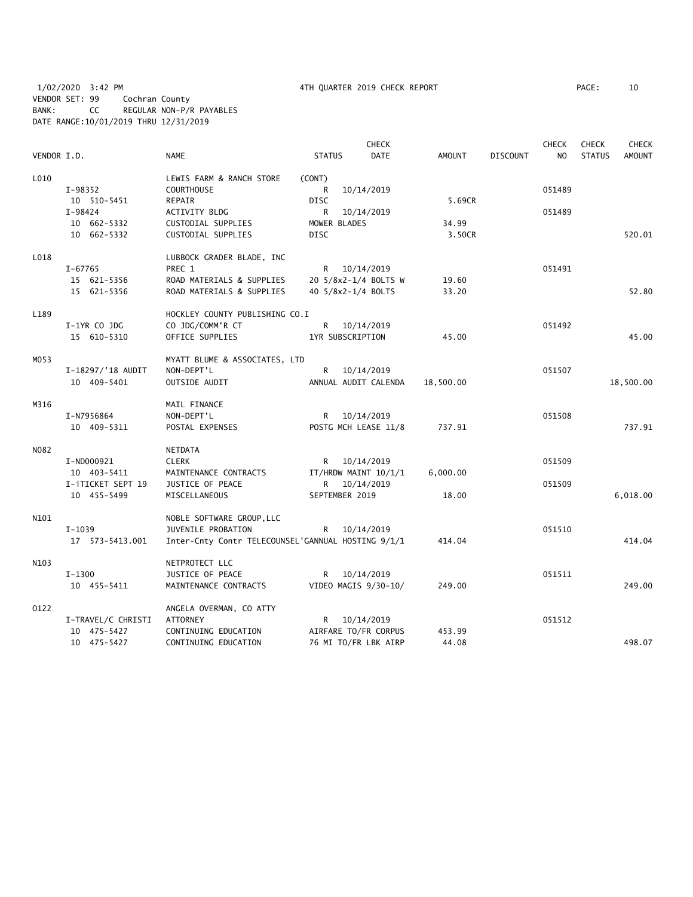1/02/2020 3:42 PM 4TH QUARTER 2019 CHECK REPORT PAGE: 10 VENDOR SET: 99 Cochran County BANK: CC REGULAR NON-P/R PAYABLES DATE RANGE:10/01/2019 THRU 12/31/2019

|             |                    |                                                    |                    | <b>CHECK</b>         |               |                 | <b>CHECK</b>   | <b>CHECK</b>  | <b>CHECK</b>  |
|-------------|--------------------|----------------------------------------------------|--------------------|----------------------|---------------|-----------------|----------------|---------------|---------------|
| VENDOR I.D. |                    | <b>NAME</b>                                        | <b>STATUS</b>      | <b>DATE</b>          | <b>AMOUNT</b> | <b>DISCOUNT</b> | N <sub>O</sub> | <b>STATUS</b> | <b>AMOUNT</b> |
| L010        |                    | LEWIS FARM & RANCH STORE                           | (CONT)             |                      |               |                 |                |               |               |
|             | I-98352            | <b>COURTHOUSE</b>                                  | R                  | 10/14/2019           |               |                 | 051489         |               |               |
|             | 10 510-5451        | REPAIR                                             | <b>DISC</b>        |                      | 5.69CR        |                 |                |               |               |
|             | $I-98424$          | ACTIVITY BLDG                                      | R                  | 10/14/2019           |               |                 | 051489         |               |               |
|             | 10 662-5332        | CUSTODIAL SUPPLIES                                 | MOWER BLADES       |                      | 34.99         |                 |                |               |               |
|             | 10 662-5332        | CUSTODIAL SUPPLIES                                 | <b>DISC</b>        |                      | 3.50CR        |                 |                |               | 520.01        |
| L018        |                    | LUBBOCK GRADER BLADE, INC                          |                    |                      |               |                 |                |               |               |
|             | $I - 67765$        | PREC 1                                             |                    | R 10/14/2019         |               |                 | 051491         |               |               |
|             | 15 621-5356        | ROAD MATERIALS & SUPPLIES                          |                    | 20 5/8x2-1/4 BOLTS W | 19.60         |                 |                |               |               |
|             | 15 621-5356        | ROAD MATERIALS & SUPPLIES                          | 40 5/8x2-1/4 BOLTS |                      | 33.20         |                 |                |               | 52.80         |
| L189        |                    | HOCKLEY COUNTY PUBLISHING CO.I                     |                    |                      |               |                 |                |               |               |
|             | I-1YR CO JDG       | CO JDG/COMM'R CT                                   |                    | R 10/14/2019         |               |                 | 051492         |               |               |
|             | 15 610-5310        | OFFICE SUPPLIES                                    | 1YR SUBSCRIPTION   |                      | 45.00         |                 |                |               | 45.00         |
| MO53        |                    | MYATT BLUME & ASSOCIATES, LTD                      |                    |                      |               |                 |                |               |               |
|             | I-18297/'18 AUDIT  | NON-DEPT'L                                         |                    | R 10/14/2019         |               |                 | 051507         |               |               |
|             | 10 409-5401        | OUTSIDE AUDIT                                      |                    | ANNUAL AUDIT CALENDA | 18,500.00     |                 |                |               | 18,500.00     |
|             |                    |                                                    |                    |                      |               |                 |                |               |               |
| M316        |                    | MAIL FINANCE                                       |                    |                      |               |                 |                |               |               |
|             | I-N7956864         | NON-DEPT'L                                         | R 10/14/2019       |                      |               |                 | 051508         |               |               |
|             | 10 409-5311        | POSTAL EXPENSES                                    |                    | POSTG MCH LEASE 11/8 | 737.91        |                 |                |               | 737.91        |
| N082        |                    | <b>NETDATA</b>                                     |                    |                      |               |                 |                |               |               |
|             | I-ND000921         | <b>CLERK</b>                                       |                    | R 10/14/2019         |               |                 | 051509         |               |               |
|             | 10 403-5411        | MAINTENANCE CONTRACTS                              |                    | IT/HRDW MAINT 10/1/1 | 6,000.00      |                 |                |               |               |
|             | I-iTICKET SEPT 19  | JUSTICE OF PEACE                                   |                    | R 10/14/2019         |               |                 | 051509         |               |               |
|             | 10 455-5499        | MISCELLANEOUS                                      | SEPTEMBER 2019     |                      | 18.00         |                 |                |               | 6,018.00      |
| N101        |                    | NOBLE SOFTWARE GROUP, LLC                          |                    |                      |               |                 |                |               |               |
|             | $I-1039$           | JUVENILE PROBATION                                 | R —                | 10/14/2019           |               |                 | 051510         |               |               |
|             | 17  573-5413.001   | Inter-Cnty Contr TELECOUNSEL'GANNUAL HOSTING 9/1/1 |                    |                      | 414.04        |                 |                |               | 414.04        |
| N103        |                    | NETPROTECT LLC                                     |                    |                      |               |                 |                |               |               |
|             | $I-1300$           | JUSTICE OF PEACE                                   |                    | R 10/14/2019         |               |                 | 051511         |               |               |
|             | 10 455-5411        | MAINTENANCE CONTRACTS                              |                    | VIDEO MAGIS 9/30-10/ | 249.00        |                 |                |               | 249.00        |
| 0122        |                    | ANGELA OVERMAN, CO ATTY                            |                    |                      |               |                 |                |               |               |
|             | I-TRAVEL/C CHRISTI | ATTORNEY                                           |                    | R 10/14/2019         |               |                 | 051512         |               |               |
|             | 10 475-5427        | CONTINUING EDUCATION                               |                    | AIRFARE TO/FR CORPUS | 453.99        |                 |                |               |               |
|             | 10 475-5427        | CONTINUING EDUCATION                               |                    | 76 MI TO/FR LBK AIRP | 44.08         |                 |                |               | 498.07        |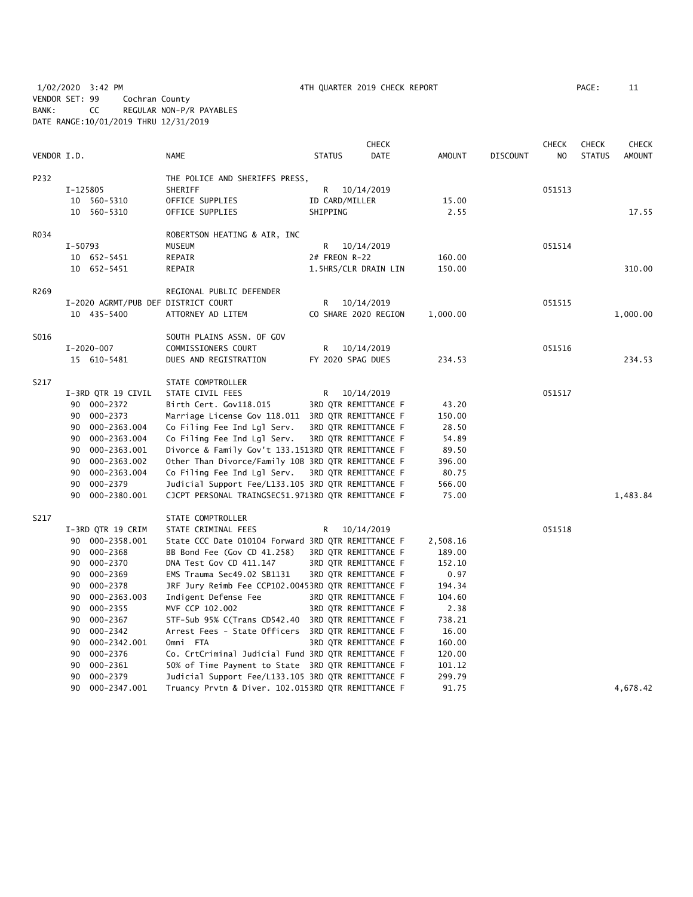1/02/2020 3:42 PM 4TH QUARTER 2019 CHECK REPORT PAGE: 11 VENDOR SET: 99 Cochran County BANK: CC REGULAR NON-P/R PAYABLES DATE RANGE:10/01/2019 THRU 12/31/2019

|             |           |                                     |                                                    |                | <b>CHECK</b>         |               |                 | <b>CHECK</b>   | <b>CHECK</b>  | <b>CHECK</b>  |
|-------------|-----------|-------------------------------------|----------------------------------------------------|----------------|----------------------|---------------|-----------------|----------------|---------------|---------------|
| VENDOR I.D. |           |                                     | <b>NAME</b>                                        | <b>STATUS</b>  | <b>DATE</b>          | <b>AMOUNT</b> | <b>DISCOUNT</b> | N <sub>O</sub> | <b>STATUS</b> | <b>AMOUNT</b> |
| P232        |           |                                     | THE POLICE AND SHERIFFS PRESS,                     |                |                      |               |                 |                |               |               |
|             | I-125805  |                                     | SHERIFF                                            | R.             | 10/14/2019           |               |                 | 051513         |               |               |
|             |           | 10 560-5310                         | OFFICE SUPPLIES                                    | ID CARD/MILLER |                      | 15.00         |                 |                |               |               |
|             |           | 10 560-5310                         | OFFICE SUPPLIES                                    | SHIPPING       |                      | 2.55          |                 |                |               | 17.55         |
| R034        |           |                                     | ROBERTSON HEATING & AIR, INC                       |                |                      |               |                 |                |               |               |
|             | $I-50793$ |                                     | <b>MUSEUM</b>                                      | R              | 10/14/2019           |               |                 | 051514         |               |               |
|             |           | 10 652-5451                         | REPAIR                                             | 2# FREON R-22  |                      | 160.00        |                 |                |               |               |
|             |           | 10 652-5451                         | REPAIR                                             |                | 1.5HRS/CLR DRAIN LIN | 150.00        |                 |                |               | 310.00        |
| R269        |           |                                     | REGIONAL PUBLIC DEFENDER                           |                |                      |               |                 |                |               |               |
|             |           | I-2020 AGRMT/PUB DEF DISTRICT COURT |                                                    | R              | 10/14/2019           |               |                 | 051515         |               |               |
|             |           | 10 435-5400                         | ATTORNEY AD LITEM                                  |                | CO SHARE 2020 REGION | 1,000.00      |                 |                |               | 1,000.00      |
| S016        |           |                                     | SOUTH PLAINS ASSN. OF GOV                          |                |                      |               |                 |                |               |               |
|             |           | I-2020-007                          | COMMISSIONERS COURT                                | R              | 10/14/2019           |               |                 | 051516         |               |               |
|             |           | 15 610-5481                         | DUES AND REGISTRATION                              |                | FY 2020 SPAG DUES    | 234.53        |                 |                |               | 234.53        |
| S217        |           |                                     | STATE COMPTROLLER                                  |                |                      |               |                 |                |               |               |
|             |           | I-3RD QTR 19 CIVIL                  | STATE CIVIL FEES                                   | R              | 10/14/2019           |               |                 | 051517         |               |               |
|             |           | 90 000-2372                         | Birth Cert. Gov118.015                             |                | 3RD QTR REMITTANCE F | 43.20         |                 |                |               |               |
|             | 90        | 000-2373                            | Marriage License Gov 118.011 3RD QTR REMITTANCE F  |                |                      | 150.00        |                 |                |               |               |
|             | 90        | 000-2363.004                        | Co Filing Fee Ind Lgl Serv.                        |                | 3RD QTR REMITTANCE F | 28.50         |                 |                |               |               |
|             | 90        | 000-2363.004                        | Co Filing Fee Ind Lgl Serv.                        |                | 3RD QTR REMITTANCE F | 54.89         |                 |                |               |               |
|             | 90        | 000-2363.001                        | Divorce & Family Gov't 133.1513RD QTR REMITTANCE F |                |                      | 89.50         |                 |                |               |               |
|             | 90        | 000-2363.002                        | Other Than Divorce/Family 10B 3RD QTR REMITTANCE F |                |                      | 396.00        |                 |                |               |               |
|             | 90        | 000-2363.004                        | Co Filing Fee Ind Lgl Serv.                        |                | 3RD QTR REMITTANCE F | 80.75         |                 |                |               |               |
|             | 90        | 000-2379                            | Judicial Support Fee/L133.105 3RD QTR REMITTANCE F |                |                      | 566.00        |                 |                |               |               |
|             | 90        | 000-2380.001                        | CJCPT PERSONAL TRAINGSEC51.9713RD QTR REMITTANCE F |                |                      | 75.00         |                 |                |               | 1,483.84      |
| S217        |           |                                     | STATE COMPTROLLER                                  |                |                      |               |                 |                |               |               |
|             |           | I-3RD QTR 19 CRIM                   | STATE CRIMINAL FEES                                | R              | 10/14/2019           |               |                 | 051518         |               |               |
|             |           | 90 000-2358.001                     | State CCC Date 010104 Forward 3RD QTR REMITTANCE F |                |                      | 2,508.16      |                 |                |               |               |
|             |           | 90 000-2368                         | BB Bond Fee (Gov CD 41.258)                        |                | 3RD QTR REMITTANCE F | 189.00        |                 |                |               |               |
|             | 90        | 000-2370                            | DNA Test Gov CD 411.147                            |                | 3RD QTR REMITTANCE F | 152.10        |                 |                |               |               |
|             | 90        | 000-2369                            | EMS Trauma Sec49.02 SB1131                         |                | 3RD QTR REMITTANCE F | 0.97          |                 |                |               |               |
|             | 90        | 000-2378                            | JRF Jury Reimb Fee CCP102.00453RD QTR REMITTANCE F |                |                      | 194.34        |                 |                |               |               |
|             | 90        | 000-2363.003                        | Indigent Defense Fee                               |                | 3RD QTR REMITTANCE F | 104.60        |                 |                |               |               |
|             | 90        | 000-2355                            | MVF CCP 102.002                                    |                | 3RD QTR REMITTANCE F | 2.38          |                 |                |               |               |
|             | 90        | 000-2367                            | STF-Sub 95% C(Trans CD542.40 3RD QTR REMITTANCE F  |                |                      | 738.21        |                 |                |               |               |
|             | 90        | 000-2342                            | Arrest Fees - State Officers 3RD QTR REMITTANCE F  |                |                      | 16.00         |                 |                |               |               |
|             | 90        | 000-2342.001                        | Omni FTA                                           |                | 3RD QTR REMITTANCE F | 160.00        |                 |                |               |               |
|             | 90        | 000-2376                            | Co. CrtCriminal Judicial Fund 3RD QTR REMITTANCE F |                |                      | 120.00        |                 |                |               |               |
|             | 90        | 000-2361                            | 50% of Time Payment to State 3RD QTR REMITTANCE F  |                |                      | 101.12        |                 |                |               |               |
|             | 90        | 000-2379                            | Judicial Support Fee/L133.105 3RD QTR REMITTANCE F |                |                      | 299.79        |                 |                |               |               |
|             | 90        | 000-2347.001                        | Truancy Prvtn & Diver. 102.0153RD QTR REMITTANCE F |                |                      | 91.75         |                 |                |               | 4,678.42      |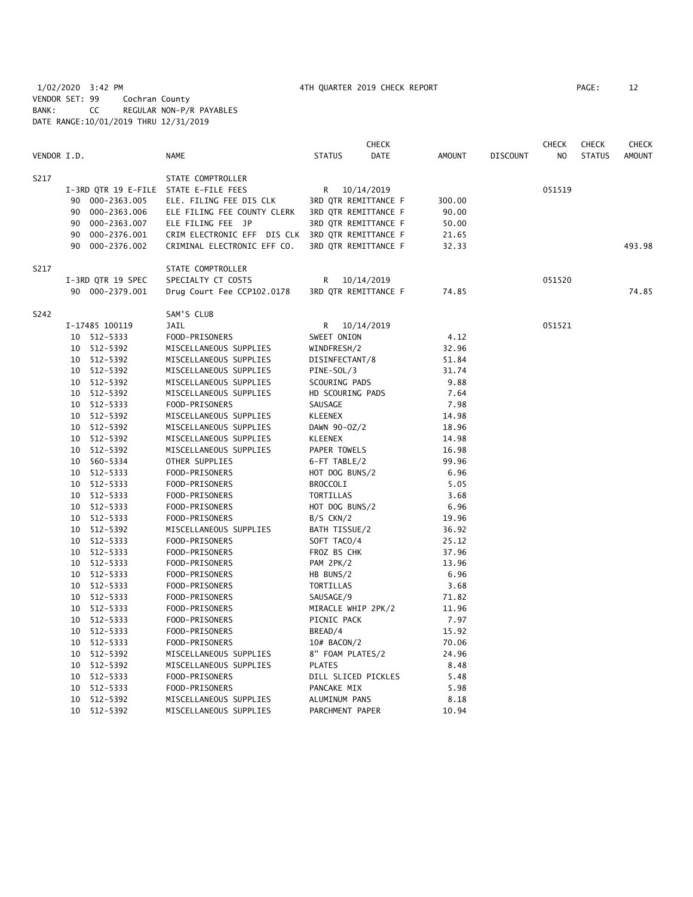1/02/2020 3:42 PM 4TH QUARTER 2019 CHECK REPORT PAGE: 12 VENDOR SET: 99 Cochran County BANK: CC REGULAR NON-P/R PAYABLES DATE RANGE:10/01/2019 THRU 12/31/2019

|             |    |                   |                                                  |                     | <b>CHECK</b>         |               |                 | CHECK  | <b>CHECK</b>  | <b>CHECK</b> |
|-------------|----|-------------------|--------------------------------------------------|---------------------|----------------------|---------------|-----------------|--------|---------------|--------------|
| VENDOR I.D. |    |                   | <b>NAME</b>                                      | <b>STATUS</b>       | <b>DATE</b>          | <b>AMOUNT</b> | <b>DISCOUNT</b> | NO     | <b>STATUS</b> | AMOUNT       |
| S217        |    |                   | STATE COMPTROLLER                                |                     |                      |               |                 |        |               |              |
|             |    |                   | I-3RD QTR 19 E-FILE STATE E-FILE FEES            | R 10/14/2019        |                      |               |                 | 051519 |               |              |
|             |    | 90 000-2363.005   | ELE. FILING FEE DIS CLK                          |                     | 3RD QTR REMITTANCE F | 300.00        |                 |        |               |              |
|             |    | 90 000-2363.006   | ELE FILING FEE COUNTY CLERK                      |                     | 3RD QTR REMITTANCE F | 90.00         |                 |        |               |              |
|             |    | 90 000-2363.007   | ELE FILING FEE JP                                |                     | 3RD QTR REMITTANCE F | 50.00         |                 |        |               |              |
|             | 90 | 000-2376.001      | CRIM ELECTRONIC EFF DIS CLK 3RD QTR REMITTANCE F |                     |                      | 21.65         |                 |        |               |              |
|             | 90 | 000-2376.002      | CRIMINAL ELECTRONIC EFF CO.                      |                     | 3RD QTR REMITTANCE F | 32.33         |                 |        |               | 493.98       |
| S217        |    |                   | STATE COMPTROLLER                                |                     |                      |               |                 |        |               |              |
|             |    | I-3RD QTR 19 SPEC | SPECIALTY CT COSTS                               | R                   | 10/14/2019           |               |                 | 051520 |               |              |
|             |    | 90 000-2379.001   | Drug Court Fee CCP102.0178                       |                     | 3RD QTR REMITTANCE F | 74.85         |                 |        |               | 74.85        |
| S242        |    |                   | SAM'S CLUB                                       |                     |                      |               |                 |        |               |              |
|             |    | I-17485 100119    | JAIL                                             | R                   | 10/14/2019           |               |                 | 051521 |               |              |
|             |    | 10 512-5333       | FOOD-PRISONERS                                   | SWEET ONION         |                      | 4.12          |                 |        |               |              |
|             |    | 10 512-5392       | MISCELLANEOUS SUPPLIES                           | WINDFRESH/2         |                      | 32.96         |                 |        |               |              |
|             |    | 10 512-5392       | MISCELLANEOUS SUPPLIES                           | DISINFECTANT/8      |                      | 51.84         |                 |        |               |              |
|             |    | 10 512-5392       | MISCELLANEOUS SUPPLIES                           | PINE-SOL/3          |                      | 31.74         |                 |        |               |              |
|             |    | 10 512-5392       | MISCELLANEOUS SUPPLIES                           | SCOURING PADS       |                      | 9.88          |                 |        |               |              |
|             |    | 10 512-5392       | MISCELLANEOUS SUPPLIES                           | HD SCOURING PADS    |                      | 7.64          |                 |        |               |              |
|             |    | 10 512-5333       | FOOD-PRISONERS                                   | SAUSAGE             |                      | 7.98          |                 |        |               |              |
|             |    | 10 512-5392       | MISCELLANEOUS SUPPLIES                           | <b>KLEENEX</b>      |                      | 14.98         |                 |        |               |              |
|             |    | 10 512-5392       | MISCELLANEOUS SUPPLIES                           | DAWN 90-0Z/2        |                      | 18.96         |                 |        |               |              |
|             |    | 10 512-5392       | MISCELLANEOUS SUPPLIES                           | <b>KLEENEX</b>      |                      | 14.98         |                 |        |               |              |
|             |    | 10 512-5392       | MISCELLANEOUS SUPPLIES                           | PAPER TOWELS        |                      | 16.98         |                 |        |               |              |
|             |    | 10 560-5334       | OTHER SUPPLIES                                   | 6-FT TABLE/2        |                      | 99.96         |                 |        |               |              |
|             |    | 10 512-5333       | FOOD-PRISONERS                                   | HOT DOG BUNS/2      |                      | 6.96          |                 |        |               |              |
|             |    | 10 512-5333       | FOOD-PRISONERS                                   | <b>BROCCOLI</b>     |                      | 5.05          |                 |        |               |              |
|             | 10 | 512-5333          | FOOD-PRISONERS                                   | TORTILLAS           |                      | 3.68          |                 |        |               |              |
|             | 10 | 512-5333          | FOOD-PRISONERS                                   | HOT DOG BUNS/2      |                      | 6.96          |                 |        |               |              |
|             | 10 | 512-5333          | FOOD-PRISONERS                                   | $B/S$ CKN/2         |                      | 19.96         |                 |        |               |              |
|             |    | 10 512-5392       | MISCELLANEOUS SUPPLIES                           | BATH TISSUE/2       |                      | 36.92         |                 |        |               |              |
|             |    | 10 512-5333       | FOOD-PRISONERS                                   | SOFT TACO/4         |                      | 25.12         |                 |        |               |              |
|             |    | 10 512-5333       | FOOD-PRISONERS                                   | FROZ BS CHK         |                      | 37.96         |                 |        |               |              |
|             |    | 10 512-5333       | FOOD-PRISONERS                                   | PAM 2PK/2           |                      | 13.96         |                 |        |               |              |
|             |    | 10 512-5333       | FOOD-PRISONERS                                   | HB BUNS/2           |                      | 6.96          |                 |        |               |              |
|             |    | 10 512-5333       | FOOD-PRISONERS                                   | TORTILLAS           |                      | 3.68          |                 |        |               |              |
|             |    | 10 512-5333       | FOOD-PRISONERS                                   | SAUSAGE/9           |                      | 71.82         |                 |        |               |              |
|             |    | 10 512-5333       | FOOD-PRISONERS                                   | MIRACLE WHIP 2PK/2  |                      | 11.96         |                 |        |               |              |
|             |    | 10 512-5333       | FOOD-PRISONERS                                   | PICNIC PACK         |                      | 7.97          |                 |        |               |              |
|             |    | 10 512-5333       | FOOD-PRISONERS                                   | BREAD/4             |                      | 15.92         |                 |        |               |              |
|             |    | 10 512-5333       | FOOD-PRISONERS                                   | 10# BACON/2         |                      | 70.06         |                 |        |               |              |
|             |    | 10 512-5392       | MISCELLANEOUS SUPPLIES                           | 8" FOAM PLATES/2    |                      | 24.96         |                 |        |               |              |
|             |    | 10 512-5392       | MISCELLANEOUS SUPPLIES                           | <b>PLATES</b>       |                      | 8.48          |                 |        |               |              |
|             | 10 | 512-5333          | FOOD-PRISONERS                                   | DILL SLICED PICKLES |                      | 5.48          |                 |        |               |              |
|             | 10 | 512-5333          | FOOD-PRISONERS                                   | PANCAKE MIX         |                      | 5.98          |                 |        |               |              |
|             | 10 | 512-5392          | MISCELLANEOUS SUPPLIES                           | ALUMINUM PANS       |                      | 8.18          |                 |        |               |              |
|             | 10 | 512-5392          | MISCELLANEOUS SUPPLIES                           | PARCHMENT PAPER     |                      | 10.94         |                 |        |               |              |
|             |    |                   |                                                  |                     |                      |               |                 |        |               |              |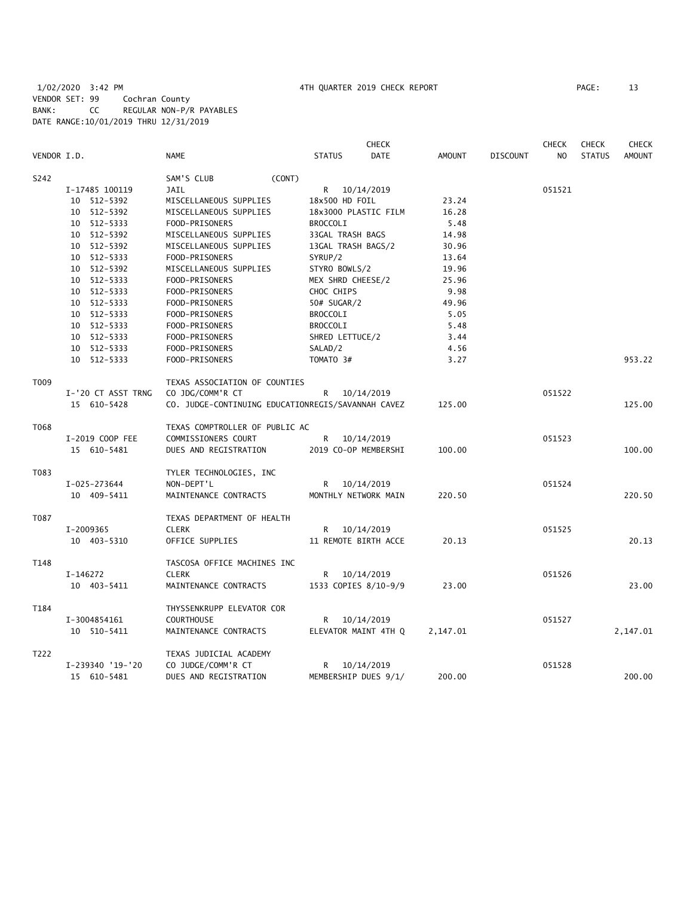|             |                    |                                                    |                      | <b>CHECK</b> |               |                 | <b>CHECK</b>   | <b>CHECK</b>  | <b>CHECK</b>  |
|-------------|--------------------|----------------------------------------------------|----------------------|--------------|---------------|-----------------|----------------|---------------|---------------|
| VENDOR I.D. |                    | <b>NAME</b>                                        | <b>STATUS</b>        | <b>DATE</b>  | <b>AMOUNT</b> | <b>DISCOUNT</b> | N <sub>O</sub> | <b>STATUS</b> | <b>AMOUNT</b> |
| S242        |                    | SAM'S CLUB<br>(CONT)                               |                      |              |               |                 |                |               |               |
|             | I-17485 100119     | JAIL                                               | R                    | 10/14/2019   |               |                 | 051521         |               |               |
|             | 10 512-5392        | MISCELLANEOUS SUPPLIES                             | 18x500 HD FOIL       |              | 23.24         |                 |                |               |               |
|             | 10 512-5392        | MISCELLANEOUS SUPPLIES                             | 18x3000 PLASTIC FILM |              | 16.28         |                 |                |               |               |
|             | 10 512-5333        | FOOD-PRISONERS                                     | <b>BROCCOLI</b>      |              | 5.48          |                 |                |               |               |
|             | 10 512-5392        | MISCELLANEOUS SUPPLIES                             | 33GAL TRASH BAGS     |              | 14.98         |                 |                |               |               |
|             | 10 512-5392        | MISCELLANEOUS SUPPLIES                             | 13GAL TRASH BAGS/2   |              | 30.96         |                 |                |               |               |
|             | 10 512-5333        | FOOD-PRISONERS                                     | SYRUP/2              |              | 13.64         |                 |                |               |               |
|             | 10 512-5392        | MISCELLANEOUS SUPPLIES                             | STYRO BOWLS/2        |              | 19.96         |                 |                |               |               |
|             | 10 512-5333        | FOOD-PRISONERS                                     | MEX SHRD CHEESE/2    |              | 25.96         |                 |                |               |               |
|             | 10 512-5333        | FOOD-PRISONERS                                     | CHOC CHIPS           |              | 9.98          |                 |                |               |               |
|             | 10 512-5333        | FOOD-PRISONERS                                     | 50# SUGAR/2          |              | 49.96         |                 |                |               |               |
|             | 10 512-5333        | FOOD-PRISONERS                                     | <b>BROCCOLI</b>      |              | 5.05          |                 |                |               |               |
|             | 10 512-5333        | FOOD-PRISONERS                                     | <b>BROCCOLI</b>      |              | 5.48          |                 |                |               |               |
|             | 10 512-5333        | FOOD-PRISONERS                                     | SHRED LETTUCE/2      |              | 3.44          |                 |                |               |               |
|             | 10 512-5333        | FOOD-PRISONERS                                     | SALAD/2              |              | 4.56          |                 |                |               |               |
|             | 10 512-5333        | FOOD-PRISONERS                                     | TOMATO 3#            |              | 3.27          |                 |                |               | 953.22        |
| T009        |                    | TEXAS ASSOCIATION OF COUNTIES                      |                      |              |               |                 |                |               |               |
|             | I-'20 CT ASST TRNG | CO JDG/COMM'R CT                                   | R                    | 10/14/2019   |               |                 | 051522         |               |               |
|             | 15 610-5428        | CO. JUDGE-CONTINUING EDUCATIONREGIS/SAVANNAH CAVEZ |                      |              | 125.00        |                 |                |               | 125.00        |
| T068        |                    | TEXAS COMPTROLLER OF PUBLIC AC                     |                      |              |               |                 |                |               |               |
|             | I-2019 COOP FEE    | COMMISSIONERS COURT                                | R                    | 10/14/2019   |               |                 | 051523         |               |               |
|             | 15 610-5481        | DUES AND REGISTRATION                              | 2019 CO-OP MEMBERSHI |              | 100.00        |                 |                |               | 100.00        |
| T083        |                    | TYLER TECHNOLOGIES, INC                            |                      |              |               |                 |                |               |               |
|             | I-025-273644       | NON-DEPT'L                                         | R                    | 10/14/2019   |               |                 | 051524         |               |               |
|             | 10 409-5411        | MAINTENANCE CONTRACTS                              | MONTHLY NETWORK MAIN |              | 220.50        |                 |                |               | 220.50        |
| T087        |                    | TEXAS DEPARTMENT OF HEALTH                         |                      |              |               |                 |                |               |               |
|             | I-2009365          | <b>CLERK</b>                                       | R                    | 10/14/2019   |               |                 | 051525         |               |               |
|             | 10 403-5310        | OFFICE SUPPLIES                                    | 11 REMOTE BIRTH ACCE |              | 20.13         |                 |                |               | 20.13         |
| T148        |                    | TASCOSA OFFICE MACHINES INC                        |                      |              |               |                 |                |               |               |
|             | I-146272           | CLERK                                              | R                    | 10/14/2019   |               |                 | 051526         |               |               |
|             | 10 403-5411        | MAINTENANCE CONTRACTS                              | 1533 COPIES 8/10-9/9 |              | 23.00         |                 |                |               | 23.00         |
| T184        |                    | THYSSENKRUPP ELEVATOR COR                          |                      |              |               |                 |                |               |               |
|             | I-3004854161       | <b>COURTHOUSE</b>                                  | R                    | 10/14/2019   |               |                 | 051527         |               |               |
|             | 10 510-5411        | MAINTENANCE CONTRACTS                              | ELEVATOR MAINT 4TH Q |              | 2,147.01      |                 |                |               | 2,147.01      |
| T222        |                    | TEXAS JUDICIAL ACADEMY                             |                      |              |               |                 |                |               |               |
|             | I-239340 '19-'20   | CO JUDGE/COMM'R CT                                 | R                    | 10/14/2019   |               |                 | 051528         |               |               |
|             | 15 610-5481        | DUES AND REGISTRATION                              | MEMBERSHIP DUES 9/1/ |              | 200.00        |                 |                |               | 200.00        |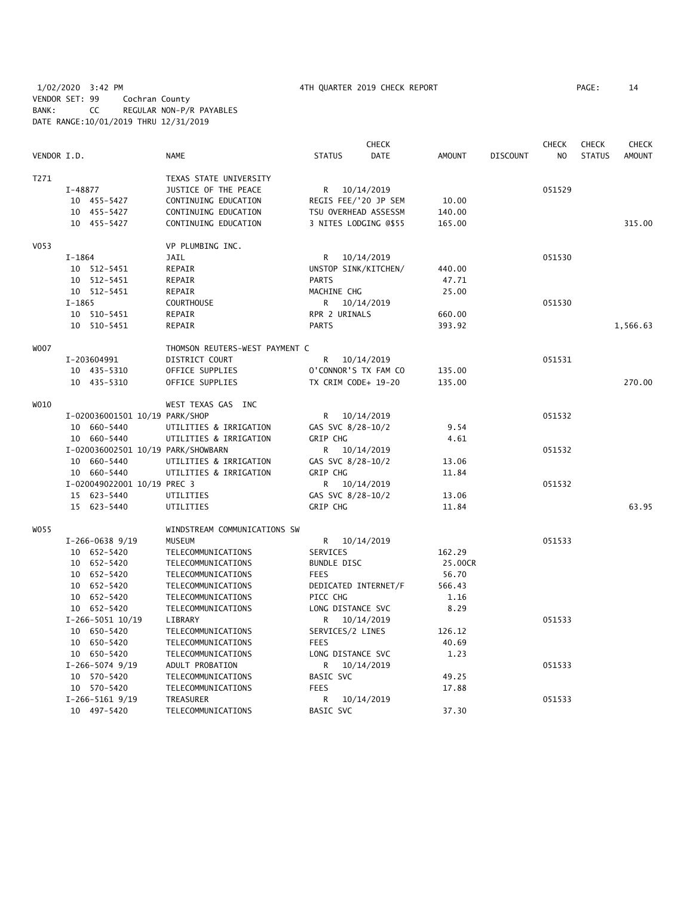1/02/2020 3:42 PM 4TH QUARTER 2019 CHECK REPORT PAGE: 14 VENDOR SET: 99 Cochran County BANK: CC REGULAR NON-P/R PAYABLES DATE RANGE:10/01/2019 THRU 12/31/2019

|                  |             |                                    |                                 |                    | <b>CHECK</b>          |               |                 | <b>CHECK</b>   | <b>CHECK</b>  | <b>CHECK</b>  |
|------------------|-------------|------------------------------------|---------------------------------|--------------------|-----------------------|---------------|-----------------|----------------|---------------|---------------|
| VENDOR I.D.      |             |                                    | <b>NAME</b>                     | <b>STATUS</b>      | <b>DATE</b>           | <b>AMOUNT</b> | <b>DISCOUNT</b> | N <sub>O</sub> | <b>STATUS</b> | <b>AMOUNT</b> |
| T271             |             |                                    | TEXAS STATE UNIVERSITY          |                    |                       |               |                 |                |               |               |
|                  | I-48877     |                                    | JUSTICE OF THE PEACE            | R                  | 10/14/2019            |               |                 | 051529         |               |               |
|                  |             | 10 455-5427                        | CONTINUING EDUCATION            |                    | REGIS FEE/'20 JP SEM  | 10.00         |                 |                |               |               |
|                  |             | 10 455-5427                        | CONTINUING EDUCATION            |                    | TSU OVERHEAD ASSESSM  | 140.00        |                 |                |               |               |
|                  |             | 10 455-5427                        | CONTINUING EDUCATION            |                    | 3 NITES LODGING @\$55 | 165.00        |                 |                |               | 315.00        |
| V <sub>053</sub> |             |                                    | VP PLUMBING INC.                |                    |                       |               |                 |                |               |               |
|                  | $I-1864$    |                                    | <b>JAIL</b>                     | R.                 | 10/14/2019            |               |                 | 051530         |               |               |
|                  |             | 10 512-5451                        | REPAIR                          |                    | UNSTOP SINK/KITCHEN/  | 440.00        |                 |                |               |               |
|                  |             | 10 512-5451                        | REPAIR                          | <b>PARTS</b>       |                       | 47.71         |                 |                |               |               |
|                  |             | 10 512-5451                        | REPAIR                          | MACHINE CHG        |                       | 25.00         |                 |                |               |               |
|                  | $I-1865$    |                                    | <b>COURTHOUSE</b>               |                    | R 10/14/2019          |               |                 | 051530         |               |               |
|                  |             | 10 510-5451                        | REPAIR                          | RPR 2 URINALS      |                       | 660.00        |                 |                |               |               |
|                  |             | 10 510-5451                        | REPAIR                          | <b>PARTS</b>       |                       | 393.92        |                 |                |               | 1,566.63      |
| W007             |             |                                    | THOMSON REUTERS-WEST PAYMENT C  |                    |                       |               |                 |                |               |               |
|                  | I-203604991 |                                    | DISTRICT COURT                  | R                  | 10/14/2019            |               |                 | 051531         |               |               |
|                  |             | 10 435-5310                        | OFFICE SUPPLIES                 |                    | O'CONNOR'S TX FAM CO  | 135.00        |                 |                |               |               |
|                  |             | 10 435-5310                        | OFFICE SUPPLIES                 |                    | TX CRIM CODE+ 19-20   | 135.00        |                 |                |               | 270.00        |
| WO10             |             |                                    | WEST TEXAS GAS INC              |                    |                       |               |                 |                |               |               |
|                  |             | I-020036001501 10/19 PARK/SHOP     |                                 |                    | R 10/14/2019          |               |                 | 051532         |               |               |
|                  |             | 10 660-5440                        | UTILITIES & IRRIGATION          |                    | GAS SVC 8/28-10/2     | 9.54          |                 |                |               |               |
|                  |             | 10 660-5440                        | UTILITIES & IRRIGATION          | <b>GRIP CHG</b>    |                       | 4.61          |                 |                |               |               |
|                  |             | I-020036002501 10/19 PARK/SHOWBARN |                                 | R.                 | 10/14/2019            |               |                 | 051532         |               |               |
|                  |             | 10 660-5440                        | UTILITIES & IRRIGATION          |                    | GAS SVC 8/28-10/2     | 13.06         |                 |                |               |               |
|                  |             | 10 660-5440                        | UTILITIES & IRRIGATION          | <b>GRIP CHG</b>    |                       | 11.84         |                 |                |               |               |
|                  |             | I-020049022001 10/19 PREC 3        |                                 |                    | R 10/14/2019          |               |                 | 051532         |               |               |
|                  |             | 15 623-5440                        | UTILITIES                       |                    | GAS SVC 8/28-10/2     | 13.06         |                 |                |               |               |
|                  |             | 15 623-5440                        | UTILITIES                       | <b>GRIP CHG</b>    |                       | 11.84         |                 |                |               | 63.95         |
| WO55             |             |                                    | WINDSTREAM COMMUNICATIONS SW    |                    |                       |               |                 |                |               |               |
|                  |             | $I-266-0638$ 9/19                  | MUSEUM                          | R.                 | 10/14/2019            |               |                 | 051533         |               |               |
|                  |             | 10 652-5420                        | TELECOMMUNICATIONS              | SERVICES           |                       | 162.29        |                 |                |               |               |
|                  |             | 10 652-5420                        | TELECOMMUNICATIONS              | <b>BUNDLE DISC</b> |                       | 25.00CR       |                 |                |               |               |
|                  |             | 10 652-5420                        | TELECOMMUNICATIONS              | <b>FEES</b>        |                       | 56.70         |                 |                |               |               |
|                  |             | 10 652-5420                        | TELECOMMUNICATIONS              |                    | DEDICATED INTERNET/F  | 566.43        |                 |                |               |               |
|                  |             | 10 652-5420                        | TELECOMMUNICATIONS              | PICC CHG           |                       | 1.16          |                 |                |               |               |
|                  |             | 10 652-5420                        | TELECOMMUNICATIONS              |                    | LONG DISTANCE SVC     | 8.29          |                 |                |               |               |
|                  |             | I-266-5051 10/19                   | LIBRARY                         | R                  | 10/14/2019            |               |                 | 051533         |               |               |
|                  |             | 10 650-5420                        | TELECOMMUNICATIONS              |                    | SERVICES/2 LINES      | 126.12        |                 |                |               |               |
|                  |             | 10 650-5420                        | TELECOMMUNICATIONS              | <b>FEES</b>        |                       | 40.69         |                 |                |               |               |
|                  |             | 10 650-5420                        | TELECOMMUNICATIONS              |                    | LONG DISTANCE SVC     | 1.23          |                 | 051533         |               |               |
|                  |             | $I-266-5074$ 9/19<br>10 570-5420   | ADULT PROBATION                 | R.<br>BASIC SVC    | 10/14/2019            | 49.25         |                 |                |               |               |
|                  |             | 10 570-5420                        | TELECOMMUNICATIONS              | <b>FEES</b>        |                       | 17.88         |                 |                |               |               |
|                  |             | $I-266-5161$ 9/19                  | TELECOMMUNICATIONS<br>TREASURER | R                  | 10/14/2019            |               |                 | 051533         |               |               |
|                  |             | 10 497-5420                        | TELECOMMUNICATIONS              | BASIC SVC          |                       | 37.30         |                 |                |               |               |
|                  |             |                                    |                                 |                    |                       |               |                 |                |               |               |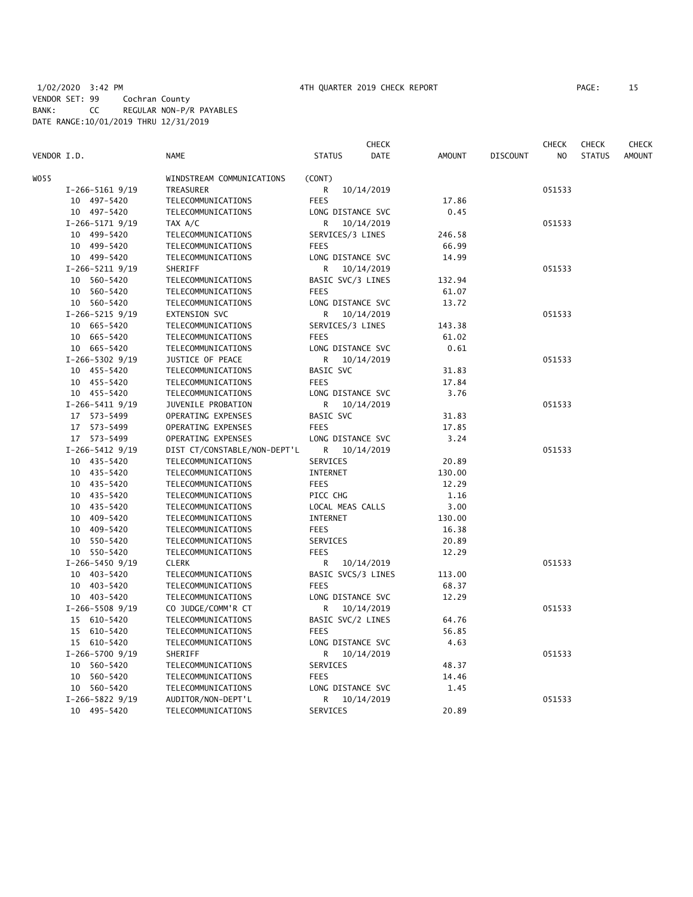|             |                   |                              |                    | <b>CHECK</b> |               |                 | CHECK  | <b>CHECK</b>  | CHECK         |
|-------------|-------------------|------------------------------|--------------------|--------------|---------------|-----------------|--------|---------------|---------------|
| VENDOR I.D. |                   | <b>NAME</b>                  | <b>STATUS</b>      | DATE         | <b>AMOUNT</b> | <b>DISCOUNT</b> | NO     | <b>STATUS</b> | <b>AMOUNT</b> |
| WO55        |                   | WINDSTREAM COMMUNICATIONS    | (CONT)             |              |               |                 |        |               |               |
|             | $I-266-5161$ 9/19 | TREASURER                    | 10/14/2019<br>R    |              |               |                 | 051533 |               |               |
|             | 10 497-5420       | TELECOMMUNICATIONS           | <b>FEES</b>        |              | 17.86         |                 |        |               |               |
|             | 10 497-5420       | TELECOMMUNICATIONS           | LONG DISTANCE SVC  |              | 0.45          |                 |        |               |               |
|             | $I-266-5171$ 9/19 | TAX A/C                      | R<br>10/14/2019    |              |               |                 | 051533 |               |               |
|             | 10 499-5420       | TELECOMMUNICATIONS           | SERVICES/3 LINES   |              | 246.58        |                 |        |               |               |
|             | 10 499-5420       | TELECOMMUNICATIONS           | <b>FEES</b>        |              | 66.99         |                 |        |               |               |
|             | 10 499-5420       | TELECOMMUNICATIONS           | LONG DISTANCE SVC  |              | 14.99         |                 |        |               |               |
|             | $I-266-5211$ 9/19 | SHERIFF                      | R<br>10/14/2019    |              |               |                 | 051533 |               |               |
|             | 10 560-5420       | TELECOMMUNICATIONS           | BASIC SVC/3 LINES  |              | 132.94        |                 |        |               |               |
|             | 10 560-5420       | TELECOMMUNICATIONS           | <b>FEES</b>        |              | 61.07         |                 |        |               |               |
|             | 10 560-5420       | TELECOMMUNICATIONS           | LONG DISTANCE SVC  |              | 13.72         |                 |        |               |               |
|             | $I-266-5215$ 9/19 | EXTENSION SVC                | R<br>10/14/2019    |              |               |                 | 051533 |               |               |
|             | 10 665-5420       | TELECOMMUNICATIONS           | SERVICES/3 LINES   |              | 143.38        |                 |        |               |               |
|             | 10 665-5420       |                              | <b>FEES</b>        |              | 61.02         |                 |        |               |               |
|             |                   | TELECOMMUNICATIONS           |                    |              |               |                 |        |               |               |
|             | 10 665-5420       | TELECOMMUNICATIONS           | LONG DISTANCE SVC  |              | 0.61          |                 |        |               |               |
|             | $I-266-5302$ 9/19 | JUSTICE OF PEACE             | R<br>10/14/2019    |              |               |                 | 051533 |               |               |
|             | 10 455-5420       | TELECOMMUNICATIONS           | BASIC SVC          |              | 31.83         |                 |        |               |               |
|             | 10 455-5420       | TELECOMMUNICATIONS           | <b>FEES</b>        |              | 17.84         |                 |        |               |               |
|             | 10 455-5420       | TELECOMMUNICATIONS           | LONG DISTANCE SVC  |              | 3.76          |                 |        |               |               |
|             | $I-266-5411$ 9/19 | JUVENILE PROBATION           | R<br>10/14/2019    |              |               |                 | 051533 |               |               |
|             | 17 573-5499       | OPERATING EXPENSES           | BASIC SVC          |              | 31.83         |                 |        |               |               |
|             | 17 573-5499       | OPERATING EXPENSES           | <b>FEES</b>        |              | 17.85         |                 |        |               |               |
|             | 17 573-5499       | OPERATING EXPENSES           | LONG DISTANCE SVC  |              | 3.24          |                 |        |               |               |
|             | $I-266-5412$ 9/19 | DIST CT/CONSTABLE/NON-DEPT'L | 10/14/2019<br>R    |              |               |                 | 051533 |               |               |
|             | 10 435-5420       | TELECOMMUNICATIONS           | SERVICES           |              | 20.89         |                 |        |               |               |
|             | 10 435-5420       | TELECOMMUNICATIONS           | INTERNET           |              | 130.00        |                 |        |               |               |
|             | 10 435-5420       | TELECOMMUNICATIONS           | <b>FEES</b>        |              | 12.29         |                 |        |               |               |
|             | 10 435-5420       | TELECOMMUNICATIONS           | PICC CHG           |              | 1.16          |                 |        |               |               |
|             | 10 435-5420       | TELECOMMUNICATIONS           | LOCAL MEAS CALLS   |              | 3.00          |                 |        |               |               |
|             | 10 409-5420       | TELECOMMUNICATIONS           | INTERNET           |              | 130.00        |                 |        |               |               |
|             | 10 409-5420       | TELECOMMUNICATIONS           | <b>FEES</b>        |              | 16.38         |                 |        |               |               |
|             | 550-5420<br>10    | TELECOMMUNICATIONS           | SERVICES           |              | 20.89         |                 |        |               |               |
|             | 10 550-5420       | TELECOMMUNICATIONS           | <b>FEES</b>        |              | 12.29         |                 |        |               |               |
|             | $I-266-5450$ 9/19 | <b>CLERK</b>                 | R<br>10/14/2019    |              |               |                 | 051533 |               |               |
|             | 10 403-5420       | TELECOMMUNICATIONS           | BASIC SVCS/3 LINES |              | 113.00        |                 |        |               |               |
|             | 10 403-5420       | TELECOMMUNICATIONS           | <b>FEES</b>        |              | 68.37         |                 |        |               |               |
|             | 10 403-5420       | TELECOMMUNICATIONS           | LONG DISTANCE SVC  |              | 12.29         |                 |        |               |               |
|             | $I-266-5508$ 9/19 | CO JUDGE/COMM'R CT           | R<br>10/14/2019    |              |               |                 | 051533 |               |               |
|             | 15 610-5420       | TELECOMMUNICATIONS           | BASIC SVC/2 LINES  |              | 64.76         |                 |        |               |               |
|             | 15 610-5420       | TELECOMMUNICATIONS           | <b>FEES</b>        |              | 56.85         |                 |        |               |               |
|             | 15 610-5420       | TELECOMMUNICATIONS           | LONG DISTANCE SVC  |              | 4.63          |                 |        |               |               |
|             | $I-266-5700$ 9/19 | SHERIFF                      | R<br>10/14/2019    |              |               |                 | 051533 |               |               |
|             | 10 560-5420       | TELECOMMUNICATIONS           | SERVICES           |              | 48.37         |                 |        |               |               |
|             | 10 560-5420       | TELECOMMUNICATIONS           | <b>FEES</b>        |              | 14.46         |                 |        |               |               |
|             | 10 560-5420       | TELECOMMUNICATIONS           | LONG DISTANCE SVC  |              | 1.45          |                 |        |               |               |
|             | $I-266-5822$ 9/19 | AUDITOR/NON-DEPT'L           | R<br>10/14/2019    |              |               |                 | 051533 |               |               |
|             | 10 495-5420       | TELECOMMUNICATIONS           | SERVICES           |              | 20.89         |                 |        |               |               |
|             |                   |                              |                    |              |               |                 |        |               |               |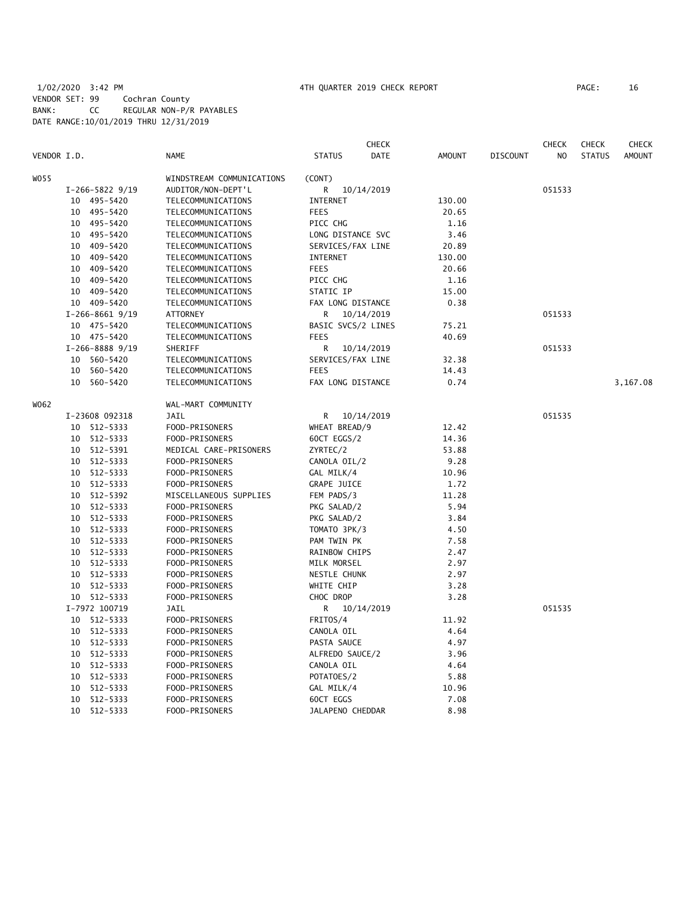# 1/02/2020 3:42 PM 4TH QUARTER 2019 CHECK REPORT PAGE: 16 VENDOR SET: 99 Cochran County BANK: CC REGULAR NON-P/R PAYABLES DATE RANGE:10/01/2019 THRU 12/31/2019

|             |    |                   |                           |                      | <b>CHECK</b> |               |                 | <b>CHECK</b> | <b>CHECK</b>  | <b>CHECK</b>  |
|-------------|----|-------------------|---------------------------|----------------------|--------------|---------------|-----------------|--------------|---------------|---------------|
| VENDOR I.D. |    |                   | NAME                      | <b>STATUS</b>        | DATE         | <b>AMOUNT</b> | <b>DISCOUNT</b> | NO.          | <b>STATUS</b> | <b>AMOUNT</b> |
| W055        |    |                   | WINDSTREAM COMMUNICATIONS | (CONT)               |              |               |                 |              |               |               |
|             |    | $I-266-5822$ 9/19 | AUDITOR/NON-DEPT'L        | R                    | 10/14/2019   |               |                 | 051533       |               |               |
|             |    | 10 495-5420       | TELECOMMUNICATIONS        | <b>INTERNET</b>      |              | 130.00        |                 |              |               |               |
|             |    | 10 495-5420       | TELECOMMUNICATIONS        | <b>FEES</b>          |              | 20.65         |                 |              |               |               |
|             |    | 10 495-5420       | TELECOMMUNICATIONS        | PICC CHG             |              | 1.16          |                 |              |               |               |
|             | 10 | 495-5420          | TELECOMMUNICATIONS        | LONG DISTANCE SVC    |              | 3.46          |                 |              |               |               |
|             | 10 | 409-5420          | TELECOMMUNICATIONS        | SERVICES/FAX LINE    |              | 20.89         |                 |              |               |               |
|             | 10 | 409-5420          | TELECOMMUNICATIONS        | <b>INTERNET</b>      |              | 130.00        |                 |              |               |               |
|             | 10 | 409-5420          | TELECOMMUNICATIONS        | <b>FEES</b>          |              | 20.66         |                 |              |               |               |
|             | 10 | 409–5420          | TELECOMMUNICATIONS        | PICC CHG             |              | 1.16          |                 |              |               |               |
|             | 10 | 409–5420          | TELECOMMUNICATIONS        | STATIC IP            |              | 15.00         |                 |              |               |               |
|             |    | 10 409-5420       | TELECOMMUNICATIONS        | FAX LONG DISTANCE    |              | 0.38          |                 |              |               |               |
|             |    | $I-266-8661$ 9/19 | <b>ATTORNEY</b>           | R                    | 10/14/2019   |               |                 | 051533       |               |               |
|             |    | 10 475-5420       | TELECOMMUNICATIONS        | BASIC SVCS/2 LINES   |              | 75.21         |                 |              |               |               |
|             |    | 10 475-5420       | TELECOMMUNICATIONS        | <b>FEES</b>          |              | 40.69         |                 |              |               |               |
|             |    | $I-266-88889/19$  | SHERIFF                   | R                    | 10/14/2019   |               |                 | 051533       |               |               |
|             |    | 10 560-5420       | TELECOMMUNICATIONS        | SERVICES/FAX LINE    |              | 32.38         |                 |              |               |               |
|             | 10 | 560-5420          | TELECOMMUNICATIONS        | <b>FEES</b>          |              | 14.43         |                 |              |               |               |
|             | 10 | 560-5420          | TELECOMMUNICATIONS        | FAX LONG DISTANCE    |              | 0.74          |                 |              |               | 3,167.08      |
| W062        |    |                   | WAL-MART COMMUNITY        |                      |              |               |                 |              |               |               |
|             |    | I-23608 092318    | <b>JAIL</b>               | R                    | 10/14/2019   |               |                 | 051535       |               |               |
|             |    | 10 512-5333       | FOOD-PRISONERS            | WHEAT BREAD/9        |              | 12.42         |                 |              |               |               |
|             |    | 10 512-5333       | FOOD-PRISONERS            | 60CT EGGS/2          |              | 14.36         |                 |              |               |               |
|             | 10 | 512-5391          | MEDICAL CARE-PRISONERS    | ZYRTEC/2             |              | 53.88         |                 |              |               |               |
|             | 10 | 512-5333          | FOOD-PRISONERS            | CANOLA OIL/2         |              | 9.28          |                 |              |               |               |
|             | 10 | 512-5333          | FOOD-PRISONERS            | GAL MILK/4           |              | 10.96         |                 |              |               |               |
|             |    | 10 512-5333       | FOOD-PRISONERS            | GRAPE JUICE          |              | 1.72          |                 |              |               |               |
|             | 10 | 512-5392          | MISCELLANEOUS SUPPLIES    | FEM PADS/3           |              | 11.28         |                 |              |               |               |
|             | 10 | 512-5333          | FOOD-PRISONERS            | PKG SALAD/2          |              | 5.94          |                 |              |               |               |
|             | 10 | 512-5333          | FOOD-PRISONERS            | PKG SALAD/2          |              | 3.84          |                 |              |               |               |
|             | 10 | 512-5333          | FOOD-PRISONERS            | TOMATO 3PK/3         |              | 4.50          |                 |              |               |               |
|             | 10 | 512-5333          | FOOD-PRISONERS            | PAM TWIN PK          |              | 7.58          |                 |              |               |               |
|             | 10 | 512-5333          | FOOD-PRISONERS            | <b>RAINBOW CHIPS</b> |              | 2.47          |                 |              |               |               |
|             | 10 | 512-5333          | FOOD-PRISONERS            | MILK MORSEL          |              | 2.97          |                 |              |               |               |
|             |    | 10 512-5333       | FOOD-PRISONERS            | <b>NESTLE CHUNK</b>  |              | 2.97          |                 |              |               |               |
|             | 10 | 512-5333          | FOOD-PRISONERS            | WHITE CHIP           |              | 3.28          |                 |              |               |               |
|             |    | 10 512-5333       | FOOD-PRISONERS            | CHOC DROP            |              | 3.28          |                 |              |               |               |
|             |    | I-7972 100719     | JAIL                      | R 10/14/2019         |              |               |                 | 051535       |               |               |
|             |    | 10 512-5333       | FOOD-PRISONERS            | FRITOS/4             |              | 11.92         |                 |              |               |               |
|             | 10 | 512-5333          | FOOD-PRISONERS            | CANOLA OIL           |              | 4.64          |                 |              |               |               |
|             | 10 | 512-5333          | FOOD-PRISONERS            | PASTA SAUCE          |              | 4.97          |                 |              |               |               |
|             | 10 | 512-5333          | FOOD-PRISONERS            | ALFREDO SAUCE/2      |              | 3.96          |                 |              |               |               |
|             | 10 | 512-5333          | FOOD-PRISONERS            | CANOLA OIL           |              | 4.64          |                 |              |               |               |
|             | 10 | 512-5333          | FOOD-PRISONERS            | POTATOES/2           |              | 5.88          |                 |              |               |               |
|             | 10 | 512-5333          | FOOD-PRISONERS            | GAL MILK/4           |              | 10.96         |                 |              |               |               |
|             | 10 | 512-5333          | FOOD-PRISONERS            | 60CT EGGS            |              | 7.08          |                 |              |               |               |
|             | 10 | 512-5333          | FOOD-PRISONERS            | JALAPENO CHEDDAR     |              | 8.98          |                 |              |               |               |
|             |    |                   |                           |                      |              |               |                 |              |               |               |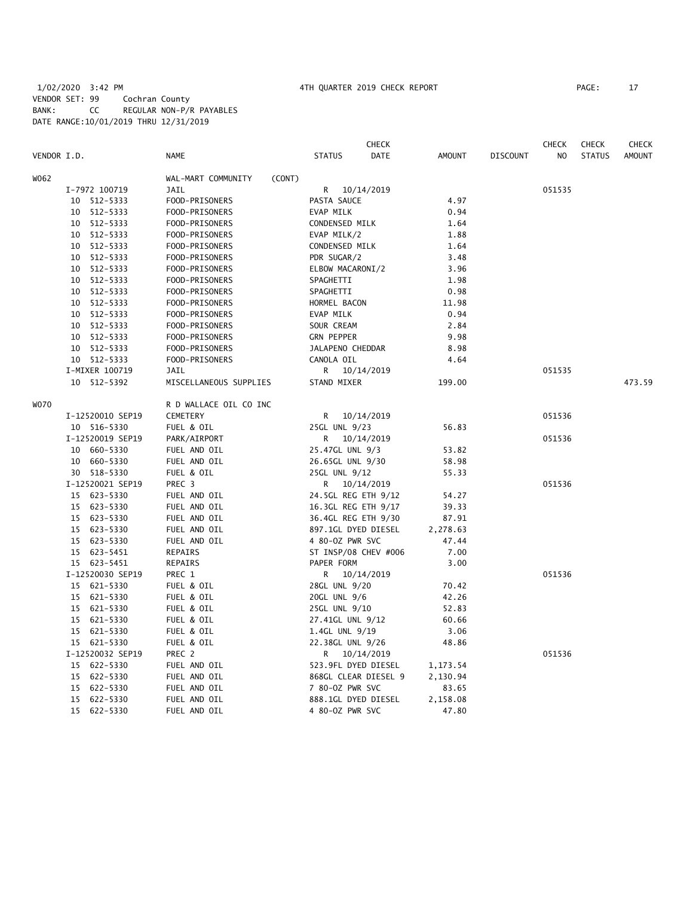# 1/02/2020 3:42 PM 4TH QUARTER 2019 CHECK REPORT PAGE: 17 VENDOR SET: 99 Cochran County BANK: CC REGULAR NON-P/R PAYABLES DATE RANGE:10/01/2019 THRU 12/31/2019

|             |                  |                              |                     | CHECK                |               |                 | CHECK  | <b>CHECK</b>  | <b>CHECK</b>  |
|-------------|------------------|------------------------------|---------------------|----------------------|---------------|-----------------|--------|---------------|---------------|
| VENDOR I.D. |                  | NAME                         | <b>STATUS</b>       | <b>DATE</b>          | <b>AMOUNT</b> | <b>DISCOUNT</b> | NO.    | <b>STATUS</b> | <b>AMOUNT</b> |
| W062        |                  | WAL-MART COMMUNITY<br>(CONT) |                     |                      |               |                 |        |               |               |
|             | I-7972 100719    | <b>JAIL</b>                  |                     | R 10/14/2019         |               |                 | 051535 |               |               |
|             | 10 512-5333      | FOOD-PRISONERS               | PASTA SAUCE         |                      | 4.97          |                 |        |               |               |
|             | 10 512-5333      | FOOD-PRISONERS               | EVAP MILK           |                      | 0.94          |                 |        |               |               |
|             | 10 512-5333      | FOOD-PRISONERS               | CONDENSED MILK      |                      | 1.64          |                 |        |               |               |
|             | 10 512-5333      | FOOD-PRISONERS               | EVAP MILK/2         |                      | 1.88          |                 |        |               |               |
|             | 10 512-5333      | FOOD-PRISONERS               | CONDENSED MILK      |                      | 1.64          |                 |        |               |               |
|             | 10 512-5333      | FOOD-PRISONERS               | PDR SUGAR/2         |                      | 3.48          |                 |        |               |               |
|             | 10 512-5333      | FOOD-PRISONERS               | ELBOW MACARONI/2    |                      | 3.96          |                 |        |               |               |
|             | 10 512-5333      | FOOD-PRISONERS               | SPAGHETTI           |                      | 1.98          |                 |        |               |               |
|             | 10 512-5333      | FOOD-PRISONERS               | SPAGHETTI           |                      | 0.98          |                 |        |               |               |
|             | 10 512-5333      | FOOD-PRISONERS               | HORMEL BACON        |                      | 11.98         |                 |        |               |               |
|             | 10 512-5333      | FOOD-PRISONERS               | EVAP MILK           |                      | 0.94          |                 |        |               |               |
|             | 10 512-5333      |                              | SOUR CREAM          |                      | 2.84          |                 |        |               |               |
|             |                  | FOOD-PRISONERS               |                     |                      |               |                 |        |               |               |
|             | 10 512-5333      | FOOD-PRISONERS               | <b>GRN PEPPER</b>   |                      | 9.98          |                 |        |               |               |
|             | 10 512-5333      | FOOD-PRISONERS               | JALAPENO CHEDDAR    |                      | 8.98          |                 |        |               |               |
|             | 10 512-5333      | FOOD-PRISONERS               | CANOLA OIL          |                      | 4.64          |                 |        |               |               |
|             | I-MIXER 100719   | JAIL                         |                     | R 10/14/2019         |               |                 | 051535 |               |               |
|             | 10 512-5392      | MISCELLANEOUS SUPPLIES       | STAND MIXER         |                      | 199.00        |                 |        |               | 473.59        |
| <b>WO70</b> |                  | R D WALLACE OIL CO INC       |                     |                      |               |                 |        |               |               |
|             | I-12520010 SEP19 | <b>CEMETERY</b>              |                     | R 10/14/2019         |               |                 | 051536 |               |               |
|             | 10 516-5330      | FUEL & OIL                   | 25GL UNL 9/23       |                      | 56.83         |                 |        |               |               |
|             | I-12520019 SEP19 | PARK/AIRPORT                 |                     | R 10/14/2019         |               |                 | 051536 |               |               |
|             | 10 660-5330      | FUEL AND OIL                 | 25.47GL UNL 9/3     |                      | 53.82         |                 |        |               |               |
|             | 10 660-5330      | FUEL AND OIL                 | 26.65GL UNL 9/30    |                      | 58.98         |                 |        |               |               |
|             | 30 518-5330      | FUEL & OIL                   | 25GL UNL 9/12       |                      | 55.33         |                 |        |               |               |
|             | I-12520021 SEP19 | PREC 3                       |                     | R 10/14/2019         |               |                 | 051536 |               |               |
|             | 15 623-5330      | FUEL AND OIL                 | 24.5GL REG ETH 9/12 |                      | 54.27         |                 |        |               |               |
|             | 15 623-5330      | FUEL AND OIL                 | 16.3GL REG ETH 9/17 |                      | 39.33         |                 |        |               |               |
|             | 15 623-5330      | FUEL AND OIL                 | 36.4GL REG ETH 9/30 |                      | 87.91         |                 |        |               |               |
|             | 15 623-5330      | FUEL AND OIL                 | 897.1GL DYED DIESEL |                      | 2,278.63      |                 |        |               |               |
|             | 15 623-5330      | FUEL AND OIL                 | 4 80-0Z PWR SVC     |                      | 47.44         |                 |        |               |               |
|             | 15 623-5451      | REPAIRS                      |                     | ST INSP/08 CHEV #006 | 7.00          |                 |        |               |               |
|             | 15 623-5451      | REPAIRS                      | PAPER FORM          |                      | 3.00          |                 |        |               |               |
|             | I-12520030 SEP19 | PREC 1                       |                     | R 10/14/2019         |               |                 | 051536 |               |               |
|             | 15 621-5330      | FUEL & OIL                   | 28GL UNL 9/20       |                      | 70.42         |                 |        |               |               |
|             | 15 621-5330      | FUEL & OIL                   | 20GL UNL 9/6        |                      | 42.26         |                 |        |               |               |
|             | 15 621-5330      | FUEL & OIL                   | 25GL UNL 9/10       |                      | 52.83         |                 |        |               |               |
|             | 15 621-5330      | FUEL & OIL                   | 27.41GL UNL 9/12    |                      | 60.66         |                 |        |               |               |
|             | 15 621-5330      | FUEL & OIL                   | 1.4GL UNL 9/19      |                      | 3.06          |                 |        |               |               |
|             | 15 621-5330      | FUEL & OIL                   | 22.38GL UNL 9/26    |                      | 48.86         |                 |        |               |               |
|             | I-12520032 SEP19 | PREC 2                       |                     | R 10/14/2019         |               |                 | 051536 |               |               |
|             | 15 622-5330      | FUEL AND OIL                 | 523.9FL DYED DIESEL |                      | 1,173.54      |                 |        |               |               |
|             | 15 622-5330      | FUEL AND OIL                 |                     | 868GL CLEAR DIESEL 9 | 2,130.94      |                 |        |               |               |
|             | 15 622-5330      | FUEL AND OIL                 | 7 80-0Z PWR SVC     |                      | 83.65         |                 |        |               |               |
|             | 15 622-5330      | FUEL AND OIL                 | 888.1GL DYED DIESEL |                      | 2,158.08      |                 |        |               |               |
|             | 15 622-5330      | FUEL AND OIL                 | 4 80-0Z PWR SVC     |                      | 47.80         |                 |        |               |               |
|             |                  |                              |                     |                      |               |                 |        |               |               |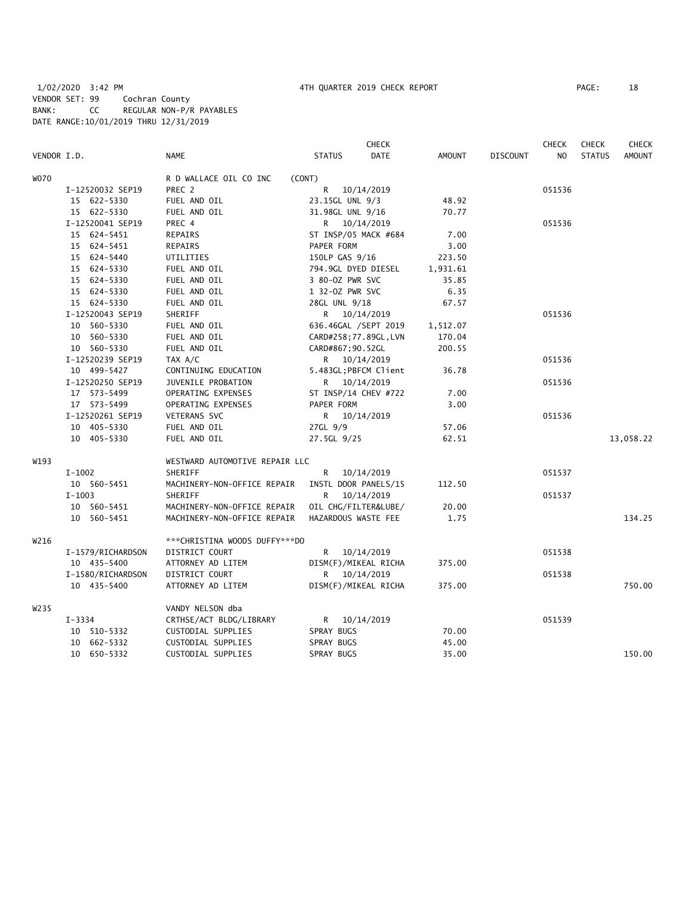|             |                   |                                |                        | <b>CHECK</b> |               |                 | <b>CHECK</b>   | <b>CHECK</b>  | <b>CHECK</b>  |
|-------------|-------------------|--------------------------------|------------------------|--------------|---------------|-----------------|----------------|---------------|---------------|
| VENDOR I.D. |                   | <b>NAME</b>                    | <b>STATUS</b>          | <b>DATE</b>  | <b>AMOUNT</b> | <b>DISCOUNT</b> | N <sub>O</sub> | <b>STATUS</b> | <b>AMOUNT</b> |
| <b>WO70</b> |                   | R D WALLACE OIL CO INC         | (CONT)                 |              |               |                 |                |               |               |
|             | I-12520032 SEP19  | PREC 2                         | R.                     | 10/14/2019   |               |                 | 051536         |               |               |
|             | 15 622-5330       | FUEL AND OIL                   | 23.15GL UNL 9/3        |              | 48.92         |                 |                |               |               |
|             | 15 622-5330       | FUEL AND OIL                   | 31.98GL UNL 9/16       |              | 70.77         |                 |                |               |               |
|             | I-12520041 SEP19  | PREC 4                         | R 10/14/2019           |              |               |                 | 051536         |               |               |
|             | 15 624-5451       | REPAIRS                        | ST INSP/05 MACK #684   |              | 7.00          |                 |                |               |               |
|             | 15 624-5451       | <b>REPAIRS</b>                 | PAPER FORM             |              | 3.00          |                 |                |               |               |
|             | 15 624-5440       | UTILITIES                      | 150LP GAS 9/16         |              | 223.50        |                 |                |               |               |
|             | 15 624-5330       | FUEL AND OIL                   | 794.9GL DYED DIESEL    |              | 1,931.61      |                 |                |               |               |
|             | 15 624-5330       | FUEL AND OIL                   | 3 80-0Z PWR SVC        |              | 35.85         |                 |                |               |               |
|             | 15 624-5330       | FUEL AND OIL                   | 1 32-0Z PWR SVC        |              | 6.35          |                 |                |               |               |
|             | 15 624-5330       | FUEL AND OIL                   | 28GL UNL 9/18          |              | 67.57         |                 |                |               |               |
|             | I-12520043 SEP19  | SHERIFF                        | R 10/14/2019           |              |               |                 | 051536         |               |               |
|             | 10 560-5330       | FUEL AND OIL                   | 636.46GAL /SEPT 2019   |              | 1,512.07      |                 |                |               |               |
|             | 10 560-5330       | FUEL AND OIL                   | CARD#258; 77.89GL, LVN |              | 170.04        |                 |                |               |               |
|             | 10 560-5330       | FUEL AND OIL                   | CARD#867; 90.52GL      |              | 200.55        |                 |                |               |               |
|             | I-12520239 SEP19  | TAX A/C                        | R 10/14/2019           |              |               |                 | 051536         |               |               |
|             | 10 499-5427       | CONTINUING EDUCATION           | 5.483GL; PBFCM Client  |              | 36.78         |                 |                |               |               |
|             | I-12520250 SEP19  | JUVENILE PROBATION             | R 10/14/2019           |              |               |                 | 051536         |               |               |
|             | 17 573-5499       | OPERATING EXPENSES             | ST INSP/14 CHEV #722   |              | 7.00          |                 |                |               |               |
|             | 17 573-5499       | OPERATING EXPENSES             | PAPER FORM             |              | 3.00          |                 |                |               |               |
|             | I-12520261 SEP19  | VETERANS SVC                   | R 10/14/2019           |              |               |                 | 051536         |               |               |
|             | 10 405-5330       | FUEL AND OIL                   | 27GL 9/9               |              | 57.06         |                 |                |               |               |
|             | 10 405-5330       | FUEL AND OIL                   | 27.5GL 9/25            |              | 62.51         |                 |                |               | 13,058.22     |
| W193        |                   | WESTWARD AUTOMOTIVE REPAIR LLC |                        |              |               |                 |                |               |               |
|             | $I-1002$          | SHERIFF                        | R 10/14/2019           |              |               |                 | 051537         |               |               |
|             | 10 560-5451       | MACHINERY-NON-OFFICE REPAIR    | INSTL DOOR PANELS/15   |              | 112.50        |                 |                |               |               |
|             | $I-1003$          | SHERIFF                        | R.                     | 10/14/2019   |               |                 | 051537         |               |               |
|             | 10 560-5451       | MACHINERY-NON-OFFICE REPAIR    | OIL CHG/FILTER&LUBE/   |              | 20.00         |                 |                |               |               |
|             | 10 560-5451       | MACHINERY-NON-OFFICE REPAIR    | HAZARDOUS WASTE FEE    |              | 1.75          |                 |                |               | 134.25        |
| W216        |                   | ***CHRISTINA WOODS DUFFY***DO  |                        |              |               |                 |                |               |               |
|             | I-1579/RICHARDSON | DISTRICT COURT                 | R 10/14/2019           |              |               |                 | 051538         |               |               |
|             | 10 435-5400       | ATTORNEY AD LITEM              | DISM(F)/MIKEAL RICHA   |              | 375.00        |                 |                |               |               |
|             | I-1580/RICHARDSON | DISTRICT COURT                 | R 10/14/2019           |              |               |                 | 051538         |               |               |
|             | 10 435-5400       | ATTORNEY AD LITEM              | DISM(F)/MIKEAL RICHA   |              | 375.00        |                 |                |               | 750.00        |
| W235        |                   | VANDY NELSON dba               |                        |              |               |                 |                |               |               |
|             | $I - 3334$        | CRTHSE/ACT BLDG/LIBRARY        | R 10/14/2019           |              |               |                 | 051539         |               |               |
|             | 10 510-5332       | CUSTODIAL SUPPLIES             | SPRAY BUGS             |              | 70.00         |                 |                |               |               |
|             | 10 662-5332       | CUSTODIAL SUPPLIES             | SPRAY BUGS             |              | 45.00         |                 |                |               |               |
|             | 10 650-5332       | CUSTODIAL SUPPLIES             | SPRAY BUGS             |              | 35.00         |                 |                |               | 150.00        |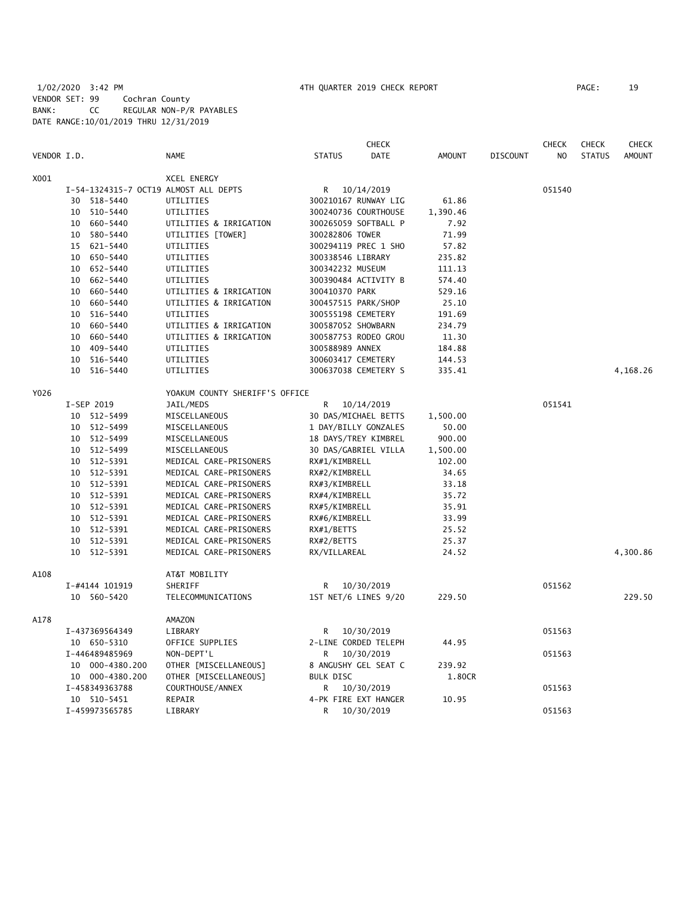# 1/02/2020 3:42 PM 4TH QUARTER 2019 CHECK REPORT PAGE: 19 VENDOR SET: 99 Cochran County BANK: CC REGULAR NON-P/R PAYABLES DATE RANGE:10/01/2019 THRU 12/31/2019

|             |    |                 |                                       |                    | <b>CHECK</b>         |               |                 | <b>CHECK</b>   | <b>CHECK</b>  | <b>CHECK</b>  |
|-------------|----|-----------------|---------------------------------------|--------------------|----------------------|---------------|-----------------|----------------|---------------|---------------|
| VENDOR I.D. |    |                 | <b>NAME</b>                           | <b>STATUS</b>      | DATE                 | <b>AMOUNT</b> | <b>DISCOUNT</b> | N <sub>O</sub> | <b>STATUS</b> | <b>AMOUNT</b> |
| X001        |    |                 | <b>XCEL ENERGY</b>                    |                    |                      |               |                 |                |               |               |
|             |    |                 | I-54-1324315-7 OCT19 ALMOST ALL DEPTS | R                  | 10/14/2019           |               |                 | 051540         |               |               |
|             |    | 30 518-5440     | UTILITIES                             |                    | 300210167 RUNWAY LIG | 61.86         |                 |                |               |               |
|             |    | 10 510-5440     | UTILITIES                             |                    | 300240736 COURTHOUSE | 1,390.46      |                 |                |               |               |
|             |    | 10 660-5440     | UTILITIES & IRRIGATION                |                    | 300265059 SOFTBALL P | 7.92          |                 |                |               |               |
|             | 10 | 580-5440        | UTILITIES [TOWER]                     | 300282806 TOWER    |                      | 71.99         |                 |                |               |               |
|             | 15 | 621-5440        | UTILITIES                             |                    | 300294119 PREC 1 SHO | 57.82         |                 |                |               |               |
|             |    | 10 650-5440     | UTILITIES                             | 300338546 LIBRARY  |                      | 235.82        |                 |                |               |               |
|             |    | 10 652-5440     | UTILITIES                             | 300342232 MUSEUM   |                      | 111.13        |                 |                |               |               |
|             |    | 10 662-5440     | UTILITIES                             |                    | 300390484 ACTIVITY B | 574.40        |                 |                |               |               |
|             |    | 10 660-5440     | UTILITIES & IRRIGATION                | 300410370 PARK     |                      | 529.16        |                 |                |               |               |
|             | 10 | 660-5440        | UTILITIES & IRRIGATION                |                    | 300457515 PARK/SHOP  | 25.10         |                 |                |               |               |
|             |    | 10 516-5440     | UTILITIES                             | 300555198 CEMETERY |                      | 191.69        |                 |                |               |               |
|             | 10 | 660-5440        | UTILITIES & IRRIGATION                | 300587052 SHOWBARN |                      | 234.79        |                 |                |               |               |
|             | 10 | 660-5440        | UTILITIES & IRRIGATION                |                    | 300587753 RODEO GROU | 11.30         |                 |                |               |               |
|             | 10 | 409-5440        | UTILITIES                             | 300588989 ANNEX    |                      | 184.88        |                 |                |               |               |
|             |    | 10 516-5440     | UTILITIES                             | 300603417 CEMETERY |                      | 144.53        |                 |                |               |               |
|             |    | 10 516-5440     | UTILITIES                             |                    | 300637038 CEMETERY S | 335.41        |                 |                |               | 4,168.26      |
| Y026        |    |                 | YOAKUM COUNTY SHERIFF'S OFFICE        |                    |                      |               |                 |                |               |               |
|             |    | I-SEP 2019      | JAIL/MEDS                             | R                  | 10/14/2019           |               |                 | 051541         |               |               |
|             |    | 10 512-5499     | MISCELLANEOUS                         |                    | 30 DAS/MICHAEL BETTS | 1,500.00      |                 |                |               |               |
|             |    | 10 512-5499     | MISCELLANEOUS                         |                    | 1 DAY/BILLY GONZALES | 50.00         |                 |                |               |               |
|             |    | 10 512-5499     | MISCELLANEOUS                         |                    | 18 DAYS/TREY KIMBREL | 900.00        |                 |                |               |               |
|             |    | 10 512-5499     | MISCELLANEOUS                         |                    | 30 DAS/GABRIEL VILLA | 1,500.00      |                 |                |               |               |
|             |    | 10 512-5391     | MEDICAL CARE-PRISONERS                | RX#1/KIMBRELL      |                      | 102.00        |                 |                |               |               |
|             |    | 10 512-5391     | MEDICAL CARE-PRISONERS                | RX#2/KIMBRELL      |                      | 34.65         |                 |                |               |               |
|             |    | 10 512-5391     | MEDICAL CARE-PRISONERS                | RX#3/KIMBRELL      |                      | 33.18         |                 |                |               |               |
|             |    | 10 512-5391     | MEDICAL CARE-PRISONERS                | RX#4/KIMBRELL      |                      | 35.72         |                 |                |               |               |
|             |    | 10 512-5391     | MEDICAL CARE-PRISONERS                | RX#5/KIMBRELL      |                      | 35.91         |                 |                |               |               |
|             |    | 10 512-5391     | MEDICAL CARE-PRISONERS                | RX#6/KIMBRELL      |                      | 33.99         |                 |                |               |               |
|             |    | 10 512-5391     | MEDICAL CARE-PRISONERS                | RX#1/BETTS         |                      | 25.52         |                 |                |               |               |
|             |    | 10 512-5391     | MEDICAL CARE-PRISONERS                | RX#2/BETTS         |                      | 25.37         |                 |                |               |               |
|             |    | 10 512-5391     | MEDICAL CARE-PRISONERS                | RX/VILLAREAL       |                      | 24.52         |                 |                |               | 4,300.86      |
| A108        |    |                 | AT&T MOBILITY                         |                    |                      |               |                 |                |               |               |
|             |    | I-#4144 101919  | SHERIFF                               | R                  | 10/30/2019           |               |                 | 051562         |               |               |
|             |    | 10 560-5420     | TELECOMMUNICATIONS                    |                    | 1ST NET/6 LINES 9/20 | 229.50        |                 |                |               | 229.50        |
| A178        |    |                 | AMAZON                                |                    |                      |               |                 |                |               |               |
|             |    | I-437369564349  | LIBRARY                               | R                  | 10/30/2019           |               |                 | 051563         |               |               |
|             |    | 10 650-5310     | OFFICE SUPPLIES                       |                    | 2-LINE CORDED TELEPH | 44.95         |                 |                |               |               |
|             |    | I-446489485969  | NON-DEPT'L                            | R                  | 10/30/2019           |               |                 | 051563         |               |               |
|             |    | 10 000-4380.200 | OTHER [MISCELLANEOUS]                 |                    | 8 ANGUSHY GEL SEAT C | 239.92        |                 |                |               |               |
|             |    | 10 000-4380.200 | OTHER [MISCELLANEOUS]                 | <b>BULK DISC</b>   |                      | 1.80CR        |                 |                |               |               |
|             |    | I-458349363788  | COURTHOUSE/ANNEX                      | R                  | 10/30/2019           |               |                 | 051563         |               |               |
|             |    | 10 510-5451     | REPAIR                                |                    | 4-PK FIRE EXT HANGER | 10.95         |                 |                |               |               |
|             |    | I-459973565785  | LIBRARY                               | R                  | 10/30/2019           |               |                 | 051563         |               |               |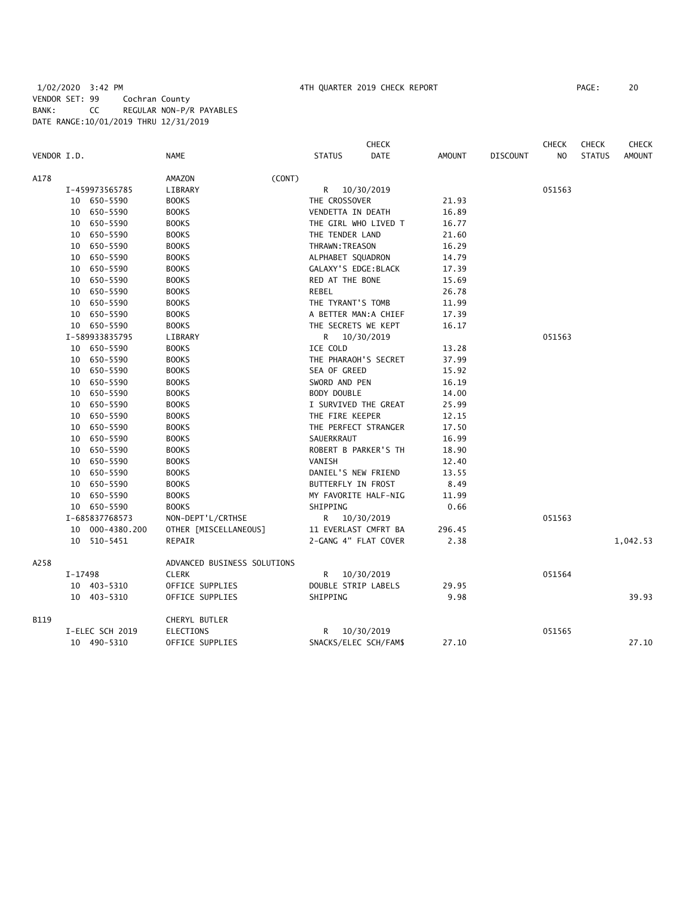# 1/02/2020 3:42 PM 4TH QUARTER 2019 CHECK REPORT PAGE: 20 VENDOR SET: 99 Cochran County BANK: CC REGULAR NON-P/R PAYABLES DATE RANGE:10/01/2019 THRU 12/31/2019

|             |         |                 |                             |                      | <b>CHECK</b>          |               |                 | <b>CHECK</b>   | <b>CHECK</b>  | <b>CHECK</b>  |
|-------------|---------|-----------------|-----------------------------|----------------------|-----------------------|---------------|-----------------|----------------|---------------|---------------|
| VENDOR I.D. |         |                 | <b>NAME</b>                 | <b>STATUS</b>        | <b>DATE</b>           | <b>AMOUNT</b> | <b>DISCOUNT</b> | N <sub>O</sub> | <b>STATUS</b> | <b>AMOUNT</b> |
| A178        |         |                 | (CONT)<br>AMAZON            |                      |                       |               |                 |                |               |               |
|             |         | I-459973565785  | LIBRARY                     |                      | R 10/30/2019          |               |                 | 051563         |               |               |
|             |         | 10 650-5590     | <b>BOOKS</b>                | THE CROSSOVER        |                       | 21.93         |                 |                |               |               |
|             |         | 10 650-5590     | <b>BOOKS</b>                | VENDETTA IN DEATH    |                       | 16.89         |                 |                |               |               |
|             |         | 10 650-5590     | <b>BOOKS</b>                |                      | THE GIRL WHO LIVED T  | 16.77         |                 |                |               |               |
|             |         | 10 650-5590     | <b>BOOKS</b>                | THE TENDER LAND      |                       | 21.60         |                 |                |               |               |
|             |         | 10 650-5590     | <b>BOOKS</b>                | THRAWN: TREASON      |                       | 16.29         |                 |                |               |               |
|             |         | 10 650-5590     | <b>BOOKS</b>                | ALPHABET SQUADRON    |                       | 14.79         |                 |                |               |               |
|             |         | 10 650-5590     | <b>BOOKS</b>                | GALAXY'S EDGE: BLACK |                       | 17.39         |                 |                |               |               |
|             |         | 10 650-5590     | <b>BOOKS</b>                | RED AT THE BONE      |                       | 15.69         |                 |                |               |               |
|             |         | 10 650-5590     | <b>BOOKS</b>                | REBEL                |                       | 26.78         |                 |                |               |               |
|             |         | 10 650-5590     | <b>BOOKS</b>                | THE TYRANT'S TOMB    |                       | 11.99         |                 |                |               |               |
|             |         | 10 650-5590     | <b>BOOKS</b>                |                      | A BETTER MAN:A CHIEF  | 17.39         |                 |                |               |               |
|             |         | 10 650-5590     | <b>BOOKS</b>                |                      | THE SECRETS WE KEPT   | 16.17         |                 |                |               |               |
|             |         | I-589933835795  | LIBRARY                     |                      | R 10/30/2019          |               |                 | 051563         |               |               |
|             |         | 10 650-5590     | <b>BOOKS</b>                | ICE COLD             |                       | 13.28         |                 |                |               |               |
|             |         | 10 650-5590     | <b>BOOKS</b>                |                      | THE PHARAOH'S SECRET  | 37.99         |                 |                |               |               |
|             |         | 10 650-5590     | <b>BOOKS</b>                | SEA OF GREED         |                       | 15.92         |                 |                |               |               |
|             |         | 10 650-5590     | <b>BOOKS</b>                | SWORD AND PEN        |                       | 16.19         |                 |                |               |               |
|             |         | 10 650-5590     | <b>BOOKS</b>                | BODY DOUBLE          |                       | 14.00         |                 |                |               |               |
|             |         | 10 650-5590     | <b>BOOKS</b>                |                      | I SURVIVED THE GREAT  | 25.99         |                 |                |               |               |
|             |         | 10 650-5590     | <b>BOOKS</b>                | THE FIRE KEEPER      |                       | 12.15         |                 |                |               |               |
|             |         | 10 650-5590     | <b>BOOKS</b>                |                      | THE PERFECT STRANGER  | 17.50         |                 |                |               |               |
|             |         | 10 650-5590     | <b>BOOKS</b>                | SAUERKRAUT           |                       | 16.99         |                 |                |               |               |
|             |         | 10 650-5590     | <b>BOOKS</b>                |                      | ROBERT B PARKER'S TH  | 18.90         |                 |                |               |               |
|             |         | 10 650-5590     | <b>BOOKS</b>                | VANISH               |                       | 12.40         |                 |                |               |               |
|             |         | 10 650-5590     | <b>BOOKS</b>                | DANIEL'S NEW FRIEND  |                       | 13.55         |                 |                |               |               |
|             |         | 10 650-5590     | <b>BOOKS</b>                | BUTTERFLY IN FROST   |                       | 8.49          |                 |                |               |               |
|             |         | 10 650-5590     | <b>BOOKS</b>                |                      | MY FAVORITE HALF-NIG  | 11.99         |                 |                |               |               |
|             |         | 10 650-5590     | <b>BOOKS</b>                | SHIPPING             |                       | 0.66          |                 |                |               |               |
|             |         | I-685837768573  | NON-DEPT'L/CRTHSE           |                      | R 10/30/2019          |               |                 | 051563         |               |               |
|             |         | 10 000-4380.200 | OTHER [MISCELLANEOUS]       |                      | 11 EVERLAST CMFRT BA  | 296.45        |                 |                |               |               |
|             |         | 10 510-5451     | REPAIR                      |                      | 2-GANG 4" FLAT COVER  | 2.38          |                 |                |               | 1,042.53      |
| A258        |         |                 | ADVANCED BUSINESS SOLUTIONS |                      |                       |               |                 |                |               |               |
|             | I-17498 |                 | <b>CLERK</b>                |                      | R 10/30/2019          |               |                 | 051564         |               |               |
|             |         | 10 403-5310     | OFFICE SUPPLIES             | DOUBLE STRIP LABELS  |                       | 29.95         |                 |                |               |               |
|             |         | 10 403-5310     | OFFICE SUPPLIES             | SHIPPING             |                       | 9.98          |                 |                |               | 39.93         |
| B119        |         |                 | CHERYL BUTLER               |                      |                       |               |                 |                |               |               |
|             |         | I-ELEC SCH 2019 | ELECTIONS                   |                      | R 10/30/2019          |               |                 | 051565         |               |               |
|             |         | 10 490-5310     | OFFICE SUPPLIES             |                      | SNACKS/ELEC SCH/FAM\$ | 27.10         |                 |                |               | 27.10         |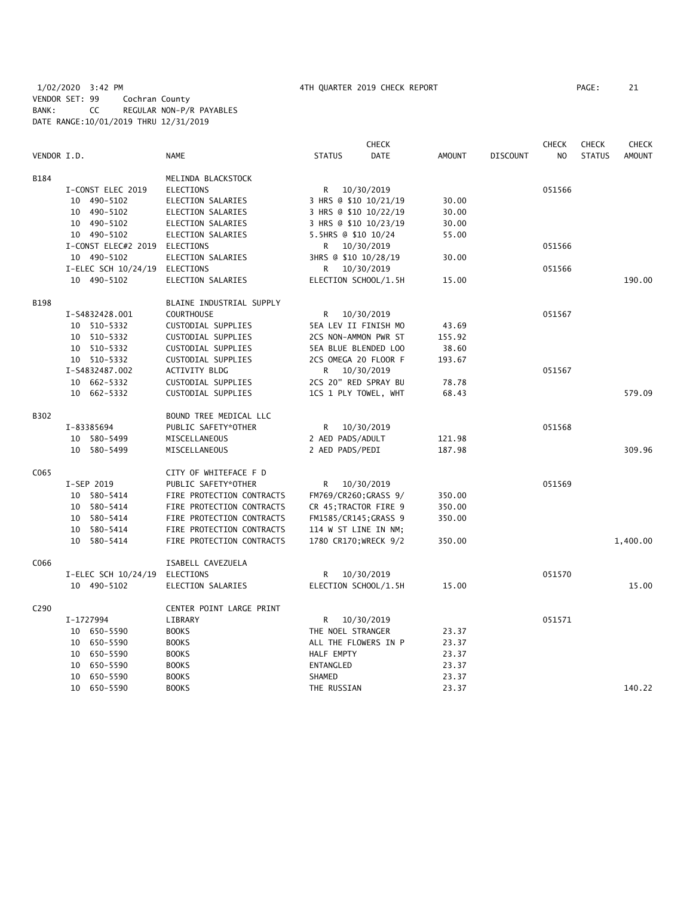1/02/2020 3:42 PM 4TH QUARTER 2019 CHECK REPORT PAGE: 21 VENDOR SET: 99 Cochran County BANK: CC REGULAR NON-P/R PAYABLES DATE RANGE:10/01/2019 THRU 12/31/2019

|             |                     |                           |                       | <b>CHECK</b> |               |                 | <b>CHECK</b>   | <b>CHECK</b>  | <b>CHECK</b>  |
|-------------|---------------------|---------------------------|-----------------------|--------------|---------------|-----------------|----------------|---------------|---------------|
| VENDOR I.D. |                     | <b>NAME</b>               | <b>STATUS</b>         | <b>DATE</b>  | <b>AMOUNT</b> | <b>DISCOUNT</b> | N <sub>O</sub> | <b>STATUS</b> | <b>AMOUNT</b> |
| B184        |                     | MELINDA BLACKSTOCK        |                       |              |               |                 |                |               |               |
|             | I-CONST ELEC 2019   | <b>ELECTIONS</b>          | R                     | 10/30/2019   |               |                 | 051566         |               |               |
|             | 10 490-5102         | ELECTION SALARIES         | 3 HRS @ \$10 10/21/19 |              | 30.00         |                 |                |               |               |
|             | 10 490-5102         | <b>ELECTION SALARIES</b>  | 3 HRS @ \$10 10/22/19 |              | 30.00         |                 |                |               |               |
|             | 10 490-5102         | ELECTION SALARIES         | 3 HRS @ \$10 10/23/19 |              | 30.00         |                 |                |               |               |
|             | 10 490-5102         | <b>ELECTION SALARIES</b>  | 5.5HRS @ \$10 10/24   |              | 55.00         |                 |                |               |               |
|             | I-CONST ELEC#2 2019 | ELECTIONS                 | R                     | 10/30/2019   |               |                 | 051566         |               |               |
|             | 10 490-5102         | ELECTION SALARIES         | 3HRS @ \$10 10/28/19  |              | 30.00         |                 |                |               |               |
|             | I-ELEC SCH 10/24/19 | ELECTIONS                 | R                     | 10/30/2019   |               |                 | 051566         |               |               |
|             | 10 490-5102         | ELECTION SALARIES         | ELECTION SCHOOL/1.5H  |              | 15.00         |                 |                |               | 190.00        |
| <b>B198</b> |                     | BLAINE INDUSTRIAL SUPPLY  |                       |              |               |                 |                |               |               |
|             | I-S4832428.001      | <b>COURTHOUSE</b>         | R                     | 10/30/2019   |               |                 | 051567         |               |               |
|             | 10 510-5332         | CUSTODIAL SUPPLIES        | 5EA LEV II FINISH MO  |              | 43.69         |                 |                |               |               |
|             | 10 510-5332         | CUSTODIAL SUPPLIES        | 2CS NON-AMMON PWR ST  |              | 155.92        |                 |                |               |               |
|             | 10 510-5332         | CUSTODIAL SUPPLIES        | 5EA BLUE BLENDED LOO  |              | 38.60         |                 |                |               |               |
|             | 10 510-5332         | CUSTODIAL SUPPLIES        | 2CS OMEGA 20 FLOOR F  |              | 193.67        |                 |                |               |               |
|             | I-S4832487.002      | <b>ACTIVITY BLDG</b>      | R.                    | 10/30/2019   |               |                 | 051567         |               |               |
|             | 10 662-5332         | CUSTODIAL SUPPLIES        | 2CS 20" RED SPRAY BU  |              | 78.78         |                 |                |               |               |
|             | 10 662-5332         | CUSTODIAL SUPPLIES        | 1CS 1 PLY TOWEL, WHT  |              | 68.43         |                 |                |               | 579.09        |
| B302        |                     | BOUND TREE MEDICAL LLC    |                       |              |               |                 |                |               |               |
|             | I-83385694          | PUBLIC SAFETY*OTHER       | R                     | 10/30/2019   |               |                 | 051568         |               |               |
|             | 10 580-5499         | MISCELLANEOUS             | 2 AED PADS/ADULT      |              | 121.98        |                 |                |               |               |
|             | 10 580-5499         | MISCELLANEOUS             | 2 AED PADS/PEDI       |              | 187.98        |                 |                |               | 309.96        |
| C065        |                     | CITY OF WHITEFACE F D     |                       |              |               |                 |                |               |               |
|             | I-SEP 2019          | PUBLIC SAFETY*OTHER       | R                     | 10/30/2019   |               |                 | 051569         |               |               |
|             | 10 580-5414         | FIRE PROTECTION CONTRACTS | FM769/CR260; GRASS 9/ |              | 350.00        |                 |                |               |               |
|             | 10 580-5414         | FIRE PROTECTION CONTRACTS | CR 45; TRACTOR FIRE 9 |              | 350.00        |                 |                |               |               |
|             | 10 580-5414         | FIRE PROTECTION CONTRACTS | FM1585/CR145; GRASS 9 |              | 350.00        |                 |                |               |               |
|             | 10 580-5414         | FIRE PROTECTION CONTRACTS | 114 W ST LINE IN NM;  |              |               |                 |                |               |               |
|             | 580-5414<br>10      | FIRE PROTECTION CONTRACTS | 1780 CR170; WRECK 9/2 |              | 350.00        |                 |                |               | 1,400.00      |
| C066        |                     | ISABELL CAVEZUELA         |                       |              |               |                 |                |               |               |
|             | I-ELEC SCH 10/24/19 | ELECTIONS                 | R                     | 10/30/2019   |               |                 | 051570         |               |               |
|             | 10 490-5102         | ELECTION SALARIES         | ELECTION SCHOOL/1.5H  |              | 15.00         |                 |                |               | 15.00         |
| C290        |                     | CENTER POINT LARGE PRINT  |                       |              |               |                 |                |               |               |
|             | I-1727994           | LIBRARY                   | R                     | 10/30/2019   |               |                 | 051571         |               |               |
|             | 10 650-5590         | <b>BOOKS</b>              | THE NOEL STRANGER     |              | 23.37         |                 |                |               |               |
|             | 10 650-5590         | <b>BOOKS</b>              | ALL THE FLOWERS IN P  |              | 23.37         |                 |                |               |               |
|             | 650-5590<br>10      | <b>BOOKS</b>              | HALF EMPTY            |              | 23.37         |                 |                |               |               |
|             | 650-5590<br>10      | <b>BOOKS</b>              | ENTANGLED             |              | 23.37         |                 |                |               |               |
|             | 650-5590<br>10      | <b>BOOKS</b>              | SHAMED                |              | 23.37         |                 |                |               |               |
|             | 10 650-5590         | <b>BOOKS</b>              | THE RUSSIAN           |              | 23.37         |                 |                |               | 140.22        |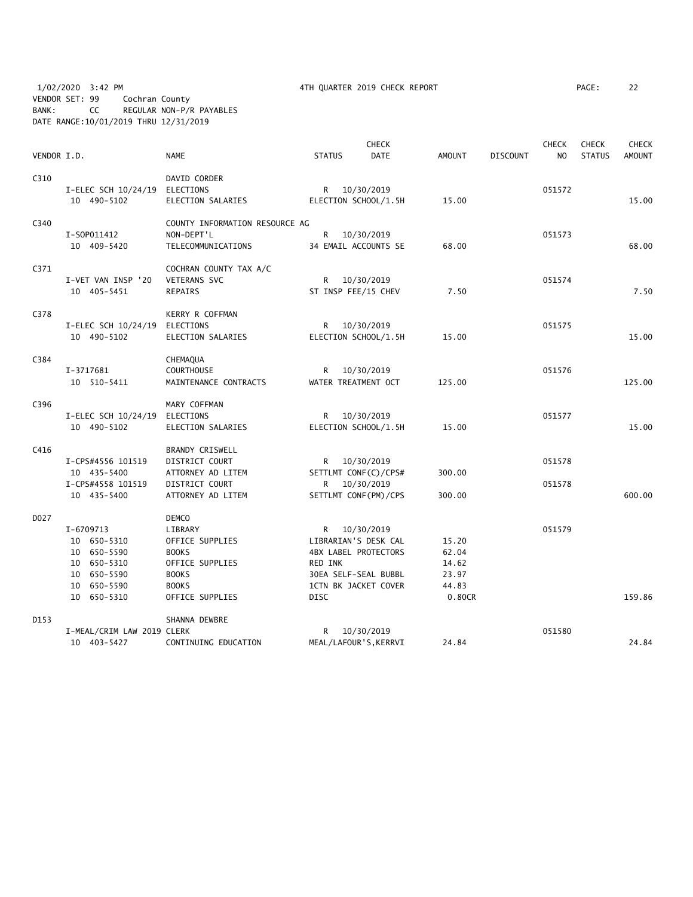1/02/2020 3:42 PM 4TH QUARTER 2019 CHECK REPORT PAGE: 22 VENDOR SET: 99 Cochran County BANK: CC REGULAR NON-P/R PAYABLES DATE RANGE:10/01/2019 THRU 12/31/2019

| PAGE : |  |
|--------|--|
|        |  |

|             |                            |                                |                |              | <b>CHECK</b>                                 |                |                 | <b>CHECK</b> | <b>CHECK</b>  | CHECK         |
|-------------|----------------------------|--------------------------------|----------------|--------------|----------------------------------------------|----------------|-----------------|--------------|---------------|---------------|
| VENDOR I.D. |                            | <b>NAME</b>                    | <b>STATUS</b>  |              | <b>DATE</b>                                  | <b>AMOUNT</b>  | <b>DISCOUNT</b> | NO           | <b>STATUS</b> | <b>AMOUNT</b> |
| C310        |                            | DAVID CORDER                   |                |              |                                              |                |                 |              |               |               |
|             | I-ELEC SCH 10/24/19        | ELECTIONS                      | R.             | 10/30/2019   |                                              |                |                 | 051572       |               |               |
|             | 10 490-5102                | ELECTION SALARIES              |                |              | ELECTION SCHOOL/1.5H                         | 15.00          |                 |              |               | 15.00         |
| C340        |                            | COUNTY INFORMATION RESOURCE AG |                |              |                                              |                |                 |              |               |               |
|             | I-S0P011412                | NON-DEPT'L                     | R              | 10/30/2019   |                                              |                |                 | 051573       |               |               |
|             | 10 409-5420                | TELECOMMUNICATIONS             |                |              | 34 EMAIL ACCOUNTS SE                         | 68.00          |                 |              |               | 68.00         |
| C371        |                            | COCHRAN COUNTY TAX A/C         |                |              |                                              |                |                 |              |               |               |
|             | I-VET VAN INSP '20         | VETERANS SVC                   | R              | 10/30/2019   |                                              |                |                 | 051574       |               |               |
|             | 10 405-5451                | <b>REPAIRS</b>                 |                |              | ST INSP FEE/15 CHEV                          | 7.50           |                 |              |               | 7.50          |
| C378        |                            | KERRY R COFFMAN                |                |              |                                              |                |                 |              |               |               |
|             | I-ELEC SCH 10/24/19        | ELECTIONS                      | R              | 10/30/2019   |                                              |                |                 | 051575       |               |               |
|             | 10 490-5102                | ELECTION SALARIES              |                |              | ELECTION SCHOOL/1.5H                         | 15.00          |                 |              |               | 15.00         |
| C384        |                            | CHEMAQUA                       |                |              |                                              |                |                 |              |               |               |
|             | I-3717681                  | <b>COURTHOUSE</b>              | R              | 10/30/2019   |                                              |                |                 | 051576       |               |               |
|             | 10 510-5411                | MAINTENANCE CONTRACTS          |                |              | WATER TREATMENT OCT                          | 125.00         |                 |              |               | 125.00        |
| C396        |                            | MARY COFFMAN                   |                |              |                                              |                |                 |              |               |               |
|             | I-ELEC SCH 10/24/19        | ELECTIONS                      | R.             | 10/30/2019   |                                              |                |                 | 051577       |               |               |
|             | 10 490-5102                | ELECTION SALARIES              |                |              | ELECTION SCHOOL/1.5H                         | 15.00          |                 |              |               | 15.00         |
| C416        |                            | <b>BRANDY CRISWELL</b>         |                |              |                                              |                |                 |              |               |               |
|             | I-CPS#4556 101519          | DISTRICT COURT                 | R <sub>a</sub> | 10/30/2019   |                                              |                |                 | 051578       |               |               |
|             | 10 435-5400                | ATTORNEY AD LITEM              |                |              | SETTLMT CONF(C)/CPS#                         | 300.00         |                 |              |               |               |
|             | I-CPS#4558 101519          | DISTRICT COURT                 | R              | 10/30/2019   |                                              |                |                 | 051578       |               |               |
|             | 10 435-5400                | ATTORNEY AD LITEM              |                |              | SETTLMT CONF (PM) / CPS                      | 300.00         |                 |              |               | 600.00        |
| D027        |                            | <b>DEMCO</b>                   |                |              |                                              |                |                 |              |               |               |
|             | I-6709713                  | LIBRARY                        |                | R 10/30/2019 |                                              |                |                 | 051579       |               |               |
|             | 10 650-5310                | OFFICE SUPPLIES                |                |              | LIBRARIAN'S DESK CAL                         | 15.20          |                 |              |               |               |
|             | 10 650-5590                | <b>BOOKS</b>                   |                |              | <b>4BX LABEL PROTECTORS</b>                  | 62.04          |                 |              |               |               |
|             | 10 650-5310                | OFFICE SUPPLIES                | RED INK        |              |                                              | 14.62          |                 |              |               |               |
|             | 10 650-5590<br>10 650-5590 | <b>BOOKS</b><br><b>BOOKS</b>   |                |              | 30EA SELF-SEAL BUBBL<br>1CTN BK JACKET COVER | 23.97<br>44.83 |                 |              |               |               |
|             | 10 650-5310                | OFFICE SUPPLIES                | <b>DISC</b>    |              |                                              | 0.80CR         |                 |              |               | 159.86        |
|             |                            |                                |                |              |                                              |                |                 |              |               |               |
| D153        |                            | SHANNA DEWBRE                  |                |              |                                              |                |                 |              |               |               |
|             | I-MEAL/CRIM LAW 2019 CLERK |                                | R              | 10/30/2019   |                                              |                |                 | 051580       |               |               |
|             | 10 403-5427                | CONTINUING EDUCATION           |                |              | MEAL/LAFOUR'S, KERRVI                        | 24.84          |                 |              |               | 24.84         |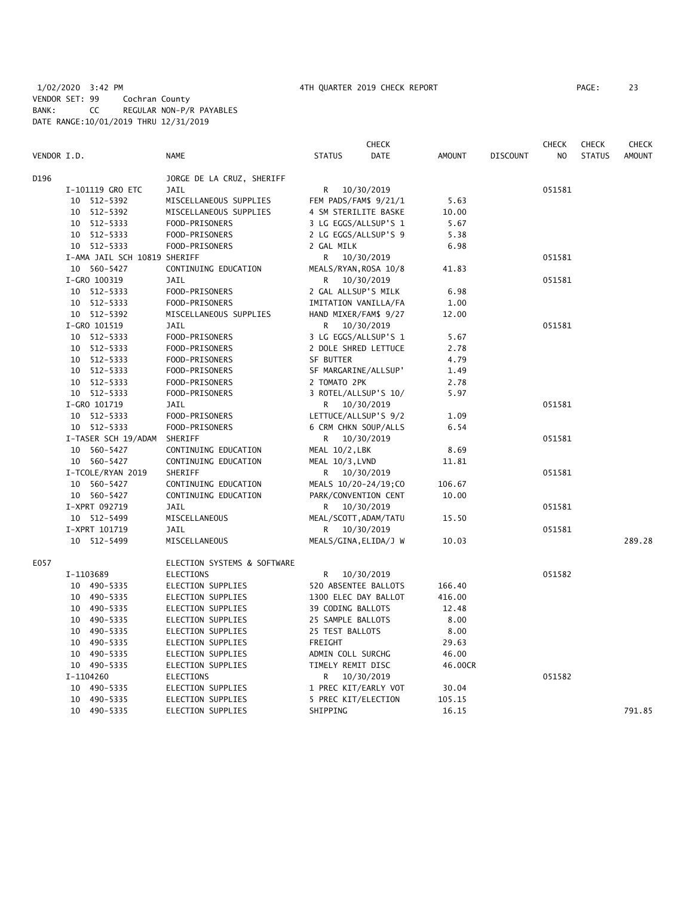# 1/02/2020 3:42 PM 4TH QUARTER 2019 CHECK REPORT PAGE: 23 VENDOR SET: 99 Cochran County BANK: CC REGULAR NON-P/R PAYABLES DATE RANGE:10/01/2019 THRU 12/31/2019

|             |                              |                             |                       | <b>CHECK</b> |               |                 | <b>CHECK</b> | <b>CHECK</b>  | CHECK         |
|-------------|------------------------------|-----------------------------|-----------------------|--------------|---------------|-----------------|--------------|---------------|---------------|
| VENDOR I.D. |                              | <b>NAME</b>                 | <b>STATUS</b>         | <b>DATE</b>  | <b>AMOUNT</b> | <b>DISCOUNT</b> | NO           | <b>STATUS</b> | <b>AMOUNT</b> |
| D196        |                              | JORGE DE LA CRUZ, SHERIFF   |                       |              |               |                 |              |               |               |
|             | I-101119 GRO ETC             | JAIL                        | R.                    | 10/30/2019   |               |                 | 051581       |               |               |
|             | 10 512-5392                  | MISCELLANEOUS SUPPLIES      | FEM PADS/FAM\$ 9/21/1 |              | 5.63          |                 |              |               |               |
|             | 10 512-5392                  | MISCELLANEOUS SUPPLIES      | 4 SM STERILITE BASKE  |              | 10.00         |                 |              |               |               |
|             | 10 512-5333                  | FOOD-PRISONERS              | 3 LG EGGS/ALLSUP'S 1  |              | 5.67          |                 |              |               |               |
|             | 10 512-5333                  | FOOD-PRISONERS              | 2 LG EGGS/ALLSUP'S 9  |              | 5.38          |                 |              |               |               |
|             | 10 512-5333                  | FOOD-PRISONERS              | 2 GAL MILK            |              | 6.98          |                 |              |               |               |
|             | I-AMA JAIL SCH 10819 SHERIFF |                             | R                     | 10/30/2019   |               |                 | 051581       |               |               |
|             | 10 560-5427                  | CONTINUING EDUCATION        | MEALS/RYAN, ROSA 10/8 |              | 41.83         |                 |              |               |               |
|             | I-GRO 100319                 | JAIL                        | R                     | 10/30/2019   |               |                 | 051581       |               |               |
|             | 10 512-5333                  | FOOD-PRISONERS              | 2 GAL ALLSUP'S MILK   |              | 6.98          |                 |              |               |               |
|             | 10 512-5333                  | FOOD-PRISONERS              | IMITATION VANILLA/FA  |              | 1.00          |                 |              |               |               |
|             |                              |                             |                       |              | 12.00         |                 |              |               |               |
|             | 10 512-5392                  | MISCELLANEOUS SUPPLIES      | HAND MIXER/FAM\$ 9/27 |              |               |                 | 051581       |               |               |
|             | I-GRO 101519                 | JAIL                        | R                     | 10/30/2019   |               |                 |              |               |               |
|             | 10 512-5333                  | FOOD-PRISONERS              | 3 LG EGGS/ALLSUP'S 1  |              | 5.67          |                 |              |               |               |
|             | 10 512-5333                  | FOOD-PRISONERS              | 2 DOLE SHRED LETTUCE  |              | 2.78          |                 |              |               |               |
|             | 10 512-5333                  | FOOD-PRISONERS              | SF BUTTER             |              | 4.79          |                 |              |               |               |
|             | 10 512-5333                  | FOOD-PRISONERS              | SF MARGARINE/ALLSUP'  |              | 1.49          |                 |              |               |               |
|             | 10 512-5333                  | FOOD-PRISONERS              | 2 TOMATO 2PK          |              | 2.78          |                 |              |               |               |
|             | 10 512-5333                  | FOOD-PRISONERS              | 3 ROTEL/ALLSUP'S 10/  |              | 5.97          |                 |              |               |               |
|             | I-GRO 101719                 | JAIL                        | R                     | 10/30/2019   |               |                 | 051581       |               |               |
|             | 10 512-5333                  | FOOD-PRISONERS              | LETTUCE/ALLSUP'S 9/2  |              | 1.09          |                 |              |               |               |
|             | 10 512-5333                  | FOOD-PRISONERS              | 6 CRM CHKN SOUP/ALLS  |              | 6.54          |                 |              |               |               |
|             | I-TASER SCH 19/ADAM          | SHERIFF                     | R                     | 10/30/2019   |               |                 | 051581       |               |               |
|             | 10 560-5427                  | CONTINUING EDUCATION        | MEAL 10/2, LBK        |              | 8.69          |                 |              |               |               |
|             | 10 560-5427                  | CONTINUING EDUCATION        | MEAL 10/3, LVND       |              | 11.81         |                 |              |               |               |
|             | I-TCOLE/RYAN 2019            | SHERIFF                     | R 10/30/2019          |              |               |                 | 051581       |               |               |
|             | 10 560-5427                  | CONTINUING EDUCATION        | MEALS 10/20-24/19;CO  |              | 106.67        |                 |              |               |               |
|             | 10 560-5427                  | CONTINUING EDUCATION        | PARK/CONVENTION CENT  |              | 10.00         |                 |              |               |               |
|             | I-XPRT 092719                | JAIL                        | R                     | 10/30/2019   |               |                 | 051581       |               |               |
|             | 10 512-5499                  | MISCELLANEOUS               | MEAL/SCOTT, ADAM/TATU |              | 15.50         |                 |              |               |               |
|             | I-XPRT 101719                | <b>JAIL</b>                 | R                     | 10/30/2019   |               |                 | 051581       |               |               |
|             | 10 512-5499                  | MISCELLANEOUS               | MEALS/GINA, ELIDA/J W |              | 10.03         |                 |              |               | 289.28        |
| E057        |                              | ELECTION SYSTEMS & SOFTWARE |                       |              |               |                 |              |               |               |
|             | I-1103689                    | <b>ELECTIONS</b>            | R                     | 10/30/2019   |               |                 | 051582       |               |               |
|             | 10 490-5335                  | ELECTION SUPPLIES           | 520 ABSENTEE BALLOTS  |              | 166.40        |                 |              |               |               |
|             | 10 490-5335                  | ELECTION SUPPLIES           | 1300 ELEC DAY BALLOT  |              | 416.00        |                 |              |               |               |
|             | 10 490-5335                  | ELECTION SUPPLIES           | 39 CODING BALLOTS     |              | 12.48         |                 |              |               |               |
|             | 10 490-5335                  | ELECTION SUPPLIES           | 25 SAMPLE BALLOTS     |              | 8.00          |                 |              |               |               |
|             | 10 490-5335                  | ELECTION SUPPLIES           | 25 TEST BALLOTS       |              | 8.00          |                 |              |               |               |
|             | 10 490-5335                  | ELECTION SUPPLIES           | FREIGHT               |              | 29.63         |                 |              |               |               |
|             | 490-5335<br>10               | ELECTION SUPPLIES           | ADMIN COLL SURCHG     |              | 46.00         |                 |              |               |               |
|             | 10 490-5335                  | ELECTION SUPPLIES           | TIMELY REMIT DISC     |              | 46.00CR       |                 |              |               |               |
|             | I-1104260                    | <b>ELECTIONS</b>            | R                     | 10/30/2019   |               |                 | 051582       |               |               |
|             | 10 490-5335                  | ELECTION SUPPLIES           | 1 PREC KIT/EARLY VOT  |              | 30.04         |                 |              |               |               |
|             | 490-5335<br>10               | ELECTION SUPPLIES           | 5 PREC KIT/ELECTION   |              | 105.15        |                 |              |               |               |
|             | 10 490-5335                  | ELECTION SUPPLIES           | SHIPPING              |              | 16.15         |                 |              |               | 791.85        |
|             |                              |                             |                       |              |               |                 |              |               |               |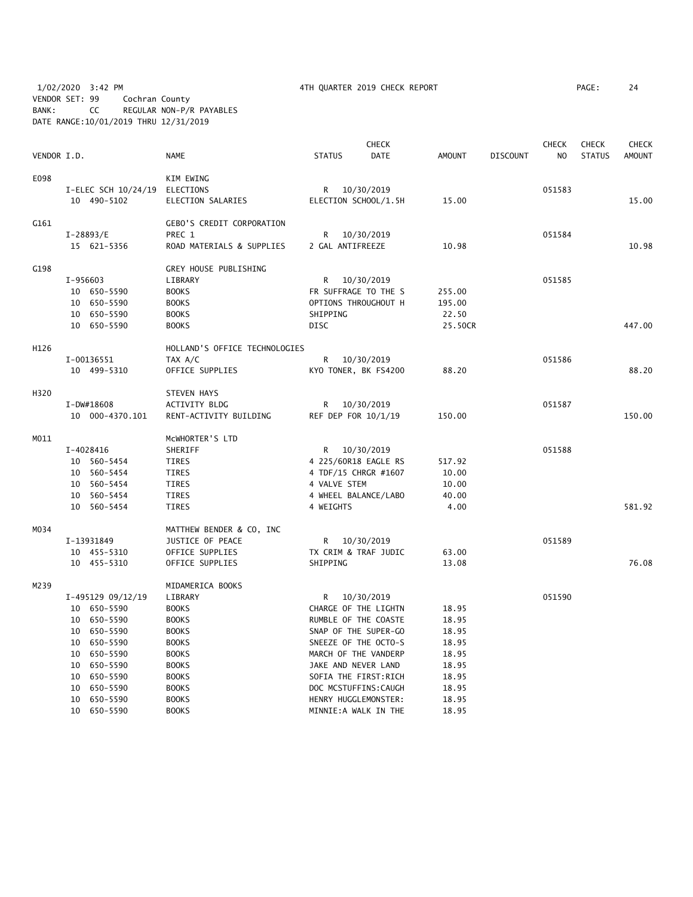1/02/2020 3:42 PM 4TH QUARTER 2019 CHECK REPORT PAGE: 24 VENDOR SET: 99 Cochran County BANK: CC REGULAR NON-P/R PAYABLES DATE RANGE:10/01/2019 THRU 12/31/2019

| VENDOR I.D. |            |                     | <b>NAME</b>                      | <b>STATUS</b>       | <b>CHECK</b><br><b>DATE</b> | <b>AMOUNT</b> | <b>DISCOUNT</b> | <b>CHECK</b><br>N <sub>O</sub> | <b>CHECK</b><br><b>STATUS</b> | <b>CHECK</b><br><b>AMOUNT</b> |
|-------------|------------|---------------------|----------------------------------|---------------------|-----------------------------|---------------|-----------------|--------------------------------|-------------------------------|-------------------------------|
|             |            |                     |                                  |                     |                             |               |                 |                                |                               |                               |
| E098        |            |                     | KIM EWING                        |                     |                             |               |                 |                                |                               |                               |
|             |            | I-ELEC SCH 10/24/19 | ELECTIONS                        | R                   | 10/30/2019                  |               |                 | 051583                         |                               |                               |
|             |            | 10 490-5102         | ELECTION SALARIES                |                     | ELECTION SCHOOL/1.5H        | 15.00         |                 |                                |                               | 15.00                         |
| G161        |            |                     | <b>GEBO'S CREDIT CORPORATION</b> |                     |                             |               |                 |                                |                               |                               |
|             | I-28893/E  |                     | PREC 1                           | R                   | 10/30/2019                  |               |                 | 051584                         |                               |                               |
|             |            | 15 621-5356         | ROAD MATERIALS & SUPPLIES        | 2 GAL ANTIFREEZE    |                             | 10.98         |                 |                                |                               | 10.98                         |
| G198        |            |                     | GREY HOUSE PUBLISHING            |                     |                             |               |                 |                                |                               |                               |
|             | I-956603   |                     | LIBRARY                          | R                   | 10/30/2019                  |               |                 | 051585                         |                               |                               |
|             |            | 10 650-5590         | <b>BOOKS</b>                     |                     | FR SUFFRAGE TO THE S        | 255.00        |                 |                                |                               |                               |
|             |            | 10 650-5590         | <b>BOOKS</b>                     |                     | OPTIONS THROUGHOUT H        | 195.00        |                 |                                |                               |                               |
|             |            | 10 650-5590         | <b>BOOKS</b>                     | SHIPPING            |                             | 22.50         |                 |                                |                               |                               |
|             |            | 10 650-5590         | <b>BOOKS</b>                     | <b>DISC</b>         |                             | 25.50CR       |                 |                                |                               | 447.00                        |
| H126        |            |                     | HOLLAND'S OFFICE TECHNOLOGIES    |                     |                             |               |                 |                                |                               |                               |
|             | I-00136551 |                     | TAX A/C                          | R.                  | 10/30/2019                  |               |                 | 051586                         |                               |                               |
|             |            | 10 499-5310         | OFFICE SUPPLIES                  |                     | KYO TONER, BK FS4200        | 88.20         |                 |                                |                               | 88.20                         |
| H320        |            |                     | <b>STEVEN HAYS</b>               |                     |                             |               |                 |                                |                               |                               |
|             | I-DW#18608 |                     | ACTIVITY BLDG                    | R                   | 10/30/2019                  |               |                 | 051587                         |                               |                               |
|             |            | 10 000-4370.101     | RENT-ACTIVITY BUILDING           | REF DEP FOR 10/1/19 |                             | 150.00        |                 |                                |                               | 150.00                        |
| M011        |            |                     | MCWHORTER'S LTD                  |                     |                             |               |                 |                                |                               |                               |
|             | I-4028416  |                     | SHERIFF                          | R                   | 10/30/2019                  |               |                 | 051588                         |                               |                               |
|             |            | 10 560-5454         | TIRES                            |                     | 4 225/60R18 EAGLE RS        | 517.92        |                 |                                |                               |                               |
|             |            | 10 560-5454         | <b>TIRES</b>                     |                     | 4 TDF/15 CHRGR #1607        | 10.00         |                 |                                |                               |                               |
|             |            | 10 560-5454         | TIRES                            | 4 VALVE STEM        |                             | 10.00         |                 |                                |                               |                               |
|             |            | 10 560-5454         | TIRES                            |                     | 4 WHEEL BALANCE/LABO        | 40.00         |                 |                                |                               |                               |
|             |            | 10 560-5454         | <b>TIRES</b>                     | 4 WEIGHTS           |                             | 4.00          |                 |                                |                               | 581.92                        |
| M034        |            |                     | MATTHEW BENDER & CO, INC         |                     |                             |               |                 |                                |                               |                               |
|             | I-13931849 |                     | JUSTICE OF PEACE                 | R                   | 10/30/2019                  |               |                 | 051589                         |                               |                               |
|             |            | 10 455-5310         | OFFICE SUPPLIES                  |                     | TX CRIM & TRAF JUDIC        | 63.00         |                 |                                |                               |                               |
|             |            | 10 455-5310         | OFFICE SUPPLIES                  | SHIPPING            |                             | 13.08         |                 |                                |                               | 76.08                         |
| M239        |            |                     | MIDAMERICA BOOKS                 |                     |                             |               |                 |                                |                               |                               |
|             |            | I-495129 09/12/19   | LIBRARY                          | R.                  | 10/30/2019                  |               |                 | 051590                         |                               |                               |
|             |            | 10 650-5590         | <b>BOOKS</b>                     |                     | CHARGE OF THE LIGHTN        | 18.95         |                 |                                |                               |                               |
|             |            | 10 650-5590         | <b>BOOKS</b>                     |                     | RUMBLE OF THE COASTE        | 18.95         |                 |                                |                               |                               |
|             |            | 10 650-5590         | <b>BOOKS</b>                     |                     | SNAP OF THE SUPER-GO        | 18.95         |                 |                                |                               |                               |
|             | 10         | 650–5590            | <b>BOOKS</b>                     |                     | SNEEZE OF THE OCTO-S        | 18.95         |                 |                                |                               |                               |
|             | 10         | 650-5590            | <b>BOOKS</b>                     |                     | MARCH OF THE VANDERP        | 18.95         |                 |                                |                               |                               |
|             | 10         | 650-5590            | <b>BOOKS</b>                     | JAKE AND NEVER LAND |                             | 18.95         |                 |                                |                               |                               |
|             | 10         | 650-5590            | <b>BOOKS</b>                     |                     | SOFIA THE FIRST: RICH       | 18.95         |                 |                                |                               |                               |
|             | 10         | 650-5590            | <b>BOOKS</b>                     |                     | DOC MCSTUFFINS: CAUGH       | 18.95         |                 |                                |                               |                               |
|             | 10         | 650-5590            | <b>BOOKS</b>                     |                     | HENRY HUGGLEMONSTER:        | 18.95         |                 |                                |                               |                               |
|             |            | 10 650-5590         | <b>BOOKS</b>                     |                     | MINNIE:A WALK IN THE        | 18.95         |                 |                                |                               |                               |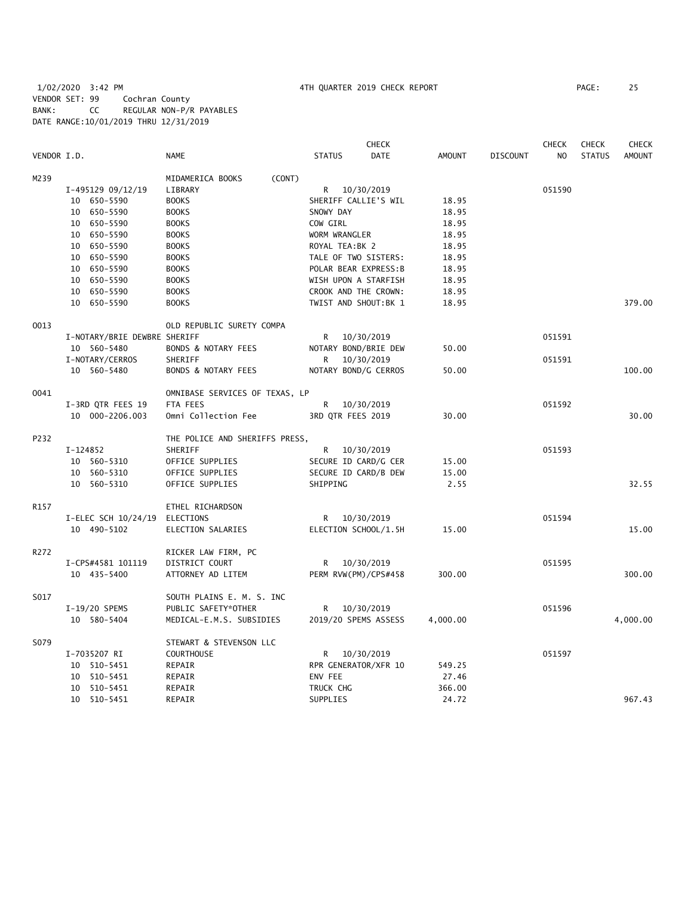# 1/02/2020 3:42 PM 4TH QUARTER 2019 CHECK REPORT PAGE: 25 VENDOR SET: 99 Cochran County BANK: CC REGULAR NON-P/R PAYABLES DATE RANGE:10/01/2019 THRU 12/31/2019

|             |                              |                                |                       | <b>CHECK</b> |               |                 | <b>CHECK</b>   | <b>CHECK</b>  | <b>CHECK</b>  |
|-------------|------------------------------|--------------------------------|-----------------------|--------------|---------------|-----------------|----------------|---------------|---------------|
| VENDOR I.D. |                              | <b>NAME</b>                    | <b>STATUS</b>         | <b>DATE</b>  | <b>AMOUNT</b> | <b>DISCOUNT</b> | N <sub>O</sub> | <b>STATUS</b> | <b>AMOUNT</b> |
| M239        |                              | MIDAMERICA BOOKS<br>(CONT)     |                       |              |               |                 |                |               |               |
|             | I-495129 09/12/19            | LIBRARY                        | R 10/30/2019          |              |               |                 | 051590         |               |               |
|             | 10 650-5590                  | <b>BOOKS</b>                   | SHERIFF CALLIE'S WIL  |              | 18.95         |                 |                |               |               |
|             | 10 650-5590                  | <b>BOOKS</b>                   | SNOWY DAY             |              | 18.95         |                 |                |               |               |
|             | 10 650-5590                  | <b>BOOKS</b>                   | COW GIRL              |              | 18.95         |                 |                |               |               |
|             | 10 650-5590                  | <b>BOOKS</b>                   | WORM WRANGLER         |              | 18.95         |                 |                |               |               |
|             | 10 650-5590                  | <b>BOOKS</b>                   | ROYAL TEA:BK 2        |              | 18.95         |                 |                |               |               |
|             | 10 650-5590                  | <b>BOOKS</b>                   | TALE OF TWO SISTERS:  |              | 18.95         |                 |                |               |               |
|             | 10 650-5590                  | <b>BOOKS</b>                   | POLAR BEAR EXPRESS: B |              | 18.95         |                 |                |               |               |
|             | 10 650-5590                  | <b>BOOKS</b>                   | WISH UPON A STARFISH  |              | 18.95         |                 |                |               |               |
|             | 10 650-5590                  | <b>BOOKS</b>                   | CROOK AND THE CROWN:  |              | 18.95         |                 |                |               |               |
|             | 10 650-5590                  | <b>BOOKS</b>                   | TWIST AND SHOUT: BK 1 |              | 18.95         |                 |                |               | 379.00        |
| 0013        |                              | OLD REPUBLIC SURETY COMPA      |                       |              |               |                 |                |               |               |
|             | I-NOTARY/BRIE DEWBRE SHERIFF |                                | 10/30/2019<br>R       |              |               |                 | 051591         |               |               |
|             | 10 560-5480                  | <b>BONDS &amp; NOTARY FEES</b> | NOTARY BOND/BRIE DEW  |              | 50.00         |                 |                |               |               |
|             | I-NOTARY/CERROS              | SHERIFF                        | 10/30/2019<br>R       |              |               |                 | 051591         |               |               |
|             | 10 560-5480                  | BONDS & NOTARY FEES            | NOTARY BOND/G CERROS  |              | 50.00         |                 |                |               | 100.00        |
| 0041        |                              | OMNIBASE SERVICES OF TEXAS, LP |                       |              |               |                 |                |               |               |
|             | I-3RD QTR FEES 19            | FTA FEES                       | R<br>10/30/2019       |              |               |                 | 051592         |               |               |
|             | 10 000-2206.003              | Omni Collection Fee            | 3RD QTR FEES 2019     |              | 30.00         |                 |                |               | 30.00         |
| P232        |                              | THE POLICE AND SHERIFFS PRESS, |                       |              |               |                 |                |               |               |
|             | I-124852                     | SHERIFF                        | R 10/30/2019          |              |               |                 | 051593         |               |               |
|             | 10 560-5310                  | OFFICE SUPPLIES                | SECURE ID CARD/G CER  |              | 15.00         |                 |                |               |               |
|             | 10 560-5310                  | OFFICE SUPPLIES                | SECURE ID CARD/B DEW  |              | 15.00         |                 |                |               |               |
|             | 10 560-5310                  | OFFICE SUPPLIES                | SHIPPING              |              | 2.55          |                 |                |               | 32.55         |
| R157        |                              | ETHEL RICHARDSON               |                       |              |               |                 |                |               |               |
|             | I-ELEC SCH 10/24/19          | ELECTIONS                      | R 10/30/2019          |              |               |                 | 051594         |               |               |
|             | 10 490-5102                  | ELECTION SALARIES              | ELECTION SCHOOL/1.5H  |              | 15.00         |                 |                |               | 15.00         |
| R272        |                              | RICKER LAW FIRM, PC            |                       |              |               |                 |                |               |               |
|             | I-CPS#4581 101119            | DISTRICT COURT                 | R<br>10/30/2019       |              |               |                 | 051595         |               |               |
|             | 10 435-5400                  | ATTORNEY AD LITEM              | PERM RVW(PM)/CPS#458  |              | 300.00        |                 |                |               | 300.00        |
| S017        |                              | SOUTH PLAINS E. M. S. INC      |                       |              |               |                 |                |               |               |
|             | I-19/20 SPEMS                | PUBLIC SAFETY*OTHER            | R<br>10/30/2019       |              |               |                 | 051596         |               |               |
|             | 10 580-5404                  | MEDICAL-E.M.S. SUBSIDIES       | 2019/20 SPEMS ASSESS  |              | 4,000.00      |                 |                |               | 4,000.00      |
| S079        |                              | STEWART & STEVENSON LLC        |                       |              |               |                 |                |               |               |
|             | I-7035207 RI                 | <b>COURTHOUSE</b>              | R 10/30/2019          |              |               |                 | 051597         |               |               |
|             | 10 510-5451                  | REPAIR                         | RPR GENERATOR/XFR 10  |              | 549.25        |                 |                |               |               |
|             | 10 510-5451                  | REPAIR                         | ENV FEE               |              | 27.46         |                 |                |               |               |
|             | 10 510-5451                  | REPAIR                         | TRUCK CHG             |              | 366.00        |                 |                |               |               |
|             | 10 510-5451                  | REPAIR                         | SUPPLIES              |              | 24.72         |                 |                |               | 967.43        |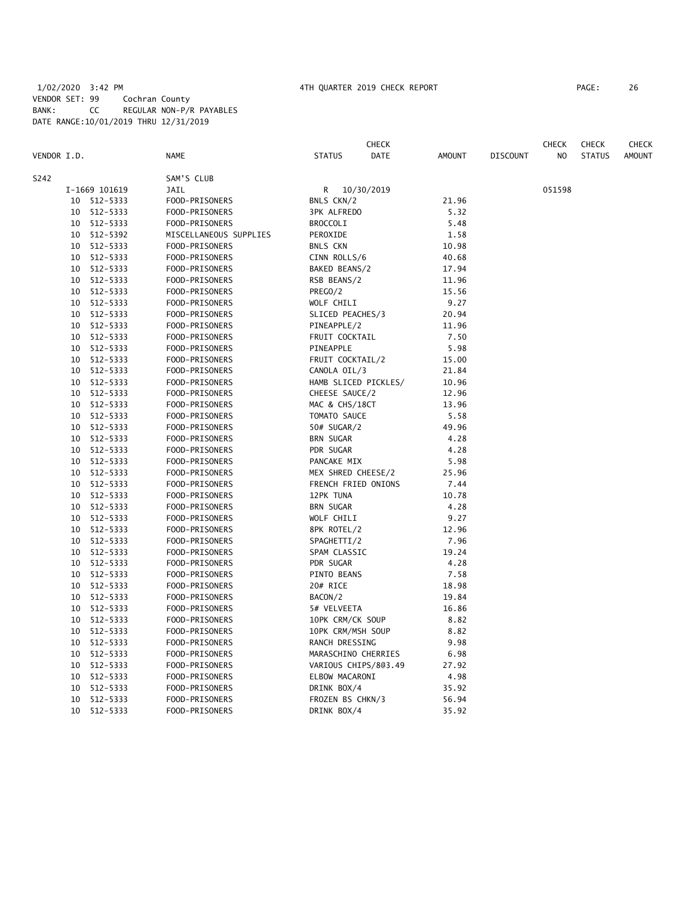# 1/02/2020 3:42 PM 4TH QUARTER 2019 CHECK REPORT PAGE: 26 VENDOR SET: 99 Cochran County BANK: CC REGULAR NON-P/R PAYABLES DATE RANGE:10/01/2019 THRU 12/31/2019

|             |    |               |                        |                      | <b>CHECK</b> |               |                 | <b>CHECK</b> | <b>CHECK</b>  | <b>CHECK</b>  |
|-------------|----|---------------|------------------------|----------------------|--------------|---------------|-----------------|--------------|---------------|---------------|
| VENDOR I.D. |    |               | <b>NAME</b>            | <b>STATUS</b>        | DATE         | <b>AMOUNT</b> | <b>DISCOUNT</b> | NO           | <b>STATUS</b> | <b>AMOUNT</b> |
| S242        |    |               | SAM'S CLUB             |                      |              |               |                 |              |               |               |
|             |    | I-1669 101619 | JAIL                   | R                    | 10/30/2019   |               |                 | 051598       |               |               |
|             |    | 10 512-5333   | FOOD-PRISONERS         | BNLS CKN/2           |              | 21.96         |                 |              |               |               |
|             | 10 | 512-5333      | FOOD-PRISONERS         | <b>3PK ALFREDO</b>   |              | 5.32          |                 |              |               |               |
|             |    | 10 512-5333   | FOOD-PRISONERS         | <b>BROCCOLI</b>      |              | 5.48          |                 |              |               |               |
|             | 10 | 512-5392      | MISCELLANEOUS SUPPLIES | PEROXIDE             |              | 1.58          |                 |              |               |               |
|             | 10 | 512-5333      | FOOD-PRISONERS         | <b>BNLS CKN</b>      |              | 10.98         |                 |              |               |               |
|             | 10 | 512-5333      | FOOD-PRISONERS         | CINN ROLLS/6         |              | 40.68         |                 |              |               |               |
|             | 10 | 512-5333      | FOOD-PRISONERS         | BAKED BEANS/2        |              | 17.94         |                 |              |               |               |
|             | 10 | 512-5333      | FOOD-PRISONERS         | RSB BEANS/2          |              | 11.96         |                 |              |               |               |
|             | 10 | 512-5333      | FOOD-PRISONERS         | PREGO/2              |              | 15.56         |                 |              |               |               |
|             | 10 | 512-5333      | FOOD-PRISONERS         | WOLF CHILI           |              | 9.27          |                 |              |               |               |
|             | 10 | 512-5333      | FOOD-PRISONERS         | SLICED PEACHES/3     |              | 20.94         |                 |              |               |               |
|             | 10 | 512-5333      | FOOD-PRISONERS         | PINEAPPLE/2          |              | 11.96         |                 |              |               |               |
|             | 10 | 512-5333      | FOOD-PRISONERS         | FRUIT COCKTAIL       |              | 7.50          |                 |              |               |               |
|             | 10 | 512-5333      | FOOD-PRISONERS         | PINEAPPLE            |              | 5.98          |                 |              |               |               |
|             | 10 | 512-5333      | FOOD-PRISONERS         | FRUIT COCKTAIL/2     |              | 15.00         |                 |              |               |               |
|             | 10 | 512-5333      | FOOD-PRISONERS         | CANOLA OIL/3         |              | 21.84         |                 |              |               |               |
|             | 10 | 512-5333      | FOOD-PRISONERS         | HAMB SLICED PICKLES/ |              | 10.96         |                 |              |               |               |
|             | 10 | 512-5333      | FOOD-PRISONERS         | CHEESE SAUCE/2       |              | 12.96         |                 |              |               |               |
|             | 10 | 512-5333      | FOOD-PRISONERS         | MAC & CHS/18CT       |              | 13.96         |                 |              |               |               |
|             | 10 | 512-5333      | FOOD-PRISONERS         | TOMATO SAUCE         |              | 5.58          |                 |              |               |               |
|             | 10 | 512-5333      | FOOD-PRISONERS         | 50# SUGAR/2          |              | 49.96         |                 |              |               |               |
|             | 10 | 512-5333      | FOOD-PRISONERS         | <b>BRN SUGAR</b>     |              | 4.28          |                 |              |               |               |
|             | 10 | 512-5333      | FOOD-PRISONERS         | PDR SUGAR            |              | 4.28          |                 |              |               |               |
|             | 10 | 512-5333      | FOOD-PRISONERS         | PANCAKE MIX          |              | 5.98          |                 |              |               |               |
|             | 10 | 512-5333      | FOOD-PRISONERS         | MEX SHRED CHEESE/2   |              | 25.96         |                 |              |               |               |
|             | 10 | 512-5333      | FOOD-PRISONERS         | FRENCH FRIED ONIONS  |              | 7.44          |                 |              |               |               |
|             | 10 | 512-5333      | FOOD-PRISONERS         | 12PK TUNA            |              | 10.78         |                 |              |               |               |
|             | 10 |               |                        |                      |              |               |                 |              |               |               |
|             |    | 512-5333      | FOOD-PRISONERS         | <b>BRN SUGAR</b>     |              | 4.28          |                 |              |               |               |
|             | 10 | 512-5333      | FOOD-PRISONERS         | WOLF CHILI           |              | 9.27          |                 |              |               |               |
|             | 10 | 512-5333      | FOOD-PRISONERS         | 8PK ROTEL/2          |              | 12.96         |                 |              |               |               |
|             | 10 | 512-5333      | FOOD-PRISONERS         | SPAGHETTI/2          |              | 7.96          |                 |              |               |               |
|             | 10 | 512-5333      | FOOD-PRISONERS         | SPAM CLASSIC         |              | 19.24         |                 |              |               |               |
|             | 10 | 512-5333      | FOOD-PRISONERS         | PDR SUGAR            |              | 4.28          |                 |              |               |               |
|             |    | 10 512-5333   | FOOD-PRISONERS         | PINTO BEANS          |              | 7.58          |                 |              |               |               |
|             | 10 | 512-5333      | FOOD-PRISONERS         | 20# RICE             |              | 18.98         |                 |              |               |               |
|             |    | 10 512-5333   | FOOD-PRISONERS         | BACON/2              |              | 19.84         |                 |              |               |               |
|             |    | 10 512-5333   | FOOD-PRISONERS         | 5# VELVEETA          |              | 16.86         |                 |              |               |               |
|             |    | 10 512-5333   | FOOD-PRISONERS         | 10PK CRM/CK SOUP     |              | 8.82          |                 |              |               |               |
|             | 10 | 512-5333      | FOOD-PRISONERS         | 10PK CRM/MSH SOUP    |              | 8.82          |                 |              |               |               |
|             | 10 | 512-5333      | FOOD-PRISONERS         | RANCH DRESSING       |              | 9.98          |                 |              |               |               |
|             | 10 | 512-5333      | FOOD-PRISONERS         | MARASCHINO CHERRIES  |              | 6.98          |                 |              |               |               |
|             | 10 | 512-5333      | FOOD-PRISONERS         | VARIOUS CHIPS/803.49 |              | 27.92         |                 |              |               |               |
|             | 10 | 512-5333      | FOOD-PRISONERS         | ELBOW MACARONI       |              | 4.98          |                 |              |               |               |
|             | 10 | 512-5333      | FOOD-PRISONERS         | DRINK BOX/4          |              | 35.92         |                 |              |               |               |
|             | 10 | 512-5333      | FOOD-PRISONERS         | FROZEN BS CHKN/3     |              | 56.94         |                 |              |               |               |
|             | 10 | 512-5333      | FOOD-PRISONERS         | DRINK BOX/4          |              | 35.92         |                 |              |               |               |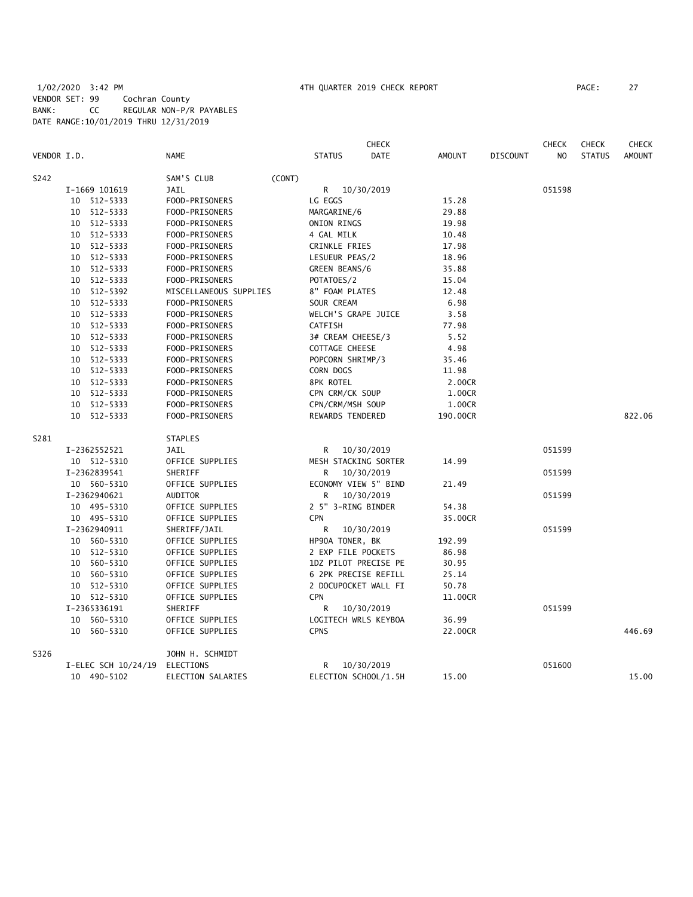# 1/02/2020 3:42 PM 4TH QUARTER 2019 CHECK REPORT PAGE: 27 VENDOR SET: 99 Cochran County BANK: CC REGULAR NON-P/R PAYABLES DATE RANGE:10/01/2019 THRU 12/31/2019

|             |                     |                        |        |                     | <b>CHECK</b>         |               |                 | <b>CHECK</b>   | <b>CHECK</b>  | <b>CHECK</b>  |
|-------------|---------------------|------------------------|--------|---------------------|----------------------|---------------|-----------------|----------------|---------------|---------------|
| VENDOR I.D. |                     | <b>NAME</b>            |        | <b>STATUS</b>       | <b>DATE</b>          | <b>AMOUNT</b> | <b>DISCOUNT</b> | N <sub>O</sub> | <b>STATUS</b> | <b>AMOUNT</b> |
| S242        |                     | SAM'S CLUB             | (CONT) |                     |                      |               |                 |                |               |               |
|             | I-1669 101619       | <b>JAIL</b>            |        | R                   | 10/30/2019           |               |                 | 051598         |               |               |
|             | 10 512-5333         | FOOD-PRISONERS         |        | LG EGGS             |                      | 15.28         |                 |                |               |               |
|             | 10 512-5333         | FOOD-PRISONERS         |        | MARGARINE/6         |                      | 29.88         |                 |                |               |               |
|             | 10 512-5333         | FOOD-PRISONERS         |        | ONION RINGS         |                      | 19.98         |                 |                |               |               |
|             | 10 512-5333         | FOOD-PRISONERS         |        | 4 GAL MILK          |                      | 10.48         |                 |                |               |               |
|             | 10 512-5333         | FOOD-PRISONERS         |        | CRINKLE FRIES       |                      | 17.98         |                 |                |               |               |
|             | 10 512-5333         | FOOD-PRISONERS         |        | LESUEUR PEAS/2      |                      | 18.96         |                 |                |               |               |
|             | 10 512-5333         | FOOD-PRISONERS         |        | GREEN BEANS/6       |                      | 35.88         |                 |                |               |               |
|             | 10 512-5333         | FOOD-PRISONERS         |        | POTATOES/2          |                      | 15.04         |                 |                |               |               |
|             | 10 512-5392         | MISCELLANEOUS SUPPLIES |        | 8" FOAM PLATES      |                      | 12.48         |                 |                |               |               |
|             | 10 512-5333         | FOOD-PRISONERS         |        | SOUR CREAM          |                      | 6.98          |                 |                |               |               |
|             | 10 512-5333         | FOOD-PRISONERS         |        | WELCH'S GRAPE JUICE |                      | 3.58          |                 |                |               |               |
|             | 10 512-5333         | FOOD-PRISONERS         |        | CATFISH             |                      | 77.98         |                 |                |               |               |
|             | 10 512-5333         | FOOD-PRISONERS         |        | 3# CREAM CHEESE/3   |                      | 5.52          |                 |                |               |               |
|             | 10 512-5333         | FOOD-PRISONERS         |        | COTTAGE CHEESE      |                      | 4.98          |                 |                |               |               |
|             | 10 512-5333         | FOOD-PRISONERS         |        | POPCORN SHRIMP/3    |                      | 35.46         |                 |                |               |               |
|             | 10 512-5333         | FOOD-PRISONERS         |        | CORN DOGS           |                      | 11.98         |                 |                |               |               |
|             | 10 512-5333         | FOOD-PRISONERS         |        | 8PK ROTEL           |                      | 2.00CR        |                 |                |               |               |
|             | 10 512-5333         | FOOD-PRISONERS         |        | CPN CRM/CK SOUP     |                      | 1.00CR        |                 |                |               |               |
|             | 10 512-5333         | FOOD-PRISONERS         |        | CPN/CRM/MSH SOUP    |                      | 1.00CR        |                 |                |               |               |
|             | 10 512-5333         | FOOD-PRISONERS         |        | REWARDS TENDERED    |                      | 190.00CR      |                 |                |               | 822.06        |
| S281        |                     | <b>STAPLES</b>         |        |                     |                      |               |                 |                |               |               |
|             | I-2362552521        | JAIL                   |        | R                   | 10/30/2019           |               |                 | 051599         |               |               |
|             | 10 512-5310         | OFFICE SUPPLIES        |        |                     | MESH STACKING SORTER | 14.99         |                 |                |               |               |
|             | I-2362839541        | SHERIFF                |        | R                   | 10/30/2019           |               |                 | 051599         |               |               |
|             | 10 560-5310         | OFFICE SUPPLIES        |        |                     | ECONOMY VIEW 5" BIND | 21.49         |                 |                |               |               |
|             | I-2362940621        | <b>AUDITOR</b>         |        | R                   | 10/30/2019           |               |                 | 051599         |               |               |
|             | 10 495-5310         | OFFICE SUPPLIES        |        | 2 5" 3-RING BINDER  |                      | 54.38         |                 |                |               |               |
|             | 10 495-5310         | OFFICE SUPPLIES        |        | <b>CPN</b>          |                      | 35.00CR       |                 |                |               |               |
|             | I-2362940911        | SHERIFF/JAIL           |        | R                   | 10/30/2019           |               |                 | 051599         |               |               |
|             | 10 560-5310         | OFFICE SUPPLIES        |        | HP90A TONER, BK     |                      | 192.99        |                 |                |               |               |
|             | 10 512-5310         | OFFICE SUPPLIES        |        | 2 EXP FILE POCKETS  |                      | 86.98         |                 |                |               |               |
|             | 10 560-5310         | OFFICE SUPPLIES        |        |                     | 1DZ PILOT PRECISE PE | 30.95         |                 |                |               |               |
|             | 10 560-5310         | OFFICE SUPPLIES        |        |                     | 6 2PK PRECISE REFILL | 25.14         |                 |                |               |               |
|             | 10 512-5310         | OFFICE SUPPLIES        |        |                     | 2 DOCUPOCKET WALL FI | 50.78         |                 |                |               |               |
|             | 10 512-5310         | OFFICE SUPPLIES        |        | <b>CPN</b>          |                      | 11.00CR       |                 |                |               |               |
|             | I-2365336191        | SHERIFF                |        | R                   | 10/30/2019           |               |                 | 051599         |               |               |
|             | 10 560-5310         | OFFICE SUPPLIES        |        |                     | LOGITECH WRLS KEYBOA | 36.99         |                 |                |               |               |
|             | 10 560-5310         | OFFICE SUPPLIES        |        | <b>CPNS</b>         |                      | 22.00CR       |                 |                |               | 446.69        |
| S326        |                     | JOHN H. SCHMIDT        |        |                     |                      |               |                 |                |               |               |
|             | I-ELEC SCH 10/24/19 | ELECTIONS              |        | R                   | 10/30/2019           |               |                 | 051600         |               |               |
|             | 10 490-5102         | ELECTION SALARIES      |        |                     | ELECTION SCHOOL/1.5H | 15.00         |                 |                |               | 15.00         |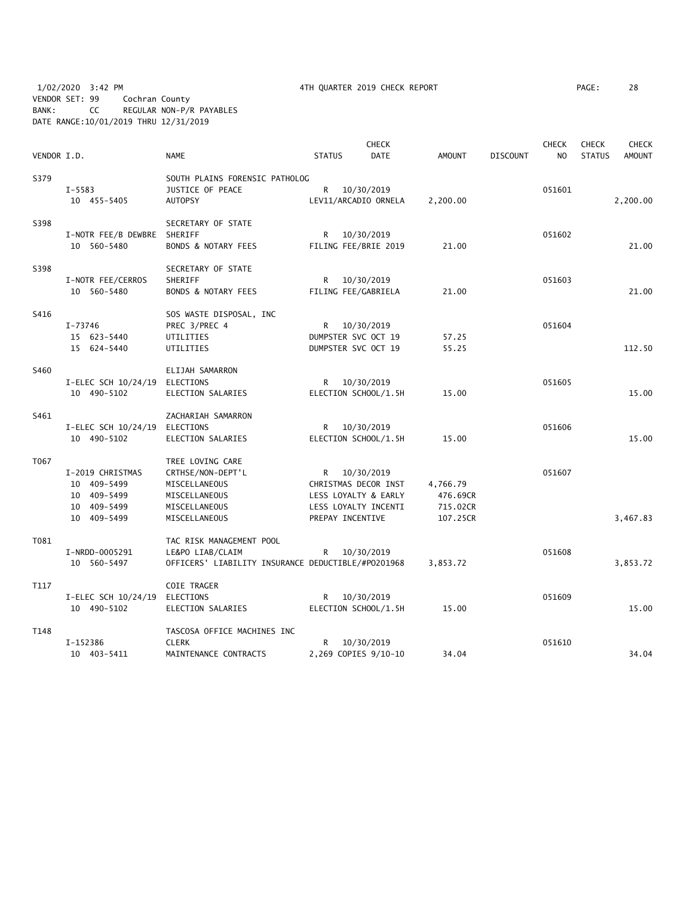1/02/2020 3:42 PM 4TH QUARTER 2019 CHECK REPORT PAGE: 28 VENDOR SET: 99 Cochran County BANK: CC REGULAR NON-P/R PAYABLES DATE RANGE:10/01/2019 THRU 12/31/2019

|             |                               |                                                    |               |                      | <b>CHECK</b> |               |                 | <b>CHECK</b> | <b>CHECK</b>  | <b>CHECK</b>  |
|-------------|-------------------------------|----------------------------------------------------|---------------|----------------------|--------------|---------------|-----------------|--------------|---------------|---------------|
| VENDOR I.D. |                               | <b>NAME</b>                                        | <b>STATUS</b> |                      | <b>DATE</b>  | <b>AMOUNT</b> | <b>DISCOUNT</b> | NO           | <b>STATUS</b> | <b>AMOUNT</b> |
| S379        |                               | SOUTH PLAINS FORENSIC PATHOLOG                     |               |                      |              |               |                 |              |               |               |
|             | $I - 5583$                    | JUSTICE OF PEACE                                   | R             | 10/30/2019           |              |               |                 | 051601       |               |               |
|             | 10 455-5405                   | <b>AUTOPSY</b>                                     |               | LEV11/ARCADIO ORNELA |              | 2,200.00      |                 |              |               | 2,200.00      |
|             |                               |                                                    |               |                      |              |               |                 |              |               |               |
| S398        |                               | SECRETARY OF STATE                                 |               |                      |              |               |                 |              |               |               |
|             | I-NOTR FEE/B DEWBRE SHERIFF   |                                                    |               | R 10/30/2019         |              |               |                 | 051602       |               |               |
|             | 10 560-5480                   | BONDS & NOTARY FEES                                |               | FILING FEE/BRIE 2019 |              | 21.00         |                 |              |               | 21.00         |
| S398        |                               | SECRETARY OF STATE                                 |               |                      |              |               |                 |              |               |               |
|             | I-NOTR FEE/CERROS             | SHERIFF                                            | R.            | 10/30/2019           |              |               |                 | 051603       |               |               |
|             | 10 560-5480                   | <b>BONDS &amp; NOTARY FEES</b>                     |               | FILING FEE/GABRIELA  |              | 21.00         |                 |              |               | 21.00         |
|             |                               |                                                    |               |                      |              |               |                 |              |               |               |
| S416        |                               | SOS WASTE DISPOSAL, INC                            |               |                      |              |               |                 |              |               |               |
|             | I-73746                       | PREC 3/PREC 4                                      |               | R 10/30/2019         |              |               |                 | 051604       |               |               |
|             | 15 623-5440                   | UTILITIES                                          |               | DUMPSTER SVC OCT 19  |              | 57.25         |                 |              |               |               |
|             | 15 624-5440                   | UTILITIES                                          |               | DUMPSTER SVC OCT 19  |              | 55.25         |                 |              |               | 112.50        |
| S460        |                               |                                                    |               |                      |              |               |                 |              |               |               |
|             |                               | ELIJAH SAMARRON                                    |               |                      |              |               |                 |              |               |               |
|             | I-ELEC SCH 10/24/19           | ELECTIONS                                          |               | R 10/30/2019         |              |               |                 | 051605       |               |               |
|             | 10 490-5102                   | ELECTION SALARIES                                  |               | ELECTION SCHOOL/1.5H |              | 15.00         |                 |              |               | 15.00         |
| S461        |                               | ZACHARIAH SAMARRON                                 |               |                      |              |               |                 |              |               |               |
|             | I-ELEC SCH 10/24/19 ELECTIONS |                                                    | R             | 10/30/2019           |              |               |                 | 051606       |               |               |
|             | 10 490-5102                   | ELECTION SALARIES                                  |               | ELECTION SCHOOL/1.5H |              | 15.00         |                 |              |               | 15.00         |
| T067        |                               | TREE LOVING CARE                                   |               |                      |              |               |                 |              |               |               |
|             |                               |                                                    |               |                      |              |               |                 |              |               |               |
|             | I-2019 CHRISTMAS              | CRTHSE/NON-DEPT'L                                  |               | R 10/30/2019         |              |               |                 | 051607       |               |               |
|             | 10 409-5499                   | MISCELLANEOUS                                      |               | CHRISTMAS DECOR INST |              | 4,766.79      |                 |              |               |               |
|             | 10 409-5499                   | MISCELLANEOUS                                      |               | LESS LOYALTY & EARLY |              | 476.69CR      |                 |              |               |               |
|             | 10 409-5499                   | MISCELLANEOUS                                      |               | LESS LOYALTY INCENTI |              | 715.02CR      |                 |              |               |               |
|             | 10 409-5499                   | MISCELLANEOUS                                      |               | PREPAY INCENTIVE     |              | 107.25CR      |                 |              |               | 3,467.83      |
| T081        |                               | TAC RISK MANAGEMENT POOL                           |               |                      |              |               |                 |              |               |               |
|             | I-NRDD-0005291                | LE&PO LIAB/CLAIM                                   |               | R 10/30/2019         |              |               |                 | 051608       |               |               |
|             | 10 560-5497                   | OFFICERS' LIABILITY INSURANCE DEDUCTIBLE/#P0201968 |               |                      |              | 3,853.72      |                 |              |               | 3,853.72      |
| T117        |                               | COIE TRAGER                                        |               |                      |              |               |                 |              |               |               |
|             | I-ELEC SCH 10/24/19           | ELECTIONS                                          | R.            | 10/30/2019           |              |               |                 | 051609       |               |               |
|             | 10 490-5102                   |                                                    |               |                      |              | 15.00         |                 |              |               | 15.00         |
|             |                               | ELECTION SALARIES                                  |               | ELECTION SCHOOL/1.5H |              |               |                 |              |               |               |
| T148        |                               | TASCOSA OFFICE MACHINES INC                        |               |                      |              |               |                 |              |               |               |
|             | I-152386                      | <b>CLERK</b>                                       | R             | 10/30/2019           |              |               |                 | 051610       |               |               |
|             | 10 403-5411                   | MAINTENANCE CONTRACTS                              |               | 2,269 COPIES 9/10-10 |              | 34.04         |                 |              |               | 34.04         |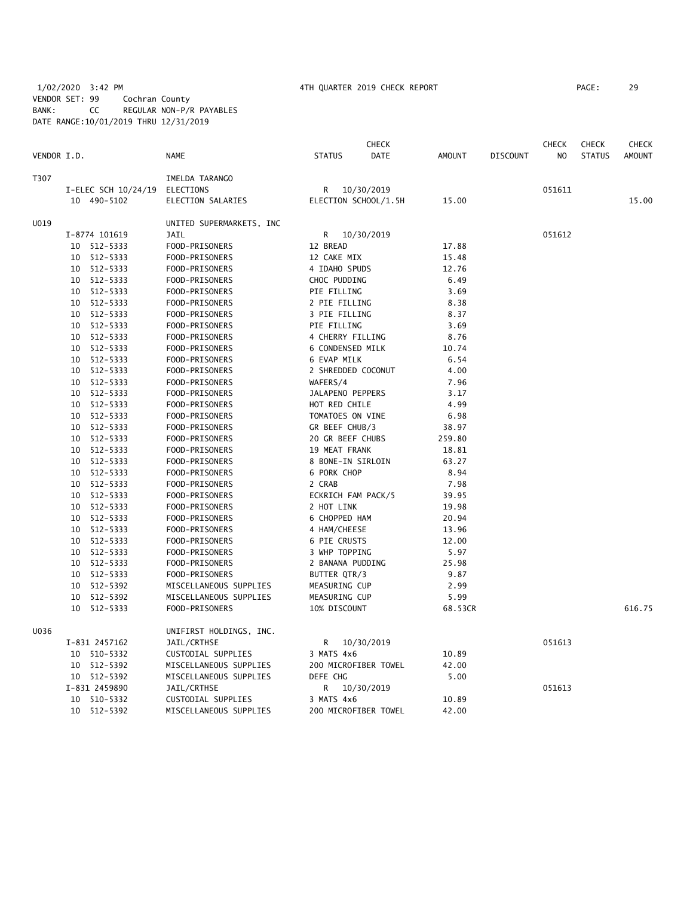# 1/02/2020 3:42 PM 4TH QUARTER 2019 CHECK REPORT PAGE: 29 VENDOR SET: 99 Cochran County BANK: CC REGULAR NON-P/R PAYABLES DATE RANGE:10/01/2019 THRU 12/31/2019

|             |                               |                                   |                    | <b>CHECK</b>         |         |                 | <b>CHECK</b> | <b>CHECK</b>  | <b>CHECK</b>  |
|-------------|-------------------------------|-----------------------------------|--------------------|----------------------|---------|-----------------|--------------|---------------|---------------|
| VENDOR I.D. |                               | <b>NAME</b>                       | <b>STATUS</b>      | <b>DATE</b>          | AMOUNT  | <b>DISCOUNT</b> | NO           | <b>STATUS</b> | <b>AMOUNT</b> |
| T307        |                               | IMELDA TARANGO                    |                    |                      |         |                 |              |               |               |
|             | I-ELEC SCH 10/24/19 ELECTIONS |                                   | R                  | 10/30/2019           |         |                 | 051611       |               |               |
|             | 10 490-5102                   | ELECTION SALARIES                 |                    | ELECTION SCHOOL/1.5H | 15.00   |                 |              |               | 15.00         |
| U019        |                               | UNITED SUPERMARKETS, INC          |                    |                      |         |                 |              |               |               |
|             | I-8774 101619                 | JAIL                              | R                  | 10/30/2019           |         |                 | 051612       |               |               |
|             | 10 512-5333                   | FOOD-PRISONERS                    | 12 BREAD           |                      | 17.88   |                 |              |               |               |
|             | 10 512-5333                   | FOOD-PRISONERS                    | 12 CAKE MIX        |                      | 15.48   |                 |              |               |               |
|             | 10 512-5333                   | FOOD-PRISONERS                    | 4 IDAHO SPUDS      |                      | 12.76   |                 |              |               |               |
|             | 10 512-5333                   | FOOD-PRISONERS                    | CHOC PUDDING       |                      | 6.49    |                 |              |               |               |
|             | 10 512-5333                   | FOOD-PRISONERS                    | PIE FILLING        |                      | 3.69    |                 |              |               |               |
|             | 10 512-5333                   | FOOD-PRISONERS                    | 2 PIE FILLING      |                      | 8.38    |                 |              |               |               |
|             | 10 512-5333                   | FOOD-PRISONERS                    | 3 PIE FILLING      |                      | 8.37    |                 |              |               |               |
|             | 10 512-5333                   | FOOD-PRISONERS                    | PIE FILLING        |                      | 3.69    |                 |              |               |               |
|             | 10 512-5333                   | FOOD-PRISONERS                    | 4 CHERRY FILLING   |                      | 8.76    |                 |              |               |               |
|             | 10 512-5333                   | FOOD-PRISONERS                    | 6 CONDENSED MILK   |                      | 10.74   |                 |              |               |               |
|             | 10 512-5333                   | FOOD-PRISONERS                    | 6 EVAP MILK        |                      | 6.54    |                 |              |               |               |
|             | 10 512-5333                   | FOOD-PRISONERS                    | 2 SHREDDED COCONUT |                      | 4.00    |                 |              |               |               |
|             | 10 512-5333                   | FOOD-PRISONERS                    | WAFERS/4           |                      | 7.96    |                 |              |               |               |
|             | 10 512-5333                   | FOOD-PRISONERS                    | JALAPENO PEPPERS   |                      | 3.17    |                 |              |               |               |
|             | 10 512-5333                   | FOOD-PRISONERS                    | HOT RED CHILE      |                      | 4.99    |                 |              |               |               |
|             | 512-5333<br>10                | FOOD-PRISONERS                    | TOMATOES ON VINE   |                      | 6.98    |                 |              |               |               |
|             | 10 512-5333                   | FOOD-PRISONERS                    | GR BEEF CHUB/3     |                      | 38.97   |                 |              |               |               |
|             | 10 512-5333                   | FOOD-PRISONERS                    | 20 GR BEEF CHUBS   |                      | 259.80  |                 |              |               |               |
|             | 512-5333<br>10                | FOOD-PRISONERS                    | 19 MEAT FRANK      |                      | 18.81   |                 |              |               |               |
|             | 512-5333<br>10                | FOOD-PRISONERS                    | 8 BONE-IN SIRLOIN  |                      | 63.27   |                 |              |               |               |
|             | 512-5333<br>10                | FOOD-PRISONERS                    | 6 PORK CHOP        |                      | 8.94    |                 |              |               |               |
|             | 10 512-5333                   | FOOD-PRISONERS                    | 2 CRAB             |                      | 7.98    |                 |              |               |               |
|             | 10 512-5333                   | FOOD-PRISONERS                    | ECKRICH FAM PACK/5 |                      | 39.95   |                 |              |               |               |
|             | 10 512-5333                   | FOOD-PRISONERS                    | 2 HOT LINK         |                      | 19.98   |                 |              |               |               |
|             | 10<br>512-5333                | FOOD-PRISONERS                    | 6 CHOPPED HAM      |                      | 20.94   |                 |              |               |               |
|             | 10 512-5333                   | FOOD-PRISONERS                    | 4 HAM/CHEESE       |                      | 13.96   |                 |              |               |               |
|             | 512-5333<br>10                | FOOD-PRISONERS                    | 6 PIE CRUSTS       |                      | 12.00   |                 |              |               |               |
|             | 10 512-5333                   | FOOD-PRISONERS                    | 3 WHP TOPPING      |                      | 5.97    |                 |              |               |               |
|             | 10 512-5333                   | FOOD-PRISONERS                    | 2 BANANA PUDDING   |                      | 25.98   |                 |              |               |               |
|             | 10 512-5333                   | FOOD-PRISONERS                    | BUTTER QTR/3       |                      | 9.87    |                 |              |               |               |
|             | 10<br>512-5392                | MISCELLANEOUS SUPPLIES            | MEASURING CUP      |                      | 2.99    |                 |              |               |               |
|             | 512-5392<br>10                | MISCELLANEOUS SUPPLIES            | MEASURING CUP      |                      | 5.99    |                 |              |               |               |
|             | 10 <sup>°</sup><br>512-5333   | FOOD-PRISONERS                    | 10% DISCOUNT       |                      | 68.53CR |                 |              |               | 616.75        |
| U036        |                               | UNIFIRST HOLDINGS, INC.           |                    |                      |         |                 |              |               |               |
|             | I-831 2457162                 | JAIL/CRTHSE                       |                    | R 10/30/2019         |         |                 | 051613       |               |               |
|             | 10 510-5332                   | CUSTODIAL SUPPLIES                | 3 MATS 4x6         |                      | 10.89   |                 |              |               |               |
|             | 10 512-5392                   | MISCELLANEOUS SUPPLIES            |                    | 200 MICROFIBER TOWEL | 42.00   |                 |              |               |               |
|             | 10 512-5392                   | MISCELLANEOUS SUPPLIES            | DEFE CHG           |                      | 5.00    |                 |              |               |               |
|             | I-831 2459890                 |                                   |                    | 10/30/2019           |         |                 | 051613       |               |               |
|             | 10 510-5332                   | JAIL/CRTHSE<br>CUSTODIAL SUPPLIES | R<br>3 MATS 4x6    |                      | 10.89   |                 |              |               |               |
|             |                               |                                   |                    | 200 MICROFIBER TOWEL | 42.00   |                 |              |               |               |
|             | 10 512-5392                   | MISCELLANEOUS SUPPLIES            |                    |                      |         |                 |              |               |               |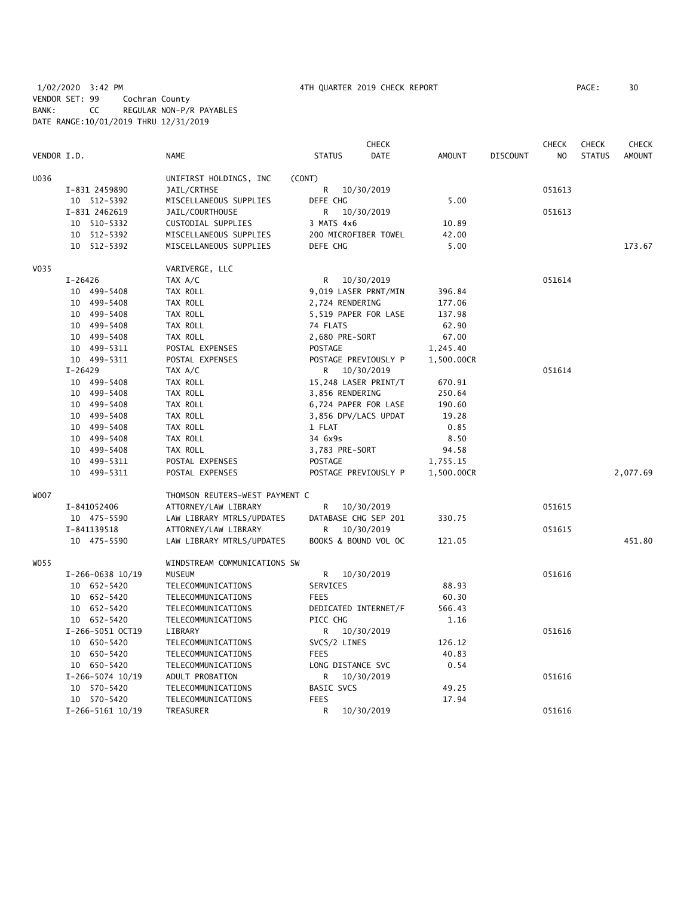# 1/02/2020 3:42 PM 4TH QUARTER 2019 CHECK REPORT PAGE: 30 VENDOR SET: 99 Cochran County BANK: CC REGULAR NON-P/R PAYABLES DATE RANGE:10/01/2019 THRU 12/31/2019

|             |               |                    |                                |                   | <b>CHECK</b>         |               |                 | <b>CHECK</b>   | <b>CHECK</b>  | <b>CHECK</b>  |
|-------------|---------------|--------------------|--------------------------------|-------------------|----------------------|---------------|-----------------|----------------|---------------|---------------|
| VENDOR I.D. |               |                    | <b>NAME</b>                    | <b>STATUS</b>     | <b>DATE</b>          | <b>AMOUNT</b> | <b>DISCOUNT</b> | N <sub>O</sub> | <b>STATUS</b> | <b>AMOUNT</b> |
| U036        |               |                    | UNIFIRST HOLDINGS, INC         | (CONT)            |                      |               |                 |                |               |               |
|             | I-831 2459890 |                    | JAIL/CRTHSE                    | R                 | 10/30/2019           |               |                 | 051613         |               |               |
|             | 10 512-5392   |                    | MISCELLANEOUS SUPPLIES         | DEFE CHG          |                      | 5.00          |                 |                |               |               |
|             | I-831 2462619 |                    | JAIL/COURTHOUSE                | R                 | 10/30/2019           |               |                 | 051613         |               |               |
|             | 10 510-5332   |                    | CUSTODIAL SUPPLIES             | 3 MATS 4x6        |                      | 10.89         |                 |                |               |               |
|             | 10 512-5392   |                    | MISCELLANEOUS SUPPLIES         |                   | 200 MICROFIBER TOWEL | 42.00         |                 |                |               |               |
|             | 10 512-5392   |                    | MISCELLANEOUS SUPPLIES         | DEFE CHG          |                      | 5.00          |                 |                |               | 173.67        |
| V035        |               |                    | VARIVERGE, LLC                 |                   |                      |               |                 |                |               |               |
|             | I-26426       |                    | TAX A/C                        | R                 | 10/30/2019           |               |                 | 051614         |               |               |
|             | 10 499-5408   |                    | TAX ROLL                       |                   | 9,019 LASER PRNT/MIN | 396.84        |                 |                |               |               |
|             | 10 499-5408   |                    | TAX ROLL                       | 2,724 RENDERING   |                      | 177.06        |                 |                |               |               |
|             | 10 499-5408   |                    | TAX ROLL                       |                   | 5,519 PAPER FOR LASE | 137.98        |                 |                |               |               |
|             | 10 499-5408   |                    | TAX ROLL                       | 74 FLATS          |                      | 62.90         |                 |                |               |               |
|             | 10 499-5408   |                    | TAX ROLL                       | 2,680 PRE-SORT    |                      | 67.00         |                 |                |               |               |
|             | 10 499-5311   |                    | POSTAL EXPENSES                | <b>POSTAGE</b>    |                      | 1,245.40      |                 |                |               |               |
|             | 10 499-5311   |                    | POSTAL EXPENSES                |                   | POSTAGE PREVIOUSLY P | 1,500.00CR    |                 |                |               |               |
|             | I-26429       |                    | TAX A/C                        | R.                | 10/30/2019           |               |                 | 051614         |               |               |
|             | 10 499-5408   |                    | TAX ROLL                       |                   | 15,248 LASER PRINT/T | 670.91        |                 |                |               |               |
|             | 10 499-5408   |                    | TAX ROLL                       | 3,856 RENDERING   |                      | 250.64        |                 |                |               |               |
|             | 10 499-5408   |                    | TAX ROLL                       |                   | 6,724 PAPER FOR LASE | 190.60        |                 |                |               |               |
|             | 10 499-5408   |                    | TAX ROLL                       |                   | 3,856 DPV/LACS UPDAT | 19.28         |                 |                |               |               |
|             | 10 499-5408   |                    | TAX ROLL                       | 1 FLAT            |                      | 0.85          |                 |                |               |               |
|             | 10 499-5408   |                    | TAX ROLL                       | 34 6x9s           |                      | 8.50          |                 |                |               |               |
|             | 10 499-5408   |                    | TAX ROLL                       | 3,783 PRE-SORT    |                      | 94.58         |                 |                |               |               |
|             | 10 499-5311   |                    | POSTAL EXPENSES                | <b>POSTAGE</b>    |                      | 1,755.15      |                 |                |               |               |
|             | 10 499-5311   |                    | POSTAL EXPENSES                |                   | POSTAGE PREVIOUSLY P | 1,500.00CR    |                 |                |               | 2,077.69      |
| <b>WOO7</b> |               |                    | THOMSON REUTERS-WEST PAYMENT C |                   |                      |               |                 |                |               |               |
|             | I-841052406   |                    | ATTORNEY/LAW LIBRARY           | R                 | 10/30/2019           |               |                 | 051615         |               |               |
|             | 10 475-5590   |                    | LAW LIBRARY MTRLS/UPDATES      |                   | DATABASE CHG SEP 201 | 330.75        |                 |                |               |               |
|             | I-841139518   |                    | ATTORNEY/LAW LIBRARY           | R                 | 10/30/2019           |               |                 | 051615         |               |               |
|             | 10 475-5590   |                    | LAW LIBRARY MTRLS/UPDATES      |                   | BOOKS & BOUND VOL OC | 121.05        |                 |                |               | 451.80        |
| W055        |               |                    | WINDSTREAM COMMUNICATIONS SW   |                   |                      |               |                 |                |               |               |
|             |               | $I-266-0638$ 10/19 | <b>MUSEUM</b>                  | R                 | 10/30/2019           |               |                 | 051616         |               |               |
|             | 10 652-5420   |                    | TELECOMMUNICATIONS             | SERVICES          |                      | 88.93         |                 |                |               |               |
|             | 10 652-5420   |                    | TELECOMMUNICATIONS             | <b>FEES</b>       |                      | 60.30         |                 |                |               |               |
|             | 10 652-5420   |                    | TELECOMMUNICATIONS             |                   | DEDICATED INTERNET/F | 566.43        |                 |                |               |               |
|             | 10 652-5420   |                    | TELECOMMUNICATIONS             | PICC CHG          |                      | 1.16          |                 |                |               |               |
|             |               | I-266-5051 OCT19   | LIBRARY                        | R                 | 10/30/2019           |               |                 | 051616         |               |               |
|             | 10 650-5420   |                    | TELECOMMUNICATIONS             | SVCS/2 LINES      |                      | 126.12        |                 |                |               |               |
|             | 10 650-5420   |                    | TELECOMMUNICATIONS             | <b>FEES</b>       |                      | 40.83         |                 |                |               |               |
|             | 10 650-5420   |                    | TELECOMMUNICATIONS             |                   | LONG DISTANCE SVC    | 0.54          |                 |                |               |               |
|             |               | $I-266-5074$ 10/19 | ADULT PROBATION                | R                 | 10/30/2019           |               |                 | 051616         |               |               |
|             | 10 570-5420   |                    | TELECOMMUNICATIONS             | <b>BASIC SVCS</b> |                      | 49.25         |                 |                |               |               |
|             | 10 570-5420   |                    | TELECOMMUNICATIONS             | <b>FEES</b>       |                      | 17.94         |                 |                |               |               |
|             |               | I-266-5161 10/19   | TREASURER                      | R                 | 10/30/2019           |               |                 | 051616         |               |               |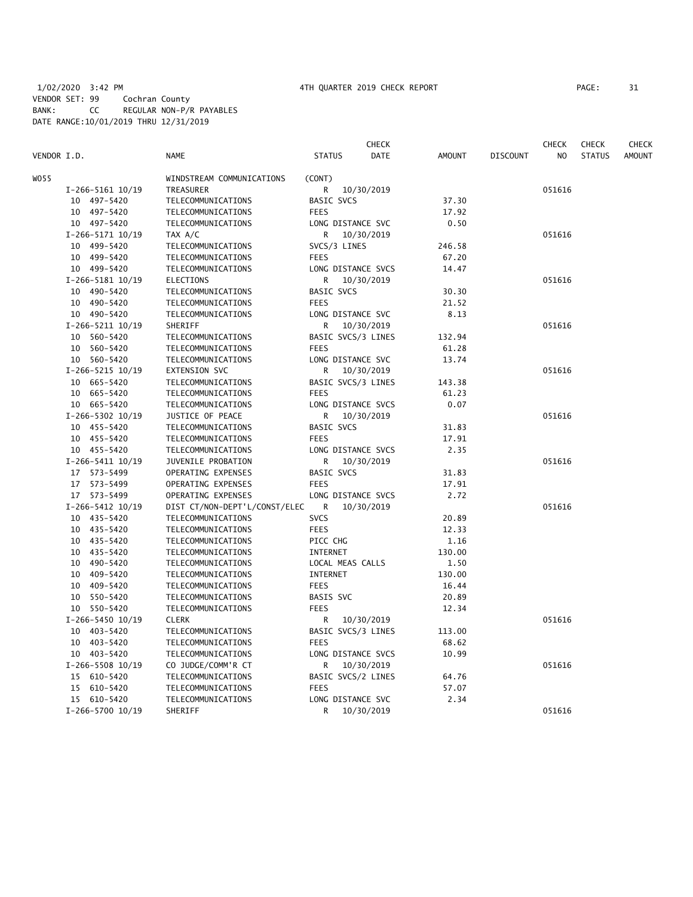# 1/02/2020 3:42 PM 4TH QUARTER 2019 CHECK REPORT PAGE: 31 VENDOR SET: 99 Cochran County BANK: CC REGULAR NON-P/R PAYABLES DATE RANGE:10/01/2019 THRU 12/31/2019

|             |                      |                               |                    | <b>CHECK</b> |               |                 | CHECK          | <b>CHECK</b>  | CHECK         |
|-------------|----------------------|-------------------------------|--------------------|--------------|---------------|-----------------|----------------|---------------|---------------|
| VENDOR I.D. |                      | <b>NAME</b>                   | <b>STATUS</b>      | DATE         | <b>AMOUNT</b> | <b>DISCOUNT</b> | N <sub>O</sub> | <b>STATUS</b> | <b>AMOUNT</b> |
| WO55        |                      | WINDSTREAM COMMUNICATIONS     | (CONT)             |              |               |                 |                |               |               |
|             | I-266-5161 10/19     | TREASURER                     | R                  | 10/30/2019   |               |                 | 051616         |               |               |
|             | 10 497-5420          | TELECOMMUNICATIONS            | <b>BASIC SVCS</b>  |              | 37.30         |                 |                |               |               |
|             | 10 497-5420          | TELECOMMUNICATIONS            | <b>FEES</b>        |              | 17.92         |                 |                |               |               |
|             | 10 497-5420          | TELECOMMUNICATIONS            | LONG DISTANCE SVC  |              | 0.50          |                 |                |               |               |
|             | I-266-5171 10/19     | TAX A/C                       | R.                 | 10/30/2019   |               |                 | 051616         |               |               |
|             | 10 499-5420          | TELECOMMUNICATIONS            | SVCS/3 LINES       |              | 246.58        |                 |                |               |               |
|             | 10 499-5420          | TELECOMMUNICATIONS            | <b>FEES</b>        |              | 67.20         |                 |                |               |               |
|             | 10 499-5420          | TELECOMMUNICATIONS            | LONG DISTANCE SVCS |              | 14.47         |                 |                |               |               |
|             | I-266-5181 10/19     | <b>ELECTIONS</b>              | R                  | 10/30/2019   |               |                 | 051616         |               |               |
|             |                      |                               | <b>BASIC SVCS</b>  |              |               |                 |                |               |               |
|             | 10 490-5420          | TELECOMMUNICATIONS            | <b>FEES</b>        |              | 30.30         |                 |                |               |               |
|             | 10 490-5420          | TELECOMMUNICATIONS            |                    |              | 21.52         |                 |                |               |               |
|             | 10 490-5420          | TELECOMMUNICATIONS            | LONG DISTANCE SVC  |              | 8.13          |                 |                |               |               |
|             | $I-266-5211$ $10/19$ | SHERIFF                       | R                  | 10/30/2019   |               |                 | 051616         |               |               |
|             | 10 560-5420          | TELECOMMUNICATIONS            | BASIC SVCS/3 LINES |              | 132.94        |                 |                |               |               |
|             | 10 560-5420          | TELECOMMUNICATIONS            | <b>FEES</b>        |              | 61.28         |                 |                |               |               |
|             | 10 560-5420          | TELECOMMUNICATIONS            | LONG DISTANCE SVC  |              | 13.74         |                 |                |               |               |
|             | I-266-5215 10/19     | EXTENSION SVC                 | R                  | 10/30/2019   |               |                 | 051616         |               |               |
|             | 10 665-5420          | TELECOMMUNICATIONS            | BASIC SVCS/3 LINES |              | 143.38        |                 |                |               |               |
|             | 10 665-5420          | TELECOMMUNICATIONS            | <b>FEES</b>        |              | 61.23         |                 |                |               |               |
|             | 10 665-5420          | TELECOMMUNICATIONS            | LONG DISTANCE SVCS |              | 0.07          |                 |                |               |               |
|             | I-266-5302 10/19     | JUSTICE OF PEACE              | R                  | 10/30/2019   |               |                 | 051616         |               |               |
|             | 10 455-5420          | TELECOMMUNICATIONS            | BASIC SVCS         |              | 31.83         |                 |                |               |               |
|             | 10 455-5420          | TELECOMMUNICATIONS            | <b>FEES</b>        |              | 17.91         |                 |                |               |               |
|             | 10 455-5420          | TELECOMMUNICATIONS            | LONG DISTANCE SVCS |              | 2.35          |                 |                |               |               |
|             | I-266-5411 10/19     | JUVENILE PROBATION            | R                  | 10/30/2019   |               |                 | 051616         |               |               |
|             | 17 573-5499          | OPERATING EXPENSES            | BASIC SVCS         |              | 31.83         |                 |                |               |               |
|             | 17 573-5499          | OPERATING EXPENSES            | <b>FEES</b>        |              | 17.91         |                 |                |               |               |
|             | 17 573-5499          | OPERATING EXPENSES            | LONG DISTANCE SVCS |              | 2.72          |                 |                |               |               |
|             | I-266-5412 10/19     | DIST CT/NON-DEPT'L/CONST/ELEC | R                  | 10/30/2019   |               |                 | 051616         |               |               |
|             | 10 435-5420          | TELECOMMUNICATIONS            | <b>SVCS</b>        |              | 20.89         |                 |                |               |               |
|             | 10 435-5420          | TELECOMMUNICATIONS            | <b>FEES</b>        |              | 12.33         |                 |                |               |               |
|             | 10 435-5420          | TELECOMMUNICATIONS            | PICC CHG           |              | 1.16          |                 |                |               |               |
|             | 10 435-5420          | TELECOMMUNICATIONS            | INTERNET           |              | 130.00        |                 |                |               |               |
|             | 10 490-5420          | TELECOMMUNICATIONS            | LOCAL MEAS CALLS   |              | 1.50          |                 |                |               |               |
|             | 10 409-5420          | TELECOMMUNICATIONS            | INTERNET           |              | 130.00        |                 |                |               |               |
|             | 10 409-5420          | TELECOMMUNICATIONS            | <b>FEES</b>        |              | 16.44         |                 |                |               |               |
|             | 10 550-5420          | TELECOMMUNICATIONS            | BASIS SVC          |              | 20.89         |                 |                |               |               |
|             | 10 550-5420          | TELECOMMUNICATIONS            | <b>FEES</b>        |              | 12.34         |                 |                |               |               |
|             | I-266-5450 10/19     | <b>CLERK</b>                  | R                  | 10/30/2019   |               |                 | 051616         |               |               |
|             | 10 403-5420          | TELECOMMUNICATIONS            | BASIC SVCS/3 LINES |              | 113.00        |                 |                |               |               |
|             |                      |                               |                    |              |               |                 |                |               |               |
|             | 10 403-5420          | TELECOMMUNICATIONS            | <b>FEES</b>        |              | 68.62         |                 |                |               |               |
|             | 10 403-5420          | TELECOMMUNICATIONS            | LONG DISTANCE SVCS |              | 10.99         |                 |                |               |               |
|             | $I-266-5508$ 10/19   | CO JUDGE/COMM'R CT            | R                  | 10/30/2019   |               |                 | 051616         |               |               |
|             | 15 610-5420          | TELECOMMUNICATIONS            | BASIC SVCS/2 LINES |              | 64.76         |                 |                |               |               |
|             | 15 610-5420          | TELECOMMUNICATIONS            | <b>FEES</b>        |              | 57.07         |                 |                |               |               |
|             | 15 610-5420          | TELECOMMUNICATIONS            | LONG DISTANCE SVC  |              | 2.34          |                 |                |               |               |
|             | I-266-5700 10/19     | SHERIFF                       | R.                 | 10/30/2019   |               |                 | 051616         |               |               |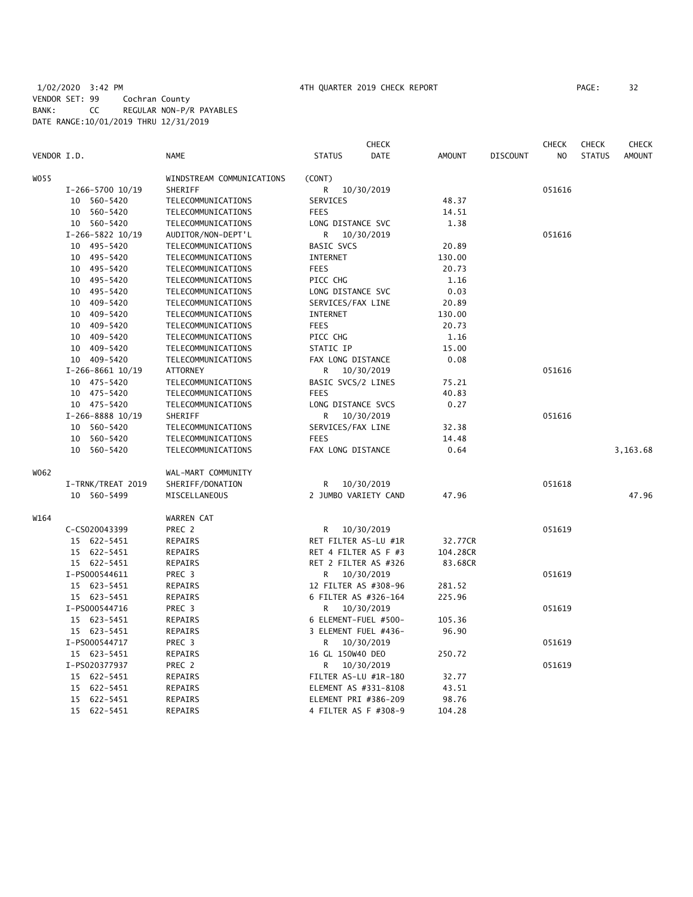# 1/02/2020 3:42 PM 4TH QUARTER 2019 CHECK REPORT PAGE: 32 VENDOR SET: 99 Cochran County BANK: CC REGULAR NON-P/R PAYABLES DATE RANGE:10/01/2019 THRU 12/31/2019

| VENDOR I.D. |                                    | <b>NAME</b>                              | <b>STATUS</b>                          | <b>CHECK</b><br><b>DATE</b> | <b>AMOUNT</b>   | <b>DISCOUNT</b> | <b>CHECK</b><br>N <sub>O</sub> | <b>CHECK</b><br><b>STATUS</b> | <b>CHECK</b><br><b>AMOUNT</b> |
|-------------|------------------------------------|------------------------------------------|----------------------------------------|-----------------------------|-----------------|-----------------|--------------------------------|-------------------------------|-------------------------------|
|             |                                    |                                          |                                        |                             |                 |                 |                                |                               |                               |
| W055        |                                    | WINDSTREAM COMMUNICATIONS<br>SHERIFF     | (CONT)                                 |                             |                 |                 |                                |                               |                               |
|             | I-266-5700 10/19                   |                                          | R                                      | 10/30/2019                  |                 |                 | 051616                         |                               |                               |
|             | 10 560-5420                        | TELECOMMUNICATIONS                       | SERVICES                               |                             | 48.37           |                 |                                |                               |                               |
|             | 560-5420<br>10                     | TELECOMMUNICATIONS                       | <b>FEES</b>                            |                             | 14.51<br>1.38   |                 |                                |                               |                               |
|             | 10 560-5420<br>I-266-5822 10/19    | TELECOMMUNICATIONS                       | LONG DISTANCE SVC<br>R.                | 10/30/2019                  |                 |                 | 051616                         |                               |                               |
|             |                                    | AUDITOR/NON-DEPT'L                       |                                        |                             |                 |                 |                                |                               |                               |
|             | 10 495-5420<br>10 495-5420         | TELECOMMUNICATIONS                       | <b>BASIC SVCS</b><br><b>INTERNET</b>   |                             | 20.89<br>130.00 |                 |                                |                               |                               |
|             |                                    | TELECOMMUNICATIONS<br>TELECOMMUNICATIONS | <b>FEES</b>                            |                             | 20.73           |                 |                                |                               |                               |
|             | 10 495-5420                        |                                          |                                        |                             |                 |                 |                                |                               |                               |
|             | 10 495-5420                        | TELECOMMUNICATIONS                       | PICC CHG                               |                             | 1.16<br>0.03    |                 |                                |                               |                               |
|             | 495–5420<br>10<br>10 409-5420      | TELECOMMUNICATIONS<br>TELECOMMUNICATIONS | LONG DISTANCE SVC<br>SERVICES/FAX LINE |                             |                 |                 |                                |                               |                               |
|             |                                    |                                          |                                        |                             | 20.89           |                 |                                |                               |                               |
|             | 409-5420<br>10                     | TELECOMMUNICATIONS                       | <b>INTERNET</b>                        |                             | 130.00          |                 |                                |                               |                               |
|             | 10 409-5420                        | TELECOMMUNICATIONS                       | <b>FEES</b>                            |                             | 20.73           |                 |                                |                               |                               |
|             | 409-5420<br>10                     | TELECOMMUNICATIONS                       | PICC CHG                               |                             | 1.16            |                 |                                |                               |                               |
|             | 10 409-5420<br>10 409-5420         | TELECOMMUNICATIONS<br>TELECOMMUNICATIONS | STATIC IP                              |                             | 15.00<br>0.08   |                 |                                |                               |                               |
|             |                                    |                                          | FAX LONG DISTANCE                      |                             |                 |                 | 051616                         |                               |                               |
|             | $I-266-8661$ $10/19$               | ATTORNEY                                 | R                                      | 10/30/2019                  |                 |                 |                                |                               |                               |
|             | 475-5420<br>10<br>10 475-5420      | TELECOMMUNICATIONS<br>TELECOMMUNICATIONS | BASIC SVCS/2 LINES<br><b>FEES</b>      |                             | 75.21<br>40.83  |                 |                                |                               |                               |
|             |                                    |                                          |                                        |                             |                 |                 |                                |                               |                               |
|             | 10 475-5420                        | TELECOMMUNICATIONS<br>SHERIFF            | LONG DISTANCE SVCS                     |                             | 0.27            |                 | 051616                         |                               |                               |
|             | I-266-8888 10/19<br>560-5420<br>10 | TELECOMMUNICATIONS                       | R<br>SERVICES/FAX LINE                 | 10/30/2019                  | 32.38           |                 |                                |                               |                               |
|             | 560-5420<br>10                     | TELECOMMUNICATIONS                       | <b>FEES</b>                            |                             | 14.48           |                 |                                |                               |                               |
|             | 560-5420<br>10                     | TELECOMMUNICATIONS                       | FAX LONG DISTANCE                      |                             | 0.64            |                 |                                |                               |                               |
|             |                                    |                                          |                                        |                             |                 |                 |                                |                               | 3,163.68                      |
| W062        |                                    | WAL-MART COMMUNITY                       |                                        |                             |                 |                 |                                |                               |                               |
|             | I-TRNK/TREAT 2019                  | SHERIFF/DONATION                         | R                                      | 10/30/2019                  |                 |                 | 051618                         |                               |                               |
|             | 10 560-5499                        | MISCELLANEOUS                            | 2 JUMBO VARIETY CAND                   |                             | 47.96           |                 |                                |                               | 47.96                         |
| W164        |                                    | <b>WARREN CAT</b>                        |                                        |                             |                 |                 |                                |                               |                               |
|             | C-CS020043399                      | PREC 2                                   | R                                      | 10/30/2019                  |                 |                 | 051619                         |                               |                               |
|             | 15 622-5451                        | REPAIRS                                  | RET FILTER AS-LU #1R                   |                             | 32.77CR         |                 |                                |                               |                               |
|             | 15 622-5451                        | <b>REPAIRS</b>                           | RET 4 FILTER AS F #3                   |                             | 104.28CR        |                 |                                |                               |                               |
|             | 15 622-5451                        | REPAIRS                                  | RET 2 FILTER AS #326                   |                             | 83.68CR         |                 |                                |                               |                               |
|             | I-PS000544611                      | PREC 3                                   | R                                      | 10/30/2019                  |                 |                 | 051619                         |                               |                               |
|             | 15 623-5451                        | REPAIRS                                  | 12 FILTER AS #308-96                   |                             | 281.52          |                 |                                |                               |                               |
|             | 15 623-5451                        | REPAIRS                                  | 6 FILTER AS #326-164                   |                             | 225.96          |                 |                                |                               |                               |
|             | I-PS000544716                      | PREC 3                                   | R                                      | 10/30/2019                  |                 |                 | 051619                         |                               |                               |
|             | 15 623-5451                        | REPAIRS                                  | 6 ELEMENT-FUEL #500-                   |                             | 105.36          |                 |                                |                               |                               |
|             | 15 623-5451                        | REPAIRS                                  | 3 ELEMENT FUEL #436-                   |                             | 96.90           |                 |                                |                               |                               |
|             | I-PS000544717                      | PREC <sub>3</sub>                        | R                                      | 10/30/2019                  |                 |                 | 051619                         |                               |                               |
|             | 15 623-5451                        | REPAIRS                                  | 16 GL 150W40 DEO                       |                             | 250.72          |                 |                                |                               |                               |
|             | I-PS020377937                      | PREC 2                                   | R                                      | 10/30/2019                  |                 |                 | 051619                         |                               |                               |
|             | 15 622-5451                        | REPAIRS                                  | FILTER AS-LU #1R-180                   |                             | 32.77           |                 |                                |                               |                               |
|             | 15 622-5451                        | REPAIRS                                  | ELEMENT AS #331-8108                   |                             | 43.51           |                 |                                |                               |                               |
|             | 15 622-5451                        | REPAIRS                                  | ELEMENT PRI #386-209                   |                             | 98.76           |                 |                                |                               |                               |
|             | 15 622-5451                        | <b>REPAIRS</b>                           | 4 FILTER AS F #308-9                   |                             | 104.28          |                 |                                |                               |                               |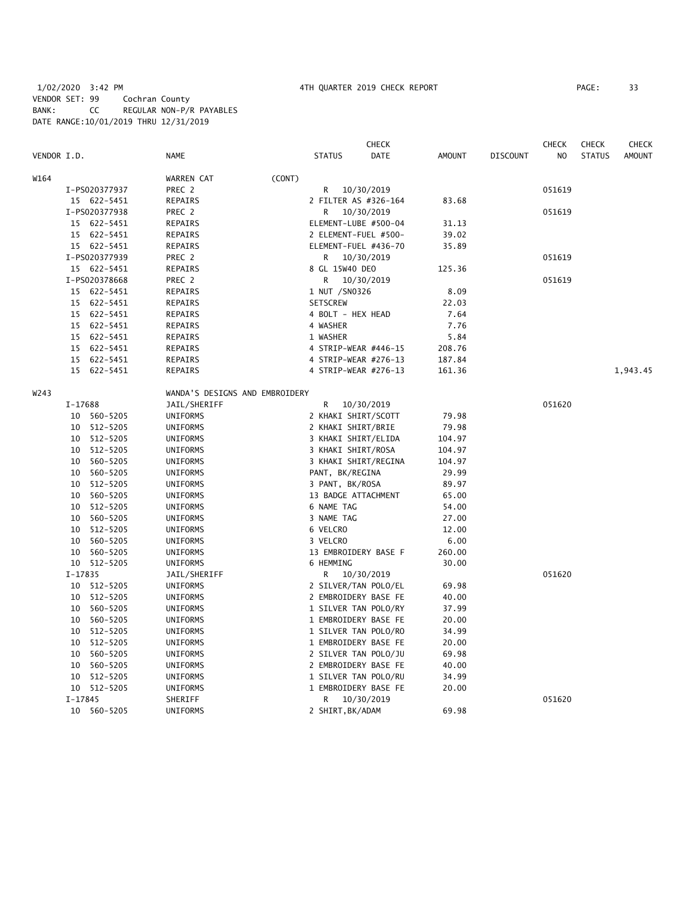# 1/02/2020 3:42 PM 4TH QUARTER 2019 CHECK REPORT PAGE: 33 VENDOR SET: 99 Cochran County BANK: CC REGULAR NON-P/R PAYABLES DATE RANGE:10/01/2019 THRU 12/31/2019

|             |             |               |                                |        |                    | <b>CHECK</b>         |               |                 | <b>CHECK</b>   | <b>CHECK</b>  | CHECK         |
|-------------|-------------|---------------|--------------------------------|--------|--------------------|----------------------|---------------|-----------------|----------------|---------------|---------------|
| VENDOR I.D. |             |               | <b>NAME</b>                    |        | <b>STATUS</b>      | <b>DATE</b>          | <b>AMOUNT</b> | <b>DISCOUNT</b> | N <sub>O</sub> | <b>STATUS</b> | <b>AMOUNT</b> |
| W164        |             |               | WARREN CAT                     | (CONT) |                    |                      |               |                 |                |               |               |
|             |             | I-PS020377937 | PREC 2                         |        | R                  | 10/30/2019           |               |                 | 051619         |               |               |
|             |             | 15 622-5451   | REPAIRS                        |        |                    | 2 FILTER AS #326-164 | 83.68         |                 |                |               |               |
|             |             | I-PS020377938 | PREC 2                         |        | R                  | 10/30/2019           |               |                 | 051619         |               |               |
|             |             | 15 622-5451   | REPAIRS                        |        |                    | ELEMENT-LUBE #500-04 | 31.13         |                 |                |               |               |
|             |             | 15 622-5451   | REPAIRS                        |        |                    | 2 ELEMENT-FUEL #500- | 39.02         |                 |                |               |               |
|             |             | 15 622-5451   | <b>REPAIRS</b>                 |        |                    | ELEMENT-FUEL #436-70 | 35.89         |                 |                |               |               |
|             |             | I-PS020377939 | PREC 2                         |        | R                  | 10/30/2019           |               |                 | 051619         |               |               |
|             |             | 15 622-5451   | REPAIRS                        |        | 8 GL 15W40 DEO     |                      | 125.36        |                 |                |               |               |
|             |             | I-PS020378668 | PREC 2                         |        | R                  | 10/30/2019           |               |                 | 051619         |               |               |
|             |             | 15 622-5451   | REPAIRS                        |        | 1 NUT /SN0326      |                      | 8.09          |                 |                |               |               |
|             |             | 15 622-5451   | REPAIRS                        |        | <b>SETSCREW</b>    |                      | 22.03         |                 |                |               |               |
|             |             | 15 622-5451   | REPAIRS                        |        | 4 BOLT - HEX HEAD  |                      | 7.64          |                 |                |               |               |
|             |             | 15 622-5451   | REPAIRS                        |        | 4 WASHER           |                      | 7.76          |                 |                |               |               |
|             |             | 15 622-5451   | REPAIRS                        |        | 1 WASHER           |                      | 5.84          |                 |                |               |               |
|             |             | 15 622-5451   | REPAIRS                        |        |                    | 4 STRIP-WEAR #446-15 | 208.76        |                 |                |               |               |
|             |             | 15 622-5451   | REPAIRS                        |        |                    | 4 STRIP-WEAR #276-13 | 187.84        |                 |                |               |               |
|             |             | 15 622-5451   | REPAIRS                        |        |                    | 4 STRIP-WEAR #276-13 | 161.36        |                 |                |               | 1,943.45      |
| W243        |             |               | WANDA'S DESIGNS AND EMBROIDERY |        |                    |                      |               |                 |                |               |               |
|             | I-17688     |               | JAIL/SHERIFF                   |        | R                  | 10/30/2019           |               |                 | 051620         |               |               |
|             |             | 10 560-5205   | UNIFORMS                       |        |                    | 2 KHAKI SHIRT/SCOTT  | 79.98         |                 |                |               |               |
|             |             | 10 512-5205   | UNIFORMS                       |        | 2 KHAKI SHIRT/BRIE |                      | 79.98         |                 |                |               |               |
|             | 10          | 512-5205      | UNIFORMS                       |        |                    | 3 KHAKI SHIRT/ELIDA  | 104.97        |                 |                |               |               |
|             |             | 10 512-5205   | UNIFORMS                       |        | 3 KHAKI SHIRT/ROSA |                      | 104.97        |                 |                |               |               |
|             | 10          | 560-5205      | UNIFORMS                       |        |                    | 3 KHAKI SHIRT/REGINA | 104.97        |                 |                |               |               |
|             | 10          | 560-5205      | UNIFORMS                       |        | PANT, BK/REGINA    |                      | 29.99         |                 |                |               |               |
|             | 10          | 512-5205      | <b>UNIFORMS</b>                |        | 3 PANT, BK/ROSA    |                      | 89.97         |                 |                |               |               |
|             | 10          | 560-5205      | UNIFORMS                       |        |                    | 13 BADGE ATTACHMENT  | 65.00         |                 |                |               |               |
|             | 10          | 512-5205      | UNIFORMS                       |        | 6 NAME TAG         |                      | 54.00         |                 |                |               |               |
|             | 10          | 560-5205      | UNIFORMS                       |        | 3 NAME TAG         |                      | 27.00         |                 |                |               |               |
|             | 10          | 512-5205      | UNIFORMS                       |        | 6 VELCRO           |                      | 12.00         |                 |                |               |               |
|             | 10          | 560-5205      | UNIFORMS                       |        | 3 VELCRO           |                      | 6.00          |                 |                |               |               |
|             | 10          | 560-5205      | UNIFORMS                       |        |                    | 13 EMBROIDERY BASE F | 260.00        |                 |                |               |               |
|             |             | 10 512-5205   | UNIFORMS                       |        | 6 HEMMING          |                      | 30.00         |                 |                |               |               |
|             | $I - 17835$ |               | JAIL/SHERIFF                   |        | R                  | 10/30/2019           |               |                 | 051620         |               |               |
|             |             | 10 512-5205   | <b>UNIFORMS</b>                |        |                    | 2 SILVER/TAN POLO/EL | 69.98         |                 |                |               |               |
|             |             | 10 512-5205   | UNIFORMS                       |        |                    | 2 EMBROIDERY BASE FE | 40.00         |                 |                |               |               |
|             | 10          | 560-5205      | UNIFORMS                       |        |                    | 1 SILVER TAN POLO/RY | 37.99         |                 |                |               |               |
|             |             | 10 560-5205   | UNIFORMS                       |        |                    | 1 EMBROIDERY BASE FE | 20.00         |                 |                |               |               |
|             | 10          | 512-5205      | UNIFORMS                       |        |                    | 1 SILVER TAN POLO/RO | 34.99         |                 |                |               |               |
|             | 10          | 512-5205      | UNIFORMS                       |        |                    | 1 EMBROIDERY BASE FE | 20.00         |                 |                |               |               |
|             | 10          | 560-5205      | UNIFORMS                       |        |                    | 2 SILVER TAN POLO/JU | 69.98         |                 |                |               |               |
|             | 10          | 560-5205      | UNIFORMS                       |        |                    | 2 EMBROIDERY BASE FE | 40.00         |                 |                |               |               |
|             | 10          | 512-5205      | UNIFORMS                       |        |                    | 1 SILVER TAN POLO/RU | 34.99         |                 |                |               |               |
|             |             | 10 512-5205   | UNIFORMS                       |        |                    | 1 EMBROIDERY BASE FE | 20.00         |                 |                |               |               |
|             | $I-17845$   |               | SHERIFF                        |        | R                  | 10/30/2019           |               |                 | 051620         |               |               |
|             |             | 10 560-5205   | <b>UNIFORMS</b>                |        | 2 SHIRT, BK/ADAM   |                      | 69.98         |                 |                |               |               |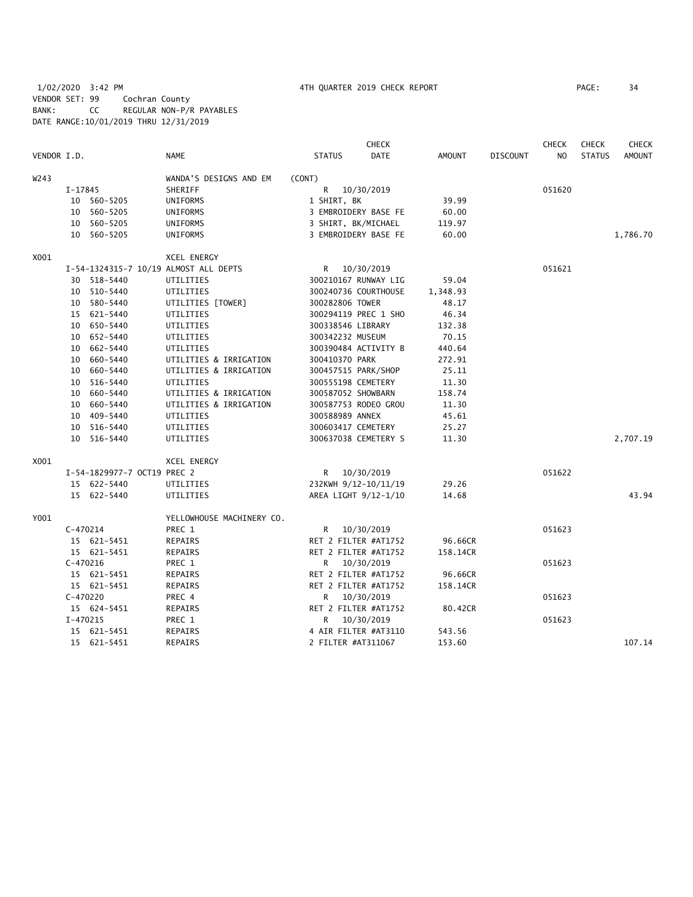1/02/2020 3:42 PM 4TH QUARTER 2019 CHECK REPORT PAGE: 34 VENDOR SET: 99 Cochran County BANK: CC REGULAR NON-P/R PAYABLES DATE RANGE:10/01/2019 THRU 12/31/2019

|             |            |                             |                                       |                      | <b>CHECK</b>         |          |                 | <b>CHECK</b>   | <b>CHECK</b>  | <b>CHECK</b>  |
|-------------|------------|-----------------------------|---------------------------------------|----------------------|----------------------|----------|-----------------|----------------|---------------|---------------|
| VENDOR I.D. |            |                             | <b>NAME</b>                           | <b>STATUS</b>        | <b>DATE</b>          | AMOUNT   | <b>DISCOUNT</b> | N <sub>O</sub> | <b>STATUS</b> | <b>AMOUNT</b> |
| W243        |            |                             | WANDA'S DESIGNS AND EM                | (CONT)               |                      |          |                 |                |               |               |
|             | I-17845    |                             | SHERIFF                               | R                    | 10/30/2019           |          |                 | 051620         |               |               |
|             |            | 10 560-5205                 | UNIFORMS                              | 1 SHIRT, BK          |                      | 39.99    |                 |                |               |               |
|             |            | 10 560-5205                 | UNIFORMS                              |                      | 3 EMBROIDERY BASE FE | 60.00    |                 |                |               |               |
|             |            | 10 560-5205                 | UNIFORMS                              | 3 SHIRT, BK/MICHAEL  |                      | 119.97   |                 |                |               |               |
|             |            | 10 560-5205                 | UNIFORMS                              |                      | 3 EMBROIDERY BASE FE | 60.00    |                 |                |               | 1,786.70      |
| X001        |            |                             | XCEL ENERGY                           |                      |                      |          |                 |                |               |               |
|             |            |                             | I-54-1324315-7 10/19 ALMOST ALL DEPTS | $\mathsf{R}$         | 10/30/2019           |          |                 | 051621         |               |               |
|             |            | 30 518-5440                 | UTILITIES                             |                      | 300210167 RUNWAY LIG | 59.04    |                 |                |               |               |
|             |            | 10 510-5440                 | UTILITIES                             |                      | 300240736 COURTHOUSE | 1,348.93 |                 |                |               |               |
|             |            | 10 580-5440                 | UTILITIES [TOWER]                     | 300282806 TOWER      |                      | 48.17    |                 |                |               |               |
|             |            | 15 621-5440                 | UTILITIES                             |                      | 300294119 PREC 1 SHO | 46.34    |                 |                |               |               |
|             |            | 10 650-5440                 | UTILITIES                             | 300338546 LIBRARY    |                      | 132.38   |                 |                |               |               |
|             |            | 10 652-5440                 | UTILITIES                             | 300342232 MUSEUM     |                      | 70.15    |                 |                |               |               |
|             |            | 10 662-5440                 | UTILITIES                             |                      | 300390484 ACTIVITY B | 440.64   |                 |                |               |               |
|             |            | 10 660-5440                 | UTILITIES & IRRIGATION                | 300410370 PARK       |                      | 272.91   |                 |                |               |               |
|             |            | 10 660-5440                 | UTILITIES & IRRIGATION                | 300457515 PARK/SHOP  |                      | 25.11    |                 |                |               |               |
|             | 10         | 516-5440                    | UTILITIES                             | 300555198 CEMETERY   |                      | 11.30    |                 |                |               |               |
|             |            | 10 660-5440                 | UTILITIES & IRRIGATION                | 300587052 SHOWBARN   |                      | 158.74   |                 |                |               |               |
|             |            | 10 660-5440                 | UTILITIES & IRRIGATION                |                      | 300587753 RODEO GROU | 11.30    |                 |                |               |               |
|             |            | 10 409-5440                 | UTILITIES                             | 300588989 ANNEX      |                      | 45.61    |                 |                |               |               |
|             |            | 10 516-5440                 | UTILITIES                             | 300603417 CEMETERY   |                      | 25.27    |                 |                |               |               |
|             | 10         | 516-5440                    | UTILITIES                             |                      | 300637038 CEMETERY S | 11.30    |                 |                |               | 2,707.19      |
| X001        |            |                             | <b>XCEL ENERGY</b>                    |                      |                      |          |                 |                |               |               |
|             |            | I-54-1829977-7 OCT19 PREC 2 |                                       | R.                   | 10/30/2019           |          |                 | 051622         |               |               |
|             |            | 15 622-5440                 | UTILITIES                             |                      | 232KWH 9/12-10/11/19 | 29.26    |                 |                |               |               |
|             |            | 15 622-5440                 | UTILITIES                             |                      | AREA LIGHT 9/12-1/10 | 14.68    |                 |                |               | 43.94         |
| Y001        |            |                             | YELLOWHOUSE MACHINERY CO.             |                      |                      |          |                 |                |               |               |
|             | $C-470214$ |                             | PREC 1                                |                      | R 10/30/2019         |          |                 | 051623         |               |               |
|             |            | 15 621-5451                 | REPAIRS                               |                      | RET 2 FILTER #AT1752 | 96.66CR  |                 |                |               |               |
|             |            | 15 621-5451                 | REPAIRS                               |                      | RET 2 FILTER #AT1752 | 158.14CR |                 |                |               |               |
|             | $C-470216$ |                             | PREC 1                                | R                    | 10/30/2019           |          |                 | 051623         |               |               |
|             |            | 15 621-5451                 | REPAIRS                               | RET 2 FILTER #AT1752 |                      | 96.66CR  |                 |                |               |               |
|             |            | 15 621-5451                 | REPAIRS                               |                      | RET 2 FILTER #AT1752 | 158.14CR |                 |                |               |               |
|             | $C-470220$ |                             | PREC 4                                |                      | R 10/30/2019         |          |                 | 051623         |               |               |
|             |            | 15 624-5451                 | REPAIRS                               |                      | RET 2 FILTER #AT1752 | 80.42CR  |                 |                |               |               |
|             | $I-470215$ |                             | PREC 1                                | R                    | 10/30/2019           |          |                 | 051623         |               |               |
|             |            | 15 621-5451                 | REPAIRS                               |                      | 4 AIR FILTER #AT3110 | 543.56   |                 |                |               |               |
|             |            | 15 621-5451                 | REPAIRS                               | 2 FILTER #AT311067   |                      | 153.60   |                 |                |               | 107.14        |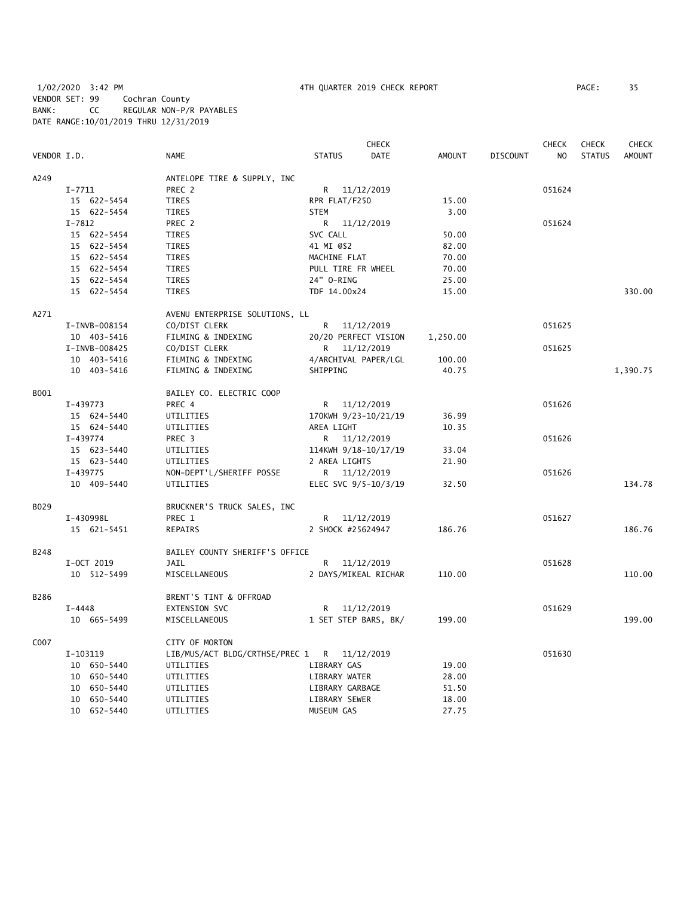1/02/2020 3:42 PM 4TH QUARTER 2019 CHECK REPORT PAGE: 35 VENDOR SET: 99 Cochran County BANK: CC REGULAR NON-P/R PAYABLES DATE RANGE:10/01/2019 THRU 12/31/2019

| PAGE : | 35 |
|--------|----|
|        |    |

| VENDOR I.D. |               | <b>NAME</b>                                 | <b>STATUS</b>        | <b>CHECK</b><br><b>DATE</b> | <b>AMOUNT</b> | <b>DISCOUNT</b> | <b>CHECK</b><br>N <sub>O</sub> | <b>CHECK</b><br><b>STATUS</b> | CHECK<br><b>AMOUNT</b> |
|-------------|---------------|---------------------------------------------|----------------------|-----------------------------|---------------|-----------------|--------------------------------|-------------------------------|------------------------|
|             |               |                                             |                      |                             |               |                 |                                |                               |                        |
| A249        |               | ANTELOPE TIRE & SUPPLY, INC                 |                      |                             |               |                 |                                |                               |                        |
|             | $I - 7711$    | PREC 2                                      | R 11/12/2019         |                             |               |                 | 051624                         |                               |                        |
|             | 15 622-5454   | TIRES                                       | RPR FLAT/F250        |                             | 15.00         |                 |                                |                               |                        |
|             | 15 622-5454   | <b>TIRES</b>                                | <b>STEM</b>          |                             | 3.00          |                 |                                |                               |                        |
|             | $I - 7812$    | PREC 2                                      | R 11/12/2019         |                             |               |                 | 051624                         |                               |                        |
|             | 15 622-5454   | <b>TIRES</b>                                | SVC CALL             |                             | 50.00         |                 |                                |                               |                        |
|             | 15 622-5454   | TIRES                                       | 41 MI 0\$2           |                             | 82.00         |                 |                                |                               |                        |
|             | 15 622-5454   | TIRES                                       | MACHINE FLAT         |                             | 70.00         |                 |                                |                               |                        |
|             | 15 622-5454   | TIRES                                       | PULL TIRE FR WHEEL   |                             | 70.00         |                 |                                |                               |                        |
|             | 15 622-5454   | TIRES                                       | 24" 0-RING           |                             | 25.00         |                 |                                |                               |                        |
|             | 15 622-5454   | <b>TIRES</b>                                | TDF 14.00x24         |                             | 15.00         |                 |                                |                               | 330.00                 |
| A271        |               | AVENU ENTERPRISE SOLUTIONS, LL              |                      |                             |               |                 |                                |                               |                        |
|             | I-INVB-008154 | CO/DIST CLERK                               | R 11/12/2019         |                             |               |                 | 051625                         |                               |                        |
|             | 10 403-5416   | FILMING & INDEXING                          |                      | 20/20 PERFECT VISION        | 1,250.00      |                 |                                |                               |                        |
|             | I-INVB-008425 | CO/DIST CLERK                               | R <sub>a</sub>       | 11/12/2019                  |               |                 | 051625                         |                               |                        |
|             | 10 403-5416   | FILMING & INDEXING                          | 4/ARCHIVAL PAPER/LGL |                             | 100.00        |                 |                                |                               |                        |
|             | 10 403-5416   | FILMING & INDEXING                          | SHIPPING             |                             | 40.75         |                 |                                |                               | 1,390.75               |
| B001        |               | BAILEY CO. ELECTRIC COOP                    |                      |                             |               |                 |                                |                               |                        |
|             | I-439773      | PREC 4                                      | R 11/12/2019         |                             |               |                 | 051626                         |                               |                        |
|             | 15 624-5440   | UTILITIES                                   | 170KWH 9/23-10/21/19 |                             | 36.99         |                 |                                |                               |                        |
|             | 15 624-5440   | UTILITIES                                   | AREA LIGHT           |                             | 10.35         |                 |                                |                               |                        |
|             | I-439774      | PREC 3                                      | R 11/12/2019         |                             |               |                 | 051626                         |                               |                        |
|             | 15 623-5440   | UTILITIES                                   | 114KWH 9/18-10/17/19 |                             | 33.04         |                 |                                |                               |                        |
|             | 15 623-5440   | UTILITIES                                   | 2 AREA LIGHTS        |                             | 21.90         |                 |                                |                               |                        |
|             | I-439775      | NON-DEPT'L/SHERIFF POSSE                    | R 11/12/2019         |                             |               |                 | 051626                         |                               |                        |
|             | 10 409-5440   | UTILITIES                                   | ELEC SVC 9/5-10/3/19 |                             | 32.50         |                 |                                |                               | 134.78                 |
| B029        |               | BRUCKNER'S TRUCK SALES, INC                 |                      |                             |               |                 |                                |                               |                        |
|             | I-430998L     | PREC 1                                      |                      | R 11/12/2019                |               |                 | 051627                         |                               |                        |
|             | 15 621-5451   | REPAIRS                                     | 2 SHOCK #25624947    |                             | 186.76        |                 |                                |                               | 186.76                 |
| B248        |               | BAILEY COUNTY SHERIFF'S OFFICE              |                      |                             |               |                 |                                |                               |                        |
|             | I-OCT 2019    | <b>JAIL</b>                                 | R 11/12/2019         |                             |               |                 | 051628                         |                               |                        |
|             | 10 512-5499   | MISCELLANEOUS                               |                      | 2 DAYS/MIKEAL RICHAR        | 110.00        |                 |                                |                               | 110.00                 |
| B286        |               | BRENT'S TINT & OFFROAD                      |                      |                             |               |                 |                                |                               |                        |
|             | I-4448        | EXTENSION SVC                               | R                    | 11/12/2019                  |               |                 | 051629                         |                               |                        |
|             | 10 665-5499   | MISCELLANEOUS                               | 1 SET STEP BARS, BK/ |                             | 199.00        |                 |                                |                               | 199.00                 |
|             |               |                                             |                      |                             |               |                 |                                |                               |                        |
| C007        |               | CITY OF MORTON                              |                      |                             |               |                 |                                |                               |                        |
|             | I-103119      | LIB/MUS/ACT BLDG/CRTHSE/PREC 1 R 11/12/2019 |                      |                             |               |                 | 051630                         |                               |                        |
|             | 10 650-5440   | UTILITIES                                   | LIBRARY GAS          |                             | 19.00         |                 |                                |                               |                        |
|             | 10 650-5440   | UTILITIES                                   | LIBRARY WATER        |                             | 28.00         |                 |                                |                               |                        |
|             | 10 650-5440   | UTILITIES                                   | LIBRARY GARBAGE      |                             | 51.50         |                 |                                |                               |                        |
|             | 10 650-5440   | UTILITIES                                   | LIBRARY SEWER        |                             | 18.00         |                 |                                |                               |                        |
|             | 10 652-5440   | UTILITIES                                   | MUSEUM GAS           |                             | 27.75         |                 |                                |                               |                        |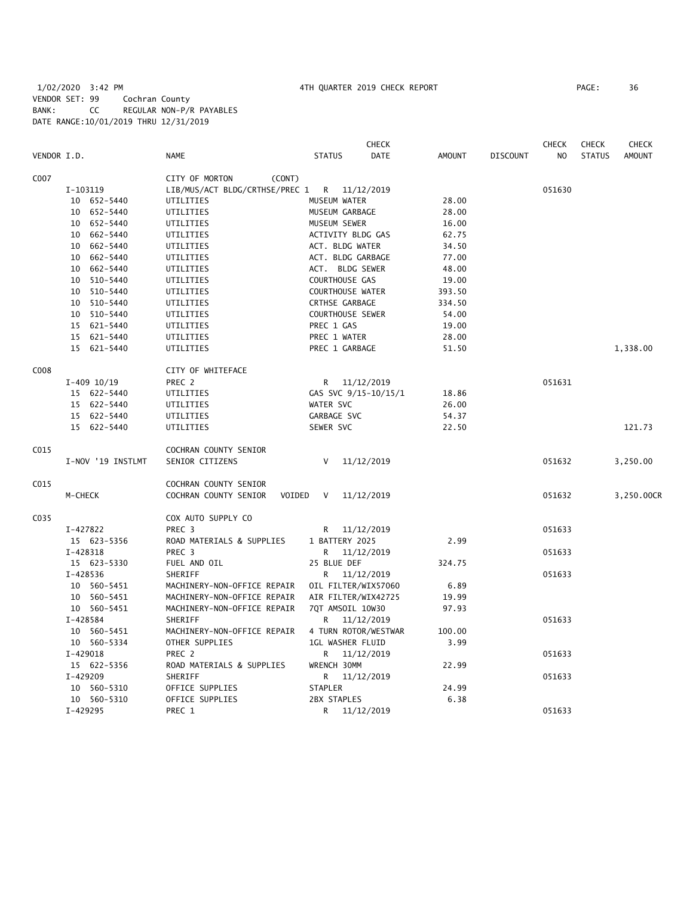# 1/02/2020 3:42 PM 4TH QUARTER 2019 CHECK REPORT PAGE: 36 VENDOR SET: 99 Cochran County BANK: CC REGULAR NON-P/R PAYABLES DATE RANGE:10/01/2019 THRU 12/31/2019

|             |                             |                                 | <b>CHECK</b>            |               |                 | <b>CHECK</b>   | <b>CHECK</b>  | <b>CHECK</b>  |
|-------------|-----------------------------|---------------------------------|-------------------------|---------------|-----------------|----------------|---------------|---------------|
| VENDOR I.D. |                             | <b>NAME</b>                     | DATE<br><b>STATUS</b>   | <b>AMOUNT</b> | <b>DISCOUNT</b> | N <sub>O</sub> | <b>STATUS</b> | <b>AMOUNT</b> |
| C007        |                             | CITY OF MORTON<br>(CONT)        |                         |               |                 |                |               |               |
|             | I-103119                    | LIB/MUS/ACT BLDG/CRTHSE/PREC 1  | R 11/12/2019            |               |                 | 051630         |               |               |
|             | 10 652-5440                 | UTILITIES                       | MUSEUM WATER            | 28.00         |                 |                |               |               |
|             | 652-5440<br>10<br>UTILITIES |                                 | MUSEUM GARBAGE          | 28.00         |                 |                |               |               |
|             | 10 652-5440                 | UTILITIES                       | MUSEUM SEWER            | 16.00         |                 |                |               |               |
|             | 662-5440<br>10              | UTILITIES                       | ACTIVITY BLDG GAS       | 62.75         |                 |                |               |               |
|             | 662-5440<br>10              | UTILITIES                       | ACT. BLDG WATER         | 34.50         |                 |                |               |               |
|             | 662-5440<br>10              | UTILITIES                       | ACT. BLDG GARBAGE       | 77.00         |                 |                |               |               |
|             | 10 662-5440                 | UTILITIES                       | ACT. BLDG SEWER         | 48.00         |                 |                |               |               |
|             | 510-5440<br>10              | UTILITIES                       | COURTHOUSE GAS          | 19.00         |                 |                |               |               |
|             | 510-5440<br>10              | UTILITIES                       | <b>COURTHOUSE WATER</b> | 393.50        |                 |                |               |               |
|             | 510-5440<br>10              | UTILITIES                       | CRTHSE GARBAGE          | 334.50        |                 |                |               |               |
|             | 10 510-5440                 | UTILITIES                       | <b>COURTHOUSE SEWER</b> | 54.00         |                 |                |               |               |
|             | 15 621-5440                 | UTILITIES                       | PREC 1 GAS              | 19.00         |                 |                |               |               |
|             | 621-5440<br>15              | UTILITIES                       | PREC 1 WATER            | 28.00         |                 |                |               |               |
|             | 15<br>621-5440              | UTILITIES                       | PREC 1 GARBAGE          | 51.50         |                 |                |               | 1,338.00      |
| C008        |                             | CITY OF WHITEFACE               |                         |               |                 |                |               |               |
|             | $I-409$ $10/19$             | PREC 2                          | R 11/12/2019            |               |                 | 051631         |               |               |
|             | 15 622-5440                 | UTILITIES                       | GAS SVC 9/15-10/15/1    | 18.86         |                 |                |               |               |
|             | 15 622-5440                 | UTILITIES                       | WATER SVC               | 26.00         |                 |                |               |               |
|             | 15 622-5440                 | UTILITIES                       | GARBAGE SVC             | 54.37         |                 |                |               |               |
|             | 15 622-5440                 | UTILITIES                       | SEWER SVC               | 22.50         |                 |                |               | 121.73        |
| C015        |                             | COCHRAN COUNTY SENIOR           |                         |               |                 |                |               |               |
|             | I-NOV '19 INSTLMT           | SENIOR CITIZENS                 | 11/12/2019<br>V         |               |                 | 051632         |               | 3,250.00      |
| C015        |                             | COCHRAN COUNTY SENIOR           |                         |               |                 |                |               |               |
|             | M-CHECK                     | COCHRAN COUNTY SENIOR<br>VOIDED | 11/12/2019<br>V         |               |                 | 051632         |               | 3,250.00CR    |
| C035        |                             | COX AUTO SUPPLY CO              |                         |               |                 |                |               |               |
|             | I-427822                    | PREC <sub>3</sub>               | 11/12/2019<br>R         |               |                 | 051633         |               |               |
|             | 15 623-5356                 | ROAD MATERIALS & SUPPLIES       | 1 BATTERY 2025          | 2.99          |                 |                |               |               |
|             | I-428318                    | PREC <sub>3</sub>               | 11/12/2019<br>R.        |               |                 | 051633         |               |               |
|             | 15 623-5330                 | FUEL AND OIL                    | 25 BLUE DEF             | 324.75        |                 |                |               |               |
|             | I-428536                    | SHERIFF                         | R 11/12/2019            |               |                 | 051633         |               |               |
|             | 10 560-5451                 | MACHINERY-NON-OFFICE REPAIR     | OIL FILTER/WIX57060     | 6.89          |                 |                |               |               |
|             | 10 560-5451                 | MACHINERY-NON-OFFICE REPAIR     | AIR FILTER/WIX42725     | 19.99         |                 |                |               |               |
|             | 10 560-5451                 | MACHINERY-NON-OFFICE REPAIR     | 7QT AMSOIL 10W30        | 97.93         |                 |                |               |               |
|             | I-428584                    | SHERIFF                         | 11/12/2019<br>R.        |               |                 | 051633         |               |               |
|             | 10 560-5451                 | MACHINERY-NON-OFFICE REPAIR     | 4 TURN ROTOR/WESTWAR    | 100.00        |                 |                |               |               |
|             | 10 560-5334                 | OTHER SUPPLIES                  | <b>1GL WASHER FLUID</b> | 3.99          |                 |                |               |               |
|             | I-429018                    | PREC <sub>2</sub>               | 11/12/2019<br>R         |               |                 | 051633         |               |               |
|             | 15 622-5356                 | ROAD MATERIALS & SUPPLIES       | WRENCH 30MM             | 22.99         |                 |                |               |               |
|             | I-429209                    | SHERIFF                         | 11/12/2019<br>R.        |               |                 | 051633         |               |               |
|             | 10 560-5310                 | OFFICE SUPPLIES                 | <b>STAPLER</b>          | 24.99         |                 |                |               |               |
|             | 10 560-5310                 | OFFICE SUPPLIES                 | 2BX STAPLES             | 6.38          |                 |                |               |               |
|             | I-429295                    | PREC 1                          | R.<br>11/12/2019        |               |                 | 051633         |               |               |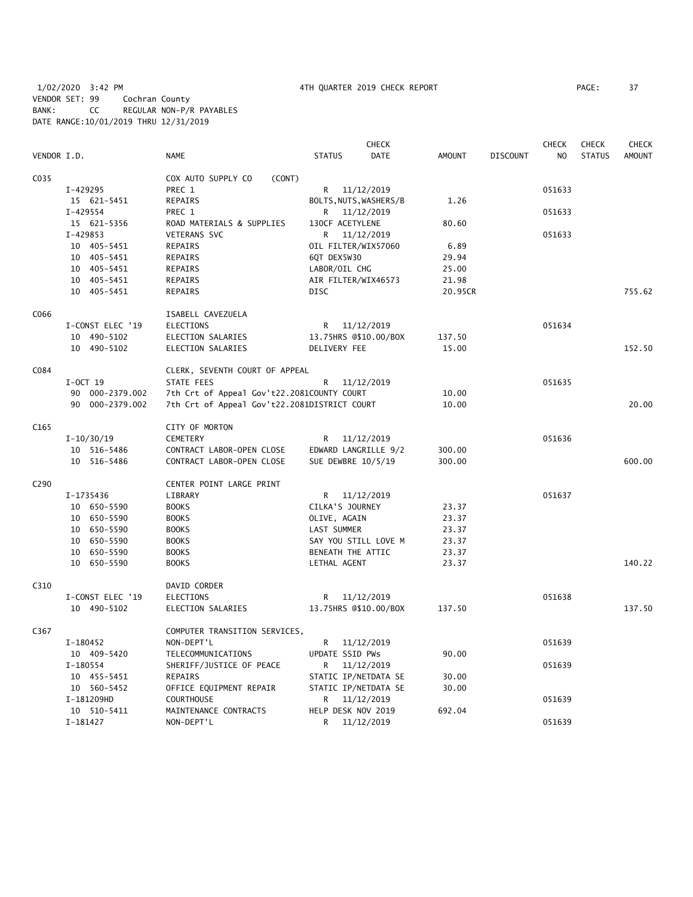1/02/2020 3:42 PM 4TH QUARTER 2019 CHECK REPORT PAGE: 37 VENDOR SET: 99 Cochran County BANK: CC REGULAR NON-P/R PAYABLES DATE RANGE:10/01/2019 THRU 12/31/2019

|                  |                  |                                              |                        | <b>CHECK</b> |               |                 | <b>CHECK</b>   | <b>CHECK</b>  | CHECK         |
|------------------|------------------|----------------------------------------------|------------------------|--------------|---------------|-----------------|----------------|---------------|---------------|
| VENDOR I.D.      |                  | <b>NAME</b>                                  | <b>STATUS</b>          | DATE         | <b>AMOUNT</b> | <b>DISCOUNT</b> | N <sub>O</sub> | <b>STATUS</b> | <b>AMOUNT</b> |
| C035             |                  | COX AUTO SUPPLY CO<br>(CONT)                 |                        |              |               |                 |                |               |               |
|                  | I-429295         | PREC 1                                       | R 11/12/2019           |              |               |                 | 051633         |               |               |
|                  | 15 621-5451      | REPAIRS                                      | BOLTS, NUTS, WASHERS/B |              | 1.26          |                 |                |               |               |
|                  | I-429554         | PREC 1                                       | R.                     | 11/12/2019   |               |                 | 051633         |               |               |
|                  | 15 621-5356      | ROAD MATERIALS & SUPPLIES                    | 130CF ACETYLENE        |              | 80.60         |                 |                |               |               |
|                  | I-429853         | <b>VETERANS SVC</b>                          | R                      | 11/12/2019   |               |                 | 051633         |               |               |
|                  | 10 405-5451      | REPAIRS                                      | OIL FILTER/WIX57060    |              | 6.89          |                 |                |               |               |
|                  | 10 405-5451      | REPAIRS                                      | 6QT DEX5W30            |              | 29.94         |                 |                |               |               |
|                  | 10 405-5451      | REPAIRS                                      | LABOR/OIL CHG          |              | 25.00         |                 |                |               |               |
|                  | 10 405-5451      | REPAIRS                                      | AIR FILTER/WIX46573    |              | 21.98         |                 |                |               |               |
|                  | 10 405-5451      | <b>REPAIRS</b>                               | <b>DISC</b>            |              | 20.95CR       |                 |                |               | 755.62        |
| C066             |                  | ISABELL CAVEZUELA                            |                        |              |               |                 |                |               |               |
|                  | I-CONST ELEC '19 | <b>ELECTIONS</b>                             | R.                     | 11/12/2019   |               |                 | 051634         |               |               |
|                  | 10 490-5102      | ELECTION SALARIES                            | 13.75HRS @\$10.00/BOX  |              | 137.50        |                 |                |               |               |
|                  | 10 490-5102      | ELECTION SALARIES                            | DELIVERY FEE           |              | 15.00         |                 |                |               | 152.50        |
| C084             |                  | CLERK, SEVENTH COURT OF APPEAL               |                        |              |               |                 |                |               |               |
|                  | $I-0CT$ 19       | <b>STATE FEES</b>                            | R                      | 11/12/2019   |               |                 | 051635         |               |               |
|                  | 90 000-2379.002  | 7th Crt of Appeal Gov't22.2081COUNTY COURT   |                        |              | 10.00         |                 |                |               |               |
|                  | 90 000-2379.002  | 7th Crt of Appeal Gov't22.2081DISTRICT COURT |                        |              | 10.00         |                 |                |               | 20.00         |
| C <sub>165</sub> |                  | CITY OF MORTON                               |                        |              |               |                 |                |               |               |
|                  | $I-10/30/19$     | <b>CEMETERY</b>                              | R                      | 11/12/2019   |               |                 | 051636         |               |               |
|                  | 10 516-5486      | CONTRACT LABOR-OPEN CLOSE                    | EDWARD LANGRILLE 9/2   |              | 300.00        |                 |                |               |               |
|                  | 10 516-5486      | CONTRACT LABOR-OPEN CLOSE                    | SUE DEWBRE 10/5/19     |              | 300.00        |                 |                |               | 600.00        |
| C <sub>290</sub> |                  | CENTER POINT LARGE PRINT                     |                        |              |               |                 |                |               |               |
|                  | I-1735436        | LIBRARY                                      | R 11/12/2019           |              |               |                 | 051637         |               |               |
|                  | 10 650-5590      | <b>BOOKS</b>                                 | CILKA'S JOURNEY        |              | 23.37         |                 |                |               |               |
|                  | 10 650-5590      | <b>BOOKS</b>                                 | OLIVE, AGAIN           |              | 23.37         |                 |                |               |               |
|                  | 10 650-5590      | <b>BOOKS</b>                                 | LAST SUMMER            |              | 23.37         |                 |                |               |               |
|                  | 10 650-5590      | <b>BOOKS</b>                                 | SAY YOU STILL LOVE M   |              | 23.37         |                 |                |               |               |
|                  | 10 650-5590      | <b>BOOKS</b>                                 | BENEATH THE ATTIC      |              | 23.37         |                 |                |               |               |
|                  | 10 650-5590      | <b>BOOKS</b>                                 | LETHAL AGENT           |              | 23.37         |                 |                |               | 140.22        |
| C310             |                  | DAVID CORDER                                 |                        |              |               |                 |                |               |               |
|                  | I-CONST ELEC '19 | ELECTIONS                                    | R                      | 11/12/2019   |               |                 | 051638         |               |               |
|                  | 10 490-5102      | ELECTION SALARIES                            | 13.75HRS @\$10.00/BOX  |              | 137.50        |                 |                |               | 137.50        |
| C367             |                  | COMPUTER TRANSITION SERVICES,                |                        |              |               |                 |                |               |               |
|                  | I-180452         | NON-DEPT'L                                   | R 11/12/2019           |              |               |                 | 051639         |               |               |
|                  | 10 409-5420      | TELECOMMUNICATIONS                           | UPDATE SSID PWs        |              | 90.00         |                 |                |               |               |
|                  | I-180554         | SHERIFF/JUSTICE OF PEACE                     | R.                     | 11/12/2019   |               |                 | 051639         |               |               |
|                  | 10 455-5451      | <b>REPAIRS</b>                               | STATIC IP/NETDATA SE   |              | 30.00         |                 |                |               |               |
|                  | 10 560-5452      | OFFICE EQUIPMENT REPAIR                      | STATIC IP/NETDATA SE   |              | 30.00         |                 |                |               |               |
|                  | I-181209HD       | COURTHOUSE                                   | R                      | 11/12/2019   |               |                 | 051639         |               |               |
|                  | 10 510-5411      | MAINTENANCE CONTRACTS                        | HELP DESK NOV 2019     |              | 692.04        |                 |                |               |               |
|                  | I-181427         | NON-DEPT'L                                   | R                      | 11/12/2019   |               |                 | 051639         |               |               |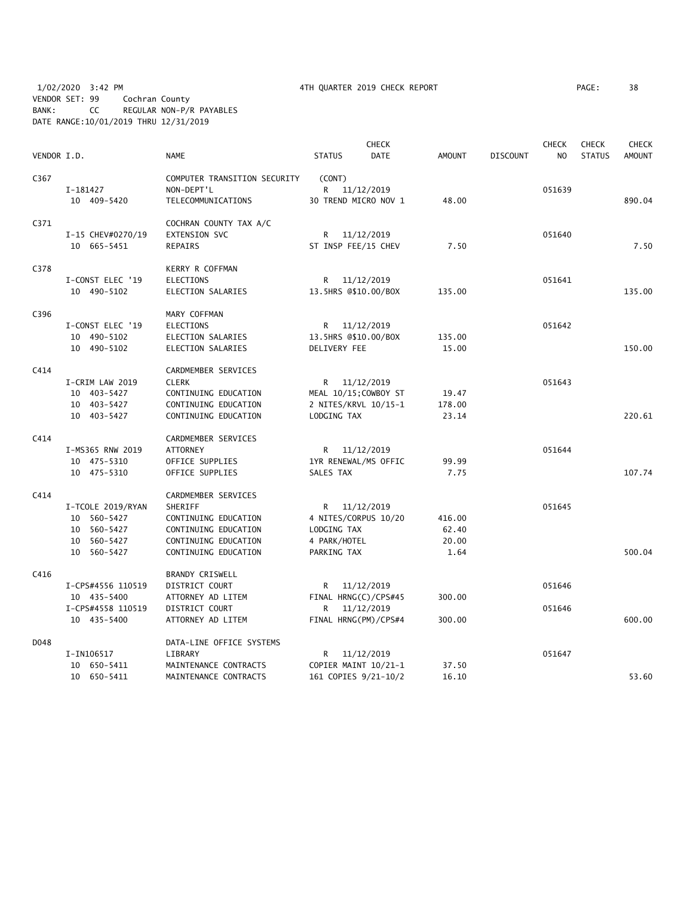1/02/2020 3:42 PM 4TH QUARTER 2019 CHECK REPORT PAGE: 38 VENDOR SET: 99 Cochran County BANK: CC REGULAR NON-P/R PAYABLES DATE RANGE:10/01/2019 THRU 12/31/2019

|             |                   |                              |                       | <b>CHECK</b> |               |                 | <b>CHECK</b>   | <b>CHECK</b>  | <b>CHECK</b>  |
|-------------|-------------------|------------------------------|-----------------------|--------------|---------------|-----------------|----------------|---------------|---------------|
| VENDOR I.D. |                   | <b>NAME</b>                  | <b>STATUS</b>         | <b>DATE</b>  | <b>AMOUNT</b> | <b>DISCOUNT</b> | N <sub>O</sub> | <b>STATUS</b> | <b>AMOUNT</b> |
| C367        |                   | COMPUTER TRANSITION SECURITY | (CONT)                |              |               |                 |                |               |               |
|             | I-181427          | NON-DEPT'L                   | R 11/12/2019          |              |               |                 | 051639         |               |               |
|             | 10 409-5420       | TELECOMMUNICATIONS           | 30 TREND MICRO NOV 1  |              | 48.00         |                 |                |               | 890.04        |
| C371        |                   | COCHRAN COUNTY TAX A/C       |                       |              |               |                 |                |               |               |
|             | I-15 CHEV#0270/19 | EXTENSION SVC                | R                     | 11/12/2019   |               |                 | 051640         |               |               |
|             | 10 665-5451       | <b>REPAIRS</b>               | ST INSP FEE/15 CHEV   |              | 7.50          |                 |                |               | 7.50          |
| C378        |                   | KERRY R COFFMAN              |                       |              |               |                 |                |               |               |
|             | I-CONST ELEC '19  | <b>ELECTIONS</b>             | R                     | 11/12/2019   |               |                 | 051641         |               |               |
|             | 10 490-5102       | ELECTION SALARIES            | 13.5HRS @\$10.00/BOX  |              | 135.00        |                 |                |               | 135.00        |
| C396        |                   | MARY COFFMAN                 |                       |              |               |                 |                |               |               |
|             | I-CONST ELEC '19  | ELECTIONS                    | R.                    | 11/12/2019   |               |                 | 051642         |               |               |
|             | 10 490-5102       | ELECTION SALARIES            | 13.5HRS @\$10.00/BOX  |              | 135.00        |                 |                |               |               |
|             | 10 490-5102       | ELECTION SALARIES            | DELIVERY FEE          |              | 15.00         |                 |                |               | 150.00        |
| C414        |                   | CARDMEMBER SERVICES          |                       |              |               |                 |                |               |               |
|             | I-CRIM LAW 2019   | <b>CLERK</b>                 | R 11/12/2019          |              |               |                 | 051643         |               |               |
|             | 10 403-5427       | CONTINUING EDUCATION         | MEAL 10/15; COWBOY ST |              | 19.47         |                 |                |               |               |
|             | 10 403-5427       | CONTINUING EDUCATION         | 2 NITES/KRVL 10/15-1  |              | 178.00        |                 |                |               |               |
|             | 10 403-5427       | CONTINUING EDUCATION         | LODGING TAX           |              | 23.14         |                 |                |               | 220.61        |
| C414        |                   | CARDMEMBER SERVICES          |                       |              |               |                 |                |               |               |
|             | I-MS365 RNW 2019  | <b>ATTORNEY</b>              | R 11/12/2019          |              |               |                 | 051644         |               |               |
|             | 10 475-5310       | OFFICE SUPPLIES              | 1YR RENEWAL/MS OFFIC  |              | 99.99         |                 |                |               |               |
|             | 10 475-5310       | OFFICE SUPPLIES              | SALES TAX             |              | 7.75          |                 |                |               | 107.74        |
| C414        |                   | CARDMEMBER SERVICES          |                       |              |               |                 |                |               |               |
|             | I-TCOLE 2019/RYAN | SHERIFF                      | R 11/12/2019          |              |               |                 | 051645         |               |               |
|             | 10 560-5427       | CONTINUING EDUCATION         | 4 NITES/CORPUS 10/20  |              | 416.00        |                 |                |               |               |
|             | 10 560-5427       | CONTINUING EDUCATION         | LODGING TAX           |              | 62.40         |                 |                |               |               |
|             | 10 560-5427       | CONTINUING EDUCATION         | 4 PARK/HOTEL          |              | 20.00         |                 |                |               |               |
|             | 10 560-5427       | CONTINUING EDUCATION         | PARKING TAX           |              | 1.64          |                 |                |               | 500.04        |
| C416        |                   | BRANDY CRISWELL              |                       |              |               |                 |                |               |               |
|             | I-CPS#4556 110519 | DISTRICT COURT               | R                     | 11/12/2019   |               |                 | 051646         |               |               |
|             | 10 435-5400       | ATTORNEY AD LITEM            | FINAL HRNG(C)/CPS#45  |              | 300.00        |                 |                |               |               |
|             | I-CPS#4558 110519 | DISTRICT COURT               | R                     | 11/12/2019   |               |                 | 051646         |               |               |
|             | 10 435-5400       | ATTORNEY AD LITEM            | FINAL HRNG(PM)/CPS#4  |              | 300.00        |                 |                |               | 600.00        |
| D048        |                   | DATA-LINE OFFICE SYSTEMS     |                       |              |               |                 |                |               |               |
|             | I-IN106517        | LIBRARY                      | R 11/12/2019          |              |               |                 | 051647         |               |               |
|             | 10 650-5411       | MAINTENANCE CONTRACTS        | COPIER MAINT 10/21-1  |              | 37.50         |                 |                |               |               |
|             | 10 650-5411       | MAINTENANCE CONTRACTS        | 161 COPIES 9/21-10/2  |              | 16.10         |                 |                |               | 53.60         |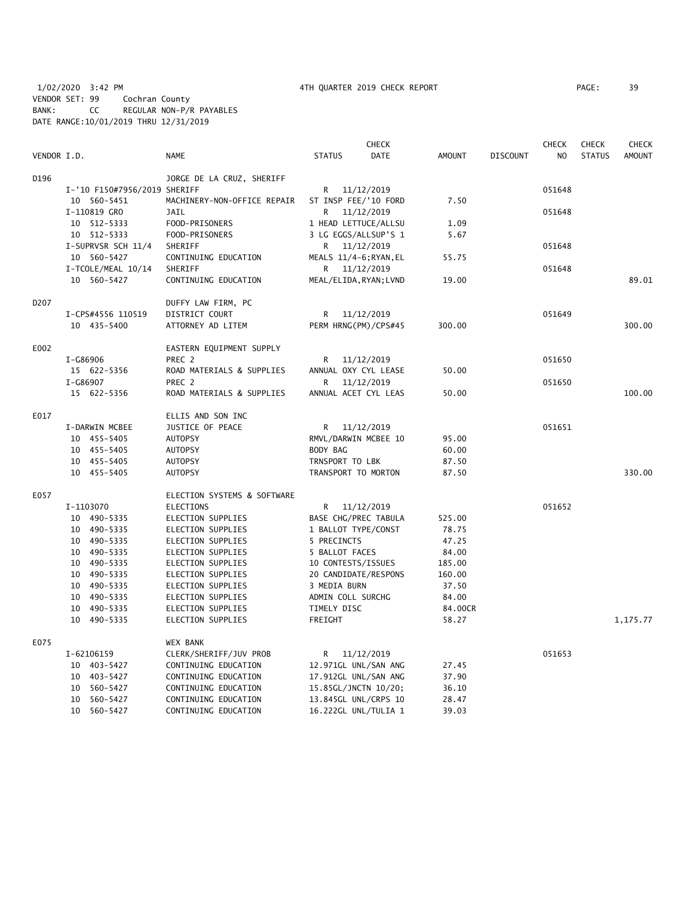1/02/2020 3:42 PM 4TH QUARTER 2019 CHECK REPORT PAGE: 39 VENDOR SET: 99 Cochran County BANK: CC REGULAR NON-P/R PAYABLES DATE RANGE:10/01/2019 THRU 12/31/2019

|                   |                              |                             |                        | <b>CHECK</b> |         |                 | <b>CHECK</b>   | <b>CHECK</b>  | <b>CHECK</b>  |
|-------------------|------------------------------|-----------------------------|------------------------|--------------|---------|-----------------|----------------|---------------|---------------|
| VENDOR I.D.       |                              | <b>NAME</b>                 | <b>STATUS</b>          | DATE         | AMOUNT  | <b>DISCOUNT</b> | N <sub>O</sub> | <b>STATUS</b> | <b>AMOUNT</b> |
| D196              |                              | JORGE DE LA CRUZ, SHERIFF   |                        |              |         |                 |                |               |               |
|                   | I-'10 F150#7956/2019 SHERIFF |                             | R                      | 11/12/2019   |         |                 | 051648         |               |               |
|                   | 10 560-5451                  | MACHINERY-NON-OFFICE REPAIR | ST INSP FEE/'10 FORD   |              | 7.50    |                 |                |               |               |
|                   | I-110819 GRO                 | JAIL                        | R                      | 11/12/2019   |         |                 | 051648         |               |               |
|                   | 10 512-5333                  | FOOD-PRISONERS              | 1 HEAD LETTUCE/ALLSU   |              | 1.09    |                 |                |               |               |
|                   | 10 512-5333                  | FOOD-PRISONERS              | 3 LG EGGS/ALLSUP'S 1   |              | 5.67    |                 |                |               |               |
|                   | I-SUPRVSR SCH 11/4           | SHERIFF                     | R                      | 11/12/2019   |         |                 | 051648         |               |               |
|                   | 10 560-5427                  | CONTINUING EDUCATION        | MEALS 11/4-6; RYAN, EL |              | 55.75   |                 |                |               |               |
|                   | I-TCOLE/MEAL 10/14           | SHERIFF                     | R 11/12/2019           |              |         |                 | 051648         |               |               |
|                   | 10 560-5427                  | CONTINUING EDUCATION        | MEAL/ELIDA, RYAN; LVND |              | 19.00   |                 |                |               | 89.01         |
| D <sub>2</sub> 07 |                              | DUFFY LAW FIRM, PC          |                        |              |         |                 |                |               |               |
|                   | I-CPS#4556 110519            | DISTRICT COURT              | R                      | 11/12/2019   |         |                 | 051649         |               |               |
|                   | 10 435-5400                  | ATTORNEY AD LITEM           | PERM HRNG(PM)/CPS#45   |              | 300.00  |                 |                |               | 300.00        |
| E002              |                              | EASTERN EQUIPMENT SUPPLY    |                        |              |         |                 |                |               |               |
|                   | I-G86906                     | PREC 2                      | R                      | 11/12/2019   |         |                 | 051650         |               |               |
|                   | 15 622-5356                  | ROAD MATERIALS & SUPPLIES   | ANNUAL OXY CYL LEASE   |              | 50.00   |                 |                |               |               |
|                   | I-G86907                     | PREC <sub>2</sub>           | R                      | 11/12/2019   |         |                 | 051650         |               |               |
|                   | 15 622-5356                  | ROAD MATERIALS & SUPPLIES   | ANNUAL ACET CYL LEAS   |              | 50.00   |                 |                |               | 100.00        |
| E017              |                              | ELLIS AND SON INC           |                        |              |         |                 |                |               |               |
|                   | I-DARWIN MCBEE               | JUSTICE OF PEACE            | R 11/12/2019           |              |         |                 | 051651         |               |               |
|                   | 10 455-5405                  | <b>AUTOPSY</b>              | RMVL/DARWIN MCBEE 10   |              | 95.00   |                 |                |               |               |
|                   | 10 455-5405                  | <b>AUTOPSY</b>              | BODY BAG               |              | 60.00   |                 |                |               |               |
|                   | 10 455-5405                  | <b>AUTOPSY</b>              | TRNSPORT TO LBK        |              | 87.50   |                 |                |               |               |
|                   | 10 455-5405                  | <b>AUTOPSY</b>              | TRANSPORT TO MORTON    |              | 87.50   |                 |                |               | 330.00        |
| E057              |                              | ELECTION SYSTEMS & SOFTWARE |                        |              |         |                 |                |               |               |
|                   | I-1103070                    | ELECTIONS                   | R                      | 11/12/2019   |         |                 | 051652         |               |               |
|                   | 10 490-5335                  | ELECTION SUPPLIES           | BASE CHG/PREC TABULA   |              | 525.00  |                 |                |               |               |
|                   | 10 490-5335                  | ELECTION SUPPLIES           | 1 BALLOT TYPE/CONST    |              | 78.75   |                 |                |               |               |
|                   | 10 490-5335                  | ELECTION SUPPLIES           | 5 PRECINCTS            |              | 47.25   |                 |                |               |               |
|                   | 10 490-5335                  | ELECTION SUPPLIES           | 5 BALLOT FACES         |              | 84.00   |                 |                |               |               |
|                   | 10 490-5335                  | ELECTION SUPPLIES           | 10 CONTESTS/ISSUES     |              | 185.00  |                 |                |               |               |
|                   | 10 490-5335                  | ELECTION SUPPLIES           | 20 CANDIDATE/RESPONS   |              | 160.00  |                 |                |               |               |
|                   | 10 490-5335                  | ELECTION SUPPLIES           | 3 MEDIA BURN           |              | 37.50   |                 |                |               |               |
|                   | 10 490-5335                  | ELECTION SUPPLIES           | ADMIN COLL SURCHG      |              | 84.00   |                 |                |               |               |
|                   | 10 490-5335                  | ELECTION SUPPLIES           | TIMELY DISC            |              | 84.00CR |                 |                |               |               |
|                   | 10 490-5335                  | ELECTION SUPPLIES           | FREIGHT                |              | 58.27   |                 |                |               | 1,175.77      |
| E075              |                              | <b>WEX BANK</b>             |                        |              |         |                 |                |               |               |
|                   | I-62106159                   | CLERK/SHERIFF/JUV PROB      | R.                     | 11/12/2019   |         |                 | 051653         |               |               |
|                   | 10 403-5427                  | CONTINUING EDUCATION        | 12.971GL UNL/SAN ANG   |              | 27.45   |                 |                |               |               |
|                   | 10 403-5427                  | CONTINUING EDUCATION        | 17.912GL UNL/SAN ANG   |              | 37.90   |                 |                |               |               |
|                   | 10 560-5427                  | CONTINUING EDUCATION        | 15.85GL/JNCTN 10/20;   |              | 36.10   |                 |                |               |               |
|                   | 560-5427<br>10               | CONTINUING EDUCATION        | 13.845GL UNL/CRPS 10   |              | 28.47   |                 |                |               |               |
|                   | 10 560-5427                  | CONTINUING EDUCATION        | 16.222GL UNL/TULIA 1   |              | 39.03   |                 |                |               |               |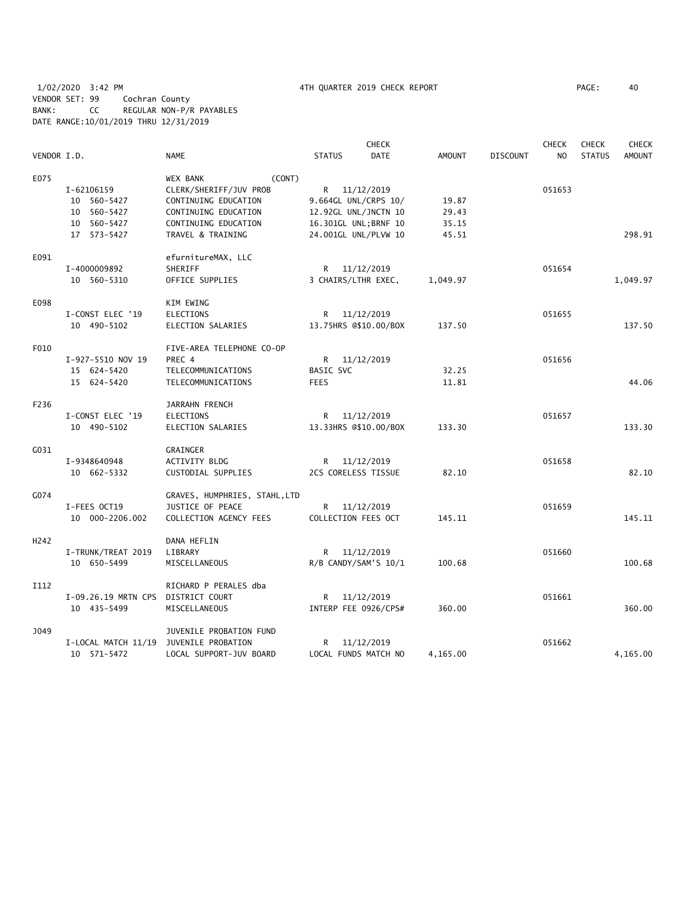|                  |                                    |                               |                       | <b>CHECK</b>          |               |                 | <b>CHECK</b>   | <b>CHECK</b>  | <b>CHECK</b>  |
|------------------|------------------------------------|-------------------------------|-----------------------|-----------------------|---------------|-----------------|----------------|---------------|---------------|
| VENDOR I.D.      |                                    | <b>NAME</b>                   | <b>STATUS</b>         | <b>DATE</b>           | <b>AMOUNT</b> | <b>DISCOUNT</b> | N <sub>O</sub> | <b>STATUS</b> | <b>AMOUNT</b> |
| E075             |                                    | (CONT)<br>WEX BANK            |                       |                       |               |                 |                |               |               |
|                  | I-62106159                         | CLERK/SHERIFF/JUV PROB        | R 11/12/2019          |                       |               |                 | 051653         |               |               |
|                  | 10 560-5427                        | CONTINUING EDUCATION          |                       | 9.664GL UNL/CRPS 10/  | 19.87         |                 |                |               |               |
|                  | 10 560-5427                        | CONTINUING EDUCATION          | 12.92GL UNL/JNCTN 10  |                       | 29.43         |                 |                |               |               |
|                  | 10 560-5427                        | CONTINUING EDUCATION          | 16.301GL UNL; BRNF 10 |                       | 35.15         |                 |                |               |               |
|                  | 17 573-5427                        | TRAVEL & TRAINING             |                       | 24.001GL UNL/PLVW 10  | 45.51         |                 |                |               | 298.91        |
| E091             |                                    | efurnitureMAX, LLC            |                       |                       |               |                 |                |               |               |
|                  | I-4000009892                       | SHERIFF                       | R                     | 11/12/2019            |               |                 | 051654         |               |               |
|                  | 10 560-5310                        | OFFICE SUPPLIES               | 3 CHAIRS/LTHR EXEC,   |                       | 1,049.97      |                 |                |               | 1,049.97      |
| E098             |                                    | KIM EWING                     |                       |                       |               |                 |                |               |               |
|                  | I-CONST ELEC '19                   | <b>ELECTIONS</b>              | R 11/12/2019          |                       |               |                 | 051655         |               |               |
|                  | 10 490-5102                        | ELECTION SALARIES             |                       | 13.75HRS @\$10.00/BOX | 137.50        |                 |                |               | 137.50        |
| F010             |                                    | FIVE-AREA TELEPHONE CO-OP     |                       |                       |               |                 |                |               |               |
|                  | I-927-5510 NOV 19                  | PREC 4                        |                       | R 11/12/2019          |               |                 | 051656         |               |               |
|                  | 15 624-5420                        | TELECOMMUNICATIONS            | BASIC SVC             |                       | 32.25         |                 |                |               |               |
|                  | 15 624-5420                        | TELECOMMUNICATIONS            | <b>FEES</b>           |                       | 11.81         |                 |                |               | 44.06         |
| F236             |                                    | JARRAHN FRENCH                |                       |                       |               |                 |                |               |               |
|                  | I-CONST ELEC '19                   | ELECTIONS                     |                       | R 11/12/2019          |               |                 | 051657         |               |               |
|                  | 10 490-5102                        | ELECTION SALARIES             |                       | 13.33HRS @\$10.00/BOX | 133.30        |                 |                |               | 133.30        |
| G031             |                                    | <b>GRAINGER</b>               |                       |                       |               |                 |                |               |               |
|                  | I-9348640948                       | ACTIVITY BLDG                 |                       | R 11/12/2019          |               |                 | 051658         |               |               |
|                  | 10 662-5332                        | CUSTODIAL SUPPLIES            | 2CS CORELESS TISSUE   |                       | 82.10         |                 |                |               | 82.10         |
| G074             |                                    | GRAVES, HUMPHRIES, STAHL, LTD |                       |                       |               |                 |                |               |               |
|                  | I-FEES OCT19                       | JUSTICE OF PEACE              |                       | R 11/12/2019          |               |                 | 051659         |               |               |
|                  | 10 000-2206.002                    | COLLECTION AGENCY FEES        | COLLECTION FEES OCT   |                       | 145.11        |                 |                |               | 145.11        |
| H <sub>242</sub> |                                    | DANA HEFLIN                   |                       |                       |               |                 |                |               |               |
|                  | I-TRUNK/TREAT 2019                 | LIBRARY                       |                       | R 11/12/2019          |               |                 | 051660         |               |               |
|                  | 10 650-5499                        | MISCELLANEOUS                 |                       | R/B CANDY/SAM'S 10/1  | 100.68        |                 |                |               | 100.68        |
| I112             |                                    | RICHARD P PERALES dba         |                       |                       |               |                 |                |               |               |
|                  | I-09.26.19 MRTN CPS DISTRICT COURT |                               |                       | R 11/12/2019          |               |                 | 051661         |               |               |
|                  | 10 435-5499                        | MISCELLANEOUS                 |                       | INTERP FEE 0926/CPS#  | 360.00        |                 |                |               | 360.00        |
| J049             |                                    | JUVENILE PROBATION FUND       |                       |                       |               |                 |                |               |               |
|                  | I-LOCAL MATCH 11/19                | JUVENILE PROBATION            | R                     | 11/12/2019            |               |                 | 051662         |               |               |
|                  | 10 571-5472                        | LOCAL SUPPORT-JUV BOARD       |                       | LOCAL FUNDS MATCH NO  | 4,165.00      |                 |                |               | 4,165.00      |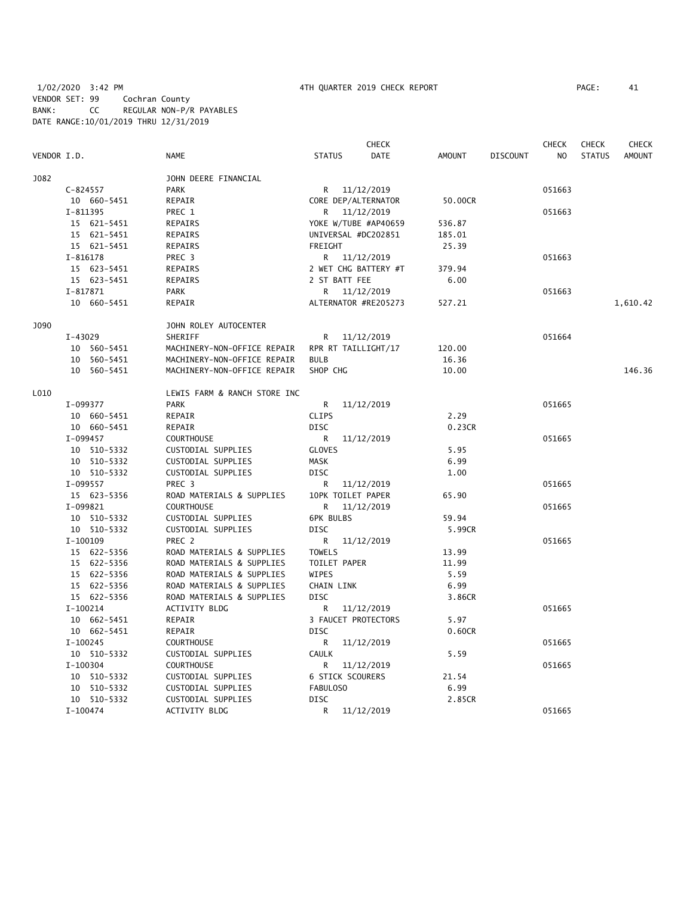|             |              |                              |                         | <b>CHECK</b>         |               |                 | <b>CHECK</b>   | <b>CHECK</b>  | CHECK         |
|-------------|--------------|------------------------------|-------------------------|----------------------|---------------|-----------------|----------------|---------------|---------------|
| VENDOR I.D. |              | <b>NAME</b>                  | <b>STATUS</b>           | DATE                 | <b>AMOUNT</b> | <b>DISCOUNT</b> | N <sub>O</sub> | <b>STATUS</b> | <b>AMOUNT</b> |
| J082        |              | JOHN DEERE FINANCIAL         |                         |                      |               |                 |                |               |               |
|             | $C-824557$   | <b>PARK</b>                  |                         | R 11/12/2019         |               |                 | 051663         |               |               |
|             | 10 660-5451  | REPAIR                       |                         | CORE DEP/ALTERNATOR  | 50,00CR       |                 |                |               |               |
|             | I-811395     | PREC 1                       |                         | R 11/12/2019         |               |                 | 051663         |               |               |
|             | 15 621-5451  | REPAIRS                      |                         | YOKE W/TUBE #AP40659 | 536.87        |                 |                |               |               |
|             | 15 621-5451  | REPAIRS                      |                         | UNIVERSAL #DC202851  | 185.01        |                 |                |               |               |
|             | 15 621-5451  | REPAIRS                      | FREIGHT                 |                      | 25.39         |                 |                |               |               |
|             | $I - 816178$ | PREC 3                       |                         | R 11/12/2019         |               |                 | 051663         |               |               |
|             | 15 623-5451  | REPAIRS                      |                         | 2 WET CHG BATTERY #T | 379.94        |                 |                |               |               |
|             | 15 623-5451  | <b>REPAIRS</b>               | 2 ST BATT FEE           |                      | 6.00          |                 |                |               |               |
|             | I-817871     | <b>PARK</b>                  |                         | R 11/12/2019         |               |                 | 051663         |               |               |
|             | 10 660-5451  | REPAIR                       |                         | ALTERNATOR #RE205273 | 527.21        |                 |                |               | 1,610.42      |
| J090        |              | JOHN ROLEY AUTOCENTER        |                         |                      |               |                 |                |               |               |
|             | $I-43029$    | SHERIFF                      | R                       | 11/12/2019           |               |                 | 051664         |               |               |
|             | 10 560-5451  | MACHINERY-NON-OFFICE REPAIR  |                         | RPR RT TAILLIGHT/17  | 120.00        |                 |                |               |               |
|             | 10 560-5451  | MACHINERY-NON-OFFICE REPAIR  | <b>BULB</b>             |                      | 16.36         |                 |                |               |               |
|             | 10 560-5451  | MACHINERY-NON-OFFICE REPAIR  | SHOP CHG                |                      | 10.00         |                 |                |               | 146.36        |
| L010        |              | LEWIS FARM & RANCH STORE INC |                         |                      |               |                 |                |               |               |
|             | I-099377     | <b>PARK</b>                  | R                       | 11/12/2019           |               |                 | 051665         |               |               |
|             | 10 660-5451  | REPAIR                       | <b>CLIPS</b>            |                      | 2.29          |                 |                |               |               |
|             | 10 660-5451  | REPAIR                       | <b>DISC</b>             |                      | 0.23CR        |                 |                |               |               |
|             | I-099457     | <b>COURTHOUSE</b>            | R                       | 11/12/2019           |               |                 | 051665         |               |               |
|             | 10 510-5332  | CUSTODIAL SUPPLIES           | <b>GLOVES</b>           |                      | 5.95          |                 |                |               |               |
|             | 10 510-5332  | CUSTODIAL SUPPLIES           | <b>MASK</b>             |                      | 6.99          |                 |                |               |               |
|             | 10 510-5332  | CUSTODIAL SUPPLIES           | <b>DISC</b>             |                      | 1.00          |                 |                |               |               |
|             | I-099557     | PREC 3                       | R                       | 11/12/2019           |               |                 | 051665         |               |               |
|             | 15 623-5356  | ROAD MATERIALS & SUPPLIES    | 10PK TOILET PAPER       |                      | 65.90         |                 |                |               |               |
|             | I-099821     | <b>COURTHOUSE</b>            | R                       | 11/12/2019           |               |                 | 051665         |               |               |
|             | 10 510-5332  | CUSTODIAL SUPPLIES           | <b>6PK BULBS</b>        |                      | 59.94         |                 |                |               |               |
|             | 10 510-5332  | CUSTODIAL SUPPLIES           | <b>DISC</b>             |                      | 5.99CR        |                 |                |               |               |
|             | I-100109     | PREC 2                       | R                       | 11/12/2019           |               |                 | 051665         |               |               |
|             | 15 622-5356  | ROAD MATERIALS & SUPPLIES    | <b>TOWELS</b>           |                      | 13.99         |                 |                |               |               |
|             | 15 622-5356  | ROAD MATERIALS & SUPPLIES    | TOILET PAPER            |                      | 11.99         |                 |                |               |               |
|             | 15 622-5356  | ROAD MATERIALS & SUPPLIES    | WIPES                   |                      | 5.59          |                 |                |               |               |
|             | 15 622-5356  | ROAD MATERIALS & SUPPLIES    | <b>CHAIN LINK</b>       |                      | 6.99          |                 |                |               |               |
|             | 15 622-5356  | ROAD MATERIALS & SUPPLIES    | <b>DISC</b>             |                      | 3.86CR        |                 |                |               |               |
|             | $I-100214$   | <b>ACTIVITY BLDG</b>         | R                       | 11/12/2019           |               |                 | 051665         |               |               |
|             | 10 662-5451  | REPAIR                       |                         | 3 FAUCET PROTECTORS  | 5.97          |                 |                |               |               |
|             | 10 662-5451  | REPAIR                       | <b>DISC</b>             |                      | 0.60CR        |                 |                |               |               |
|             | I-100245     | <b>COURTHOUSE</b>            | R                       | 11/12/2019           |               |                 | 051665         |               |               |
|             | 10 510-5332  | CUSTODIAL SUPPLIES           | <b>CAULK</b>            |                      | 5.59          |                 |                |               |               |
|             | I-100304     | <b>COURTHOUSE</b>            | R                       | 11/12/2019           |               |                 | 051665         |               |               |
|             | 10 510-5332  | CUSTODIAL SUPPLIES           | <b>6 STICK SCOURERS</b> |                      | 21.54         |                 |                |               |               |
|             | 10 510-5332  | CUSTODIAL SUPPLIES           | FABULOSO                |                      | 6.99          |                 |                |               |               |
|             | 10 510-5332  | CUSTODIAL SUPPLIES           | <b>DISC</b>             |                      | 2.85CR        |                 |                |               |               |
|             | $I-100474$   | ACTIVITY BLDG                | R                       | 11/12/2019           |               |                 | 051665         |               |               |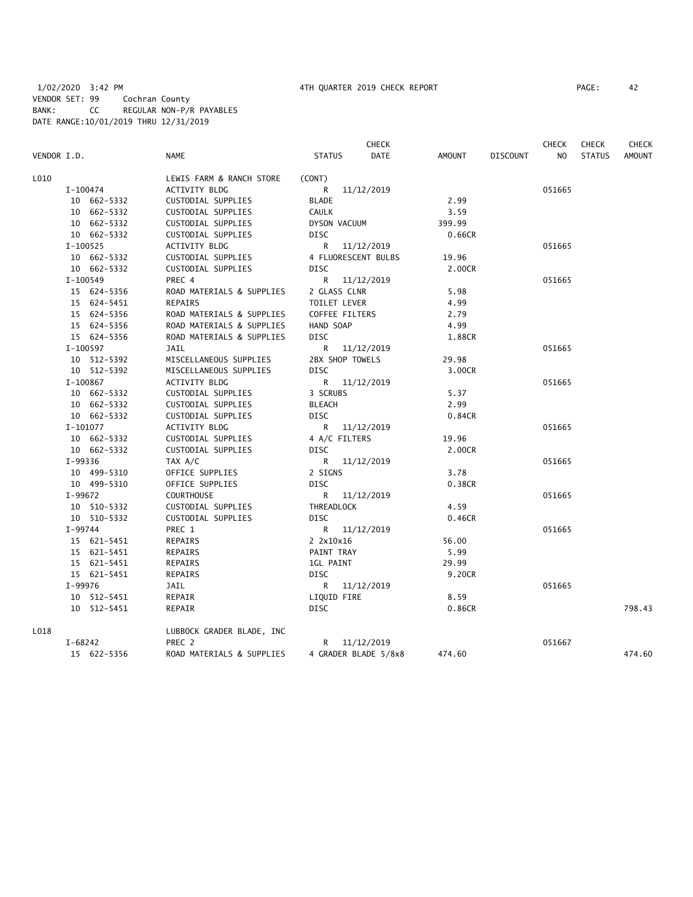|             |             |                           |                  | <b>CHECK</b>         |        |                 | <b>CHECK</b> | <b>CHECK</b>  | <b>CHECK</b>  |
|-------------|-------------|---------------------------|------------------|----------------------|--------|-----------------|--------------|---------------|---------------|
| VENDOR I.D. |             | <b>NAME</b>               | <b>STATUS</b>    | <b>DATE</b>          | AMOUNT | <b>DISCOUNT</b> | NO           | <b>STATUS</b> | <b>AMOUNT</b> |
| L010        |             | LEWIS FARM & RANCH STORE  | (CONT)           |                      |        |                 |              |               |               |
|             | I-100474    | ACTIVITY BLDG             |                  | R 11/12/2019         |        |                 | 051665       |               |               |
|             | 10 662-5332 | CUSTODIAL SUPPLIES        | <b>BLADE</b>     |                      | 2.99   |                 |              |               |               |
|             | 10 662-5332 | CUSTODIAL SUPPLIES        | <b>CAULK</b>     |                      | 3.59   |                 |              |               |               |
|             | 10 662-5332 | CUSTODIAL SUPPLIES        | DYSON VACUUM     |                      | 399.99 |                 |              |               |               |
|             | 10 662-5332 | CUSTODIAL SUPPLIES        | <b>DISC</b>      |                      | 0.66CR |                 |              |               |               |
|             | I-100525    | <b>ACTIVITY BLDG</b>      |                  | R 11/12/2019         |        |                 | 051665       |               |               |
|             | 10 662-5332 | CUSTODIAL SUPPLIES        |                  | 4 FLUORESCENT BULBS  | 19.96  |                 |              |               |               |
|             | 10 662-5332 | CUSTODIAL SUPPLIES        | <b>DISC</b>      |                      | 2.00CR |                 |              |               |               |
|             | I-100549    | PREC 4                    |                  | R 11/12/2019         |        |                 | 051665       |               |               |
|             | 15 624-5356 | ROAD MATERIALS & SUPPLIES | 2 GLASS CLNR     |                      | 5.98   |                 |              |               |               |
|             | 15 624-5451 | <b>REPAIRS</b>            | TOILET LEVER     |                      | 4.99   |                 |              |               |               |
|             | 15 624-5356 | ROAD MATERIALS & SUPPLIES | COFFEE FILTERS   |                      | 2.79   |                 |              |               |               |
|             | 15 624-5356 | ROAD MATERIALS & SUPPLIES | HAND SOAP        |                      | 4.99   |                 |              |               |               |
|             | 15 624-5356 | ROAD MATERIALS & SUPPLIES | <b>DISC</b>      |                      | 1.88CR |                 |              |               |               |
|             | I-100597    | JAIL                      |                  | R 11/12/2019         |        |                 | 051665       |               |               |
|             | 10 512-5392 | MISCELLANEOUS SUPPLIES    | 2BX SHOP TOWELS  |                      | 29.98  |                 |              |               |               |
|             | 10 512-5392 | MISCELLANEOUS SUPPLIES    | <b>DISC</b>      |                      | 3.00CR |                 |              |               |               |
|             | $I-100867$  | <b>ACTIVITY BLDG</b>      |                  | R 11/12/2019         |        |                 | 051665       |               |               |
|             | 10 662-5332 | CUSTODIAL SUPPLIES        | 3 SCRUBS         |                      | 5.37   |                 |              |               |               |
|             | 10 662-5332 | CUSTODIAL SUPPLIES        | <b>BLEACH</b>    |                      | 2.99   |                 |              |               |               |
|             | 10 662-5332 | CUSTODIAL SUPPLIES        | DISC             |                      | 0.84CR |                 |              |               |               |
|             | I-101077    | ACTIVITY BLDG             |                  | R 11/12/2019         |        |                 | 051665       |               |               |
|             | 10 662-5332 | CUSTODIAL SUPPLIES        | 4 A/C FILTERS    |                      | 19.96  |                 |              |               |               |
|             | 10 662-5332 | CUSTODIAL SUPPLIES        | <b>DISC</b>      |                      | 2.00CR |                 |              |               |               |
|             | I-99336     | TAX A/C                   |                  | R 11/12/2019         |        |                 | 051665       |               |               |
|             | 10 499-5310 | OFFICE SUPPLIES           | 2 SIGNS          |                      | 3.78   |                 |              |               |               |
|             | 10 499-5310 | OFFICE SUPPLIES           | <b>DISC</b>      |                      | 0.38CR |                 |              |               |               |
|             | I-99672     | <b>COURTHOUSE</b>         |                  | R 11/12/2019         |        |                 | 051665       |               |               |
|             | 10 510-5332 | CUSTODIAL SUPPLIES        | THREADLOCK       |                      | 4.59   |                 |              |               |               |
|             | 10 510-5332 | CUSTODIAL SUPPLIES        | <b>DISC</b>      |                      | 0.46CR |                 |              |               |               |
|             | I-99744     | PREC 1                    |                  | R 11/12/2019         |        |                 | 051665       |               |               |
|             | 15 621-5451 | REPAIRS                   | 2 2x10x16        |                      | 56.00  |                 |              |               |               |
|             | 15 621-5451 | REPAIRS                   | PAINT TRAY       |                      | 5.99   |                 |              |               |               |
|             | 15 621-5451 | REPAIRS                   | <b>1GL PAINT</b> |                      | 29.99  |                 |              |               |               |
|             | 15 621-5451 | REPAIRS                   | <b>DISC</b>      |                      | 9.20CR |                 |              |               |               |
|             | I-99976     | JAIL                      |                  | R 11/12/2019         |        |                 | 051665       |               |               |
|             | 10 512-5451 | REPAIR                    | LIQUID FIRE      |                      | 8.59   |                 |              |               |               |
|             | 10 512-5451 | REPAIR                    | <b>DISC</b>      |                      | 0.86CR |                 |              |               | 798.43        |
| L018        |             | LUBBOCK GRADER BLADE, INC |                  |                      |        |                 |              |               |               |
|             | I-68242     | PREC 2                    |                  | R 11/12/2019         |        |                 | 051667       |               |               |
|             | 15 622-5356 | ROAD MATERIALS & SUPPLIES |                  | 4 GRADER BLADE 5/8x8 | 474.60 |                 |              |               | 474.60        |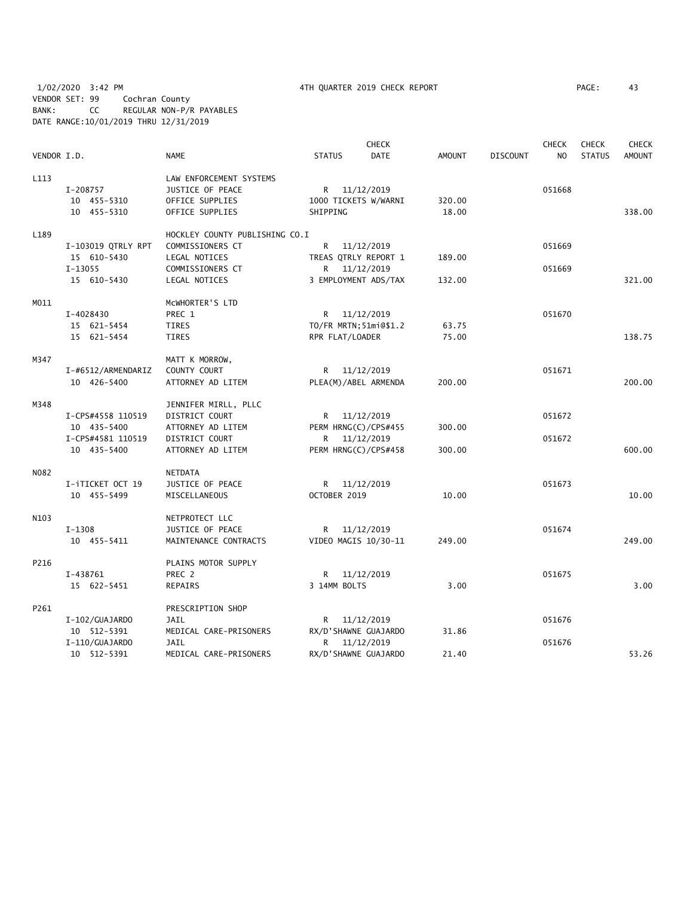1/02/2020 3:42 PM 4TH QUARTER 2019 CHECK REPORT PAGE: 43 VENDOR SET: 99 Cochran County BANK: CC REGULAR NON-P/R PAYABLES DATE RANGE:10/01/2019 THRU 12/31/2019

|             |                    |                                |                        | <b>CHECK</b>         |               |                 | <b>CHECK</b> | <b>CHECK</b>  | <b>CHECK</b>  |
|-------------|--------------------|--------------------------------|------------------------|----------------------|---------------|-----------------|--------------|---------------|---------------|
| VENDOR I.D. |                    | <b>NAME</b>                    | <b>STATUS</b>          | <b>DATE</b>          | <b>AMOUNT</b> | <b>DISCOUNT</b> | NO           | <b>STATUS</b> | <b>AMOUNT</b> |
| L113        |                    | LAW ENFORCEMENT SYSTEMS        |                        |                      |               |                 |              |               |               |
|             | I-208757           | JUSTICE OF PEACE               | R 11/12/2019           |                      |               |                 | 051668       |               |               |
|             | 10 455-5310        | OFFICE SUPPLIES                | 1000 TICKETS W/WARNI   |                      | 320.00        |                 |              |               |               |
|             | 10 455-5310        | OFFICE SUPPLIES                | SHIPPING               |                      | 18.00         |                 |              |               | 338.00        |
| L189        |                    | HOCKLEY COUNTY PUBLISHING CO.I |                        |                      |               |                 |              |               |               |
|             | I-103019 QTRLY RPT | COMMISSIONERS CT               | R —                    | 11/12/2019           |               |                 | 051669       |               |               |
|             | 15 610-5430        | LEGAL NOTICES                  | TREAS QTRLY REPORT 1   |                      | 189.00        |                 |              |               |               |
|             | I-13055            | COMMISSIONERS CT               | R 11/12/2019           |                      |               |                 | 051669       |               |               |
|             | 15 610-5430        | LEGAL NOTICES                  |                        | 3 EMPLOYMENT ADS/TAX | 132.00        |                 |              |               | 321.00        |
| M011        |                    | MCWHORTER'S LTD                |                        |                      |               |                 |              |               |               |
|             | I-4028430          | PREC 1                         | R 11/12/2019           |                      |               |                 | 051670       |               |               |
|             | 15 621-5454        | TIRES                          | TO/FR MRTN; 51mi@\$1.2 |                      | 63.75         |                 |              |               |               |
|             | 15 621-5454        | TIRES                          | RPR FLAT/LOADER        |                      | 75.00         |                 |              |               | 138.75        |
| M347        |                    | MATT K MORROW,                 |                        |                      |               |                 |              |               |               |
|             | I-#6512/ARMENDARIZ | COUNTY COURT                   | R 11/12/2019           |                      |               |                 | 051671       |               |               |
|             | 10 426-5400        | ATTORNEY AD LITEM              | PLEA(M)/ABEL ARMENDA   |                      | 200.00        |                 |              |               | 200.00        |
| M348        |                    | JENNIFER MIRLL, PLLC           |                        |                      |               |                 |              |               |               |
|             | I-CPS#4558 110519  | DISTRICT COURT                 | R 11/12/2019           |                      |               |                 | 051672       |               |               |
|             | 10 435-5400        | ATTORNEY AD LITEM              | PERM HRNG(C)/CPS#455   |                      | 300.00        |                 |              |               |               |
|             | I-CPS#4581 110519  | DISTRICT COURT                 | R                      | 11/12/2019           |               |                 | 051672       |               |               |
|             | 10 435-5400        | ATTORNEY AD LITEM              | PERM HRNG(C)/CPS#458   |                      | 300.00        |                 |              |               | 600.00        |
| N082        |                    | NETDATA                        |                        |                      |               |                 |              |               |               |
|             | I-iTICKET OCT 19   | JUSTICE OF PEACE               | R 11/12/2019           |                      |               |                 | 051673       |               |               |
|             | 10 455-5499        | MISCELLANEOUS                  | OCTOBER 2019           |                      | 10.00         |                 |              |               | 10.00         |
| N103        |                    | NETPROTECT LLC                 |                        |                      |               |                 |              |               |               |
|             | $I-1308$           | JUSTICE OF PEACE               | R                      | 11/12/2019           |               |                 | 051674       |               |               |
|             | 10 455-5411        | MAINTENANCE CONTRACTS          | VIDEO MAGIS 10/30-11   |                      | 249.00        |                 |              |               | 249.00        |
| P216        |                    | PLAINS MOTOR SUPPLY            |                        |                      |               |                 |              |               |               |
|             | I-438761           | PREC 2                         | R 11/12/2019           |                      |               |                 | 051675       |               |               |
|             | 15 622-5451        | REPAIRS                        | 3 14MM BOLTS           |                      | 3.00          |                 |              |               | 3.00          |
| P261        |                    | PRESCRIPTION SHOP              |                        |                      |               |                 |              |               |               |
|             | I-102/GUAJARDO     | JAIL                           | R 11/12/2019           |                      |               |                 | 051676       |               |               |
|             | 10 512-5391        | MEDICAL CARE-PRISONERS         | RX/D'SHAWNE GUAJARDO   |                      | 31.86         |                 |              |               |               |
|             | I-110/GUAJARDO     | <b>JAIL</b>                    | R.                     | 11/12/2019           |               |                 | 051676       |               |               |
|             | 10 512-5391        | MEDICAL CARE-PRISONERS         | RX/D'SHAWNE GUAJARDO   |                      | 21.40         |                 |              |               | 53.26         |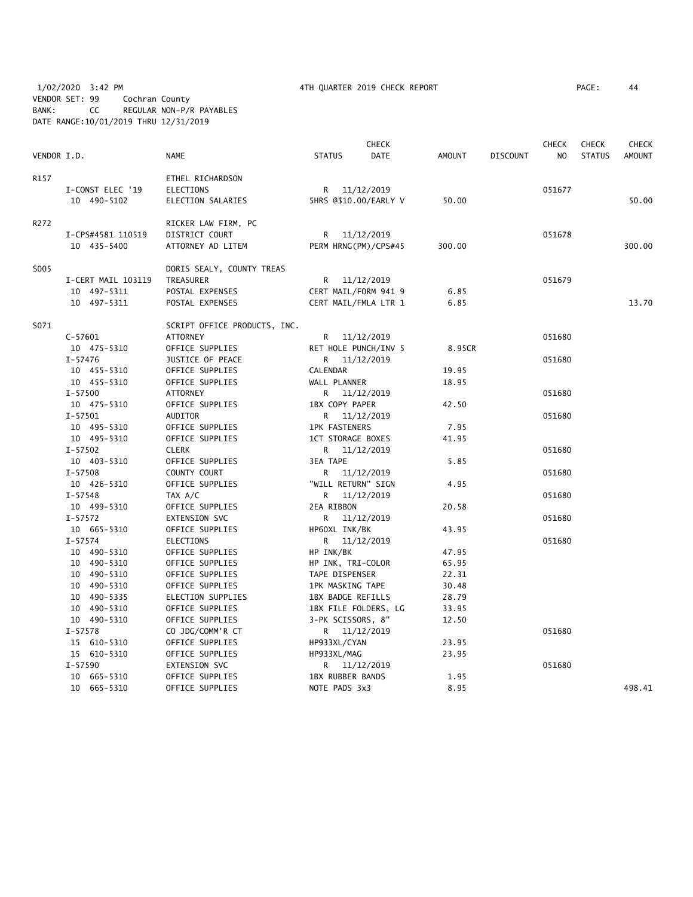# 1/02/2020 3:42 PM 4TH QUARTER 2019 CHECK REPORT PAGE: 44 VENDOR SET: 99 Cochran County BANK: CC REGULAR NON-P/R PAYABLES DATE RANGE:10/01/2019 THRU 12/31/2019

|             |                    |                              |                         | <b>CHECK</b> |        |                 | <b>CHECK</b>   | <b>CHECK</b>  | <b>CHECK</b>  |
|-------------|--------------------|------------------------------|-------------------------|--------------|--------|-----------------|----------------|---------------|---------------|
| VENDOR I.D. |                    | <b>NAME</b>                  | <b>STATUS</b>           | <b>DATE</b>  | AMOUNT | <b>DISCOUNT</b> | N <sub>O</sub> | <b>STATUS</b> | <b>AMOUNT</b> |
| R157        |                    | ETHEL RICHARDSON             |                         |              |        |                 |                |               |               |
|             | I-CONST ELEC '19   | <b>ELECTIONS</b>             | R                       | 11/12/2019   |        |                 | 051677         |               |               |
|             | 10 490-5102        | ELECTION SALARIES            | 5HRS @\$10.00/EARLY V   |              | 50.00  |                 |                |               | 50.00         |
| R272        |                    | RICKER LAW FIRM, PC          |                         |              |        |                 |                |               |               |
|             | I-CPS#4581 110519  | DISTRICT COURT               | R 11/12/2019            |              |        |                 | 051678         |               |               |
|             | 10 435-5400        | ATTORNEY AD LITEM            | PERM HRNG(PM)/CPS#45    |              | 300.00 |                 |                |               | 300.00        |
| S005        |                    | DORIS SEALY, COUNTY TREAS    |                         |              |        |                 |                |               |               |
|             | I-CERT MAIL 103119 | TREASURER                    | R 11/12/2019            |              |        |                 | 051679         |               |               |
|             | 10 497-5311        | POSTAL EXPENSES              | CERT MAIL/FORM 941 9    |              | 6.85   |                 |                |               |               |
|             | 10 497-5311        | POSTAL EXPENSES              | CERT MAIL/FMLA LTR 1    |              | 6.85   |                 |                |               | 13.70         |
| S071        |                    | SCRIPT OFFICE PRODUCTS, INC. |                         |              |        |                 |                |               |               |
|             | $C-57601$          | <b>ATTORNEY</b>              | R 11/12/2019            |              |        |                 | 051680         |               |               |
|             | 10 475-5310        | OFFICE SUPPLIES              | RET HOLE PUNCH/INV 5    |              | 8.95CR |                 |                |               |               |
|             | I-57476            | JUSTICE OF PEACE             | R 11/12/2019            |              |        |                 | 051680         |               |               |
|             | 10 455-5310        | OFFICE SUPPLIES              | CALENDAR                |              | 19.95  |                 |                |               |               |
|             | 10 455-5310        | OFFICE SUPPLIES              | WALL PLANNER            |              | 18.95  |                 |                |               |               |
|             | $I - 57500$        | ATTORNEY                     | R 11/12/2019            |              |        |                 | 051680         |               |               |
|             | 10 475-5310        | OFFICE SUPPLIES              | 1BX COPY PAPER          |              | 42.50  |                 |                |               |               |
|             | $I - 57501$        | <b>AUDITOR</b>               | R 11/12/2019            |              |        |                 | 051680         |               |               |
|             | 10 495-5310        | OFFICE SUPPLIES              | <b>1PK FASTENERS</b>    |              | 7.95   |                 |                |               |               |
|             | 10 495-5310        | OFFICE SUPPLIES              | 1CT STORAGE BOXES       |              | 41.95  |                 |                |               |               |
|             | I-57502            | <b>CLERK</b>                 | R 11/12/2019            |              |        |                 | 051680         |               |               |
|             | 10 403-5310        | OFFICE SUPPLIES              | 3EA TAPE                |              | 5.85   |                 |                |               |               |
|             | $I - 57508$        | COUNTY COURT                 | R 11/12/2019            |              |        |                 | 051680         |               |               |
|             | 10 426-5310        | OFFICE SUPPLIES              | "WILL RETURN" SIGN      |              | 4.95   |                 |                |               |               |
|             | $I - 57548$        | TAX A/C                      | R 11/12/2019            |              |        |                 | 051680         |               |               |
|             | 10 499-5310        | OFFICE SUPPLIES              | 2EA RIBBON              |              | 20.58  |                 |                |               |               |
|             | $I - 57572$        | EXTENSION SVC                | R 11/12/2019            |              |        |                 | 051680         |               |               |
|             | 10 665-5310        | OFFICE SUPPLIES              | HP60XL INK/BK           |              | 43.95  |                 |                |               |               |
|             | $I - 57574$        | <b>ELECTIONS</b>             | R.                      | 11/12/2019   |        |                 | 051680         |               |               |
|             | 10 490-5310        | OFFICE SUPPLIES              | HP INK/BK               |              | 47.95  |                 |                |               |               |
|             | 10 490-5310        | OFFICE SUPPLIES              | HP INK, TRI-COLOR       |              | 65.95  |                 |                |               |               |
|             | 10 490-5310        | OFFICE SUPPLIES              | TAPE DISPENSER          |              | 22.31  |                 |                |               |               |
|             | 10 490-5310        | OFFICE SUPPLIES              | 1PK MASKING TAPE        |              | 30.48  |                 |                |               |               |
|             | 10 490-5335        | ELECTION SUPPLIES            | 1BX BADGE REFILLS       |              | 28.79  |                 |                |               |               |
|             | 10 490-5310        | OFFICE SUPPLIES              | 1BX FILE FOLDERS, LG    |              | 33.95  |                 |                |               |               |
|             | 10 490-5310        | OFFICE SUPPLIES              | 3-PK SCISSORS, 8"       |              | 12.50  |                 |                |               |               |
|             | $I - 57578$        | CO JDG/COMM'R CT             | R 11/12/2019            |              |        |                 | 051680         |               |               |
|             | 15 610-5310        | OFFICE SUPPLIES              | HP933XL/CYAN            |              | 23.95  |                 |                |               |               |
|             | 15 610-5310        | OFFICE SUPPLIES              | HP933XL/MAG             |              | 23.95  |                 |                |               |               |
|             | $I - 57590$        | EXTENSION SVC                | R 11/12/2019            |              |        |                 | 051680         |               |               |
|             | 10 665-5310        | OFFICE SUPPLIES              | <b>1BX RUBBER BANDS</b> |              | 1.95   |                 |                |               |               |
|             | 10 665-5310        | OFFICE SUPPLIES              | NOTE PADS 3x3           |              | 8.95   |                 |                |               | 498.41        |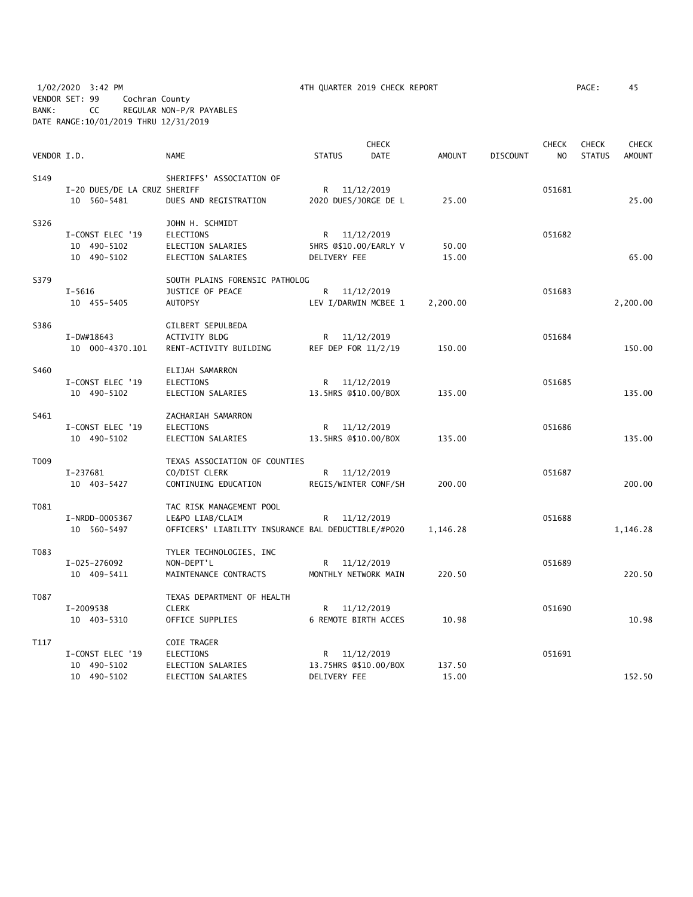1/02/2020 3:42 PM 4TH QUARTER 2019 CHECK REPORT PAGE: 45 VENDOR SET: 99 Cochran County BANK: CC REGULAR NON-P/R PAYABLES DATE RANGE:10/01/2019 THRU 12/31/2019

|             |                              |                                                    |               |              | <b>CHECK</b>          |               |                 | <b>CHECK</b>   | <b>CHECK</b>  | <b>CHECK</b>  |
|-------------|------------------------------|----------------------------------------------------|---------------|--------------|-----------------------|---------------|-----------------|----------------|---------------|---------------|
| VENDOR I.D. |                              | <b>NAME</b>                                        | <b>STATUS</b> |              | <b>DATE</b>           | <b>AMOUNT</b> | <b>DISCOUNT</b> | N <sub>O</sub> | <b>STATUS</b> | <b>AMOUNT</b> |
| S149        |                              | SHERIFFS' ASSOCIATION OF                           |               |              |                       |               |                 |                |               |               |
|             | I-20 DUES/DE LA CRUZ SHERIFF |                                                    |               | R 11/12/2019 |                       |               |                 | 051681         |               |               |
|             | 10 560-5481                  | DUES AND REGISTRATION                              |               |              | 2020 DUES/JORGE DE L  | 25.00         |                 |                |               | 25.00         |
| S326        |                              | JOHN H. SCHMIDT                                    |               |              |                       |               |                 |                |               |               |
|             | I-CONST ELEC '19             | <b>ELECTIONS</b>                                   |               | R 11/12/2019 |                       |               |                 | 051682         |               |               |
|             | 10 490-5102                  | ELECTION SALARIES                                  |               |              | 5HRS @\$10.00/EARLY V | 50.00         |                 |                |               |               |
|             | 10 490-5102                  | ELECTION SALARIES                                  |               | DELIVERY FEE |                       | 15.00         |                 |                |               | 65.00         |
| S379        |                              | SOUTH PLAINS FORENSIC PATHOLOG                     |               |              |                       |               |                 |                |               |               |
|             | $I - 5616$                   | JUSTICE OF PEACE                                   |               | R 11/12/2019 |                       |               |                 | 051683         |               |               |
|             | 10 455-5405                  | AUTOPSY                                            |               |              | LEV I/DARWIN MCBEE 1  | 2,200.00      |                 |                |               | 2,200.00      |
| S386        |                              | GILBERT SEPULBEDA                                  |               |              |                       |               |                 |                |               |               |
|             | I-DW#18643                   | <b>ACTIVITY BLDG</b>                               |               | R 11/12/2019 |                       |               |                 | 051684         |               |               |
|             | 10 000-4370.101              | RENT-ACTIVITY BUILDING                             |               |              | REF DEP FOR 11/2/19   | 150.00        |                 |                |               | 150.00        |
| S460        |                              | ELIJAH SAMARRON                                    |               |              |                       |               |                 |                |               |               |
|             | I-CONST ELEC '19             | ELECTIONS                                          | R             | 11/12/2019   |                       |               |                 | 051685         |               |               |
|             | 10 490-5102                  | ELECTION SALARIES                                  |               |              | 13.5HRS @\$10.00/BOX  | 135.00        |                 |                |               | 135.00        |
| S461        |                              | ZACHARIAH SAMARRON                                 |               |              |                       |               |                 |                |               |               |
|             | I-CONST ELEC '19             | <b>ELECTIONS</b>                                   | R             |              | 11/12/2019            |               |                 | 051686         |               |               |
|             | 10 490-5102                  | ELECTION SALARIES                                  |               |              | 13.5HRS @\$10.00/BOX  | 135.00        |                 |                |               | 135.00        |
| T009        |                              | TEXAS ASSOCIATION OF COUNTIES                      |               |              |                       |               |                 |                |               |               |
|             | I-237681                     | CO/DIST CLERK                                      |               | R 11/12/2019 |                       |               |                 | 051687         |               |               |
|             | 10 403-5427                  | CONTINUING EDUCATION                               |               |              | REGIS/WINTER CONF/SH  | 200.00        |                 |                |               | 200.00        |
| T081        |                              | TAC RISK MANAGEMENT POOL                           |               |              |                       |               |                 |                |               |               |
|             | I-NRDD-0005367               | LE&PO LIAB/CLAIM                                   |               | R 11/12/2019 |                       |               |                 | 051688         |               |               |
|             | 10 560-5497                  | OFFICERS' LIABILITY INSURANCE BAL DEDUCTIBLE/#PO20 |               |              |                       | 1,146.28      |                 |                |               | 1,146.28      |
| T083        |                              | TYLER TECHNOLOGIES, INC                            |               |              |                       |               |                 |                |               |               |
|             | I-025-276092                 | NON-DEPT'L                                         | R             |              | 11/12/2019            |               |                 | 051689         |               |               |
|             | 10 409-5411                  | MAINTENANCE CONTRACTS                              |               |              | MONTHLY NETWORK MAIN  | 220.50        |                 |                |               | 220.50        |
| T087        |                              | TEXAS DEPARTMENT OF HEALTH                         |               |              |                       |               |                 |                |               |               |
|             | I-2009538                    | <b>CLERK</b>                                       | R             |              | 11/12/2019            |               |                 | 051690         |               |               |
|             | 10 403-5310                  | OFFICE SUPPLIES                                    |               |              | 6 REMOTE BIRTH ACCES  | 10.98         |                 |                |               | 10.98         |
| T117        |                              | <b>COIE TRAGER</b>                                 |               |              |                       |               |                 |                |               |               |
|             | I-CONST ELEC '19             | ELECTIONS                                          |               | R 11/12/2019 |                       |               |                 | 051691         |               |               |
|             | 10 490-5102                  | ELECTION SALARIES                                  |               |              | 13.75HRS @\$10.00/BOX | 137.50        |                 |                |               |               |
|             | 10 490-5102                  | ELECTION SALARIES                                  |               | DELIVERY FEE |                       | 15.00         |                 |                |               | 152.50        |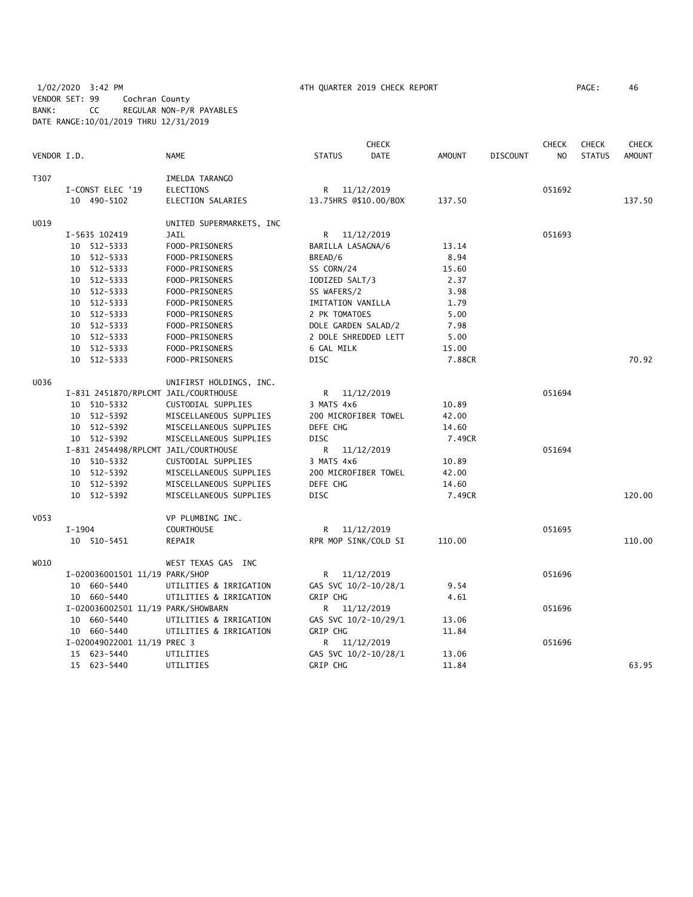## 1/02/2020 3:42 PM 4TH QUARTER 2019 CHECK REPORT PAGE: 46 VENDOR SET: 99 Cochran County BANK: CC REGULAR NON-P/R PAYABLES DATE RANGE:10/01/2019 THRU 12/31/2019

|             |                                      |                          |                     | <b>CHECK</b>          |        |                 | <b>CHECK</b>   | <b>CHECK</b>  | <b>CHECK</b>  |
|-------------|--------------------------------------|--------------------------|---------------------|-----------------------|--------|-----------------|----------------|---------------|---------------|
| VENDOR I.D. |                                      | <b>NAME</b>              | <b>STATUS</b>       | DATE                  | AMOUNT | <b>DISCOUNT</b> | N <sub>O</sub> | <b>STATUS</b> | <b>AMOUNT</b> |
| T307        |                                      | IMELDA TARANGO           |                     |                       |        |                 |                |               |               |
|             | I-CONST ELEC '19                     | <b>ELECTIONS</b>         |                     | R 11/12/2019          |        |                 | 051692         |               |               |
|             | 10 490-5102                          | ELECTION SALARIES        |                     | 13.75HRS @\$10.00/BOX | 137.50 |                 |                |               | 137.50        |
| U019        |                                      | UNITED SUPERMARKETS, INC |                     |                       |        |                 |                |               |               |
|             | I-5635 102419                        | JAIL                     |                     | R 11/12/2019          |        |                 | 051693         |               |               |
|             | 10 512-5333                          | FOOD-PRISONERS           | BARILLA LASAGNA/6   |                       | 13.14  |                 |                |               |               |
|             | 10 512-5333                          | FOOD-PRISONERS           | BREAD/6             |                       | 8.94   |                 |                |               |               |
|             | 10 512-5333                          | FOOD-PRISONERS           | SS CORN/24          |                       | 15.60  |                 |                |               |               |
|             | 10 512-5333                          | FOOD-PRISONERS           | IODIZED SALT/3      |                       | 2.37   |                 |                |               |               |
|             | 10 512-5333                          | FOOD-PRISONERS           | SS WAFERS/2         |                       | 3.98   |                 |                |               |               |
|             | 10 512-5333                          | FOOD-PRISONERS           | IMITATION VANILLA   |                       | 1.79   |                 |                |               |               |
|             | 10 512-5333                          | FOOD-PRISONERS           | 2 PK TOMATOES       |                       | 5.00   |                 |                |               |               |
|             | 10 512-5333                          | FOOD-PRISONERS           | DOLE GARDEN SALAD/2 |                       | 7.98   |                 |                |               |               |
|             | 10 512-5333                          | FOOD-PRISONERS           |                     | 2 DOLE SHREDDED LETT  | 5.00   |                 |                |               |               |
|             | 10 512-5333                          | FOOD-PRISONERS           | 6 GAL MILK          |                       | 15.00  |                 |                |               |               |
|             | 10 512-5333                          | FOOD-PRISONERS           | <b>DISC</b>         |                       | 7.88CR |                 |                |               | 70.92         |
| U036        |                                      | UNIFIRST HOLDINGS, INC.  |                     |                       |        |                 |                |               |               |
|             | I-831 2451870/RPLCMT JAIL/COURTHOUSE |                          | R.                  | 11/12/2019            |        |                 | 051694         |               |               |
|             | 10 510-5332                          | CUSTODIAL SUPPLIES       | 3 MATS 4x6          |                       | 10.89  |                 |                |               |               |
|             | 10 512-5392                          | MISCELLANEOUS SUPPLIES   |                     | 200 MICROFIBER TOWEL  | 42.00  |                 |                |               |               |
|             | 10 512-5392                          | MISCELLANEOUS SUPPLIES   | DEFE CHG            |                       | 14.60  |                 |                |               |               |
|             | 10 512-5392                          | MISCELLANEOUS SUPPLIES   | <b>DISC</b>         |                       | 7.49CR |                 |                |               |               |
|             | I-831 2454498/RPLCMT JAIL/COURTHOUSE |                          | R.                  | 11/12/2019            |        |                 | 051694         |               |               |
|             | 10 510-5332                          | CUSTODIAL SUPPLIES       | 3 MATS 4x6          |                       | 10.89  |                 |                |               |               |
|             | 10 512-5392                          | MISCELLANEOUS SUPPLIES   |                     | 200 MICROFIBER TOWEL  | 42.00  |                 |                |               |               |
|             | 10 512-5392                          | MISCELLANEOUS SUPPLIES   | DEFE CHG            |                       | 14.60  |                 |                |               |               |
|             | 10 512-5392                          | MISCELLANEOUS SUPPLIES   | <b>DISC</b>         |                       | 7.49CR |                 |                |               | 120.00        |
| V053        |                                      | VP PLUMBING INC.         |                     |                       |        |                 |                |               |               |
|             | $I-1904$                             | <b>COURTHOUSE</b>        | R.                  | 11/12/2019            |        |                 | 051695         |               |               |
|             | 10 510-5451                          | REPAIR                   |                     | RPR MOP SINK/COLD SI  | 110.00 |                 |                |               | 110.00        |
| W010        |                                      | WEST TEXAS GAS INC       |                     |                       |        |                 |                |               |               |
|             | I-020036001501 11/19 PARK/SHOP       |                          |                     | R 11/12/2019          |        |                 | 051696         |               |               |
|             | 10 660-5440                          | UTILITIES & IRRIGATION   |                     | GAS SVC 10/2-10/28/1  | 9.54   |                 |                |               |               |
|             | 10 660-5440                          | UTILITIES & IRRIGATION   | <b>GRIP CHG</b>     |                       | 4.61   |                 |                |               |               |
|             | I-020036002501 11/19 PARK/SHOWBARN   |                          |                     | R 11/12/2019          |        |                 | 051696         |               |               |
|             | 10 660-5440                          | UTILITIES & IRRIGATION   |                     | GAS SVC 10/2-10/29/1  | 13.06  |                 |                |               |               |
|             | 10 660-5440                          | UTILITIES & IRRIGATION   | <b>GRIP CHG</b>     |                       | 11.84  |                 |                |               |               |
|             | I-020049022001 11/19 PREC 3          |                          |                     | R 11/12/2019          |        |                 | 051696         |               |               |
|             | 15 623-5440                          | UTILITIES                |                     | GAS SVC 10/2-10/28/1  | 13.06  |                 |                |               |               |
|             | 15 623-5440                          | UTILITIES                | GRIP CHG            |                       | 11.84  |                 |                |               | 63.95         |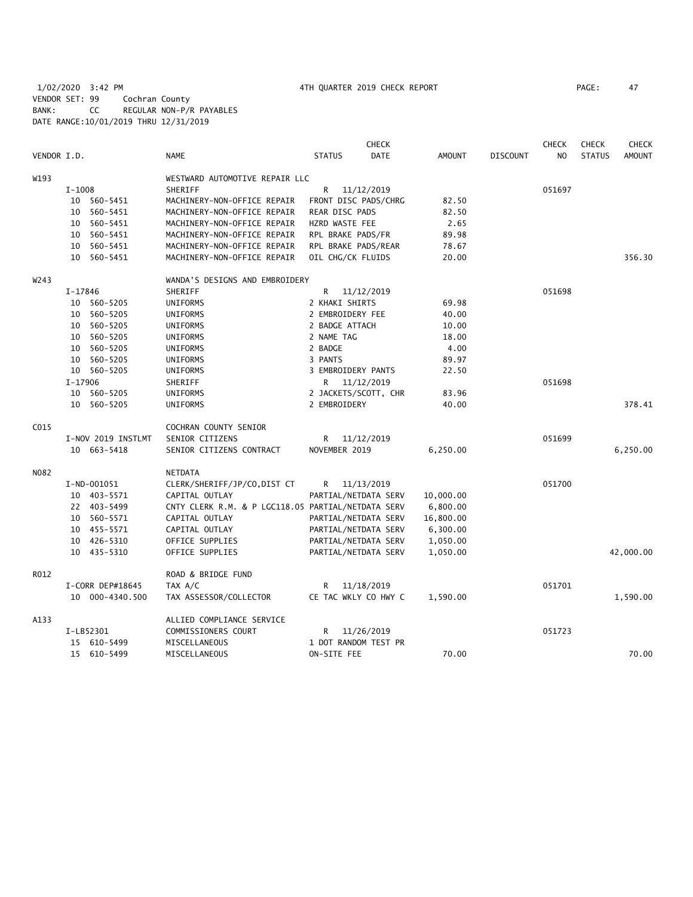1/02/2020 3:42 PM 4TH QUARTER 2019 CHECK REPORT PAGE: 47 VENDOR SET: 99 Cochran County BANK: CC REGULAR NON-P/R PAYABLES DATE RANGE:10/01/2019 THRU 12/31/2019

| VENDOR I.D. |          |                    | <b>NAME</b>                                        | <b>STATUS</b>        | <b>CHECK</b><br><b>DATE</b> | <b>AMOUNT</b> | <b>DISCOUNT</b> | <b>CHECK</b><br>N <sub>O</sub> | <b>CHECK</b><br><b>STATUS</b> | <b>CHECK</b><br><b>AMOUNT</b> |
|-------------|----------|--------------------|----------------------------------------------------|----------------------|-----------------------------|---------------|-----------------|--------------------------------|-------------------------------|-------------------------------|
| W193        |          |                    | WESTWARD AUTOMOTIVE REPAIR LLC                     |                      |                             |               |                 |                                |                               |                               |
|             | $I-1008$ |                    | SHERIFF                                            | R                    | 11/12/2019                  |               |                 | 051697                         |                               |                               |
|             |          | 10 560-5451        | MACHINERY-NON-OFFICE REPAIR                        | FRONT DISC PADS/CHRG |                             | 82.50         |                 |                                |                               |                               |
|             | 10       | 560-5451           | MACHINERY-NON-OFFICE REPAIR                        | REAR DISC PADS       |                             | 82.50         |                 |                                |                               |                               |
|             |          | 10 560-5451        | MACHINERY-NON-OFFICE REPAIR                        | HZRD WASTE FEE       |                             | 2.65          |                 |                                |                               |                               |
|             | 10       | 560-5451           | MACHINERY-NON-OFFICE REPAIR                        | RPL BRAKE PADS/FR    |                             | 89.98         |                 |                                |                               |                               |
|             | 10       | 560-5451           | MACHINERY-NON-OFFICE REPAIR                        | RPL BRAKE PADS/REAR  |                             | 78.67         |                 |                                |                               |                               |
|             | 10       | 560-5451           | MACHINERY-NON-OFFICE REPAIR                        | OIL CHG/CK FLUIDS    |                             | 20.00         |                 |                                |                               | 356.30                        |
| W243        |          |                    | WANDA'S DESIGNS AND EMBROIDERY                     |                      |                             |               |                 |                                |                               |                               |
|             | I-17846  |                    | SHERIFF                                            | R                    | 11/12/2019                  |               |                 | 051698                         |                               |                               |
|             | 10       | 560-5205           | UNIFORMS                                           | 2 KHAKI SHIRTS       |                             | 69.98         |                 |                                |                               |                               |
|             | 10       | 560-5205           | UNIFORMS                                           | 2 EMBROIDERY FEE     |                             | 40.00         |                 |                                |                               |                               |
|             | 10       | 560-5205           | UNIFORMS                                           | 2 BADGE ATTACH       |                             | 10.00         |                 |                                |                               |                               |
|             | 10       | 560-5205           | UNIFORMS                                           | 2 NAME TAG           |                             | 18.00         |                 |                                |                               |                               |
|             | 10       | 560-5205           | UNIFORMS                                           | 2 BADGE              |                             | 4.00          |                 |                                |                               |                               |
|             | 10       | 560-5205           | UNIFORMS                                           | 3 PANTS              |                             | 89.97         |                 |                                |                               |                               |
|             |          | 10 560-5205        | UNIFORMS                                           | 3 EMBROIDERY PANTS   |                             | 22.50         |                 |                                |                               |                               |
|             | I-17906  |                    | SHERIFF                                            | R                    | 11/12/2019                  |               |                 | 051698                         |                               |                               |
|             | 10       | 560-5205           | UNIFORMS                                           | 2 JACKETS/SCOTT, CHR |                             | 83.96         |                 |                                |                               |                               |
|             |          | 10 560-5205        | UNIFORMS                                           | 2 EMBROIDERY         |                             | 40.00         |                 |                                |                               | 378.41                        |
| C015        |          |                    | COCHRAN COUNTY SENIOR                              |                      |                             |               |                 |                                |                               |                               |
|             |          | I-NOV 2019 INSTLMT | SENIOR CITIZENS                                    | R                    | 11/12/2019                  |               |                 | 051699                         |                               |                               |
|             |          | 10 663-5418        | SENIOR CITIZENS CONTRACT                           | NOVEMBER 2019        |                             | 6,250.00      |                 |                                |                               | 6,250.00                      |
| N082        |          |                    | NETDATA                                            |                      |                             |               |                 |                                |                               |                               |
|             |          | I-ND-001051        | CLERK/SHERIFF/JP/CO,DIST CT                        | R                    | 11/13/2019                  |               |                 | 051700                         |                               |                               |
|             |          | 10 403-5571        | CAPITAL OUTLAY                                     | PARTIAL/NETDATA SERV |                             | 10,000.00     |                 |                                |                               |                               |
|             |          | 22 403-5499        | CNTY CLERK R.M. & P LGC118.05 PARTIAL/NETDATA SERV |                      |                             | 6,800.00      |                 |                                |                               |                               |
|             |          | 10 560-5571        | CAPITAL OUTLAY                                     | PARTIAL/NETDATA SERV |                             | 16,800.00     |                 |                                |                               |                               |
|             |          | 10 455-5571        | CAPITAL OUTLAY                                     | PARTIAL/NETDATA SERV |                             | 6,300.00      |                 |                                |                               |                               |
|             |          | 10 426-5310        | OFFICE SUPPLIES                                    | PARTIAL/NETDATA SERV |                             | 1,050.00      |                 |                                |                               |                               |
|             |          | 10 435-5310        | OFFICE SUPPLIES                                    | PARTIAL/NETDATA SERV |                             | 1,050.00      |                 |                                |                               | 42,000.00                     |
| R012        |          |                    | ROAD & BRIDGE FUND                                 |                      |                             |               |                 |                                |                               |                               |
|             |          | I-CORR DEP#18645   | TAX A/C                                            | R                    | 11/18/2019                  |               |                 | 051701                         |                               |                               |
|             |          | 10 000-4340.500    | TAX ASSESSOR/COLLECTOR                             | CE TAC WKLY CO HWY C |                             | 1,590.00      |                 |                                |                               | 1,590.00                      |
| A133        |          |                    | ALLIED COMPLIANCE SERVICE                          |                      |                             |               |                 |                                |                               |                               |
|             |          | I-LB52301          | COMMISSIONERS COURT                                | R                    | 11/26/2019                  |               |                 | 051723                         |                               |                               |
|             |          | 15 610-5499        | MISCELLANEOUS                                      | 1 DOT RANDOM TEST PR |                             |               |                 |                                |                               |                               |
|             |          | 15 610-5499        | MISCELLANEOUS                                      | ON-SITE FEE          |                             | 70.00         |                 |                                |                               | 70.00                         |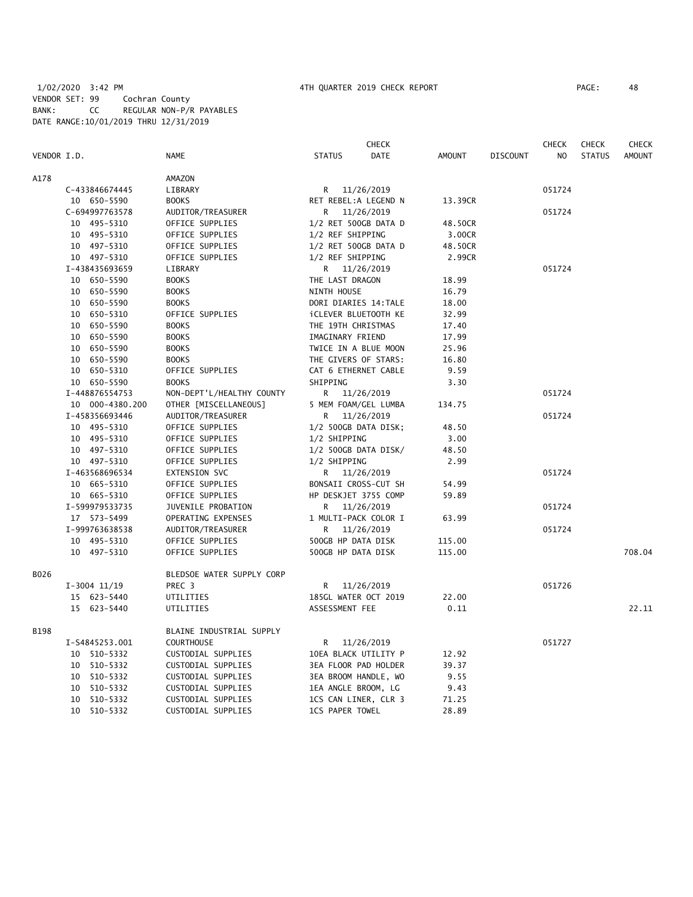|             |                 |                           |                      | <b>CHECK</b>                |               |                 | <b>CHECK</b>   | <b>CHECK</b>  | <b>CHECK</b>  |
|-------------|-----------------|---------------------------|----------------------|-----------------------------|---------------|-----------------|----------------|---------------|---------------|
| VENDOR I.D. |                 | <b>NAME</b>               | <b>STATUS</b>        | <b>DATE</b>                 | <b>AMOUNT</b> | <b>DISCOUNT</b> | N <sub>O</sub> | <b>STATUS</b> | <b>AMOUNT</b> |
| A178        |                 | AMAZON                    |                      |                             |               |                 |                |               |               |
|             | C-433846674445  | LIBRARY                   | R <sub>a</sub>       | 11/26/2019                  |               |                 | 051724         |               |               |
|             | 10 650-5590     | <b>BOOKS</b>              |                      | RET REBEL:A LEGEND N        | 13.39CR       |                 |                |               |               |
|             | C-694997763578  | AUDITOR/TREASURER         | R                    | 11/26/2019                  |               |                 | 051724         |               |               |
|             | 10 495-5310     | OFFICE SUPPLIES           |                      | 1/2 RET 500GB DATA D        | 48.50CR       |                 |                |               |               |
|             | 10 495-5310     | OFFICE SUPPLIES           | 1/2 REF SHIPPING     |                             | 3.00CR        |                 |                |               |               |
|             | 10 497-5310     | OFFICE SUPPLIES           |                      | 1/2 RET 500GB DATA D        | 48.50CR       |                 |                |               |               |
|             | 10 497-5310     | OFFICE SUPPLIES           | 1/2 REF SHIPPING     |                             | 2.99CR        |                 |                |               |               |
|             | I-438435693659  | LIBRARY                   |                      | R 11/26/2019                |               |                 | 051724         |               |               |
|             | 10 650-5590     | <b>BOOKS</b>              | THE LAST DRAGON      |                             | 18.99         |                 |                |               |               |
|             | 10 650-5590     | <b>BOOKS</b>              | NINTH HOUSE          |                             | 16.79         |                 |                |               |               |
|             | 10 650-5590     | <b>BOOKS</b>              |                      | DORI DIARIES 14: TALE       | 18.00         |                 |                |               |               |
|             | 10 650-5310     | OFFICE SUPPLIES           |                      | <b>İCLEVER BLUETOOTH KE</b> | 32.99         |                 |                |               |               |
|             | 10 650-5590     | <b>BOOKS</b>              | THE 19TH CHRISTMAS   |                             | 17.40         |                 |                |               |               |
|             | 10 650-5590     | <b>BOOKS</b>              | IMAGINARY FRIEND     |                             | 17.99         |                 |                |               |               |
|             | 10 650-5590     | <b>BOOKS</b>              |                      | TWICE IN A BLUE MOON        | 25.96         |                 |                |               |               |
|             | 10 650-5590     | <b>BOOKS</b>              |                      | THE GIVERS OF STARS:        | 16.80         |                 |                |               |               |
|             | 10 650-5310     | OFFICE SUPPLIES           |                      | CAT 6 ETHERNET CABLE        | 9.59          |                 |                |               |               |
|             | 10 650-5590     | <b>BOOKS</b>              | SHIPPING             |                             | 3.30          |                 |                |               |               |
|             | I-448876554753  | NON-DEPT'L/HEALTHY COUNTY |                      | R 11/26/2019                |               |                 | 051724         |               |               |
|             | 10 000-4380.200 | OTHER [MISCELLANEOUS]     |                      | 5 MEM FOAM/GEL LUMBA        | 134.75        |                 |                |               |               |
|             | I-458356693446  | AUDITOR/TREASURER         | R.                   | 11/26/2019                  |               |                 | 051724         |               |               |
|             | 10 495-5310     | OFFICE SUPPLIES           | 1/2 500GB DATA DISK; |                             | 48.50         |                 |                |               |               |
|             | 10 495-5310     | OFFICE SUPPLIES           | 1/2 SHIPPING         |                             | 3.00          |                 |                |               |               |
|             | 10 497-5310     | OFFICE SUPPLIES           |                      | 1/2 500GB DATA DISK/        | 48.50         |                 |                |               |               |
|             | 10 497-5310     | OFFICE SUPPLIES           | 1/2 SHIPPING         |                             | 2.99          |                 |                |               |               |
|             | I-463568696534  | <b>EXTENSION SVC</b>      |                      | R 11/26/2019                |               |                 | 051724         |               |               |
|             | 10 665-5310     | OFFICE SUPPLIES           |                      | BONSAII CROSS-CUT SH        | 54.99         |                 |                |               |               |
|             | 10 665-5310     | OFFICE SUPPLIES           |                      | HP DESKJET 3755 COMP        | 59.89         |                 |                |               |               |
|             | I-599979533735  | JUVENILE PROBATION        | R                    | 11/26/2019                  |               |                 | 051724         |               |               |
|             | 17 573-5499     | OPERATING EXPENSES        |                      | 1 MULTI-PACK COLOR I        | 63.99         |                 |                |               |               |
|             | I-999763638538  | AUDITOR/TREASURER         | R.                   | 11/26/2019                  |               |                 | 051724         |               |               |
|             | 10 495-5310     | OFFICE SUPPLIES           | 500GB HP DATA DISK   |                             | 115.00        |                 |                |               |               |
|             | 10 497-5310     | OFFICE SUPPLIES           | 500GB HP DATA DISK   |                             | 115.00        |                 |                |               | 708.04        |
| B026        |                 | BLEDSOE WATER SUPPLY CORP |                      |                             |               |                 |                |               |               |
|             | $I-3004$ 11/19  | PREC 3                    | R.                   | 11/26/2019                  |               |                 | 051726         |               |               |
|             | 15 623-5440     | UTILITIES                 |                      | 185GL WATER OCT 2019        | 22.00         |                 |                |               |               |
|             | 15 623-5440     | UTILITIES                 | ASSESSMENT FEE       |                             | 0.11          |                 |                |               | 22.11         |
| B198        |                 | BLAINE INDUSTRIAL SUPPLY  |                      |                             |               |                 |                |               |               |
|             | I-S4845253.001  | <b>COURTHOUSE</b>         | R.                   | 11/26/2019                  |               |                 | 051727         |               |               |
|             | 10 510-5332     | CUSTODIAL SUPPLIES        |                      | 10EA BLACK UTILITY P        | 12.92         |                 |                |               |               |
|             | 10 510-5332     | CUSTODIAL SUPPLIES        |                      | 3EA FLOOR PAD HOLDER        | 39.37         |                 |                |               |               |
|             | 10 510-5332     | CUSTODIAL SUPPLIES        |                      | 3EA BROOM HANDLE, WO        | 9.55          |                 |                |               |               |
|             | 10 510-5332     | CUSTODIAL SUPPLIES        | 1EA ANGLE BROOM, LG  |                             | 9.43          |                 |                |               |               |
|             | 10 510-5332     | CUSTODIAL SUPPLIES        |                      | 1CS CAN LINER, CLR 3        | 71.25         |                 |                |               |               |

10 510-5332 CUSTODIAL SUPPLIES 1CS PAPER TOWEL 28.89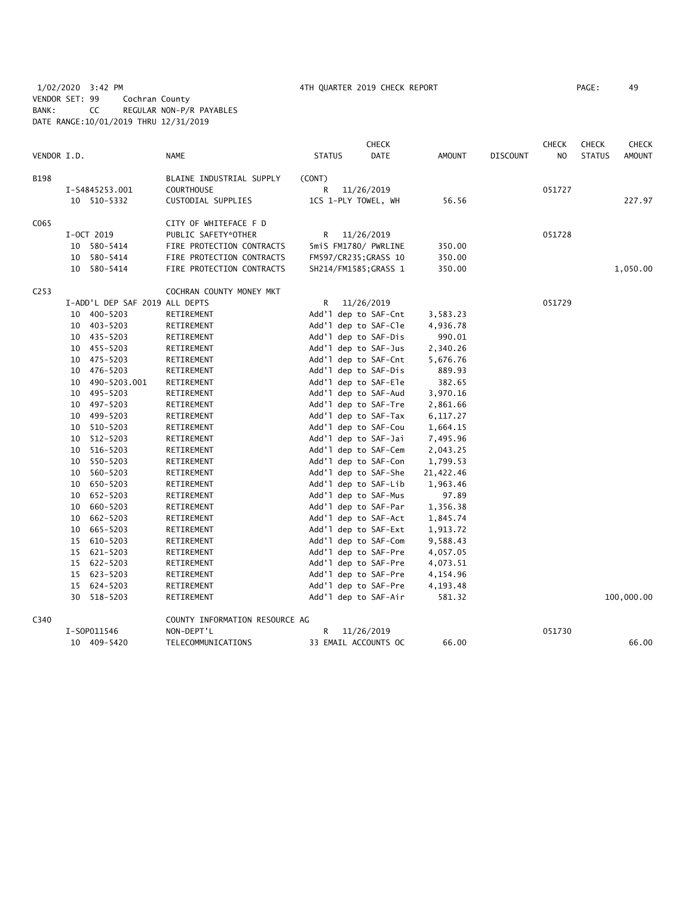1/02/2020 3:42 PM 4TH QUARTER 2019 CHECK REPORT PAGE: 49 VENDOR SET: 99 Cochran County BANK: CC REGULAR NON-P/R PAYABLES DATE RANGE:10/01/2019 THRU 12/31/2019

|                  |    |                                |                                |               | <b>CHECK</b>          |           |                 | <b>CHECK</b> | <b>CHECK</b>  | <b>CHECK</b>  |
|------------------|----|--------------------------------|--------------------------------|---------------|-----------------------|-----------|-----------------|--------------|---------------|---------------|
| VENDOR I.D.      |    |                                | <b>NAME</b>                    | <b>STATUS</b> | <b>DATE</b>           | AMOUNT    | <b>DISCOUNT</b> | NO.          | <b>STATUS</b> | <b>AMOUNT</b> |
| B198             |    |                                | BLAINE INDUSTRIAL SUPPLY       | (CONT)        |                       |           |                 |              |               |               |
|                  |    | I-S4845253.001                 | <b>COURTHOUSE</b>              | R             | 11/26/2019            |           |                 | 051727       |               |               |
|                  |    | 10 510-5332                    | CUSTODIAL SUPPLIES             |               | 1CS 1-PLY TOWEL, WH   | 56.56     |                 |              |               | 227.97        |
| C065             |    |                                | CITY OF WHITEFACE F D          |               |                       |           |                 |              |               |               |
|                  |    | I-OCT 2019                     | PUBLIC SAFETY*OTHER            | R             | 11/26/2019            |           |                 | 051728       |               |               |
|                  |    | 10 580-5414                    | FIRE PROTECTION CONTRACTS      |               | 5miS FM1780/ PWRLINE  | 350.00    |                 |              |               |               |
|                  |    | 10 580-5414                    | FIRE PROTECTION CONTRACTS      |               | FM597/CR235; GRASS 10 | 350.00    |                 |              |               |               |
|                  |    | 10 580-5414                    | FIRE PROTECTION CONTRACTS      |               | SH214/FM1585;GRASS 1  | 350.00    |                 |              |               | 1,050.00      |
| C <sub>253</sub> |    |                                | COCHRAN COUNTY MONEY MKT       |               |                       |           |                 |              |               |               |
|                  |    | I-ADD'L DEP SAF 2019 ALL DEPTS |                                | R             | 11/26/2019            |           |                 | 051729       |               |               |
|                  | 10 | 400-5203                       | RETIREMENT                     |               | Add'l dep to SAF-Cnt  | 3,583.23  |                 |              |               |               |
|                  |    | 10 403-5203                    | RETIREMENT                     |               | Add'l dep to SAF-Cle  | 4,936.78  |                 |              |               |               |
|                  |    | 10 435-5203                    | RETIREMENT                     |               | Add'l dep to SAF-Dis  | 990.01    |                 |              |               |               |
|                  | 10 | 455-5203                       | RETIREMENT                     |               | Add'l dep to SAF-Jus  | 2,340.26  |                 |              |               |               |
|                  |    | 10 475-5203                    | RETIREMENT                     |               | Add'l dep to SAF-Cnt  | 5,676.76  |                 |              |               |               |
|                  | 10 | 476-5203                       | RETIREMENT                     |               | Add'l dep to SAF-Dis  | 889.93    |                 |              |               |               |
|                  | 10 | 490-5203.001                   | RETIREMENT                     |               | Add'l dep to SAF-Ele  | 382.65    |                 |              |               |               |
|                  | 10 | 495-5203                       | RETIREMENT                     |               | Add'l dep to SAF-Aud  | 3,970.16  |                 |              |               |               |
|                  | 10 | 497-5203                       | RETIREMENT                     |               | Add'l dep to SAF-Tre  | 2,861.66  |                 |              |               |               |
|                  | 10 | 499-5203                       | RETIREMENT                     |               | Add'l dep to SAF-Tax  | 6,117.27  |                 |              |               |               |
|                  | 10 | 510-5203                       | RETIREMENT                     |               | Add'l dep to SAF-Cou  | 1,664.15  |                 |              |               |               |
|                  | 10 | 512-5203                       | RETIREMENT                     |               | Add'l dep to SAF-Jai  | 7,495.96  |                 |              |               |               |
|                  | 10 | 516-5203                       | RETIREMENT                     |               | Add'l dep to SAF-Cem  | 2,043.25  |                 |              |               |               |
|                  | 10 | 550-5203                       | RETIREMENT                     |               | Add'l dep to SAF-Con  | 1,799.53  |                 |              |               |               |
|                  | 10 | 560-5203                       | RETIREMENT                     |               | Add'l dep to SAF-She  | 21,422.46 |                 |              |               |               |
|                  | 10 | 650-5203                       | RETIREMENT                     |               | Add'l dep to SAF-Lib  | 1,963.46  |                 |              |               |               |
|                  | 10 | 652-5203                       | RETIREMENT                     |               | Add'l dep to SAF-Mus  | 97.89     |                 |              |               |               |
|                  | 10 | 660-5203                       | RETIREMENT                     |               | Add'l dep to SAF-Par  | 1,356.38  |                 |              |               |               |
|                  | 10 | 662-5203                       | RETIREMENT                     |               | Add'l dep to SAF-Act  | 1,845.74  |                 |              |               |               |
|                  | 10 | 665-5203                       | RETIREMENT                     |               | Add'l dep to SAF-Ext  | 1,913.72  |                 |              |               |               |
|                  | 15 | 610-5203                       | RETIREMENT                     |               | Add'l dep to SAF-Com  | 9,588.43  |                 |              |               |               |
|                  | 15 | 621-5203                       | RETIREMENT                     |               | Add'l dep to SAF-Pre  | 4,057.05  |                 |              |               |               |
|                  |    | 15 622-5203                    | RETIREMENT                     |               | Add'l dep to SAF-Pre  | 4,073.51  |                 |              |               |               |
|                  | 15 | 623-5203                       | RETIREMENT                     |               | Add'l dep to SAF-Pre  | 4,154.96  |                 |              |               |               |
|                  | 15 | 624-5203                       | RETIREMENT                     |               | Add'l dep to SAF-Pre  | 4,193.48  |                 |              |               |               |
|                  |    | 30 518-5203                    | RETIREMENT                     |               | Add'l dep to SAF-Air  | 581.32    |                 |              |               | 100,000.00    |
| C340             |    |                                | COUNTY INFORMATION RESOURCE AG |               |                       |           |                 |              |               |               |
|                  |    | I-S0P011546                    | NON-DEPT'L                     | R             | 11/26/2019            |           |                 | 051730       |               |               |
|                  |    | 10 409-5420                    | TELECOMMUNICATIONS             |               | 33 EMAIL ACCOUNTS OC  | 66.00     |                 |              |               | 66.00         |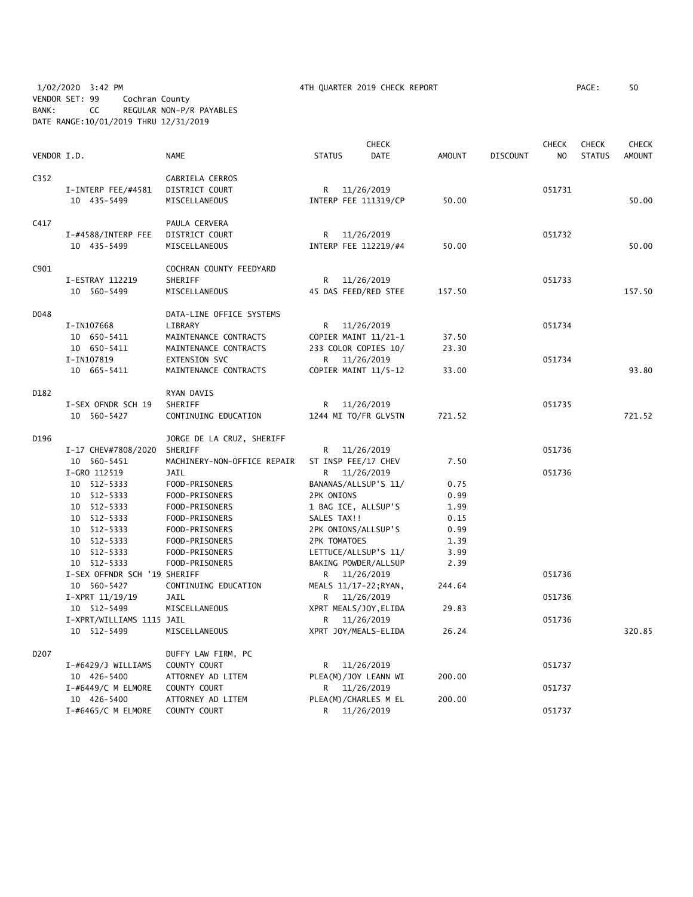|                  |                                   |                                   |                           | <b>CHECK</b> |               |                 | <b>CHECK</b> | <b>CHECK</b>  | <b>CHECK</b>  |
|------------------|-----------------------------------|-----------------------------------|---------------------------|--------------|---------------|-----------------|--------------|---------------|---------------|
| VENDOR I.D.      |                                   | <b>NAME</b>                       | <b>STATUS</b>             | DATE         | <b>AMOUNT</b> | <b>DISCOUNT</b> | NO.          | <b>STATUS</b> | <b>AMOUNT</b> |
| C <sub>352</sub> |                                   | GABRIELA CERROS                   |                           |              |               |                 |              |               |               |
|                  | I-INTERP FEE/#4581                | DISTRICT COURT                    | R                         | 11/26/2019   |               |                 | 051731       |               |               |
|                  | 10 435-5499                       | MISCELLANEOUS                     | INTERP FEE 111319/CP      |              | 50.00         |                 |              |               | 50.00         |
| C417             |                                   | PAULA CERVERA                     |                           |              |               |                 |              |               |               |
|                  | I-#4588/INTERP FEE                | DISTRICT COURT                    | R                         | 11/26/2019   |               |                 | 051732       |               |               |
|                  | 10 435-5499                       | MISCELLANEOUS                     | INTERP FEE 112219/#4      |              | 50.00         |                 |              |               | 50.00         |
| C901             |                                   | COCHRAN COUNTY FEEDYARD           |                           |              |               |                 |              |               |               |
|                  | I-ESTRAY 112219                   | SHERIFF                           | R                         | 11/26/2019   |               |                 | 051733       |               |               |
|                  | 10 560-5499                       | MISCELLANEOUS                     | 45 DAS FEED/RED STEE      |              | 157.50        |                 |              |               | 157.50        |
| D048             |                                   | DATA-LINE OFFICE SYSTEMS          |                           |              |               |                 |              |               |               |
|                  | I-IN107668                        | LIBRARY                           | R.                        | 11/26/2019   |               |                 | 051734       |               |               |
|                  | 10 650-5411                       | MAINTENANCE CONTRACTS             | COPIER MAINT 11/21-1      |              | 37.50         |                 |              |               |               |
|                  | 10 650-5411                       | MAINTENANCE CONTRACTS             | 233 COLOR COPIES 10/      |              | 23.30         |                 |              |               |               |
|                  | I-IN107819                        | EXTENSION SVC                     | R                         | 11/26/2019   |               |                 | 051734       |               |               |
|                  | 10 665-5411                       | MAINTENANCE CONTRACTS             | COPIER MAINT 11/5-12      |              | 33.00         |                 |              |               | 93.80         |
| D182             |                                   | RYAN DAVIS                        |                           |              |               |                 |              |               |               |
|                  | I-SEX OFNDR SCH 19                | SHERIFF                           | R                         | 11/26/2019   |               |                 | 051735       |               |               |
|                  | 10 560-5427                       | CONTINUING EDUCATION              | 1244 MI TO/FR GLVSTN      |              | 721.52        |                 |              |               | 721.52        |
| D196             |                                   | JORGE DE LA CRUZ, SHERIFF         |                           |              |               |                 |              |               |               |
|                  | I-17 CHEV#7808/2020               | SHERIFF                           | R                         | 11/26/2019   |               |                 | 051736       |               |               |
|                  | 10 560-5451                       | MACHINERY-NON-OFFICE REPAIR       | ST INSP FEE/17 CHEV       |              | 7.50          |                 |              |               |               |
|                  | I-GRO 112519                      | JAIL                              | R                         | 11/26/2019   |               |                 | 051736       |               |               |
|                  | 10 512-5333                       | FOOD-PRISONERS                    | BANANAS/ALLSUP'S 11/      |              | 0.75          |                 |              |               |               |
|                  | 10 512-5333                       | FOOD-PRISONERS                    | 2PK ONIONS                |              | 0.99          |                 |              |               |               |
|                  | 10 512-5333                       | FOOD-PRISONERS                    | 1 BAG ICE, ALLSUP'S       |              | 1.99          |                 |              |               |               |
|                  | 10 512-5333                       | FOOD-PRISONERS                    | SALES TAX!!               |              | 0.15          |                 |              |               |               |
|                  | 10 512-5333                       | FOOD-PRISONERS                    | 2PK ONIONS/ALLSUP'S       |              | 0.99          |                 |              |               |               |
|                  | 10 512-5333                       | FOOD-PRISONERS                    | 2PK TOMATOES              |              | 1.39          |                 |              |               |               |
|                  | 10 512-5333                       | FOOD-PRISONERS                    | LETTUCE/ALLSUP'S 11/      |              | 3.99          |                 |              |               |               |
|                  | 10 512-5333                       | FOOD-PRISONERS                    | BAKING POWDER/ALLSUP      |              | 2.39          |                 |              |               |               |
|                  | I-SEX OFFNDR SCH '19 SHERIFF      |                                   | R                         | 11/26/2019   |               |                 | 051736       |               |               |
|                  | 10 560-5427                       | CONTINUING EDUCATION              | MEALS 11/17-22; RYAN,     |              | 244.64        |                 |              |               |               |
|                  | $I-XPRT$ 11/19/19                 | JAIL                              | R                         | 11/26/2019   |               |                 | 051736       |               |               |
|                  | 10 512-5499                       | MISCELLANEOUS                     | XPRT MEALS/JOY, ELIDA     |              | 29.83         |                 |              |               |               |
|                  | I-XPRT/WILLIAMS 1115 JAIL         |                                   | R.                        | 11/26/2019   |               |                 | 051736       |               |               |
|                  | 10 512-5499                       | MISCELLANEOUS                     | XPRT JOY/MEALS-ELIDA      |              | 26.24         |                 |              |               | 320.85        |
| D <sub>207</sub> |                                   | DUFFY LAW FIRM, PC                |                           |              |               |                 |              |               |               |
|                  | I-#6429/J WILLIAMS                | COUNTY COURT                      | R                         | 11/26/2019   |               |                 | 051737       |               |               |
|                  | 10 426-5400                       | ATTORNEY AD LITEM                 | PLEA(M)/JOY LEANN WI      |              | 200.00        |                 |              |               |               |
|                  | $I$ -#6449/C M ELMORE             | COUNTY COURT                      | R                         | 11/26/2019   |               |                 | 051737       |               |               |
|                  | 10 426-5400<br>I-#6465/C M ELMORE | ATTORNEY AD LITEM<br>COUNTY COURT | PLEA(M)/CHARLES M EL<br>R | 11/26/2019   | 200.00        |                 | 051737       |               |               |
|                  |                                   |                                   |                           |              |               |                 |              |               |               |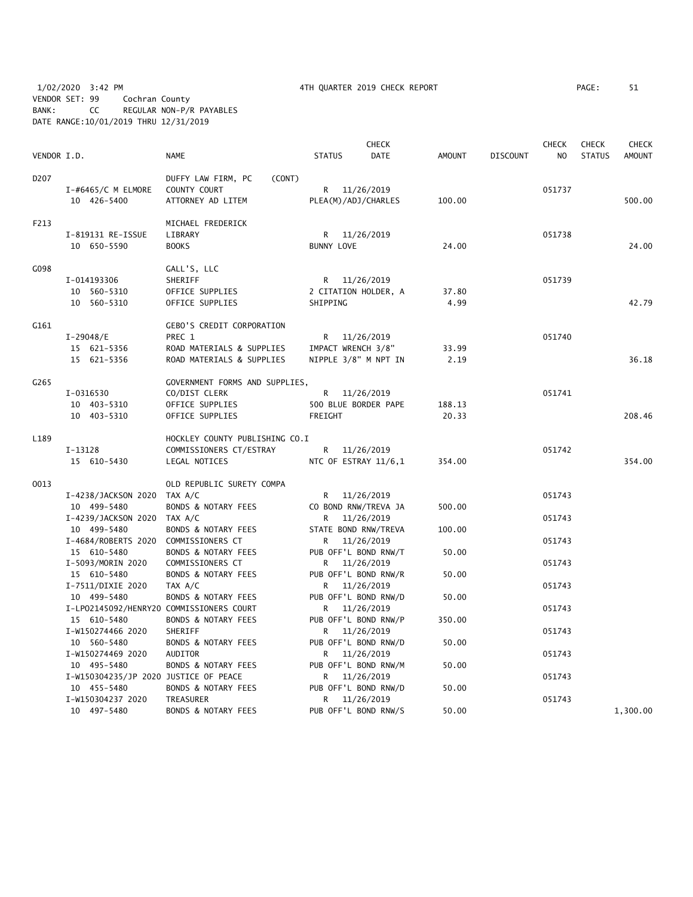1/02/2020 3:42 PM 4TH QUARTER 2019 CHECK REPORT PAGE: 51 VENDOR SET: 99 Cochran County BANK: CC REGULAR NON-P/R PAYABLES DATE RANGE:10/01/2019 THRU 12/31/2019

|                  |                                                                                    |                                                                                                      |                                                              | <b>CHECK</b>             |                 |                 | <b>CHECK</b>     | <b>CHECK</b>  | <b>CHECK</b>  |
|------------------|------------------------------------------------------------------------------------|------------------------------------------------------------------------------------------------------|--------------------------------------------------------------|--------------------------|-----------------|-----------------|------------------|---------------|---------------|
| VENDOR I.D.      |                                                                                    | NAME                                                                                                 | <b>STATUS</b>                                                | DATE                     | AMOUNT          | <b>DISCOUNT</b> | N <sub>O</sub>   | <b>STATUS</b> | <b>AMOUNT</b> |
| D <sub>207</sub> | $I$ -#6465/C M ELMORE<br>10 426-5400                                               | DUFFY LAW FIRM, PC<br>(CONT)<br>COUNTY COURT<br>ATTORNEY AD LITEM                                    | R 11/26/2019<br>PLEA(M)/ADJ/CHARLES                          |                          | 100.00          |                 | 051737           |               | 500.00        |
| F213             | I-819131 RE-ISSUE<br>10 650-5590                                                   | MICHAEL FREDERICK<br>LIBRARY<br><b>BOOKS</b>                                                         | R<br><b>BUNNY LOVE</b>                                       | 11/26/2019               | 24.00           |                 | 051738           |               | 24.00         |
| G098             | I-014193306<br>10 560-5310<br>10 560-5310                                          | GALL'S, LLC<br>SHERIFF<br>OFFICE SUPPLIES<br>OFFICE SUPPLIES                                         | R.<br>2 CITATION HOLDER, A<br>SHIPPING                       | 11/26/2019               | 37.80<br>4.99   |                 | 051739           |               | 42.79         |
| G161             | $I-29048/E$<br>15 621-5356<br>15 621-5356                                          | <b>GEBO'S CREDIT CORPORATION</b><br>PREC 1<br>ROAD MATERIALS & SUPPLIES<br>ROAD MATERIALS & SUPPLIES | R<br>IMPACT WRENCH 3/8"<br>NIPPLE 3/8" M NPT IN              | 11/26/2019               | 33.99<br>2.19   |                 | 051740           |               | 36.18         |
| G265             | I-0316530<br>10 403-5310<br>10 403-5310                                            | GOVERNMENT FORMS AND SUPPLIES,<br>CO/DIST CLERK<br>OFFICE SUPPLIES<br>OFFICE SUPPLIES                | R 11/26/2019<br>500 BLUE BORDER PAPE<br>FREIGHT              |                          | 188.13<br>20.33 |                 | 051741           |               | 208.46        |
| L189             | $I-13128$<br>15 610-5430                                                           | HOCKLEY COUNTY PUBLISHING CO.I<br>COMMISSIONERS CT/ESTRAY<br>LEGAL NOTICES                           | R.<br>NTC OF ESTRAY 11/6,1                                   | 11/26/2019               | 354.00          |                 | 051742           |               | 354.00        |
| 0013             | I-4238/JACKSON 2020 TAX A/C<br>10 499-5480                                         | OLD REPUBLIC SURETY COMPA<br>BONDS & NOTARY FEES                                                     | R 11/26/2019<br>CO BOND RNW/TREVA JA                         |                          | 500.00          |                 | 051743           |               |               |
|                  | I-4239/JACKSON 2020 TAX A/C<br>10 499-5480<br>I-4684/ROBERTS 2020 COMMISSIONERS CT | BONDS & NOTARY FEES                                                                                  | R.<br>STATE BOND RNW/TREVA<br>R                              | 11/26/2019<br>11/26/2019 | 100.00          |                 | 051743<br>051743 |               |               |
|                  | 15 610-5480<br>I-5093/MORIN 2020<br>15 610-5480                                    | BONDS & NOTARY FEES<br>COMMISSIONERS CT<br>BONDS & NOTARY FEES                                       | PUB OFF'L BOND RNW/T<br>R 11/26/2019<br>PUB OFF'L BOND RNW/R |                          | 50.00<br>50.00  |                 | 051743           |               |               |
|                  | I-7511/DIXIE 2020<br>10 499-5480<br>I-LP02145092/HENRY20 COMMISSIONERS COURT       | TAX A/C<br>BONDS & NOTARY FEES                                                                       | R 11/26/2019<br>PUB OFF'L BOND RNW/D<br>R 11/26/2019         |                          | 50.00           |                 | 051743<br>051743 |               |               |
|                  | 15 610-5480<br>I-W150274466 2020<br>10 560-5480                                    | BONDS & NOTARY FEES<br>SHERIFF<br>BONDS & NOTARY FEES                                                | PUB OFF'L BOND RNW/P<br>R 11/26/2019<br>PUB OFF'L BOND RNW/D |                          | 350.00<br>50.00 |                 | 051743           |               |               |
|                  | I-W150274469 2020<br>10 495-5480                                                   | AUDITOR<br>BONDS & NOTARY FEES                                                                       | R 11/26/2019<br>PUB OFF'L BOND RNW/M                         |                          | 50.00           |                 | 051743           |               |               |
|                  | I-W150304235/JP 2020 JUSTICE OF PEACE<br>10 455-5480<br>I-W150304237 2020          | BONDS & NOTARY FEES<br>TREASURER                                                                     | R<br>PUB OFF'L BOND RNW/D<br>R                               | 11/26/2019<br>11/26/2019 | 50.00           |                 | 051743<br>051743 |               |               |
|                  | 10 497-5480                                                                        | <b>BONDS &amp; NOTARY FEES</b>                                                                       | PUB OFF'L BOND RNW/S                                         |                          | 50.00           |                 |                  |               | 1,300.00      |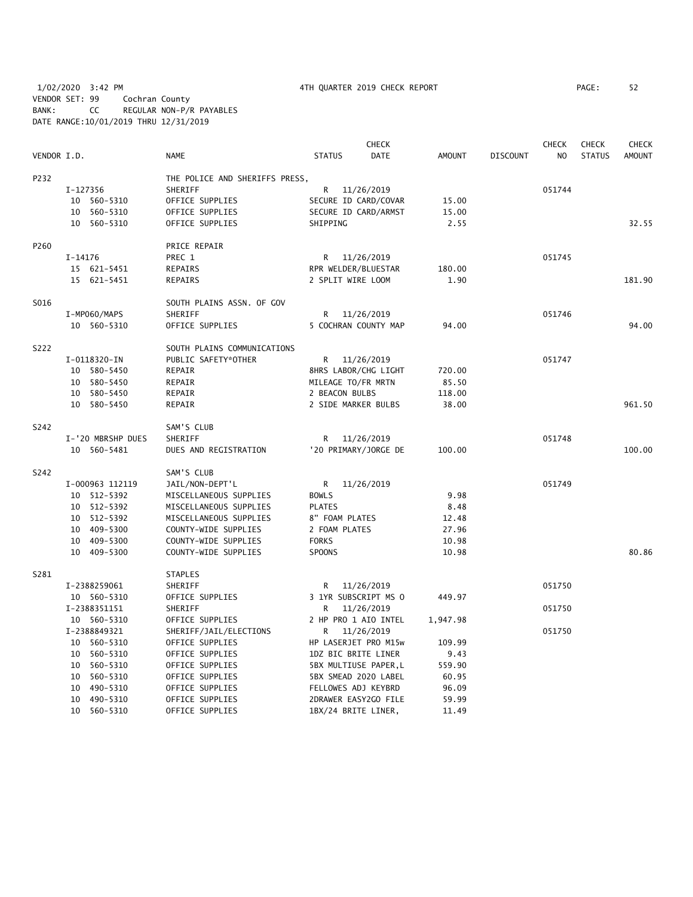1/02/2020 3:42 PM 4TH QUARTER 2019 CHECK REPORT PAGE: 52 VENDOR SET: 99 Cochran County BANK: CC REGULAR NON-P/R PAYABLES DATE RANGE:10/01/2019 THRU 12/31/2019

|             |                   |                                |                      | <b>CHECK</b>          |          |          | <b>CHECK</b>   | <b>CHECK</b>  | <b>CHECK</b>  |
|-------------|-------------------|--------------------------------|----------------------|-----------------------|----------|----------|----------------|---------------|---------------|
| VENDOR I.D. |                   | <b>NAME</b>                    | <b>STATUS</b>        | DATE                  | AMOUNT   | DISCOUNT | N <sub>O</sub> | <b>STATUS</b> | <b>AMOUNT</b> |
| P232        |                   | THE POLICE AND SHERIFFS PRESS, |                      |                       |          |          |                |               |               |
|             | I-127356          | SHERIFF                        | R.                   | 11/26/2019            |          |          | 051744         |               |               |
|             | 10 560-5310       | OFFICE SUPPLIES                | SECURE ID CARD/COVAR |                       | 15.00    |          |                |               |               |
|             | 560-5310<br>10    | OFFICE SUPPLIES                | SECURE ID CARD/ARMST |                       | 15.00    |          |                |               |               |
|             | 10 560-5310       | OFFICE SUPPLIES                | SHIPPING             |                       | 2.55     |          |                |               | 32.55         |
| P260        |                   | PRICE REPAIR                   |                      |                       |          |          |                |               |               |
|             | I-14176           | PREC 1                         | R 11/26/2019         |                       |          |          | 051745         |               |               |
|             | 15 621-5451       | REPAIRS                        | RPR WELDER/BLUESTAR  |                       | 180.00   |          |                |               |               |
|             | 15 621-5451       | REPAIRS                        | 2 SPLIT WIRE LOOM    |                       | 1.90     |          |                |               | 181.90        |
| S016        |                   | SOUTH PLAINS ASSN. OF GOV      |                      |                       |          |          |                |               |               |
|             | I-MP060/MAPS      | <b>SHERIFF</b>                 | R                    | 11/26/2019            |          |          | 051746         |               |               |
|             | 10 560-5310       | OFFICE SUPPLIES                |                      | 5 COCHRAN COUNTY MAP  | 94.00    |          |                |               | 94.00         |
| S222        |                   | SOUTH PLAINS COMMUNICATIONS    |                      |                       |          |          |                |               |               |
|             | I-0118320-IN      | PUBLIC SAFETY*OTHER            | R                    | 11/26/2019            |          |          | 051747         |               |               |
|             | 10 580-5450       | REPAIR                         | 8HRS LABOR/CHG LIGHT |                       | 720.00   |          |                |               |               |
|             | 10 580-5450       | REPAIR                         | MILEAGE TO/FR MRTN   |                       | 85.50    |          |                |               |               |
|             | 10<br>580-5450    | REPAIR                         | 2 BEACON BULBS       |                       | 118.00   |          |                |               |               |
|             | 10 580-5450       | REPAIR                         | 2 SIDE MARKER BULBS  |                       | 38.00    |          |                |               | 961.50        |
| S242        |                   | SAM'S CLUB                     |                      |                       |          |          |                |               |               |
|             | I-'20 MBRSHP DUES | SHERIFF                        | R 11/26/2019         |                       |          |          | 051748         |               |               |
|             | 10 560-5481       | DUES AND REGISTRATION          |                      | '20 PRIMARY/JORGE DE  | 100.00   |          |                |               | 100.00        |
| S242        |                   | SAM'S CLUB                     |                      |                       |          |          |                |               |               |
|             | I-000963 112119   | JAIL/NON-DEPT'L                | R                    | 11/26/2019            |          |          | 051749         |               |               |
|             | 10 512-5392       | MISCELLANEOUS SUPPLIES         | <b>BOWLS</b>         |                       | 9.98     |          |                |               |               |
|             | 10 512-5392       | MISCELLANEOUS SUPPLIES         | <b>PLATES</b>        |                       | 8.48     |          |                |               |               |
|             | 10 512-5392       | MISCELLANEOUS SUPPLIES         | 8" FOAM PLATES       |                       | 12.48    |          |                |               |               |
|             | 10 409-5300       | COUNTY-WIDE SUPPLIES           | 2 FOAM PLATES        |                       | 27.96    |          |                |               |               |
|             | 10 409-5300       | COUNTY-WIDE SUPPLIES           | <b>FORKS</b>         |                       | 10.98    |          |                |               |               |
|             | 10 409-5300       | COUNTY-WIDE SUPPLIES           | SPOONS               |                       | 10.98    |          |                |               | 80.86         |
| S281        |                   | <b>STAPLES</b>                 |                      |                       |          |          |                |               |               |
|             | I-2388259061      | SHERIFF                        | R.                   | 11/26/2019            |          |          | 051750         |               |               |
|             | 10 560-5310       | OFFICE SUPPLIES                |                      | 3 1YR SUBSCRIPT MS O  | 449.97   |          |                |               |               |
|             | I-2388351151      | SHERIFF                        | R                    | 11/26/2019            |          |          | 051750         |               |               |
|             | 10 560-5310       | OFFICE SUPPLIES                | 2 HP PRO 1 AIO INTEL |                       | 1,947.98 |          |                |               |               |
|             | I-2388849321      | SHERIFF/JAIL/ELECTIONS         | R 11/26/2019         |                       |          |          | 051750         |               |               |
|             | 10 560-5310       | OFFICE SUPPLIES                | HP LASERJET PRO M15w |                       | 109.99   |          |                |               |               |
|             | 10 560-5310       | OFFICE SUPPLIES                | 1DZ BIC BRITE LINER  |                       | 9.43     |          |                |               |               |
|             | 560-5310<br>10    | OFFICE SUPPLIES                |                      | 5BX MULTIUSE PAPER, L | 559.90   |          |                |               |               |
|             | 10<br>560-5310    | OFFICE SUPPLIES                |                      | 5BX SMEAD 2020 LABEL  | 60.95    |          |                |               |               |
|             | 490-5310<br>10    | OFFICE SUPPLIES                | FELLOWES ADJ KEYBRD  |                       | 96.09    |          |                |               |               |
|             | 490-5310<br>10    | OFFICE SUPPLIES                |                      | 2DRAWER EASY2GO FILE  | 59.99    |          |                |               |               |
|             | 10 560-5310       | OFFICE SUPPLIES                | 1BX/24 BRITE LINER,  |                       | 11.49    |          |                |               |               |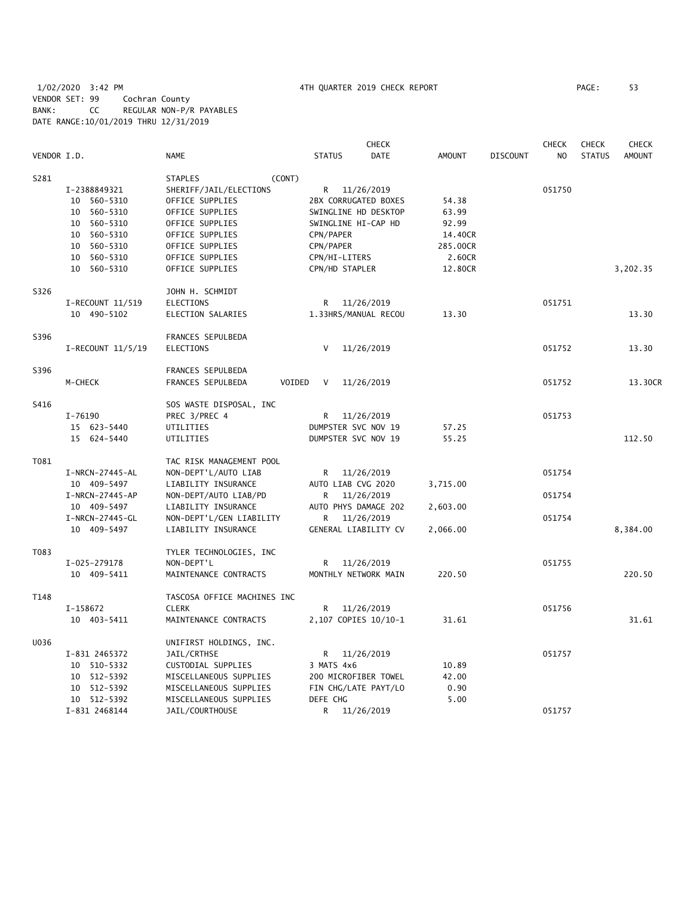1/02/2020 3:42 PM 4TH QUARTER 2019 CHECK REPORT PAGE: 53 VENDOR SET: 99 Cochran County BANK: CC REGULAR NON-P/R PAYABLES DATE RANGE:10/01/2019 THRU 12/31/2019

|             |                              | <b>CHECK</b><br><b>CHECK</b>              |                                  |             |               |                 |                | <b>CHECK</b>  | <b>CHECK</b>  |
|-------------|------------------------------|-------------------------------------------|----------------------------------|-------------|---------------|-----------------|----------------|---------------|---------------|
| VENDOR I.D. |                              | <b>NAME</b>                               | <b>STATUS</b>                    | <b>DATE</b> | <b>AMOUNT</b> | <b>DISCOUNT</b> | N <sub>O</sub> | <b>STATUS</b> | <b>AMOUNT</b> |
| S281        |                              | <b>STAPLES</b><br>(CONT)                  |                                  |             |               |                 |                |               |               |
|             | I-2388849321                 | SHERIFF/JAIL/ELECTIONS                    | R 11/26/2019                     |             |               |                 | 051750         |               |               |
|             | 10<br>560-5310               | OFFICE SUPPLIES                           | 2BX CORRUGATED BOXES             |             | 54.38         |                 |                |               |               |
|             | 560-5310<br>10               | OFFICE SUPPLIES                           | SWINGLINE HD DESKTOP             |             | 63.99         |                 |                |               |               |
|             | 10 560-5310                  | OFFICE SUPPLIES                           | SWINGLINE HI-CAP HD              |             | 92.99         |                 |                |               |               |
|             | 10<br>560-5310               | OFFICE SUPPLIES                           | CPN/PAPER                        |             | 14.40CR       |                 |                |               |               |
|             | 10<br>560-5310               | OFFICE SUPPLIES                           | CPN/PAPER                        |             | 285.00CR      |                 |                |               |               |
|             | 10 560-5310                  | OFFICE SUPPLIES                           | CPN/HI-LITERS                    |             | 2.60CR        |                 |                |               |               |
|             | 10 560-5310                  | OFFICE SUPPLIES                           | CPN/HD STAPLER                   |             | 12.80CR       |                 |                |               | 3,202.35      |
| S326        |                              | JOHN H. SCHMIDT                           |                                  |             |               |                 |                |               |               |
|             | I-RECOUNT 11/519             | <b>ELECTIONS</b>                          | R.                               | 11/26/2019  |               |                 | 051751         |               |               |
|             | 10 490-5102                  | ELECTION SALARIES                         | 1.33HRS/MANUAL RECOU             |             | 13.30         |                 |                |               | 13.30         |
| S396        |                              | FRANCES SEPULBEDA                         |                                  |             |               |                 |                |               |               |
|             | $I-RECOUNT$ 11/5/19          | <b>ELECTIONS</b>                          | V                                | 11/26/2019  |               |                 | 051752         |               | 13.30         |
| S396        |                              | FRANCES SEPULBEDA                         |                                  |             |               |                 |                |               |               |
|             | M-CHECK                      | VOIDED<br>FRANCES SEPULBEDA               | V                                | 11/26/2019  |               |                 | 051752         |               | 13.30CR       |
| S416        |                              | SOS WASTE DISPOSAL, INC                   |                                  |             |               |                 |                |               |               |
|             | I-76190                      | PREC 3/PREC 4                             | R                                | 11/26/2019  |               |                 | 051753         |               |               |
|             | 15 623-5440                  | UTILITIES                                 | DUMPSTER SVC NOV 19              |             | 57.25         |                 |                |               |               |
|             | 15 624-5440                  | UTILITIES                                 | DUMPSTER SVC NOV 19              |             | 55.25         |                 |                |               | 112.50        |
| T081        |                              | TAC RISK MANAGEMENT POOL                  |                                  |             |               |                 |                |               |               |
|             | I-NRCN-27445-AL              | NON-DEPT'L/AUTO LIAB                      | R.                               | 11/26/2019  |               |                 | 051754         |               |               |
|             | 10 409-5497                  | LIABILITY INSURANCE                       | AUTO LIAB CVG 2020               |             | 3,715.00      |                 |                |               |               |
|             | I-NRCN-27445-AP              | NON-DEPT/AUTO LIAB/PD                     | R                                | 11/26/2019  |               |                 | 051754         |               |               |
|             | 10 409-5497                  | LIABILITY INSURANCE                       | AUTO PHYS DAMAGE 202             |             | 2,603.00      |                 |                |               |               |
|             | I-NRCN-27445-GL              | NON-DEPT'L/GEN LIABILITY                  | R                                | 11/26/2019  |               |                 | 051754         |               |               |
|             | 10 409-5497                  | LIABILITY INSURANCE                       | GENERAL LIABILITY CV             |             | 2,066.00      |                 |                |               | 8,384.00      |
| T083        |                              | TYLER TECHNOLOGIES, INC                   |                                  |             |               |                 |                |               |               |
|             | I-025-279178                 | NON-DEPT'L                                | R                                | 11/26/2019  |               |                 | 051755         |               |               |
|             | 10 409-5411                  | MAINTENANCE CONTRACTS                     | MONTHLY NETWORK MAIN             |             | 220.50        |                 |                |               | 220.50        |
| T148        |                              | TASCOSA OFFICE MACHINES INC               |                                  |             |               |                 |                |               |               |
|             | I-158672                     | <b>CLERK</b>                              | R.                               | 11/26/2019  |               |                 | 051756         |               |               |
|             | 10 403-5411                  | MAINTENANCE CONTRACTS                     | 2,107 COPIES 10/10-1             |             | 31.61         |                 |                |               | 31.61         |
| U036        |                              | UNIFIRST HOLDINGS, INC.                   |                                  |             |               |                 |                |               |               |
|             | I-831 2465372                | JAIL/CRTHSE                               | R.                               | 11/26/2019  |               |                 | 051757         |               |               |
|             | 10 510-5332                  | CUSTODIAL SUPPLIES                        | 3 MATS 4x6                       |             | 10.89         |                 |                |               |               |
|             | 10 512-5392                  | MISCELLANEOUS SUPPLIES                    | 200 MICROFIBER TOWEL             |             | 42.00         |                 |                |               |               |
|             | 10 512-5392                  | MISCELLANEOUS SUPPLIES                    | FIN CHG/LATE PAYT/LO<br>DEFE CHG |             | 0.90          |                 |                |               |               |
|             | 10 512-5392<br>I-831 2468144 | MISCELLANEOUS SUPPLIES<br>JAIL/COURTHOUSE | R                                | 11/26/2019  | 5.00          |                 | 051757         |               |               |
|             |                              |                                           |                                  |             |               |                 |                |               |               |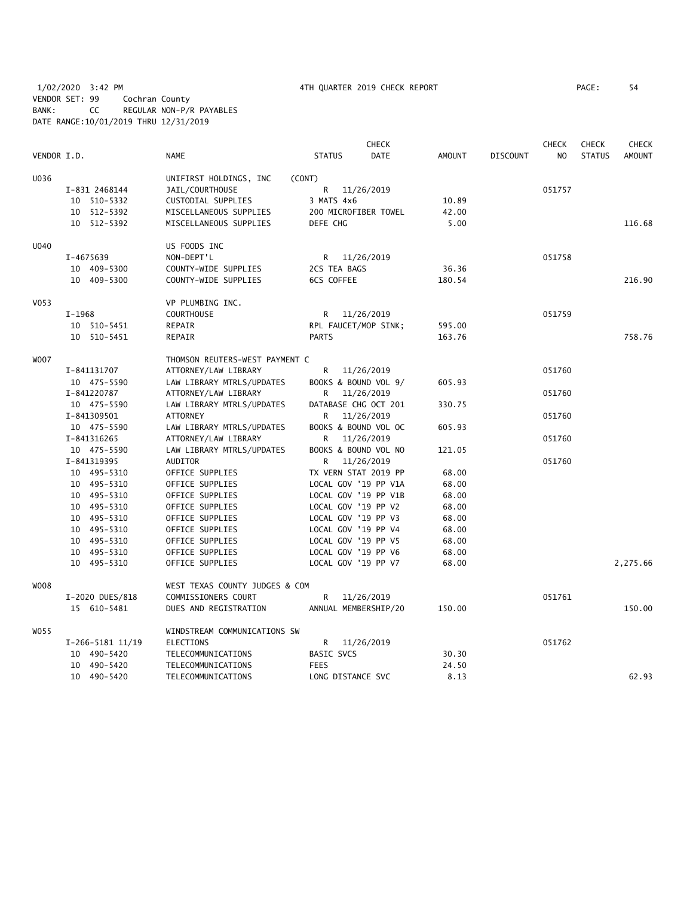1/02/2020 3:42 PM 4TH QUARTER 2019 CHECK REPORT PAGE: 54 VENDOR SET: 99 Cochran County BANK: CC REGULAR NON-P/R PAYABLES DATE RANGE:10/01/2019 THRU 12/31/2019

| PAGE : | 54 |
|--------|----|
|        |    |

|                  |                  |                                |                      | <b>CHECK</b> |               |                 | <b>CHECK</b>   | <b>CHECK</b>  | <b>CHECK</b>  |
|------------------|------------------|--------------------------------|----------------------|--------------|---------------|-----------------|----------------|---------------|---------------|
| VENDOR I.D.      |                  | <b>NAME</b>                    | <b>STATUS</b>        | <b>DATE</b>  | <b>AMOUNT</b> | <b>DISCOUNT</b> | N <sub>O</sub> | <b>STATUS</b> | <b>AMOUNT</b> |
| U036             |                  | UNIFIRST HOLDINGS, INC         | (CONT)               |              |               |                 |                |               |               |
|                  | I-831 2468144    | JAIL/COURTHOUSE                | R                    | 11/26/2019   |               |                 | 051757         |               |               |
|                  | 10 510-5332      | CUSTODIAL SUPPLIES             | 3 MATS 4x6           |              | 10.89         |                 |                |               |               |
|                  | 10 512-5392      | MISCELLANEOUS SUPPLIES         | 200 MICROFIBER TOWEL |              | 42.00         |                 |                |               |               |
|                  | 10 512-5392      | MISCELLANEOUS SUPPLIES         | DEFE CHG             |              | 5.00          |                 |                |               | 116.68        |
| <b>U040</b>      |                  | US FOODS INC                   |                      |              |               |                 |                |               |               |
|                  | I-4675639        | NON-DEPT'L                     | R 11/26/2019         |              |               |                 | 051758         |               |               |
|                  | 10 409-5300      | COUNTY-WIDE SUPPLIES           | 2CS TEA BAGS         |              | 36.36         |                 |                |               |               |
|                  | 10 409-5300      | COUNTY-WIDE SUPPLIES           | 6CS COFFEE           |              | 180.54        |                 |                |               | 216.90        |
| V <sub>053</sub> |                  | VP PLUMBING INC.               |                      |              |               |                 |                |               |               |
|                  | I-1968           | <b>COURTHOUSE</b>              | R.                   | 11/26/2019   |               |                 | 051759         |               |               |
|                  | 10 510-5451      | REPAIR                         | RPL FAUCET/MOP SINK; |              | 595.00        |                 |                |               |               |
|                  | 10 510-5451      | REPAIR                         | <b>PARTS</b>         |              | 163.76        |                 |                |               | 758.76        |
| <b>WOO7</b>      |                  | THOMSON REUTERS-WEST PAYMENT C |                      |              |               |                 |                |               |               |
|                  | I-841131707      | ATTORNEY/LAW LIBRARY           | R                    | 11/26/2019   |               |                 | 051760         |               |               |
|                  | 10 475-5590      | LAW LIBRARY MTRLS/UPDATES      | BOOKS & BOUND VOL 9/ |              | 605.93        |                 |                |               |               |
|                  | I-841220787      | ATTORNEY/LAW LIBRARY           | R                    | 11/26/2019   |               |                 | 051760         |               |               |
|                  | 10 475-5590      | LAW LIBRARY MTRLS/UPDATES      | DATABASE CHG OCT 201 |              | 330.75        |                 |                |               |               |
|                  | I-841309501      | <b>ATTORNEY</b>                | R                    | 11/26/2019   |               |                 | 051760         |               |               |
|                  | 10 475-5590      | LAW LIBRARY MTRLS/UPDATES      | BOOKS & BOUND VOL OC |              | 605.93        |                 |                |               |               |
|                  | I-841316265      | ATTORNEY/LAW LIBRARY           | R                    | 11/26/2019   |               |                 | 051760         |               |               |
|                  | 10 475-5590      | LAW LIBRARY MTRLS/UPDATES      | BOOKS & BOUND VOL NO |              | 121.05        |                 |                |               |               |
|                  | I-841319395      | AUDITOR                        | R                    | 11/26/2019   |               |                 | 051760         |               |               |
|                  | 10 495-5310      | OFFICE SUPPLIES                | TX VERN STAT 2019 PP |              | 68.00         |                 |                |               |               |
|                  | 10 495-5310      | OFFICE SUPPLIES                | LOCAL GOV '19 PP V1A |              | 68.00         |                 |                |               |               |
|                  | 10 495-5310      | OFFICE SUPPLIES                | LOCAL GOV '19 PP V1B |              | 68.00         |                 |                |               |               |
|                  | 10 495-5310      | OFFICE SUPPLIES                | LOCAL GOV '19 PP V2  |              | 68.00         |                 |                |               |               |
|                  | 10 495-5310      | OFFICE SUPPLIES                | LOCAL GOV '19 PP V3  |              | 68.00         |                 |                |               |               |
|                  | 10 495-5310      | OFFICE SUPPLIES                | LOCAL GOV '19 PP V4  |              | 68.00         |                 |                |               |               |
|                  | 10 495-5310      | OFFICE SUPPLIES                | LOCAL GOV '19 PP V5  |              | 68.00         |                 |                |               |               |
|                  | 10 495-5310      | OFFICE SUPPLIES                | LOCAL GOV '19 PP V6  |              | 68.00         |                 |                |               |               |
|                  | 10 495-5310      | OFFICE SUPPLIES                | LOCAL GOV '19 PP V7  |              | 68.00         |                 |                |               | 2,275.66      |
| <b>WO08</b>      |                  | WEST TEXAS COUNTY JUDGES & COM |                      |              |               |                 |                |               |               |
|                  | I-2020 DUES/818  | COMMISSIONERS COURT            | R                    | 11/26/2019   |               |                 | 051761         |               |               |
|                  | 15 610-5481      | DUES AND REGISTRATION          | ANNUAL MEMBERSHIP/20 |              | 150.00        |                 |                |               | 150.00        |
| W055             |                  | WINDSTREAM COMMUNICATIONS SW   |                      |              |               |                 |                |               |               |
|                  | I-266-5181 11/19 | ELECTIONS                      | R                    | 11/26/2019   |               |                 | 051762         |               |               |
|                  | 10 490-5420      | TELECOMMUNICATIONS             | <b>BASIC SVCS</b>    |              | 30.30         |                 |                |               |               |
|                  | 10 490-5420      | TELECOMMUNICATIONS             | <b>FEES</b>          |              | 24.50         |                 |                |               |               |
|                  | 10 490-5420      | TELECOMMUNICATIONS             | LONG DISTANCE SVC    |              | 8.13          |                 |                |               | 62.93         |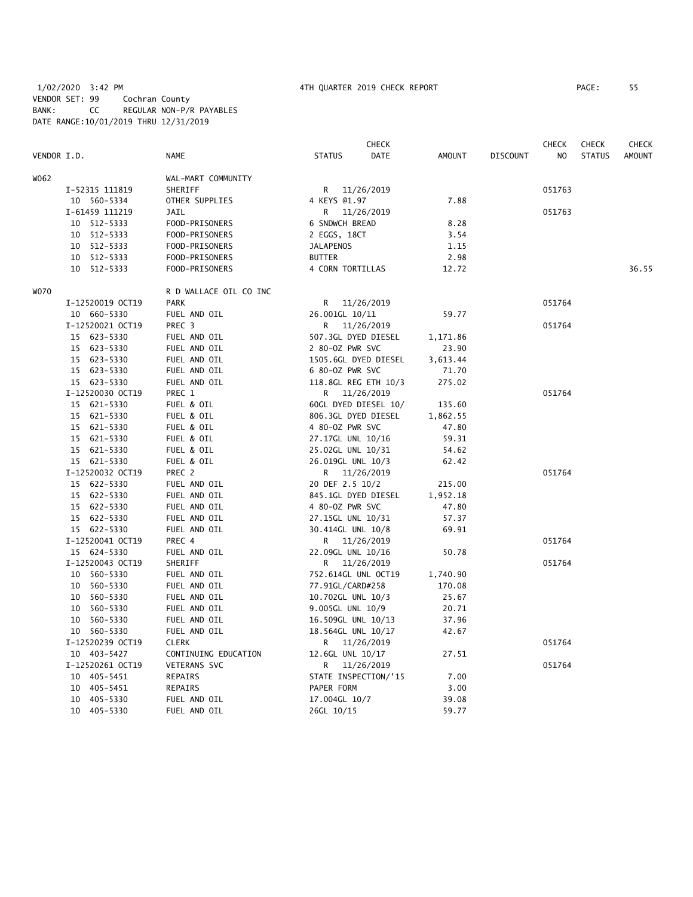# 1/02/2020 3:42 PM 4TH QUARTER 2019 CHECK REPORT PAGE: 55 VENDOR SET: 99 Cochran County BANK: CC REGULAR NON-P/R PAYABLES DATE RANGE:10/01/2019 THRU 12/31/2019

|             |                  |                        |                      | CHECK      |               |                 | CHECK  | <b>CHECK</b>  | <b>CHECK</b>  |
|-------------|------------------|------------------------|----------------------|------------|---------------|-----------------|--------|---------------|---------------|
| VENDOR I.D. |                  | <b>NAME</b>            | <b>STATUS</b>        | DATE       | <b>AMOUNT</b> | <b>DISCOUNT</b> | NO     | <b>STATUS</b> | <b>AMOUNT</b> |
| W062        |                  | WAL-MART COMMUNITY     |                      |            |               |                 |        |               |               |
|             | I-52315 111819   | SHERIFF                | R 11/26/2019         |            |               |                 | 051763 |               |               |
|             | 10 560-5334      | OTHER SUPPLIES         | 4 KEYS @1.97         |            | 7.88          |                 |        |               |               |
|             | I-61459 111219   | <b>JAIL</b>            | R                    | 11/26/2019 |               |                 | 051763 |               |               |
|             | 10 512-5333      | FOOD-PRISONERS         | 6 SNDWCH BREAD       |            | 8.28          |                 |        |               |               |
|             | 10 512-5333      | FOOD-PRISONERS         | 2 EGGS, 18CT         |            | 3.54          |                 |        |               |               |
|             | 10 512-5333      | FOOD-PRISONERS         | <b>JALAPENOS</b>     |            | 1.15          |                 |        |               |               |
|             | 10 512-5333      | FOOD-PRISONERS         | <b>BUTTER</b>        |            | 2.98          |                 |        |               |               |
|             | 10 512-5333      | FOOD-PRISONERS         | 4 CORN TORTILLAS     |            | 12.72         |                 |        |               | 36.55         |
| <b>WO70</b> |                  | R D WALLACE OIL CO INC |                      |            |               |                 |        |               |               |
|             | I-12520019 OCT19 | <b>PARK</b>            | R                    | 11/26/2019 |               |                 | 051764 |               |               |
|             | 10 660-5330      | FUEL AND OIL           | 26.001GL 10/11       |            | 59.77         |                 |        |               |               |
|             | I-12520021 OCT19 | PREC 3                 | R 11/26/2019         |            |               |                 | 051764 |               |               |
|             | 15 623-5330      | FUEL AND OIL           | 507.3GL DYED DIESEL  |            | 1,171.86      |                 |        |               |               |
|             |                  | FUEL AND OIL           | 2 80-0Z PWR SVC      |            |               |                 |        |               |               |
|             | 15 623-5330      |                        |                      |            | 23.90         |                 |        |               |               |
|             | 15 623-5330      | FUEL AND OIL           | 1505.6GL DYED DIESEL |            | 3,613.44      |                 |        |               |               |
|             | 15 623-5330      | FUEL AND OIL           | 6 80-0Z PWR SVC      |            | 71.70         |                 |        |               |               |
|             | 15 623-5330      | FUEL AND OIL           | 118.8GL REG ETH 10/3 |            | 275.02        |                 |        |               |               |
|             | I-12520030 OCT19 | PREC 1                 | R 11/26/2019         |            |               |                 | 051764 |               |               |
|             | 15 621-5330      | FUEL & OIL             | 60GL DYED DIESEL 10/ |            | 135.60        |                 |        |               |               |
|             | 15 621-5330      | FUEL & OIL             | 806.3GL DYED DIESEL  |            | 1,862.55      |                 |        |               |               |
|             | 15 621-5330      | FUEL & OIL             | 4 80-0Z PWR SVC      |            | 47.80         |                 |        |               |               |
|             | 15 621-5330      | FUEL & OIL             | 27.17GL UNL 10/16    |            | 59.31         |                 |        |               |               |
|             | 15 621-5330      | FUEL & OIL             | 25.02GL UNL 10/31    |            | 54.62         |                 |        |               |               |
|             | 15 621-5330      | FUEL & OIL             | 26.019GL UNL 10/3    |            | 62.42         |                 |        |               |               |
|             | I-12520032 OCT19 | PREC 2                 | R 11/26/2019         |            |               |                 | 051764 |               |               |
|             | 15 622-5330      | FUEL AND OIL           | 20 DEF 2.5 10/2      |            | 215.00        |                 |        |               |               |
|             | 15 622-5330      | FUEL AND OIL           | 845.1GL DYED DIESEL  |            | 1,952.18      |                 |        |               |               |
|             | 15 622-5330      | FUEL AND OIL           | 4 80-02 PWR SVC      |            | 47.80         |                 |        |               |               |
|             | 15 622-5330      | FUEL AND OIL           | 27.15GL UNL 10/31    |            | 57.37         |                 |        |               |               |
|             | 15 622-5330      | FUEL AND OIL           | 30.414GL UNL 10/8    |            | 69.91         |                 |        |               |               |
|             | I-12520041 OCT19 | PREC 4                 | R 11/26/2019         |            |               |                 | 051764 |               |               |
|             | 15 624-5330      | FUEL AND OIL           | 22.09GL UNL 10/16    |            | 50.78         |                 |        |               |               |
|             | I-12520043 OCT19 | SHERIFF                | R 11/26/2019         |            |               |                 | 051764 |               |               |
|             | 10 560-5330      | FUEL AND OIL           | 752.614GL UNL OCT19  |            | 1,740.90      |                 |        |               |               |
|             | 10 560-5330      | FUEL AND OIL           | 77.91GL/CARD#258     |            | 170.08        |                 |        |               |               |
|             | 10 560-5330      | FUEL AND OIL           | 10.702GL UNL 10/3    |            | 25.67         |                 |        |               |               |
|             | 10 560-5330      | FUEL AND OIL           | 9.005GL UNL 10/9     |            | 20.71         |                 |        |               |               |
|             | 560-5330<br>10   | FUEL AND OIL           | 16.509GL UNL 10/13   |            | 37.96         |                 |        |               |               |
|             | 10 560-5330      | FUEL AND OIL           | 18.564GL UNL 10/17   |            | 42.67         |                 |        |               |               |
|             | I-12520239 OCT19 | <b>CLERK</b>           | R 11/26/2019         |            |               |                 | 051764 |               |               |
|             | 10 403-5427      | CONTINUING EDUCATION   | 12.6GL UNL 10/17     |            | 27.51         |                 |        |               |               |
|             | I-12520261 OCT19 | VETERANS SVC           | R                    | 11/26/2019 |               |                 | 051764 |               |               |
|             | 10 405-5451      | REPAIRS                | STATE INSPECTION/'15 |            | 7.00          |                 |        |               |               |
|             | 10 405-5451      | <b>REPAIRS</b>         | PAPER FORM           |            | 3.00          |                 |        |               |               |
|             | 10 405-5330      | FUEL AND OIL           | 17.004GL 10/7        |            | 39.08         |                 |        |               |               |
|             | 10 405-5330      | FUEL AND OIL           | 26GL 10/15           |            | 59.77         |                 |        |               |               |
|             |                  |                        |                      |            |               |                 |        |               |               |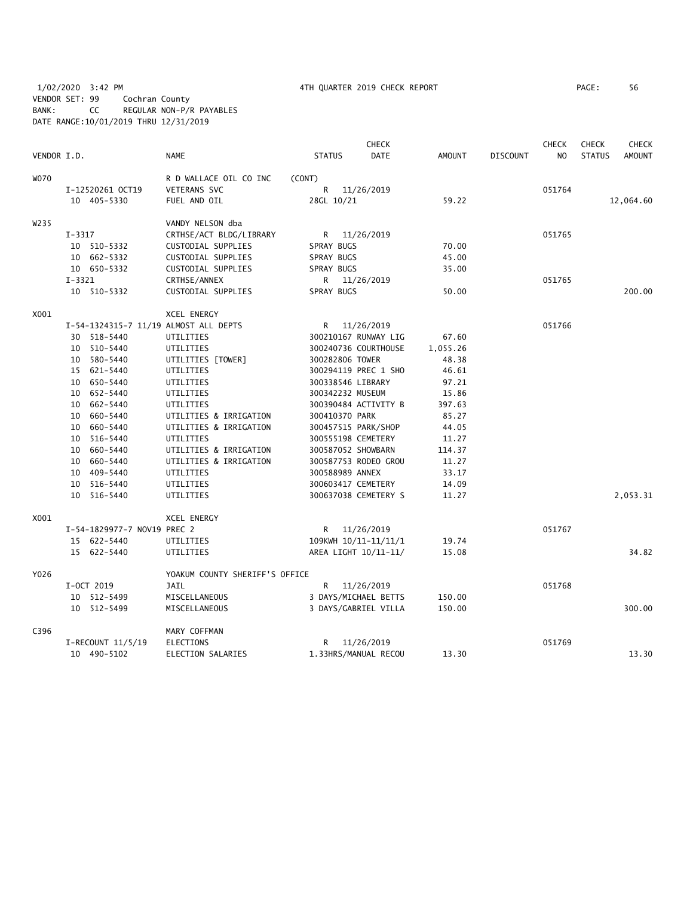1/02/2020 3:42 PM 4TH QUARTER 2019 CHECK REPORT PAGE: 56 VENDOR SET: 99 Cochran County BANK: CC REGULAR NON-P/R PAYABLES DATE RANGE:10/01/2019 THRU 12/31/2019

|             |                                       |                                |                      | <b>CHECK</b> |               |                 | <b>CHECK</b>   | <b>CHECK</b>  | <b>CHECK</b>  |
|-------------|---------------------------------------|--------------------------------|----------------------|--------------|---------------|-----------------|----------------|---------------|---------------|
| VENDOR I.D. |                                       | <b>NAME</b>                    | <b>STATUS</b>        | DATE         | <b>AMOUNT</b> | <b>DISCOUNT</b> | N <sub>O</sub> | <b>STATUS</b> | <b>AMOUNT</b> |
| <b>WO70</b> |                                       | R D WALLACE OIL CO INC         | (CONT)               |              |               |                 |                |               |               |
|             | I-12520261 OCT19                      | <b>VETERANS SVC</b>            | R.                   | 11/26/2019   |               |                 | 051764         |               |               |
|             | 10 405-5330                           | FUEL AND OIL                   | 28GL 10/21           |              | 59.22         |                 |                |               | 12,064.60     |
| W235        |                                       | VANDY NELSON dba               |                      |              |               |                 |                |               |               |
|             | $I - 3317$                            | CRTHSE/ACT BLDG/LIBRARY        | R 11/26/2019         |              |               |                 | 051765         |               |               |
|             | 10 510-5332                           | CUSTODIAL SUPPLIES             | SPRAY BUGS           |              | 70.00         |                 |                |               |               |
|             | 10 662-5332                           | CUSTODIAL SUPPLIES             | SPRAY BUGS           |              | 45.00         |                 |                |               |               |
|             | 10 650-5332                           | CUSTODIAL SUPPLIES             | SPRAY BUGS           |              | 35.00         |                 |                |               |               |
|             | $I-3321$                              | CRTHSE/ANNEX                   | R                    | 11/26/2019   |               |                 | 051765         |               |               |
|             | 10 510-5332                           | CUSTODIAL SUPPLIES             | SPRAY BUGS           |              | 50.00         |                 |                |               | 200.00        |
| X001        |                                       | XCEL ENERGY                    |                      |              |               |                 |                |               |               |
|             | I-54-1324315-7 11/19 ALMOST ALL DEPTS |                                | R 11/26/2019         |              |               |                 | 051766         |               |               |
|             | 30 518-5440                           | UTILITIES                      | 300210167 RUNWAY LIG |              | 67.60         |                 |                |               |               |
|             | 10 510-5440                           | UTILITIES                      | 300240736 COURTHOUSE |              | 1,055.26      |                 |                |               |               |
|             | 10 580-5440                           | UTILITIES [TOWER]              | 300282806 TOWER      |              | 48.38         |                 |                |               |               |
|             | 15 621-5440                           | UTILITIES                      | 300294119 PREC 1 SHO |              | 46.61         |                 |                |               |               |
|             | 10 650-5440                           | UTILITIES                      | 300338546 LIBRARY    |              | 97.21         |                 |                |               |               |
|             | 10 652-5440                           | UTILITIES                      | 300342232 MUSEUM     |              | 15.86         |                 |                |               |               |
|             | 10 662-5440                           | UTILITIES                      | 300390484 ACTIVITY B |              | 397.63        |                 |                |               |               |
|             | 10 660-5440                           | UTILITIES & IRRIGATION         | 300410370 PARK       |              | 85.27         |                 |                |               |               |
|             | 10 660-5440                           | UTILITIES & IRRIGATION         | 300457515 PARK/SHOP  |              | 44.05         |                 |                |               |               |
|             | 10 516-5440                           | UTILITIES                      | 300555198 CEMETERY   |              | 11.27         |                 |                |               |               |
|             | 10 660-5440                           | UTILITIES & IRRIGATION         | 300587052 SHOWBARN   |              | 114.37        |                 |                |               |               |
|             | 10 660-5440                           | UTILITIES & IRRIGATION         | 300587753 RODEO GROU |              | 11.27         |                 |                |               |               |
|             | 10 409-5440                           | UTILITIES                      | 300588989 ANNEX      |              | 33.17         |                 |                |               |               |
|             | 10 516-5440                           | UTILITIES                      | 300603417 CEMETERY   |              | 14.09         |                 |                |               |               |
|             | 10 516-5440                           | UTILITIES                      | 300637038 CEMETERY S |              | 11.27         |                 |                |               | 2,053.31      |
| X001        |                                       | XCEL ENERGY                    |                      |              |               |                 |                |               |               |
|             | I-54-1829977-7 NOV19 PREC 2           |                                | R 11/26/2019         |              |               |                 | 051767         |               |               |
|             | 15 622-5440                           | UTILITIES                      | 109KWH 10/11-11/11/1 |              | 19.74         |                 |                |               |               |
|             | 15 622-5440                           | UTILITIES                      | AREA LIGHT 10/11-11/ |              | 15.08         |                 |                |               | 34.82         |
| Y026        |                                       | YOAKUM COUNTY SHERIFF'S OFFICE |                      |              |               |                 |                |               |               |
|             | I-OCT 2019                            | JAIL                           | R 11/26/2019         |              |               |                 | 051768         |               |               |
|             | 10 512-5499                           | MISCELLANEOUS                  | 3 DAYS/MICHAEL BETTS |              | 150.00        |                 |                |               |               |
|             | 10 512-5499                           | MISCELLANEOUS                  | 3 DAYS/GABRIEL VILLA |              | 150.00        |                 |                |               | 300.00        |
| C396        |                                       | MARY COFFMAN                   |                      |              |               |                 |                |               |               |
|             | I-RECOUNT 11/5/19                     | <b>ELECTIONS</b>               | R.                   | 11/26/2019   |               |                 | 051769         |               |               |
|             | 10 490-5102                           | ELECTION SALARIES              | 1.33HRS/MANUAL RECOU |              | 13.30         |                 |                |               | 13.30         |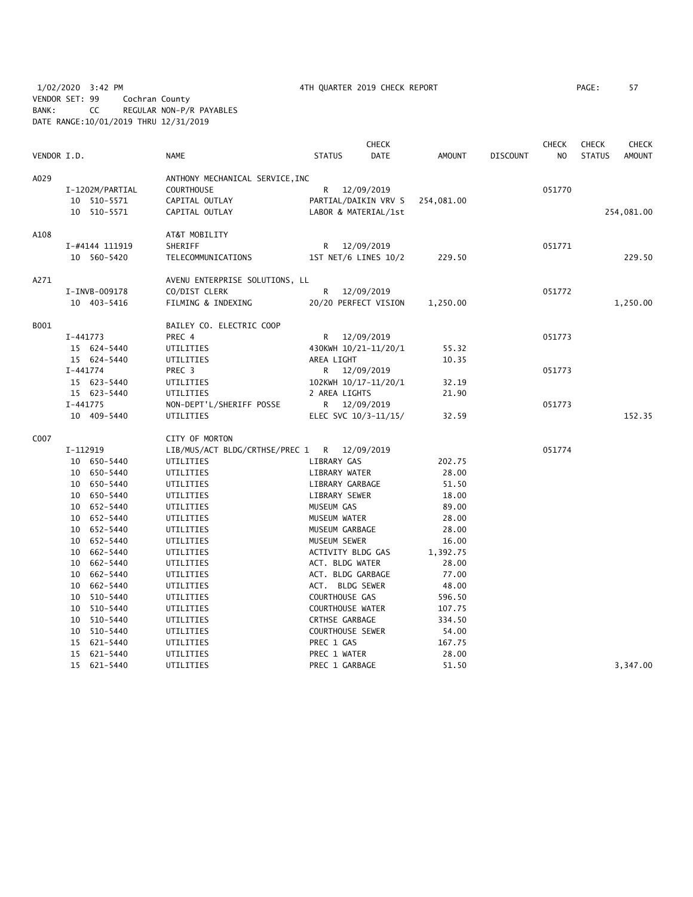1/02/2020 3:42 PM 4TH QUARTER 2019 CHECK REPORT PAGE: 57 VENDOR SET: 99 Cochran County BANK: CC REGULAR NON-P/R PAYABLES DATE RANGE:10/01/2019 THRU 12/31/2019

|             |                 |                                 |                         | <b>CHECK</b>         |               |                 | <b>CHECK</b>   | <b>CHECK</b>  | <b>CHECK</b>  |
|-------------|-----------------|---------------------------------|-------------------------|----------------------|---------------|-----------------|----------------|---------------|---------------|
| VENDOR I.D. |                 | <b>NAME</b>                     | <b>STATUS</b>           | DATE                 | <b>AMOUNT</b> | <b>DISCOUNT</b> | N <sub>O</sub> | <b>STATUS</b> | <b>AMOUNT</b> |
| A029        |                 | ANTHONY MECHANICAL SERVICE, INC |                         |                      |               |                 |                |               |               |
|             | I-1202M/PARTIAL | <b>COURTHOUSE</b>               | R —                     | 12/09/2019           |               |                 | 051770         |               |               |
|             | 10 510-5571     | CAPITAL OUTLAY                  |                         | PARTIAL/DAIKIN VRV S | 254,081.00    |                 |                |               |               |
|             | 10 510-5571     | CAPITAL OUTLAY                  |                         | LABOR & MATERIAL/1st |               |                 |                |               | 254,081.00    |
| A108        |                 | AT&T MOBILITY                   |                         |                      |               |                 |                |               |               |
|             | I-#4144 111919  | SHERIFF                         | R —                     | 12/09/2019           |               |                 | 051771         |               |               |
|             | 10 560-5420     | TELECOMMUNICATIONS              |                         | 1ST NET/6 LINES 10/2 | 229.50        |                 |                |               | 229.50        |
| A271        |                 | AVENU ENTERPRISE SOLUTIONS, LL  |                         |                      |               |                 |                |               |               |
|             | I-INVB-009178   | CO/DIST CLERK                   | R                       | 12/09/2019           |               |                 | 051772         |               |               |
|             | 10 403-5416     | FILMING & INDEXING              |                         | 20/20 PERFECT VISION | 1,250.00      |                 |                |               | 1,250.00      |
| B001        |                 | BAILEY CO. ELECTRIC COOP        |                         |                      |               |                 |                |               |               |
|             | $I-441773$      | PREC 4                          | R                       | 12/09/2019           |               |                 | 051773         |               |               |
|             | 15 624-5440     | UTILITIES                       |                         | 430KWH 10/21-11/20/1 | 55.32         |                 |                |               |               |
|             | 15 624-5440     | UTILITIES                       | AREA LIGHT              |                      | 10.35         |                 |                |               |               |
|             | $I - 441774$    | PREC 3                          |                         | R 12/09/2019         |               |                 | 051773         |               |               |
|             | 15 623-5440     | UTILITIES                       |                         | 102KWH 10/17-11/20/1 | 32.19         |                 |                |               |               |
|             | 15 623-5440     | UTILITIES                       | 2 AREA LIGHTS           |                      | 21.90         |                 |                |               |               |
|             | $I-441775$      | NON-DEPT'L/SHERIFF POSSE        |                         | R 12/09/2019         |               |                 | 051773         |               |               |
|             | 10 409-5440     | UTILITIES                       |                         | ELEC SVC 10/3-11/15/ | 32.59         |                 |                |               | 152.35        |
| C007        |                 | CITY OF MORTON                  |                         |                      |               |                 |                |               |               |
|             | I-112919        | LIB/MUS/ACT BLDG/CRTHSE/PREC 1  | R                       | 12/09/2019           |               |                 | 051774         |               |               |
|             | 10 650-5440     | UTILITIES                       | LIBRARY GAS             |                      | 202.75        |                 |                |               |               |
|             | 10 650-5440     | UTILITIES                       | LIBRARY WATER           |                      | 28.00         |                 |                |               |               |
|             | 10 650-5440     | UTILITIES                       | LIBRARY GARBAGE         |                      | 51.50         |                 |                |               |               |
|             | 10 650-5440     | UTILITIES                       | LIBRARY SEWER           |                      | 18.00         |                 |                |               |               |
|             | 10 652-5440     | UTILITIES                       | MUSEUM GAS              |                      | 89.00         |                 |                |               |               |
|             | 10 652-5440     | UTILITIES                       | MUSEUM WATER            |                      | 28.00         |                 |                |               |               |
|             | 10 652-5440     | UTILITIES                       | MUSEUM GARBAGE          |                      | 28.00         |                 |                |               |               |
|             | 10 652-5440     | UTILITIES                       | MUSEUM SEWER            |                      | 16.00         |                 |                |               |               |
|             | 10 662-5440     | UTILITIES                       | ACTIVITY BLDG GAS       |                      | 1,392.75      |                 |                |               |               |
|             | 10 662-5440     | UTILITIES                       | ACT. BLDG WATER         |                      | 28.00         |                 |                |               |               |
|             | 10 662-5440     | UTILITIES                       | ACT. BLDG GARBAGE       |                      | 77.00         |                 |                |               |               |
|             | 10 662-5440     | UTILITIES                       | ACT. BLDG SEWER         |                      | 48.00         |                 |                |               |               |
|             | 10 510-5440     | UTILITIES                       | COURTHOUSE GAS          |                      | 596.50        |                 |                |               |               |
|             | 10 510-5440     | UTILITIES                       | <b>COURTHOUSE WATER</b> |                      | 107.75        |                 |                |               |               |
|             | 10 510-5440     | UTILITIES                       | CRTHSE GARBAGE          |                      | 334.50        |                 |                |               |               |
|             | 10 510-5440     | UTILITIES                       | COURTHOUSE SEWER        |                      | 54.00         |                 |                |               |               |
|             | 15 621-5440     | UTILITIES                       | PREC 1 GAS              |                      | 167.75        |                 |                |               |               |
|             | 15 621-5440     | UTILITIES                       | PREC 1 WATER            |                      | 28.00         |                 |                |               |               |
|             | 15 621-5440     | UTILITIES                       | PREC 1 GARBAGE          |                      | 51.50         |                 |                |               | 3,347.00      |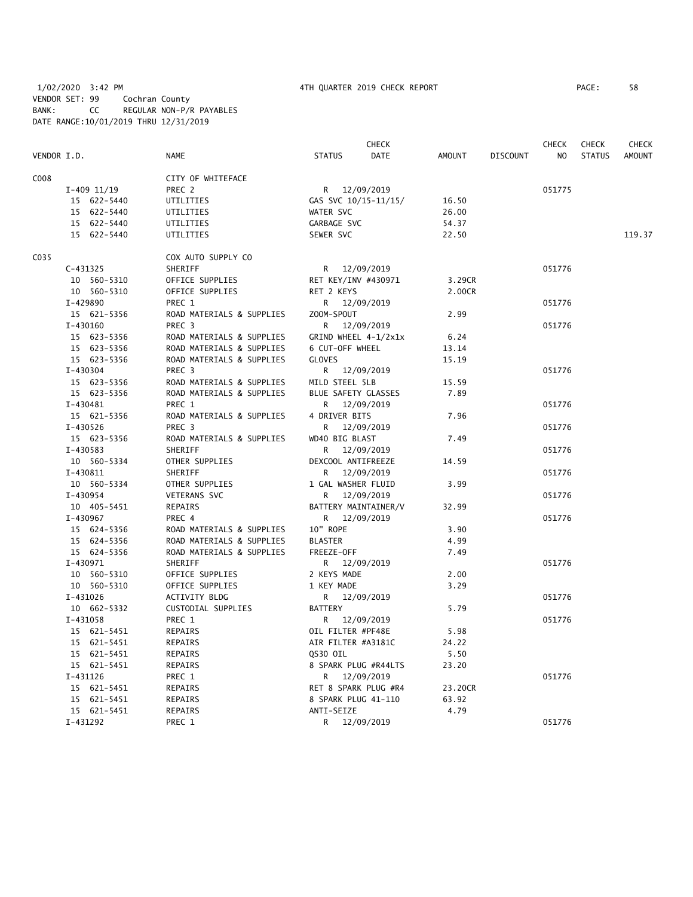1/02/2020 3:42 PM 4TH QUARTER 2019 CHECK REPORT PAGE: 58 VENDOR SET: 99 Cochran County BANK: CC REGULAR NON-P/R PAYABLES DATE RANGE:10/01/2019 THRU 12/31/2019

|      |                 |                           |                      | CHECK       |               |                 | <b>CHECK</b>   | <b>CHECK</b>  | <b>CHECK</b>  |
|------|-----------------|---------------------------|----------------------|-------------|---------------|-----------------|----------------|---------------|---------------|
|      | VENDOR I.D.     | <b>NAME</b>               | <b>STATUS</b>        | <b>DATE</b> | <b>AMOUNT</b> | <b>DISCOUNT</b> | N <sub>O</sub> | <b>STATUS</b> | <b>AMOUNT</b> |
| C008 |                 | CITY OF WHITEFACE         |                      |             |               |                 |                |               |               |
|      | $I-409$ $11/19$ | PREC 2                    | R 12/09/2019         |             |               |                 | 051775         |               |               |
|      | 15 622-5440     | UTILITIES                 | GAS SVC 10/15-11/15/ |             | 16.50         |                 |                |               |               |
|      | 15 622-5440     | UTILITIES                 | WATER SVC            |             | 26.00         |                 |                |               |               |
|      | 15 622-5440     | UTILITIES                 | GARBAGE SVC          |             | 54.37         |                 |                |               |               |
|      | 15 622-5440     | UTILITIES                 | SEWER SVC            |             | 22.50         |                 |                |               | 119.37        |
| C035 |                 | COX AUTO SUPPLY CO        |                      |             |               |                 |                |               |               |
|      | $C-431325$      | SHERIFF                   | R 12/09/2019         |             |               |                 | 051776         |               |               |
|      | 10 560-5310     | OFFICE SUPPLIES           | RET KEY/INV #430971  |             | 3.29CR        |                 |                |               |               |
|      | 10 560-5310     | OFFICE SUPPLIES           | RET 2 KEYS           |             | 2.00CR        |                 |                |               |               |
|      | I-429890        | PREC 1                    | R 12/09/2019         |             |               |                 | 051776         |               |               |
|      | 15 621-5356     | ROAD MATERIALS & SUPPLIES | ZOOM-SPOUT           |             | 2.99          |                 |                |               |               |
|      | I-430160        | PREC <sub>3</sub>         | R 12/09/2019         |             |               |                 | 051776         |               |               |
|      | 15 623-5356     | ROAD MATERIALS & SUPPLIES | GRIND WHEEL 4-1/2x1x |             | 6.24          |                 |                |               |               |
|      | 15 623-5356     | ROAD MATERIALS & SUPPLIES | 6 CUT-OFF WHEEL      |             | 13.14         |                 |                |               |               |
|      | 15 623-5356     | ROAD MATERIALS & SUPPLIES | <b>GLOVES</b>        |             | 15.19         |                 |                |               |               |
|      | I-430304        | PREC 3                    | R 12/09/2019         |             |               |                 | 051776         |               |               |
|      | 15 623-5356     | ROAD MATERIALS & SUPPLIES | MILD STEEL 5LB       |             | 15.59         |                 |                |               |               |
|      | 15 623-5356     | ROAD MATERIALS & SUPPLIES | BLUE SAFETY GLASSES  |             | 7.89          |                 |                |               |               |
|      | I-430481        | PREC 1                    | R 12/09/2019         |             |               |                 | 051776         |               |               |
|      | 15 621-5356     | ROAD MATERIALS & SUPPLIES | 4 DRIVER BITS        |             | 7.96          |                 |                |               |               |
|      | I-430526        | PREC 3                    | R                    | 12/09/2019  |               |                 | 051776         |               |               |
|      | 15 623-5356     | ROAD MATERIALS & SUPPLIES | WD40 BIG BLAST       |             | 7.49          |                 |                |               |               |
|      | I-430583        | SHERIFF                   | R                    | 12/09/2019  |               |                 | 051776         |               |               |
|      | 10 560-5334     | OTHER SUPPLIES            | DEXCOOL ANTIFREEZE   |             | 14.59         |                 |                |               |               |
|      | I-430811        | SHERIFF                   | R.                   | 12/09/2019  |               |                 | 051776         |               |               |
|      | 10 560-5334     | OTHER SUPPLIES            | 1 GAL WASHER FLUID   |             | 3.99          |                 |                |               |               |
|      | I-430954        | VETERANS SVC              | R 12/09/2019         |             |               |                 | 051776         |               |               |
|      | 10 405-5451     | REPAIRS                   | BATTERY MAINTAINER/V |             | 32.99         |                 |                |               |               |
|      | I-430967        | PREC 4                    | R 12/09/2019         |             |               |                 | 051776         |               |               |
|      | 15 624-5356     | ROAD MATERIALS & SUPPLIES | 10" ROPE             |             | 3.90          |                 |                |               |               |
|      | 15 624-5356     | ROAD MATERIALS & SUPPLIES | <b>BLASTER</b>       |             | 4.99          |                 |                |               |               |
|      | 15 624-5356     | ROAD MATERIALS & SUPPLIES | FREEZE-OFF           |             | 7.49          |                 |                |               |               |
|      | I-430971        | SHERIFF                   | R 12/09/2019         |             |               |                 | 051776         |               |               |
|      | 10 560-5310     | OFFICE SUPPLIES           | 2 KEYS MADE          |             | 2.00          |                 |                |               |               |
|      | 10 560-5310     | OFFICE SUPPLIES           | 1 KEY MADE           |             | 3.29          |                 |                |               |               |
|      | I-431026        | ACTIVITY BLDG             | R 12/09/2019         |             |               |                 | 051776         |               |               |
|      | 10 662-5332     | CUSTODIAL SUPPLIES        | <b>BATTERY</b>       |             | 5.79          |                 |                |               |               |
|      | $I-431058$      | PREC 1                    | R 12/09/2019         |             |               |                 | 051776         |               |               |
|      | 15 621-5451     | REPAIRS                   | OIL FILTER #PF48E    |             | 5.98          |                 |                |               |               |
|      | 15 621-5451     | REPAIRS                   | AIR FILTER #A3181C   |             | 24.22         |                 |                |               |               |
|      | 15 621-5451     | REPAIRS                   | QS30 OIL             |             | 5.50          |                 |                |               |               |
|      | 15 621-5451     | REPAIRS                   | 8 SPARK PLUG #R44LTS |             | 23.20         |                 |                |               |               |
|      | I-431126        | PREC 1                    | R 12/09/2019         |             |               |                 | 051776         |               |               |
|      | 15 621-5451     | REPAIRS                   | RET 8 SPARK PLUG #R4 |             | 23.20CR       |                 |                |               |               |
|      | 15 621-5451     | REPAIRS                   | 8 SPARK PLUG 41-110  |             | 63.92         |                 |                |               |               |
|      | 15 621-5451     | <b>REPAIRS</b>            | ANTI-SEIZE           |             | 4.79          |                 |                |               |               |
|      | I-431292        | PREC 1                    | R                    | 12/09/2019  |               |                 | 051776         |               |               |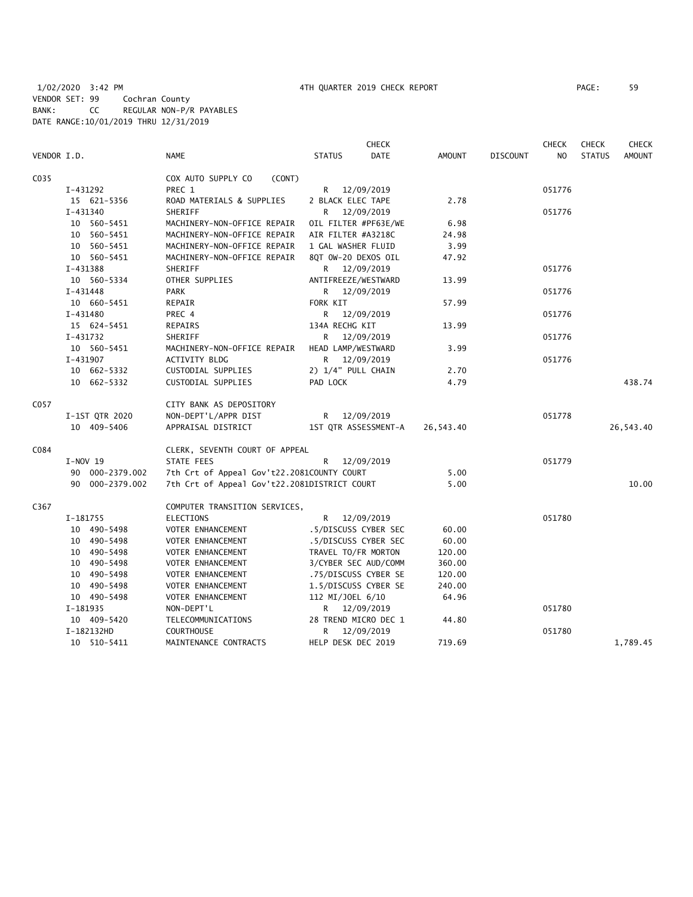|             |                 |                                              | <b>CHECK</b>                 |               |                 | <b>CHECK</b>   | <b>CHECK</b>  | <b>CHECK</b>  |
|-------------|-----------------|----------------------------------------------|------------------------------|---------------|-----------------|----------------|---------------|---------------|
| VENDOR I.D. |                 | <b>NAME</b>                                  | <b>DATE</b><br><b>STATUS</b> | <b>AMOUNT</b> | <b>DISCOUNT</b> | N <sub>O</sub> | <b>STATUS</b> | <b>AMOUNT</b> |
| C035        |                 | COX AUTO SUPPLY CO<br>(CONT)                 |                              |               |                 |                |               |               |
|             | I-431292        | PREC 1                                       | R 12/09/2019                 |               |                 | 051776         |               |               |
|             | 15 621-5356     | ROAD MATERIALS & SUPPLIES                    | 2 BLACK ELEC TAPE            | 2.78          |                 |                |               |               |
|             | $I - 431340$    | SHERIFF                                      | 12/09/2019<br>R.             |               |                 | 051776         |               |               |
|             | 10 560-5451     | MACHINERY-NON-OFFICE REPAIR                  | OIL FILTER #PF63E/WE         | 6.98          |                 |                |               |               |
|             | 10 560-5451     | MACHINERY-NON-OFFICE REPAIR                  | AIR FILTER #A3218C           | 24.98         |                 |                |               |               |
|             | 10 560-5451     | MACHINERY-NON-OFFICE REPAIR                  | 1 GAL WASHER FLUID           | 3.99          |                 |                |               |               |
|             | 10 560-5451     | MACHINERY-NON-OFFICE REPAIR                  | 8QT 0W-20 DEXOS OIL          | 47.92         |                 |                |               |               |
|             | I-431388        | SHERIFF                                      | R 12/09/2019                 |               |                 | 051776         |               |               |
|             | 10 560-5334     | OTHER SUPPLIES                               | ANTIFREEZE/WESTWARD          | 13.99         |                 |                |               |               |
|             | I-431448        | <b>PARK</b>                                  | R 12/09/2019                 |               |                 | 051776         |               |               |
|             | 10 660-5451     | REPAIR                                       | FORK KIT                     | 57.99         |                 |                |               |               |
|             | I-431480        | PREC 4                                       | R.<br>12/09/2019             |               |                 | 051776         |               |               |
|             | 15 624-5451     | REPAIRS                                      | 134A RECHG KIT               | 13.99         |                 |                |               |               |
|             | I-431732        | SHERIFF                                      | 12/09/2019<br>R              |               |                 | 051776         |               |               |
|             | 10 560-5451     | MACHINERY-NON-OFFICE REPAIR                  | HEAD LAMP/WESTWARD           | 3.99          |                 |                |               |               |
|             | I-431907        | ACTIVITY BLDG                                | 12/09/2019<br>R.             |               |                 | 051776         |               |               |
|             | 10 662-5332     | CUSTODIAL SUPPLIES                           | 2) 1/4" PULL CHAIN           | 2.70          |                 |                |               |               |
|             | 10 662-5332     | CUSTODIAL SUPPLIES                           | PAD LOCK                     | 4.79          |                 |                |               | 438.74        |
| C057        |                 | CITY BANK AS DEPOSITORY                      |                              |               |                 |                |               |               |
|             | I-1ST QTR 2020  | NON-DEPT'L/APPR DIST                         | R 12/09/2019                 |               |                 | 051778         |               |               |
|             | 10 409-5406     | APPRAISAL DISTRICT                           | 1ST QTR ASSESSMENT-A         | 26,543.40     |                 |                |               | 26,543.40     |
| C084        |                 | CLERK, SEVENTH COURT OF APPEAL               |                              |               |                 |                |               |               |
|             | $I-NOV$ 19      | STATE FEES                                   | R<br>12/09/2019              |               |                 | 051779         |               |               |
|             | 90 000-2379.002 | 7th Crt of Appeal Gov't22.2081COUNTY COURT   |                              | 5.00          |                 |                |               |               |
|             | 90 000-2379.002 | 7th Crt of Appeal Gov't22.2081DISTRICT COURT |                              | 5.00          |                 |                |               | 10.00         |
| C367        |                 | COMPUTER TRANSITION SERVICES,                |                              |               |                 |                |               |               |
|             | I-181755        | <b>ELECTIONS</b>                             | R 12/09/2019                 |               |                 | 051780         |               |               |
|             | 10 490-5498     | VOTER ENHANCEMENT                            | .5/DISCUSS CYBER SEC         | 60.00         |                 |                |               |               |
|             | 10 490-5498     | VOTER ENHANCEMENT                            | .5/DISCUSS CYBER SEC         | 60.00         |                 |                |               |               |
|             | 10 490-5498     | VOTER ENHANCEMENT                            | TRAVEL TO/FR MORTON          | 120.00        |                 |                |               |               |
|             | 10 490-5498     | VOTER ENHANCEMENT                            | 3/CYBER SEC AUD/COMM         | 360.00        |                 |                |               |               |
|             | 10 490-5498     | VOTER ENHANCEMENT                            | .75/DISCUSS CYBER SE         | 120.00        |                 |                |               |               |
|             | 10 490-5498     | VOTER ENHANCEMENT                            | 1.5/DISCUSS CYBER SE         | 240.00        |                 |                |               |               |
|             | 10 490-5498     | VOTER ENHANCEMENT                            | 112 MI/JOEL 6/10             | 64.96         |                 |                |               |               |
|             | I-181935        | NON-DEPT'L                                   | R 12/09/2019                 |               |                 | 051780         |               |               |
|             | 10 409-5420     | TELECOMMUNICATIONS                           | 28 TREND MICRO DEC 1         | 44.80         |                 |                |               |               |
|             | I-182132HD      | <b>COURTHOUSE</b>                            | R 12/09/2019                 |               |                 | 051780         |               |               |
|             | 10 510-5411     | MAINTENANCE CONTRACTS                        | HELP DESK DEC 2019           | 719.69        |                 |                |               | 1,789.45      |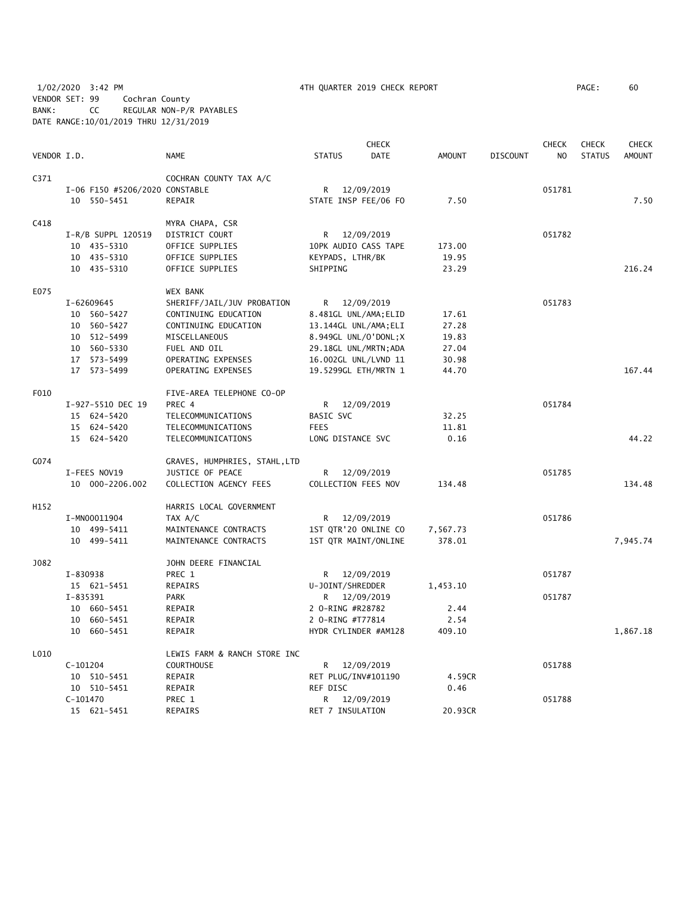1/02/2020 3:42 PM 4TH QUARTER 2019 CHECK REPORT PAGE: 60 VENDOR SET: 99 Cochran County BANK: CC REGULAR NON-P/R PAYABLES DATE RANGE:10/01/2019 THRU 12/31/2019

|             |            |                                |                               |                       | <b>CHECK</b> |               |                 | <b>CHECK</b>   | <b>CHECK</b>  | <b>CHECK</b>  |
|-------------|------------|--------------------------------|-------------------------------|-----------------------|--------------|---------------|-----------------|----------------|---------------|---------------|
| VENDOR I.D. |            |                                | <b>NAME</b>                   | <b>STATUS</b>         | <b>DATE</b>  | <b>AMOUNT</b> | <b>DISCOUNT</b> | N <sub>O</sub> | <b>STATUS</b> | <b>AMOUNT</b> |
| C371        |            |                                | COCHRAN COUNTY TAX A/C        |                       |              |               |                 |                |               |               |
|             |            | I-06 F150 #5206/2020 CONSTABLE |                               | R                     | 12/09/2019   |               |                 | 051781         |               |               |
|             |            | 10 550-5451                    | REPAIR                        | STATE INSP FEE/06 FO  |              | 7.50          |                 |                |               | 7.50          |
| C418        |            |                                | MYRA CHAPA, CSR               |                       |              |               |                 |                |               |               |
|             |            | I-R/B SUPPL 120519             | DISTRICT COURT                | R 12/09/2019          |              |               |                 | 051782         |               |               |
|             |            | 10 435-5310                    | OFFICE SUPPLIES               | 10PK AUDIO CASS TAPE  |              | 173.00        |                 |                |               |               |
|             |            | 10 435-5310                    | OFFICE SUPPLIES               | KEYPADS, LTHR/BK      |              | 19.95         |                 |                |               |               |
|             |            | 10 435-5310                    | OFFICE SUPPLIES               | SHIPPING              |              | 23.29         |                 |                |               | 216.24        |
| E075        |            |                                | WEX BANK                      |                       |              |               |                 |                |               |               |
|             |            | I-62609645                     | SHERIFF/JAIL/JUV PROBATION    | R 12/09/2019          |              |               |                 | 051783         |               |               |
|             |            | 10 560-5427                    | CONTINUING EDUCATION          | 8.481GL UNL/AMA; ELID |              | 17.61         |                 |                |               |               |
|             |            | 10 560-5427                    | CONTINUING EDUCATION          | 13.144GL UNL/AMA; ELI |              | 27.28         |                 |                |               |               |
|             |            | 10 512-5499                    | MISCELLANEOUS                 | 8.949GL UNL/O'DONL;X  |              | 19.83         |                 |                |               |               |
|             |            | 10 560-5330                    | FUEL AND OIL                  | 29.18GL UNL/MRTN; ADA |              | 27.04         |                 |                |               |               |
|             |            | 17 573-5499                    | OPERATING EXPENSES            | 16.002GL UNL/LVND 11  |              | 30.98         |                 |                |               |               |
|             |            | 17 573-5499                    | OPERATING EXPENSES            | 19.5299GL ETH/MRTN 1  |              | 44.70         |                 |                |               | 167.44        |
| F010        |            |                                | FIVE-AREA TELEPHONE CO-OP     |                       |              |               |                 |                |               |               |
|             |            | I-927-5510 DEC 19              | PREC 4                        | R                     | 12/09/2019   |               |                 | 051784         |               |               |
|             |            | 15 624-5420                    | TELECOMMUNICATIONS            | BASIC SVC             |              | 32.25         |                 |                |               |               |
|             |            | 15 624-5420                    | TELECOMMUNICATIONS            | <b>FEES</b>           |              | 11.81         |                 |                |               |               |
|             |            | 15 624-5420                    | TELECOMMUNICATIONS            | LONG DISTANCE SVC     |              | 0.16          |                 |                |               | 44.22         |
| G074        |            |                                | GRAVES, HUMPHRIES, STAHL, LTD |                       |              |               |                 |                |               |               |
|             |            | I-FEES NOV19                   | JUSTICE OF PEACE              | R                     | 12/09/2019   |               |                 | 051785         |               |               |
|             |            | 10 000-2206.002                | COLLECTION AGENCY FEES        | COLLECTION FEES NOV   |              | 134.48        |                 |                |               | 134.48        |
| H152        |            |                                | HARRIS LOCAL GOVERNMENT       |                       |              |               |                 |                |               |               |
|             |            | I-MN00011904                   | TAX A/C                       | R 12/09/2019          |              |               |                 | 051786         |               |               |
|             |            | 10 499-5411                    | MAINTENANCE CONTRACTS         | 1ST QTR'20 ONLINE CO  |              | 7,567.73      |                 |                |               |               |
|             |            | 10 499-5411                    | MAINTENANCE CONTRACTS         | 1ST QTR MAINT/ONLINE  |              | 378.01        |                 |                |               | 7,945.74      |
| J082        |            |                                | JOHN DEERE FINANCIAL          |                       |              |               |                 |                |               |               |
|             | I-830938   |                                | PREC 1                        | R.                    | 12/09/2019   |               |                 | 051787         |               |               |
|             |            | 15 621-5451                    | REPAIRS                       | U-JOINT/SHREDDER      |              | 1,453.10      |                 |                |               |               |
|             | I-835391   |                                | <b>PARK</b>                   | R 12/09/2019          |              |               |                 | 051787         |               |               |
|             |            | 10 660-5451                    | REPAIR                        | 2 O-RING #R28782      |              | 2.44          |                 |                |               |               |
|             |            | 10 660-5451                    | REPAIR                        | 2 O-RING #T77814      |              | 2.54          |                 |                |               |               |
|             |            | 10 660-5451                    | REPAIR                        | HYDR CYLINDER #AM128  |              | 409.10        |                 |                |               | 1,867.18      |
| L010        |            |                                | LEWIS FARM & RANCH STORE INC  |                       |              |               |                 |                |               |               |
|             | $C-101204$ |                                | <b>COURTHOUSE</b>             | R                     | 12/09/2019   |               |                 | 051788         |               |               |
|             |            | 10 510-5451                    | REPAIR                        | RET PLUG/INV#101190   |              | 4.59CR        |                 |                |               |               |
|             |            | 10 510-5451                    | REPAIR                        | REF DISC              |              | 0.46          |                 |                |               |               |
|             | $C-101470$ |                                | PREC 1                        | R                     | 12/09/2019   |               |                 | 051788         |               |               |
|             |            | 15 621-5451                    | <b>REPAIRS</b>                | RET 7 INSULATION      |              | 20.93CR       |                 |                |               |               |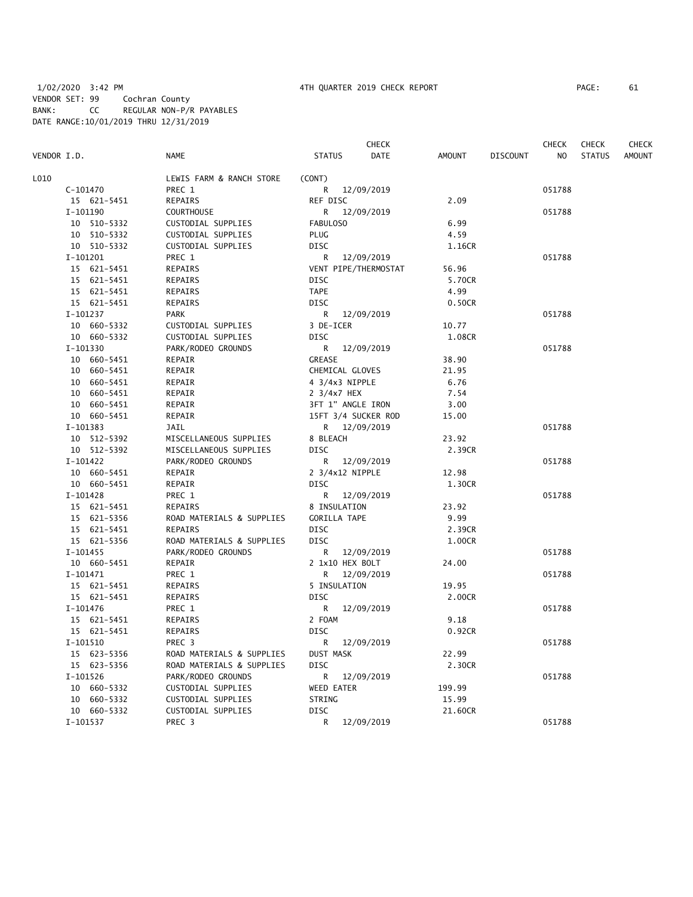|             |             |                           |                      | CHECK      |               |                 | <b>CHECK</b> | <b>CHECK</b>  | <b>CHECK</b>  |
|-------------|-------------|---------------------------|----------------------|------------|---------------|-----------------|--------------|---------------|---------------|
| VENDOR I.D. |             | <b>NAME</b>               | <b>STATUS</b>        | DATE       | <b>AMOUNT</b> | <b>DISCOUNT</b> | NO.          | <b>STATUS</b> | <b>AMOUNT</b> |
| L010        |             | LEWIS FARM & RANCH STORE  | (CONT)               |            |               |                 |              |               |               |
|             | $C-101470$  | PREC 1                    | R 12/09/2019         |            |               |                 | 051788       |               |               |
|             | 15 621-5451 | <b>REPAIRS</b>            | REF DISC             |            | 2.09          |                 |              |               |               |
|             | I-101190    | <b>COURTHOUSE</b>         | R 12/09/2019         |            |               |                 | 051788       |               |               |
|             | 10 510-5332 | CUSTODIAL SUPPLIES        | <b>FABULOSO</b>      |            | 6.99          |                 |              |               |               |
|             | 10 510-5332 | CUSTODIAL SUPPLIES        | <b>PLUG</b>          |            | 4.59          |                 |              |               |               |
|             | 10 510-5332 | CUSTODIAL SUPPLIES        | <b>DISC</b>          |            | 1.16CR        |                 |              |               |               |
|             | I-101201    | PREC 1                    | R                    | 12/09/2019 |               |                 | 051788       |               |               |
|             | 15 621-5451 | REPAIRS                   | VENT PIPE/THERMOSTAT |            | 56.96         |                 |              |               |               |
|             | 15 621-5451 | REPAIRS                   | <b>DISC</b>          |            | 5.70CR        |                 |              |               |               |
|             | 15 621-5451 | REPAIRS                   | <b>TAPE</b>          |            | 4.99          |                 |              |               |               |
|             | 15 621-5451 | REPAIRS                   | <b>DISC</b>          |            | 0.50CR        |                 |              |               |               |
|             | I-101237    | <b>PARK</b>               | R                    | 12/09/2019 |               |                 | 051788       |               |               |
|             | 10 660-5332 | CUSTODIAL SUPPLIES        | 3 DE-ICER            |            | 10.77         |                 |              |               |               |
|             | 10 660-5332 | CUSTODIAL SUPPLIES        | <b>DISC</b>          |            | 1.08CR        |                 |              |               |               |
|             | I-101330    | PARK/RODEO GROUNDS        | R                    | 12/09/2019 |               |                 | 051788       |               |               |
|             | 10 660-5451 | REPAIR                    | <b>GREASE</b>        |            | 38.90         |                 |              |               |               |
|             | 10 660-5451 | REPAIR                    | CHEMICAL GLOVES      |            | 21.95         |                 |              |               |               |
|             | 10 660-5451 | REPAIR                    | 4 3/4x3 NIPPLE       |            | 6.76          |                 |              |               |               |
|             | 10 660-5451 | REPAIR                    | 2 3/4x7 HEX          |            | 7.54          |                 |              |               |               |
|             | 10 660-5451 | REPAIR                    | 3FT 1" ANGLE IRON    |            | 3.00          |                 |              |               |               |
|             | 10 660-5451 | REPAIR                    | 15FT 3/4 SUCKER ROD  |            | 15.00         |                 |              |               |               |
|             | I-101383    | JAIL                      | R 12/09/2019         |            |               |                 | 051788       |               |               |
|             | 10 512-5392 | MISCELLANEOUS SUPPLIES    | 8 BLEACH             |            | 23.92         |                 |              |               |               |
|             | 10 512-5392 | MISCELLANEOUS SUPPLIES    | <b>DISC</b>          |            | 2.39CR        |                 |              |               |               |
|             | I-101422    | PARK/RODEO GROUNDS        | R.                   | 12/09/2019 |               |                 | 051788       |               |               |
|             | 10 660-5451 | REPAIR                    | 2 3/4x12 NIPPLE      |            | 12.98         |                 |              |               |               |
|             | 10 660-5451 | REPAIR                    | <b>DISC</b>          |            | 1.30CR        |                 |              |               |               |
|             | $I-101428$  | PREC 1                    | R 12/09/2019         |            |               |                 | 051788       |               |               |
|             | 15 621-5451 | REPAIRS                   | 8 INSULATION         |            | 23.92         |                 |              |               |               |
|             | 15 621-5356 | ROAD MATERIALS & SUPPLIES | <b>GORILLA TAPE</b>  |            | 9.99          |                 |              |               |               |
|             | 15 621-5451 | REPAIRS                   | DISC                 |            | 2.39CR        |                 |              |               |               |
|             | 15 621-5356 | ROAD MATERIALS & SUPPLIES | <b>DISC</b>          |            | 1.00CR        |                 |              |               |               |
|             | $I-101455$  | PARK/RODEO GROUNDS        | R                    | 12/09/2019 |               |                 | 051788       |               |               |
|             | 10 660-5451 | REPAIR                    | 2 1x10 HEX BOLT      |            | 24.00         |                 |              |               |               |
|             | $I-101471$  | PREC 1                    | $\mathsf{R}$         | 12/09/2019 |               |                 | 051788       |               |               |
|             | 15 621-5451 | REPAIRS                   | 5 INSULATION         |            | 19.95         |                 |              |               |               |
|             | 15 621-5451 | REPAIRS                   | <b>DISC</b>          |            | 2.00CR        |                 |              |               |               |
|             | I-101476    | PREC 1                    | R                    | 12/09/2019 |               |                 | 051788       |               |               |
|             | 15 621-5451 | <b>REPAIRS</b>            | 2 FOAM               |            | 9.18          |                 |              |               |               |
|             | 15 621-5451 | REPAIRS                   | <b>DISC</b>          |            | 0.92CR        |                 |              |               |               |
|             | I-101510    | PREC 3                    | R                    | 12/09/2019 |               |                 | 051788       |               |               |
|             | 15 623-5356 | ROAD MATERIALS & SUPPLIES | <b>DUST MASK</b>     |            | 22.99         |                 |              |               |               |
|             | 15 623-5356 | ROAD MATERIALS & SUPPLIES | <b>DISC</b>          |            | 2.30CR        |                 |              |               |               |
|             | $I-101526$  | PARK/RODEO GROUNDS        | R                    | 12/09/2019 |               |                 | 051788       |               |               |
|             | 10 660-5332 | CUSTODIAL SUPPLIES        | WEED EATER           |            | 199.99        |                 |              |               |               |
|             | 10 660-5332 | CUSTODIAL SUPPLIES        | STRING               |            | 15.99         |                 |              |               |               |
|             | 10 660-5332 | CUSTODIAL SUPPLIES        | <b>DISC</b>          |            | 21.60CR       |                 |              |               |               |
|             | I-101537    | PREC <sub>3</sub>         | R                    | 12/09/2019 |               |                 | 051788       |               |               |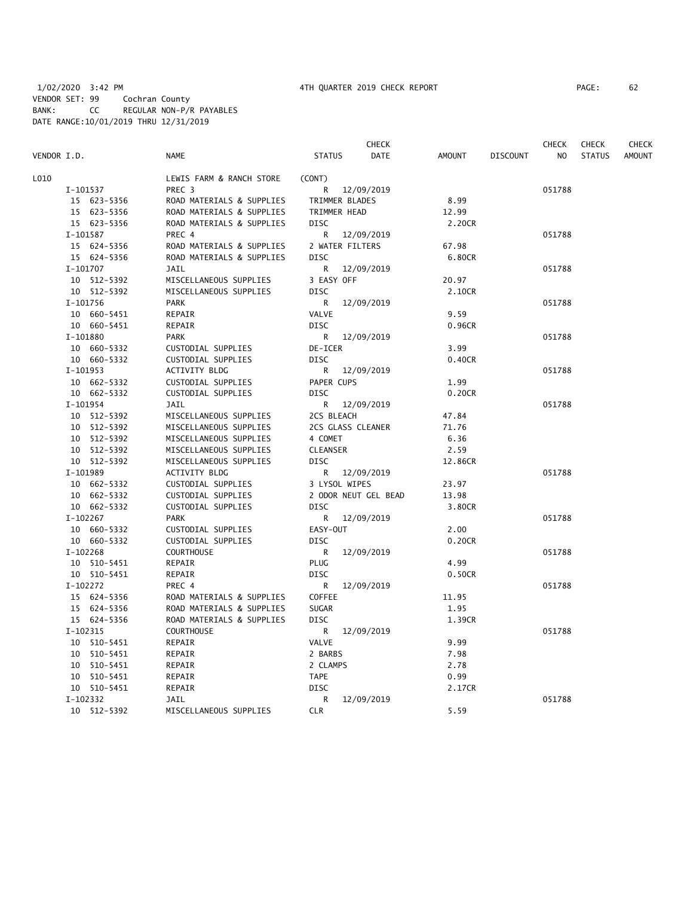|             |                           |                 | CHECK                |         |                 | CHECK  | <b>CHECK</b>  | <b>CHECK</b>  |
|-------------|---------------------------|-----------------|----------------------|---------|-----------------|--------|---------------|---------------|
| VENDOR I.D. | <b>NAME</b>               | <b>STATUS</b>   | DATE                 | AMOUNT  | <b>DISCOUNT</b> | NO     | <b>STATUS</b> | <b>AMOUNT</b> |
| L010        | LEWIS FARM & RANCH STORE  | (CONT)          |                      |         |                 |        |               |               |
| I-101537    | PREC <sub>3</sub>         |                 | R 12/09/2019         |         |                 | 051788 |               |               |
| 15 623-5356 | ROAD MATERIALS & SUPPLIES |                 | TRIMMER BLADES       | 8.99    |                 |        |               |               |
| 15 623-5356 | ROAD MATERIALS & SUPPLIES |                 | TRIMMER HEAD         | 12.99   |                 |        |               |               |
| 15 623-5356 | ROAD MATERIALS & SUPPLIES | <b>DISC</b>     |                      | 2.20CR  |                 |        |               |               |
| I-101587    | PREC 4                    | R               | 12/09/2019           |         |                 | 051788 |               |               |
| 15 624-5356 | ROAD MATERIALS & SUPPLIES |                 | 2 WATER FILTERS      | 67.98   |                 |        |               |               |
| 15 624-5356 | ROAD MATERIALS & SUPPLIES | <b>DISC</b>     |                      | 6.80CR  |                 |        |               |               |
| I-101707    | JAIL                      | R               | 12/09/2019           |         |                 | 051788 |               |               |
| 10 512-5392 | MISCELLANEOUS SUPPLIES    | 3 EASY OFF      |                      | 20.97   |                 |        |               |               |
| 10 512-5392 | MISCELLANEOUS SUPPLIES    | <b>DISC</b>     |                      | 2.10CR  |                 |        |               |               |
| I-101756    | <b>PARK</b>               | R               | 12/09/2019           |         |                 | 051788 |               |               |
| 10 660-5451 | REPAIR                    | VALVE           |                      | 9.59    |                 |        |               |               |
| 10 660-5451 | REPAIR                    | <b>DISC</b>     |                      | 0.96CR  |                 |        |               |               |
| I-101880    | <b>PARK</b>               |                 | R 12/09/2019         |         |                 | 051788 |               |               |
| 10 660-5332 | CUSTODIAL SUPPLIES        | DE-ICER         |                      | 3.99    |                 |        |               |               |
| 10 660-5332 | CUSTODIAL SUPPLIES        | DISC            |                      | 0.40CR  |                 |        |               |               |
| I-101953    | ACTIVITY BLDG             |                 | R 12/09/2019         |         |                 | 051788 |               |               |
| 10 662-5332 | CUSTODIAL SUPPLIES        | PAPER CUPS      |                      | 1.99    |                 |        |               |               |
| 10 662-5332 | CUSTODIAL SUPPLIES        | <b>DISC</b>     |                      | 0.20CR  |                 |        |               |               |
| I-101954    | JAIL                      |                 | R 12/09/2019         |         |                 | 051788 |               |               |
| 10 512-5392 | MISCELLANEOUS SUPPLIES    | 2CS BLEACH      |                      | 47.84   |                 |        |               |               |
| 10 512-5392 | MISCELLANEOUS SUPPLIES    |                 | 2CS GLASS CLEANER    | 71.76   |                 |        |               |               |
| 10 512-5392 | MISCELLANEOUS SUPPLIES    | 4 COMET         |                      | 6.36    |                 |        |               |               |
| 10 512-5392 | MISCELLANEOUS SUPPLIES    | <b>CLEANSER</b> |                      | 2.59    |                 |        |               |               |
| 10 512-5392 | MISCELLANEOUS SUPPLIES    | <b>DISC</b>     |                      | 12.86CR |                 |        |               |               |
| I-101989    | <b>ACTIVITY BLDG</b>      | R.              | 12/09/2019           |         |                 | 051788 |               |               |
| 10 662-5332 | CUSTODIAL SUPPLIES        |                 | 3 LYSOL WIPES        | 23.97   |                 |        |               |               |
| 10 662-5332 | CUSTODIAL SUPPLIES        |                 | 2 ODOR NEUT GEL BEAD | 13.98   |                 |        |               |               |
| 10 662-5332 | CUSTODIAL SUPPLIES        | <b>DISC</b>     |                      | 3.80CR  |                 |        |               |               |
| I-102267    | <b>PARK</b>               | R               | 12/09/2019           |         |                 | 051788 |               |               |
| 10 660-5332 | CUSTODIAL SUPPLIES        | EASY-OUT        |                      | 2.00    |                 |        |               |               |
| 10 660-5332 | CUSTODIAL SUPPLIES        | <b>DISC</b>     |                      | 0.20CR  |                 |        |               |               |
| I-102268    | <b>COURTHOUSE</b>         | R               | 12/09/2019           |         |                 | 051788 |               |               |
| 10 510-5451 | REPAIR                    | PLUG            |                      | 4.99    |                 |        |               |               |
| 10 510-5451 | REPAIR                    | <b>DISC</b>     |                      | 0.50CR  |                 |        |               |               |
| $I-102272$  | PREC 4                    | R.              | 12/09/2019           |         |                 | 051788 |               |               |
| 15 624-5356 | ROAD MATERIALS & SUPPLIES | COFFEE          |                      | 11.95   |                 |        |               |               |
| 15 624-5356 | ROAD MATERIALS & SUPPLIES | <b>SUGAR</b>    |                      | 1.95    |                 |        |               |               |
| 15 624-5356 | ROAD MATERIALS & SUPPLIES | DISC            |                      | 1.39CR  |                 |        |               |               |
| I-102315    | <b>COURTHOUSE</b>         |                 | R 12/09/2019         |         |                 | 051788 |               |               |
| 10 510-5451 | REPAIR                    | VALVE           |                      | 9.99    |                 |        |               |               |
| 10 510-5451 | REPAIR                    | 2 BARBS         |                      | 7.98    |                 |        |               |               |
| 10 510-5451 | REPAIR                    | 2 CLAMPS        |                      | 2.78    |                 |        |               |               |
| 10 510-5451 | REPAIR                    | <b>TAPE</b>     |                      | 0.99    |                 |        |               |               |
| 10 510-5451 | REPAIR                    | <b>DISC</b>     |                      | 2.17CR  |                 |        |               |               |
| I-102332    | JAIL                      | R               | 12/09/2019           |         |                 | 051788 |               |               |
| 10 512-5392 | MISCELLANEOUS SUPPLIES    | <b>CLR</b>      |                      | 5.59    |                 |        |               |               |
|             |                           |                 |                      |         |                 |        |               |               |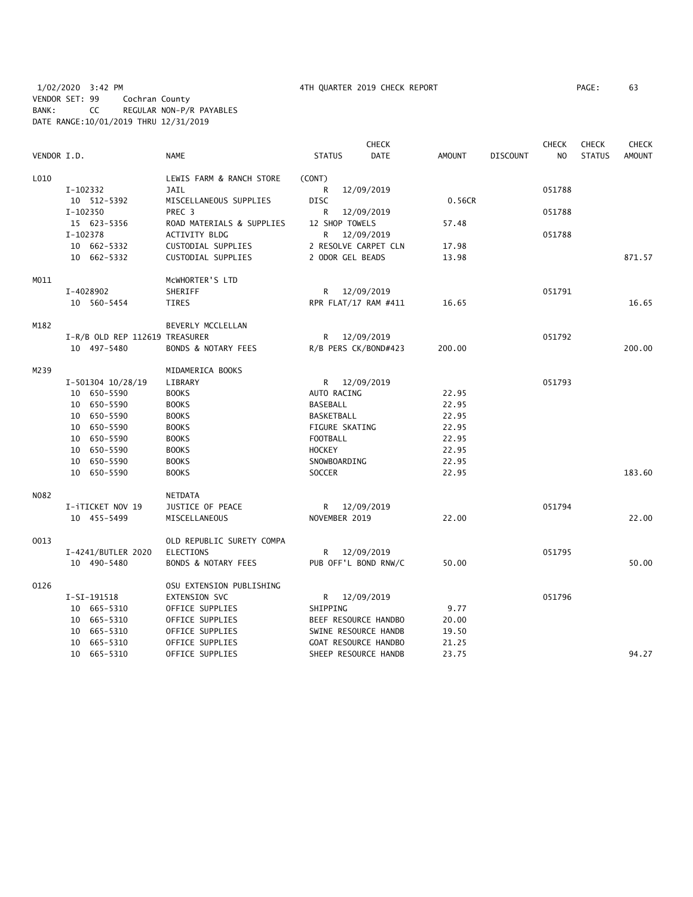# 1/02/2020 3:42 PM 4TH QUARTER 2019 CHECK REPORT PAGE: 63 VENDOR SET: 99 Cochran County BANK: CC REGULAR NON-P/R PAYABLES DATE RANGE:10/01/2019 THRU 12/31/2019

|             |                    |                                |                       | <b>CHECK</b>         |               |                 | <b>CHECK</b>   | <b>CHECK</b>  | <b>CHECK</b>  |
|-------------|--------------------|--------------------------------|-----------------------|----------------------|---------------|-----------------|----------------|---------------|---------------|
| VENDOR I.D. |                    | <b>NAME</b>                    | <b>STATUS</b>         | <b>DATE</b>          | <b>AMOUNT</b> | <b>DISCOUNT</b> | N <sub>O</sub> | <b>STATUS</b> | <b>AMOUNT</b> |
| L010        |                    | LEWIS FARM & RANCH STORE       | (CONT)                |                      |               |                 |                |               |               |
|             | I-102332           | <b>JAIL</b>                    | R                     | 12/09/2019           |               |                 | 051788         |               |               |
|             | 10 512-5392        | MISCELLANEOUS SUPPLIES         | <b>DISC</b>           |                      | 0.56CR        |                 |                |               |               |
|             | I-102350           | PREC 3                         | R                     | 12/09/2019           |               |                 | 051788         |               |               |
|             | 15 623-5356        | ROAD MATERIALS & SUPPLIES      | 12 SHOP TOWELS        |                      | 57.48         |                 |                |               |               |
|             | I-102378           | ACTIVITY BLDG                  | R                     | 12/09/2019           |               |                 | 051788         |               |               |
|             | 10 662-5332        | CUSTODIAL SUPPLIES             |                       | 2 RESOLVE CARPET CLN | 17.98         |                 |                |               |               |
|             | 10 662-5332        | CUSTODIAL SUPPLIES             | 2 ODOR GEL BEADS      |                      | 13.98         |                 |                |               | 871.57        |
| MO11        |                    | MCWHORTER'S LTD                |                       |                      |               |                 |                |               |               |
|             | I-4028902          | SHERIFF                        |                       | R 12/09/2019         |               |                 | 051791         |               |               |
|             | 10 560-5454        | <b>TIRES</b>                   |                       | RPR FLAT/17 RAM #411 | 16.65         |                 |                |               | 16.65         |
| M182        |                    | BEVERLY MCCLELLAN              |                       |                      |               |                 |                |               |               |
|             |                    | I-R/B OLD REP 112619 TREASURER |                       | R 12/09/2019         |               |                 | 051792         |               |               |
|             | 10 497-5480        | BONDS & NOTARY FEES            |                       | R/B PERS CK/BOND#423 | 200.00        |                 |                |               | 200.00        |
| M239        |                    | MIDAMERICA BOOKS               |                       |                      |               |                 |                |               |               |
|             | I-501304 10/28/19  | LIBRARY                        |                       | R 12/09/2019         |               |                 | 051793         |               |               |
|             | 10 650-5590        | <b>BOOKS</b>                   | AUTO RACING           |                      | 22.95         |                 |                |               |               |
|             | 10 650-5590        | <b>BOOKS</b>                   | BASEBALL              |                      | 22.95         |                 |                |               |               |
|             | 10 650-5590        | <b>BOOKS</b>                   | BASKETBALL            |                      | 22.95         |                 |                |               |               |
|             | 10 650-5590        | <b>BOOKS</b>                   | <b>FIGURE SKATING</b> |                      | 22.95         |                 |                |               |               |
|             | 10 650-5590        | <b>BOOKS</b>                   | <b>FOOTBALL</b>       |                      | 22.95         |                 |                |               |               |
|             | 10 650-5590        | <b>BOOKS</b>                   | <b>HOCKEY</b>         |                      | 22.95         |                 |                |               |               |
|             | 10 650-5590        | <b>BOOKS</b>                   | SNOWBOARDING          |                      | 22.95         |                 |                |               |               |
|             | 10 650-5590        | <b>BOOKS</b>                   | <b>SOCCER</b>         |                      | 22.95         |                 |                |               | 183.60        |
| N082        |                    | NETDATA                        |                       |                      |               |                 |                |               |               |
|             | I-iTICKET NOV 19   | JUSTICE OF PEACE               |                       | R 12/09/2019         |               |                 | 051794         |               |               |
|             | 10 455-5499        | MISCELLANEOUS                  | NOVEMBER 2019         |                      | 22.00         |                 |                |               | 22.00         |
| 0013        |                    | OLD REPUBLIC SURETY COMPA      |                       |                      |               |                 |                |               |               |
|             | I-4241/BUTLER 2020 | <b>ELECTIONS</b>               | R                     | 12/09/2019           |               |                 | 051795         |               |               |
|             | 10 490-5480        | BONDS & NOTARY FEES            |                       | PUB OFF'L BOND RNW/C | 50.00         |                 |                |               | 50.00         |
| 0126        |                    | OSU EXTENSION PUBLISHING       |                       |                      |               |                 |                |               |               |
|             | I-SI-191518        | <b>EXTENSION SVC</b>           |                       | R 12/09/2019         |               |                 | 051796         |               |               |
|             | 10 665-5310        | OFFICE SUPPLIES                | SHIPPING              |                      | 9.77          |                 |                |               |               |
|             | 10 665-5310        | OFFICE SUPPLIES                |                       | BEEF RESOURCE HANDBO | 20.00         |                 |                |               |               |
|             | 10 665-5310        | OFFICE SUPPLIES                |                       | SWINE RESOURCE HANDB | 19.50         |                 |                |               |               |
|             | 10 665-5310        | OFFICE SUPPLIES                |                       | GOAT RESOURCE HANDBO | 21.25         |                 |                |               |               |
|             | 10 665-5310        | OFFICE SUPPLIES                |                       | SHEEP RESOURCE HANDB | 23.75         |                 |                |               | 94.27         |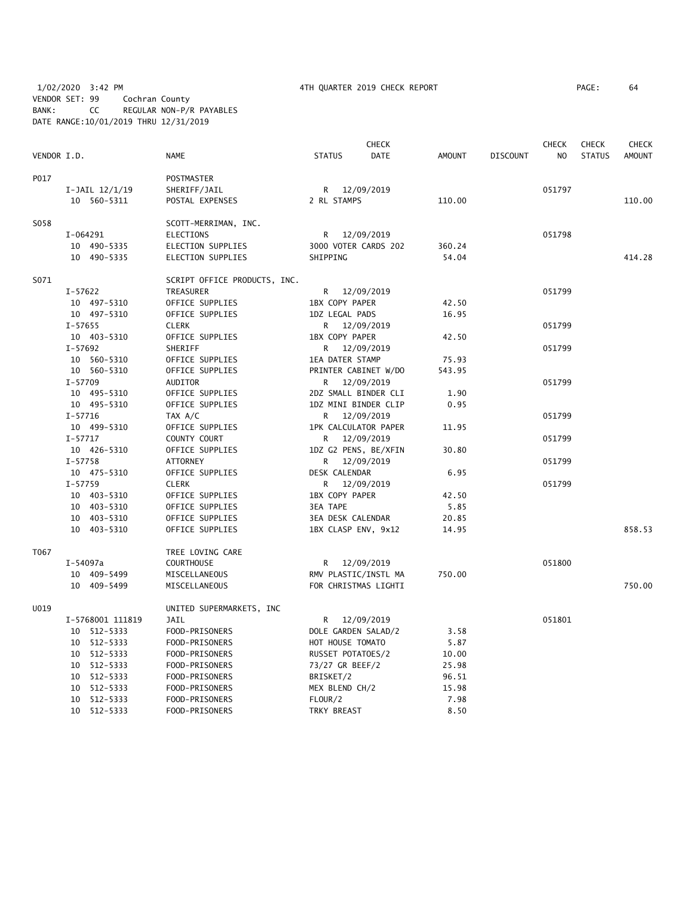1/02/2020 3:42 PM 4TH QUARTER 2019 CHECK REPORT PAGE: 64 VENDOR SET: 99 Cochran County BANK: CC REGULAR NON-P/R PAYABLES DATE RANGE:10/01/2019 THRU 12/31/2019

|             |                            |                                  |                                              | <b>CHECK</b> |                |                 | <b>CHECK</b>   | <b>CHECK</b>  | <b>CHECK</b>  |
|-------------|----------------------------|----------------------------------|----------------------------------------------|--------------|----------------|-----------------|----------------|---------------|---------------|
| VENDOR I.D. |                            | <b>NAME</b>                      | <b>STATUS</b>                                | <b>DATE</b>  | <b>AMOUNT</b>  | <b>DISCOUNT</b> | N <sub>O</sub> | <b>STATUS</b> | <b>AMOUNT</b> |
| P017        |                            | POSTMASTER                       |                                              |              |                |                 |                |               |               |
|             | I-JAIL $12/1/19$           | SHERIFF/JAIL                     | R                                            | 12/09/2019   |                |                 | 051797         |               |               |
|             | 10 560-5311                | POSTAL EXPENSES                  | 2 RL STAMPS                                  |              | 110.00         |                 |                |               | 110.00        |
| S058        |                            | SCOTT-MERRIMAN, INC.             |                                              |              |                |                 |                |               |               |
|             | I-064291                   | ELECTIONS                        | R                                            | 12/09/2019   |                |                 | 051798         |               |               |
|             | 10 490-5335                | <b>ELECTION SUPPLIES</b>         | 3000 VOTER CARDS 202                         |              | 360.24         |                 |                |               |               |
|             | 10 490-5335                | <b>ELECTION SUPPLIES</b>         | SHIPPING                                     |              | 54.04          |                 |                |               | 414.28        |
| S071        |                            | SCRIPT OFFICE PRODUCTS, INC.     |                                              |              |                |                 |                |               |               |
|             | I-57622                    | TREASURER                        | R 12/09/2019                                 |              |                |                 | 051799         |               |               |
|             | 10 497-5310                | OFFICE SUPPLIES                  | 1BX COPY PAPER                               |              | 42.50          |                 |                |               |               |
|             | 10 497-5310                | OFFICE SUPPLIES                  | 1DZ LEGAL PADS                               |              | 16.95          |                 |                |               |               |
|             | I-57655                    | <b>CLERK</b>                     | R 12/09/2019                                 |              |                |                 | 051799         |               |               |
|             | 10 403-5310                | OFFICE SUPPLIES                  | 1BX COPY PAPER                               |              | 42.50          |                 |                |               |               |
|             | $I - 57692$                | SHERIFF                          | R —                                          | 12/09/2019   |                |                 | 051799         |               |               |
|             | 10 560-5310                | OFFICE SUPPLIES                  | <b>1EA DATER STAMP</b>                       |              | 75.93          |                 |                |               |               |
|             | 10 560-5310                | OFFICE SUPPLIES                  | PRINTER CABINET W/DO                         |              | 543.95         |                 |                |               |               |
|             | $I - 57709$                | <b>AUDITOR</b>                   | R                                            | 12/09/2019   |                |                 | 051799         |               |               |
|             | 10 495-5310                | OFFICE SUPPLIES                  | 2DZ SMALL BINDER CLI                         |              | 1.90           |                 |                |               |               |
|             | 10 495-5310                | OFFICE SUPPLIES                  | 1DZ MINI BINDER CLIP                         |              | 0.95           |                 |                |               |               |
|             | I-57716                    | TAX A/C                          | R                                            | 12/09/2019   |                |                 | 051799         |               |               |
|             | 10 499-5310                | OFFICE SUPPLIES                  | 1PK CALCULATOR PAPER                         |              | 11.95          |                 |                |               |               |
|             | $I - 57717$                | COUNTY COURT                     | R                                            | 12/09/2019   |                |                 | 051799         |               |               |
|             | 10 426-5310                | OFFICE SUPPLIES                  | 1DZ G2 PENS, BE/XFIN                         |              | 30.80          |                 |                |               |               |
|             | $I - 57758$                | ATTORNEY                         | R                                            | 12/09/2019   |                |                 | 051799         |               |               |
|             | 10 475-5310                | OFFICE SUPPLIES                  | DESK CALENDAR                                |              | 6.95           |                 |                |               |               |
|             | $I - 57759$                | <b>CLERK</b>                     | R                                            | 12/09/2019   |                |                 | 051799         |               |               |
|             | 10 403-5310                | OFFICE SUPPLIES                  | 1BX COPY PAPER                               |              | 42.50          |                 |                |               |               |
|             | 10 403-5310                | OFFICE SUPPLIES                  | <b>3EA TAPE</b>                              |              | 5.85           |                 |                |               |               |
|             | 10 403-5310                | OFFICE SUPPLIES                  | 3EA DESK CALENDAR                            |              | 20.85          |                 |                |               |               |
|             | 10 403-5310                | OFFICE SUPPLIES                  | 1BX CLASP ENV, 9x12                          |              | 14.95          |                 |                |               | 858.53        |
| T067        |                            | TREE LOVING CARE                 |                                              |              |                |                 |                |               |               |
|             | I-54097a                   | <b>COURTHOUSE</b>                | R 12/09/2019                                 |              |                |                 | 051800         |               |               |
|             | 10 409-5499<br>10 409-5499 | MISCELLANEOUS<br>MISCELLANEOUS   | RMV PLASTIC/INSTL MA<br>FOR CHRISTMAS LIGHTI |              | 750.00         |                 |                |               | 750.00        |
|             |                            |                                  |                                              |              |                |                 |                |               |               |
| U019        |                            | UNITED SUPERMARKETS, INC         |                                              |              |                |                 |                |               |               |
|             | I-5768001 111819           | <b>JAIL</b>                      | R                                            | 12/09/2019   |                |                 | 051801         |               |               |
|             | 10 512-5333                | FOOD-PRISONERS                   | DOLE GARDEN SALAD/2                          |              | 3.58           |                 |                |               |               |
|             | 10 512-5333<br>10 512-5333 | FOOD-PRISONERS                   | HOT HOUSE TOMATO                             |              | 5.87           |                 |                |               |               |
|             | 10 512-5333                | FOOD-PRISONERS<br>FOOD-PRISONERS | RUSSET POTATOES/2<br>73/27 GR BEEF/2         |              | 10.00<br>25.98 |                 |                |               |               |
|             | 10 512-5333                | FOOD-PRISONERS                   | BRISKET/2                                    |              | 96.51          |                 |                |               |               |
|             | 512-5333<br>10             |                                  | MEX BLEND CH/2                               |              |                |                 |                |               |               |
|             | 10 512-5333                | FOOD-PRISONERS<br>FOOD-PRISONERS | FLOUR/2                                      |              | 15.98<br>7.98  |                 |                |               |               |
|             | 10 512-5333                | FOOD-PRISONERS                   | TRKY BREAST                                  |              | 8.50           |                 |                |               |               |
|             |                            |                                  |                                              |              |                |                 |                |               |               |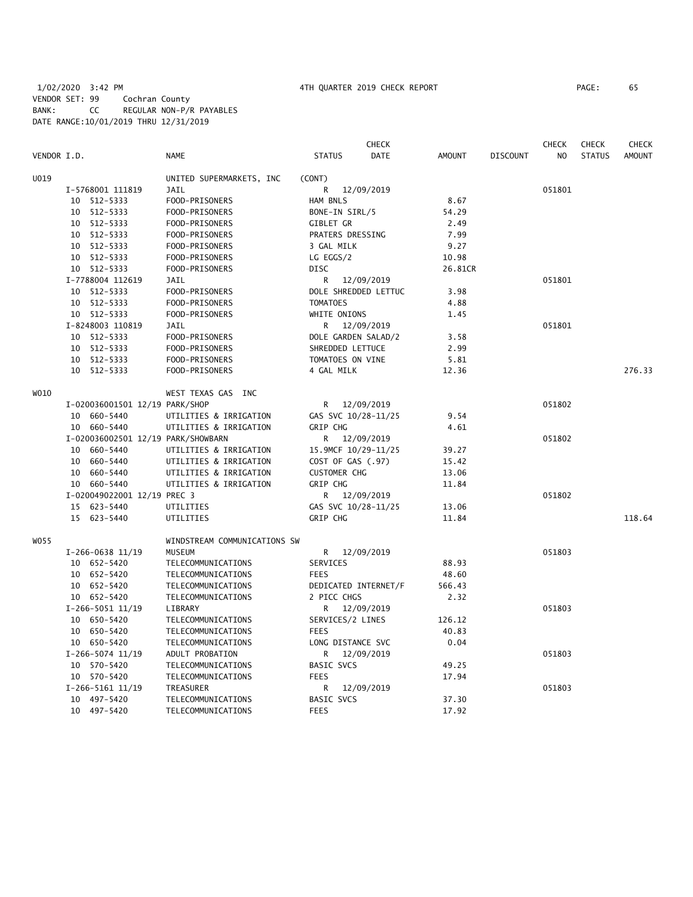# 1/02/2020 3:42 PM 4TH QUARTER 2019 CHECK REPORT PAGE: 65 VENDOR SET: 99 Cochran County BANK: CC REGULAR NON-P/R PAYABLES DATE RANGE:10/01/2019 THRU 12/31/2019

|             |                                    |                              |                      | <b>CHECK</b> |               |                 | <b>CHECK</b> | <b>CHECK</b>  | <b>CHECK</b>  |
|-------------|------------------------------------|------------------------------|----------------------|--------------|---------------|-----------------|--------------|---------------|---------------|
| VENDOR I.D. |                                    | NAME                         | <b>STATUS</b>        | DATE         | <b>AMOUNT</b> | <b>DISCOUNT</b> | NO           | <b>STATUS</b> | <b>AMOUNT</b> |
| U019        |                                    | UNITED SUPERMARKETS, INC     | (CONT)               |              |               |                 |              |               |               |
|             | I-5768001 111819                   | <b>JAIL</b>                  | R                    | 12/09/2019   |               |                 | 051801       |               |               |
|             | 10 512-5333                        | FOOD-PRISONERS               | HAM BNLS             |              | 8.67          |                 |              |               |               |
|             | 10 512-5333                        | FOOD-PRISONERS               | BONE-IN SIRL/5       |              | 54.29         |                 |              |               |               |
|             | 10 512-5333                        | FOOD-PRISONERS               | GIBLET GR            |              | 2.49          |                 |              |               |               |
|             | 10 512-5333                        | FOOD-PRISONERS               | PRATERS DRESSING     |              | 7.99          |                 |              |               |               |
|             | 10 512-5333                        | FOOD-PRISONERS               | 3 GAL MILK           |              | 9.27          |                 |              |               |               |
|             | 10 512-5333                        | FOOD-PRISONERS               | LG EGGS/2            |              | 10.98         |                 |              |               |               |
|             | 10 512-5333                        | FOOD-PRISONERS               | <b>DISC</b>          |              | 26.81CR       |                 |              |               |               |
|             | I-7788004 112619                   | JAIL                         | R                    | 12/09/2019   |               |                 | 051801       |               |               |
|             | 10 512-5333                        | FOOD-PRISONERS               | DOLE SHREDDED LETTUC |              | 3.98          |                 |              |               |               |
|             | 10 512-5333                        | FOOD-PRISONERS               | <b>TOMATOES</b>      |              | 4.88          |                 |              |               |               |
|             | 10 512-5333                        | FOOD-PRISONERS               | WHITE ONIONS         |              | 1.45          |                 |              |               |               |
|             | I-8248003 110819                   | JAIL                         | R                    | 12/09/2019   |               |                 | 051801       |               |               |
|             | 10 512-5333                        | FOOD-PRISONERS               | DOLE GARDEN SALAD/2  |              | 3.58          |                 |              |               |               |
|             | 10 512-5333                        | FOOD-PRISONERS               | SHREDDED LETTUCE     |              | 2.99          |                 |              |               |               |
|             | 10 512-5333                        | FOOD-PRISONERS               | TOMATOES ON VINE     |              | 5.81          |                 |              |               |               |
|             | 10 512-5333                        | FOOD-PRISONERS               | 4 GAL MILK           |              | 12.36         |                 |              |               | 276.33        |
| W010        |                                    | WEST TEXAS GAS INC           |                      |              |               |                 |              |               |               |
|             | I-020036001501 12/19 PARK/SHOP     |                              | R                    | 12/09/2019   |               |                 | 051802       |               |               |
|             | 10 660-5440                        | UTILITIES & IRRIGATION       | GAS SVC 10/28-11/25  |              | 9.54          |                 |              |               |               |
|             | 10 660-5440                        | UTILITIES & IRRIGATION       | <b>GRIP CHG</b>      |              | 4.61          |                 |              |               |               |
|             | I-020036002501 12/19 PARK/SHOWBARN |                              | R 12/09/2019         |              |               |                 | 051802       |               |               |
|             | 10 660-5440                        | UTILITIES & IRRIGATION       | 15.9MCF 10/29-11/25  |              | 39.27         |                 |              |               |               |
|             | 10 660-5440                        | UTILITIES & IRRIGATION       | COST OF GAS (.97)    |              | 15.42         |                 |              |               |               |
|             | 10 660-5440                        | UTILITIES & IRRIGATION       | <b>CUSTOMER CHG</b>  |              | 13.06         |                 |              |               |               |
|             | 10 660-5440                        | UTILITIES & IRRIGATION       | GRIP CHG             |              | 11.84         |                 |              |               |               |
|             | I-020049022001 12/19 PREC 3        |                              | R.                   | 12/09/2019   |               |                 | 051802       |               |               |
|             | 15 623-5440                        | UTILITIES                    | GAS SVC 10/28-11/25  |              | 13.06         |                 |              |               |               |
|             | 15 623-5440                        | UTILITIES                    | GRIP CHG             |              | 11.84         |                 |              |               | 118.64        |
| W055        |                                    | WINDSTREAM COMMUNICATIONS SW |                      |              |               |                 |              |               |               |
|             | $I-266-0638$ 11/19                 | <b>MUSEUM</b>                | R                    | 12/09/2019   |               |                 | 051803       |               |               |
|             | 10 652-5420                        | TELECOMMUNICATIONS           | SERVICES             |              | 88.93         |                 |              |               |               |
|             | 10 652-5420                        | TELECOMMUNICATIONS           | <b>FEES</b>          |              | 48.60         |                 |              |               |               |
|             | 10 652-5420                        | TELECOMMUNICATIONS           | DEDICATED INTERNET/F |              | 566.43        |                 |              |               |               |
|             | 10 652-5420                        | TELECOMMUNICATIONS           | 2 PICC CHGS          |              | 2.32          |                 |              |               |               |
|             | $I-266-5051$ 11/19                 | LIBRARY                      | R                    | 12/09/2019   |               |                 | 051803       |               |               |
|             | 10 650-5420                        | TELECOMMUNICATIONS           | SERVICES/2 LINES     |              | 126.12        |                 |              |               |               |
|             | 10 650-5420                        | TELECOMMUNICATIONS           | <b>FEES</b>          |              | 40.83         |                 |              |               |               |
|             | 10 650-5420                        | TELECOMMUNICATIONS           | LONG DISTANCE SVC    |              | 0.04          |                 |              |               |               |
|             | $I-266-5074$ 11/19                 | ADULT PROBATION              | R                    | 12/09/2019   |               |                 | 051803       |               |               |
|             | 10 570-5420                        | TELECOMMUNICATIONS           | <b>BASIC SVCS</b>    |              | 49.25         |                 |              |               |               |
|             | 10 570-5420                        | TELECOMMUNICATIONS           | <b>FEES</b>          |              | 17.94         |                 |              |               |               |
|             | $I-266-5161$ $11/19$               | TREASURER                    | R                    | 12/09/2019   |               |                 | 051803       |               |               |
|             | 10 497-5420                        | TELECOMMUNICATIONS           | <b>BASIC SVCS</b>    |              | 37.30         |                 |              |               |               |
|             | 10 497-5420                        | TELECOMMUNICATIONS           | <b>FEES</b>          |              | 17.92         |                 |              |               |               |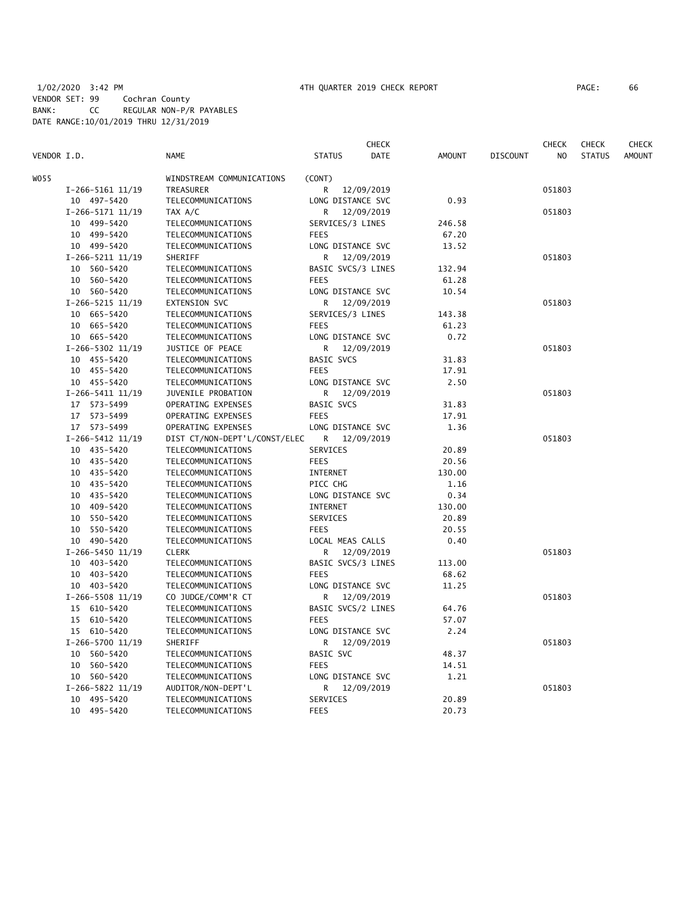|             |                      |                               |                    | CHECK      |               |                 | CHECK  | <b>CHECK</b>  | <b>CHECK</b>  |
|-------------|----------------------|-------------------------------|--------------------|------------|---------------|-----------------|--------|---------------|---------------|
| VENDOR I.D. |                      | <b>NAME</b>                   | <b>STATUS</b>      | DATE       | <b>AMOUNT</b> | <b>DISCOUNT</b> | NO     | <b>STATUS</b> | <b>AMOUNT</b> |
| W055        |                      | WINDSTREAM COMMUNICATIONS     | (CONT)             |            |               |                 |        |               |               |
|             | $I-266-5161$ $11/19$ | TREASURER                     | R                  | 12/09/2019 |               |                 | 051803 |               |               |
|             | 10 497-5420          | TELECOMMUNICATIONS            | LONG DISTANCE SVC  |            | 0.93          |                 |        |               |               |
|             | I-266-5171 11/19     | TAX A/C                       | R                  | 12/09/2019 |               |                 | 051803 |               |               |
|             | 10 499-5420          | TELECOMMUNICATIONS            | SERVICES/3 LINES   |            | 246.58        |                 |        |               |               |
|             | 10 499-5420          | TELECOMMUNICATIONS            | <b>FEES</b>        |            | 67.20         |                 |        |               |               |
|             | 10 499-5420          | TELECOMMUNICATIONS            | LONG DISTANCE SVC  |            | 13.52         |                 |        |               |               |
|             | $I-266-5211$ $11/19$ | SHERIFF                       | R                  | 12/09/2019 |               |                 | 051803 |               |               |
|             | 10 560-5420          | TELECOMMUNICATIONS            | BASIC SVCS/3 LINES |            | 132.94        |                 |        |               |               |
|             | 10 560-5420          | TELECOMMUNICATIONS            | <b>FEES</b>        |            | 61.28         |                 |        |               |               |
|             | 10 560-5420          | TELECOMMUNICATIONS            | LONG DISTANCE SVC  |            | 10.54         |                 |        |               |               |
|             | $I-266-5215$ 11/19   | <b>EXTENSION SVC</b>          | R.                 | 12/09/2019 |               |                 | 051803 |               |               |
|             | 10 665-5420          | TELECOMMUNICATIONS            | SERVICES/3 LINES   |            | 143.38        |                 |        |               |               |
|             | 10 665-5420          | TELECOMMUNICATIONS            | <b>FEES</b>        |            | 61.23         |                 |        |               |               |
|             | 10 665-5420          | TELECOMMUNICATIONS            | LONG DISTANCE SVC  |            | 0.72          |                 |        |               |               |
|             |                      |                               |                    |            |               |                 |        |               |               |
|             | I-266-5302 11/19     | JUSTICE OF PEACE              | R                  | 12/09/2019 |               |                 | 051803 |               |               |
|             | 10 455-5420          | TELECOMMUNICATIONS            | BASIC SVCS         |            | 31.83         |                 |        |               |               |
|             | 10 455-5420          | TELECOMMUNICATIONS            | <b>FEES</b>        |            | 17.91         |                 |        |               |               |
|             | 10 455-5420          | TELECOMMUNICATIONS            | LONG DISTANCE SVC  |            | 2.50          |                 |        |               |               |
|             | $I-266-5411$ $11/19$ | JUVENILE PROBATION            | R                  | 12/09/2019 |               |                 | 051803 |               |               |
|             | 17 573-5499          | OPERATING EXPENSES            | BASIC SVCS         |            | 31.83         |                 |        |               |               |
|             | 17 573-5499          | OPERATING EXPENSES            | <b>FEES</b>        |            | 17.91         |                 |        |               |               |
|             | 17 573-5499          | OPERATING EXPENSES            | LONG DISTANCE SVC  |            | 1.36          |                 |        |               |               |
|             | $I-266-5412$ 11/19   | DIST CT/NON-DEPT'L/CONST/ELEC | R                  | 12/09/2019 |               |                 | 051803 |               |               |
|             | 10 435-5420          | TELECOMMUNICATIONS            | SERVICES           |            | 20.89         |                 |        |               |               |
|             | 10 435-5420          | TELECOMMUNICATIONS            | <b>FEES</b>        |            | 20.56         |                 |        |               |               |
|             | 10 435-5420          | TELECOMMUNICATIONS            | INTERNET           |            | 130.00        |                 |        |               |               |
|             | 10 435-5420          | TELECOMMUNICATIONS            | PICC CHG           |            | 1.16          |                 |        |               |               |
|             | 10 435-5420          | TELECOMMUNICATIONS            | LONG DISTANCE SVC  |            | 0.34          |                 |        |               |               |
|             | 10 409-5420          | TELECOMMUNICATIONS            | INTERNET           |            | 130.00        |                 |        |               |               |
|             | 550-5420<br>10       | TELECOMMUNICATIONS            | SERVICES           |            | 20.89         |                 |        |               |               |
|             | 10 550-5420          | TELECOMMUNICATIONS            | <b>FEES</b>        |            | 20.55         |                 |        |               |               |
|             | 10 490-5420          | TELECOMMUNICATIONS            | LOCAL MEAS CALLS   |            | 0.40          |                 |        |               |               |
|             | I-266-5450 11/19     | <b>CLERK</b>                  | R                  | 12/09/2019 |               |                 | 051803 |               |               |
|             | 10 403-5420          | TELECOMMUNICATIONS            | BASIC SVCS/3 LINES |            | 113.00        |                 |        |               |               |
|             | 10 403-5420          | TELECOMMUNICATIONS            | <b>FEES</b>        |            | 68.62         |                 |        |               |               |
|             | 10 403-5420          | TELECOMMUNICATIONS            | LONG DISTANCE SVC  |            | 11.25         |                 |        |               |               |
|             | $I-266-5508$ 11/19   | CO JUDGE/COMM'R CT            | R                  | 12/09/2019 |               |                 | 051803 |               |               |
|             | 15 610-5420          | TELECOMMUNICATIONS            | BASIC SVCS/2 LINES |            | 64.76         |                 |        |               |               |
|             | 15 610-5420          | TELECOMMUNICATIONS            | <b>FEES</b>        |            | 57.07         |                 |        |               |               |
|             | 15 610-5420          | TELECOMMUNICATIONS            | LONG DISTANCE SVC  |            | 2.24          |                 |        |               |               |
|             | I-266-5700 11/19     | SHERIFF                       | R.                 | 12/09/2019 |               |                 | 051803 |               |               |
|             | 10 560-5420          | TELECOMMUNICATIONS            | BASIC SVC          |            | 48.37         |                 |        |               |               |
|             | 10 560-5420          | TELECOMMUNICATIONS            | <b>FEES</b>        |            | 14.51         |                 |        |               |               |
|             | 10 560-5420          | TELECOMMUNICATIONS            | LONG DISTANCE SVC  |            | 1.21          |                 |        |               |               |
|             | I-266-5822 11/19     | AUDITOR/NON-DEPT'L            | R                  | 12/09/2019 |               |                 | 051803 |               |               |
|             | 10 495-5420          | TELECOMMUNICATIONS            | SERVICES           |            | 20.89         |                 |        |               |               |
|             | 10 495-5420          | TELECOMMUNICATIONS            | <b>FEES</b>        |            | 20.73         |                 |        |               |               |
|             |                      |                               |                    |            |               |                 |        |               |               |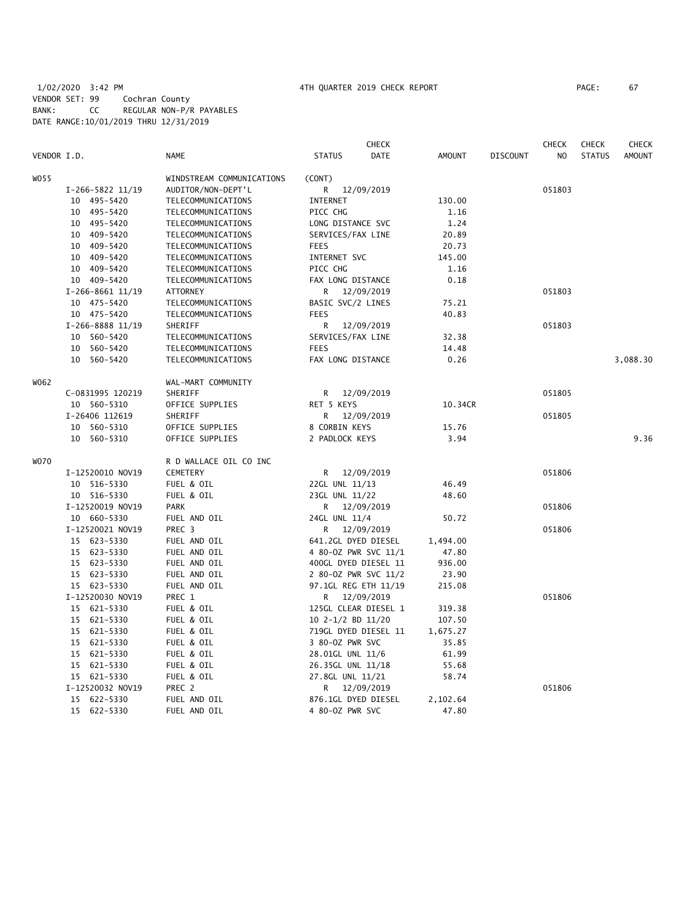# 1/02/2020 3:42 PM 4TH QUARTER 2019 CHECK REPORT PAGE: 67 VENDOR SET: 99 Cochran County BANK: CC REGULAR NON-P/R PAYABLES DATE RANGE:10/01/2019 THRU 12/31/2019

|             |                    |                           | <b>CHECK</b>                 |                              |                 | <b>CHECK</b> | <b>CHECK</b>  | <b>CHECK</b>  |
|-------------|--------------------|---------------------------|------------------------------|------------------------------|-----------------|--------------|---------------|---------------|
| VENDOR I.D. |                    | <b>NAME</b>               | <b>STATUS</b>                | <b>DATE</b><br><b>AMOUNT</b> | <b>DISCOUNT</b> | NO           | <b>STATUS</b> | <b>AMOUNT</b> |
| W055        |                    | WINDSTREAM COMMUNICATIONS | (CONT)                       |                              |                 |              |               |               |
|             | I-266-5822 11/19   | AUDITOR/NON-DEPT'L        | R<br>12/09/2019              |                              |                 | 051803       |               |               |
|             | 10 495-5420        | TELECOMMUNICATIONS        | INTERNET                     | 130.00                       |                 |              |               |               |
|             | 10 495-5420        | TELECOMMUNICATIONS        | PICC CHG                     | 1.16                         |                 |              |               |               |
|             | 10 495-5420        | TELECOMMUNICATIONS        | LONG DISTANCE SVC            | 1.24                         |                 |              |               |               |
|             | 10 409-5420        | TELECOMMUNICATIONS        | SERVICES/FAX LINE            | 20.89                        |                 |              |               |               |
|             | 10 409-5420        | TELECOMMUNICATIONS        | <b>FEES</b>                  | 20.73                        |                 |              |               |               |
|             | 409–5420<br>10     | TELECOMMUNICATIONS        | INTERNET SVC                 | 145.00                       |                 |              |               |               |
|             | 10 409-5420        | TELECOMMUNICATIONS        | PICC CHG                     | 1.16                         |                 |              |               |               |
|             | 10 409-5420        | TELECOMMUNICATIONS        | FAX LONG DISTANCE            | 0.18                         |                 |              |               |               |
|             | $I-266-8661$ 11/19 | <b>ATTORNEY</b>           | R<br>12/09/2019              |                              |                 | 051803       |               |               |
|             |                    |                           |                              | 75.21                        |                 |              |               |               |
|             | 10 475-5420        | TELECOMMUNICATIONS        | BASIC SVC/2 LINES            |                              |                 |              |               |               |
|             | 10 475-5420        | TELECOMMUNICATIONS        | <b>FEES</b>                  | 40.83                        |                 |              |               |               |
|             | I-266-8888 11/19   | SHERIFF                   | 12/09/2019<br>R              |                              |                 | 051803       |               |               |
|             | 10 560-5420        | TELECOMMUNICATIONS        | SERVICES/FAX LINE            | 32.38                        |                 |              |               |               |
|             | 10 560-5420        | TELECOMMUNICATIONS        | <b>FEES</b>                  | 14.48                        |                 |              |               |               |
|             | 10 560-5420        | TELECOMMUNICATIONS        | FAX LONG DISTANCE            | 0.26                         |                 |              |               | 3,088.30      |
| W062        |                    | WAL-MART COMMUNITY        |                              |                              |                 |              |               |               |
|             | C-0831995 120219   | SHERIFF                   | 12/09/2019<br>R              |                              |                 | 051805       |               |               |
|             | 10 560-5310        | OFFICE SUPPLIES           | RET 5 KEYS                   | 10.34CR                      |                 |              |               |               |
|             | I-26406 112619     | SHERIFF                   | R<br>12/09/2019              |                              |                 | 051805       |               |               |
|             | 10 560-5310        | OFFICE SUPPLIES           | 8 CORBIN KEYS                | 15.76                        |                 |              |               |               |
|             | 10 560-5310        | OFFICE SUPPLIES           | 2 PADLOCK KEYS               | 3.94                         |                 |              |               | 9.36          |
| <b>WO70</b> |                    | R D WALLACE OIL CO INC    |                              |                              |                 |              |               |               |
|             | I-12520010 NOV19   | <b>CEMETERY</b>           | 12/09/2019<br>R —            |                              |                 | 051806       |               |               |
|             | 10 516-5330        | FUEL & OIL                | 22GL UNL 11/13               | 46.49                        |                 |              |               |               |
|             | 10 516-5330        | FUEL & OIL                | 23GL UNL 11/22               | 48.60                        |                 |              |               |               |
|             | I-12520019 NOV19   | <b>PARK</b>               | R.<br>12/09/2019             |                              |                 | 051806       |               |               |
|             | 10 660-5330        | FUEL AND OIL              | 24GL UNL 11/4                | 50.72                        |                 |              |               |               |
|             | I-12520021 NOV19   | PREC 3                    | R <sub>a</sub><br>12/09/2019 |                              |                 | 051806       |               |               |
|             | 15 623-5330        | FUEL AND OIL              | 641.2GL DYED DIESEL          | 1,494.00                     |                 |              |               |               |
|             | 15 623-5330        | FUEL AND OIL              | 4 80-0Z PWR SVC 11/1         | 47.80                        |                 |              |               |               |
|             | 15 623-5330        | FUEL AND OIL              | 400GL DYED DIESEL 11         | 936.00                       |                 |              |               |               |
|             | 15 623-5330        | FUEL AND OIL              | 2 80-0Z PWR SVC 11/2         | 23.90                        |                 |              |               |               |
|             | 15 623-5330        | FUEL AND OIL              | 97.1GL REG ETH 11/19         | 215.08                       |                 |              |               |               |
|             | I-12520030 NOV19   | PREC 1                    | R<br>12/09/2019              |                              |                 | 051806       |               |               |
|             | 15 621-5330        | FUEL & OIL                | 125GL CLEAR DIESEL 1         | 319.38                       |                 |              |               |               |
|             | 15 621-5330        | FUEL & OIL                | 10 2-1/2 BD 11/20            | 107.50                       |                 |              |               |               |
|             | 15 621-5330        | FUEL & OIL                | 719GL DYED DIESEL 11         | 1,675.27                     |                 |              |               |               |
|             | 15 621-5330        | FUEL & OIL                | 3 80-0Z PWR SVC              | 35.85                        |                 |              |               |               |
|             | 15 621-5330        | FUEL & OIL                | 28.01GL UNL 11/6             | 61.99                        |                 |              |               |               |
|             | 15 621-5330        | FUEL & OIL                | 26.35GL UNL 11/18            | 55.68                        |                 |              |               |               |
|             | 15 621-5330        | FUEL & OIL                | 27.8GL UNL 11/21             | 58.74                        |                 |              |               |               |
|             | I-12520032 NOV19   | PREC 2                    | 12/09/2019<br>R              |                              |                 | 051806       |               |               |
|             | 15 622-5330        | FUEL AND OIL              | 876.1GL DYED DIESEL          | 2,102.64                     |                 |              |               |               |
|             | 15 622-5330        | FUEL AND OIL              | 4 80-0Z PWR SVC              | 47.80                        |                 |              |               |               |
|             |                    |                           |                              |                              |                 |              |               |               |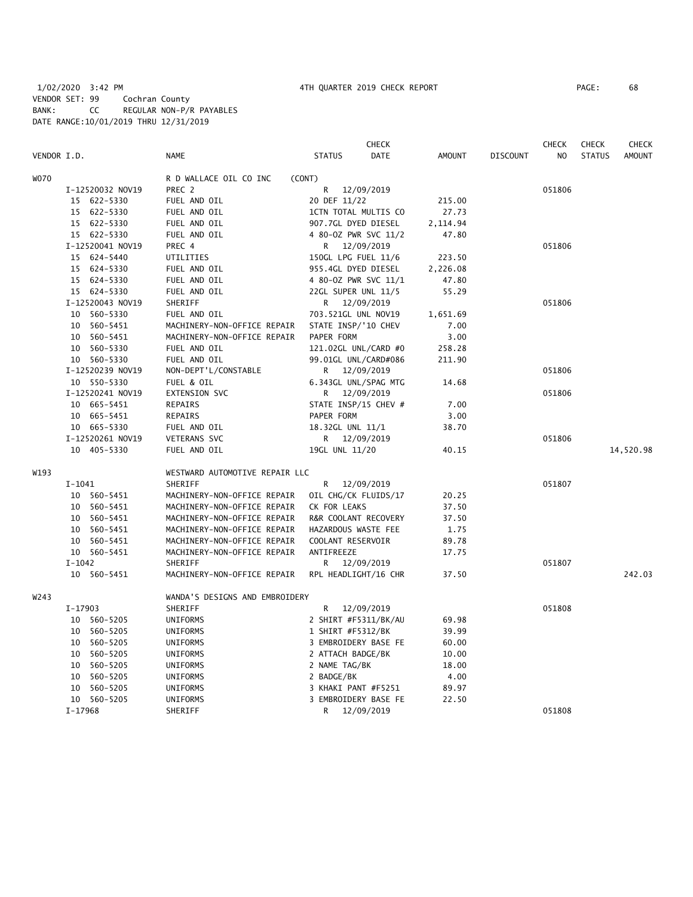# 1/02/2020 3:42 PM 4TH QUARTER 2019 CHECK REPORT PAGE: 68 VENDOR SET: 99 Cochran County BANK: CC REGULAR NON-P/R PAYABLES DATE RANGE:10/01/2019 THRU 12/31/2019

|             |                  |                                | <b>CHECK</b>                 |               |                 | <b>CHECK</b> | <b>CHECK</b>  | <b>CHECK</b>  |
|-------------|------------------|--------------------------------|------------------------------|---------------|-----------------|--------------|---------------|---------------|
| VENDOR I.D. |                  | <b>NAME</b>                    | <b>STATUS</b><br><b>DATE</b> | <b>AMOUNT</b> | <b>DISCOUNT</b> | NO.          | <b>STATUS</b> | <b>AMOUNT</b> |
| <b>WO70</b> |                  | R D WALLACE OIL CO INC         | (CONT)                       |               |                 |              |               |               |
|             | I-12520032 NOV19 | PREC 2                         | R<br>12/09/2019              |               |                 | 051806       |               |               |
|             | 15 622-5330      | FUEL AND OIL                   | 20 DEF 11/22                 | 215.00        |                 |              |               |               |
|             | 15 622-5330      | FUEL AND OIL                   | 1CTN TOTAL MULTIS CO         | 27.73         |                 |              |               |               |
|             | 15 622-5330      | FUEL AND OIL                   | 907.7GL DYED DIESEL          | 2,114.94      |                 |              |               |               |
|             | 15 622-5330      | FUEL AND OIL                   | 4 80-0Z PWR SVC 11/2         | 47.80         |                 |              |               |               |
|             | I-12520041 NOV19 | PREC 4                         | 12/09/2019<br>R              |               |                 | 051806       |               |               |
|             | 15 624-5440      | UTILITIES                      | 150GL LPG FUEL 11/6          | 223.50        |                 |              |               |               |
|             | 15 624-5330      | FUEL AND OIL                   | 955.4GL DYED DIESEL          | 2,226.08      |                 |              |               |               |
|             | 15 624-5330      | FUEL AND OIL                   | 4 80-0Z PWR SVC 11/1         | 47.80         |                 |              |               |               |
|             | 15 624-5330      | FUEL AND OIL                   | 22GL SUPER UNL 11/5          | 55.29         |                 |              |               |               |
|             | I-12520043 NOV19 | SHERIFF                        | R 12/09/2019                 |               |                 | 051806       |               |               |
|             | 10 560-5330      | FUEL AND OIL                   | 703.521GL UNL NOV19          | 1,651.69      |                 |              |               |               |
|             | 10 560-5451      | MACHINERY-NON-OFFICE REPAIR    | STATE INSP/'10 CHEV          | 7.00          |                 |              |               |               |
|             | 10 560-5451      | MACHINERY-NON-OFFICE REPAIR    | PAPER FORM                   | 3.00          |                 |              |               |               |
|             | 10 560-5330      | FUEL AND OIL                   | 121.02GL UNL/CARD #0         | 258.28        |                 |              |               |               |
|             | 10 560-5330      | FUEL AND OIL                   | 99.01GL UNL/CARD#086         | 211.90        |                 |              |               |               |
|             | I-12520239 NOV19 | NON-DEPT'L/CONSTABLE           | 12/09/2019<br>R              |               |                 | 051806       |               |               |
|             | 10 550-5330      | FUEL & OIL                     | 6.343GL UNL/SPAG MTG         | 14.68         |                 |              |               |               |
|             | I-12520241 NOV19 | EXTENSION SVC                  | R.<br>12/09/2019             |               |                 | 051806       |               |               |
|             | 10 665-5451      | REPAIRS                        | STATE INSP/15 CHEV #         | 7.00          |                 |              |               |               |
|             | 10 665-5451      | REPAIRS                        | PAPER FORM                   | 3.00          |                 |              |               |               |
|             | 10 665-5330      | FUEL AND OIL                   | 18.32GL UNL 11/1             | 38.70         |                 |              |               |               |
|             | I-12520261 NOV19 | VETERANS SVC                   | R 12/09/2019                 |               |                 | 051806       |               |               |
|             | 10 405-5330      | FUEL AND OIL                   | 19GL UNL 11/20               | 40.15         |                 |              |               | 14,520.98     |
| W193        |                  | WESTWARD AUTOMOTIVE REPAIR LLC |                              |               |                 |              |               |               |
|             | $I-1041$         | SHERIFF                        | R<br>12/09/2019              |               |                 | 051807       |               |               |
|             | 10 560-5451      | MACHINERY-NON-OFFICE REPAIR    | OIL CHG/CK FLUIDS/17         | 20.25         |                 |              |               |               |
|             | 10 560-5451      | MACHINERY-NON-OFFICE REPAIR    | CK FOR LEAKS                 | 37.50         |                 |              |               |               |
|             | 10 560-5451      | MACHINERY-NON-OFFICE REPAIR    | R&R COOLANT RECOVERY         | 37.50         |                 |              |               |               |
|             | 10 560-5451      | MACHINERY-NON-OFFICE REPAIR    | HAZARDOUS WASTE FEE          | 1.75          |                 |              |               |               |
|             | 10 560-5451      | MACHINERY-NON-OFFICE REPAIR    | COOLANT RESERVOIR            | 89.78         |                 |              |               |               |
|             | 10 560-5451      | MACHINERY-NON-OFFICE REPAIR    | ANTIFREEZE                   | 17.75         |                 |              |               |               |
|             | $I - 1042$       | SHERIFF                        | R 12/09/2019                 |               |                 | 051807       |               |               |
|             | 10 560-5451      | MACHINERY-NON-OFFICE REPAIR    | RPL HEADLIGHT/16 CHR         | 37.50         |                 |              |               | 242.03        |
| W243        |                  | WANDA'S DESIGNS AND EMBROIDERY |                              |               |                 |              |               |               |
|             | $I-17903$        | SHERIFF                        | R<br>12/09/2019              |               |                 | 051808       |               |               |
|             | 10 560-5205      | UNIFORMS                       | 2 SHIRT #F5311/BK/AU         | 69.98         |                 |              |               |               |
|             | 10 560-5205      | UNIFORMS                       | 1 SHIRT #F5312/BK            | 39.99         |                 |              |               |               |
|             | 10 560-5205      | UNIFORMS                       | 3 EMBROIDERY BASE FE         | 60.00         |                 |              |               |               |
|             | 560-5205<br>10   | UNIFORMS                       | 2 ATTACH BADGE/BK            | 10.00         |                 |              |               |               |
|             | 10<br>560-5205   | UNIFORMS                       | 2 NAME TAG/BK                | 18.00         |                 |              |               |               |
|             | 10 560-5205      | UNIFORMS                       | 2 BADGE/BK                   | 4.00          |                 |              |               |               |
|             | 560-5205<br>10   | UNIFORMS                       | 3 KHAKI PANT #F5251          | 89.97         |                 |              |               |               |
|             | 10 560-5205      | UNIFORMS                       | 3 EMBROIDERY BASE FE         | 22.50         |                 |              |               |               |
|             | $I-17968$        | SHERIFF                        | R<br>12/09/2019              |               |                 | 051808       |               |               |
|             |                  |                                |                              |               |                 |              |               |               |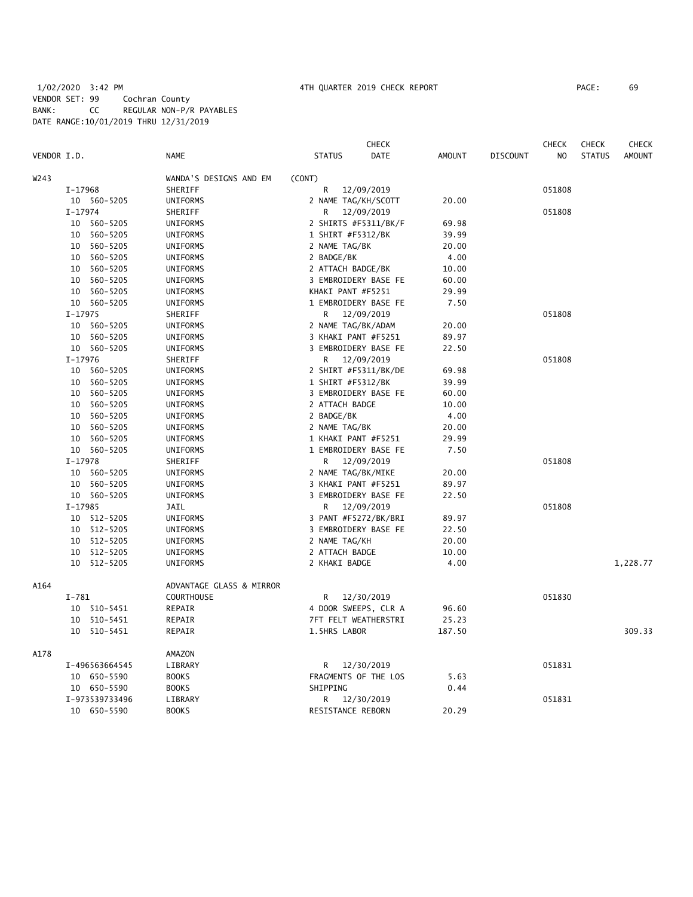# 1/02/2020 3:42 PM 4TH QUARTER 2019 CHECK REPORT PAGE: 69 VENDOR SET: 99 Cochran County BANK: CC REGULAR NON-P/R PAYABLES DATE RANGE:10/01/2019 THRU 12/31/2019

|                |                          | <b>CHECK</b>                 |               | <b>CHECK</b>          | <b>CHECK</b>  | <b>CHECK</b>  |
|----------------|--------------------------|------------------------------|---------------|-----------------------|---------------|---------------|
| VENDOR I.D.    | <b>NAME</b>              | <b>DATE</b><br><b>STATUS</b> | <b>AMOUNT</b> | <b>DISCOUNT</b><br>NO | <b>STATUS</b> | <b>AMOUNT</b> |
| W243           | WANDA'S DESIGNS AND EM   | (CONT)                       |               |                       |               |               |
| I-17968        | SHERIFF                  | R<br>12/09/2019              |               | 051808                |               |               |
| 10 560-5205    | UNIFORMS                 | 2 NAME TAG/KH/SCOTT          | 20.00         |                       |               |               |
| $I-17974$      | SHERIFF                  | R<br>12/09/2019              |               | 051808                |               |               |
| 10 560-5205    | UNIFORMS                 | 2 SHIRTS #F5311/BK/F         | 69.98         |                       |               |               |
| 560-5205<br>10 | UNIFORMS                 | 1 SHIRT #F5312/BK            | 39.99         |                       |               |               |
| 560-5205<br>10 | <b>UNIFORMS</b>          | 2 NAME TAG/BK                | 20.00         |                       |               |               |
| 560-5205<br>10 | UNIFORMS                 | 2 BADGE/BK                   | 4.00          |                       |               |               |
| 10 560-5205    | <b>UNIFORMS</b>          | 2 ATTACH BADGE/BK            | 10.00         |                       |               |               |
| 10 560-5205    | UNIFORMS                 | 3 EMBROIDERY BASE FE         | 60.00         |                       |               |               |
| 10 560-5205    | UNIFORMS                 | KHAKI PANT #F5251            | 29.99         |                       |               |               |
| 10 560-5205    | UNIFORMS                 | 1 EMBROIDERY BASE FE         | 7.50          |                       |               |               |
| $I-17975$      | SHERIFF                  | 12/09/2019<br>R              |               | 051808                |               |               |
| 10 560-5205    | UNIFORMS                 | 2 NAME TAG/BK/ADAM           | 20.00         |                       |               |               |
| 10 560-5205    | UNIFORMS                 | 3 KHAKI PANT #F5251          | 89.97         |                       |               |               |
| 10 560-5205    | <b>UNIFORMS</b>          | 3 EMBROIDERY BASE FE         | 22.50         |                       |               |               |
| $I-17976$      | SHERIFF                  | 12/09/2019<br>R.             |               | 051808                |               |               |
| 10 560-5205    | UNIFORMS                 | 2 SHIRT #F5311/BK/DE         | 69.98         |                       |               |               |
| 10 560-5205    | UNIFORMS                 | 1 SHIRT #F5312/BK            | 39.99         |                       |               |               |
| 10 560-5205    | UNIFORMS                 | 3 EMBROIDERY BASE FE         | 60.00         |                       |               |               |
| 10 560-5205    | UNIFORMS                 | 2 ATTACH BADGE               | 10.00         |                       |               |               |
| 10 560-5205    | UNIFORMS                 | 2 BADGE/BK                   | 4.00          |                       |               |               |
| 10 560-5205    | UNIFORMS                 | 2 NAME TAG/BK                | 20.00         |                       |               |               |
| 10 560-5205    | UNIFORMS                 | 1 KHAKI PANT #F5251          | 29.99         |                       |               |               |
| 10 560-5205    | UNIFORMS                 | 1 EMBROIDERY BASE FE         | 7.50          |                       |               |               |
| $I-17978$      | SHERIFF                  | 12/09/2019<br>R              |               | 051808                |               |               |
| 10 560-5205    | UNIFORMS                 | 2 NAME TAG/BK/MIKE           | 20.00         |                       |               |               |
| 10 560-5205    | UNIFORMS                 | 3 KHAKI PANT #F5251          | 89.97         |                       |               |               |
| 10 560-5205    | UNIFORMS                 | 3 EMBROIDERY BASE FE         | 22.50         |                       |               |               |
| $I-17985$      | JAIL                     | 12/09/2019<br>R              |               | 051808                |               |               |
| 10 512-5205    | <b>UNIFORMS</b>          | 3 PANT #F5272/BK/BRI         | 89.97         |                       |               |               |
| 10 512-5205    | UNIFORMS                 | 3 EMBROIDERY BASE FE         | 22.50         |                       |               |               |
| 512-5205<br>10 | UNIFORMS                 | 2 NAME TAG/KH                | 20.00         |                       |               |               |
| 512-5205<br>10 | UNIFORMS                 | 2 ATTACH BADGE               | 10.00         |                       |               |               |
| 10 512-5205    | UNIFORMS                 | 2 KHAKI BADGE                | 4.00          |                       |               | 1,228.77      |
| A164           | ADVANTAGE GLASS & MIRROR |                              |               |                       |               |               |
| $I-781$        | <b>COURTHOUSE</b>        | R<br>12/30/2019              |               | 051830                |               |               |
| 10 510-5451    | REPAIR                   | 4 DOOR SWEEPS, CLR A         | 96.60         |                       |               |               |
| 10 510-5451    | REPAIR                   | 7FT FELT WEATHERSTRI         | 25.23         |                       |               |               |
| 10 510-5451    | REPAIR                   | 1.5HRS LABOR                 | 187.50        |                       |               | 309.33        |
| A178           | AMAZON                   |                              |               |                       |               |               |
| I-496563664545 | LIBRARY                  | 12/30/2019<br>R              |               | 051831                |               |               |
| 10 650-5590    | <b>BOOKS</b>             | FRAGMENTS OF THE LOS         | 5.63          |                       |               |               |
| 10 650-5590    | <b>BOOKS</b>             | SHIPPING                     | 0.44          |                       |               |               |
| I-973539733496 | LIBRARY                  | 12/30/2019<br>R.             |               | 051831                |               |               |
| 10 650-5590    | <b>BOOKS</b>             | RESISTANCE REBORN            | 20.29         |                       |               |               |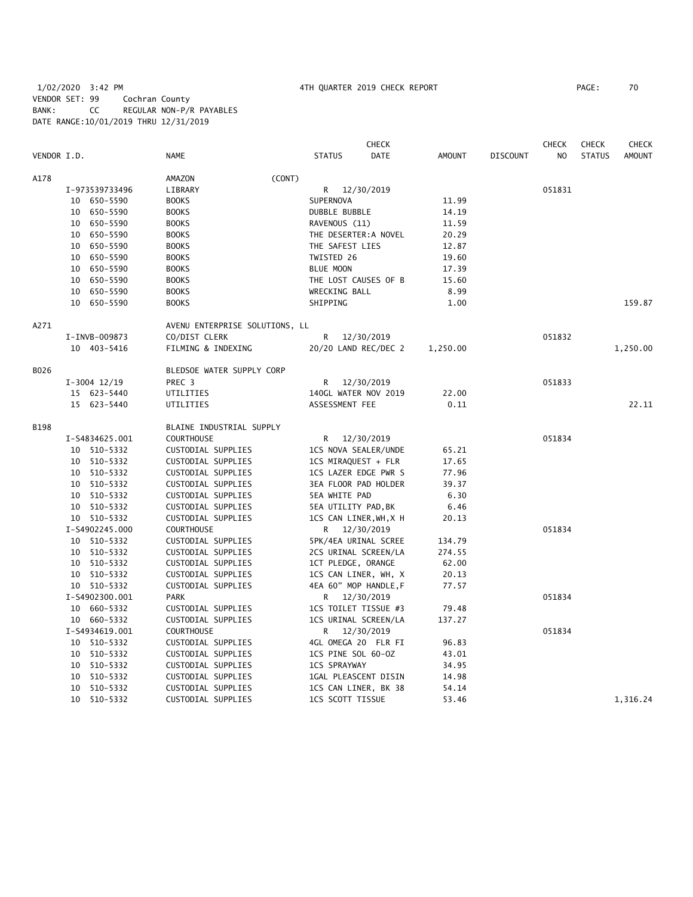# 1/02/2020 3:42 PM 4TH QUARTER 2019 CHECK REPORT PAGE: 70 VENDOR SET: 99 Cochran County BANK: CC REGULAR NON-P/R PAYABLES DATE RANGE:10/01/2019 THRU 12/31/2019

| VENDOR I.D.<br><b>STATUS</b><br><b>DATE</b><br><b>AMOUNT</b><br>N <sub>O</sub><br><b>STATUS</b><br><b>AMOUNT</b><br>NAME<br><b>DISCOUNT</b><br>A178<br>AMAZON<br>(CONT)<br>051831<br>I-973539733496<br>LIBRARY<br>R<br>12/30/2019<br>10 650-5590<br><b>BOOKS</b><br>SUPERNOVA<br>11.99<br>10 650-5590<br><b>BOOKS</b><br>DUBBLE BUBBLE<br>14.19<br>10 650-5590<br><b>BOOKS</b><br>RAVENOUS (11)<br>11.59<br>10 650-5590<br><b>BOOKS</b><br>THE DESERTER: A NOVEL<br>20.29<br>10 650-5590<br><b>BOOKS</b><br>THE SAFEST LIES<br>12.87<br>10 650-5590<br><b>BOOKS</b><br>TWISTED 26<br>19.60<br>10 650-5590<br><b>BOOKS</b><br>BLUE MOON<br>17.39<br>10 650-5590<br><b>BOOKS</b><br>THE LOST CAUSES OF B<br>15.60<br>10 650-5590<br><b>BOOKS</b><br>WRECKING BALL<br>8.99<br>10 650-5590<br><b>BOOKS</b><br>SHIPPING<br>1.00<br>159.87<br>A271<br>AVENU ENTERPRISE SOLUTIONS, LL<br>CO/DIST CLERK<br>R<br>12/30/2019<br>051832<br>I-INVB-009873<br>FILMING & INDEXING<br>20/20 LAND REC/DEC 2<br>1,250.00<br>10 403-5416<br>1,250.00<br>B026<br>BLEDSOE WATER SUPPLY CORP<br>051833<br>$I-3004$ $12/19$<br>PREC 3<br>12/30/2019<br>R<br>140GL WATER NOV 2019<br>22.00<br>15 623-5440<br>UTILITIES<br>15 623-5440<br>UTILITIES<br>ASSESSMENT FEE<br>0.11<br>22.11<br><b>B198</b><br>BLAINE INDUSTRIAL SUPPLY<br>I-S4834625.001<br><b>COURTHOUSE</b><br>051834<br>12/30/2019<br>R.<br>10 510-5332<br>CUSTODIAL SUPPLIES<br>1CS NOVA SEALER/UNDE<br>65.21<br>10 510-5332<br>CUSTODIAL SUPPLIES<br>1CS MIRAQUEST + FLR<br>17.65<br>10 510-5332<br>1CS LAZER EDGE PWR S<br>CUSTODIAL SUPPLIES<br>77.96<br>3EA FLOOR PAD HOLDER<br>10 510-5332<br>CUSTODIAL SUPPLIES<br>39.37<br>10 510-5332<br>CUSTODIAL SUPPLIES<br><b>5EA WHITE PAD</b><br>6.30<br>10 510-5332<br>CUSTODIAL SUPPLIES<br>5EA UTILITY PAD, BK<br>6.46<br>10 510-5332<br>CUSTODIAL SUPPLIES<br>1CS CAN LINER, WH, X H<br>20.13<br>I-S4902245.000<br><b>COURTHOUSE</b><br>051834<br>R 12/30/2019<br>10 510-5332<br>CUSTODIAL SUPPLIES<br>5PK/4EA URINAL SCREE<br>134.79<br>10 510-5332<br>CUSTODIAL SUPPLIES<br>2CS URINAL SCREEN/LA<br>274.55<br>10 510-5332<br>1CT PLEDGE, ORANGE<br>CUSTODIAL SUPPLIES<br>62.00<br>10 510-5332<br>CUSTODIAL SUPPLIES<br>1CS CAN LINER, WH, X<br>20.13<br>10 510-5332<br>CUSTODIAL SUPPLIES<br>4EA 60" MOP HANDLE, F<br>77.57<br>I-S4902300.001<br><b>PARK</b><br>051834<br>R<br>12/30/2019<br>10 660-5332<br>CUSTODIAL SUPPLIES<br>1CS TOILET TISSUE #3<br>79.48<br>10 660-5332<br>CUSTODIAL SUPPLIES<br>1CS URINAL SCREEN/LA<br>137.27<br>I-S4934619.001<br><b>COURTHOUSE</b><br>R 12/30/2019<br>051834<br>10 510-5332<br>CUSTODIAL SUPPLIES<br>4GL OMEGA 20 FLR FI<br>96.83<br>1CS PINE SOL 60-0Z<br>10 510-5332<br>CUSTODIAL SUPPLIES<br>43.01<br><b>1CS SPRAYWAY</b><br>10 510-5332<br>CUSTODIAL SUPPLIES<br>34.95<br>10 510-5332<br>CUSTODIAL SUPPLIES<br>1GAL PLEASCENT DISIN<br>14.98<br>10 510-5332<br>CUSTODIAL SUPPLIES<br>1CS CAN LINER, BK 38<br>54.14<br>10 510-5332<br>1,316.24<br>CUSTODIAL SUPPLIES<br>1CS SCOTT TISSUE<br>53.46 |  |  |  | CHECK |  | <b>CHECK</b> | <b>CHECK</b> | <b>CHECK</b> |
|--------------------------------------------------------------------------------------------------------------------------------------------------------------------------------------------------------------------------------------------------------------------------------------------------------------------------------------------------------------------------------------------------------------------------------------------------------------------------------------------------------------------------------------------------------------------------------------------------------------------------------------------------------------------------------------------------------------------------------------------------------------------------------------------------------------------------------------------------------------------------------------------------------------------------------------------------------------------------------------------------------------------------------------------------------------------------------------------------------------------------------------------------------------------------------------------------------------------------------------------------------------------------------------------------------------------------------------------------------------------------------------------------------------------------------------------------------------------------------------------------------------------------------------------------------------------------------------------------------------------------------------------------------------------------------------------------------------------------------------------------------------------------------------------------------------------------------------------------------------------------------------------------------------------------------------------------------------------------------------------------------------------------------------------------------------------------------------------------------------------------------------------------------------------------------------------------------------------------------------------------------------------------------------------------------------------------------------------------------------------------------------------------------------------------------------------------------------------------------------------------------------------------------------------------------------------------------------------------------------------------------------------------------------------------------------------------------------------------------------------------------------------------------------------------------------------------------------------------------------------------------------------------------------------------------------------------------------------------------------------------------------------------------------------|--|--|--|-------|--|--------------|--------------|--------------|
|                                                                                                                                                                                                                                                                                                                                                                                                                                                                                                                                                                                                                                                                                                                                                                                                                                                                                                                                                                                                                                                                                                                                                                                                                                                                                                                                                                                                                                                                                                                                                                                                                                                                                                                                                                                                                                                                                                                                                                                                                                                                                                                                                                                                                                                                                                                                                                                                                                                                                                                                                                                                                                                                                                                                                                                                                                                                                                                                                                                                                                            |  |  |  |       |  |              |              |              |
|                                                                                                                                                                                                                                                                                                                                                                                                                                                                                                                                                                                                                                                                                                                                                                                                                                                                                                                                                                                                                                                                                                                                                                                                                                                                                                                                                                                                                                                                                                                                                                                                                                                                                                                                                                                                                                                                                                                                                                                                                                                                                                                                                                                                                                                                                                                                                                                                                                                                                                                                                                                                                                                                                                                                                                                                                                                                                                                                                                                                                                            |  |  |  |       |  |              |              |              |
|                                                                                                                                                                                                                                                                                                                                                                                                                                                                                                                                                                                                                                                                                                                                                                                                                                                                                                                                                                                                                                                                                                                                                                                                                                                                                                                                                                                                                                                                                                                                                                                                                                                                                                                                                                                                                                                                                                                                                                                                                                                                                                                                                                                                                                                                                                                                                                                                                                                                                                                                                                                                                                                                                                                                                                                                                                                                                                                                                                                                                                            |  |  |  |       |  |              |              |              |
|                                                                                                                                                                                                                                                                                                                                                                                                                                                                                                                                                                                                                                                                                                                                                                                                                                                                                                                                                                                                                                                                                                                                                                                                                                                                                                                                                                                                                                                                                                                                                                                                                                                                                                                                                                                                                                                                                                                                                                                                                                                                                                                                                                                                                                                                                                                                                                                                                                                                                                                                                                                                                                                                                                                                                                                                                                                                                                                                                                                                                                            |  |  |  |       |  |              |              |              |
|                                                                                                                                                                                                                                                                                                                                                                                                                                                                                                                                                                                                                                                                                                                                                                                                                                                                                                                                                                                                                                                                                                                                                                                                                                                                                                                                                                                                                                                                                                                                                                                                                                                                                                                                                                                                                                                                                                                                                                                                                                                                                                                                                                                                                                                                                                                                                                                                                                                                                                                                                                                                                                                                                                                                                                                                                                                                                                                                                                                                                                            |  |  |  |       |  |              |              |              |
|                                                                                                                                                                                                                                                                                                                                                                                                                                                                                                                                                                                                                                                                                                                                                                                                                                                                                                                                                                                                                                                                                                                                                                                                                                                                                                                                                                                                                                                                                                                                                                                                                                                                                                                                                                                                                                                                                                                                                                                                                                                                                                                                                                                                                                                                                                                                                                                                                                                                                                                                                                                                                                                                                                                                                                                                                                                                                                                                                                                                                                            |  |  |  |       |  |              |              |              |
|                                                                                                                                                                                                                                                                                                                                                                                                                                                                                                                                                                                                                                                                                                                                                                                                                                                                                                                                                                                                                                                                                                                                                                                                                                                                                                                                                                                                                                                                                                                                                                                                                                                                                                                                                                                                                                                                                                                                                                                                                                                                                                                                                                                                                                                                                                                                                                                                                                                                                                                                                                                                                                                                                                                                                                                                                                                                                                                                                                                                                                            |  |  |  |       |  |              |              |              |
|                                                                                                                                                                                                                                                                                                                                                                                                                                                                                                                                                                                                                                                                                                                                                                                                                                                                                                                                                                                                                                                                                                                                                                                                                                                                                                                                                                                                                                                                                                                                                                                                                                                                                                                                                                                                                                                                                                                                                                                                                                                                                                                                                                                                                                                                                                                                                                                                                                                                                                                                                                                                                                                                                                                                                                                                                                                                                                                                                                                                                                            |  |  |  |       |  |              |              |              |
|                                                                                                                                                                                                                                                                                                                                                                                                                                                                                                                                                                                                                                                                                                                                                                                                                                                                                                                                                                                                                                                                                                                                                                                                                                                                                                                                                                                                                                                                                                                                                                                                                                                                                                                                                                                                                                                                                                                                                                                                                                                                                                                                                                                                                                                                                                                                                                                                                                                                                                                                                                                                                                                                                                                                                                                                                                                                                                                                                                                                                                            |  |  |  |       |  |              |              |              |
|                                                                                                                                                                                                                                                                                                                                                                                                                                                                                                                                                                                                                                                                                                                                                                                                                                                                                                                                                                                                                                                                                                                                                                                                                                                                                                                                                                                                                                                                                                                                                                                                                                                                                                                                                                                                                                                                                                                                                                                                                                                                                                                                                                                                                                                                                                                                                                                                                                                                                                                                                                                                                                                                                                                                                                                                                                                                                                                                                                                                                                            |  |  |  |       |  |              |              |              |
|                                                                                                                                                                                                                                                                                                                                                                                                                                                                                                                                                                                                                                                                                                                                                                                                                                                                                                                                                                                                                                                                                                                                                                                                                                                                                                                                                                                                                                                                                                                                                                                                                                                                                                                                                                                                                                                                                                                                                                                                                                                                                                                                                                                                                                                                                                                                                                                                                                                                                                                                                                                                                                                                                                                                                                                                                                                                                                                                                                                                                                            |  |  |  |       |  |              |              |              |
|                                                                                                                                                                                                                                                                                                                                                                                                                                                                                                                                                                                                                                                                                                                                                                                                                                                                                                                                                                                                                                                                                                                                                                                                                                                                                                                                                                                                                                                                                                                                                                                                                                                                                                                                                                                                                                                                                                                                                                                                                                                                                                                                                                                                                                                                                                                                                                                                                                                                                                                                                                                                                                                                                                                                                                                                                                                                                                                                                                                                                                            |  |  |  |       |  |              |              |              |
|                                                                                                                                                                                                                                                                                                                                                                                                                                                                                                                                                                                                                                                                                                                                                                                                                                                                                                                                                                                                                                                                                                                                                                                                                                                                                                                                                                                                                                                                                                                                                                                                                                                                                                                                                                                                                                                                                                                                                                                                                                                                                                                                                                                                                                                                                                                                                                                                                                                                                                                                                                                                                                                                                                                                                                                                                                                                                                                                                                                                                                            |  |  |  |       |  |              |              |              |
|                                                                                                                                                                                                                                                                                                                                                                                                                                                                                                                                                                                                                                                                                                                                                                                                                                                                                                                                                                                                                                                                                                                                                                                                                                                                                                                                                                                                                                                                                                                                                                                                                                                                                                                                                                                                                                                                                                                                                                                                                                                                                                                                                                                                                                                                                                                                                                                                                                                                                                                                                                                                                                                                                                                                                                                                                                                                                                                                                                                                                                            |  |  |  |       |  |              |              |              |
|                                                                                                                                                                                                                                                                                                                                                                                                                                                                                                                                                                                                                                                                                                                                                                                                                                                                                                                                                                                                                                                                                                                                                                                                                                                                                                                                                                                                                                                                                                                                                                                                                                                                                                                                                                                                                                                                                                                                                                                                                                                                                                                                                                                                                                                                                                                                                                                                                                                                                                                                                                                                                                                                                                                                                                                                                                                                                                                                                                                                                                            |  |  |  |       |  |              |              |              |
|                                                                                                                                                                                                                                                                                                                                                                                                                                                                                                                                                                                                                                                                                                                                                                                                                                                                                                                                                                                                                                                                                                                                                                                                                                                                                                                                                                                                                                                                                                                                                                                                                                                                                                                                                                                                                                                                                                                                                                                                                                                                                                                                                                                                                                                                                                                                                                                                                                                                                                                                                                                                                                                                                                                                                                                                                                                                                                                                                                                                                                            |  |  |  |       |  |              |              |              |
|                                                                                                                                                                                                                                                                                                                                                                                                                                                                                                                                                                                                                                                                                                                                                                                                                                                                                                                                                                                                                                                                                                                                                                                                                                                                                                                                                                                                                                                                                                                                                                                                                                                                                                                                                                                                                                                                                                                                                                                                                                                                                                                                                                                                                                                                                                                                                                                                                                                                                                                                                                                                                                                                                                                                                                                                                                                                                                                                                                                                                                            |  |  |  |       |  |              |              |              |
|                                                                                                                                                                                                                                                                                                                                                                                                                                                                                                                                                                                                                                                                                                                                                                                                                                                                                                                                                                                                                                                                                                                                                                                                                                                                                                                                                                                                                                                                                                                                                                                                                                                                                                                                                                                                                                                                                                                                                                                                                                                                                                                                                                                                                                                                                                                                                                                                                                                                                                                                                                                                                                                                                                                                                                                                                                                                                                                                                                                                                                            |  |  |  |       |  |              |              |              |
|                                                                                                                                                                                                                                                                                                                                                                                                                                                                                                                                                                                                                                                                                                                                                                                                                                                                                                                                                                                                                                                                                                                                                                                                                                                                                                                                                                                                                                                                                                                                                                                                                                                                                                                                                                                                                                                                                                                                                                                                                                                                                                                                                                                                                                                                                                                                                                                                                                                                                                                                                                                                                                                                                                                                                                                                                                                                                                                                                                                                                                            |  |  |  |       |  |              |              |              |
|                                                                                                                                                                                                                                                                                                                                                                                                                                                                                                                                                                                                                                                                                                                                                                                                                                                                                                                                                                                                                                                                                                                                                                                                                                                                                                                                                                                                                                                                                                                                                                                                                                                                                                                                                                                                                                                                                                                                                                                                                                                                                                                                                                                                                                                                                                                                                                                                                                                                                                                                                                                                                                                                                                                                                                                                                                                                                                                                                                                                                                            |  |  |  |       |  |              |              |              |
|                                                                                                                                                                                                                                                                                                                                                                                                                                                                                                                                                                                                                                                                                                                                                                                                                                                                                                                                                                                                                                                                                                                                                                                                                                                                                                                                                                                                                                                                                                                                                                                                                                                                                                                                                                                                                                                                                                                                                                                                                                                                                                                                                                                                                                                                                                                                                                                                                                                                                                                                                                                                                                                                                                                                                                                                                                                                                                                                                                                                                                            |  |  |  |       |  |              |              |              |
|                                                                                                                                                                                                                                                                                                                                                                                                                                                                                                                                                                                                                                                                                                                                                                                                                                                                                                                                                                                                                                                                                                                                                                                                                                                                                                                                                                                                                                                                                                                                                                                                                                                                                                                                                                                                                                                                                                                                                                                                                                                                                                                                                                                                                                                                                                                                                                                                                                                                                                                                                                                                                                                                                                                                                                                                                                                                                                                                                                                                                                            |  |  |  |       |  |              |              |              |
|                                                                                                                                                                                                                                                                                                                                                                                                                                                                                                                                                                                                                                                                                                                                                                                                                                                                                                                                                                                                                                                                                                                                                                                                                                                                                                                                                                                                                                                                                                                                                                                                                                                                                                                                                                                                                                                                                                                                                                                                                                                                                                                                                                                                                                                                                                                                                                                                                                                                                                                                                                                                                                                                                                                                                                                                                                                                                                                                                                                                                                            |  |  |  |       |  |              |              |              |
|                                                                                                                                                                                                                                                                                                                                                                                                                                                                                                                                                                                                                                                                                                                                                                                                                                                                                                                                                                                                                                                                                                                                                                                                                                                                                                                                                                                                                                                                                                                                                                                                                                                                                                                                                                                                                                                                                                                                                                                                                                                                                                                                                                                                                                                                                                                                                                                                                                                                                                                                                                                                                                                                                                                                                                                                                                                                                                                                                                                                                                            |  |  |  |       |  |              |              |              |
|                                                                                                                                                                                                                                                                                                                                                                                                                                                                                                                                                                                                                                                                                                                                                                                                                                                                                                                                                                                                                                                                                                                                                                                                                                                                                                                                                                                                                                                                                                                                                                                                                                                                                                                                                                                                                                                                                                                                                                                                                                                                                                                                                                                                                                                                                                                                                                                                                                                                                                                                                                                                                                                                                                                                                                                                                                                                                                                                                                                                                                            |  |  |  |       |  |              |              |              |
|                                                                                                                                                                                                                                                                                                                                                                                                                                                                                                                                                                                                                                                                                                                                                                                                                                                                                                                                                                                                                                                                                                                                                                                                                                                                                                                                                                                                                                                                                                                                                                                                                                                                                                                                                                                                                                                                                                                                                                                                                                                                                                                                                                                                                                                                                                                                                                                                                                                                                                                                                                                                                                                                                                                                                                                                                                                                                                                                                                                                                                            |  |  |  |       |  |              |              |              |
|                                                                                                                                                                                                                                                                                                                                                                                                                                                                                                                                                                                                                                                                                                                                                                                                                                                                                                                                                                                                                                                                                                                                                                                                                                                                                                                                                                                                                                                                                                                                                                                                                                                                                                                                                                                                                                                                                                                                                                                                                                                                                                                                                                                                                                                                                                                                                                                                                                                                                                                                                                                                                                                                                                                                                                                                                                                                                                                                                                                                                                            |  |  |  |       |  |              |              |              |
|                                                                                                                                                                                                                                                                                                                                                                                                                                                                                                                                                                                                                                                                                                                                                                                                                                                                                                                                                                                                                                                                                                                                                                                                                                                                                                                                                                                                                                                                                                                                                                                                                                                                                                                                                                                                                                                                                                                                                                                                                                                                                                                                                                                                                                                                                                                                                                                                                                                                                                                                                                                                                                                                                                                                                                                                                                                                                                                                                                                                                                            |  |  |  |       |  |              |              |              |
|                                                                                                                                                                                                                                                                                                                                                                                                                                                                                                                                                                                                                                                                                                                                                                                                                                                                                                                                                                                                                                                                                                                                                                                                                                                                                                                                                                                                                                                                                                                                                                                                                                                                                                                                                                                                                                                                                                                                                                                                                                                                                                                                                                                                                                                                                                                                                                                                                                                                                                                                                                                                                                                                                                                                                                                                                                                                                                                                                                                                                                            |  |  |  |       |  |              |              |              |
|                                                                                                                                                                                                                                                                                                                                                                                                                                                                                                                                                                                                                                                                                                                                                                                                                                                                                                                                                                                                                                                                                                                                                                                                                                                                                                                                                                                                                                                                                                                                                                                                                                                                                                                                                                                                                                                                                                                                                                                                                                                                                                                                                                                                                                                                                                                                                                                                                                                                                                                                                                                                                                                                                                                                                                                                                                                                                                                                                                                                                                            |  |  |  |       |  |              |              |              |
|                                                                                                                                                                                                                                                                                                                                                                                                                                                                                                                                                                                                                                                                                                                                                                                                                                                                                                                                                                                                                                                                                                                                                                                                                                                                                                                                                                                                                                                                                                                                                                                                                                                                                                                                                                                                                                                                                                                                                                                                                                                                                                                                                                                                                                                                                                                                                                                                                                                                                                                                                                                                                                                                                                                                                                                                                                                                                                                                                                                                                                            |  |  |  |       |  |              |              |              |
|                                                                                                                                                                                                                                                                                                                                                                                                                                                                                                                                                                                                                                                                                                                                                                                                                                                                                                                                                                                                                                                                                                                                                                                                                                                                                                                                                                                                                                                                                                                                                                                                                                                                                                                                                                                                                                                                                                                                                                                                                                                                                                                                                                                                                                                                                                                                                                                                                                                                                                                                                                                                                                                                                                                                                                                                                                                                                                                                                                                                                                            |  |  |  |       |  |              |              |              |
|                                                                                                                                                                                                                                                                                                                                                                                                                                                                                                                                                                                                                                                                                                                                                                                                                                                                                                                                                                                                                                                                                                                                                                                                                                                                                                                                                                                                                                                                                                                                                                                                                                                                                                                                                                                                                                                                                                                                                                                                                                                                                                                                                                                                                                                                                                                                                                                                                                                                                                                                                                                                                                                                                                                                                                                                                                                                                                                                                                                                                                            |  |  |  |       |  |              |              |              |
|                                                                                                                                                                                                                                                                                                                                                                                                                                                                                                                                                                                                                                                                                                                                                                                                                                                                                                                                                                                                                                                                                                                                                                                                                                                                                                                                                                                                                                                                                                                                                                                                                                                                                                                                                                                                                                                                                                                                                                                                                                                                                                                                                                                                                                                                                                                                                                                                                                                                                                                                                                                                                                                                                                                                                                                                                                                                                                                                                                                                                                            |  |  |  |       |  |              |              |              |
|                                                                                                                                                                                                                                                                                                                                                                                                                                                                                                                                                                                                                                                                                                                                                                                                                                                                                                                                                                                                                                                                                                                                                                                                                                                                                                                                                                                                                                                                                                                                                                                                                                                                                                                                                                                                                                                                                                                                                                                                                                                                                                                                                                                                                                                                                                                                                                                                                                                                                                                                                                                                                                                                                                                                                                                                                                                                                                                                                                                                                                            |  |  |  |       |  |              |              |              |
|                                                                                                                                                                                                                                                                                                                                                                                                                                                                                                                                                                                                                                                                                                                                                                                                                                                                                                                                                                                                                                                                                                                                                                                                                                                                                                                                                                                                                                                                                                                                                                                                                                                                                                                                                                                                                                                                                                                                                                                                                                                                                                                                                                                                                                                                                                                                                                                                                                                                                                                                                                                                                                                                                                                                                                                                                                                                                                                                                                                                                                            |  |  |  |       |  |              |              |              |
|                                                                                                                                                                                                                                                                                                                                                                                                                                                                                                                                                                                                                                                                                                                                                                                                                                                                                                                                                                                                                                                                                                                                                                                                                                                                                                                                                                                                                                                                                                                                                                                                                                                                                                                                                                                                                                                                                                                                                                                                                                                                                                                                                                                                                                                                                                                                                                                                                                                                                                                                                                                                                                                                                                                                                                                                                                                                                                                                                                                                                                            |  |  |  |       |  |              |              |              |
|                                                                                                                                                                                                                                                                                                                                                                                                                                                                                                                                                                                                                                                                                                                                                                                                                                                                                                                                                                                                                                                                                                                                                                                                                                                                                                                                                                                                                                                                                                                                                                                                                                                                                                                                                                                                                                                                                                                                                                                                                                                                                                                                                                                                                                                                                                                                                                                                                                                                                                                                                                                                                                                                                                                                                                                                                                                                                                                                                                                                                                            |  |  |  |       |  |              |              |              |
|                                                                                                                                                                                                                                                                                                                                                                                                                                                                                                                                                                                                                                                                                                                                                                                                                                                                                                                                                                                                                                                                                                                                                                                                                                                                                                                                                                                                                                                                                                                                                                                                                                                                                                                                                                                                                                                                                                                                                                                                                                                                                                                                                                                                                                                                                                                                                                                                                                                                                                                                                                                                                                                                                                                                                                                                                                                                                                                                                                                                                                            |  |  |  |       |  |              |              |              |
|                                                                                                                                                                                                                                                                                                                                                                                                                                                                                                                                                                                                                                                                                                                                                                                                                                                                                                                                                                                                                                                                                                                                                                                                                                                                                                                                                                                                                                                                                                                                                                                                                                                                                                                                                                                                                                                                                                                                                                                                                                                                                                                                                                                                                                                                                                                                                                                                                                                                                                                                                                                                                                                                                                                                                                                                                                                                                                                                                                                                                                            |  |  |  |       |  |              |              |              |
|                                                                                                                                                                                                                                                                                                                                                                                                                                                                                                                                                                                                                                                                                                                                                                                                                                                                                                                                                                                                                                                                                                                                                                                                                                                                                                                                                                                                                                                                                                                                                                                                                                                                                                                                                                                                                                                                                                                                                                                                                                                                                                                                                                                                                                                                                                                                                                                                                                                                                                                                                                                                                                                                                                                                                                                                                                                                                                                                                                                                                                            |  |  |  |       |  |              |              |              |
|                                                                                                                                                                                                                                                                                                                                                                                                                                                                                                                                                                                                                                                                                                                                                                                                                                                                                                                                                                                                                                                                                                                                                                                                                                                                                                                                                                                                                                                                                                                                                                                                                                                                                                                                                                                                                                                                                                                                                                                                                                                                                                                                                                                                                                                                                                                                                                                                                                                                                                                                                                                                                                                                                                                                                                                                                                                                                                                                                                                                                                            |  |  |  |       |  |              |              |              |
|                                                                                                                                                                                                                                                                                                                                                                                                                                                                                                                                                                                                                                                                                                                                                                                                                                                                                                                                                                                                                                                                                                                                                                                                                                                                                                                                                                                                                                                                                                                                                                                                                                                                                                                                                                                                                                                                                                                                                                                                                                                                                                                                                                                                                                                                                                                                                                                                                                                                                                                                                                                                                                                                                                                                                                                                                                                                                                                                                                                                                                            |  |  |  |       |  |              |              |              |
|                                                                                                                                                                                                                                                                                                                                                                                                                                                                                                                                                                                                                                                                                                                                                                                                                                                                                                                                                                                                                                                                                                                                                                                                                                                                                                                                                                                                                                                                                                                                                                                                                                                                                                                                                                                                                                                                                                                                                                                                                                                                                                                                                                                                                                                                                                                                                                                                                                                                                                                                                                                                                                                                                                                                                                                                                                                                                                                                                                                                                                            |  |  |  |       |  |              |              |              |
|                                                                                                                                                                                                                                                                                                                                                                                                                                                                                                                                                                                                                                                                                                                                                                                                                                                                                                                                                                                                                                                                                                                                                                                                                                                                                                                                                                                                                                                                                                                                                                                                                                                                                                                                                                                                                                                                                                                                                                                                                                                                                                                                                                                                                                                                                                                                                                                                                                                                                                                                                                                                                                                                                                                                                                                                                                                                                                                                                                                                                                            |  |  |  |       |  |              |              |              |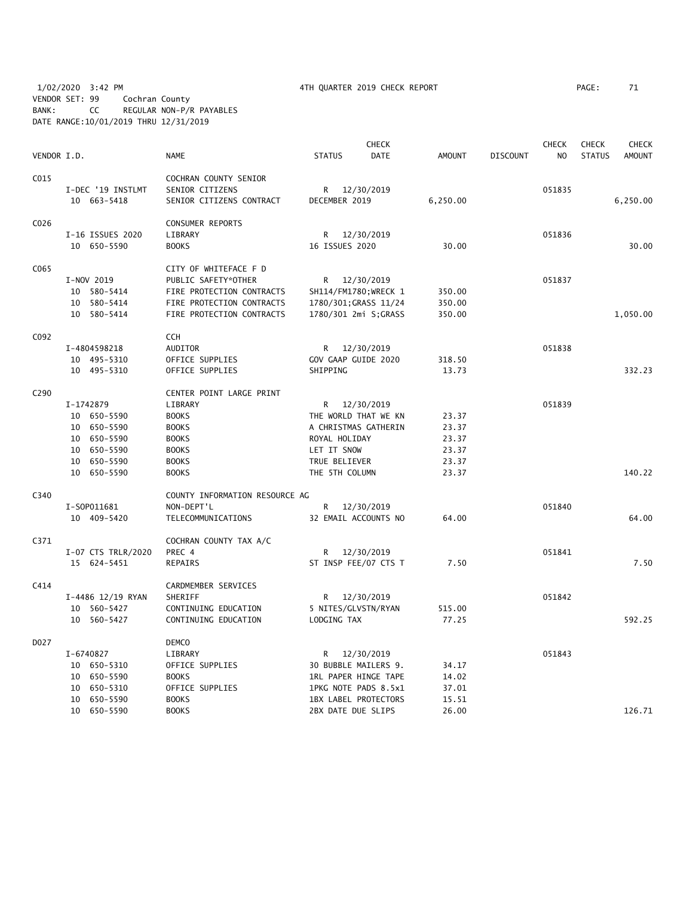1/02/2020 3:42 PM 4TH QUARTER 2019 CHECK REPORT PAGE: 71 VENDOR SET: 99 Cochran County BANK: CC REGULAR NON-P/R PAYABLES DATE RANGE:10/01/2019 THRU 12/31/2019

|                  |                    |                                |                             | <b>CHECK</b> |               |                 | <b>CHECK</b>   | <b>CHECK</b>  | <b>CHECK</b>  |
|------------------|--------------------|--------------------------------|-----------------------------|--------------|---------------|-----------------|----------------|---------------|---------------|
| VENDOR I.D.      |                    | <b>NAME</b>                    | <b>STATUS</b>               | <b>DATE</b>  | <b>AMOUNT</b> | <b>DISCOUNT</b> | N <sub>O</sub> | <b>STATUS</b> | <b>AMOUNT</b> |
| C015             |                    | COCHRAN COUNTY SENIOR          |                             |              |               |                 |                |               |               |
|                  | I-DEC '19 INSTLMT  | SENIOR CITIZENS                | R                           | 12/30/2019   |               |                 | 051835         |               |               |
|                  | 10 663-5418        | SENIOR CITIZENS CONTRACT       | DECEMBER 2019               |              | 6,250.00      |                 |                |               | 6,250.00      |
| CO <sub>26</sub> |                    | <b>CONSUMER REPORTS</b>        |                             |              |               |                 |                |               |               |
|                  | I-16 ISSUES 2020   | LIBRARY                        | R.                          | 12/30/2019   |               |                 | 051836         |               |               |
|                  | 10 650-5590        | <b>BOOKS</b>                   | 16 ISSUES 2020              |              | 30.00         |                 |                |               | 30.00         |
| C065             |                    | CITY OF WHITEFACE F D          |                             |              |               |                 |                |               |               |
|                  | I-NOV 2019         | PUBLIC SAFETY*OTHER            | R 12/30/2019                |              |               |                 | 051837         |               |               |
|                  | 10 580-5414        | FIRE PROTECTION CONTRACTS      | SH114/FM1780; WRECK 1       |              | 350.00        |                 |                |               |               |
|                  | 10 580-5414        | FIRE PROTECTION CONTRACTS      | 1780/301; GRASS 11/24       |              | 350.00        |                 |                |               |               |
|                  | 10 580-5414        | FIRE PROTECTION CONTRACTS      | 1780/301 2mi S;GRASS        |              | 350.00        |                 |                |               | 1,050.00      |
| C092             |                    | <b>CCH</b>                     |                             |              |               |                 |                |               |               |
|                  | I-4804598218       | AUDITOR                        | R 12/30/2019                |              |               |                 | 051838         |               |               |
|                  | 10 495-5310        | OFFICE SUPPLIES                | GOV GAAP GUIDE 2020         |              | 318.50        |                 |                |               |               |
|                  | 10 495-5310        | OFFICE SUPPLIES                | SHIPPING                    |              | 13.73         |                 |                |               | 332.23        |
| C <sub>290</sub> |                    | CENTER POINT LARGE PRINT       |                             |              |               |                 |                |               |               |
|                  | I-1742879          | LIBRARY                        | R.                          | 12/30/2019   |               |                 | 051839         |               |               |
|                  | 10 650-5590        | <b>BOOKS</b>                   | THE WORLD THAT WE KN        |              | 23.37         |                 |                |               |               |
|                  | 10 650-5590        | <b>BOOKS</b>                   | A CHRISTMAS GATHERIN        |              | 23.37         |                 |                |               |               |
|                  | 10 650-5590        | <b>BOOKS</b>                   | ROYAL HOLIDAY               |              | 23.37         |                 |                |               |               |
|                  | 10 650-5590        | <b>BOOKS</b>                   | LET IT SNOW                 |              | 23.37         |                 |                |               |               |
|                  | 10 650-5590        | <b>BOOKS</b>                   | TRUE BELIEVER               |              | 23.37         |                 |                |               |               |
|                  | 10 650-5590        | <b>BOOKS</b>                   | THE 5TH COLUMN              |              | 23.37         |                 |                |               | 140.22        |
| C340             |                    | COUNTY INFORMATION RESOURCE AG |                             |              |               |                 |                |               |               |
|                  | I-S0P011681        | NON-DEPT'L                     | R                           | 12/30/2019   |               |                 | 051840         |               |               |
|                  | 10 409-5420        | TELECOMMUNICATIONS             | 32 EMAIL ACCOUNTS NO        |              | 64.00         |                 |                |               | 64.00         |
| C371             |                    | COCHRAN COUNTY TAX A/C         |                             |              |               |                 |                |               |               |
|                  | I-07 CTS TRLR/2020 | PREC 4                         | R.                          | 12/30/2019   |               |                 | 051841         |               |               |
|                  | 15 624-5451        | <b>REPAIRS</b>                 | ST INSP FEE/07 CTS T        |              | 7.50          |                 |                |               | 7.50          |
| C414             |                    | CARDMEMBER SERVICES            |                             |              |               |                 |                |               |               |
|                  | I-4486 12/19 RYAN  | SHERIFF                        | R 12/30/2019                |              |               |                 | 051842         |               |               |
|                  | 10 560-5427        | CONTINUING EDUCATION           | 5 NITES/GLVSTN/RYAN         |              | 515.00        |                 |                |               |               |
|                  | 10 560-5427        | CONTINUING EDUCATION           | LODGING TAX                 |              | 77.25         |                 |                |               | 592.25        |
| D027             |                    | <b>DEMCO</b>                   |                             |              |               |                 |                |               |               |
|                  | I-6740827          | LIBRARY                        | R                           | 12/30/2019   |               |                 | 051843         |               |               |
|                  | 10 650-5310        | OFFICE SUPPLIES                | 30 BUBBLE MAILERS 9.        |              | 34.17         |                 |                |               |               |
|                  | 650-5590<br>10     | <b>BOOKS</b>                   | <b>1RL PAPER HINGE TAPE</b> |              | 14.02         |                 |                |               |               |
|                  | 650-5310<br>10     | OFFICE SUPPLIES                | 1PKG NOTE PADS 8.5x1        |              | 37.01         |                 |                |               |               |
|                  | 650-5590<br>10     | <b>BOOKS</b>                   | 1BX LABEL PROTECTORS        |              | 15.51         |                 |                |               |               |
|                  | 10 650-5590        | <b>BOOKS</b>                   | 2BX DATE DUE SLIPS          |              | 26.00         |                 |                |               | 126.71        |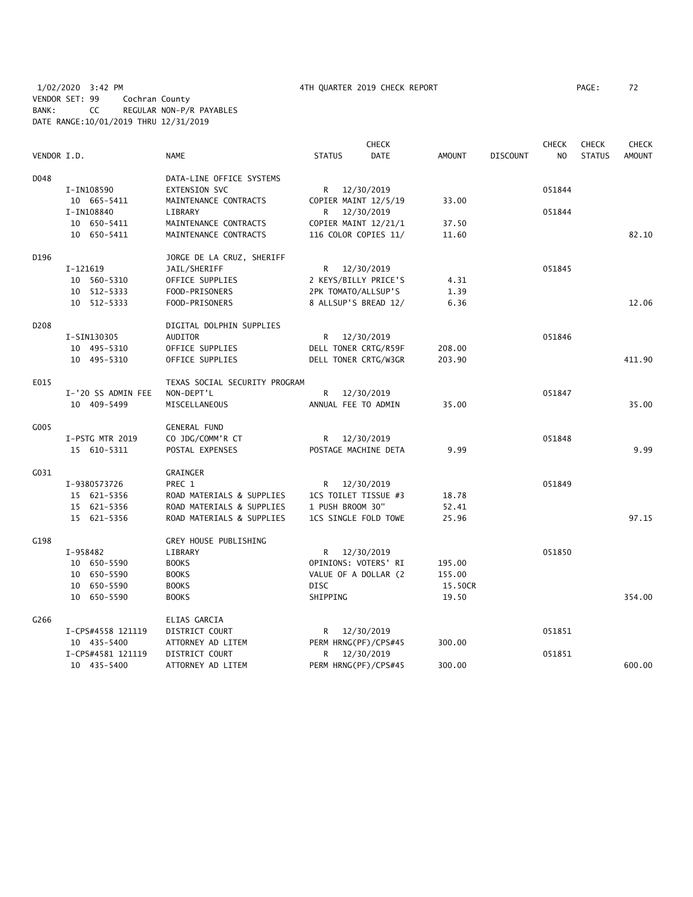1/02/2020 3:42 PM 4TH QUARTER 2019 CHECK REPORT PAGE: 72 VENDOR SET: 99 Cochran County BANK: CC REGULAR NON-P/R PAYABLES DATE RANGE:10/01/2019 THRU 12/31/2019

|                  |                    |                               |               |                      | <b>CHECK</b> |               |                 | <b>CHECK</b>   | <b>CHECK</b>  | <b>CHECK</b>  |
|------------------|--------------------|-------------------------------|---------------|----------------------|--------------|---------------|-----------------|----------------|---------------|---------------|
| VENDOR I.D.      |                    | <b>NAME</b>                   | <b>STATUS</b> |                      | <b>DATE</b>  | <b>AMOUNT</b> | <b>DISCOUNT</b> | N <sub>O</sub> | <b>STATUS</b> | <b>AMOUNT</b> |
| D048             |                    | DATA-LINE OFFICE SYSTEMS      |               |                      |              |               |                 |                |               |               |
|                  | I-IN108590         | EXTENSION SVC                 |               | R 12/30/2019         |              |               |                 | 051844         |               |               |
|                  | 10 665-5411        | MAINTENANCE CONTRACTS         |               | COPIER MAINT 12/5/19 |              | 33.00         |                 |                |               |               |
|                  | I-IN108840         | LIBRARY                       | R             | 12/30/2019           |              |               |                 | 051844         |               |               |
|                  | 10 650-5411        | MAINTENANCE CONTRACTS         |               | COPIER MAINT 12/21/1 |              | 37.50         |                 |                |               |               |
|                  | 10 650-5411        | MAINTENANCE CONTRACTS         |               | 116 COLOR COPIES 11/ |              | 11.60         |                 |                |               | 82.10         |
| D196             |                    | JORGE DE LA CRUZ, SHERIFF     |               |                      |              |               |                 |                |               |               |
|                  | I-121619           | JAIL/SHERIFF                  | R             | 12/30/2019           |              |               |                 | 051845         |               |               |
|                  | 10 560-5310        | OFFICE SUPPLIES               |               | 2 KEYS/BILLY PRICE'S |              | 4.31          |                 |                |               |               |
|                  | 10 512-5333        | FOOD-PRISONERS                |               | 2PK TOMATO/ALLSUP'S  |              | 1.39          |                 |                |               |               |
|                  | 10 512-5333        | FOOD-PRISONERS                |               | 8 ALLSUP'S BREAD 12/ |              | 6.36          |                 |                |               | 12.06         |
| D <sub>208</sub> |                    | DIGITAL DOLPHIN SUPPLIES      |               |                      |              |               |                 |                |               |               |
|                  | I-SIN130305        | <b>AUDITOR</b>                |               | R 12/30/2019         |              |               |                 | 051846         |               |               |
|                  | 10 495-5310        | OFFICE SUPPLIES               |               | DELL TONER CRTG/R59F |              | 208.00        |                 |                |               |               |
|                  | 10 495-5310        | OFFICE SUPPLIES               |               | DELL TONER CRTG/W3GR |              | 203.90        |                 |                |               | 411.90        |
| E015             |                    | TEXAS SOCIAL SECURITY PROGRAM |               |                      |              |               |                 |                |               |               |
|                  | I-'20 SS ADMIN FEE | NON-DEPT'L                    | R             | 12/30/2019           |              |               |                 | 051847         |               |               |
|                  | 10 409-5499        | MISCELLANEOUS                 |               | ANNUAL FEE TO ADMIN  |              | 35.00         |                 |                |               | 35.00         |
| G005             |                    | <b>GENERAL FUND</b>           |               |                      |              |               |                 |                |               |               |
|                  | I-PSTG MTR 2019    | CO JDG/COMM'R CT              |               | R 12/30/2019         |              |               |                 | 051848         |               |               |
|                  | 15 610-5311        | POSTAL EXPENSES               |               | POSTAGE MACHINE DETA |              | 9.99          |                 |                |               | 9.99          |
| G031             |                    | GRAINGER                      |               |                      |              |               |                 |                |               |               |
|                  | I-9380573726       | PREC 1                        | R             | 12/30/2019           |              |               |                 | 051849         |               |               |
|                  | 15 621-5356        | ROAD MATERIALS & SUPPLIES     |               | 1CS TOILET TISSUE #3 |              | 18.78         |                 |                |               |               |
|                  | 15 621-5356        | ROAD MATERIALS & SUPPLIES     |               | 1 PUSH BROOM 30"     |              | 52.41         |                 |                |               |               |
|                  | 15 621-5356        | ROAD MATERIALS & SUPPLIES     |               | 1CS SINGLE FOLD TOWE |              | 25.96         |                 |                |               | 97.15         |
| G198             |                    | GREY HOUSE PUBLISHING         |               |                      |              |               |                 |                |               |               |
|                  | I-958482           | LIBRARY                       |               | R 12/30/2019         |              |               |                 | 051850         |               |               |
|                  | 10 650-5590        | <b>BOOKS</b>                  |               | OPINIONS: VOTERS' RI |              | 195.00        |                 |                |               |               |
|                  | 10 650-5590        | <b>BOOKS</b>                  |               | VALUE OF A DOLLAR (2 |              | 155.00        |                 |                |               |               |
|                  | 10 650-5590        | <b>BOOKS</b>                  | <b>DISC</b>   |                      |              | 15.50CR       |                 |                |               |               |
|                  | 10 650-5590        | <b>BOOKS</b>                  | SHIPPING      |                      |              | 19.50         |                 |                |               | 354.00        |
| G266             |                    | ELIAS GARCIA                  |               |                      |              |               |                 |                |               |               |
|                  | I-CPS#4558 121119  | DISTRICT COURT                | R             | 12/30/2019           |              |               |                 | 051851         |               |               |
|                  | 10 435-5400        | ATTORNEY AD LITEM             |               | PERM HRNG(PF)/CPS#45 |              | 300.00        |                 |                |               |               |
|                  | I-CPS#4581 121119  | DISTRICT COURT                | R.            | 12/30/2019           |              |               |                 | 051851         |               |               |
|                  | 10 435-5400        | ATTORNEY AD LITEM             |               | PERM HRNG(PF)/CPS#45 |              | 300.00        |                 |                |               | 600.00        |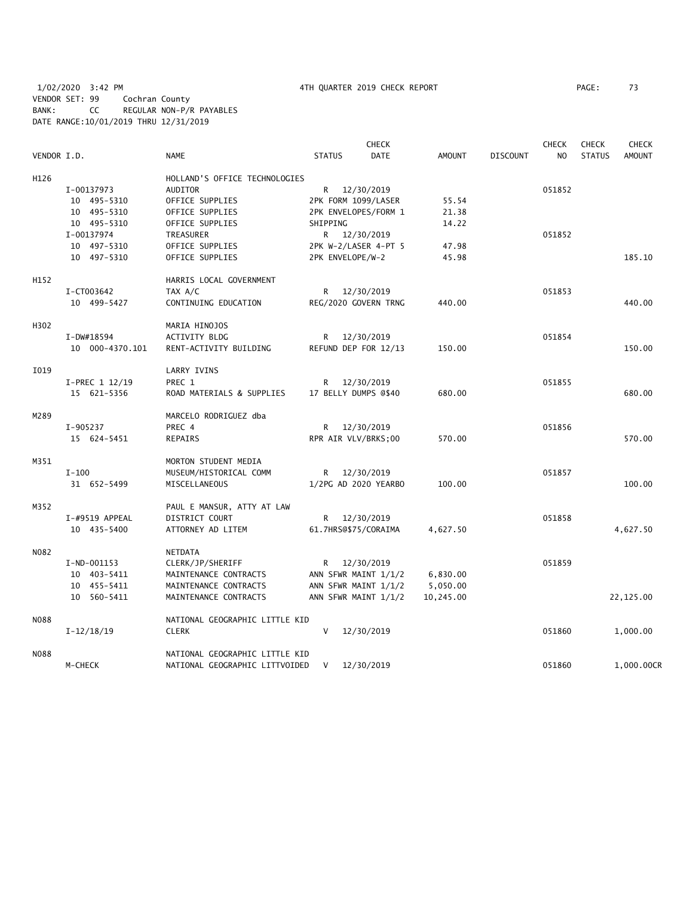1/02/2020 3:42 PM 4TH QUARTER 2019 CHECK REPORT PAGE: 73 VENDOR SET: 99 Cochran County BANK: CC REGULAR NON-P/R PAYABLES DATE RANGE:10/01/2019 THRU 12/31/2019

|             |                 |                                | <b>CHECK</b>                 |               |                 | <b>CHECK</b> | <b>CHECK</b>  | <b>CHECK</b>  |
|-------------|-----------------|--------------------------------|------------------------------|---------------|-----------------|--------------|---------------|---------------|
| VENDOR I.D. |                 | <b>NAME</b>                    | <b>STATUS</b><br><b>DATE</b> | <b>AMOUNT</b> | <b>DISCOUNT</b> | NO.          | <b>STATUS</b> | <b>AMOUNT</b> |
| H126        |                 | HOLLAND'S OFFICE TECHNOLOGIES  |                              |               |                 |              |               |               |
|             | I-00137973      | <b>AUDITOR</b>                 | R 12/30/2019                 |               |                 | 051852       |               |               |
|             | 10 495-5310     | OFFICE SUPPLIES                | 2PK FORM 1099/LASER          | 55.54         |                 |              |               |               |
|             | 10 495-5310     | OFFICE SUPPLIES                | 2PK ENVELOPES/FORM 1         | 21.38         |                 |              |               |               |
|             | 10 495-5310     | OFFICE SUPPLIES                | SHIPPING                     | 14.22         |                 |              |               |               |
|             | I-00137974      | TREASURER                      | R 12/30/2019                 |               |                 | 051852       |               |               |
|             | 10 497-5310     | OFFICE SUPPLIES                | 2PK W-2/LASER 4-PT 5         | 47.98         |                 |              |               |               |
|             | 10 497-5310     | OFFICE SUPPLIES                | 2PK ENVELOPE/W-2             | 45.98         |                 |              |               | 185.10        |
| H152        |                 | HARRIS LOCAL GOVERNMENT        |                              |               |                 |              |               |               |
|             | I-CT003642      | TAX A/C                        | 12/30/2019<br>R <sub>a</sub> |               |                 | 051853       |               |               |
|             | 10 499-5427     | CONTINUING EDUCATION           | REG/2020 GOVERN TRNG         | 440.00        |                 |              |               | 440.00        |
| H302        |                 | MARIA HINOJOS                  |                              |               |                 |              |               |               |
|             | I-DW#18594      | <b>ACTIVITY BLDG</b>           | 12/30/2019<br>R.             |               |                 | 051854       |               |               |
|             | 10 000-4370.101 | RENT-ACTIVITY BUILDING         | REFUND DEP FOR 12/13         | 150.00        |                 |              |               | 150.00        |
| I019        |                 | LARRY IVINS                    |                              |               |                 |              |               |               |
|             | I-PREC 1 12/19  | PREC 1                         | 12/30/2019<br>R.             |               |                 | 051855       |               |               |
|             | 15 621-5356     | ROAD MATERIALS & SUPPLIES      | 17 BELLY DUMPS @\$40         | 680.00        |                 |              |               | 680.00        |
| M289        |                 | MARCELO RODRIGUEZ dba          |                              |               |                 |              |               |               |
|             | I-905237        | PREC 4                         | 12/30/2019<br>R.             |               |                 | 051856       |               |               |
|             | 15 624-5451     | REPAIRS                        | RPR AIR VLV/BRKS;00          | 570.00        |                 |              |               | 570.00        |
| M351        |                 | MORTON STUDENT MEDIA           |                              |               |                 |              |               |               |
|             | $I-100$         | MUSEUM/HISTORICAL COMM         | R 12/30/2019                 |               |                 | 051857       |               |               |
|             | 31 652-5499     | MISCELLANEOUS                  | 1/2PG AD 2020 YEARBO         | 100.00        |                 |              |               | 100.00        |
| M352        |                 | PAUL E MANSUR, ATTY AT LAW     |                              |               |                 |              |               |               |
|             | I-#9519 APPEAL  | DISTRICT COURT                 | R 12/30/2019                 |               |                 | 051858       |               |               |
|             | 10 435-5400     | ATTORNEY AD LITEM              | 61.7HRS@\$75/CORAIMA         | 4,627.50      |                 |              |               | 4,627.50      |
| N082        |                 | NETDATA                        |                              |               |                 |              |               |               |
|             | $I-ND-001153$   | CLERK/JP/SHERIFF               | 12/30/2019<br>R <sub>a</sub> |               |                 | 051859       |               |               |
|             | 10 403-5411     | MAINTENANCE CONTRACTS          | ANN SFWR MAINT 1/1/2         | 6,830.00      |                 |              |               |               |
|             | 10 455-5411     | MAINTENANCE CONTRACTS          | ANN SFWR MAINT 1/1/2         | 5,050.00      |                 |              |               |               |
|             | 10 560-5411     | MAINTENANCE CONTRACTS          | ANN SFWR MAINT 1/1/2         | 10,245.00     |                 |              |               | 22,125.00     |
| <b>N088</b> |                 | NATIONAL GEOGRAPHIC LITTLE KID |                              |               |                 |              |               |               |
|             | $I-12/18/19$    | <b>CLERK</b>                   | $\vee$<br>12/30/2019         |               |                 | 051860       |               | 1,000.00      |
| <b>NO88</b> |                 | NATIONAL GEOGRAPHIC LITTLE KID |                              |               |                 |              |               |               |
|             | M-CHECK         | NATIONAL GEOGRAPHIC LITTVOIDED | 12/30/2019<br>V              |               |                 | 051860       |               | 1,000.00CR    |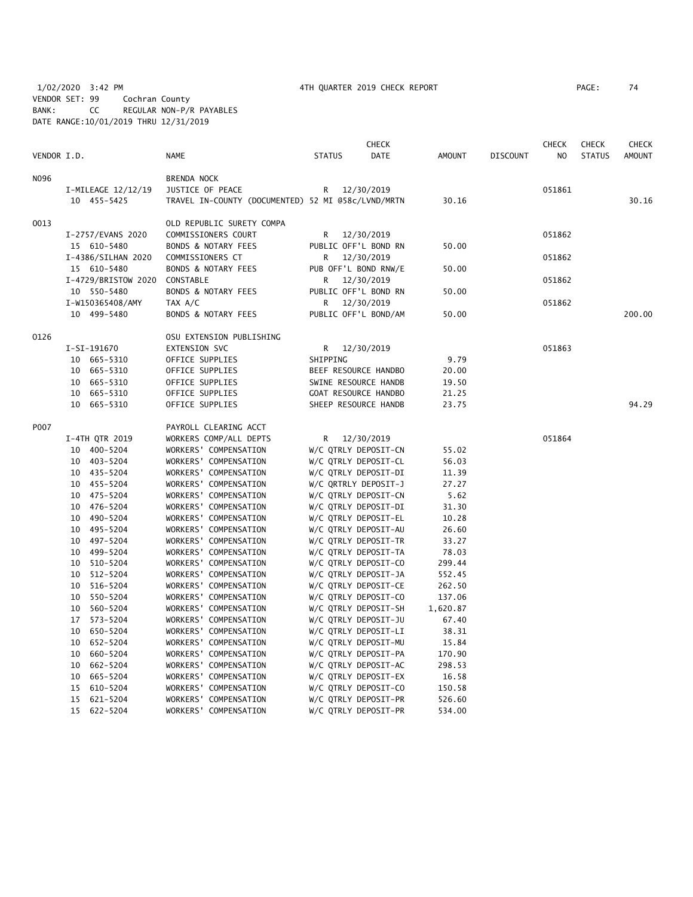1/02/2020 3:42 PM 4TH QUARTER 2019 CHECK REPORT PAGE: 74 VENDOR SET: 99 Cochran County BANK: CC REGULAR NON-P/R PAYABLES DATE RANGE:10/01/2019 THRU 12/31/2019

| PAGE : | 74 |
|--------|----|
|        |    |

|             |                               |                                                    |               | <b>CHECK</b>                                 |                   |                 | <b>CHECK</b> | <b>CHECK</b>  | <b>CHECK</b>  |
|-------------|-------------------------------|----------------------------------------------------|---------------|----------------------------------------------|-------------------|-----------------|--------------|---------------|---------------|
| VENDOR I.D. |                               | <b>NAME</b>                                        | <b>STATUS</b> | <b>DATE</b>                                  | <b>AMOUNT</b>     | <b>DISCOUNT</b> | NO           | <b>STATUS</b> | <b>AMOUNT</b> |
| N096        |                               | BRENDA NOCK                                        |               |                                              |                   |                 |              |               |               |
|             | I-MILEAGE 12/12/19            | JUSTICE OF PEACE                                   | R             | 12/30/2019                                   |                   |                 | 051861       |               |               |
|             | 10 455-5425                   | TRAVEL IN-COUNTY (DOCUMENTED) 52 MI @58c/LVND/MRTN |               |                                              | 30.16             |                 |              |               | 30.16         |
| 0013        |                               | OLD REPUBLIC SURETY COMPA                          |               |                                              |                   |                 |              |               |               |
|             | I-2757/EVANS 2020             | COMMISSIONERS COURT                                |               | R 12/30/2019                                 |                   |                 | 051862       |               |               |
|             | 15 610-5480                   | <b>BONDS &amp; NOTARY FEES</b>                     |               | PUBLIC OFF'L BOND RN                         | 50.00             |                 |              |               |               |
|             | I-4386/SILHAN 2020            | COMMISSIONERS CT                                   | R             | 12/30/2019                                   |                   |                 | 051862       |               |               |
|             | 15 610-5480                   | <b>BONDS &amp; NOTARY FEES</b>                     |               | PUB OFF'L BOND RNW/E                         | 50.00             |                 |              |               |               |
|             | I-4729/BRISTOW 2020           | CONSTABLE                                          | R             | 12/30/2019                                   |                   |                 | 051862       |               |               |
|             | 10 550-5480                   | BONDS & NOTARY FEES                                |               | PUBLIC OFF'L BOND RN                         | 50.00             |                 |              |               |               |
|             | I-W150365408/AMY              | TAX A/C                                            | R             | 12/30/2019                                   |                   |                 | 051862       |               |               |
|             | 10 499-5480                   | BONDS & NOTARY FEES                                |               | PUBLIC OFF'L BOND/AM                         | 50.00             |                 |              |               | 200.00        |
| 0126        |                               | OSU EXTENSION PUBLISHING                           |               |                                              |                   |                 |              |               |               |
|             | I-SI-191670                   | EXTENSION SVC                                      |               | R 12/30/2019                                 |                   |                 | 051863       |               |               |
|             | 10 665-5310                   | OFFICE SUPPLIES                                    | SHIPPING      |                                              | 9.79              |                 |              |               |               |
|             | 10 665-5310                   | OFFICE SUPPLIES                                    |               | BEEF RESOURCE HANDBO                         | 20.00             |                 |              |               |               |
|             | 665-5310<br>10                | OFFICE SUPPLIES                                    |               | SWINE RESOURCE HANDB                         | 19.50             |                 |              |               |               |
|             | 10 665-5310                   | OFFICE SUPPLIES                                    |               | GOAT RESOURCE HANDBO                         | 21.25             |                 |              |               |               |
|             | 10 665-5310                   | OFFICE SUPPLIES                                    |               | SHEEP RESOURCE HANDB                         | 23.75             |                 |              |               | 94.29         |
| P007        |                               | PAYROLL CLEARING ACCT                              |               |                                              |                   |                 |              |               |               |
|             | I-4TH QTR 2019                | WORKERS COMP/ALL DEPTS                             |               | R 12/30/2019                                 |                   |                 | 051864       |               |               |
|             | 10 400-5204                   | WORKERS' COMPENSATION                              |               | W/C QTRLY DEPOSIT-CN                         | 55.02             |                 |              |               |               |
|             | 10 403-5204                   | WORKERS' COMPENSATION                              |               | W/C QTRLY DEPOSIT-CL                         | 56.03             |                 |              |               |               |
|             | 10 435-5204                   | WORKERS' COMPENSATION                              |               | W/C QTRLY DEPOSIT-DI                         | 11.39             |                 |              |               |               |
|             | 10 455-5204                   | WORKERS' COMPENSATION                              |               | W/C QRTRLY DEPOSIT-J                         | 27.27             |                 |              |               |               |
|             | 10 475-5204                   | WORKERS' COMPENSATION                              |               | W/C QTRLY DEPOSIT-CN                         | 5.62              |                 |              |               |               |
|             | 10 476-5204                   | WORKERS' COMPENSATION                              |               | W/C QTRLY DEPOSIT-DI                         | 31.30             |                 |              |               |               |
|             | 10 490-5204                   | WORKERS' COMPENSATION                              |               | W/C QTRLY DEPOSIT-EL                         | 10.28             |                 |              |               |               |
|             | 10 495-5204                   | WORKERS' COMPENSATION                              |               | W/C QTRLY DEPOSIT-AU                         | 26.60             |                 |              |               |               |
|             | 497-5204<br>10                | WORKERS' COMPENSATION                              |               | W/C QTRLY DEPOSIT-TR                         | 33.27             |                 |              |               |               |
|             | 499-5204<br>10                | WORKERS' COMPENSATION                              |               | W/C QTRLY DEPOSIT-TA                         | 78.03             |                 |              |               |               |
|             | 510-5204<br>10                | WORKERS' COMPENSATION                              |               | W/C QTRLY DEPOSIT-CO                         | 299.44            |                 |              |               |               |
|             | 512-5204<br>10                | WORKERS' COMPENSATION                              |               | W/C QTRLY DEPOSIT-JA                         | 552.45            |                 |              |               |               |
|             | 516-5204<br>10                | WORKERS' COMPENSATION                              |               | W/C QTRLY DEPOSIT-CE                         | 262.50            |                 |              |               |               |
|             | 550-5204<br>10                | WORKERS' COMPENSATION                              |               | W/C QTRLY DEPOSIT-CO                         | 137.06            |                 |              |               |               |
|             | 560-5204<br>10<br>17 573-5204 | WORKERS' COMPENSATION<br>WORKERS' COMPENSATION     |               | W/C QTRLY DEPOSIT-SH<br>W/C QTRLY DEPOSIT-JU | 1,620.87<br>67.40 |                 |              |               |               |
|             | 650-5204<br>10                | WORKERS' COMPENSATION                              |               | W/C QTRLY DEPOSIT-LI                         | 38.31             |                 |              |               |               |
|             | 652-5204<br>10                | WORKERS' COMPENSATION                              |               | W/C QTRLY DEPOSIT-MU                         | 15.84             |                 |              |               |               |
|             | 10<br>660-5204                | WORKERS' COMPENSATION                              |               | W/C QTRLY DEPOSIT-PA                         | 170.90            |                 |              |               |               |
|             | 10<br>662-5204                | WORKERS' COMPENSATION                              |               | W/C QTRLY DEPOSIT-AC                         | 298.53            |                 |              |               |               |
|             | 10<br>665-5204                | WORKERS' COMPENSATION                              |               | W/C QTRLY DEPOSIT-EX                         | 16.58             |                 |              |               |               |
|             | 610-5204<br>15                | WORKERS' COMPENSATION                              |               | W/C QTRLY DEPOSIT-CO                         | 150.58            |                 |              |               |               |
|             | 15 621-5204                   | WORKERS' COMPENSATION                              |               | W/C QTRLY DEPOSIT-PR                         | 526.60            |                 |              |               |               |
|             | 15 622-5204                   | WORKERS' COMPENSATION                              |               | W/C QTRLY DEPOSIT-PR                         | 534.00            |                 |              |               |               |
|             |                               |                                                    |               |                                              |                   |                 |              |               |               |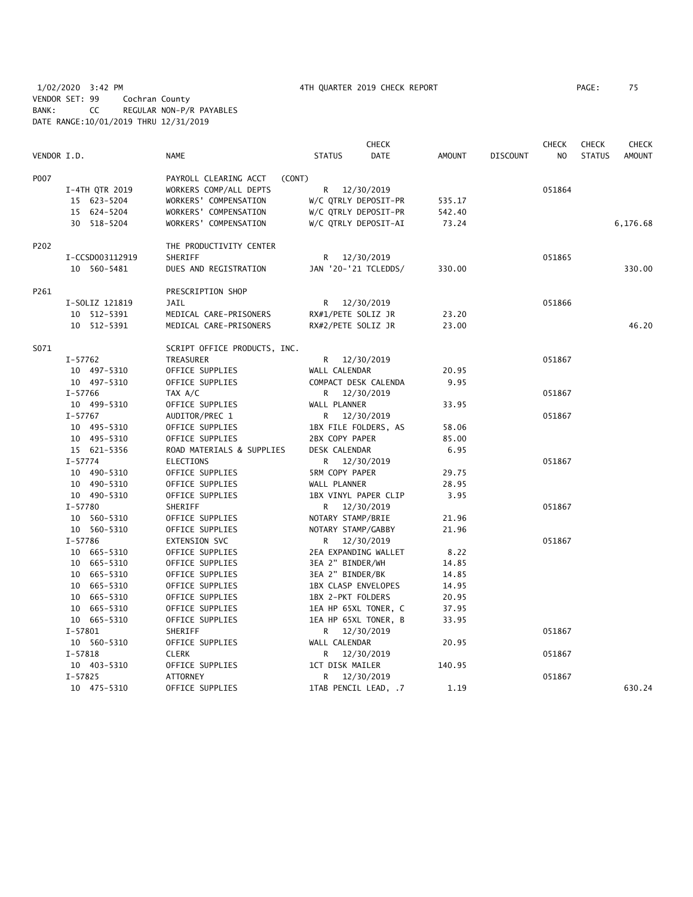1/02/2020 3:42 PM 4TH QUARTER 2019 CHECK REPORT PAGE: 75 VENDOR SET: 99 Cochran County BANK: CC REGULAR NON-P/R PAYABLES DATE RANGE:10/01/2019 THRU 12/31/2019

|             |                 |                                 |                      | <b>CHECK</b>         |               |                 | <b>CHECK</b>   | <b>CHECK</b>  | <b>CHECK</b>  |
|-------------|-----------------|---------------------------------|----------------------|----------------------|---------------|-----------------|----------------|---------------|---------------|
| VENDOR I.D. |                 | <b>NAME</b>                     | <b>STATUS</b>        | <b>DATE</b>          | <b>AMOUNT</b> | <b>DISCOUNT</b> | N <sub>O</sub> | <b>STATUS</b> | <b>AMOUNT</b> |
| P007        |                 | PAYROLL CLEARING ACCT<br>(CONT) |                      |                      |               |                 |                |               |               |
|             | I-4TH QTR 2019  | WORKERS COMP/ALL DEPTS          | R                    | 12/30/2019           |               |                 | 051864         |               |               |
|             | 15 623-5204     | WORKERS' COMPENSATION           | W/C QTRLY DEPOSIT-PR |                      | 535.17        |                 |                |               |               |
|             | 15 624-5204     | WORKERS' COMPENSATION           | W/C QTRLY DEPOSIT-PR |                      | 542.40        |                 |                |               |               |
|             | 30 518-5204     | WORKERS' COMPENSATION           | W/C QTRLY DEPOSIT-AI |                      | 73.24         |                 |                |               | 6,176.68      |
| P202        |                 | THE PRODUCTIVITY CENTER         |                      |                      |               |                 |                |               |               |
|             | I-CCSD003112919 | SHERIFF                         | R 12/30/2019         |                      |               |                 | 051865         |               |               |
|             | 10 560-5481     | DUES AND REGISTRATION           |                      | JAN '20-'21 TCLEDDS/ | 330.00        |                 |                |               | 330.00        |
| P261        |                 | PRESCRIPTION SHOP               |                      |                      |               |                 |                |               |               |
|             | I-SOLIZ 121819  | JAIL                            | R 12/30/2019         |                      |               |                 | 051866         |               |               |
|             | 10 512-5391     | MEDICAL CARE-PRISONERS          | RX#1/PETE SOLIZ JR   |                      | 23.20         |                 |                |               |               |
|             | 10 512-5391     | MEDICAL CARE-PRISONERS          | RX#2/PETE SOLIZ JR   |                      | 23.00         |                 |                |               | 46.20         |
| S071        |                 | SCRIPT OFFICE PRODUCTS, INC.    |                      |                      |               |                 |                |               |               |
|             | $I - 57762$     | TREASURER                       | R 12/30/2019         |                      |               |                 | 051867         |               |               |
|             | 10 497-5310     | OFFICE SUPPLIES                 | WALL CALENDAR        |                      | 20.95         |                 |                |               |               |
|             | 10 497-5310     | OFFICE SUPPLIES                 | COMPACT DESK CALENDA |                      | 9.95          |                 |                |               |               |
|             | I-57766         | TAX A/C                         | R 12/30/2019         |                      |               |                 | 051867         |               |               |
|             | 10 499-5310     | OFFICE SUPPLIES                 | WALL PLANNER         |                      | 33.95         |                 |                |               |               |
|             | $I - 57767$     | AUDITOR/PREC 1                  | R 12/30/2019         |                      |               |                 | 051867         |               |               |
|             | 10 495-5310     | OFFICE SUPPLIES                 | 1BX FILE FOLDERS, AS |                      | 58.06         |                 |                |               |               |
|             | 10 495-5310     | OFFICE SUPPLIES                 | 2BX COPY PAPER       |                      | 85.00         |                 |                |               |               |
|             | 15 621-5356     | ROAD MATERIALS & SUPPLIES       | DESK CALENDAR        |                      | 6.95          |                 |                |               |               |
|             | $I - 57774$     | <b>ELECTIONS</b>                | R 12/30/2019         |                      |               |                 | 051867         |               |               |
|             | 10 490-5310     | OFFICE SUPPLIES                 | 5RM COPY PAPER       |                      | 29.75         |                 |                |               |               |
|             | 10 490-5310     | OFFICE SUPPLIES                 | WALL PLANNER         |                      | 28.95         |                 |                |               |               |
|             | 10 490-5310     | OFFICE SUPPLIES                 | 1BX VINYL PAPER CLIP |                      | 3.95          |                 |                |               |               |
|             | $I - 57780$     | SHERIFF                         | R                    | 12/30/2019           |               |                 | 051867         |               |               |
|             | 10 560-5310     | OFFICE SUPPLIES                 | NOTARY STAMP/BRIE    |                      | 21.96         |                 |                |               |               |
|             | 10 560-5310     | OFFICE SUPPLIES                 | NOTARY STAMP/GABBY   |                      | 21.96         |                 |                |               |               |
|             | $I - 57786$     | EXTENSION SVC                   | R 12/30/2019         |                      |               |                 | 051867         |               |               |
|             | 10 665-5310     | OFFICE SUPPLIES                 | 2EA EXPANDING WALLET |                      | 8.22          |                 |                |               |               |
|             | 10 665-5310     | OFFICE SUPPLIES                 | 3EA 2" BINDER/WH     |                      | 14.85         |                 |                |               |               |
|             | 10 665-5310     | OFFICE SUPPLIES                 | 3EA 2" BINDER/BK     |                      | 14.85         |                 |                |               |               |
|             | 10 665-5310     | OFFICE SUPPLIES                 | 1BX CLASP ENVELOPES  |                      | 14.95         |                 |                |               |               |
|             | 10 665-5310     | OFFICE SUPPLIES                 | 1BX 2-PKT FOLDERS    |                      | 20.95         |                 |                |               |               |
|             | 10 665-5310     | OFFICE SUPPLIES                 | 1EA HP 65XL TONER, C |                      | 37.95         |                 |                |               |               |
|             | 10 665-5310     | OFFICE SUPPLIES                 | 1EA HP 65XL TONER, B |                      | 33.95         |                 |                |               |               |
|             | $I - 57801$     | SHERIFF                         | R.                   | 12/30/2019           |               |                 | 051867         |               |               |
|             | 10 560-5310     | OFFICE SUPPLIES                 | WALL CALENDAR        |                      | 20.95         |                 |                |               |               |
|             | $I - 57818$     | <b>CLERK</b>                    | R                    | 12/30/2019           |               |                 | 051867         |               |               |
|             | 10 403-5310     | OFFICE SUPPLIES                 | 1CT DISK MAILER      |                      | 140.95        |                 |                |               |               |
|             | $I - 57825$     | <b>ATTORNEY</b>                 | R                    | 12/30/2019           |               |                 | 051867         |               |               |
|             | 10 475-5310     | OFFICE SUPPLIES                 | 1TAB PENCIL LEAD, .7 |                      | 1.19          |                 |                |               | 630.24        |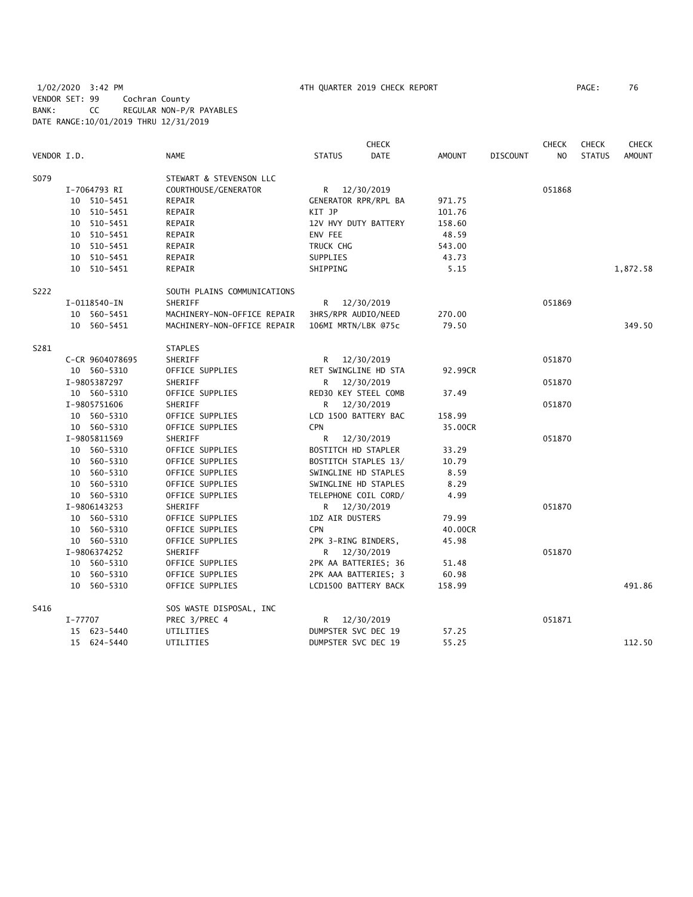|             |         |                 |                             |                        | <b>CHECK</b>         |               |                 | <b>CHECK</b>   | <b>CHECK</b>  | <b>CHECK</b> |
|-------------|---------|-----------------|-----------------------------|------------------------|----------------------|---------------|-----------------|----------------|---------------|--------------|
| VENDOR I.D. |         |                 | NAME                        | <b>STATUS</b>          | <b>DATE</b>          | <b>AMOUNT</b> | <b>DISCOUNT</b> | N <sub>O</sub> | <b>STATUS</b> | AMOUNT       |
| S079        |         |                 | STEWART & STEVENSON LLC     |                        |                      |               |                 |                |               |              |
|             |         | I-7064793 RI    | COURTHOUSE/GENERATOR        | R 12/30/2019           |                      |               |                 | 051868         |               |              |
|             |         | 10 510-5451     | REPAIR                      |                        | GENERATOR RPR/RPL BA | 971.75        |                 |                |               |              |
|             |         | 10 510-5451     | REPAIR                      | KIT JP                 |                      | 101.76        |                 |                |               |              |
|             |         | 10 510-5451     | REPAIR                      |                        | 12V HVY DUTY BATTERY | 158.60        |                 |                |               |              |
|             |         | 10 510-5451     | REPAIR                      | ENV FEE                |                      | 48.59         |                 |                |               |              |
|             |         | 10 510-5451     | REPAIR                      | TRUCK CHG              |                      | 543.00        |                 |                |               |              |
|             |         | 10 510-5451     | REPAIR                      | SUPPLIES               |                      | 43.73         |                 |                |               |              |
|             |         | 10 510-5451     | REPAIR                      | SHIPPING               |                      | 5.15          |                 |                |               | 1,872.58     |
| S222        |         |                 | SOUTH PLAINS COMMUNICATIONS |                        |                      |               |                 |                |               |              |
|             |         | I-0118540-IN    | SHERIFF                     |                        | R 12/30/2019         |               |                 | 051869         |               |              |
|             |         | 10 560-5451     | MACHINERY-NON-OFFICE REPAIR | 3HRS/RPR AUDIO/NEED    |                      | 270.00        |                 |                |               |              |
|             |         | 10 560-5451     | MACHINERY-NON-OFFICE REPAIR | 106MI MRTN/LBK @75c    |                      | 79.50         |                 |                |               | 349.50       |
| S281        |         |                 | <b>STAPLES</b>              |                        |                      |               |                 |                |               |              |
|             |         | C-CR 9604078695 | SHERIFF                     |                        | R 12/30/2019         |               |                 | 051870         |               |              |
|             |         | 10 560-5310     | OFFICE SUPPLIES             |                        | RET SWINGLINE HD STA | 92.99CR       |                 |                |               |              |
|             |         | I-9805387297    | SHERIFF                     | R 12/30/2019           |                      |               |                 | 051870         |               |              |
|             |         | 10 560-5310     | OFFICE SUPPLIES             | RED30 KEY STEEL COMB   |                      | 37.49         |                 |                |               |              |
|             |         | I-9805751606    | SHERIFF                     | R —                    | 12/30/2019           |               |                 | 051870         |               |              |
|             |         | 10 560-5310     | OFFICE SUPPLIES             |                        | LCD 1500 BATTERY BAC | 158.99        |                 |                |               |              |
|             |         | 10 560-5310     | OFFICE SUPPLIES             | <b>CPN</b>             |                      | 35.00CR       |                 |                |               |              |
|             |         | I-9805811569    | SHERIFF                     |                        | R 12/30/2019         |               |                 | 051870         |               |              |
|             |         | 10 560-5310     | OFFICE SUPPLIES             | BOSTITCH HD STAPLER    |                      | 33.29         |                 |                |               |              |
|             |         | 10 560-5310     | OFFICE SUPPLIES             |                        | BOSTITCH STAPLES 13/ | 10.79         |                 |                |               |              |
|             |         | 10 560-5310     | OFFICE SUPPLIES             |                        | SWINGLINE HD STAPLES | 8.59          |                 |                |               |              |
|             |         | 10 560-5310     | OFFICE SUPPLIES             | SWINGLINE HD STAPLES   |                      | 8.29          |                 |                |               |              |
|             |         | 10 560-5310     | OFFICE SUPPLIES             |                        | TELEPHONE COIL CORD/ | 4.99          |                 |                |               |              |
|             |         | I-9806143253    | SHERIFF                     |                        | R 12/30/2019         |               |                 | 051870         |               |              |
|             |         | 10 560-5310     | OFFICE SUPPLIES             | <b>1DZ AIR DUSTERS</b> |                      | 79.99         |                 |                |               |              |
|             |         | 10 560-5310     | OFFICE SUPPLIES             | <b>CPN</b>             |                      | 40.00CR       |                 |                |               |              |
|             |         | 10 560-5310     | OFFICE SUPPLIES             | 2PK 3-RING BINDERS,    |                      | 45.98         |                 |                |               |              |
|             |         | I-9806374252    | SHERIFF                     | R 12/30/2019           |                      |               |                 | 051870         |               |              |
|             |         | 10 560-5310     | OFFICE SUPPLIES             |                        | 2PK AA BATTERIES; 36 | 51.48         |                 |                |               |              |
|             |         | 10 560-5310     | OFFICE SUPPLIES             |                        | 2PK AAA BATTERIES; 3 | 60.98         |                 |                |               |              |
|             |         | 10 560-5310     | OFFICE SUPPLIES             |                        | LCD1500 BATTERY BACK | 158.99        |                 |                |               | 491.86       |
| S416        |         |                 | SOS WASTE DISPOSAL, INC     |                        |                      |               |                 |                |               |              |
|             | I-77707 |                 | PREC 3/PREC 4               | R 12/30/2019           |                      |               |                 | 051871         |               |              |
|             |         | 15 623-5440     | UTILITIES                   | DUMPSTER SVC DEC 19    |                      | 57.25         |                 |                |               |              |
|             |         | 15 624-5440     | UTILITIES                   | DUMPSTER SVC DEC 19    |                      | 55.25         |                 |                |               | 112.50       |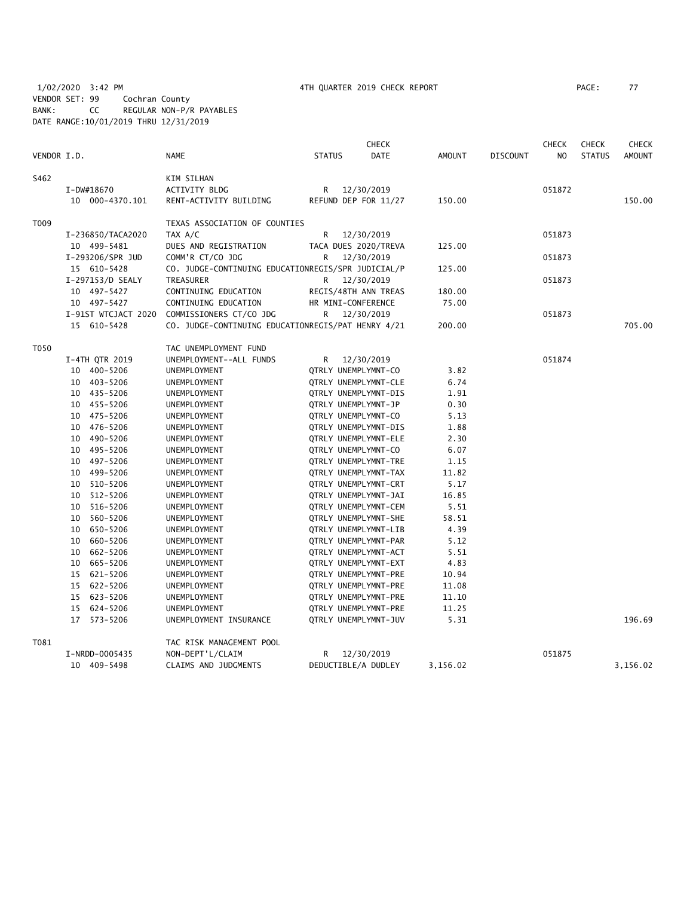1/02/2020 3:42 PM 4TH QUARTER 2019 CHECK REPORT PAGE: 77 VENDOR SET: 99 Cochran County BANK: CC REGULAR NON-P/R PAYABLES DATE RANGE:10/01/2019 THRU 12/31/2019

| VENDOR I.D. |                            | <b>NAME</b>                                        | <b>STATUS</b>                                | <b>CHECK</b><br><b>DATE</b> | <b>AMOUNT</b> | <b>DISCOUNT</b> | <b>CHECK</b><br>N <sub>O</sub> | <b>CHECK</b><br><b>STATUS</b> | <b>CHECK</b><br><b>AMOUNT</b> |
|-------------|----------------------------|----------------------------------------------------|----------------------------------------------|-----------------------------|---------------|-----------------|--------------------------------|-------------------------------|-------------------------------|
|             |                            |                                                    |                                              |                             |               |                 |                                |                               |                               |
| S462        |                            | KIM SILHAN                                         |                                              |                             |               |                 |                                |                               |                               |
|             | I-DW#18670                 | ACTIVITY BLDG                                      | R                                            | 12/30/2019                  |               |                 | 051872                         |                               |                               |
|             | 10 000-4370.101            | RENT-ACTIVITY BUILDING                             | REFUND DEP FOR 11/27                         |                             | 150.00        |                 |                                |                               | 150.00                        |
| T009        |                            | TEXAS ASSOCIATION OF COUNTIES                      |                                              |                             |               |                 |                                |                               |                               |
|             | I-236850/TACA2020          | TAX A/C                                            | R                                            | 12/30/2019                  |               |                 | 051873                         |                               |                               |
|             | 10 499-5481                | DUES AND REGISTRATION                              | TACA DUES 2020/TREVA                         |                             | 125.00        |                 |                                |                               |                               |
|             | I-293206/SPR JUD           | COMM'R CT/CO JDG                                   | R                                            | 12/30/2019                  |               |                 | 051873                         |                               |                               |
|             | 15 610-5428                | CO. JUDGE-CONTINUING EDUCATIONREGIS/SPR JUDICIAL/P |                                              |                             | 125.00        |                 |                                |                               |                               |
|             | I-297153/D SEALY           | TREASURER                                          | R                                            | 12/30/2019                  |               |                 | 051873                         |                               |                               |
|             | 10 497-5427                | CONTINUING EDUCATION                               | REGIS/48TH ANN TREAS                         |                             | 180.00        |                 |                                |                               |                               |
|             | 10 497-5427                | CONTINUING EDUCATION                               | HR MINI-CONFERENCE                           |                             | 75.00         |                 |                                |                               |                               |
|             | I-91ST WTCJACT 2020        | COMMISSIONERS CT/CO JDG                            | R                                            | 12/30/2019                  |               |                 | 051873                         |                               |                               |
|             | 15 610-5428                | CO. JUDGE-CONTINUING EDUCATIONREGIS/PAT HENRY 4/21 |                                              |                             | 200.00        |                 |                                |                               | 705.00                        |
| T050        |                            | TAC UNEMPLOYMENT FUND                              |                                              |                             |               |                 |                                |                               |                               |
|             | I-4TH QTR 2019             | UNEMPLOYMENT--ALL FUNDS                            | R 12/30/2019                                 |                             |               |                 | 051874                         |                               |                               |
|             | 10 400-5206                | UNEMPLOYMENT                                       | QTRLY UNEMPLYMNT-CO                          |                             | 3.82          |                 |                                |                               |                               |
|             | 10 403-5206                | UNEMPLOYMENT                                       | QTRLY UNEMPLYMNT-CLE                         |                             | 6.74          |                 |                                |                               |                               |
|             | 10 435-5206                | UNEMPLOYMENT                                       | QTRLY UNEMPLYMNT-DIS                         |                             | 1.91          |                 |                                |                               |                               |
|             | 10 455-5206                | UNEMPLOYMENT                                       | QTRLY UNEMPLYMNT-JP                          |                             | 0.30          |                 |                                |                               |                               |
|             | 10 475-5206                | UNEMPLOYMENT                                       | QTRLY UNEMPLYMNT-CO                          |                             | 5.13          |                 |                                |                               |                               |
|             | 10 476-5206                | UNEMPLOYMENT                                       | QTRLY UNEMPLYMNT-DIS                         |                             | 1.88          |                 |                                |                               |                               |
|             | 10 490-5206                | UNEMPLOYMENT                                       | QTRLY UNEMPLYMNT-ELE                         |                             | 2.30          |                 |                                |                               |                               |
|             | 10 495-5206                | UNEMPLOYMENT                                       | QTRLY UNEMPLYMNT-CO                          |                             | 6.07          |                 |                                |                               |                               |
|             | 497-5206<br>10             | UNEMPLOYMENT                                       | QTRLY UNEMPLYMNT-TRE                         |                             | 1.15          |                 |                                |                               |                               |
|             | 10 499-5206                | <b>UNEMPLOYMENT</b>                                | QTRLY UNEMPLYMNT-TAX                         |                             | 11.82         |                 |                                |                               |                               |
|             | 10 510-5206                | UNEMPLOYMENT                                       | <b>QTRLY UNEMPLYMNT-CRT</b>                  |                             | 5.17          |                 |                                |                               |                               |
|             | 512-5206<br>10             | UNEMPLOYMENT                                       | QTRLY UNEMPLYMNT-JAI                         |                             | 16.85         |                 |                                |                               |                               |
|             | 10<br>516-5206             | UNEMPLOYMENT                                       | QTRLY UNEMPLYMNT-CEM                         |                             | 5.51          |                 |                                |                               |                               |
|             | 560-5206<br>10             | UNEMPLOYMENT                                       | QTRLY UNEMPLYMNT-SHE                         |                             | 58.51         |                 |                                |                               |                               |
|             | 650-5206<br>10             | UNEMPLOYMENT                                       | QTRLY UNEMPLYMNT-LIB                         |                             | 4.39          |                 |                                |                               |                               |
|             | 660-5206<br>10             | <b>UNEMPLOYMENT</b>                                | QTRLY UNEMPLYMNT-PAR                         |                             | 5.12          |                 |                                |                               |                               |
|             | 662-5206<br>10             | UNEMPLOYMENT                                       | QTRLY UNEMPLYMNT-ACT                         |                             | 5.51          |                 |                                |                               |                               |
|             | 665-5206<br>10             | UNEMPLOYMENT                                       | QTRLY UNEMPLYMNT-EXT                         |                             | 4.83          |                 |                                |                               |                               |
|             | 15 621-5206                | UNEMPLOYMENT                                       | <b>QTRLY UNEMPLYMNT-PRE</b>                  |                             | 10.94         |                 |                                |                               |                               |
|             | 15 622-5206                | UNEMPLOYMENT                                       | QTRLY UNEMPLYMNT-PRE                         |                             | 11.08         |                 |                                |                               |                               |
|             | 15 623-5206                | UNEMPLOYMENT                                       | QTRLY UNEMPLYMNT-PRE                         |                             | 11.10         |                 |                                |                               |                               |
|             | 15 624-5206<br>17 573-5206 | UNEMPLOYMENT<br>UNEMPLOYMENT INSURANCE             | QTRLY UNEMPLYMNT-PRE<br>QTRLY UNEMPLYMNT-JUV |                             | 11.25<br>5.31 |                 |                                |                               | 196.69                        |
|             |                            |                                                    |                                              |                             |               |                 |                                |                               |                               |
| T081        |                            | TAC RISK MANAGEMENT POOL                           |                                              |                             |               |                 |                                |                               |                               |
|             | I-NRDD-0005435             | NON-DEPT'L/CLAIM                                   | R                                            | 12/30/2019                  |               |                 | 051875                         |                               |                               |
|             | 10 409-5498                | CLAIMS AND JUDGMENTS                               | DEDUCTIBLE/A DUDLEY                          |                             | 3,156.02      |                 |                                |                               | 3,156.02                      |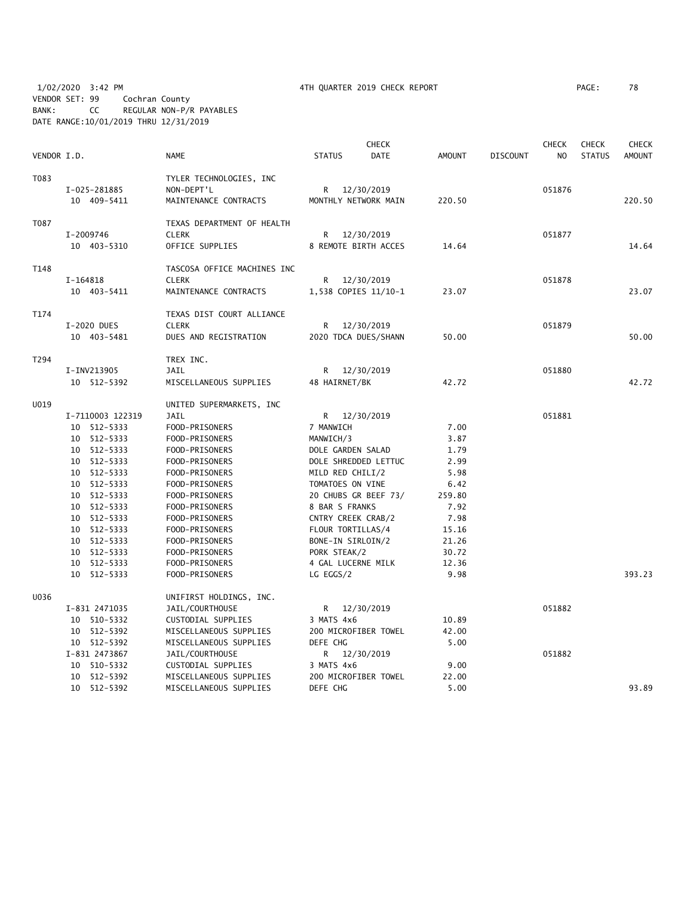1/02/2020 3:42 PM 4TH QUARTER 2019 CHECK REPORT PAGE: 78 VENDOR SET: 99 Cochran County BANK: CC REGULAR NON-P/R PAYABLES DATE RANGE:10/01/2019 THRU 12/31/2019

|             |                            |                                  |                                          | CHECK       |               |                 | <b>CHECK</b> | <b>CHECK</b>  | <b>CHECK</b>  |
|-------------|----------------------------|----------------------------------|------------------------------------------|-------------|---------------|-----------------|--------------|---------------|---------------|
| VENDOR I.D. |                            | <b>NAME</b>                      | <b>STATUS</b>                            | <b>DATE</b> | <b>AMOUNT</b> | <b>DISCOUNT</b> | NO.          | <b>STATUS</b> | <b>AMOUNT</b> |
| T083        |                            | TYLER TECHNOLOGIES, INC          |                                          |             |               |                 |              |               |               |
|             | I-025-281885               | NON-DEPT'L                       | R                                        | 12/30/2019  |               |                 | 051876       |               |               |
|             | 10 409-5411                | MAINTENANCE CONTRACTS            | MONTHLY NETWORK MAIN                     |             | 220.50        |                 |              |               | 220.50        |
| T087        |                            | TEXAS DEPARTMENT OF HEALTH       |                                          |             |               |                 |              |               |               |
|             | I-2009746                  | <b>CLERK</b>                     | R                                        | 12/30/2019  |               |                 | 051877       |               |               |
|             | 10 403-5310                | OFFICE SUPPLIES                  | 8 REMOTE BIRTH ACCES                     |             | 14.64         |                 |              |               | 14.64         |
| T148        |                            | TASCOSA OFFICE MACHINES INC      |                                          |             |               |                 |              |               |               |
|             | $I-164818$                 | <b>CLERK</b>                     | R                                        | 12/30/2019  |               |                 | 051878       |               |               |
|             | 10 403-5411                | MAINTENANCE CONTRACTS            | 1,538 COPIES 11/10-1                     |             | 23.07         |                 |              |               | 23.07         |
| T174        |                            | TEXAS DIST COURT ALLIANCE        |                                          |             |               |                 |              |               |               |
|             | I-2020 DUES                | <b>CLERK</b>                     | R                                        | 12/30/2019  |               |                 | 051879       |               |               |
|             | 10 403-5481                | DUES AND REGISTRATION            | 2020 TDCA DUES/SHANN                     |             | 50.00         |                 |              |               | 50.00         |
| T294        |                            | TREX INC.                        |                                          |             |               |                 |              |               |               |
|             | I-INV213905                | <b>JAIL</b>                      | R 12/30/2019                             |             |               |                 | 051880       |               |               |
|             | 10 512-5392                | MISCELLANEOUS SUPPLIES           | 48 HAIRNET/BK                            |             | 42.72         |                 |              |               | 42.72         |
| U019        |                            | UNITED SUPERMARKETS, INC         |                                          |             |               |                 |              |               |               |
|             | I-7110003 122319           | JAIL                             | R 12/30/2019                             |             |               |                 | 051881       |               |               |
|             | 10 512-5333                | FOOD-PRISONERS                   | 7 MANWICH                                |             | 7.00          |                 |              |               |               |
|             | 10 512-5333                | FOOD-PRISONERS                   | MANWICH/3                                |             | 3.87          |                 |              |               |               |
|             | 10 512-5333<br>10 512-5333 | FOOD-PRISONERS                   | DOLE GARDEN SALAD                        |             | 1.79          |                 |              |               |               |
|             | 10 512-5333                | FOOD-PRISONERS<br>FOOD-PRISONERS | DOLE SHREDDED LETTUC<br>MILD RED CHILI/2 |             | 2.99<br>5.98  |                 |              |               |               |
|             | 10 512-5333                | FOOD-PRISONERS                   | TOMATOES ON VINE                         |             | 6.42          |                 |              |               |               |
|             | 10 512-5333                | FOOD-PRISONERS                   | 20 CHUBS GR BEEF 73/                     |             | 259.80        |                 |              |               |               |
|             | 10 512-5333                | FOOD-PRISONERS                   | 8 BAR S FRANKS                           |             | 7.92          |                 |              |               |               |
|             | 10 512-5333                | FOOD-PRISONERS                   | CNTRY CREEK CRAB/2                       |             | 7.98          |                 |              |               |               |
|             | 10 512-5333                | FOOD-PRISONERS                   | FLOUR TORTILLAS/4                        |             | 15.16         |                 |              |               |               |
|             | 10 512-5333                | FOOD-PRISONERS                   | BONE-IN SIRLOIN/2                        |             | 21.26         |                 |              |               |               |
|             | 10 512-5333                | FOOD-PRISONERS                   | PORK STEAK/2                             |             | 30.72         |                 |              |               |               |
|             | 10 512-5333                | FOOD-PRISONERS                   | 4 GAL LUCERNE MILK                       |             | 12.36         |                 |              |               |               |
|             | 10 512-5333                | FOOD-PRISONERS                   | LG EGGS/2                                |             | 9.98          |                 |              |               | 393.23        |
| U036        |                            | UNIFIRST HOLDINGS, INC.          |                                          |             |               |                 |              |               |               |
|             | I-831 2471035              | JAIL/COURTHOUSE                  | R <sub>a</sub>                           | 12/30/2019  |               |                 | 051882       |               |               |
|             | 10 510-5332                | CUSTODIAL SUPPLIES               | 3 MATS 4x6                               |             | 10.89         |                 |              |               |               |
|             | 10 512-5392                | MISCELLANEOUS SUPPLIES           | 200 MICROFIBER TOWEL                     |             | 42.00         |                 |              |               |               |
|             | 10 512-5392                | MISCELLANEOUS SUPPLIES           | DEFE CHG                                 |             | 5.00          |                 |              |               |               |
|             | I-831 2473867              | JAIL/COURTHOUSE                  | R                                        | 12/30/2019  |               |                 | 051882       |               |               |
|             | 10 510-5332                | CUSTODIAL SUPPLIES               | 3 MATS 4x6                               |             | 9.00          |                 |              |               |               |
|             | 10 512-5392                | MISCELLANEOUS SUPPLIES           | 200 MICROFIBER TOWEL                     |             | 22.00         |                 |              |               |               |
|             | 10 512-5392                | MISCELLANEOUS SUPPLIES           | DEFE CHG                                 |             | 5.00          |                 |              |               | 93.89         |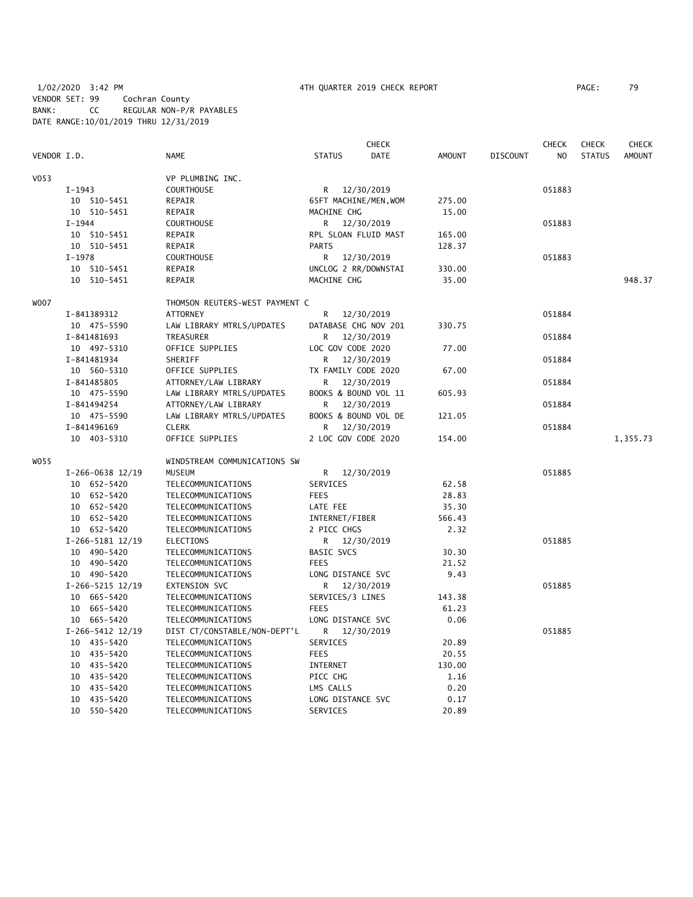1/02/2020 3:42 PM 4TH QUARTER 2019 CHECK REPORT PAGE: 79 VENDOR SET: 99 Cochran County BANK: CC REGULAR NON-P/R PAYABLES DATE RANGE:10/01/2019 THRU 12/31/2019

|                  |                      |                                |                      | <b>CHECK</b>          |               |                 | <b>CHECK</b>   | <b>CHECK</b>  | <b>CHECK</b>  |
|------------------|----------------------|--------------------------------|----------------------|-----------------------|---------------|-----------------|----------------|---------------|---------------|
| VENDOR I.D.      |                      | <b>NAME</b>                    | <b>STATUS</b>        | <b>DATE</b>           | <b>AMOUNT</b> | <b>DISCOUNT</b> | N <sub>O</sub> | <b>STATUS</b> | <b>AMOUNT</b> |
| V <sub>053</sub> |                      | VP PLUMBING INC.               |                      |                       |               |                 |                |               |               |
|                  | $I-1943$             | <b>COURTHOUSE</b>              |                      | R 12/30/2019          |               |                 | 051883         |               |               |
|                  | 10 510-5451          | REPAIR                         |                      | 65FT MACHINE/MEN, WOM | 275.00        |                 |                |               |               |
|                  | 10 510-5451          | REPAIR                         | MACHINE CHG          |                       | 15.00         |                 |                |               |               |
|                  | $I-1944$             | <b>COURTHOUSE</b>              | R                    | 12/30/2019            |               |                 | 051883         |               |               |
|                  | 10 510-5451          | REPAIR                         | RPL SLOAN FLUID MAST |                       | 165.00        |                 |                |               |               |
|                  | 10 510-5451          | REPAIR                         | <b>PARTS</b>         |                       | 128.37        |                 |                |               |               |
|                  | I-1978               | <b>COURTHOUSE</b>              |                      | R 12/30/2019          |               |                 | 051883         |               |               |
|                  | 10 510-5451          | REPAIR                         | UNCLOG 2 RR/DOWNSTAI |                       | 330.00        |                 |                |               |               |
|                  | 10 510-5451          | REPAIR                         | MACHINE CHG          |                       | 35.00         |                 |                |               | 948.37        |
| W007             |                      | THOMSON REUTERS-WEST PAYMENT C |                      |                       |               |                 |                |               |               |
|                  | I-841389312          | <b>ATTORNEY</b>                | R                    | 12/30/2019            |               |                 | 051884         |               |               |
|                  | 10 475-5590          | LAW LIBRARY MTRLS/UPDATES      |                      | DATABASE CHG NOV 201  | 330.75        |                 |                |               |               |
|                  | I-841481693          | TREASURER                      | R                    | 12/30/2019            |               |                 | 051884         |               |               |
|                  | 10 497-5310          | OFFICE SUPPLIES                | LOC GOV CODE 2020    |                       | 77.00         |                 |                |               |               |
|                  | I-841481934          | SHERIFF                        | R                    | 12/30/2019            |               |                 | 051884         |               |               |
|                  | 10 560-5310          | OFFICE SUPPLIES                | TX FAMILY CODE 2020  |                       | 67.00         |                 |                |               |               |
|                  | I-841485805          | ATTORNEY/LAW LIBRARY           | R.                   | 12/30/2019            |               |                 | 051884         |               |               |
|                  | 10 475-5590          | LAW LIBRARY MTRLS/UPDATES      |                      | BOOKS & BOUND VOL 11  | 605.93        |                 |                |               |               |
|                  | I-841494254          | ATTORNEY/LAW LIBRARY           | R                    | 12/30/2019            |               |                 | 051884         |               |               |
|                  | 10 475-5590          | LAW LIBRARY MTRLS/UPDATES      |                      | BOOKS & BOUND VOL DE  | 121.05        |                 |                |               |               |
|                  | I-841496169          | <b>CLERK</b>                   | R                    | 12/30/2019            |               |                 | 051884         |               |               |
|                  | 10 403-5310          | OFFICE SUPPLIES                | 2 LOC GOV CODE 2020  |                       | 154.00        |                 |                |               | 1,355.73      |
| WO55             |                      | WINDSTREAM COMMUNICATIONS SW   |                      |                       |               |                 |                |               |               |
|                  | $I-266-0638$ 12/19   | <b>MUSEUM</b>                  | R.                   | 12/30/2019            |               |                 | 051885         |               |               |
|                  | 10 652-5420          | TELECOMMUNICATIONS             | SERVICES             |                       | 62.58         |                 |                |               |               |
|                  | 10 652-5420          | TELECOMMUNICATIONS             | <b>FEES</b>          |                       | 28.83         |                 |                |               |               |
|                  | 10 652-5420          | TELECOMMUNICATIONS             | LATE FEE             |                       | 35.30         |                 |                |               |               |
|                  | 10 652-5420          | TELECOMMUNICATIONS             | INTERNET/FIBER       |                       | 566.43        |                 |                |               |               |
|                  | 10 652-5420          | TELECOMMUNICATIONS             | 2 PICC CHGS          |                       | 2.32          |                 |                |               |               |
|                  | $I-266-5181$ $12/19$ | ELECTIONS                      | R                    | 12/30/2019            |               |                 | 051885         |               |               |
|                  | 10 490-5420          | TELECOMMUNICATIONS             | BASIC SVCS           |                       | 30.30         |                 |                |               |               |
|                  | 10 490-5420          | TELECOMMUNICATIONS             | <b>FEES</b>          |                       | 21.52         |                 |                |               |               |
|                  | 10 490-5420          | TELECOMMUNICATIONS             | LONG DISTANCE SVC    |                       | 9.43          |                 |                |               |               |
|                  | $I-266-5215$ $12/19$ | <b>EXTENSION SVC</b>           | R                    | 12/30/2019            |               |                 | 051885         |               |               |
|                  | 10 665-5420          | TELECOMMUNICATIONS             | SERVICES/3 LINES     |                       | 143.38        |                 |                |               |               |
|                  | 10 665-5420          | TELECOMMUNICATIONS             | <b>FEES</b>          |                       | 61.23         |                 |                |               |               |
|                  | 10 665-5420          | TELECOMMUNICATIONS             | LONG DISTANCE SVC    |                       | 0.06          |                 |                |               |               |
|                  | $I-266-5412$ 12/19   | DIST CT/CONSTABLE/NON-DEPT'L   | R                    | 12/30/2019            |               |                 | 051885         |               |               |
|                  | 10 435-5420          | TELECOMMUNICATIONS             | SERVICES             |                       | 20.89         |                 |                |               |               |
|                  | 10 435-5420          | TELECOMMUNICATIONS             | <b>FEES</b>          |                       | 20.55         |                 |                |               |               |
|                  | 10 435-5420          | TELECOMMUNICATIONS             | INTERNET             |                       | 130.00        |                 |                |               |               |
|                  | 10 435-5420          | TELECOMMUNICATIONS             | PICC CHG             |                       | 1.16          |                 |                |               |               |
|                  | 10 435-5420          | TELECOMMUNICATIONS             | LMS CALLS            |                       | 0.20          |                 |                |               |               |
|                  | 10 435-5420          | TELECOMMUNICATIONS             | LONG DISTANCE SVC    |                       | 0.17          |                 |                |               |               |
|                  | 10 550-5420          | TELECOMMUNICATIONS             | SERVICES             |                       | 20.89         |                 |                |               |               |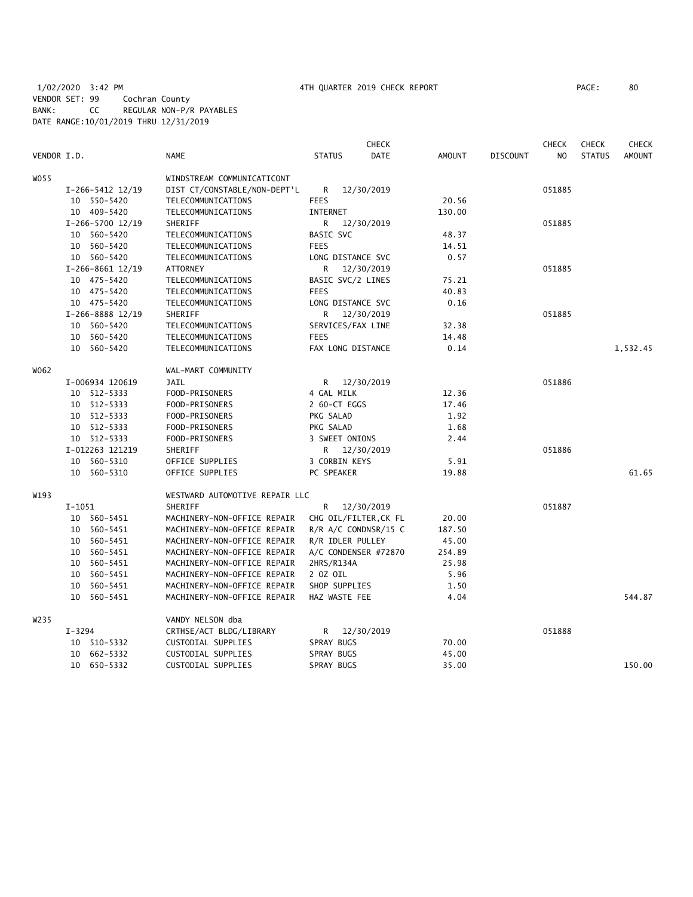|             |          |                      |                                |                | <b>CHECK</b>           |        |                 | <b>CHECK</b>   | <b>CHECK</b>  | <b>CHECK</b>  |
|-------------|----------|----------------------|--------------------------------|----------------|------------------------|--------|-----------------|----------------|---------------|---------------|
| VENDOR I.D. |          |                      | NAME                           | <b>STATUS</b>  | <b>DATE</b>            | AMOUNT | <b>DISCOUNT</b> | N <sub>O</sub> | <b>STATUS</b> | <b>AMOUNT</b> |
| W055        |          |                      | WINDSTREAM COMMUNICATICONT     |                |                        |        |                 |                |               |               |
|             |          | $I-266-5412$ 12/19   | DIST CT/CONSTABLE/NON-DEPT'L   | R              | 12/30/2019             |        |                 | 051885         |               |               |
|             |          | 10 550-5420          | TELECOMMUNICATIONS             | <b>FEES</b>    |                        | 20.56  |                 |                |               |               |
|             |          | 10 409-5420          | TELECOMMUNICATIONS             | INTERNET       |                        | 130.00 |                 |                |               |               |
|             |          | I-266-5700 12/19     | SHERIFF                        | R.             | 12/30/2019             |        |                 | 051885         |               |               |
|             |          | 10 560-5420          | TELECOMMUNICATIONS             | BASIC SVC      |                        | 48.37  |                 |                |               |               |
|             |          | 10 560-5420          | TELECOMMUNICATIONS             | <b>FEES</b>    |                        | 14.51  |                 |                |               |               |
|             |          | 10 560-5420          | TELECOMMUNICATIONS             |                | LONG DISTANCE SVC      | 0.57   |                 |                |               |               |
|             |          | $I-266-8661$ $12/19$ | <b>ATTORNEY</b>                | R              | 12/30/2019             |        |                 | 051885         |               |               |
|             |          | 10 475-5420          | TELECOMMUNICATIONS             |                | BASIC SVC/2 LINES      | 75.21  |                 |                |               |               |
|             |          | 10 475-5420          | TELECOMMUNICATIONS             | <b>FEES</b>    |                        | 40.83  |                 |                |               |               |
|             |          | 10 475-5420          | TELECOMMUNICATIONS             |                | LONG DISTANCE SVC      | 0.16   |                 |                |               |               |
|             |          | I-266-8888 12/19     | SHERIFF                        | R              | 12/30/2019             |        |                 | 051885         |               |               |
|             |          | 10 560-5420          | TELECOMMUNICATIONS             |                | SERVICES/FAX LINE      | 32.38  |                 |                |               |               |
|             |          | 10 560-5420          | TELECOMMUNICATIONS             | <b>FEES</b>    |                        | 14.48  |                 |                |               |               |
|             |          | 10 560-5420          | TELECOMMUNICATIONS             |                | FAX LONG DISTANCE      | 0.14   |                 |                |               | 1,532.45      |
|             |          |                      |                                |                |                        |        |                 |                |               |               |
| W062        |          |                      | WAL-MART COMMUNITY             |                |                        |        |                 |                |               |               |
|             |          | I-006934 120619      | JAIL                           | R              | 12/30/2019             |        |                 | 051886         |               |               |
|             |          | 10 512-5333          | FOOD-PRISONERS                 | 4 GAL MILK     |                        | 12.36  |                 |                |               |               |
|             |          | 10 512-5333          | FOOD-PRISONERS                 | 2 60-CT EGGS   |                        | 17.46  |                 |                |               |               |
|             |          | 10 512-5333          | FOOD-PRISONERS                 | PKG SALAD      |                        | 1.92   |                 |                |               |               |
|             |          | 10 512-5333          | FOOD-PRISONERS                 | PKG SALAD      |                        | 1.68   |                 |                |               |               |
|             |          | 10 512-5333          | FOOD-PRISONERS                 | 3 SWEET ONIONS |                        | 2.44   |                 |                |               |               |
|             |          | I-012263 121219      | SHERIFF                        |                | R 12/30/2019           |        |                 | 051886         |               |               |
|             |          | 10 560-5310          | OFFICE SUPPLIES                | 3 CORBIN KEYS  |                        | 5.91   |                 |                |               |               |
|             |          | 10 560-5310          | OFFICE SUPPLIES                | PC SPEAKER     |                        | 19.88  |                 |                |               | 61.65         |
| W193        |          |                      | WESTWARD AUTOMOTIVE REPAIR LLC |                |                        |        |                 |                |               |               |
|             | $I-1051$ |                      | SHERIFF                        | R              | 12/30/2019             |        |                 | 051887         |               |               |
|             |          | 10 560-5451          | MACHINERY-NON-OFFICE REPAIR    |                | CHG OIL/FILTER, CK FL  | 20.00  |                 |                |               |               |
|             |          | 10 560-5451          | MACHINERY-NON-OFFICE REPAIR    |                | $R/R$ A/C CONDNSR/15 C | 187.50 |                 |                |               |               |
|             |          | 10 560-5451          | MACHINERY-NON-OFFICE REPAIR    |                | R/R IDLER PULLEY       | 45.00  |                 |                |               |               |
|             |          | 10 560-5451          | MACHINERY-NON-OFFICE REPAIR    |                | A/C CONDENSER #72870   | 254.89 |                 |                |               |               |
|             |          | 10 560-5451          | MACHINERY-NON-OFFICE REPAIR    | 2HRS/R134A     |                        | 25.98  |                 |                |               |               |
|             |          | 10 560-5451          | MACHINERY-NON-OFFICE REPAIR    | 2 OZ OIL       |                        | 5.96   |                 |                |               |               |
|             |          | 10 560-5451          | MACHINERY-NON-OFFICE REPAIR    | SHOP SUPPLIES  |                        | 1.50   |                 |                |               |               |
|             |          | 10 560-5451          | MACHINERY-NON-OFFICE REPAIR    | HAZ WASTE FEE  |                        | 4.04   |                 |                |               | 544.87        |
| W235        |          |                      | VANDY NELSON dba               |                |                        |        |                 |                |               |               |
|             | I-3294   |                      | CRTHSE/ACT BLDG/LIBRARY        | R <sub>a</sub> | 12/30/2019             |        |                 | 051888         |               |               |
|             |          | 10 510-5332          | CUSTODIAL SUPPLIES             | SPRAY BUGS     |                        | 70.00  |                 |                |               |               |
|             | 10       | 662-5332             | CUSTODIAL SUPPLIES             | SPRAY BUGS     |                        | 45.00  |                 |                |               |               |
|             |          | 10 650-5332          | CUSTODIAL SUPPLIES             | SPRAY BUGS     |                        | 35.00  |                 |                |               | 150.00        |
|             |          |                      |                                |                |                        |        |                 |                |               |               |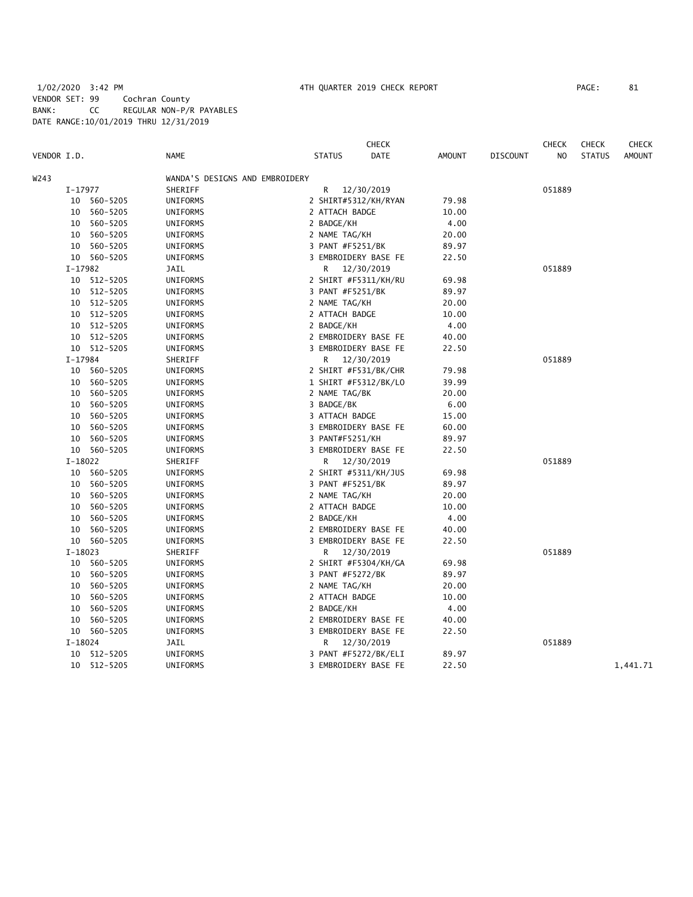# 1/02/2020 3:42 PM 4TH QUARTER 2019 CHECK REPORT PAGE: 81 VENDOR SET: 99 Cochran County BANK: CC REGULAR NON-P/R PAYABLES DATE RANGE:10/01/2019 THRU 12/31/2019

|             |           |             |                                |                  | <b>CHECK</b>         |               |                 | <b>CHECK</b>   | <b>CHECK</b>  | <b>CHECK</b> |
|-------------|-----------|-------------|--------------------------------|------------------|----------------------|---------------|-----------------|----------------|---------------|--------------|
| VENDOR I.D. |           |             | NAME                           | <b>STATUS</b>    | <b>DATE</b>          | <b>AMOUNT</b> | <b>DISCOUNT</b> | N <sub>O</sub> | <b>STATUS</b> | AMOUNT       |
| W243        |           |             | WANDA'S DESIGNS AND EMBROIDERY |                  |                      |               |                 |                |               |              |
|             | $I-17977$ |             | SHERIFF                        | R                | 12/30/2019           |               |                 | 051889         |               |              |
|             | 10        | 560-5205    | UNIFORMS                       |                  | 2 SHIRT#5312/KH/RYAN | 79.98         |                 |                |               |              |
|             |           | 10 560-5205 | UNIFORMS                       | 2 ATTACH BADGE   |                      | 10.00         |                 |                |               |              |
|             | 10        | 560-5205    | UNIFORMS                       | 2 BADGE/KH       |                      | 4.00          |                 |                |               |              |
|             | 10        | 560-5205    | UNIFORMS                       | 2 NAME TAG/KH    |                      | 20.00         |                 |                |               |              |
|             |           | 10 560-5205 | <b>UNIFORMS</b>                | 3 PANT #F5251/BK |                      | 89.97         |                 |                |               |              |
|             |           | 10 560-5205 | UNIFORMS                       |                  | 3 EMBROIDERY BASE FE | 22.50         |                 |                |               |              |
|             | $I-17982$ |             | JAIL                           | R                | 12/30/2019           |               |                 | 051889         |               |              |
|             | 10        | 512-5205    | UNIFORMS                       |                  | 2 SHIRT #F5311/KH/RU | 69.98         |                 |                |               |              |
|             |           | 10 512-5205 | UNIFORMS                       | 3 PANT #F5251/BK |                      | 89.97         |                 |                |               |              |
|             |           | 10 512-5205 | <b>UNIFORMS</b>                | 2 NAME TAG/KH    |                      | 20.00         |                 |                |               |              |
|             |           | 10 512-5205 | UNIFORMS                       | 2 ATTACH BADGE   |                      | 10.00         |                 |                |               |              |
|             |           | 10 512-5205 | UNIFORMS                       | 2 BADGE/KH       |                      | 4.00          |                 |                |               |              |
|             | 10        | 512-5205    | UNIFORMS                       |                  | 2 EMBROIDERY BASE FE | 40.00         |                 |                |               |              |
|             |           | 10 512-5205 | UNIFORMS                       |                  | 3 EMBROIDERY BASE FE | 22.50         |                 |                |               |              |
|             | $I-17984$ |             | SHERIFF                        | R                | 12/30/2019           |               |                 | 051889         |               |              |
|             | 10        | 560-5205    | UNIFORMS                       |                  | 2 SHIRT #F531/BK/CHR | 79.98         |                 |                |               |              |
|             | 10        | 560-5205    | UNIFORMS                       |                  | 1 SHIRT #F5312/BK/LO | 39.99         |                 |                |               |              |
|             | 10        | 560-5205    | UNIFORMS                       | 2 NAME TAG/BK    |                      | 20.00         |                 |                |               |              |
|             | 10        | 560-5205    | UNIFORMS                       | 3 BADGE/BK       |                      | 6.00          |                 |                |               |              |
|             | 10        | 560-5205    | UNIFORMS                       | 3 ATTACH BADGE   |                      | 15.00         |                 |                |               |              |
|             | 10        | 560-5205    | UNIFORMS                       |                  | 3 EMBROIDERY BASE FE | 60.00         |                 |                |               |              |
|             | 10        | 560-5205    | UNIFORMS                       | 3 PANT#F5251/KH  |                      | 89.97         |                 |                |               |              |
|             | 10        | 560-5205    | UNIFORMS                       |                  | 3 EMBROIDERY BASE FE | 22.50         |                 |                |               |              |
|             | $I-18022$ |             | SHERIFF                        | R                | 12/30/2019           |               |                 | 051889         |               |              |
|             |           | 10 560-5205 | UNIFORMS                       |                  | 2 SHIRT #5311/KH/JUS | 69.98         |                 |                |               |              |
|             | 10        | 560-5205    | UNIFORMS                       | 3 PANT #F5251/BK |                      | 89.97         |                 |                |               |              |
|             | 10        | 560-5205    | UNIFORMS                       | 2 NAME TAG/KH    |                      | 20.00         |                 |                |               |              |
|             | 10        | 560-5205    | UNIFORMS                       | 2 ATTACH BADGE   |                      | 10.00         |                 |                |               |              |
|             | 10        | 560-5205    | <b>UNIFORMS</b>                | 2 BADGE/KH       |                      | 4.00          |                 |                |               |              |
|             | 10        | 560-5205    | UNIFORMS                       |                  | 2 EMBROIDERY BASE FE | 40.00         |                 |                |               |              |
|             |           | 10 560-5205 | UNIFORMS                       |                  | 3 EMBROIDERY BASE FE | 22.50         |                 |                |               |              |
|             | $I-18023$ |             | SHERIFF                        | R                | 12/30/2019           |               |                 | 051889         |               |              |
|             | 10        | 560-5205    | UNIFORMS                       |                  | 2 SHIRT #F5304/KH/GA | 69.98         |                 |                |               |              |
|             | 10        | 560-5205    | <b>UNIFORMS</b>                | 3 PANT #F5272/BK |                      | 89.97         |                 |                |               |              |
|             | 10        | 560-5205    | UNIFORMS                       | 2 NAME TAG/KH    |                      | 20.00         |                 |                |               |              |
|             | 10        | 560-5205    | UNIFORMS                       | 2 ATTACH BADGE   |                      | 10.00         |                 |                |               |              |
|             | 10        | 560-5205    | UNIFORMS                       | 2 BADGE/KH       |                      | 4.00          |                 |                |               |              |
|             | 10        | 560-5205    | UNIFORMS                       |                  | 2 EMBROIDERY BASE FE | 40.00         |                 |                |               |              |
|             |           | 10 560-5205 | UNIFORMS                       |                  | 3 EMBROIDERY BASE FE | 22.50         |                 |                |               |              |
|             | $I-18024$ |             | JAIL                           | R.               | 12/30/2019           |               |                 | 051889         |               |              |
|             | 10        | 512-5205    | <b>UNIFORMS</b>                |                  | 3 PANT #F5272/BK/ELI | 89.97         |                 |                |               |              |
|             | 10        | 512-5205    | UNIFORMS                       |                  | 3 EMBROIDERY BASE FE | 22.50         |                 |                |               | 1,441.71     |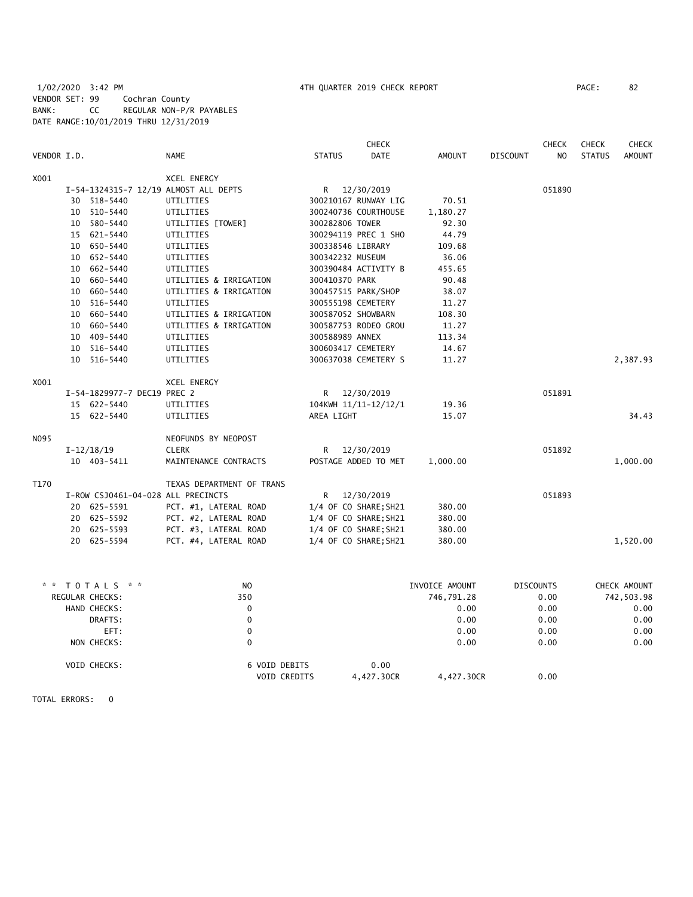1/02/2020 3:42 PM 4TH QUARTER 2019 CHECK REPORT PAGE: 82 VENDOR SET: 99 Cochran County BANK: CC REGULAR NON-P/R PAYABLES DATE RANGE:10/01/2019 THRU 12/31/2019

|             |                                    |                                       |                    | <b>CHECK</b>          |                |                 | <b>CHECK</b>     | CHECK         | <b>CHECK</b>  |
|-------------|------------------------------------|---------------------------------------|--------------------|-----------------------|----------------|-----------------|------------------|---------------|---------------|
| VENDOR I.D. |                                    | <b>NAME</b>                           | <b>STATUS</b>      | <b>DATE</b>           | <b>AMOUNT</b>  | <b>DISCOUNT</b> | N <sub>O</sub>   | <b>STATUS</b> | <b>AMOUNT</b> |
| X001        |                                    | XCEL ENERGY                           |                    |                       |                |                 |                  |               |               |
|             |                                    | I-54-1324315-7 12/19 ALMOST ALL DEPTS |                    | R 12/30/2019          |                |                 | 051890           |               |               |
|             | 30 518-5440                        | UTILITIES                             |                    | 300210167 RUNWAY LIG  | 70.51          |                 |                  |               |               |
|             | 10 510-5440                        | UTILITIES                             |                    | 300240736 COURTHOUSE  | 1,180.27       |                 |                  |               |               |
|             | 10 580-5440                        | UTILITIES [TOWER]                     | 300282806 TOWER    |                       | 92.30          |                 |                  |               |               |
|             | 15 621-5440                        | UTILITIES                             |                    | 300294119 PREC 1 SHO  | 44.79          |                 |                  |               |               |
|             | 10 650-5440                        | UTILITIES                             | 300338546 LIBRARY  |                       | 109.68         |                 |                  |               |               |
|             | 10 652-5440                        | UTILITIES                             | 300342232 MUSEUM   |                       | 36.06          |                 |                  |               |               |
|             | 10 662-5440                        | UTILITIES                             |                    | 300390484 ACTIVITY B  | 455.65         |                 |                  |               |               |
|             | 10 660-5440                        | UTILITIES & IRRIGATION                | 300410370 PARK     |                       | 90.48          |                 |                  |               |               |
|             | 10 660-5440                        | UTILITIES & IRRIGATION                |                    | 300457515 PARK/SHOP   | 38.07          |                 |                  |               |               |
|             | 10 516-5440                        | UTILITIES                             | 300555198 CEMETERY |                       | 11.27          |                 |                  |               |               |
|             | 10 660-5440                        | UTILITIES & IRRIGATION                | 300587052 SHOWBARN |                       | 108.30         |                 |                  |               |               |
|             | 10 660-5440                        | UTILITIES & IRRIGATION                |                    | 300587753 RODEO GROU  | 11.27          |                 |                  |               |               |
|             | 10 409-5440                        | UTILITIES                             | 300588989 ANNEX    |                       | 113.34         |                 |                  |               |               |
|             | 10 516-5440                        | UTILITIES                             | 300603417 CEMETERY |                       | 14.67          |                 |                  |               |               |
|             | 10 516-5440                        | UTILITIES                             |                    | 300637038 CEMETERY S  | 11.27          |                 |                  |               | 2,387.93      |
| X001        |                                    | <b>XCEL ENERGY</b>                    |                    |                       |                |                 |                  |               |               |
|             | I-54-1829977-7 DEC19 PREC 2        |                                       |                    | R 12/30/2019          |                |                 | 051891           |               |               |
|             | 15 622-5440                        | UTILITIES                             |                    | 104KWH 11/11-12/12/1  | 19.36          |                 |                  |               |               |
|             | 15 622-5440                        | UTILITIES                             | AREA LIGHT         |                       | 15.07          |                 |                  |               | 34.43         |
| N095        |                                    | NEOFUNDS BY NEOPOST                   |                    |                       |                |                 |                  |               |               |
|             | $I-12/18/19$                       | <b>CLERK</b>                          | R —                | 12/30/2019            |                |                 | 051892           |               |               |
|             | 10 403-5411                        | MAINTENANCE CONTRACTS                 |                    | POSTAGE ADDED TO MET  | 1,000.00       |                 |                  |               | 1,000.00      |
| T170        |                                    | TEXAS DEPARTMENT OF TRANS             |                    |                       |                |                 |                  |               |               |
|             | I-ROW CSJ0461-04-028 ALL PRECINCTS |                                       |                    | R 12/30/2019          |                |                 | 051893           |               |               |
|             | 20 625-5591                        | PCT. #1, LATERAL ROAD                 |                    | 1/4 OF CO SHARE; SH21 | 380.00         |                 |                  |               |               |
|             | 20 625-5592                        | PCT. #2, LATERAL ROAD                 |                    | 1/4 OF CO SHARE; SH21 | 380.00         |                 |                  |               |               |
|             | 20 625-5593                        | PCT. #3, LATERAL ROAD                 |                    | 1/4 OF CO SHARE; SH21 | 380.00         |                 |                  |               |               |
|             | 20 625-5594                        | PCT. #4, LATERAL ROAD                 |                    | 1/4 OF CO SHARE; SH21 | 380.00         |                 |                  |               | 1,520.00      |
|             |                                    |                                       |                    |                       |                |                 |                  |               |               |
|             | * * TOTALS * *                     | NO.                                   |                    |                       | INVOICE AMOUNT |                 | <b>DISCOUNTS</b> |               | CHECK AMOUNT  |
|             | REGULAR CHECKS:                    | 350                                   |                    |                       | 746,791.28     |                 | 0.00             |               | 742,503.98    |
|             | HAND CHECKS:                       | $\mathbf 0$                           |                    |                       | 0.00           |                 | 0.00             |               | 0.00          |
|             | DRAFTS:                            | $\Omega$                              |                    |                       | 0.00           |                 | 0.00             |               | 0.00          |

| EFT:         |               |            | 0.00       | 0.00 | 0.00 |
|--------------|---------------|------------|------------|------|------|
| NON CHECKS:  |               |            | 0.00       | 0.00 | 0.00 |
| VOID CHECKS: | 6 VOID DEBITS | 0.00       |            |      |      |
|              | VOID CREDITS  | 4.427.30CR | 4,427.30CR | 0.00 |      |

TOTAL ERRORS: 0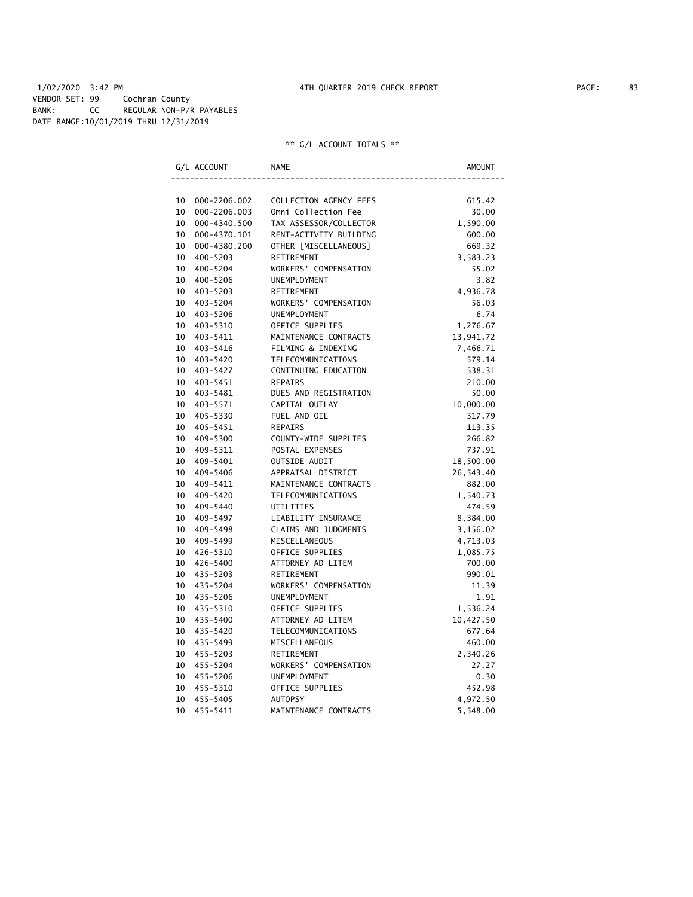# 1/02/2020 3:42 PM 4TH QUARTER 2019 CHECK REPORT PAGE: 83 VENDOR SET: 99 Cochran County BANK: CC REGULAR NON-P/R PAYABLES DATE RANGE:10/01/2019 THRU 12/31/2019

|    | G/L ACCOUNT  | <b>NAME</b>            | AMOUNT    |
|----|--------------|------------------------|-----------|
|    |              |                        |           |
| 10 | 000-2206.002 | COLLECTION AGENCY FEES | 615.42    |
| 10 | 000-2206.003 | Omni Collection Fee    | 30.00     |
| 10 | 000-4340.500 | TAX ASSESSOR/COLLECTOR | 1,590.00  |
| 10 | 000-4370.101 | RENT-ACTIVITY BUILDING | 600.00    |
| 10 | 000-4380.200 | OTHER [MISCELLANEOUS]  | 669.32    |
| 10 | 400-5203     | RETIREMENT             | 3,583.23  |
| 10 | 400-5204     | WORKERS' COMPENSATION  | 55.02     |
| 10 | 400-5206     | UNEMPLOYMENT           | 3.82      |
| 10 | 403-5203     | RETIREMENT             | 4,936.78  |
| 10 | 403-5204     | WORKERS' COMPENSATION  | 56.03     |
| 10 | 403-5206     | UNEMPLOYMENT           | 6.74      |
| 10 | 403-5310     | OFFICE SUPPLIES        | 1,276.67  |
| 10 | 403-5411     | MAINTENANCE CONTRACTS  | 13,941.72 |
| 10 | 403-5416     | FILMING & INDEXING     | 7,466.71  |
| 10 | 403-5420     | TELECOMMUNICATIONS     | 579.14    |
|    | 10 403-5427  | CONTINUING EDUCATION   | 538.31    |
| 10 | 403-5451     | REPAIRS                | 210.00    |
| 10 | 403-5481     | DUES AND REGISTRATION  | 50.00     |
|    | 10 403-5571  | CAPITAL OUTLAY         | 10,000.00 |
| 10 | 405-5330     | FUEL AND OIL           | 317.79    |
| 10 | 405-5451     | <b>REPAIRS</b>         | 113.35    |
| 10 | 409-5300     | COUNTY-WIDE SUPPLIES   | 266.82    |
| 10 | 409-5311     | POSTAL EXPENSES        | 737.91    |
| 10 | 409-5401     | OUTSIDE AUDIT          | 18,500.00 |
| 10 | 409-5406     | APPRAISAL DISTRICT     | 26,543.40 |
| 10 | 409-5411     | MAINTENANCE CONTRACTS  | 882.00    |
| 10 | 409-5420     | TELECOMMUNICATIONS     | 1,540.73  |
| 10 | 409-5440     | UTILITIES              | 474.59    |
| 10 | 409–5497     | LIABILITY INSURANCE    | 8,384.00  |
| 10 | 409–5498     | CLAIMS AND JUDGMENTS   | 3,156.02  |
| 10 | 409–5499     | MISCELLANEOUS          | 4,713.03  |
|    | 10 426-5310  | OFFICE SUPPLIES        | 1,085.75  |
| 10 | 426–5400     | ATTORNEY AD LITEM      | 700.00    |
|    | 10 435-5203  | RETIREMENT             | 990.01    |
| 10 | 435-5204     | WORKERS' COMPENSATION  | 11.39     |
| 10 | 435-5206     | UNEMPLOYMENT           | 1.91      |
| 10 | 435-5310     | OFFICE SUPPLIES        | 1,536.24  |
| 10 | 435-5400     | ATTORNEY AD LITEM      | 10,427.50 |
| 10 | 435-5420     | TELECOMMUNICATIONS     | 677.64    |
| 10 | 435-5499     | MISCELLANEOUS          | 460.00    |
| 10 | 455-5203     | RETIREMENT             | 2,340.26  |
| 10 | 455-5204     | WORKERS' COMPENSATION  | 27.27     |
|    | 10 455-5206  | UNEMPLOYMENT           | 0.30      |
| 10 | 455-5310     | OFFICE SUPPLIES        | 452.98    |
| 10 | 455-5405     | <b>AUTOPSY</b>         | 4,972.50  |
| 10 | 455-5411     | MAINTENANCE CONTRACTS  | 5,548.00  |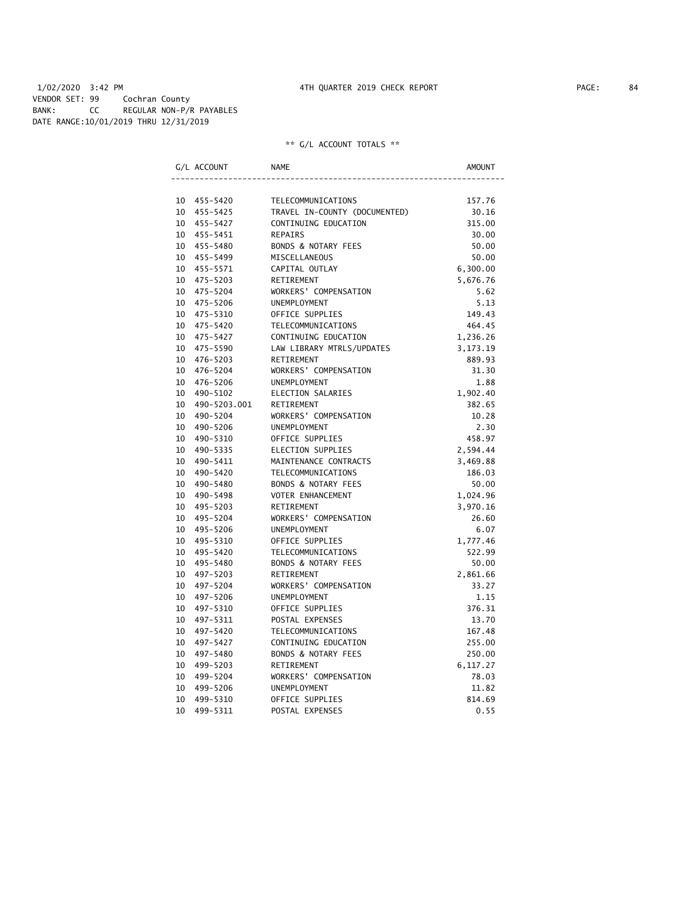# 1/02/2020 3:42 PM 4TH QUARTER 2019 CHECK REPORT PAGE: 84 VENDOR SET: 99 Cochran County BANK: CC REGULAR NON-P/R PAYABLES DATE RANGE:10/01/2019 THRU 12/31/2019

| G/L ACCOUNT     | <b>NAME</b>                    | AMOUNT     |
|-----------------|--------------------------------|------------|
|                 |                                |            |
| 10 455-5420     | TELECOMMUNICATIONS             | 157.76     |
| 10 455-5425     | TRAVEL IN-COUNTY (DOCUMENTED)  | 30.16      |
| 10 455-5427     | CONTINUING EDUCATION           | 315.00     |
| 10 455-5451     | <b>REPAIRS</b>                 | 30.00      |
| 10 455-5480     | BONDS & NOTARY FEES            | 50.00      |
| 10 455-5499     | MISCELLANEOUS                  | 50.00      |
| 10 455-5571     | CAPITAL OUTLAY                 | 6,300.00   |
| 10 475-5203     | RETIREMENT                     | 5,676.76   |
| 10 475-5204     | WORKERS' COMPENSATION          | 5.62       |
| 10 475-5206     | <b>UNEMPLOYMENT</b>            | 5.13       |
| 475-5310<br>10  | OFFICE SUPPLIES                | 149.43     |
| 10 475-5420     | TELECOMMUNICATIONS             | 464.45     |
| 10 475-5427     | CONTINUING EDUCATION           | 1,236.26   |
| 10<br>475-5590  | LAW LIBRARY MTRLS/UPDATES      | 3, 173. 19 |
| 10<br>476-5203  | RETIREMENT                     | 889.93     |
| 10<br>476-5204  | WORKERS' COMPENSATION          | 31.30      |
| 10 476-5206     | UNEMPLOYMENT                   | 1.88       |
| 10<br>490-5102  | ELECTION SALARIES              | 1,902.40   |
| 10 490-5203.001 | RETIREMENT                     | 382.65     |
| 10<br>490-5204  | WORKERS' COMPENSATION          | 10.28      |
| 10<br>490-5206  | UNEMPLOYMENT                   | 2.30       |
| 10<br>490-5310  | OFFICE SUPPLIES                | 458.97     |
| 490-5335<br>10  | ELECTION SUPPLIES              | 2,594.44   |
| 10<br>490-5411  | MAINTENANCE CONTRACTS          | 3,469.88   |
| 10<br>490-5420  | TELECOMMUNICATIONS             | 186.03     |
| 10<br>490-5480  | BONDS & NOTARY FEES            | 50.00      |
| 10<br>490-5498  | VOTER ENHANCEMENT              | 1,024.96   |
| 10<br>495-5203  | RETIREMENT                     | 3,970.16   |
| 495-5204<br>10  | WORKERS' COMPENSATION          | 26.60      |
| 10 495-5206     | UNEMPLOYMENT                   | 6.07       |
| 10 495-5310     | OFFICE SUPPLIES                | 1,777.46   |
| 10 495-5420     | TELECOMMUNICATIONS             | 522.99     |
| 10 495-5480     | BONDS & NOTARY FEES            | 50.00      |
| 10 497-5203     | RETIREMENT                     | 2,861.66   |
| 10<br>497-5204  | WORKERS' COMPENSATION          | 33.27      |
| 10<br>497-5206  | UNEMPLOYMENT                   | 1.15       |
| 10<br>497-5310  | OFFICE SUPPLIES                | 376.31     |
| 10<br>497-5311  | POSTAL EXPENSES                | 13.70      |
| 10<br>497-5420  | TELECOMMUNICATIONS             | 167.48     |
| 10<br>497-5427  | CONTINUING EDUCATION           | 255.00     |
| 10<br>497-5480  | <b>BONDS &amp; NOTARY FEES</b> | 250.00     |
| 10<br>499-5203  | RETIREMENT                     | 6,117.27   |
| 10<br>499-5204  | WORKERS' COMPENSATION          | 78.03      |
| 10<br>499-5206  | UNEMPLOYMENT                   | 11.82      |
| 10<br>499-5310  | OFFICE SUPPLIES                | 814.69     |
| 10<br>499-5311  | POSTAL EXPENSES                | 0.55       |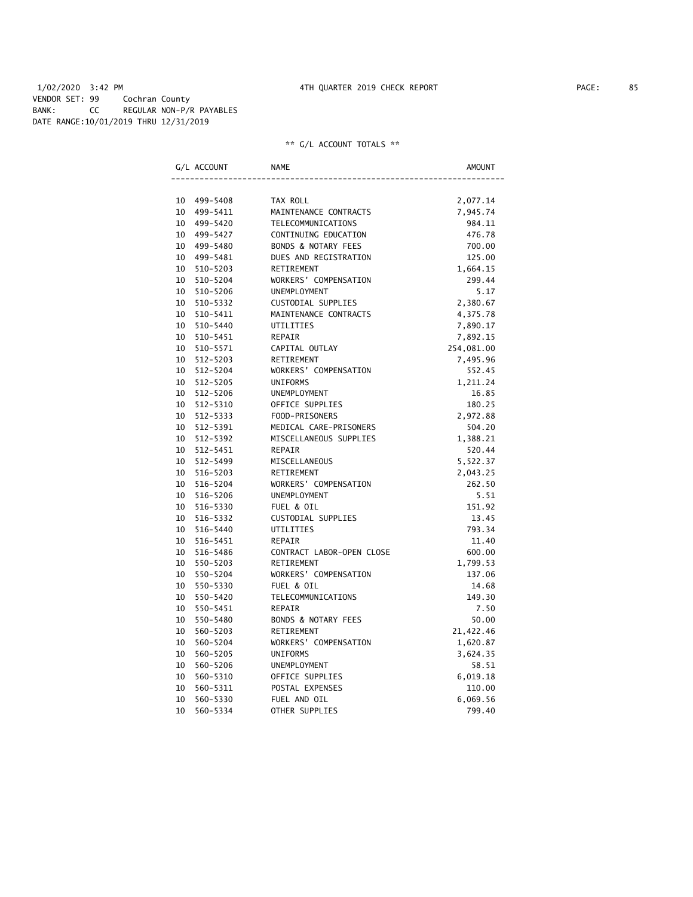# 1/02/2020 3:42 PM 4TH QUARTER 2019 CHECK REPORT PAGE: 85 VENDOR SET: 99 Cochran County BANK: CC REGULAR NON-P/R PAYABLES DATE RANGE:10/01/2019 THRU 12/31/2019

|    | G/L ACCOUNT | <b>NAME</b>               | AMOUNT     |
|----|-------------|---------------------------|------------|
|    |             |                           |            |
|    | 10 499-5408 | TAX ROLL                  | 2,077.14   |
|    | 10 499-5411 | MAINTENANCE CONTRACTS     | 7,945.74   |
|    | 10 499-5420 | TELECOMMUNICATIONS        | 984.11     |
|    | 10 499-5427 | CONTINUING EDUCATION      | 476.78     |
|    | 10 499-5480 | BONDS & NOTARY FEES       | 700.00     |
|    | 10 499-5481 | DUES AND REGISTRATION     | 125.00     |
|    | 10 510-5203 | RETIREMENT                | 1,664.15   |
| 10 | 510-5204    | WORKERS' COMPENSATION     | 299.44     |
| 10 | 510-5206    | <b>UNEMPLOYMENT</b>       | 5.17       |
| 10 | 510-5332    | CUSTODIAL SUPPLIES        | 2,380.67   |
| 10 | 510-5411    | MAINTENANCE CONTRACTS     | 4,375.78   |
| 10 | 510-5440    | UTILITIES                 | 7,890.17   |
| 10 | 510-5451    | REPAIR                    | 7,892.15   |
| 10 | 510-5571    | CAPITAL OUTLAY            | 254,081.00 |
| 10 | 512-5203    | RETIREMENT                | 7,495.96   |
|    | 10 512-5204 | WORKERS' COMPENSATION     | 552.45     |
|    | 10 512-5205 | <b>UNIFORMS</b>           | 1,211.24   |
|    | 10 512-5206 | UNEMPLOYMENT              | 16.85      |
|    | 10 512-5310 | OFFICE SUPPLIES           | 180.25     |
|    | 10 512-5333 | FOOD-PRISONERS            | 2,972.88   |
|    | 10 512-5391 | MEDICAL CARE-PRISONERS    | 504.20     |
|    | 10 512-5392 | MISCELLANEOUS SUPPLIES    | 1,388.21   |
|    | 10 512-5451 | REPAIR                    | 520.44     |
|    | 10 512-5499 | MISCELLANEOUS             | 5,522.37   |
|    | 10 516-5203 | RETIREMENT                | 2,043.25   |
|    | 10 516-5204 | WORKERS' COMPENSATION     | 262.50     |
|    | 10 516-5206 | UNEMPLOYMENT              | 5.51       |
| 10 | 516-5330    | FUEL & OIL                | 151.92     |
| 10 | 516-5332    | CUSTODIAL SUPPLIES        | 13.45      |
|    | 10 516-5440 | UTILITIES                 | 793.34     |
|    | 10 516-5451 | REPAIR                    | 11.40      |
|    | 10 516-5486 | CONTRACT LABOR-OPEN CLOSE | 600.00     |
|    | 10 550-5203 | RETIREMENT                | 1,799.53   |
|    | 10 550-5204 | WORKERS' COMPENSATION     | 137.06     |
| 10 | 550-5330    | FUEL & OIL                | 14.68      |
| 10 | 550-5420    | TELECOMMUNICATIONS        | 149.30     |
| 10 | 550-5451    | <b>REPAIR</b>             | 7.50       |
| 10 | 550-5480    | BONDS & NOTARY FEES       | 50.00      |
| 10 | 560-5203    | RETIREMENT                | 21,422.46  |
| 10 | 560-5204    | WORKERS' COMPENSATION     | 1,620.87   |
| 10 | 560-5205    | <b>UNIFORMS</b>           | 3,624.35   |
| 10 | 560-5206    | UNEMPLOYMENT              | 58.51      |
| 10 | 560-5310    | OFFICE SUPPLIES           | 6,019.18   |
| 10 | 560-5311    | POSTAL EXPENSES           | 110.00     |
| 10 | 560-5330    | FUEL AND OIL              | 6,069.56   |
| 10 | 560-5334    | OTHER SUPPLIES            | 799.40     |
|    |             |                           |            |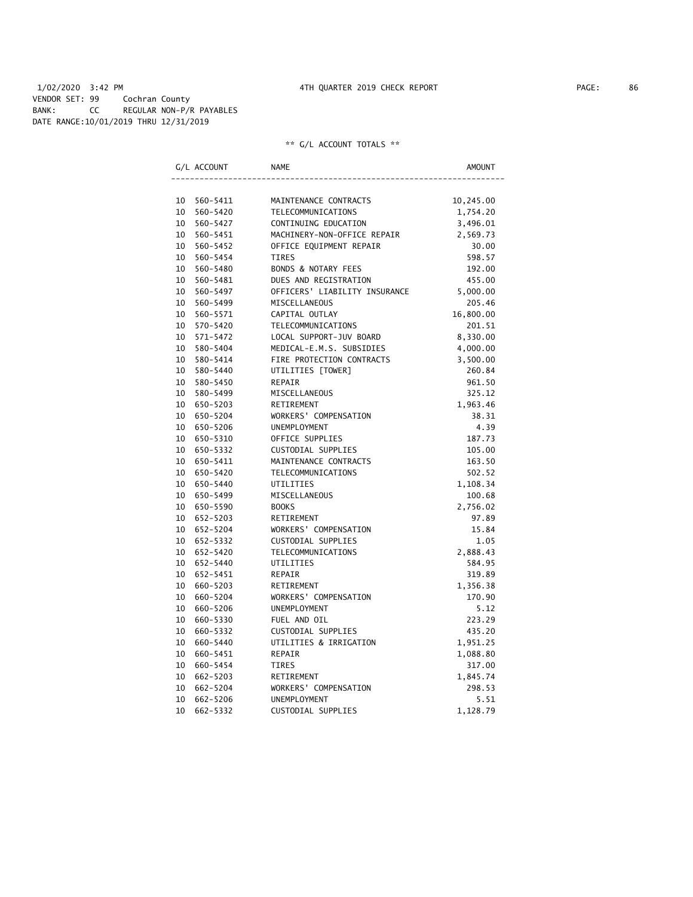# 1/02/2020 3:42 PM 4TH QUARTER 2019 CHECK REPORT PAGE: 86 VENDOR SET: 99 Cochran County BANK: CC REGULAR NON-P/R PAYABLES DATE RANGE:10/01/2019 THRU 12/31/2019

|    | G/L ACCOUNT | <b>NAME</b>                    | AMOUNT    |
|----|-------------|--------------------------------|-----------|
|    |             |                                |           |
|    | 10 560-5411 | MAINTENANCE CONTRACTS          | 10,245.00 |
| 10 | 560-5420    | TELECOMMUNICATIONS             | 1,754.20  |
| 10 | 560-5427    | CONTINUING EDUCATION           | 3,496.01  |
| 10 | 560-5451    | MACHINERY-NON-OFFICE REPAIR    | 2,569.73  |
| 10 | 560-5452    | OFFICE EQUIPMENT REPAIR        | 30.00     |
|    | 10 560-5454 | <b>TIRES</b>                   | 598.57    |
| 10 | 560-5480    | <b>BONDS &amp; NOTARY FEES</b> | 192.00    |
| 10 | 560-5481    | DUES AND REGISTRATION          | 455.00    |
| 10 | 560-5497    | OFFICERS' LIABILITY INSURANCE  | 5,000.00  |
| 10 | 560-5499    | <b>MISCELLANEOUS</b>           | 205.46    |
| 10 | 560-5571    | CAPITAL OUTLAY                 | 16,800.00 |
| 10 | 570-5420    | TELECOMMUNICATIONS             | 201.51    |
|    | 10 571-5472 | LOCAL SUPPORT-JUV BOARD        | 8,330.00  |
| 10 | 580-5404    | MEDICAL-E.M.S. SUBSIDIES       | 4,000.00  |
|    | 10 580-5414 | FIRE PROTECTION CONTRACTS      | 3,500.00  |
| 10 | 580-5440    | UTILITIES [TOWER]              | 260.84    |
| 10 | 580-5450    | REPAIR                         | 961.50    |
|    | 10 580-5499 | MISCELLANEOUS                  | 325.12    |
|    | 10 650-5203 | RETIREMENT                     | 1,963.46  |
|    | 10 650-5204 | WORKERS' COMPENSATION          | 38.31     |
|    | 10 650-5206 | UNEMPLOYMENT                   | 4.39      |
|    | 10 650-5310 | OFFICE SUPPLIES                | 187.73    |
|    | 10 650-5332 | CUSTODIAL SUPPLIES             | 105.00    |
| 10 | 650-5411    | MAINTENANCE CONTRACTS          | 163.50    |
|    | 10 650-5420 | TELECOMMUNICATIONS             | 502.52    |
| 10 | 650-5440    | UTILITIES                      | 1,108.34  |
| 10 | 650-5499    | MISCELLANEOUS                  | 100.68    |
|    | 10 650-5590 | <b>BOOKS</b>                   | 2,756.02  |
| 10 | 652-5203    | RETIREMENT                     | 97.89     |
|    | 10 652-5204 | WORKERS' COMPENSATION          | 15.84     |
|    | 10 652-5332 | CUSTODIAL SUPPLIES             | 1.05      |
|    | 10 652-5420 | TELECOMMUNICATIONS             | 2,888.43  |
|    | 10 652-5440 | UTILITIES                      | 584.95    |
|    | 10 652-5451 | REPAIR                         | 319.89    |
| 10 | 660-5203    | RETIREMENT                     | 1,356.38  |
| 10 | 660-5204    | WORKERS' COMPENSATION          | 170.90    |
| 10 | 660-5206    | <b>UNEMPLOYMENT</b>            | 5.12      |
| 10 | 660-5330    | FUEL AND OIL                   | 223.29    |
| 10 | 660-5332    | CUSTODIAL SUPPLIES             | 435.20    |
| 10 | 660-5440    | UTILITIES & IRRIGATION         | 1,951.25  |
| 10 | 660-5451    | REPAIR                         | 1,088.80  |
| 10 | 660-5454    | TIRES                          | 317.00    |
| 10 | 662-5203    | RETIREMENT                     | 1,845.74  |
| 10 | 662-5204    | WORKERS' COMPENSATION          | 298.53    |
| 10 | 662-5206    | UNEMPLOYMENT                   | 5.51      |
| 10 | 662-5332    | CUSTODIAL SUPPLIES             | 1,128.79  |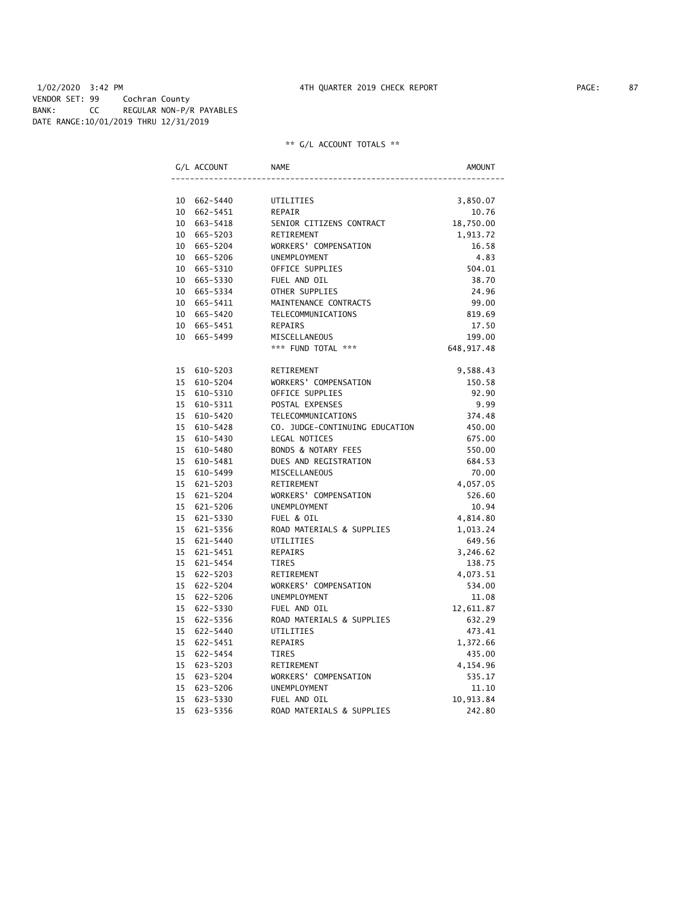# 1/02/2020 3:42 PM 4TH QUARTER 2019 CHECK REPORT PAGE: 87 VENDOR SET: 99 Cochran County BANK: CC REGULAR NON-P/R PAYABLES DATE RANGE:10/01/2019 THRU 12/31/2019

|                 | G/L ACCOUNT  | <b>NAME</b>                    | <b>AMOUNT</b> |
|-----------------|--------------|--------------------------------|---------------|
|                 |              |                                |               |
| 10              | 662-5440     | UTILITIES                      | 3,850.07      |
| 10              | 662-5451     | <b>REPAIR</b>                  | 10.76         |
| 10              | 663-5418     | SENIOR CITIZENS CONTRACT       | 18,750.00     |
| 10              | 665-5203     | RETIREMENT                     | 1,913.72      |
|                 | 10 665-5204  | WORKERS' COMPENSATION          | 16.58         |
| 10              | 665-5206     | UNEMPLOYMENT                   | 4.83          |
|                 | 10 665-5310  | OFFICE SUPPLIES                | 504.01        |
| 10              | 665-5330     | FUEL AND OIL                   | 38.70         |
|                 | 10 665-5334  | OTHER SUPPLIES                 | 24.96         |
| 10              | 665-5411     | MAINTENANCE CONTRACTS          | 99.00         |
| 10              | 665-5420     | <b>TELECOMMUNICATIONS</b>      | 819.69        |
| 10              | 665-5451     | <b>REPAIRS</b>                 | 17.50         |
| 10              | 665-5499     | MISCELLANEOUS                  | 199.00        |
|                 |              | *** FUND TOTAL ***             | 648, 917.48   |
| 15              | 610-5203     | RETIREMENT                     | 9,588.43      |
| 15              | 610-5204     | WORKERS' COMPENSATION          | 150.58        |
| 15              | 610-5310     | OFFICE SUPPLIES                | 92.90         |
| 15              | 610-5311     | POSTAL EXPENSES                | 9.99          |
| 15              | 610-5420     | TELECOMMUNICATIONS             | 374.48        |
| 15              | 610-5428     | CO. JUDGE-CONTINUING EDUCATION | 450.00        |
| 15              | 610-5430     | LEGAL NOTICES                  | 675.00        |
| 15              | 610-5480     | <b>BONDS &amp; NOTARY FEES</b> | 550.00        |
| 15              | 610-5481     | DUES AND REGISTRATION          | 684.53        |
| 15              | 610-5499     | MISCELLANEOUS                  | 70.00         |
| 15              | 621-5203     | RETIREMENT                     | 4,057.05      |
| 15              | 621-5204     | WORKERS' COMPENSATION          | 526.60        |
|                 | 15 621-5206  | UNEMPLOYMENT                   | 10.94         |
| 15              | 621-5330     | FUEL & OIL                     | 4,814.80      |
| 15              | 621-5356     | ROAD MATERIALS & SUPPLIES      | 1,013.24      |
| 15              | 621-5440     | UTILITIES                      | 649.56        |
| 15 <sub>1</sub> | 621-5451     | <b>REPAIRS</b>                 | 3,246.62      |
| 15 <sup>2</sup> | 621-5454     | TIRES                          | 138.75        |
| 15              | 622-5203     | RETIREMENT                     | 4,073.51      |
| 15              | $622 - 5204$ | WORKERS' COMPENSATION          | 534.00        |
| 15              | 622-5206     | <b>UNEMPLOYMENT</b>            | 11.08         |
| 15              | 622-5330     | FUEL AND OIL                   | 12,611.87     |
| 15              | 622-5356     | ROAD MATERIALS & SUPPLIES      | 632.29        |
| 15              | 622-5440     | UTILITIES                      | 473.41        |
| 15              | 622-5451     | <b>REPAIRS</b>                 | 1,372.66      |
| 15              | 622-5454     | TIRES                          | 435.00        |
| 15              | 623-5203     | RETIREMENT                     | 4,154.96      |
| 15              | 623-5204     | WORKERS' COMPENSATION          | 535.17        |
| 15              | 623-5206     | UNEMPLOYMENT                   | 11.10         |
| 15              | 623-5330     | FUEL AND OIL                   | 10,913.84     |
| 15              | 623-5356     | ROAD MATERIALS & SUPPLIES      | 242.80        |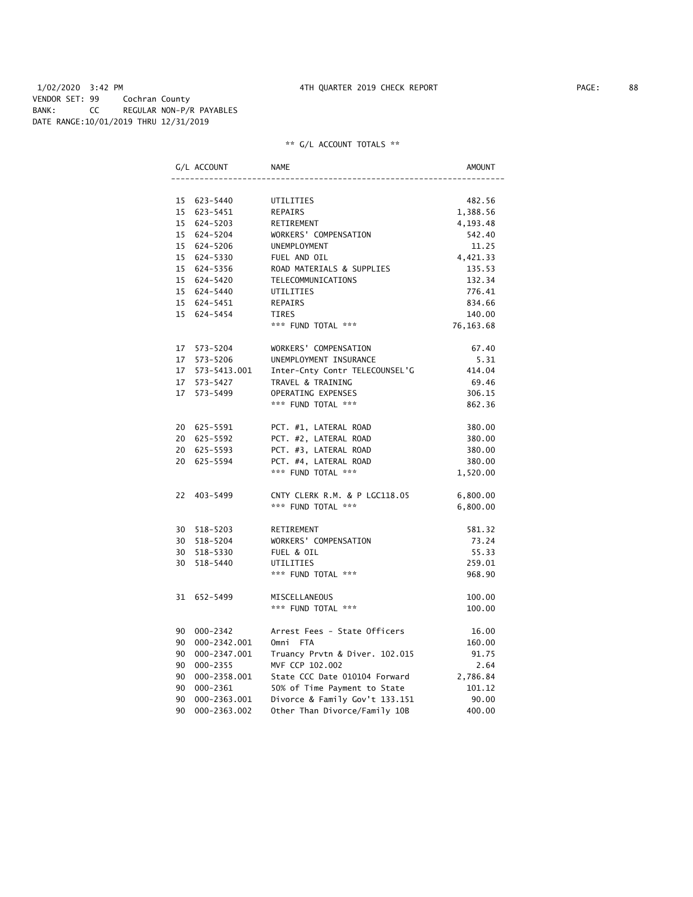# 1/02/2020 3:42 PM 4TH QUARTER 2019 CHECK REPORT PAGE: 88 VENDOR SET: 99 Cochran County BANK: CC REGULAR NON-P/R PAYABLES DATE RANGE:10/01/2019 THRU 12/31/2019

|    | G/L ACCOUNT     | <b>NAME</b>                    | AMOUNT    |
|----|-----------------|--------------------------------|-----------|
|    |                 |                                |           |
|    | 15 623-5440     | UTILITIES                      | 482.56    |
|    | 15 623-5451     | REPAIRS                        | 1,388.56  |
|    | 15 624-5203     | RETIREMENT                     | 4,193.48  |
|    | 15 624-5204     | WORKERS' COMPENSATION          | 542.40    |
|    | 15 624-5206     | <b>UNEMPLOYMENT</b>            | 11.25     |
|    | 15 624-5330     | FUEL AND OIL                   | 4,421.33  |
|    | 15 624-5356     | ROAD MATERIALS & SUPPLIES      | 135.53    |
|    | 15 624-5420     | TELECOMMUNICATIONS             | 132.34    |
|    | 15 624-5440     | UTILITIES                      | 776.41    |
|    | 15 624-5451     | REPAIRS                        | 834.66    |
|    | 15 624-5454     | TIRES                          | 140.00    |
|    |                 | *** FUND TOTAL ***             | 76,163.68 |
|    | 17 573-5204     | WORKERS' COMPENSATION          | 67.40     |
|    | 17 573-5206     | UNEMPLOYMENT INSURANCE         | 5.31      |
|    |                 | Inter-Cnty Contr TELECOUNSEL'G | 414.04    |
|    | 17 573-5427     | TRAVEL & TRAINING              | 69.46     |
|    | 17 573-5499     | OPERATING EXPENSES             | 306.15    |
|    |                 | *** FUND TOTAL ***             | 862.36    |
|    | 20 625-5591     | PCT. #1, LATERAL ROAD          | 380.00    |
|    | 20 625-5592     | PCT. #2, LATERAL ROAD          | 380.00    |
|    | 20 625-5593     | PCT. #3, LATERAL ROAD          | 380.00    |
|    | 20 625-5594     | PCT. #4, LATERAL ROAD          | 380.00    |
|    |                 | *** FUND TOTAL ***             | 1,520.00  |
|    | 22 403-5499     | CNTY CLERK R.M. & P LGC118.05  | 6,800.00  |
|    |                 | *** FUND TOTAL ***             | 6,800.00  |
|    | 30 518-5203     | RETIREMENT                     | 581.32    |
|    | 30 518-5204     | WORKERS' COMPENSATION          | 73.24     |
|    | 30 518-5330     | FUEL & OIL                     | 55.33     |
|    | 30 518-5440     | UTILITIES                      | 259.01    |
|    |                 | *** FUND TOTAL ***             | 968.90    |
|    | 31 652-5499     | MISCELLANEOUS                  | 100.00    |
|    |                 | *** FUND TOTAL ***             | 100.00    |
|    | 90 000-2342     | Arrest Fees - State Officers   | 16.00     |
|    | 90 000-2342.001 | Omni FTA                       | 160.00    |
|    | 90 000-2347.001 | Truancy Prvtn & Diver. 102.015 | 91.75     |
|    | 90 000-2355     | MVF CCP 102.002                | 2.64      |
|    | 90 000-2358.001 | State CCC Date 010104 Forward  | 2,786.84  |
|    | 90 000-2361     | 50% of Time Payment to State   | 101.12    |
|    | 90 000-2363.001 | Divorce & Family Gov't 133.151 | 90.00     |
| 90 | 000-2363.002    | Other Than Divorce/Family 10B  | 400.00    |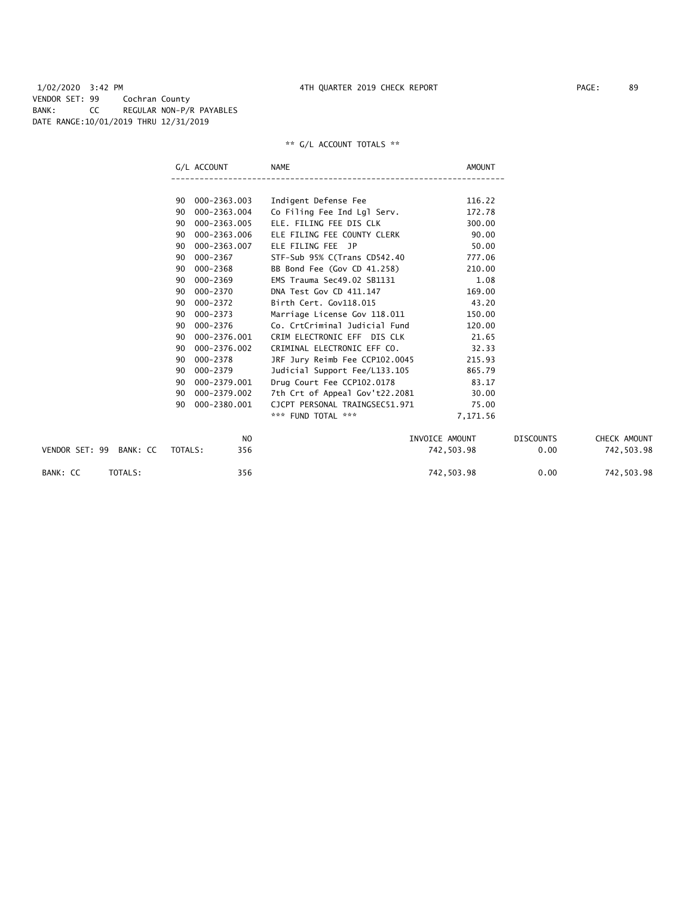1/02/2020 3:42 PM 4TH QUARTER 2019 CHECK REPORT PAGE: 89 VENDOR SET: 99 Cochran County BANK: CC REGULAR NON-P/R PAYABLES DATE RANGE:10/01/2019 THRU 12/31/2019

|                         |         | G/L ACCOUNT    | <b>NAME</b>                    | <b>AMOUNT</b>  |                  |              |
|-------------------------|---------|----------------|--------------------------------|----------------|------------------|--------------|
|                         |         |                |                                |                |                  |              |
|                         | 90      | 000-2363.003   | Indigent Defense Fee           | 116.22         |                  |              |
|                         | 90      | 000-2363.004   | Co Filing Fee Ind Lgl Serv.    | 172.78         |                  |              |
|                         | 90      | 000-2363.005   | ELE. FILING FEE DIS CLK        | 300.00         |                  |              |
|                         | 90      | 000-2363.006   | ELE FILING FEE COUNTY CLERK    | 90.00          |                  |              |
|                         | 90      | 000-2363.007   | ELE FILING FEE JP              | 50.00          |                  |              |
|                         | 90      | $000 - 2367$   | STF-Sub 95% C(Trans CD542.40   | 777.06         |                  |              |
|                         | 90      | 000-2368       | BB Bond Fee (Gov CD 41.258)    | 210.00         |                  |              |
|                         | 90      | 000-2369       | EMS Trauma Sec49.02 SB1131     | 1.08           |                  |              |
|                         | 90      | 000-2370       | DNA Test Gov CD 411.147        | 169.00         |                  |              |
|                         | 90      | 000-2372       | Birth Cert. Gov118.015         | 43.20          |                  |              |
|                         | 90      | 000-2373       | Marriage License Gov 118.011   | 150.00         |                  |              |
|                         | 90      | 000-2376       | Co. CrtCriminal Judicial Fund  | 120.00         |                  |              |
|                         | 90      | 000-2376.001   | CRIM ELECTRONIC EFF DIS CLK    | 21.65          |                  |              |
|                         | 90      | 000-2376.002   | CRIMINAL ELECTRONIC EFF CO.    | 32.33          |                  |              |
|                         | 90      | 000-2378       | JRF Jury Reimb Fee CCP102.0045 | 215.93         |                  |              |
|                         | 90      | 000-2379       | Judicial Support Fee/L133.105  | 865.79         |                  |              |
|                         | 90      | 000-2379.001   | Drug Court Fee CCP102.0178     | 83.17          |                  |              |
|                         | 90      | 000-2379.002   | 7th Crt of Appeal Gov't22.2081 | 30.00          |                  |              |
|                         | 90      | 000-2380.001   | CJCPT PERSONAL TRAINGSEC51.971 | 75.00          |                  |              |
|                         |         |                | *** FUND TOTAL ***             | 7,171.56       |                  |              |
|                         |         | N <sub>O</sub> |                                | INVOICE AMOUNT | <b>DISCOUNTS</b> | CHECK AMOUNT |
| VENDOR SET: 99 BANK: CC | TOTALS: | 356            |                                | 742,503.98     | 0.00             | 742,503.98   |
| TOTALS:<br>BANK: CC     |         | 356            |                                | 742,503.98     | 0.00             | 742,503.98   |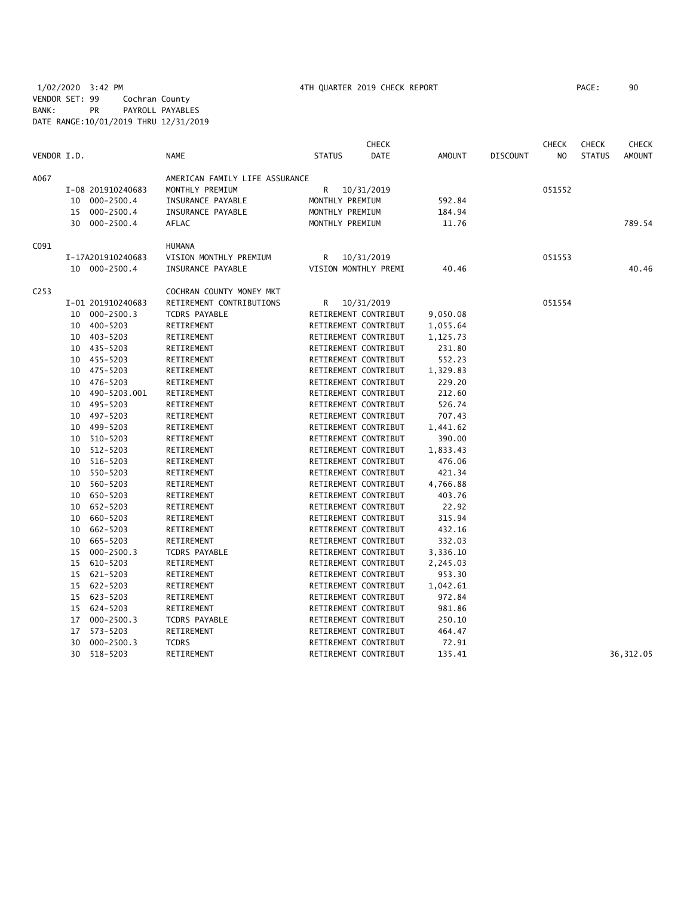# 1/02/2020 3:42 PM 4TH QUARTER 2019 CHECK REPORT PAGE: 90 VENDOR SET: 99 Cochran County BANK: PR PAYROLL PAYABLES DATE RANGE:10/01/2019 THRU 12/31/2019

| VENDOR I.D.<br><b>DATE</b><br><b>STATUS</b><br><b>NAME</b><br><b>STATUS</b><br><b>AMOUNT</b><br><b>DISCOUNT</b><br>N <sub>O</sub><br>AMERICAN FAMILY LIFE ASSURANCE<br>A067<br>I-08 201910240683<br>MONTHLY PREMIUM<br>R<br>051552<br>10/31/2019<br>$000 - 2500.4$<br>INSURANCE PAYABLE<br>MONTHLY PREMIUM<br>592.84<br>10<br>$000 - 2500.4$<br>INSURANCE PAYABLE<br>15<br>MONTHLY PREMIUM<br>184.94<br>30 000-2500.4<br>AFLAC<br>MONTHLY PREMIUM<br>11.76<br>C091<br><b>HUMANA</b><br>VISION MONTHLY PREMIUM<br>10/31/2019<br>051553<br>I-17A201910240683<br>R<br>10 000-2500.4<br>INSURANCE PAYABLE<br>VISION MONTHLY PREMI<br>40.46<br>C <sub>253</sub><br>COCHRAN COUNTY MONEY MKT<br>RETIREMENT CONTRIBUTIONS<br>051554<br>I-01 201910240683<br>R<br>10/31/2019<br>$000 - 2500.3$<br><b>TCDRS PAYABLE</b><br>RETIREMENT CONTRIBUT<br>9,050.08<br>10<br>10 400-5203<br>RETIREMENT<br>RETIREMENT CONTRIBUT<br>1,055.64<br>10 403-5203<br>RETIREMENT<br>RETIREMENT CONTRIBUT<br>1,125.73<br>10 435-5203<br>RETIREMENT<br>RETIREMENT CONTRIBUT<br>231.80<br>10 455-5203<br>RETIREMENT<br>RETIREMENT CONTRIBUT<br>552.23<br>10 475-5203<br>RETIREMENT<br>RETIREMENT CONTRIBUT<br>1,329.83<br>10 476-5203<br>RETIREMENT CONTRIBUT<br>RETIREMENT<br>229.20<br>490-5203.001<br>RETIREMENT CONTRIBUT<br>212.60<br>10<br>RETIREMENT<br>495-5203<br>RETIREMENT CONTRIBUT<br>526.74<br>10<br>RETIREMENT<br>497-5203<br>707.43<br>10<br>RETIREMENT<br>RETIREMENT CONTRIBUT<br>499-5203<br>RETIREMENT<br>RETIREMENT CONTRIBUT<br>1,441.62<br>10<br>510-5203<br>RETIREMENT CONTRIBUT<br>10<br>RETIREMENT<br>390.00<br>512-5203<br>RETIREMENT CONTRIBUT<br>RETIREMENT<br>1,833.43<br>10<br>516-5203<br>RETIREMENT<br>RETIREMENT CONTRIBUT<br>476.06<br>10<br>550-5203<br>RETIREMENT CONTRIBUT<br>421.34<br>10<br>RETIREMENT<br>560-5203<br>10<br>RETIREMENT<br>RETIREMENT CONTRIBUT<br>4,766.88<br>650-5203<br>RETIREMENT<br>RETIREMENT CONTRIBUT<br>403.76<br>10<br>10 652-5203<br>RETIREMENT<br>RETIREMENT CONTRIBUT<br>22.92<br>660-5203<br>RETIREMENT CONTRIBUT<br>315.94<br>10<br>RETIREMENT<br>662-5203<br>RETIREMENT CONTRIBUT<br>432.16<br>10<br>RETIREMENT<br>RETIREMENT CONTRIBUT |    |          |            |  | <b>CHECK</b> |        | <b>CHECK</b> | <b>CHECK</b> | <b>CHECK</b>  |
|----------------------------------------------------------------------------------------------------------------------------------------------------------------------------------------------------------------------------------------------------------------------------------------------------------------------------------------------------------------------------------------------------------------------------------------------------------------------------------------------------------------------------------------------------------------------------------------------------------------------------------------------------------------------------------------------------------------------------------------------------------------------------------------------------------------------------------------------------------------------------------------------------------------------------------------------------------------------------------------------------------------------------------------------------------------------------------------------------------------------------------------------------------------------------------------------------------------------------------------------------------------------------------------------------------------------------------------------------------------------------------------------------------------------------------------------------------------------------------------------------------------------------------------------------------------------------------------------------------------------------------------------------------------------------------------------------------------------------------------------------------------------------------------------------------------------------------------------------------------------------------------------------------------------------------------------------------------------------------------------------------------------------------------------------------------------------------------------------------------------------------------------------------------------------------|----|----------|------------|--|--------------|--------|--------------|--------------|---------------|
|                                                                                                                                                                                                                                                                                                                                                                                                                                                                                                                                                                                                                                                                                                                                                                                                                                                                                                                                                                                                                                                                                                                                                                                                                                                                                                                                                                                                                                                                                                                                                                                                                                                                                                                                                                                                                                                                                                                                                                                                                                                                                                                                                                                  |    |          |            |  |              |        |              |              | <b>AMOUNT</b> |
|                                                                                                                                                                                                                                                                                                                                                                                                                                                                                                                                                                                                                                                                                                                                                                                                                                                                                                                                                                                                                                                                                                                                                                                                                                                                                                                                                                                                                                                                                                                                                                                                                                                                                                                                                                                                                                                                                                                                                                                                                                                                                                                                                                                  |    |          |            |  |              |        |              |              |               |
|                                                                                                                                                                                                                                                                                                                                                                                                                                                                                                                                                                                                                                                                                                                                                                                                                                                                                                                                                                                                                                                                                                                                                                                                                                                                                                                                                                                                                                                                                                                                                                                                                                                                                                                                                                                                                                                                                                                                                                                                                                                                                                                                                                                  |    |          |            |  |              |        |              |              |               |
|                                                                                                                                                                                                                                                                                                                                                                                                                                                                                                                                                                                                                                                                                                                                                                                                                                                                                                                                                                                                                                                                                                                                                                                                                                                                                                                                                                                                                                                                                                                                                                                                                                                                                                                                                                                                                                                                                                                                                                                                                                                                                                                                                                                  |    |          |            |  |              |        |              |              |               |
|                                                                                                                                                                                                                                                                                                                                                                                                                                                                                                                                                                                                                                                                                                                                                                                                                                                                                                                                                                                                                                                                                                                                                                                                                                                                                                                                                                                                                                                                                                                                                                                                                                                                                                                                                                                                                                                                                                                                                                                                                                                                                                                                                                                  |    |          |            |  |              |        |              |              |               |
|                                                                                                                                                                                                                                                                                                                                                                                                                                                                                                                                                                                                                                                                                                                                                                                                                                                                                                                                                                                                                                                                                                                                                                                                                                                                                                                                                                                                                                                                                                                                                                                                                                                                                                                                                                                                                                                                                                                                                                                                                                                                                                                                                                                  |    |          |            |  |              |        |              |              | 789.54        |
|                                                                                                                                                                                                                                                                                                                                                                                                                                                                                                                                                                                                                                                                                                                                                                                                                                                                                                                                                                                                                                                                                                                                                                                                                                                                                                                                                                                                                                                                                                                                                                                                                                                                                                                                                                                                                                                                                                                                                                                                                                                                                                                                                                                  |    |          |            |  |              |        |              |              |               |
|                                                                                                                                                                                                                                                                                                                                                                                                                                                                                                                                                                                                                                                                                                                                                                                                                                                                                                                                                                                                                                                                                                                                                                                                                                                                                                                                                                                                                                                                                                                                                                                                                                                                                                                                                                                                                                                                                                                                                                                                                                                                                                                                                                                  |    |          |            |  |              |        |              |              |               |
|                                                                                                                                                                                                                                                                                                                                                                                                                                                                                                                                                                                                                                                                                                                                                                                                                                                                                                                                                                                                                                                                                                                                                                                                                                                                                                                                                                                                                                                                                                                                                                                                                                                                                                                                                                                                                                                                                                                                                                                                                                                                                                                                                                                  |    |          |            |  |              |        |              |              | 40.46         |
|                                                                                                                                                                                                                                                                                                                                                                                                                                                                                                                                                                                                                                                                                                                                                                                                                                                                                                                                                                                                                                                                                                                                                                                                                                                                                                                                                                                                                                                                                                                                                                                                                                                                                                                                                                                                                                                                                                                                                                                                                                                                                                                                                                                  |    |          |            |  |              |        |              |              |               |
|                                                                                                                                                                                                                                                                                                                                                                                                                                                                                                                                                                                                                                                                                                                                                                                                                                                                                                                                                                                                                                                                                                                                                                                                                                                                                                                                                                                                                                                                                                                                                                                                                                                                                                                                                                                                                                                                                                                                                                                                                                                                                                                                                                                  |    |          |            |  |              |        |              |              |               |
|                                                                                                                                                                                                                                                                                                                                                                                                                                                                                                                                                                                                                                                                                                                                                                                                                                                                                                                                                                                                                                                                                                                                                                                                                                                                                                                                                                                                                                                                                                                                                                                                                                                                                                                                                                                                                                                                                                                                                                                                                                                                                                                                                                                  |    |          |            |  |              |        |              |              |               |
|                                                                                                                                                                                                                                                                                                                                                                                                                                                                                                                                                                                                                                                                                                                                                                                                                                                                                                                                                                                                                                                                                                                                                                                                                                                                                                                                                                                                                                                                                                                                                                                                                                                                                                                                                                                                                                                                                                                                                                                                                                                                                                                                                                                  |    |          |            |  |              |        |              |              |               |
|                                                                                                                                                                                                                                                                                                                                                                                                                                                                                                                                                                                                                                                                                                                                                                                                                                                                                                                                                                                                                                                                                                                                                                                                                                                                                                                                                                                                                                                                                                                                                                                                                                                                                                                                                                                                                                                                                                                                                                                                                                                                                                                                                                                  |    |          |            |  |              |        |              |              |               |
|                                                                                                                                                                                                                                                                                                                                                                                                                                                                                                                                                                                                                                                                                                                                                                                                                                                                                                                                                                                                                                                                                                                                                                                                                                                                                                                                                                                                                                                                                                                                                                                                                                                                                                                                                                                                                                                                                                                                                                                                                                                                                                                                                                                  |    |          |            |  |              |        |              |              |               |
|                                                                                                                                                                                                                                                                                                                                                                                                                                                                                                                                                                                                                                                                                                                                                                                                                                                                                                                                                                                                                                                                                                                                                                                                                                                                                                                                                                                                                                                                                                                                                                                                                                                                                                                                                                                                                                                                                                                                                                                                                                                                                                                                                                                  |    |          |            |  |              |        |              |              |               |
|                                                                                                                                                                                                                                                                                                                                                                                                                                                                                                                                                                                                                                                                                                                                                                                                                                                                                                                                                                                                                                                                                                                                                                                                                                                                                                                                                                                                                                                                                                                                                                                                                                                                                                                                                                                                                                                                                                                                                                                                                                                                                                                                                                                  |    |          |            |  |              |        |              |              |               |
|                                                                                                                                                                                                                                                                                                                                                                                                                                                                                                                                                                                                                                                                                                                                                                                                                                                                                                                                                                                                                                                                                                                                                                                                                                                                                                                                                                                                                                                                                                                                                                                                                                                                                                                                                                                                                                                                                                                                                                                                                                                                                                                                                                                  |    |          |            |  |              |        |              |              |               |
|                                                                                                                                                                                                                                                                                                                                                                                                                                                                                                                                                                                                                                                                                                                                                                                                                                                                                                                                                                                                                                                                                                                                                                                                                                                                                                                                                                                                                                                                                                                                                                                                                                                                                                                                                                                                                                                                                                                                                                                                                                                                                                                                                                                  |    |          |            |  |              |        |              |              |               |
|                                                                                                                                                                                                                                                                                                                                                                                                                                                                                                                                                                                                                                                                                                                                                                                                                                                                                                                                                                                                                                                                                                                                                                                                                                                                                                                                                                                                                                                                                                                                                                                                                                                                                                                                                                                                                                                                                                                                                                                                                                                                                                                                                                                  |    |          |            |  |              |        |              |              |               |
|                                                                                                                                                                                                                                                                                                                                                                                                                                                                                                                                                                                                                                                                                                                                                                                                                                                                                                                                                                                                                                                                                                                                                                                                                                                                                                                                                                                                                                                                                                                                                                                                                                                                                                                                                                                                                                                                                                                                                                                                                                                                                                                                                                                  |    |          |            |  |              |        |              |              |               |
|                                                                                                                                                                                                                                                                                                                                                                                                                                                                                                                                                                                                                                                                                                                                                                                                                                                                                                                                                                                                                                                                                                                                                                                                                                                                                                                                                                                                                                                                                                                                                                                                                                                                                                                                                                                                                                                                                                                                                                                                                                                                                                                                                                                  |    |          |            |  |              |        |              |              |               |
|                                                                                                                                                                                                                                                                                                                                                                                                                                                                                                                                                                                                                                                                                                                                                                                                                                                                                                                                                                                                                                                                                                                                                                                                                                                                                                                                                                                                                                                                                                                                                                                                                                                                                                                                                                                                                                                                                                                                                                                                                                                                                                                                                                                  |    |          |            |  |              |        |              |              |               |
|                                                                                                                                                                                                                                                                                                                                                                                                                                                                                                                                                                                                                                                                                                                                                                                                                                                                                                                                                                                                                                                                                                                                                                                                                                                                                                                                                                                                                                                                                                                                                                                                                                                                                                                                                                                                                                                                                                                                                                                                                                                                                                                                                                                  |    |          |            |  |              |        |              |              |               |
|                                                                                                                                                                                                                                                                                                                                                                                                                                                                                                                                                                                                                                                                                                                                                                                                                                                                                                                                                                                                                                                                                                                                                                                                                                                                                                                                                                                                                                                                                                                                                                                                                                                                                                                                                                                                                                                                                                                                                                                                                                                                                                                                                                                  |    |          |            |  |              |        |              |              |               |
|                                                                                                                                                                                                                                                                                                                                                                                                                                                                                                                                                                                                                                                                                                                                                                                                                                                                                                                                                                                                                                                                                                                                                                                                                                                                                                                                                                                                                                                                                                                                                                                                                                                                                                                                                                                                                                                                                                                                                                                                                                                                                                                                                                                  |    |          |            |  |              |        |              |              |               |
|                                                                                                                                                                                                                                                                                                                                                                                                                                                                                                                                                                                                                                                                                                                                                                                                                                                                                                                                                                                                                                                                                                                                                                                                                                                                                                                                                                                                                                                                                                                                                                                                                                                                                                                                                                                                                                                                                                                                                                                                                                                                                                                                                                                  |    |          |            |  |              |        |              |              |               |
|                                                                                                                                                                                                                                                                                                                                                                                                                                                                                                                                                                                                                                                                                                                                                                                                                                                                                                                                                                                                                                                                                                                                                                                                                                                                                                                                                                                                                                                                                                                                                                                                                                                                                                                                                                                                                                                                                                                                                                                                                                                                                                                                                                                  |    |          |            |  |              |        |              |              |               |
|                                                                                                                                                                                                                                                                                                                                                                                                                                                                                                                                                                                                                                                                                                                                                                                                                                                                                                                                                                                                                                                                                                                                                                                                                                                                                                                                                                                                                                                                                                                                                                                                                                                                                                                                                                                                                                                                                                                                                                                                                                                                                                                                                                                  |    |          |            |  |              |        |              |              |               |
|                                                                                                                                                                                                                                                                                                                                                                                                                                                                                                                                                                                                                                                                                                                                                                                                                                                                                                                                                                                                                                                                                                                                                                                                                                                                                                                                                                                                                                                                                                                                                                                                                                                                                                                                                                                                                                                                                                                                                                                                                                                                                                                                                                                  |    |          |            |  |              |        |              |              |               |
|                                                                                                                                                                                                                                                                                                                                                                                                                                                                                                                                                                                                                                                                                                                                                                                                                                                                                                                                                                                                                                                                                                                                                                                                                                                                                                                                                                                                                                                                                                                                                                                                                                                                                                                                                                                                                                                                                                                                                                                                                                                                                                                                                                                  |    |          |            |  |              |        |              |              |               |
|                                                                                                                                                                                                                                                                                                                                                                                                                                                                                                                                                                                                                                                                                                                                                                                                                                                                                                                                                                                                                                                                                                                                                                                                                                                                                                                                                                                                                                                                                                                                                                                                                                                                                                                                                                                                                                                                                                                                                                                                                                                                                                                                                                                  | 10 | 665-5203 | RETIREMENT |  |              | 332.03 |              |              |               |
| $000 - 2500.3$<br>RETIREMENT CONTRIBUT<br>15<br><b>TCDRS PAYABLE</b><br>3,336.10                                                                                                                                                                                                                                                                                                                                                                                                                                                                                                                                                                                                                                                                                                                                                                                                                                                                                                                                                                                                                                                                                                                                                                                                                                                                                                                                                                                                                                                                                                                                                                                                                                                                                                                                                                                                                                                                                                                                                                                                                                                                                                 |    |          |            |  |              |        |              |              |               |
| 610-5203<br>15<br>RETIREMENT<br>RETIREMENT CONTRIBUT<br>2,245.03                                                                                                                                                                                                                                                                                                                                                                                                                                                                                                                                                                                                                                                                                                                                                                                                                                                                                                                                                                                                                                                                                                                                                                                                                                                                                                                                                                                                                                                                                                                                                                                                                                                                                                                                                                                                                                                                                                                                                                                                                                                                                                                 |    |          |            |  |              |        |              |              |               |
| 621-5203<br>RETIREMENT CONTRIBUT<br>953.30<br>15<br>RETIREMENT                                                                                                                                                                                                                                                                                                                                                                                                                                                                                                                                                                                                                                                                                                                                                                                                                                                                                                                                                                                                                                                                                                                                                                                                                                                                                                                                                                                                                                                                                                                                                                                                                                                                                                                                                                                                                                                                                                                                                                                                                                                                                                                   |    |          |            |  |              |        |              |              |               |
| 622-5203<br>RETIREMENT CONTRIBUT<br>15<br>RETIREMENT<br>1,042.61                                                                                                                                                                                                                                                                                                                                                                                                                                                                                                                                                                                                                                                                                                                                                                                                                                                                                                                                                                                                                                                                                                                                                                                                                                                                                                                                                                                                                                                                                                                                                                                                                                                                                                                                                                                                                                                                                                                                                                                                                                                                                                                 |    |          |            |  |              |        |              |              |               |
| 15 623-5203<br>RETIREMENT<br>RETIREMENT CONTRIBUT<br>972.84                                                                                                                                                                                                                                                                                                                                                                                                                                                                                                                                                                                                                                                                                                                                                                                                                                                                                                                                                                                                                                                                                                                                                                                                                                                                                                                                                                                                                                                                                                                                                                                                                                                                                                                                                                                                                                                                                                                                                                                                                                                                                                                      |    |          |            |  |              |        |              |              |               |
| 624-5203<br>RETIREMENT<br>RETIREMENT CONTRIBUT<br>981.86<br>15                                                                                                                                                                                                                                                                                                                                                                                                                                                                                                                                                                                                                                                                                                                                                                                                                                                                                                                                                                                                                                                                                                                                                                                                                                                                                                                                                                                                                                                                                                                                                                                                                                                                                                                                                                                                                                                                                                                                                                                                                                                                                                                   |    |          |            |  |              |        |              |              |               |
| $000 - 2500.3$<br>RETIREMENT CONTRIBUT<br>17<br><b>TCDRS PAYABLE</b><br>250.10                                                                                                                                                                                                                                                                                                                                                                                                                                                                                                                                                                                                                                                                                                                                                                                                                                                                                                                                                                                                                                                                                                                                                                                                                                                                                                                                                                                                                                                                                                                                                                                                                                                                                                                                                                                                                                                                                                                                                                                                                                                                                                   |    |          |            |  |              |        |              |              |               |
| 17<br>573-5203<br>RETIREMENT<br>RETIREMENT CONTRIBUT<br>464.47                                                                                                                                                                                                                                                                                                                                                                                                                                                                                                                                                                                                                                                                                                                                                                                                                                                                                                                                                                                                                                                                                                                                                                                                                                                                                                                                                                                                                                                                                                                                                                                                                                                                                                                                                                                                                                                                                                                                                                                                                                                                                                                   |    |          |            |  |              |        |              |              |               |
| 30<br>$000 - 2500.3$<br><b>TCDRS</b><br>RETIREMENT CONTRIBUT<br>72.91                                                                                                                                                                                                                                                                                                                                                                                                                                                                                                                                                                                                                                                                                                                                                                                                                                                                                                                                                                                                                                                                                                                                                                                                                                                                                                                                                                                                                                                                                                                                                                                                                                                                                                                                                                                                                                                                                                                                                                                                                                                                                                            |    |          |            |  |              |        |              |              |               |
| 30<br>518-5203<br>RETIREMENT<br>RETIREMENT CONTRIBUT<br>135.41<br>36, 312.05                                                                                                                                                                                                                                                                                                                                                                                                                                                                                                                                                                                                                                                                                                                                                                                                                                                                                                                                                                                                                                                                                                                                                                                                                                                                                                                                                                                                                                                                                                                                                                                                                                                                                                                                                                                                                                                                                                                                                                                                                                                                                                     |    |          |            |  |              |        |              |              |               |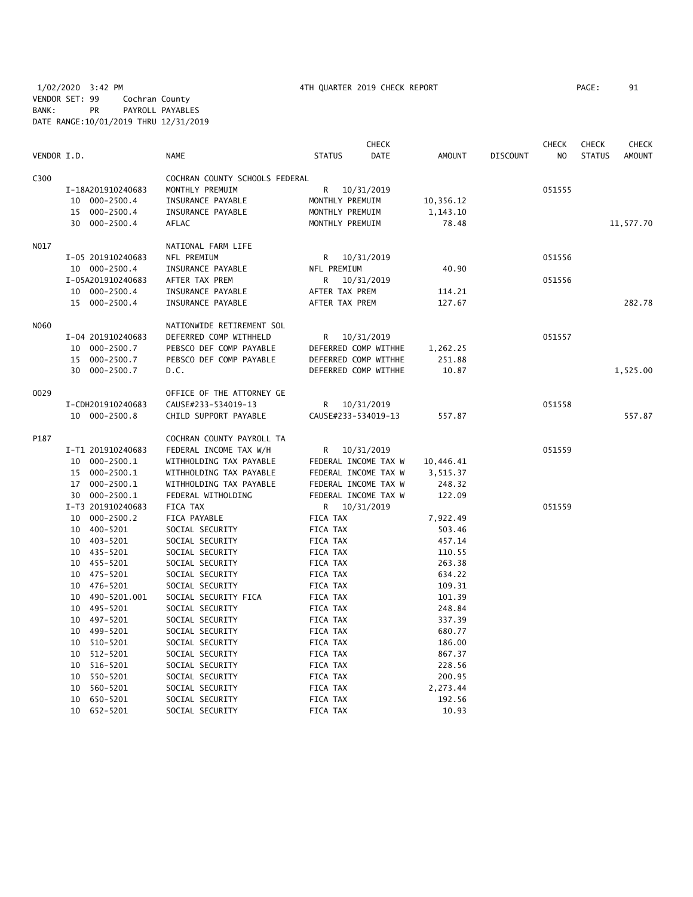| VENDOR I.D. |                   | <b>NAME</b>                    | <b>STATUS</b>        | <b>CHECK</b><br>DATE | <b>AMOUNT</b> | <b>DISCOUNT</b> | <b>CHECK</b><br>N <sub>O</sub> | <b>CHECK</b><br><b>STATUS</b> | CHECK<br><b>AMOUNT</b> |
|-------------|-------------------|--------------------------------|----------------------|----------------------|---------------|-----------------|--------------------------------|-------------------------------|------------------------|
|             |                   |                                |                      |                      |               |                 |                                |                               |                        |
| C300        |                   | COCHRAN COUNTY SCHOOLS FEDERAL |                      |                      |               |                 |                                |                               |                        |
|             | I-18A201910240683 | MONTHLY PREMUIM                | R                    | 10/31/2019           |               |                 | 051555                         |                               |                        |
|             | 10 000-2500.4     | INSURANCE PAYABLE              | MONTHLY PREMUIM      |                      | 10,356.12     |                 |                                |                               |                        |
|             | 15 000-2500.4     | INSURANCE PAYABLE              | MONTHLY PREMUIM      |                      | 1,143.10      |                 |                                |                               |                        |
|             | 30 000-2500.4     | AFLAC                          | MONTHLY PREMUIM      |                      | 78.48         |                 |                                |                               | 11,577.70              |
| NO17        |                   | NATIONAL FARM LIFE             |                      |                      |               |                 |                                |                               |                        |
|             | I-05 201910240683 | NFL PREMIUM                    | R 10/31/2019         |                      |               |                 | 051556                         |                               |                        |
|             | 10 000-2500.4     | INSURANCE PAYABLE              | NFL PREMIUM          |                      | 40.90         |                 |                                |                               |                        |
|             | I-05A201910240683 | AFTER TAX PREM                 | R.                   | 10/31/2019           |               |                 | 051556                         |                               |                        |
|             | 10 000-2500.4     | INSURANCE PAYABLE              | AFTER TAX PREM       |                      | 114.21        |                 |                                |                               |                        |
|             | 15 000-2500.4     | INSURANCE PAYABLE              | AFTER TAX PREM       |                      | 127.67        |                 |                                |                               | 282.78                 |
| N060        |                   | NATIONWIDE RETIREMENT SOL      |                      |                      |               |                 |                                |                               |                        |
|             | I-04 201910240683 | DEFERRED COMP WITHHELD         | R                    | 10/31/2019           |               |                 | 051557                         |                               |                        |
|             | 10 000-2500.7     | PEBSCO DEF COMP PAYABLE        | DEFERRED COMP WITHHE |                      | 1,262.25      |                 |                                |                               |                        |
|             | 15 000-2500.7     | PEBSCO DEF COMP PAYABLE        | DEFERRED COMP WITHHE |                      | 251.88        |                 |                                |                               |                        |
|             | 30 000-2500.7     | D.C.                           | DEFERRED COMP WITHHE |                      | 10.87         |                 |                                |                               | 1,525.00               |
|             |                   |                                |                      |                      |               |                 |                                |                               |                        |
| 0029        |                   | OFFICE OF THE ATTORNEY GE      |                      |                      |               |                 |                                |                               |                        |
|             | I-CDH201910240683 | CAUSE#233-534019-13            | R 10/31/2019         |                      |               |                 | 051558                         |                               |                        |
|             | 10 000-2500.8     | CHILD SUPPORT PAYABLE          | CAUSE#233-534019-13  |                      | 557.87        |                 |                                |                               | 557.87                 |
| P187        |                   | COCHRAN COUNTY PAYROLL TA      |                      |                      |               |                 |                                |                               |                        |
|             | I-T1 201910240683 | FEDERAL INCOME TAX W/H         | R 10/31/2019         |                      |               |                 | 051559                         |                               |                        |
|             | 10 000-2500.1     | WITHHOLDING TAX PAYABLE        | FEDERAL INCOME TAX W |                      | 10,446.41     |                 |                                |                               |                        |
|             | 15 000-2500.1     | WITHHOLDING TAX PAYABLE        | FEDERAL INCOME TAX W |                      | 3,515.37      |                 |                                |                               |                        |
|             | 17 000-2500.1     | WITHHOLDING TAX PAYABLE        | FEDERAL INCOME TAX W |                      | 248.32        |                 |                                |                               |                        |
|             | 30 000-2500.1     | FEDERAL WITHOLDING             | FEDERAL INCOME TAX W |                      | 122.09        |                 |                                |                               |                        |
|             | I-T3 201910240683 | FICA TAX                       | R 10/31/2019         |                      |               |                 | 051559                         |                               |                        |
|             | 10 000-2500.2     | FICA PAYABLE                   | FICA TAX             |                      | 7,922.49      |                 |                                |                               |                        |
|             | 10 400-5201       | SOCIAL SECURITY                | FICA TAX             |                      | 503.46        |                 |                                |                               |                        |
|             | 10 403-5201       | SOCIAL SECURITY                | FICA TAX             |                      | 457.14        |                 |                                |                               |                        |
|             | 10 435-5201       | SOCIAL SECURITY                | FICA TAX             |                      | 110.55        |                 |                                |                               |                        |
|             | 10 455-5201       | SOCIAL SECURITY                | FICA TAX             |                      | 263.38        |                 |                                |                               |                        |
|             | 10 475-5201       | SOCIAL SECURITY                | FICA TAX             |                      | 634.22        |                 |                                |                               |                        |
|             | 10 476-5201       | SOCIAL SECURITY                | FICA TAX             |                      | 109.31        |                 |                                |                               |                        |
|             | 10 490-5201.001   | SOCIAL SECURITY FICA           | FICA TAX             |                      | 101.39        |                 |                                |                               |                        |
|             | 10 495-5201       | SOCIAL SECURITY                | FICA TAX             |                      | 248.84        |                 |                                |                               |                        |
|             | 10 497-5201       | SOCIAL SECURITY                | FICA TAX             |                      | 337.39        |                 |                                |                               |                        |
|             | 10 499-5201       | SOCIAL SECURITY                | FICA TAX             |                      | 680.77        |                 |                                |                               |                        |
|             | 10 510-5201       | SOCIAL SECURITY                | FICA TAX             |                      | 186.00        |                 |                                |                               |                        |
|             | 512-5201<br>10    | SOCIAL SECURITY                | FICA TAX             |                      | 867.37        |                 |                                |                               |                        |
|             | 516-5201<br>10    | SOCIAL SECURITY                | FICA TAX             |                      | 228.56        |                 |                                |                               |                        |
|             | 550-5201<br>10    | SOCIAL SECURITY                | FICA TAX             |                      | 200.95        |                 |                                |                               |                        |
|             | 560-5201<br>10    | SOCIAL SECURITY                | FICA TAX             |                      | 2,273.44      |                 |                                |                               |                        |
|             | 10<br>650-5201    | SOCIAL SECURITY                | FICA TAX             |                      | 192.56        |                 |                                |                               |                        |
|             |                   |                                |                      |                      |               |                 |                                |                               |                        |

10 652-5201 SOCIAL SECURITY FICA TAX 10.93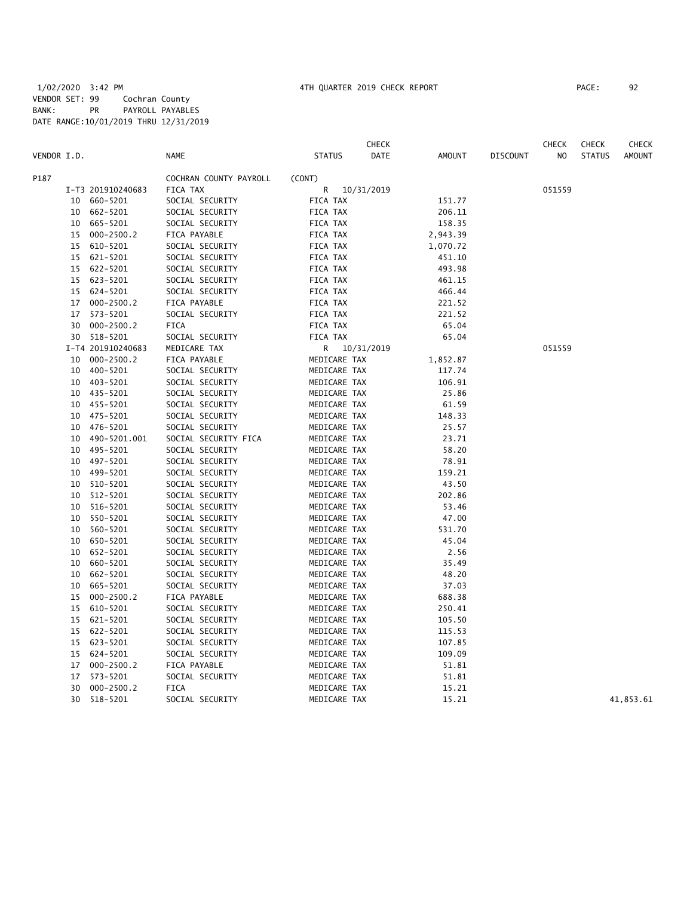|             |    |                   |                        | <b>CHECK</b>          |               |                 | CHECK  | <b>CHECK</b>  | <b>CHECK</b>  |
|-------------|----|-------------------|------------------------|-----------------------|---------------|-----------------|--------|---------------|---------------|
| VENDOR I.D. |    |                   | <b>NAME</b>            | <b>STATUS</b><br>DATE | <b>AMOUNT</b> | <b>DISCOUNT</b> | NO     | <b>STATUS</b> | <b>AMOUNT</b> |
| P187        |    |                   | COCHRAN COUNTY PAYROLL | (CONT)                |               |                 |        |               |               |
|             |    | I-T3 201910240683 | FICA TAX               | R<br>10/31/2019       |               |                 | 051559 |               |               |
|             | 10 | 660-5201          | SOCIAL SECURITY        | FICA TAX              | 151.77        |                 |        |               |               |
|             | 10 | 662-5201          | SOCIAL SECURITY        | FICA TAX              | 206.11        |                 |        |               |               |
|             |    | 10 665-5201       | SOCIAL SECURITY        | FICA TAX              | 158.35        |                 |        |               |               |
|             | 15 | $000 - 2500.2$    | FICA PAYABLE           | FICA TAX              | 2,943.39      |                 |        |               |               |
|             | 15 | 610-5201          | SOCIAL SECURITY        | FICA TAX              | 1,070.72      |                 |        |               |               |
|             | 15 | 621-5201          | SOCIAL SECURITY        | FICA TAX              | 451.10        |                 |        |               |               |
|             | 15 | 622-5201          | SOCIAL SECURITY        | FICA TAX              | 493.98        |                 |        |               |               |
|             | 15 | 623-5201          | SOCIAL SECURITY        | FICA TAX              | 461.15        |                 |        |               |               |
|             | 15 | 624-5201          | SOCIAL SECURITY        | FICA TAX              | 466.44        |                 |        |               |               |
|             | 17 | $000 - 2500.2$    | FICA PAYABLE           | FICA TAX              | 221.52        |                 |        |               |               |
|             | 17 | 573-5201          | SOCIAL SECURITY        | FICA TAX              | 221.52        |                 |        |               |               |
|             |    | 30 000-2500.2     | <b>FICA</b>            | FICA TAX              | 65.04         |                 |        |               |               |
|             |    | 30 518-5201       | SOCIAL SECURITY        | FICA TAX              | 65.04         |                 |        |               |               |
|             |    | I-T4 201910240683 | MEDICARE TAX           | R<br>10/31/2019       |               |                 | 051559 |               |               |
|             | 10 | $000 - 2500.2$    | FICA PAYABLE           | MEDICARE TAX          | 1,852.87      |                 |        |               |               |
|             | 10 | 400-5201          | SOCIAL SECURITY        | MEDICARE TAX          | 117.74        |                 |        |               |               |
|             | 10 | 403-5201          | SOCIAL SECURITY        | MEDICARE TAX          | 106.91        |                 |        |               |               |
|             | 10 | 435-5201          | SOCIAL SECURITY        | MEDICARE TAX          | 25.86         |                 |        |               |               |
|             | 10 | 455-5201          | SOCIAL SECURITY        | MEDICARE TAX          | 61.59         |                 |        |               |               |
|             | 10 | 475-5201          | SOCIAL SECURITY        | MEDICARE TAX          | 148.33        |                 |        |               |               |
|             | 10 | 476-5201          | SOCIAL SECURITY        | MEDICARE TAX          | 25.57         |                 |        |               |               |
|             | 10 | 490-5201.001      | SOCIAL SECURITY FICA   | MEDICARE TAX          | 23.71         |                 |        |               |               |
|             | 10 | 495-5201          | SOCIAL SECURITY        | MEDICARE TAX          | 58.20         |                 |        |               |               |
|             | 10 | 497-5201          | SOCIAL SECURITY        | MEDICARE TAX          | 78.91         |                 |        |               |               |
|             | 10 | 499-5201          | SOCIAL SECURITY        | MEDICARE TAX          | 159.21        |                 |        |               |               |
|             | 10 | 510-5201          | SOCIAL SECURITY        | MEDICARE TAX          | 43.50         |                 |        |               |               |
|             | 10 | 512-5201          | SOCIAL SECURITY        | MEDICARE TAX          | 202.86        |                 |        |               |               |
|             | 10 | 516-5201          | SOCIAL SECURITY        | MEDICARE TAX          | 53.46         |                 |        |               |               |
|             | 10 | 550-5201          | SOCIAL SECURITY        | MEDICARE TAX          | 47.00         |                 |        |               |               |
|             | 10 | 560-5201          | SOCIAL SECURITY        | MEDICARE TAX          | 531.70        |                 |        |               |               |
|             | 10 | 650-5201          | SOCIAL SECURITY        | MEDICARE TAX          | 45.04         |                 |        |               |               |
|             | 10 | 652-5201          | SOCIAL SECURITY        | MEDICARE TAX          | 2.56          |                 |        |               |               |
|             | 10 | 660-5201          | SOCIAL SECURITY        | MEDICARE TAX          | 35.49         |                 |        |               |               |
|             | 10 | 662-5201          | SOCIAL SECURITY        | MEDICARE TAX          | 48.20         |                 |        |               |               |
|             | 10 | 665-5201          | SOCIAL SECURITY        | MEDICARE TAX          | 37.03         |                 |        |               |               |
|             | 15 | $000 - 2500.2$    | FICA PAYABLE           | MEDICARE TAX          | 688.38        |                 |        |               |               |
|             | 15 | 610-5201          | SOCIAL SECURITY        | MEDICARE TAX          | 250.41        |                 |        |               |               |
|             | 15 | 621-5201          | SOCIAL SECURITY        | MEDICARE TAX          | 105.50        |                 |        |               |               |
|             |    | 15 622-5201       | SOCIAL SECURITY        | MEDICARE TAX          | 115.53        |                 |        |               |               |
|             |    | 15 623-5201       | SOCIAL SECURITY        | MEDICARE TAX          | 107.85        |                 |        |               |               |
|             | 15 | 624-5201          | SOCIAL SECURITY        | MEDICARE TAX          | 109.09        |                 |        |               |               |
|             | 17 | $000 - 2500.2$    | FICA PAYABLE           | MEDICARE TAX          | 51.81         |                 |        |               |               |
|             | 17 | 573-5201          | SOCIAL SECURITY        | MEDICARE TAX          | 51.81         |                 |        |               |               |
|             | 30 | $000 - 2500.2$    | <b>FICA</b>            | MEDICARE TAX          | 15.21         |                 |        |               |               |
|             | 30 | 518-5201          | SOCIAL SECURITY        | MEDICARE TAX          | 15.21         |                 |        |               | 41,853.61     |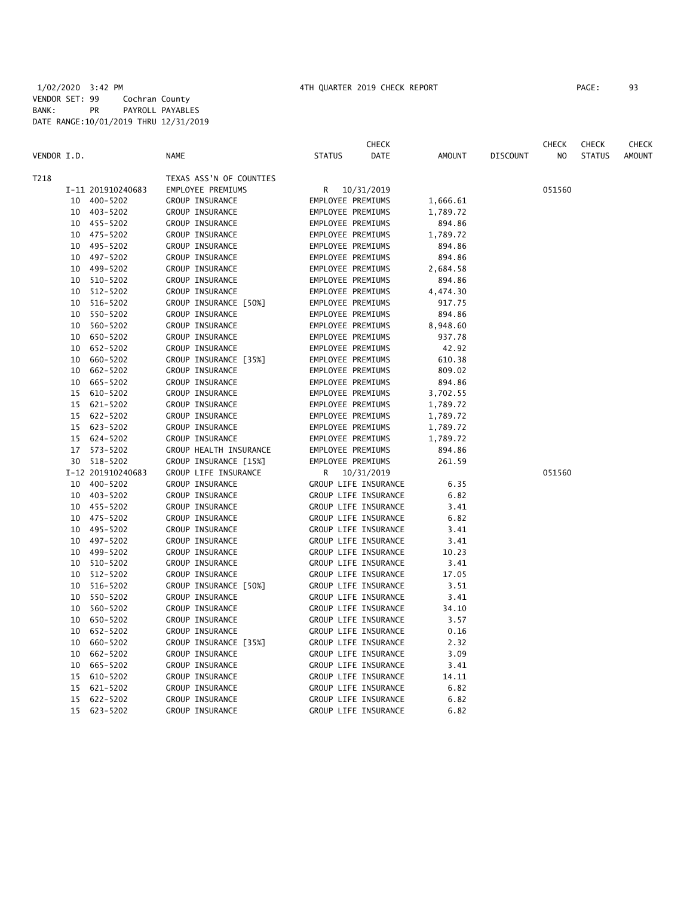|             |    |                   |                         |                      | CHECK       |               |                 | CHECK  | <b>CHECK</b>  | <b>CHECK</b>  |
|-------------|----|-------------------|-------------------------|----------------------|-------------|---------------|-----------------|--------|---------------|---------------|
| VENDOR I.D. |    |                   | <b>NAME</b>             | <b>STATUS</b>        | <b>DATE</b> | <b>AMOUNT</b> | <b>DISCOUNT</b> | NO.    | <b>STATUS</b> | <b>AMOUNT</b> |
| T218        |    |                   | TEXAS ASS'N OF COUNTIES |                      |             |               |                 |        |               |               |
|             |    | I-11 201910240683 | EMPLOYEE PREMIUMS       | R 10/31/2019         |             |               |                 | 051560 |               |               |
|             |    | 10 400-5202       | GROUP INSURANCE         | EMPLOYEE PREMIUMS    |             | 1,666.61      |                 |        |               |               |
|             |    | 10 403-5202       | GROUP INSURANCE         | EMPLOYEE PREMIUMS    |             | 1,789.72      |                 |        |               |               |
|             |    | 10 455-5202       | GROUP INSURANCE         | EMPLOYEE PREMIUMS    |             | 894.86        |                 |        |               |               |
|             |    | 10 475-5202       | GROUP INSURANCE         | EMPLOYEE PREMIUMS    |             | 1,789.72      |                 |        |               |               |
|             |    | 10 495-5202       | GROUP INSURANCE         | EMPLOYEE PREMIUMS    |             | 894.86        |                 |        |               |               |
|             | 10 | 497-5202          | GROUP INSURANCE         | EMPLOYEE PREMIUMS    |             | 894.86        |                 |        |               |               |
|             | 10 | 499-5202          | GROUP INSURANCE         | EMPLOYEE PREMIUMS    |             | 2,684.58      |                 |        |               |               |
|             | 10 | 510-5202          | GROUP INSURANCE         | EMPLOYEE PREMIUMS    |             | 894.86        |                 |        |               |               |
|             |    | 10 512-5202       | GROUP INSURANCE         | EMPLOYEE PREMIUMS    |             | 4,474.30      |                 |        |               |               |
|             |    | 10 516-5202       | GROUP INSURANCE [50%]   | EMPLOYEE PREMIUMS    |             | 917.75        |                 |        |               |               |
|             |    | 10 550-5202       | GROUP INSURANCE         | EMPLOYEE PREMIUMS    |             | 894.86        |                 |        |               |               |
|             |    | 10 560-5202       | GROUP INSURANCE         | EMPLOYEE PREMIUMS    |             | 8,948.60      |                 |        |               |               |
|             | 10 | 650-5202          | GROUP INSURANCE         | EMPLOYEE PREMIUMS    |             | 937.78        |                 |        |               |               |
|             |    | 10 652-5202       | GROUP INSURANCE         | EMPLOYEE PREMIUMS    |             | 42.92         |                 |        |               |               |
|             | 10 | 660-5202          | GROUP INSURANCE [35%]   | EMPLOYEE PREMIUMS    |             | 610.38        |                 |        |               |               |
|             | 10 | 662-5202          | GROUP INSURANCE         | EMPLOYEE PREMIUMS    |             | 809.02        |                 |        |               |               |
|             | 10 | 665-5202          | GROUP INSURANCE         | EMPLOYEE PREMIUMS    |             | 894.86        |                 |        |               |               |
|             |    | 15 610-5202       | GROUP INSURANCE         | EMPLOYEE PREMIUMS    |             | 3,702.55      |                 |        |               |               |
|             |    | 15 621-5202       | GROUP INSURANCE         | EMPLOYEE PREMIUMS    |             | 1,789.72      |                 |        |               |               |
|             |    | 15 622-5202       | GROUP INSURANCE         | EMPLOYEE PREMIUMS    |             | 1,789.72      |                 |        |               |               |
|             |    | 15 623-5202       | GROUP INSURANCE         | EMPLOYEE PREMIUMS    |             | 1,789.72      |                 |        |               |               |
|             |    | 15 624-5202       | GROUP INSURANCE         | EMPLOYEE PREMIUMS    |             | 1,789.72      |                 |        |               |               |
|             |    | 17 573-5202       | GROUP HEALTH INSURANCE  | EMPLOYEE PREMIUMS    |             | 894.86        |                 |        |               |               |
|             |    | 30 518-5202       | GROUP INSURANCE [15%]   | EMPLOYEE PREMIUMS    |             | 261.59        |                 |        |               |               |
|             |    | I-12 201910240683 | GROUP LIFE INSURANCE    | R.<br>10/31/2019     |             |               |                 | 051560 |               |               |
|             |    | 10 400-5202       | GROUP INSURANCE         | GROUP LIFE INSURANCE |             | 6.35          |                 |        |               |               |
|             | 10 | 403-5202          | GROUP INSURANCE         | GROUP LIFE INSURANCE |             | 6.82          |                 |        |               |               |
|             |    | 10 455-5202       | GROUP INSURANCE         | GROUP LIFE INSURANCE |             | 3.41          |                 |        |               |               |
|             |    | 10 475-5202       | GROUP INSURANCE         | GROUP LIFE INSURANCE |             | 6.82          |                 |        |               |               |
|             |    | 10 495-5202       | GROUP INSURANCE         | GROUP LIFE INSURANCE |             | 3.41          |                 |        |               |               |
|             | 10 | 497-5202          | GROUP INSURANCE         | GROUP LIFE INSURANCE |             | 3.41          |                 |        |               |               |
|             | 10 | 499-5202          | GROUP INSURANCE         | GROUP LIFE INSURANCE |             | 10.23         |                 |        |               |               |
|             |    | 10 510-5202       | GROUP INSURANCE         | GROUP LIFE INSURANCE |             | 3.41          |                 |        |               |               |
|             |    | 10 512-5202       | GROUP INSURANCE         | GROUP LIFE INSURANCE |             | 17.05         |                 |        |               |               |
|             | 10 | 516-5202          | GROUP INSURANCE [50%]   | GROUP LIFE INSURANCE |             | 3.51          |                 |        |               |               |
|             | 10 | 550-5202          | GROUP INSURANCE         | GROUP LIFE INSURANCE |             | 3.41          |                 |        |               |               |
|             | 10 | 560-5202          | GROUP INSURANCE         | GROUP LIFE INSURANCE |             | 34.10         |                 |        |               |               |
|             | 10 | 650-5202          | GROUP INSURANCE         | GROUP LIFE INSURANCE |             | 3.57          |                 |        |               |               |
|             | 10 | 652-5202          | GROUP INSURANCE         | GROUP LIFE INSURANCE |             | 0.16          |                 |        |               |               |
|             | 10 | 660-5202          | GROUP INSURANCE [35%]   | GROUP LIFE INSURANCE |             | 2.32          |                 |        |               |               |
|             | 10 | 662-5202          | GROUP INSURANCE         | GROUP LIFE INSURANCE |             | 3.09          |                 |        |               |               |
|             | 10 | 665-5202          | GROUP INSURANCE         | GROUP LIFE INSURANCE |             | 3.41          |                 |        |               |               |
|             | 15 | 610-5202          | GROUP INSURANCE         | GROUP LIFE INSURANCE |             | 14.11         |                 |        |               |               |
|             | 15 | 621-5202          | GROUP INSURANCE         | GROUP LIFE INSURANCE |             | 6.82          |                 |        |               |               |
|             | 15 | 622-5202          | GROUP INSURANCE         | GROUP LIFE INSURANCE |             | 6.82          |                 |        |               |               |
|             |    | 15 623-5202       | GROUP INSURANCE         | GROUP LIFE INSURANCE |             | 6.82          |                 |        |               |               |
|             |    |                   |                         |                      |             |               |                 |        |               |               |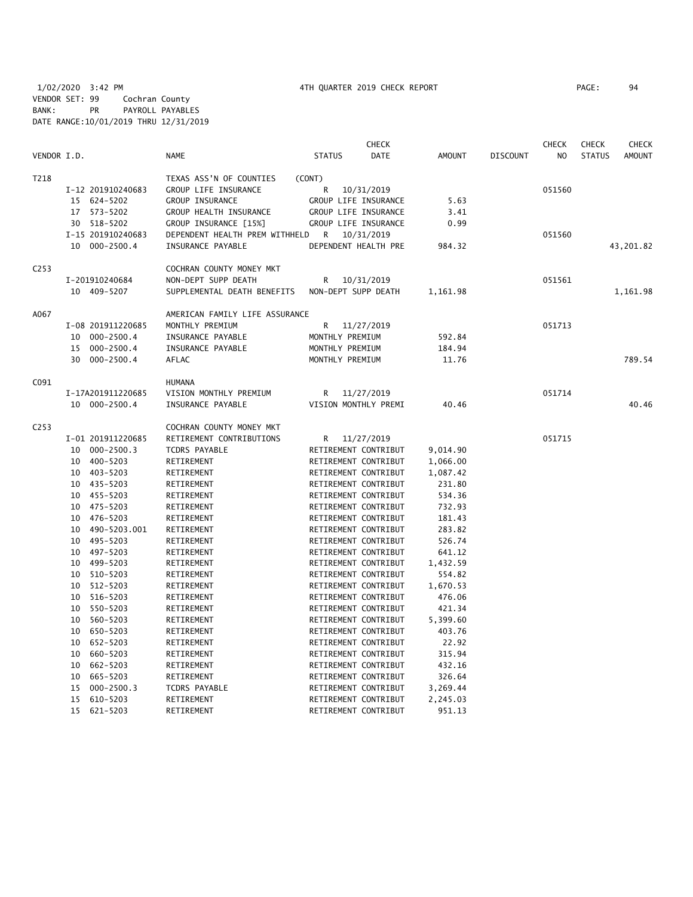| VENDOR I.D. |    |                   | <b>NAME</b>                    | <b>STATUS</b>        | <b>CHECK</b><br><b>DATE</b> | <b>AMOUNT</b> | <b>DISCOUNT</b> | <b>CHECK</b><br>N <sub>O</sub> | <b>CHECK</b><br><b>STATUS</b> | <b>CHECK</b><br><b>AMOUNT</b> |
|-------------|----|-------------------|--------------------------------|----------------------|-----------------------------|---------------|-----------------|--------------------------------|-------------------------------|-------------------------------|
| T218        |    |                   | TEXAS ASS'N OF COUNTIES        | (CONT)               |                             |               |                 |                                |                               |                               |
|             |    | I-12 201910240683 | GROUP LIFE INSURANCE           | R                    | 10/31/2019                  |               |                 | 051560                         |                               |                               |
|             |    | 15 624-5202       | GROUP INSURANCE                | GROUP LIFE INSURANCE |                             | 5.63          |                 |                                |                               |                               |
|             | 17 | 573-5202          | GROUP HEALTH INSURANCE         | GROUP LIFE INSURANCE |                             | 3.41          |                 |                                |                               |                               |
|             |    | 30 518-5202       | GROUP INSURANCE [15%]          | GROUP LIFE INSURANCE |                             | 0.99          |                 |                                |                               |                               |
|             |    | I-15 201910240683 | DEPENDENT HEALTH PREM WITHHELD | R                    | 10/31/2019                  |               |                 | 051560                         |                               |                               |
|             |    | 10 000-2500.4     | INSURANCE PAYABLE              | DEPENDENT HEALTH PRE |                             | 984.32        |                 |                                |                               | 43,201.82                     |
| C253        |    |                   | COCHRAN COUNTY MONEY MKT       |                      |                             |               |                 |                                |                               |                               |
|             |    | I-201910240684    | NON-DEPT SUPP DEATH            | R                    | 10/31/2019                  |               |                 | 051561                         |                               |                               |
|             |    | 10 409-5207       | SUPPLEMENTAL DEATH BENEFITS    | NON-DEPT SUPP DEATH  |                             | 1,161.98      |                 |                                |                               | 1,161.98                      |
| A067        |    |                   | AMERICAN FAMILY LIFE ASSURANCE |                      |                             |               |                 |                                |                               |                               |
|             |    | I-08 201911220685 | MONTHLY PREMIUM                | R                    | 11/27/2019                  |               |                 | 051713                         |                               |                               |
|             | 10 | $000 - 2500.4$    | INSURANCE PAYABLE              | MONTHLY PREMIUM      |                             | 592.84        |                 |                                |                               |                               |
|             | 15 | $000 - 2500.4$    | INSURANCE PAYABLE              | MONTHLY PREMIUM      |                             | 184.94        |                 |                                |                               |                               |
|             | 30 | $000 - 2500.4$    | AFLAC                          | MONTHLY PREMIUM      |                             | 11.76         |                 |                                |                               | 789.54                        |
| C091        |    |                   | <b>HUMANA</b>                  |                      |                             |               |                 |                                |                               |                               |
|             |    | I-17A201911220685 | VISION MONTHLY PREMIUM         | R                    | 11/27/2019                  |               |                 | 051714                         |                               |                               |
|             |    | 10 000-2500.4     | INSURANCE PAYABLE              | VISION MONTHLY PREMI |                             | 40.46         |                 |                                |                               | 40.46                         |
| C253        |    |                   | COCHRAN COUNTY MONEY MKT       |                      |                             |               |                 |                                |                               |                               |
|             |    | I-01 201911220685 | RETIREMENT CONTRIBUTIONS       | R                    | 11/27/2019                  |               |                 | 051715                         |                               |                               |
|             | 10 | $000 - 2500.3$    | <b>TCDRS PAYABLE</b>           | RETIREMENT CONTRIBUT |                             | 9,014.90      |                 |                                |                               |                               |
|             |    | 10 400-5203       | RETIREMENT                     | RETIREMENT CONTRIBUT |                             | 1,066.00      |                 |                                |                               |                               |
|             |    | 10 403-5203       | RETIREMENT                     | RETIREMENT CONTRIBUT |                             | 1,087.42      |                 |                                |                               |                               |
|             |    | 10 435-5203       | RETIREMENT                     | RETIREMENT CONTRIBUT |                             | 231.80        |                 |                                |                               |                               |
|             |    | 10 455-5203       | RETIREMENT                     | RETIREMENT CONTRIBUT |                             | 534.36        |                 |                                |                               |                               |
|             | 10 | 475-5203          | RETIREMENT                     | RETIREMENT CONTRIBUT |                             | 732.93        |                 |                                |                               |                               |
|             | 10 | 476-5203          | RETIREMENT                     | RETIREMENT CONTRIBUT |                             | 181.43        |                 |                                |                               |                               |
|             | 10 | 490-5203.001      | RETIREMENT                     | RETIREMENT CONTRIBUT |                             | 283.82        |                 |                                |                               |                               |
|             | 10 | 495-5203          | RETIREMENT                     | RETIREMENT CONTRIBUT |                             | 526.74        |                 |                                |                               |                               |
|             | 10 | 497-5203          | RETIREMENT                     | RETIREMENT CONTRIBUT |                             | 641.12        |                 |                                |                               |                               |
|             | 10 | 499-5203          | RETIREMENT                     | RETIREMENT CONTRIBUT |                             | 1,432.59      |                 |                                |                               |                               |
|             | 10 | 510-5203          | RETIREMENT                     | RETIREMENT CONTRIBUT |                             | 554.82        |                 |                                |                               |                               |
|             | 10 | 512-5203          | RETIREMENT                     | RETIREMENT CONTRIBUT |                             | 1,670.53      |                 |                                |                               |                               |
|             | 10 | 516-5203          | RETIREMENT                     | RETIREMENT CONTRIBUT |                             | 476.06        |                 |                                |                               |                               |
|             | 10 | 550-5203          | RETIREMENT                     | RETIREMENT CONTRIBUT |                             | 421.34        |                 |                                |                               |                               |
|             | 10 | 560-5203          | RETIREMENT                     | RETIREMENT CONTRIBUT |                             | 5,399.60      |                 |                                |                               |                               |
|             | 10 | 650-5203          | RETIREMENT                     | RETIREMENT CONTRIBUT |                             | 403.76        |                 |                                |                               |                               |
|             | 10 | 652-5203          | RETIREMENT                     | RETIREMENT CONTRIBUT |                             | 22.92         |                 |                                |                               |                               |
|             | 10 | 660-5203          | RETIREMENT                     | RETIREMENT CONTRIBUT |                             | 315.94        |                 |                                |                               |                               |
|             | 10 | 662-5203          | RETIREMENT                     | RETIREMENT CONTRIBUT |                             | 432.16        |                 |                                |                               |                               |
|             | 10 | 665-5203          | RETIREMENT                     | RETIREMENT CONTRIBUT |                             | 326.64        |                 |                                |                               |                               |
|             | 15 | $000 - 2500.3$    | TCDRS PAYABLE                  | RETIREMENT CONTRIBUT |                             | 3,269.44      |                 |                                |                               |                               |
|             | 15 | 610-5203          | RETIREMENT                     | RETIREMENT CONTRIBUT |                             | 2,245.03      |                 |                                |                               |                               |
|             | 15 | 621-5203          | RETIREMENT                     | RETIREMENT CONTRIBUT |                             | 951.13        |                 |                                |                               |                               |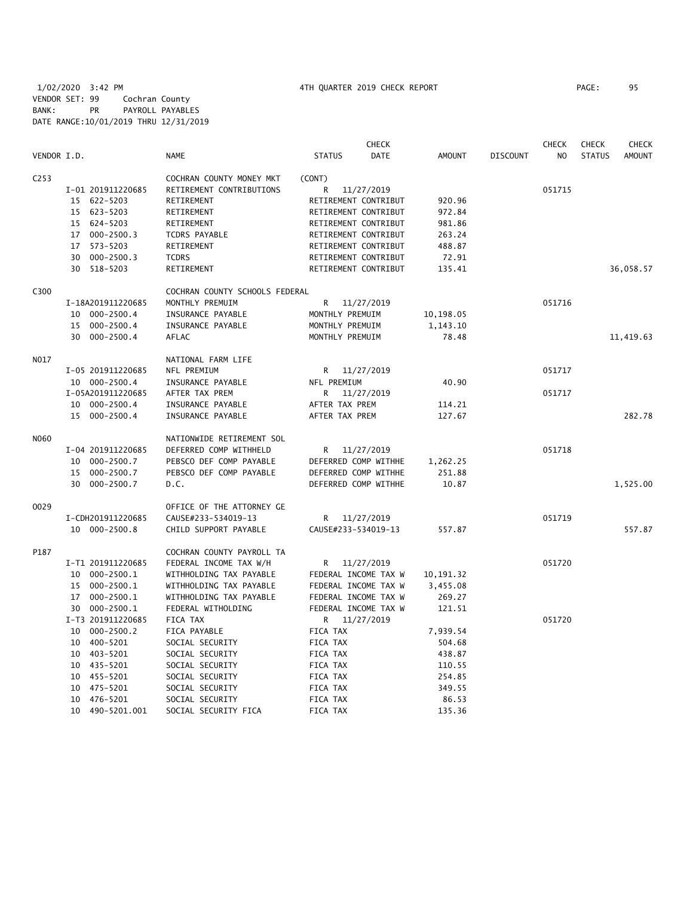|                  |                      |                                | <b>CHECK</b>                 |               |                 | <b>CHECK</b>   | <b>CHECK</b>  | CHECK         |
|------------------|----------------------|--------------------------------|------------------------------|---------------|-----------------|----------------|---------------|---------------|
| VENDOR I.D.      |                      | <b>NAME</b>                    | <b>STATUS</b><br><b>DATE</b> | <b>AMOUNT</b> | <b>DISCOUNT</b> | N <sub>O</sub> | <b>STATUS</b> | <b>AMOUNT</b> |
| C <sub>253</sub> |                      | COCHRAN COUNTY MONEY MKT       | (CONT)                       |               |                 |                |               |               |
|                  | I-01 201911220685    | RETIREMENT CONTRIBUTIONS       | 11/27/2019<br>R              |               |                 | 051715         |               |               |
|                  | 15 622-5203          | RETIREMENT                     | RETIREMENT CONTRIBUT         | 920.96        |                 |                |               |               |
|                  | 15 623-5203          | RETIREMENT                     | RETIREMENT CONTRIBUT         | 972.84        |                 |                |               |               |
|                  | 15 624-5203          | RETIREMENT                     | RETIREMENT CONTRIBUT         | 981.86        |                 |                |               |               |
|                  | 17 000-2500.3        | <b>TCDRS PAYABLE</b>           | RETIREMENT CONTRIBUT         | 263.24        |                 |                |               |               |
|                  | 573-5203<br>17       | RETIREMENT                     | RETIREMENT CONTRIBUT         | 488.87        |                 |                |               |               |
|                  | $000 - 2500.3$<br>30 | <b>TCDRS</b>                   | RETIREMENT CONTRIBUT         | 72.91         |                 |                |               |               |
|                  | 30 518-5203          | RETIREMENT                     | RETIREMENT CONTRIBUT         | 135.41        |                 |                |               | 36,058.57     |
| C300             |                      | COCHRAN COUNTY SCHOOLS FEDERAL |                              |               |                 |                |               |               |
|                  | I-18A201911220685    | MONTHLY PREMUIM                | R<br>11/27/2019              |               |                 | 051716         |               |               |
|                  | 10 000-2500.4        | INSURANCE PAYABLE              | MONTHLY PREMUIM              | 10,198.05     |                 |                |               |               |
|                  | 15 000-2500.4        | INSURANCE PAYABLE              | MONTHLY PREMUIM              | 1,143.10      |                 |                |               |               |
|                  | 30 000-2500.4        | AFLAC                          | MONTHLY PREMUIM              | 78.48         |                 |                |               | 11,419.63     |
| N017             |                      | NATIONAL FARM LIFE             |                              |               |                 |                |               |               |
|                  | I-05 201911220685    | NFL PREMIUM                    | R 11/27/2019                 |               |                 | 051717         |               |               |
|                  | 10 000-2500.4        | INSURANCE PAYABLE              | NFL PREMIUM                  | 40.90         |                 |                |               |               |
|                  | I-05A201911220685    | AFTER TAX PREM                 | 11/27/2019<br>R.             |               |                 | 051717         |               |               |
|                  | 10 000-2500.4        | INSURANCE PAYABLE              | AFTER TAX PREM               | 114.21        |                 |                |               |               |
|                  | 15 000-2500.4        | INSURANCE PAYABLE              | AFTER TAX PREM               | 127.67        |                 |                |               | 282.78        |
| N060             |                      | NATIONWIDE RETIREMENT SOL      |                              |               |                 |                |               |               |
|                  | I-04 201911220685    | DEFERRED COMP WITHHELD         | R<br>11/27/2019              |               |                 | 051718         |               |               |
|                  | 10 000-2500.7        | PEBSCO DEF COMP PAYABLE        | DEFERRED COMP WITHHE         | 1,262.25      |                 |                |               |               |
|                  | 000-2500.7<br>15     | PEBSCO DEF COMP PAYABLE        | DEFERRED COMP WITHHE         | 251.88        |                 |                |               |               |
|                  | 30 000-2500.7        | D.C.                           | DEFERRED COMP WITHHE         | 10.87         |                 |                |               | 1,525.00      |
| 0029             |                      | OFFICE OF THE ATTORNEY GE      |                              |               |                 |                |               |               |
|                  | I-CDH201911220685    | CAUSE#233-534019-13            | R 11/27/2019                 |               |                 | 051719         |               |               |
|                  | 10 000-2500.8        | CHILD SUPPORT PAYABLE          | CAUSE#233-534019-13          | 557.87        |                 |                |               | 557.87        |
| P187             |                      | COCHRAN COUNTY PAYROLL TA      |                              |               |                 |                |               |               |
|                  | I-T1 201911220685    | FEDERAL INCOME TAX W/H         | R 11/27/2019                 |               |                 | 051720         |               |               |
|                  | 10 000-2500.1        | WITHHOLDING TAX PAYABLE        | FEDERAL INCOME TAX W         | 10, 191. 32   |                 |                |               |               |
|                  | 000-2500.1<br>15     | WITHHOLDING TAX PAYABLE        | FEDERAL INCOME TAX W         | 3,455.08      |                 |                |               |               |
|                  | 17 000-2500.1        | WITHHOLDING TAX PAYABLE        | FEDERAL INCOME TAX W         | 269.27        |                 |                |               |               |
|                  | 30 000-2500.1        | FEDERAL WITHOLDING             | FEDERAL INCOME TAX W         | 121.51        |                 |                |               |               |
|                  | I-T3 201911220685    | FICA TAX                       | R 11/27/2019                 |               |                 | 051720         |               |               |
|                  | 10 000-2500.2        | FICA PAYABLE                   | FICA TAX                     | 7,939.54      |                 |                |               |               |
|                  | 10 400-5201          | SOCIAL SECURITY                | FICA TAX                     | 504.68        |                 |                |               |               |
|                  | 10 403-5201          | SOCIAL SECURITY                | FICA TAX                     | 438.87        |                 |                |               |               |
|                  | 10 435-5201          | SOCIAL SECURITY                | FICA TAX                     | 110.55        |                 |                |               |               |
|                  | 10 455-5201          | SOCIAL SECURITY                | FICA TAX                     | 254.85        |                 |                |               |               |
|                  | 475-5201<br>10       | SOCIAL SECURITY                | FICA TAX                     | 349.55        |                 |                |               |               |
|                  | 476-5201<br>10       | SOCIAL SECURITY                | FICA TAX                     | 86.53         |                 |                |               |               |
|                  | 10<br>490-5201.001   | SOCIAL SECURITY FICA           | <b>FICA TAX</b>              | 135.36        |                 |                |               |               |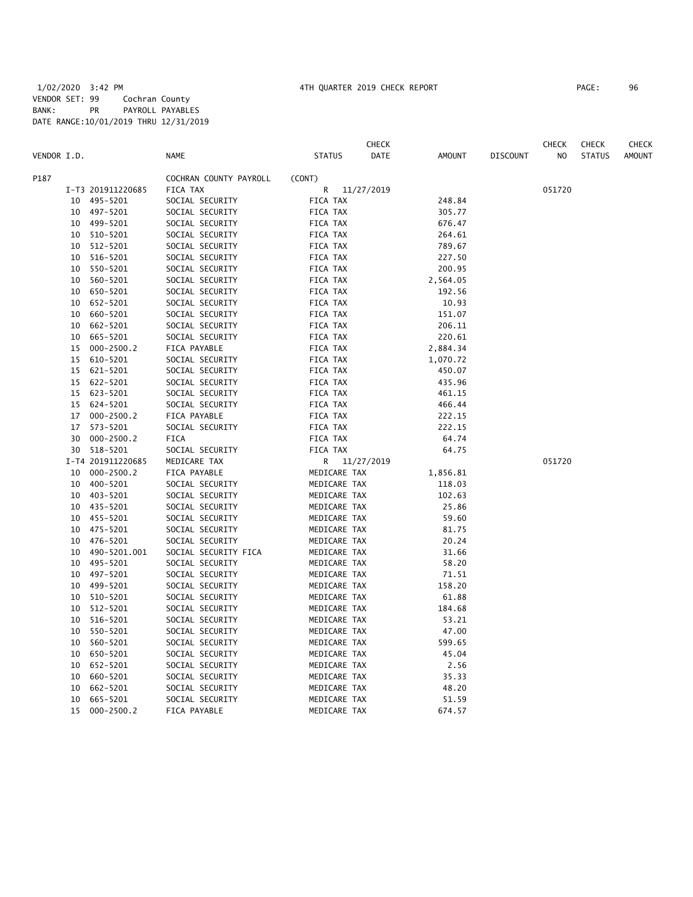|             |    |                   |                        |                 | CHECK |               |                 | CHECK  | <b>CHECK</b>  | CHECK         |
|-------------|----|-------------------|------------------------|-----------------|-------|---------------|-----------------|--------|---------------|---------------|
| VENDOR I.D. |    |                   | <b>NAME</b>            | <b>STATUS</b>   | DATE  | <b>AMOUNT</b> | <b>DISCOUNT</b> | NO.    | <b>STATUS</b> | <b>AMOUNT</b> |
| P187        |    |                   | COCHRAN COUNTY PAYROLL | (CONT)          |       |               |                 |        |               |               |
|             |    | I-T3 201911220685 | FICA TAX               | R<br>11/27/2019 |       |               |                 | 051720 |               |               |
|             | 10 | 495-5201          | SOCIAL SECURITY        | FICA TAX        |       | 248.84        |                 |        |               |               |
|             | 10 | 497-5201          | SOCIAL SECURITY        | FICA TAX        |       | 305.77        |                 |        |               |               |
|             | 10 | 499-5201          | SOCIAL SECURITY        | FICA TAX        |       | 676.47        |                 |        |               |               |
|             | 10 | 510-5201          | SOCIAL SECURITY        | FICA TAX        |       | 264.61        |                 |        |               |               |
|             | 10 | 512-5201          | SOCIAL SECURITY        | FICA TAX        |       | 789.67        |                 |        |               |               |
|             | 10 | 516-5201          | SOCIAL SECURITY        | FICA TAX        |       | 227.50        |                 |        |               |               |
|             | 10 | 550-5201          | SOCIAL SECURITY        | FICA TAX        |       | 200.95        |                 |        |               |               |
|             | 10 | 560-5201          | SOCIAL SECURITY        | FICA TAX        |       | 2,564.05      |                 |        |               |               |
|             | 10 | 650-5201          | SOCIAL SECURITY        | FICA TAX        |       | 192.56        |                 |        |               |               |
|             | 10 | 652-5201          | SOCIAL SECURITY        | FICA TAX        |       | 10.93         |                 |        |               |               |
|             | 10 | 660-5201          | SOCIAL SECURITY        | FICA TAX        |       | 151.07        |                 |        |               |               |
|             | 10 | 662-5201          | SOCIAL SECURITY        | FICA TAX        |       | 206.11        |                 |        |               |               |
|             | 10 | 665-5201          | SOCIAL SECURITY        | FICA TAX        |       | 220.61        |                 |        |               |               |
|             |    |                   |                        |                 |       |               |                 |        |               |               |
|             | 15 | $000 - 2500.2$    | FICA PAYABLE           | FICA TAX        |       | 2,884.34      |                 |        |               |               |
|             | 15 | 610-5201          | SOCIAL SECURITY        | FICA TAX        |       | 1,070.72      |                 |        |               |               |
|             | 15 | 621-5201          | SOCIAL SECURITY        | FICA TAX        |       | 450.07        |                 |        |               |               |
|             | 15 | 622-5201          | SOCIAL SECURITY        | FICA TAX        |       | 435.96        |                 |        |               |               |
|             | 15 | 623-5201          | SOCIAL SECURITY        | FICA TAX        |       | 461.15        |                 |        |               |               |
|             | 15 | 624-5201          | SOCIAL SECURITY        | FICA TAX        |       | 466.44        |                 |        |               |               |
|             | 17 | $000 - 2500.2$    | FICA PAYABLE           | FICA TAX        |       | 222.15        |                 |        |               |               |
|             | 17 | 573-5201          | SOCIAL SECURITY        | FICA TAX        |       | 222.15        |                 |        |               |               |
|             | 30 | $000 - 2500.2$    | FICA                   | FICA TAX        |       | 64.74         |                 |        |               |               |
|             | 30 | 518-5201          | SOCIAL SECURITY        | FICA TAX        |       | 64.75         |                 |        |               |               |
|             |    | I-T4 201911220685 | MEDICARE TAX           | R<br>11/27/2019 |       |               |                 | 051720 |               |               |
|             | 10 | $000 - 2500.2$    | FICA PAYABLE           | MEDICARE TAX    |       | 1,856.81      |                 |        |               |               |
|             | 10 | 400-5201          | SOCIAL SECURITY        | MEDICARE TAX    |       | 118.03        |                 |        |               |               |
|             | 10 | 403-5201          | SOCIAL SECURITY        | MEDICARE TAX    |       | 102.63        |                 |        |               |               |
|             | 10 | 435-5201          | SOCIAL SECURITY        | MEDICARE TAX    |       | 25.86         |                 |        |               |               |
|             | 10 | 455-5201          | SOCIAL SECURITY        | MEDICARE TAX    |       | 59.60         |                 |        |               |               |
|             | 10 | 475-5201          | SOCIAL SECURITY        | MEDICARE TAX    |       | 81.75         |                 |        |               |               |
|             | 10 | 476-5201          | SOCIAL SECURITY        | MEDICARE TAX    |       | 20.24         |                 |        |               |               |
|             | 10 | 490-5201.001      | SOCIAL SECURITY FICA   | MEDICARE TAX    |       | 31.66         |                 |        |               |               |
|             | 10 | 495-5201          | SOCIAL SECURITY        | MEDICARE TAX    |       | 58.20         |                 |        |               |               |
|             | 10 | 497-5201          | SOCIAL SECURITY        | MEDICARE TAX    |       | 71.51         |                 |        |               |               |
|             | 10 | 499-5201          | SOCIAL SECURITY        | MEDICARE TAX    |       | 158.20        |                 |        |               |               |
|             | 10 | 510-5201          | SOCIAL SECURITY        | MEDICARE TAX    |       | 61.88         |                 |        |               |               |
|             | 10 | 512-5201          | SOCIAL SECURITY        | MEDICARE TAX    |       | 184.68        |                 |        |               |               |
|             | 10 | 516-5201          | SOCIAL SECURITY        | MEDICARE TAX    |       | 53.21         |                 |        |               |               |
|             | 10 | 550-5201          | SOCIAL SECURITY        | MEDICARE TAX    |       | 47.00         |                 |        |               |               |
|             | 10 | 560-5201          | SOCIAL SECURITY        | MEDICARE TAX    |       | 599.65        |                 |        |               |               |
|             | 10 | 650-5201          | SOCIAL SECURITY        | MEDICARE TAX    |       | 45.04         |                 |        |               |               |
|             | 10 | 652-5201          | SOCIAL SECURITY        | MEDICARE TAX    |       | 2.56          |                 |        |               |               |
|             | 10 | 660-5201          | SOCIAL SECURITY        | MEDICARE TAX    |       | 35.33         |                 |        |               |               |
|             | 10 | 662-5201          | SOCIAL SECURITY        | MEDICARE TAX    |       | 48.20         |                 |        |               |               |
|             | 10 | 665-5201          | SOCIAL SECURITY        | MEDICARE TAX    |       | 51.59         |                 |        |               |               |
|             | 15 | $000 - 2500.2$    | FICA PAYABLE           | MEDICARE TAX    |       | 674.57        |                 |        |               |               |
|             |    |                   |                        |                 |       |               |                 |        |               |               |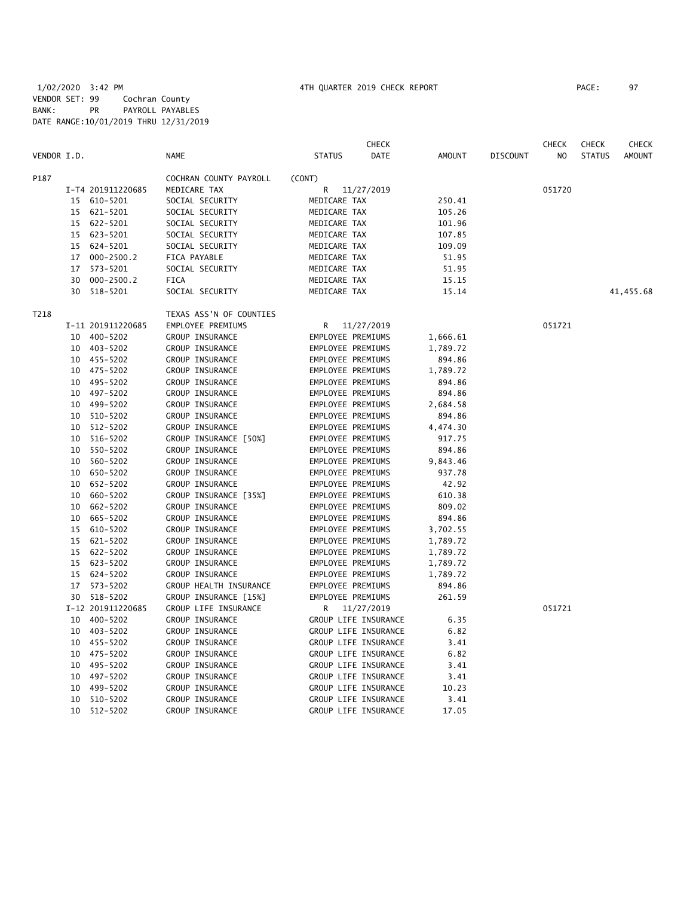|             |    |                   |                         |                      | <b>CHECK</b>         |          |                 | <b>CHECK</b> | <b>CHECK</b>  | <b>CHECK</b>  |
|-------------|----|-------------------|-------------------------|----------------------|----------------------|----------|-----------------|--------------|---------------|---------------|
| VENDOR I.D. |    |                   | <b>NAME</b>             | <b>STATUS</b>        | DATE                 | AMOUNT   | <b>DISCOUNT</b> | NO.          | <b>STATUS</b> | <b>AMOUNT</b> |
| P187        |    |                   | COCHRAN COUNTY PAYROLL  | (CONT)               |                      |          |                 |              |               |               |
|             |    | I-T4 201911220685 | MEDICARE TAX            | R                    | 11/27/2019           |          |                 | 051720       |               |               |
|             |    | 15 610-5201       | SOCIAL SECURITY         | MEDICARE TAX         |                      | 250.41   |                 |              |               |               |
|             |    | 15 621-5201       | SOCIAL SECURITY         | MEDICARE TAX         |                      | 105.26   |                 |              |               |               |
|             |    | 15 622-5201       | SOCIAL SECURITY         | MEDICARE TAX         |                      | 101.96   |                 |              |               |               |
|             |    | 15 623-5201       | SOCIAL SECURITY         | MEDICARE TAX         |                      | 107.85   |                 |              |               |               |
|             |    | 15 624-5201       | SOCIAL SECURITY         | MEDICARE TAX         |                      | 109.09   |                 |              |               |               |
|             |    | 17 000-2500.2     | FICA PAYABLE            | MEDICARE TAX         |                      | 51.95    |                 |              |               |               |
|             |    | 17 573-5201       | SOCIAL SECURITY         | MEDICARE TAX         |                      | 51.95    |                 |              |               |               |
|             | 30 | $000 - 2500.2$    | <b>FICA</b>             | MEDICARE TAX         |                      | 15.15    |                 |              |               |               |
|             |    | 30 518-5201       | SOCIAL SECURITY         | MEDICARE TAX         |                      | 15.14    |                 |              |               | 41,455.68     |
| T218        |    |                   | TEXAS ASS'N OF COUNTIES |                      |                      |          |                 |              |               |               |
|             |    | I-11 201911220685 | EMPLOYEE PREMIUMS       |                      | R 11/27/2019         |          |                 | 051721       |               |               |
|             |    | 10 400-5202       | GROUP INSURANCE         | EMPLOYEE PREMIUMS    |                      | 1,666.61 |                 |              |               |               |
|             |    | 10 403-5202       | GROUP INSURANCE         | EMPLOYEE PREMIUMS    |                      | 1,789.72 |                 |              |               |               |
|             |    | 10 455-5202       | GROUP INSURANCE         | EMPLOYEE PREMIUMS    |                      | 894.86   |                 |              |               |               |
|             |    | 10 475-5202       | GROUP INSURANCE         | EMPLOYEE PREMIUMS    |                      | 1,789.72 |                 |              |               |               |
|             |    | 10 495-5202       | GROUP INSURANCE         | EMPLOYEE PREMIUMS    |                      | 894.86   |                 |              |               |               |
|             |    | 10 497-5202       | GROUP INSURANCE         | EMPLOYEE PREMIUMS    |                      | 894.86   |                 |              |               |               |
|             |    | 10 499-5202       | GROUP INSURANCE         | EMPLOYEE PREMIUMS    |                      | 2,684.58 |                 |              |               |               |
|             |    | 10 510-5202       | GROUP INSURANCE         | EMPLOYEE PREMIUMS    |                      | 894.86   |                 |              |               |               |
|             |    | 10 512-5202       | GROUP INSURANCE         | EMPLOYEE PREMIUMS    |                      | 4,474.30 |                 |              |               |               |
|             |    | 10 516-5202       | GROUP INSURANCE [50%]   | EMPLOYEE PREMIUMS    |                      | 917.75   |                 |              |               |               |
|             | 10 | 550-5202          | GROUP INSURANCE         | EMPLOYEE PREMIUMS    |                      | 894.86   |                 |              |               |               |
|             |    | 10 560-5202       | GROUP INSURANCE         | EMPLOYEE PREMIUMS    |                      | 9,843.46 |                 |              |               |               |
|             |    | 10 650-5202       | GROUP INSURANCE         | EMPLOYEE PREMIUMS    |                      | 937.78   |                 |              |               |               |
|             |    | 10 652-5202       | GROUP INSURANCE         | EMPLOYEE PREMIUMS    |                      | 42.92    |                 |              |               |               |
|             |    | 10 660-5202       | GROUP INSURANCE [35%]   | EMPLOYEE PREMIUMS    |                      | 610.38   |                 |              |               |               |
|             |    | 10 662-5202       | GROUP INSURANCE         | EMPLOYEE PREMIUMS    |                      | 809.02   |                 |              |               |               |
|             |    | 10 665-5202       | GROUP INSURANCE         | EMPLOYEE PREMIUMS    |                      | 894.86   |                 |              |               |               |
|             |    | 15 610-5202       | GROUP INSURANCE         | EMPLOYEE PREMIUMS    |                      | 3,702.55 |                 |              |               |               |
|             |    | 15 621-5202       | GROUP INSURANCE         | EMPLOYEE PREMIUMS    |                      | 1,789.72 |                 |              |               |               |
|             |    | 15 622-5202       | GROUP INSURANCE         | EMPLOYEE PREMIUMS    |                      | 1,789.72 |                 |              |               |               |
|             |    | 15 623-5202       | GROUP INSURANCE         | EMPLOYEE PREMIUMS    |                      | 1,789.72 |                 |              |               |               |
|             |    | 15 624-5202       | GROUP INSURANCE         | EMPLOYEE PREMIUMS    |                      | 1,789.72 |                 |              |               |               |
|             |    | 17 573-5202       | GROUP HEALTH INSURANCE  | EMPLOYEE PREMIUMS    |                      | 894.86   |                 |              |               |               |
|             |    | 30 518-5202       | GROUP INSURANCE [15%]   | EMPLOYEE PREMIUMS    |                      | 261.59   |                 |              |               |               |
|             |    | I-12 201911220685 | GROUP LIFE INSURANCE    | R 11/27/2019         |                      |          |                 | 051721       |               |               |
|             |    | 10 400-5202       | GROUP INSURANCE         | GROUP LIFE INSURANCE |                      | 6.35     |                 |              |               |               |
|             |    | 10 403-5202       | GROUP INSURANCE         | GROUP LIFE INSURANCE |                      | 6.82     |                 |              |               |               |
|             |    | 10 455-5202       | GROUP INSURANCE         |                      | GROUP LIFE INSURANCE | 3.41     |                 |              |               |               |
|             |    | 10 475-5202       | GROUP INSURANCE         | GROUP LIFE INSURANCE |                      | 6.82     |                 |              |               |               |
|             |    | 10 495-5202       | GROUP INSURANCE         | GROUP LIFE INSURANCE |                      | 3.41     |                 |              |               |               |
|             |    | 10 497-5202       | GROUP INSURANCE         | GROUP LIFE INSURANCE |                      | 3.41     |                 |              |               |               |
|             | 10 | 499-5202          | GROUP INSURANCE         |                      | GROUP LIFE INSURANCE | 10.23    |                 |              |               |               |
|             | 10 | 510-5202          | GROUP INSURANCE         |                      | GROUP LIFE INSURANCE | 3.41     |                 |              |               |               |
|             | 10 | 512-5202          | GROUP INSURANCE         |                      | GROUP LIFE INSURANCE | 17.05    |                 |              |               |               |
|             |    |                   |                         |                      |                      |          |                 |              |               |               |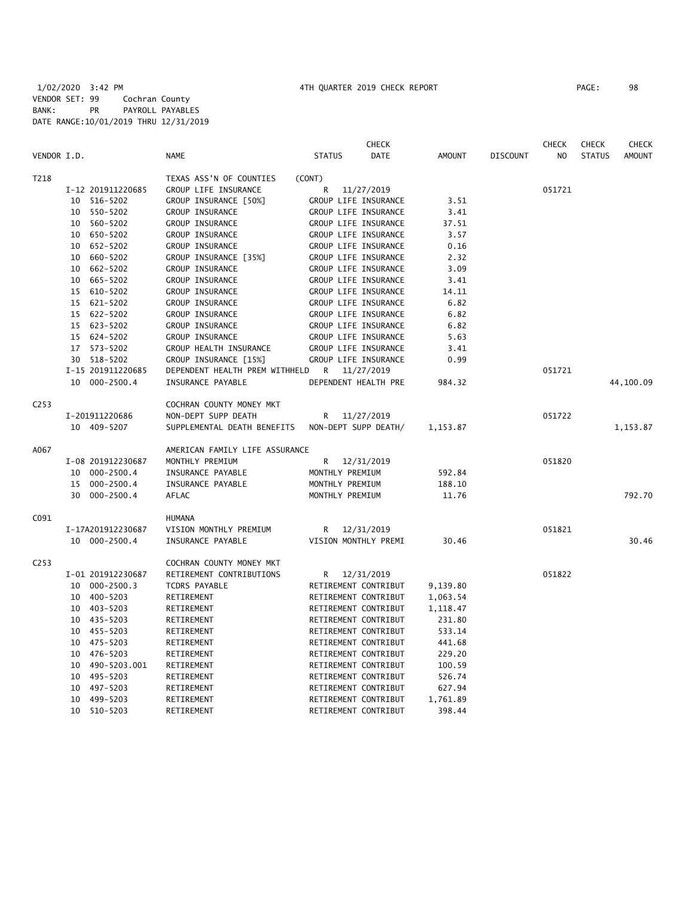|                  |                    |                                | <b>CHECK</b>                 |               |                 | <b>CHECK</b>   | <b>CHECK</b>  | <b>CHECK</b>  |
|------------------|--------------------|--------------------------------|------------------------------|---------------|-----------------|----------------|---------------|---------------|
| VENDOR I.D.      |                    | <b>NAME</b>                    | <b>STATUS</b><br><b>DATE</b> | <b>AMOUNT</b> | <b>DISCOUNT</b> | N <sub>O</sub> | <b>STATUS</b> | <b>AMOUNT</b> |
| T218             |                    | TEXAS ASS'N OF COUNTIES        | (CONT)                       |               |                 |                |               |               |
|                  | I-12 201911220685  | GROUP LIFE INSURANCE           | R<br>11/27/2019              |               |                 | 051721         |               |               |
|                  | 10 516-5202        | GROUP INSURANCE [50%]          | GROUP LIFE INSURANCE         | 3.51          |                 |                |               |               |
|                  | 10 550-5202        | GROUP INSURANCE                | GROUP LIFE INSURANCE         | 3.41          |                 |                |               |               |
|                  | 10 560-5202        | GROUP INSURANCE                | GROUP LIFE INSURANCE         | 37.51         |                 |                |               |               |
|                  | 650-5202<br>10     | GROUP INSURANCE                | GROUP LIFE INSURANCE         | 3.57          |                 |                |               |               |
|                  | 652-5202<br>10     | GROUP INSURANCE                | GROUP LIFE INSURANCE         | 0.16          |                 |                |               |               |
|                  | 660-5202<br>10     | GROUP INSURANCE [35%]          | GROUP LIFE INSURANCE         | 2.32          |                 |                |               |               |
|                  | 662-5202<br>10     | GROUP INSURANCE                | GROUP LIFE INSURANCE         | 3.09          |                 |                |               |               |
|                  | 665-5202<br>10     | GROUP INSURANCE                | GROUP LIFE INSURANCE         | 3.41          |                 |                |               |               |
|                  | 15 610-5202        | GROUP INSURANCE                | GROUP LIFE INSURANCE         | 14.11         |                 |                |               |               |
|                  | 15 621-5202        | GROUP INSURANCE                | GROUP LIFE INSURANCE         | 6.82          |                 |                |               |               |
|                  | 15 622-5202        | GROUP INSURANCE                | GROUP LIFE INSURANCE         | 6.82          |                 |                |               |               |
|                  | 15 623-5202        | GROUP INSURANCE                | GROUP LIFE INSURANCE         | 6.82          |                 |                |               |               |
|                  | 15 624-5202        | GROUP INSURANCE                | GROUP LIFE INSURANCE         | 5.63          |                 |                |               |               |
|                  | 17 573-5202        | GROUP HEALTH INSURANCE         | GROUP LIFE INSURANCE         | 3.41          |                 |                |               |               |
|                  | 30 518-5202        | GROUP INSURANCE [15%]          | GROUP LIFE INSURANCE         | 0.99          |                 |                |               |               |
|                  | I-15 201911220685  | DEPENDENT HEALTH PREM WITHHELD | R 11/27/2019                 |               |                 | 051721         |               |               |
|                  | 10 000-2500.4      | INSURANCE PAYABLE              | DEPENDENT HEALTH PRE         | 984.32        |                 |                |               | 44,100.09     |
| C <sub>253</sub> |                    | COCHRAN COUNTY MONEY MKT       |                              |               |                 |                |               |               |
|                  | I-201911220686     | NON-DEPT SUPP DEATH            | 11/27/2019<br>R              |               |                 | 051722         |               |               |
|                  | 10 409-5207        | SUPPLEMENTAL DEATH BENEFITS    | NON-DEPT SUPP DEATH/         | 1,153.87      |                 |                |               | 1,153.87      |
| A067             |                    | AMERICAN FAMILY LIFE ASSURANCE |                              |               |                 |                |               |               |
|                  | I-08 201912230687  | MONTHLY PREMIUM                | 12/31/2019<br>R              |               |                 | 051820         |               |               |
|                  | 10 000-2500.4      | INSURANCE PAYABLE              | MONTHLY PREMIUM              | 592.84        |                 |                |               |               |
|                  | 15 000-2500.4      | INSURANCE PAYABLE              | MONTHLY PREMIUM              | 188.10        |                 |                |               |               |
|                  | 30 000-2500.4      | AFLAC                          | MONTHLY PREMIUM              | 11.76         |                 |                |               | 792.70        |
| C091             |                    | HUMANA                         |                              |               |                 |                |               |               |
|                  | I-17A201912230687  | VISION MONTHLY PREMIUM         | 12/31/2019<br>R              |               |                 | 051821         |               |               |
|                  | 10 000-2500.4      | INSURANCE PAYABLE              | VISION MONTHLY PREMI         | 30.46         |                 |                |               | 30.46         |
| C <sub>253</sub> |                    | COCHRAN COUNTY MONEY MKT       |                              |               |                 |                |               |               |
|                  | I-01 201912230687  | RETIREMENT CONTRIBUTIONS       | 12/31/2019<br>R              |               |                 | 051822         |               |               |
|                  | 10 000-2500.3      | <b>TCDRS PAYABLE</b>           | RETIREMENT CONTRIBUT         | 9,139.80      |                 |                |               |               |
|                  | 10 400-5203        | RETIREMENT                     | RETIREMENT CONTRIBUT         | 1,063.54      |                 |                |               |               |
|                  | 10 403-5203        | RETIREMENT                     | RETIREMENT CONTRIBUT         | 1,118.47      |                 |                |               |               |
|                  | 10 435-5203        | RETIREMENT                     | RETIREMENT CONTRIBUT         | 231.80        |                 |                |               |               |
|                  | 455-5203<br>10     | RETIREMENT                     | RETIREMENT CONTRIBUT         | 533.14        |                 |                |               |               |
|                  | 10 475-5203        | RETIREMENT                     | RETIREMENT CONTRIBUT         | 441.68        |                 |                |               |               |
|                  | 476-5203<br>10     | RETIREMENT                     | RETIREMENT CONTRIBUT         | 229.20        |                 |                |               |               |
|                  | 490-5203.001<br>10 | RETIREMENT                     | RETIREMENT CONTRIBUT         | 100.59        |                 |                |               |               |
|                  | 495-5203<br>10     | RETIREMENT                     | RETIREMENT CONTRIBUT         | 526.74        |                 |                |               |               |
|                  | 497-5203<br>10     | RETIREMENT                     | RETIREMENT CONTRIBUT         | 627.94        |                 |                |               |               |
|                  | 499-5203<br>10     | RETIREMENT                     | RETIREMENT CONTRIBUT         | 1,761.89      |                 |                |               |               |
|                  | 10<br>510-5203     | RETIREMENT                     | RETIREMENT CONTRIBUT         | 398.44        |                 |                |               |               |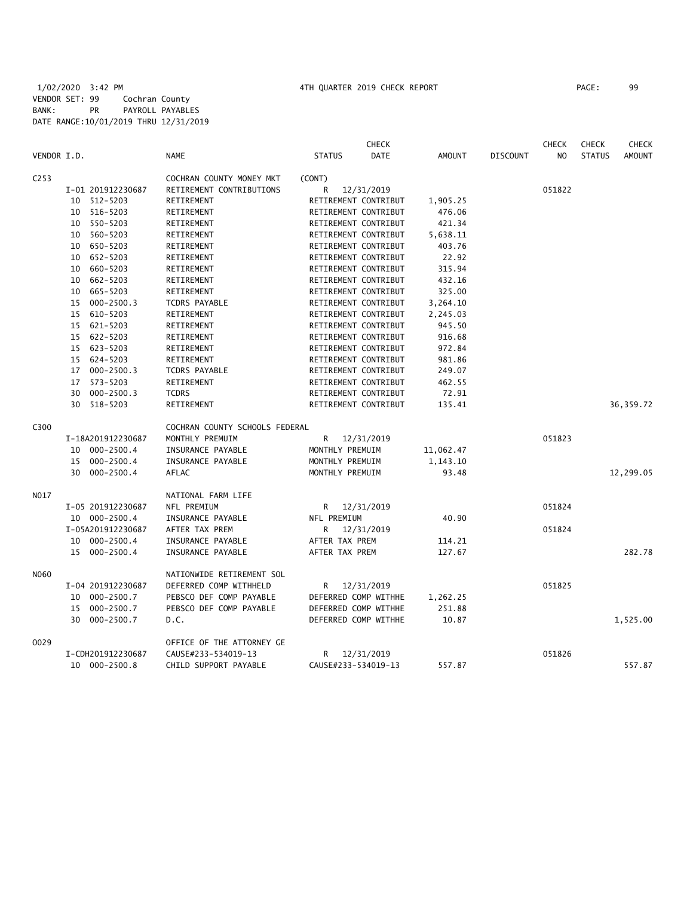|                  |                   |                                | <b>CHECK</b>                 |               |                 | <b>CHECK</b>   | <b>CHECK</b>  | <b>CHECK</b>  |
|------------------|-------------------|--------------------------------|------------------------------|---------------|-----------------|----------------|---------------|---------------|
| VENDOR I.D.      |                   | <b>NAME</b>                    | <b>STATUS</b><br><b>DATE</b> | <b>AMOUNT</b> | <b>DISCOUNT</b> | N <sub>O</sub> | <b>STATUS</b> | <b>AMOUNT</b> |
| C <sub>253</sub> |                   | COCHRAN COUNTY MONEY MKT       | (CONT)                       |               |                 |                |               |               |
|                  | I-01 201912230687 | RETIREMENT CONTRIBUTIONS       | R<br>12/31/2019              |               |                 | 051822         |               |               |
|                  | 512-5203<br>10    | RETIREMENT                     | RETIREMENT CONTRIBUT         | 1,905.25      |                 |                |               |               |
|                  | 516-5203<br>10    | RETIREMENT                     | RETIREMENT CONTRIBUT         | 476.06        |                 |                |               |               |
|                  | 550-5203<br>10    | RETIREMENT                     | RETIREMENT CONTRIBUT         | 421.34        |                 |                |               |               |
|                  | 560-5203<br>10    | RETIREMENT                     | RETIREMENT CONTRIBUT         | 5,638.11      |                 |                |               |               |
|                  | 10 650-5203       | RETIREMENT                     | RETIREMENT CONTRIBUT         | 403.76        |                 |                |               |               |
|                  | 10 652-5203       | RETIREMENT                     | RETIREMENT CONTRIBUT         | 22.92         |                 |                |               |               |
|                  | 660-5203<br>10    | RETIREMENT                     | RETIREMENT CONTRIBUT         | 315.94        |                 |                |               |               |
|                  | 10 662-5203       | RETIREMENT                     | RETIREMENT CONTRIBUT         | 432.16        |                 |                |               |               |
|                  | 665-5203<br>10    | RETIREMENT                     | RETIREMENT CONTRIBUT         | 325.00        |                 |                |               |               |
|                  | 15 000-2500.3     | TCDRS PAYABLE                  | RETIREMENT CONTRIBUT         | 3,264.10      |                 |                |               |               |
|                  | 610-5203<br>15    | RETIREMENT                     | RETIREMENT CONTRIBUT         | 2,245.03      |                 |                |               |               |
|                  | 15 621-5203       | RETIREMENT                     | RETIREMENT CONTRIBUT         | 945.50        |                 |                |               |               |
|                  | 15 622-5203       | RETIREMENT                     | RETIREMENT CONTRIBUT         | 916.68        |                 |                |               |               |
|                  | 15 623-5203       | RETIREMENT                     | RETIREMENT CONTRIBUT         | 972.84        |                 |                |               |               |
|                  | 624-5203<br>15    | RETIREMENT                     | RETIREMENT CONTRIBUT         | 981.86        |                 |                |               |               |
|                  | 17 000-2500.3     | <b>TCDRS PAYABLE</b>           | RETIREMENT CONTRIBUT         | 249.07        |                 |                |               |               |
|                  | 573-5203<br>17    | RETIREMENT                     | RETIREMENT CONTRIBUT         | 462.55        |                 |                |               |               |
|                  | 000-2500.3<br>30  | <b>TCDRS</b>                   | RETIREMENT CONTRIBUT         | 72.91         |                 |                |               |               |
|                  | 518-5203<br>30    | RETIREMENT                     | RETIREMENT CONTRIBUT         | 135.41        |                 |                |               | 36, 359.72    |
| C300             |                   | COCHRAN COUNTY SCHOOLS FEDERAL |                              |               |                 |                |               |               |
|                  | I-18A201912230687 | MONTHLY PREMUIM                | R<br>12/31/2019              |               |                 | 051823         |               |               |
|                  | 10 000-2500.4     | INSURANCE PAYABLE              | MONTHLY PREMUIM              | 11,062.47     |                 |                |               |               |
|                  | 15 000-2500.4     | INSURANCE PAYABLE              | MONTHLY PREMUIM              | 1,143.10      |                 |                |               |               |
|                  | 30 000-2500.4     | AFLAC                          | MONTHLY PREMUIM              | 93.48         |                 |                |               | 12,299.05     |
| N017             |                   | NATIONAL FARM LIFE             |                              |               |                 |                |               |               |
|                  | I-05 201912230687 | NFL PREMIUM                    | 12/31/2019<br>R              |               |                 | 051824         |               |               |
|                  | 10 000-2500.4     | INSURANCE PAYABLE              | NFL PREMIUM                  | 40.90         |                 |                |               |               |
|                  | I-05A201912230687 | AFTER TAX PREM                 | 12/31/2019<br>R              |               |                 | 051824         |               |               |
|                  | 10 000-2500.4     | INSURANCE PAYABLE              | AFTER TAX PREM               | 114.21        |                 |                |               |               |
|                  | 15 000-2500.4     | INSURANCE PAYABLE              | AFTER TAX PREM               | 127.67        |                 |                |               | 282.78        |
| N060             |                   | NATIONWIDE RETIREMENT SOL      |                              |               |                 |                |               |               |
|                  | I-04 201912230687 | DEFERRED COMP WITHHELD         | R<br>12/31/2019              |               |                 | 051825         |               |               |
|                  | 10 000-2500.7     | PEBSCO DEF COMP PAYABLE        | DEFERRED COMP WITHHE         | 1,262.25      |                 |                |               |               |
|                  | 15 000-2500.7     | PEBSCO DEF COMP PAYABLE        | DEFERRED COMP WITHHE         | 251.88        |                 |                |               |               |
|                  | 30<br>000-2500.7  | D.C.                           | DEFERRED COMP WITHHE         | 10.87         |                 |                |               | 1,525.00      |
| 0029             |                   | OFFICE OF THE ATTORNEY GE      |                              |               |                 |                |               |               |
|                  | I-CDH201912230687 | CAUSE#233-534019-13            | R<br>12/31/2019              |               |                 | 051826         |               |               |
|                  | 10 000-2500.8     | CHILD SUPPORT PAYABLE          | CAUSE#233-534019-13          | 557.87        |                 |                |               | 557.87        |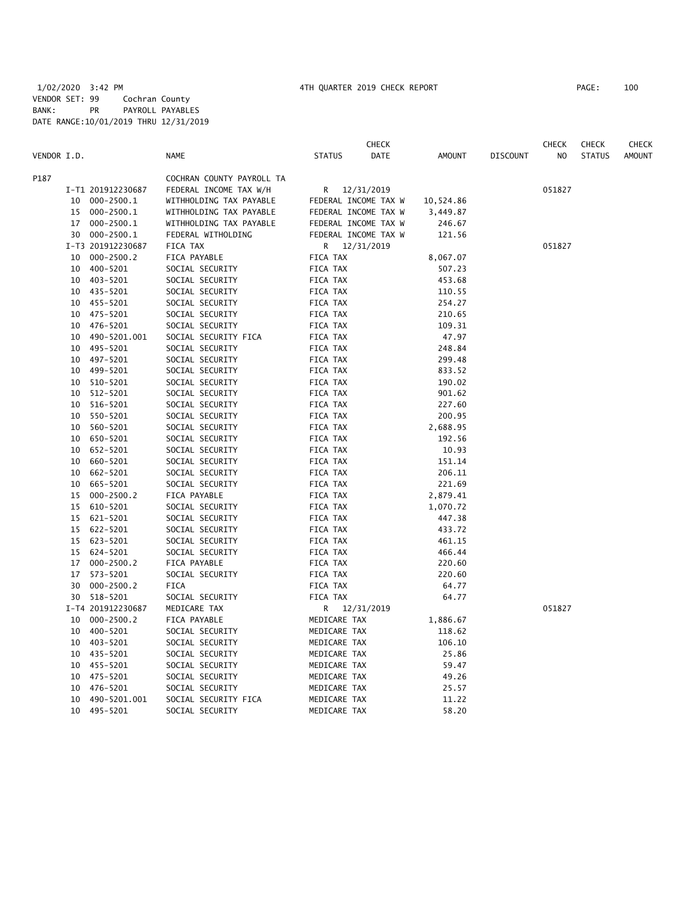|             |    |                   |                           |                      | <b>CHECK</b>         |               |                 | <b>CHECK</b>   | <b>CHECK</b>  | CHECK         |
|-------------|----|-------------------|---------------------------|----------------------|----------------------|---------------|-----------------|----------------|---------------|---------------|
| VENDOR I.D. |    |                   | <b>NAME</b>               | <b>STATUS</b>        | DATE                 | <b>AMOUNT</b> | <b>DISCOUNT</b> | N <sub>O</sub> | <b>STATUS</b> | <b>AMOUNT</b> |
| P187        |    |                   | COCHRAN COUNTY PAYROLL TA |                      |                      |               |                 |                |               |               |
|             |    | I-T1 201912230687 | FEDERAL INCOME TAX W/H    | R.                   | 12/31/2019           |               |                 | 051827         |               |               |
|             |    | 10 000-2500.1     | WITHHOLDING TAX PAYABLE   | FEDERAL INCOME TAX W |                      | 10,524.86     |                 |                |               |               |
|             | 15 | $000 - 2500.1$    | WITHHOLDING TAX PAYABLE   |                      | FEDERAL INCOME TAX W | 3,449.87      |                 |                |               |               |
|             |    | 17 000-2500.1     | WITHHOLDING TAX PAYABLE   | FEDERAL INCOME TAX W |                      | 246.67        |                 |                |               |               |
|             |    | 30 000-2500.1     | FEDERAL WITHOLDING        | FEDERAL INCOME TAX W |                      | 121.56        |                 |                |               |               |
|             |    | I-T3 201912230687 | FICA TAX                  | R 12/31/2019         |                      |               |                 | 051827         |               |               |
|             | 10 | $000 - 2500.2$    | FICA PAYABLE              | FICA TAX             |                      | 8,067.07      |                 |                |               |               |
|             | 10 | 400-5201          | SOCIAL SECURITY           | FICA TAX             |                      | 507.23        |                 |                |               |               |
|             | 10 | 403-5201          | SOCIAL SECURITY           | FICA TAX             |                      | 453.68        |                 |                |               |               |
|             |    | 10 435-5201       | SOCIAL SECURITY           | FICA TAX             |                      | 110.55        |                 |                |               |               |
|             |    | 10 455-5201       | SOCIAL SECURITY           | FICA TAX             |                      | 254.27        |                 |                |               |               |
|             | 10 | 475-5201          | SOCIAL SECURITY           | FICA TAX             |                      | 210.65        |                 |                |               |               |
|             | 10 | 476-5201          | SOCIAL SECURITY           | FICA TAX             |                      | 109.31        |                 |                |               |               |
|             | 10 | 490-5201.001      | SOCIAL SECURITY FICA      | FICA TAX             |                      | 47.97         |                 |                |               |               |
|             | 10 | 495-5201          | SOCIAL SECURITY           | FICA TAX             |                      | 248.84        |                 |                |               |               |
|             | 10 | 497-5201          | SOCIAL SECURITY           | FICA TAX             |                      | 299.48        |                 |                |               |               |
|             | 10 | 499-5201          | SOCIAL SECURITY           | FICA TAX             |                      | 833.52        |                 |                |               |               |
|             | 10 | 510-5201          | SOCIAL SECURITY           | FICA TAX             |                      | 190.02        |                 |                |               |               |
|             | 10 | 512-5201          | SOCIAL SECURITY           | FICA TAX             |                      | 901.62        |                 |                |               |               |
|             | 10 | 516-5201          | SOCIAL SECURITY           | FICA TAX             |                      | 227.60        |                 |                |               |               |
|             | 10 | 550-5201          | SOCIAL SECURITY           | FICA TAX             |                      | 200.95        |                 |                |               |               |
|             | 10 | 560-5201          | SOCIAL SECURITY           | FICA TAX             |                      | 2,688.95      |                 |                |               |               |
|             | 10 | 650-5201          | SOCIAL SECURITY           | FICA TAX             |                      | 192.56        |                 |                |               |               |
|             | 10 | 652-5201          | SOCIAL SECURITY           | FICA TAX             |                      | 10.93         |                 |                |               |               |
|             | 10 | 660-5201          | SOCIAL SECURITY           | FICA TAX             |                      | 151.14        |                 |                |               |               |
|             | 10 | 662-5201          | SOCIAL SECURITY           | FICA TAX             |                      | 206.11        |                 |                |               |               |
|             | 10 | 665-5201          | SOCIAL SECURITY           | FICA TAX             |                      | 221.69        |                 |                |               |               |
|             | 15 | $000 - 2500.2$    | FICA PAYABLE              | FICA TAX             |                      | 2,879.41      |                 |                |               |               |
|             | 15 | 610-5201          | SOCIAL SECURITY           | FICA TAX             |                      | 1,070.72      |                 |                |               |               |
|             | 15 | 621-5201          | SOCIAL SECURITY           | FICA TAX             |                      | 447.38        |                 |                |               |               |
|             |    | 15 622-5201       | SOCIAL SECURITY           | FICA TAX             |                      | 433.72        |                 |                |               |               |
|             |    | 15 623-5201       | SOCIAL SECURITY           | FICA TAX             |                      | 461.15        |                 |                |               |               |
|             | 15 | 624-5201          | SOCIAL SECURITY           | FICA TAX             |                      | 466.44        |                 |                |               |               |
|             |    | 17 000-2500.2     | FICA PAYABLE              | FICA TAX             |                      | 220.60        |                 |                |               |               |
|             | 17 | 573-5201          | SOCIAL SECURITY           | FICA TAX             |                      | 220.60        |                 |                |               |               |
|             | 30 | $000 - 2500.2$    | FICA                      | FICA TAX             |                      | 64.77         |                 |                |               |               |
|             | 30 | 518-5201          | SOCIAL SECURITY           | FICA TAX             |                      | 64.77         |                 |                |               |               |
|             |    | I-T4 201912230687 | MEDICARE TAX              | R 12/31/2019         |                      |               |                 | 051827         |               |               |
|             | 10 | $000 - 2500.2$    | FICA PAYABLE              | MEDICARE TAX         |                      | 1,886.67      |                 |                |               |               |
|             | 10 | 400-5201          | SOCIAL SECURITY           | MEDICARE TAX         |                      | 118.62        |                 |                |               |               |
|             | 10 | 403-5201          | SOCIAL SECURITY           | MEDICARE TAX         |                      | 106.10        |                 |                |               |               |
|             |    | 10 435-5201       | SOCIAL SECURITY           | MEDICARE TAX         |                      | 25.86         |                 |                |               |               |
|             |    | 10 455-5201       | SOCIAL SECURITY           | MEDICARE TAX         |                      | 59.47         |                 |                |               |               |
|             |    | 10 475-5201       | SOCIAL SECURITY           | MEDICARE TAX         |                      | 49.26         |                 |                |               |               |
|             | 10 | 476-5201          | SOCIAL SECURITY           | MEDICARE TAX         |                      | 25.57         |                 |                |               |               |
|             | 10 | 490-5201.001      | SOCIAL SECURITY FICA      | MEDICARE TAX         |                      | 11.22         |                 |                |               |               |
|             | 10 | 495-5201          | SOCIAL SECURITY           | MEDICARE TAX         |                      | 58.20         |                 |                |               |               |
|             |    |                   |                           |                      |                      |               |                 |                |               |               |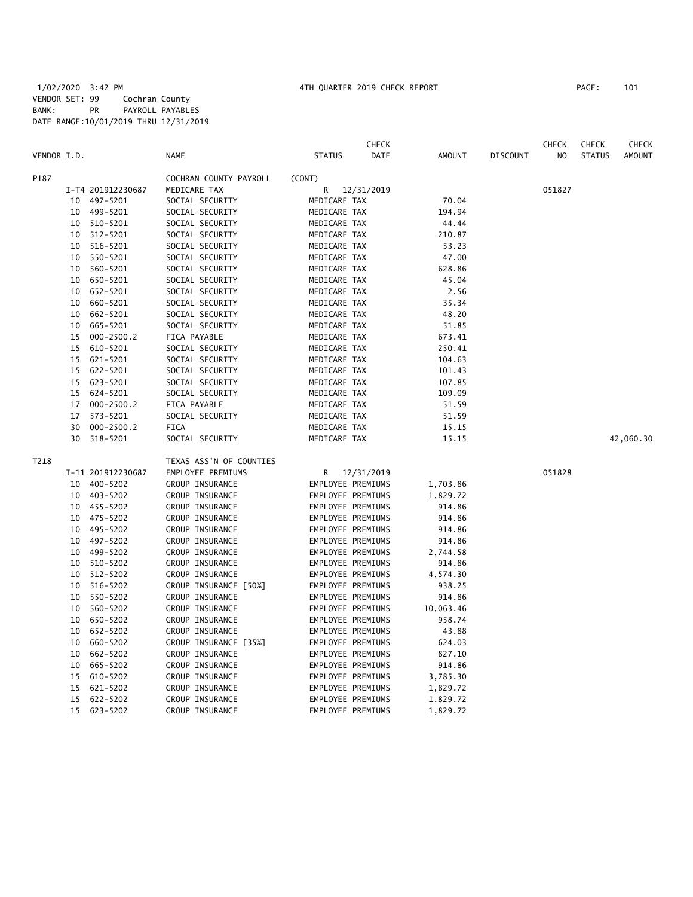|             |    |                   |                         |                   | <b>CHECK</b> |           |                 | <b>CHECK</b>   | <b>CHECK</b>  | CHECK         |
|-------------|----|-------------------|-------------------------|-------------------|--------------|-----------|-----------------|----------------|---------------|---------------|
| VENDOR I.D. |    |                   | NAME                    | <b>STATUS</b>     | <b>DATE</b>  | AMOUNT    | <b>DISCOUNT</b> | N <sub>O</sub> | <b>STATUS</b> | <b>AMOUNT</b> |
| P187        |    |                   | COCHRAN COUNTY PAYROLL  | (CONT)            |              |           |                 |                |               |               |
|             |    | I-T4 201912230687 | MEDICARE TAX            | R                 | 12/31/2019   |           |                 | 051827         |               |               |
|             |    | 10 497-5201       | SOCIAL SECURITY         | MEDICARE TAX      |              | 70.04     |                 |                |               |               |
|             | 10 | 499-5201          | SOCIAL SECURITY         | MEDICARE TAX      |              | 194.94    |                 |                |               |               |
|             | 10 | 510-5201          | SOCIAL SECURITY         | MEDICARE TAX      |              | 44.44     |                 |                |               |               |
|             | 10 | 512-5201          | SOCIAL SECURITY         | MEDICARE TAX      |              | 210.87    |                 |                |               |               |
|             | 10 | 516-5201          | SOCIAL SECURITY         | MEDICARE TAX      |              | 53.23     |                 |                |               |               |
|             | 10 | 550-5201          | SOCIAL SECURITY         | MEDICARE TAX      |              | 47.00     |                 |                |               |               |
|             | 10 | 560-5201          | SOCIAL SECURITY         | MEDICARE TAX      |              | 628.86    |                 |                |               |               |
|             | 10 | 650-5201          | SOCIAL SECURITY         | MEDICARE TAX      |              | 45.04     |                 |                |               |               |
|             | 10 | 652-5201          | SOCIAL SECURITY         | MEDICARE TAX      |              | 2.56      |                 |                |               |               |
|             | 10 | 660-5201          | SOCIAL SECURITY         | MEDICARE TAX      |              | 35.34     |                 |                |               |               |
|             | 10 | 662-5201          | SOCIAL SECURITY         | MEDICARE TAX      |              | 48.20     |                 |                |               |               |
|             | 10 | 665-5201          | SOCIAL SECURITY         | MEDICARE TAX      |              | 51.85     |                 |                |               |               |
|             | 15 | $000 - 2500.2$    | FICA PAYABLE            | MEDICARE TAX      |              | 673.41    |                 |                |               |               |
|             | 15 | 610-5201          | SOCIAL SECURITY         | MEDICARE TAX      |              | 250.41    |                 |                |               |               |
|             | 15 | 621-5201          | SOCIAL SECURITY         | MEDICARE TAX      |              | 104.63    |                 |                |               |               |
|             |    | 15 622-5201       | SOCIAL SECURITY         | MEDICARE TAX      |              | 101.43    |                 |                |               |               |
|             | 15 | 623-5201          | SOCIAL SECURITY         | MEDICARE TAX      |              | 107.85    |                 |                |               |               |
|             |    | 15 624-5201       | SOCIAL SECURITY         | MEDICARE TAX      |              | 109.09    |                 |                |               |               |
|             | 17 | 000-2500.2        | FICA PAYABLE            | MEDICARE TAX      |              | 51.59     |                 |                |               |               |
|             | 17 | 573-5201          | SOCIAL SECURITY         | MEDICARE TAX      |              | 51.59     |                 |                |               |               |
|             | 30 | $000 - 2500.2$    | <b>FICA</b>             | MEDICARE TAX      |              | 15.15     |                 |                |               |               |
|             | 30 | 518-5201          | SOCIAL SECURITY         | MEDICARE TAX      |              | 15.15     |                 |                |               | 42,060.30     |
| T218        |    |                   | TEXAS ASS'N OF COUNTIES |                   |              |           |                 |                |               |               |
|             |    | I-11 201912230687 | EMPLOYEE PREMIUMS       | R                 | 12/31/2019   |           |                 | 051828         |               |               |
|             | 10 | 400-5202          | GROUP INSURANCE         | EMPLOYEE PREMIUMS |              | 1,703.86  |                 |                |               |               |
|             |    | 10 403-5202       | GROUP INSURANCE         | EMPLOYEE PREMIUMS |              | 1,829.72  |                 |                |               |               |
|             |    | 10 455-5202       | GROUP INSURANCE         | EMPLOYEE PREMIUMS |              | 914.86    |                 |                |               |               |
|             | 10 | 475-5202          | GROUP INSURANCE         | EMPLOYEE PREMIUMS |              | 914.86    |                 |                |               |               |
|             | 10 | 495-5202          | GROUP INSURANCE         | EMPLOYEE PREMIUMS |              | 914.86    |                 |                |               |               |
|             | 10 | 497-5202          | GROUP INSURANCE         | EMPLOYEE PREMIUMS |              | 914.86    |                 |                |               |               |
|             | 10 | 499-5202          | GROUP INSURANCE         | EMPLOYEE PREMIUMS |              | 2,744.58  |                 |                |               |               |
|             | 10 | 510-5202          | GROUP INSURANCE         | EMPLOYEE PREMIUMS |              | 914.86    |                 |                |               |               |
|             | 10 | 512-5202          | GROUP INSURANCE         | EMPLOYEE PREMIUMS |              | 4,574.30  |                 |                |               |               |
|             | 10 | 516-5202          | GROUP INSURANCE [50%]   | EMPLOYEE PREMIUMS |              | 938.25    |                 |                |               |               |
|             | 10 | 550-5202          | GROUP INSURANCE         | EMPLOYEE PREMIUMS |              | 914.86    |                 |                |               |               |
|             | 10 | 560-5202          | GROUP INSURANCE         | EMPLOYEE PREMIUMS |              | 10,063.46 |                 |                |               |               |
|             | 10 | 650-5202          | GROUP INSURANCE         | EMPLOYEE PREMIUMS |              | 958.74    |                 |                |               |               |
|             | 10 | 652-5202          | GROUP INSURANCE         | EMPLOYEE PREMIUMS |              | 43.88     |                 |                |               |               |
|             | 10 | 660-5202          | GROUP INSURANCE [35%]   | EMPLOYEE PREMIUMS |              | 624.03    |                 |                |               |               |
|             | 10 | 662-5202          | GROUP INSURANCE         | EMPLOYEE PREMIUMS |              | 827.10    |                 |                |               |               |
|             | 10 | 665-5202          | GROUP INSURANCE         | EMPLOYEE PREMIUMS |              | 914.86    |                 |                |               |               |
|             | 15 | 610-5202          | GROUP INSURANCE         | EMPLOYEE PREMIUMS |              | 3,785.30  |                 |                |               |               |
|             | 15 | 621-5202          | GROUP INSURANCE         | EMPLOYEE PREMIUMS |              | 1,829.72  |                 |                |               |               |
|             | 15 | 622-5202          | GROUP INSURANCE         | EMPLOYEE PREMIUMS |              | 1,829.72  |                 |                |               |               |

15 623-5202 GROUP INSURANCE EMPLOYEE PREMIUMS 1,829.72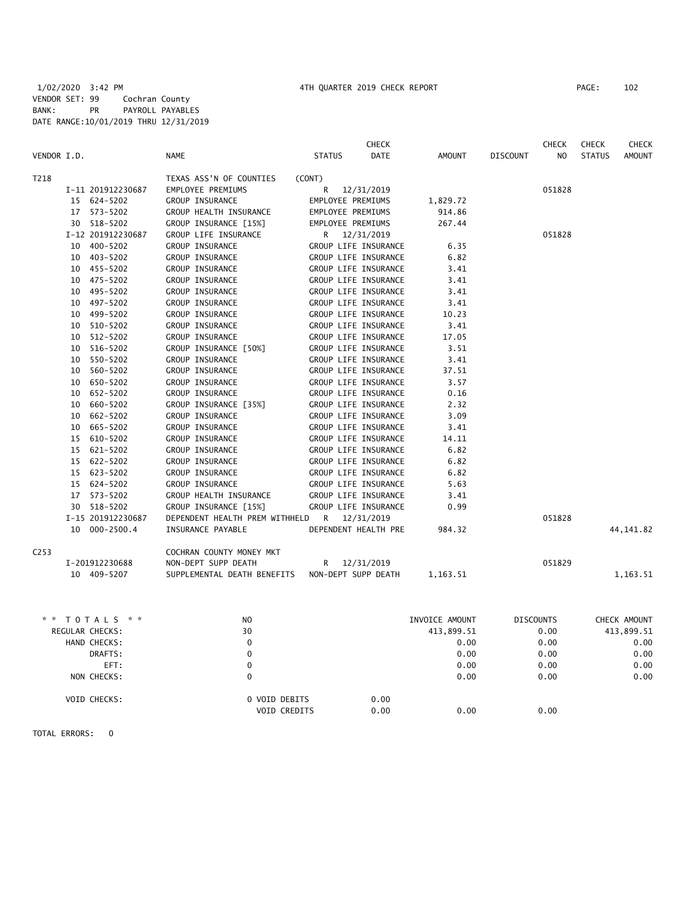|                  |    |                   |                                             |                      | <b>CHECK</b>         |          |                 | <b>CHECK</b> | <b>CHECK</b>  | CHECK         |
|------------------|----|-------------------|---------------------------------------------|----------------------|----------------------|----------|-----------------|--------------|---------------|---------------|
| VENDOR I.D.      |    |                   | <b>NAME</b>                                 | <b>STATUS</b>        | <b>DATE</b>          | AMOUNT   | <b>DISCOUNT</b> | NO.          | <b>STATUS</b> | <b>AMOUNT</b> |
| T218             |    |                   | TEXAS ASS'N OF COUNTIES                     | (CONT)               |                      |          |                 |              |               |               |
|                  |    | I-11 201912230687 | EMPLOYEE PREMIUMS                           | R                    | 12/31/2019           |          |                 | 051828       |               |               |
|                  |    | 15 624-5202       | GROUP INSURANCE                             | EMPLOYEE PREMIUMS    |                      | 1,829.72 |                 |              |               |               |
|                  |    | 17 573-5202       | GROUP HEALTH INSURANCE                      | EMPLOYEE PREMIUMS    |                      | 914.86   |                 |              |               |               |
|                  |    | 30 518-5202       | GROUP INSURANCE [15%]                       | EMPLOYEE PREMIUMS    |                      | 267.44   |                 |              |               |               |
|                  |    | I-12 201912230687 | GROUP LIFE INSURANCE                        | R 12/31/2019         |                      |          |                 | 051828       |               |               |
|                  |    | 10 400-5202       | GROUP INSURANCE                             | GROUP LIFE INSURANCE |                      | 6.35     |                 |              |               |               |
|                  |    | 10 403-5202       | GROUP INSURANCE                             | GROUP LIFE INSURANCE |                      | 6.82     |                 |              |               |               |
|                  |    | 10 455-5202       | GROUP INSURANCE                             | GROUP LIFE INSURANCE |                      | 3.41     |                 |              |               |               |
|                  |    | 10 475-5202       | GROUP INSURANCE                             | GROUP LIFE INSURANCE |                      | 3.41     |                 |              |               |               |
|                  |    | 10 495-5202       | GROUP INSURANCE                             | GROUP LIFE INSURANCE |                      | 3.41     |                 |              |               |               |
|                  | 10 | 497-5202          | GROUP INSURANCE                             | GROUP LIFE INSURANCE |                      | 3.41     |                 |              |               |               |
|                  | 10 | 499-5202          | GROUP INSURANCE                             | GROUP LIFE INSURANCE |                      | 10.23    |                 |              |               |               |
|                  | 10 | 510-5202          | GROUP INSURANCE                             | GROUP LIFE INSURANCE |                      | 3.41     |                 |              |               |               |
|                  | 10 | 512-5202          | GROUP INSURANCE                             | GROUP LIFE INSURANCE |                      | 17.05    |                 |              |               |               |
|                  | 10 | 516-5202          | GROUP INSURANCE [50%]                       | GROUP LIFE INSURANCE |                      | 3.51     |                 |              |               |               |
|                  | 10 | 550-5202          | GROUP INSURANCE                             | GROUP LIFE INSURANCE |                      | 3.41     |                 |              |               |               |
|                  | 10 | 560-5202          | GROUP INSURANCE                             | GROUP LIFE INSURANCE |                      | 37.51    |                 |              |               |               |
|                  | 10 | 650-5202          | GROUP INSURANCE                             | GROUP LIFE INSURANCE |                      | 3.57     |                 |              |               |               |
|                  |    | 10 652-5202       | GROUP INSURANCE                             | GROUP LIFE INSURANCE |                      | 0.16     |                 |              |               |               |
|                  | 10 | 660-5202          | GROUP INSURANCE [35%]                       | GROUP LIFE INSURANCE |                      | 2.32     |                 |              |               |               |
|                  |    | 10 662-5202       | GROUP INSURANCE                             |                      | GROUP LIFE INSURANCE | 3.09     |                 |              |               |               |
|                  | 10 | 665-5202          | GROUP INSURANCE                             | GROUP LIFE INSURANCE |                      | 3.41     |                 |              |               |               |
|                  | 15 | 610-5202          | GROUP INSURANCE                             | GROUP LIFE INSURANCE |                      | 14.11    |                 |              |               |               |
|                  | 15 | 621-5202          | <b>GROUP INSURANCE</b>                      | GROUP LIFE INSURANCE |                      | 6.82     |                 |              |               |               |
|                  |    | 15 622-5202       | GROUP INSURANCE                             | GROUP LIFE INSURANCE |                      | 6.82     |                 |              |               |               |
|                  |    | 15 623-5202       | GROUP INSURANCE                             | GROUP LIFE INSURANCE |                      | 6.82     |                 |              |               |               |
|                  |    | 15 624-5202       | <b>GROUP INSURANCE</b>                      | GROUP LIFE INSURANCE |                      | 5.63     |                 |              |               |               |
|                  | 17 | 573-5202          | GROUP HEALTH INSURANCE                      | GROUP LIFE INSURANCE |                      | 3.41     |                 |              |               |               |
|                  |    | 30 518-5202       | GROUP INSURANCE [15%]                       | GROUP LIFE INSURANCE |                      | 0.99     |                 |              |               |               |
|                  |    | I-15 201912230687 | DEPENDENT HEALTH PREM WITHHELD R 12/31/2019 |                      |                      |          |                 | 051828       |               |               |
|                  |    | 10 000-2500.4     | INSURANCE PAYABLE                           | DEPENDENT HEALTH PRE |                      | 984.32   |                 |              |               | 44, 141.82    |
| C <sub>253</sub> |    |                   | COCHRAN COUNTY MONEY MKT                    |                      |                      |          |                 |              |               |               |
|                  |    | I-201912230688    | NON-DEPT SUPP DEATH                         | R <sub>a</sub>       | 12/31/2019           |          |                 | 051829       |               |               |
|                  |    | 10 409-5207       | SUPPLEMENTAL DEATH BENEFITS                 | NON-DEPT SUPP DEATH  |                      | 1,163.51 |                 |              |               | 1,163.51      |

| TOTALS * *<br>* * | N <sub>O</sub> |                                               | INVOICE AMOUNT | <b>DISCOUNTS</b> | CHECK AMOUNT |
|-------------------|----------------|-----------------------------------------------|----------------|------------------|--------------|
| REGULAR CHECKS:   | 30             |                                               | 413,899.51     | 0.00             | 413,899.51   |
| HAND CHECKS:      | 0              |                                               | 0.00           | 0.00             | 0.00         |
| DRAFTS:           | 0              |                                               | 0.00           | 0.00             | 0.00         |
| EFT:              | 0              |                                               | 0.00           | 0.00             | 0.00         |
| NON CHECKS:       | 0              |                                               | 0.00           | 0.00             | 0.00         |
| VOID CHECKS:      |                | 0 VOID DEBITS<br>0.00<br>VOID CREDITS<br>0.00 | 0.00           | 0.00             |              |

TOTAL ERRORS: 0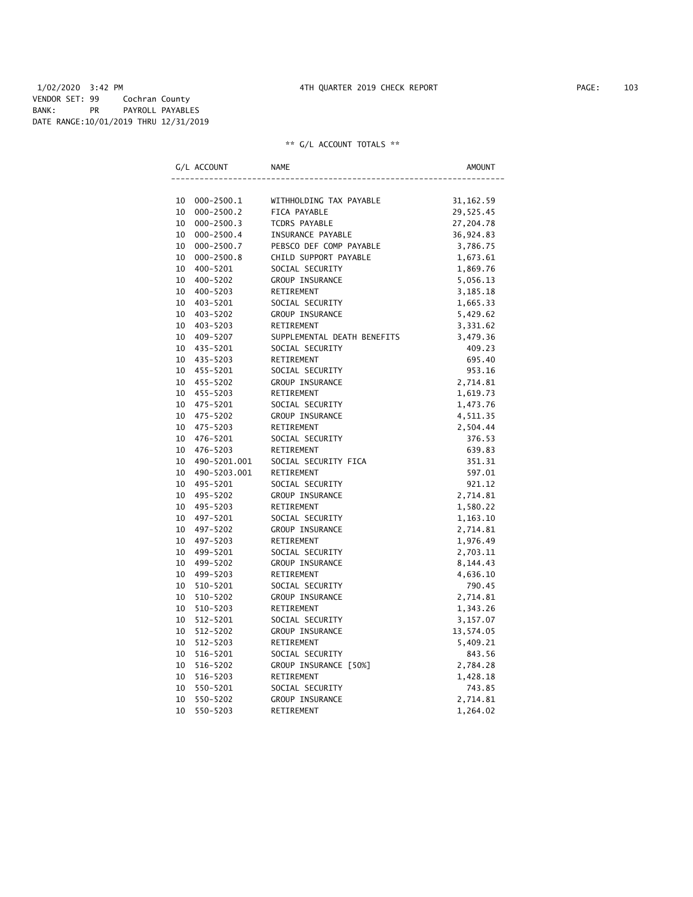# 1/02/2020 3:42 PM 4TH QUARTER 2019 CHECK REPORT PAGE: 103 VENDOR SET: 99 Cochran County BANK: PR PAYROLL PAYABLES DATE RANGE:10/01/2019 THRU 12/31/2019

| G/L ACCOUNT          | NAME                        | AMOUNT     |
|----------------------|-----------------------------|------------|
|                      |                             |            |
| 10<br>000-2500.1     | WITHHOLDING TAX PAYABLE     | 31, 162.59 |
| 10<br>$000 - 2500.2$ | FICA PAYABLE                | 29,525.45  |
| 10<br>$000 - 2500.3$ | TCDRS PAYABLE               | 27,204.78  |
| 10<br>$000 - 2500.4$ | INSURANCE PAYABLE           | 36,924.83  |
| 10<br>$000 - 2500.7$ | PEBSCO DEF COMP PAYABLE     | 3,786.75   |
| 10<br>$000 - 2500.8$ | CHILD SUPPORT PAYABLE       | 1,673.61   |
| 10<br>400-5201       | SOCIAL SECURITY             | 1,869.76   |
| 10<br>400-5202       | GROUP INSURANCE             | 5,056.13   |
| 10<br>400-5203       | RETIREMENT                  | 3,185.18   |
| 10<br>403-5201       | SOCIAL SECURITY             | 1,665.33   |
| 403-5202<br>10       | GROUP INSURANCE             | 5,429.62   |
| 10<br>403-5203       | RETIREMENT                  | 3,331.62   |
| 10<br>409-5207       | SUPPLEMENTAL DEATH BENEFITS | 3,479.36   |
| 10<br>435-5201       | SOCIAL SECURITY             | 409.23     |
| 10<br>435-5203       | RETIREMENT                  | 695.40     |
| 10<br>455-5201       | SOCIAL SECURITY             | 953.16     |
| 10<br>455-5202       | GROUP INSURANCE             | 2,714.81   |
| 10<br>455-5203       | RETIREMENT                  | 1,619.73   |
| 10<br>475-5201       | SOCIAL SECURITY             | 1,473.76   |
| 10<br>475-5202       | GROUP INSURANCE             | 4,511.35   |
| 10<br>475-5203       | RETIREMENT                  | 2,504.44   |
| 10<br>476-5201       | SOCIAL SECURITY             | 376.53     |
| 10<br>476-5203       | RETIREMENT                  | 639.83     |
| 10<br>490-5201.001   | SOCIAL SECURITY FICA        | 351.31     |
| 10<br>490-5203.001   | RETIREMENT                  | 597.01     |
| 10<br>495-5201       | SOCIAL SECURITY             | 921.12     |
| 495-5202<br>10       | GROUP INSURANCE             | 2,714.81   |
| 10<br>495-5203       | RETIREMENT                  | 1,580.22   |
| 10<br>497-5201       | SOCIAL SECURITY             | 1,163.10   |
| 10<br>497-5202       | GROUP INSURANCE             | 2,714.81   |
| 10<br>497-5203       | RETIREMENT                  | 1,976.49   |
| 10<br>499-5201       | SOCIAL SECURITY             | 2,703.11   |
| 10<br>499-5202       | GROUP INSURANCE             | 8,144.43   |
| 10<br>499-5203       | RETIREMENT                  | 4,636.10   |
| 10<br>510-5201       | SOCIAL SECURITY             | 790.45     |
| 10<br>510-5202       | GROUP INSURANCE             | 2,714.81   |
| 10<br>510-5203       | RETIREMENT                  | 1,343.26   |
| 10<br>512-5201       | SOCIAL SECURITY             | 3,157.07   |
| 10<br>512-5202       | GROUP INSURANCE             | 13,574.05  |
| 10<br>512-5203       | RETIREMENT                  | 5,409.21   |
| 10<br>516-5201       | SOCIAL SECURITY             | 843.56     |
| 10<br>516-5202       | GROUP INSURANCE [50%]       | 2,784.28   |
| 10<br>516-5203       | RETIREMENT                  | 1,428.18   |
| 10<br>550-5201       | SOCIAL SECURITY             | 743.85     |
| 10<br>550-5202       | <b>GROUP INSURANCE</b>      | 2,714.81   |
| 10<br>550-5203       | RETIREMENT                  | 1,264.02   |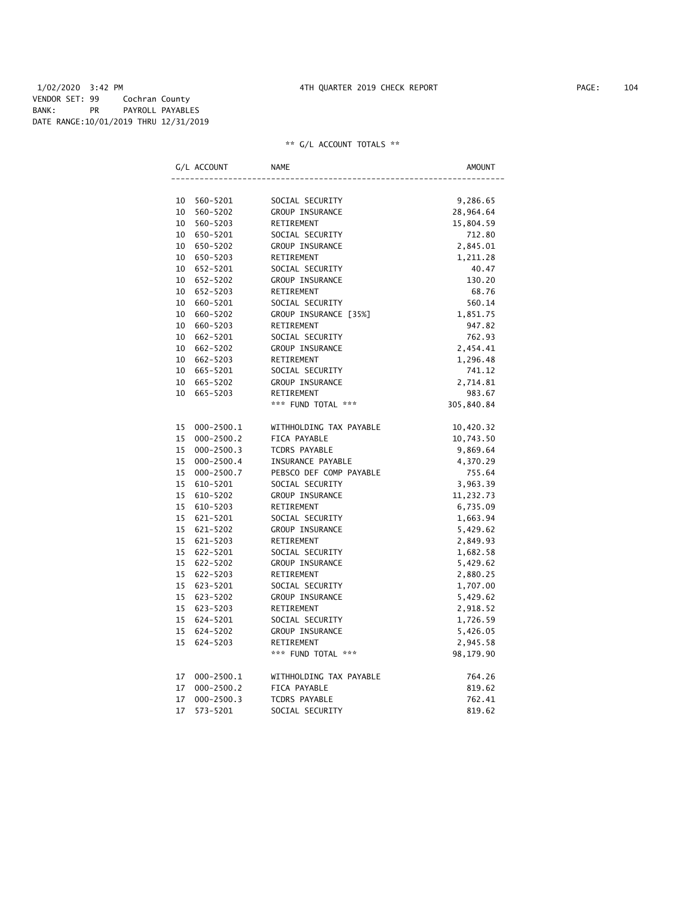# 1/02/2020 3:42 PM 4TH QUARTER 2019 CHECK REPORT PAGE: 104 VENDOR SET: 99 Cochran County BANK: PR PAYROLL PAYABLES DATE RANGE:10/01/2019 THRU 12/31/2019

|    | G/L ACCOUNT    | <b>NAME</b>             | AMOUNT     |
|----|----------------|-------------------------|------------|
|    |                |                         |            |
| 10 | 560-5201       | SOCIAL SECURITY         | 9,286.65   |
| 10 | 560-5202       | GROUP INSURANCE         | 28,964.64  |
| 10 | 560-5203       | RETIREMENT              | 15,804.59  |
| 10 | 650-5201       | SOCIAL SECURITY         | 712.80     |
| 10 | 650-5202       | GROUP INSURANCE         | 2,845.01   |
|    | 10 650-5203    | RETIREMENT              | 1,211.28   |
| 10 | 652-5201       | SOCIAL SECURITY         | 40.47      |
|    | 10 652-5202    | GROUP INSURANCE         | 130.20     |
|    | 10 652-5203    | RETIREMENT              | 68.76      |
|    | 10 660-5201    | SOCIAL SECURITY         | 560.14     |
| 10 | 660-5202       | GROUP INSURANCE [35%]   | 1,851.75   |
| 10 | 660-5203       | RETIREMENT              | 947.82     |
| 10 | 662-5201       | SOCIAL SECURITY         | 762.93     |
| 10 | 662-5202       | GROUP INSURANCE         | 2,454.41   |
|    | 10 662-5203    | RETIREMENT              | 1,296.48   |
|    | 10 665-5201    | SOCIAL SECURITY         | 741.12     |
| 10 | 665-5202       | GROUP INSURANCE         | 2,714.81   |
| 10 | 665-5203       | RETIREMENT              | 983.67     |
|    |                | *** FUND TOTAL ***      | 305,840.84 |
| 15 | $000 - 2500.1$ | WITHHOLDING TAX PAYABLE | 10,420.32  |
| 15 | $000 - 2500.2$ | FICA PAYABLE            | 10,743.50  |
| 15 | $000 - 2500.3$ | <b>TCDRS PAYABLE</b>    | 9,869.64   |
| 15 | $000 - 2500.4$ | INSURANCE PAYABLE       | 4,370.29   |
| 15 | $000 - 2500.7$ | PEBSCO DEF COMP PAYABLE | 755.64     |
| 15 | 610-5201       | SOCIAL SECURITY         | 3,963.39   |
| 15 | 610-5202       | GROUP INSURANCE         | 11,232.73  |
| 15 | 610-5203       | RETIREMENT              | 6,735.09   |
| 15 | 621-5201       | SOCIAL SECURITY         | 1,663.94   |
| 15 | 621-5202       | GROUP INSURANCE         | 5,429.62   |
| 15 | 621-5203       | RETIREMENT              | 2,849.93   |
| 15 | 622-5201       | SOCIAL SECURITY         | 1,682.58   |
| 15 | 622-5202       | <b>GROUP INSURANCE</b>  | 5,429.62   |
|    | 15 622-5203    | RETIREMENT              | 2,880.25   |
| 15 | 623-5201       | SOCIAL SECURITY         | 1,707.00   |
| 15 | 623-5202       | GROUP INSURANCE         | 5,429.62   |
| 15 | 623-5203       | RETIREMENT              | 2,918.52   |
|    | 15 624-5201    | SOCIAL SECURITY         | 1,726.59   |
| 15 | 624-5202       | GROUP INSURANCE         | 5,426.05   |
| 15 | 624-5203       | RETIREMENT              | 2,945.58   |
|    |                | *** FUND TOTAL ***      | 98,179.90  |
| 17 | $000 - 2500.1$ | WITHHOLDING TAX PAYABLE | 764.26     |
| 17 | $000 - 2500.2$ | FICA PAYABLE            | 819.62     |
| 17 | $000 - 2500.3$ | <b>TCDRS PAYABLE</b>    | 762.41     |
| 17 | 573-5201       | SOCIAL SECURITY         | 819.62     |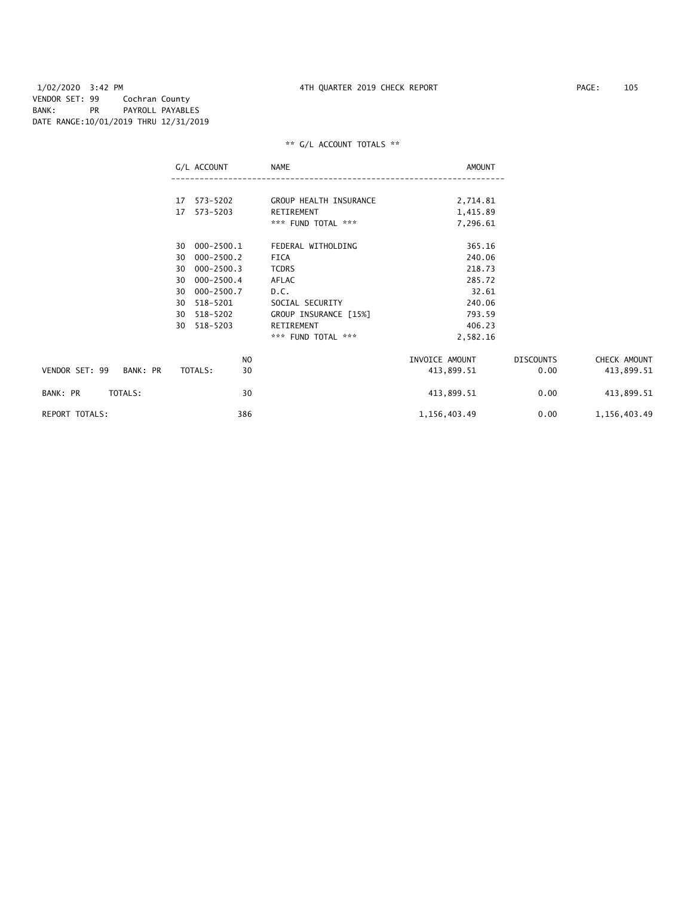|                            | G/L ACCOUNT          | NAME                             | AMOUNT               |                  |              |
|----------------------------|----------------------|----------------------------------|----------------------|------------------|--------------|
|                            | 17 573-5202          | GROUP HEALTH INSURANCE           |                      |                  |              |
|                            |                      |                                  | 2,714.81             |                  |              |
|                            | 17 573-5203          | RETIREMENT<br>*** FUND TOTAL *** | 1,415.89<br>7,296.61 |                  |              |
|                            |                      |                                  |                      |                  |              |
|                            | 000-2500.1<br>30     | FEDERAL WITHOLDING               | 365.16               |                  |              |
|                            | 000-2500.2<br>30     | FICA                             | 240.06               |                  |              |
|                            | $000 - 2500.3$<br>30 | <b>TCDRS</b>                     | 218.73               |                  |              |
|                            | $000 - 2500.4$<br>30 | AFLAC                            | 285.72               |                  |              |
|                            | 000-2500.7<br>30     | D.C.                             | 32.61                |                  |              |
|                            | 518-5201<br>30       | SOCIAL SECURITY                  | 240.06               |                  |              |
|                            | 518-5202<br>30       | GROUP INSURANCE [15%]            | 793.59               |                  |              |
|                            | 518-5203<br>30       | RETIREMENT                       | 406.23               |                  |              |
|                            |                      | *** FUND TOTAL ***               | 2,582.16             |                  |              |
|                            | N <sub>O</sub>       |                                  | INVOICE AMOUNT       | <b>DISCOUNTS</b> | CHECK AMOUNT |
| VENDOR SET: 99<br>BANK: PR | TOTALS:<br>30        |                                  | 413,899.51           | 0.00             | 413,899.51   |
| TOTALS:<br>BANK: PR        | 30                   |                                  | 413,899.51           | 0.00             | 413,899.51   |
| <b>REPORT TOTALS:</b>      | 386                  |                                  | 1,156,403.49         | 0.00             | 1,156,403.49 |